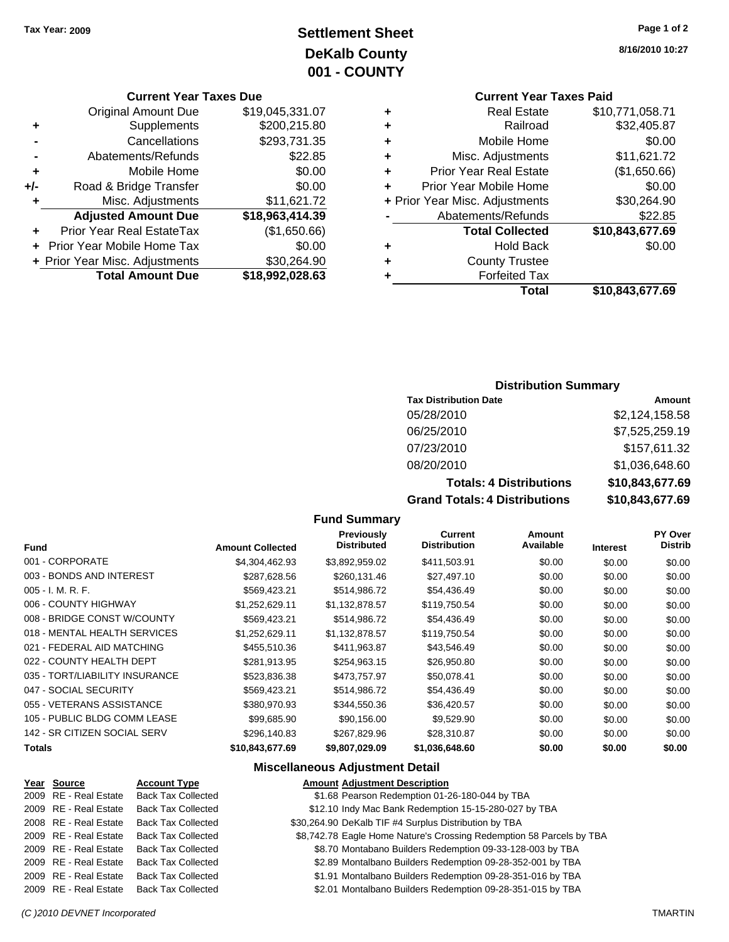# **Settlement Sheet Tax Year: 2009 Page 1 of 2 DeKalb County 001 - COUNTY**

#### **Current Year Taxes Due**

|       | <b>Original Amount Due</b>        | \$19,045,331.07 |
|-------|-----------------------------------|-----------------|
| ٠     | Supplements                       | \$200,215.80    |
|       | Cancellations                     | \$293,731.35    |
|       | Abatements/Refunds                | \$22.85         |
| ٠     | Mobile Home                       | \$0.00          |
| $+/-$ | Road & Bridge Transfer            | \$0.00          |
|       | Misc. Adjustments                 | \$11,621.72     |
|       | <b>Adjusted Amount Due</b>        | \$18,963,414.39 |
|       | <b>Prior Year Real EstateTax</b>  | (\$1,650.66)    |
|       | <b>Prior Year Mobile Home Tax</b> | \$0.00          |
|       | + Prior Year Misc. Adjustments    | \$30,264.90     |
|       | <b>Total Amount Due</b>           | \$18,992,028.63 |

**8/16/2010 10:27**

# **Current Year Taxes Paid**

|   | Total                          | \$10,843,677.69 |
|---|--------------------------------|-----------------|
| ٠ | <b>Forfeited Tax</b>           |                 |
| ٠ | <b>County Trustee</b>          |                 |
| ٠ | <b>Hold Back</b>               | \$0.00          |
|   | <b>Total Collected</b>         | \$10,843,677.69 |
|   | Abatements/Refunds             | \$22.85         |
|   | + Prior Year Misc. Adjustments | \$30,264.90     |
| ÷ | Prior Year Mobile Home         | \$0.00          |
| ٠ | <b>Prior Year Real Estate</b>  | (\$1,650.66)    |
| ٠ | Misc. Adjustments              | \$11,621.72     |
| ٠ | Mobile Home                    | \$0.00          |
| ٠ | Railroad                       | \$32,405.87     |
| ٠ | <b>Real Estate</b>             | \$10,771,058.71 |

## **Distribution Summary**

| <b>Tax Distribution Date</b>   | Amount          |
|--------------------------------|-----------------|
| 05/28/2010                     | \$2,124,158.58  |
| 06/25/2010                     | \$7,525,259.19  |
| 07/23/2010                     | \$157,611.32    |
| 08/20/2010                     | \$1,036,648.60  |
| <b>Totals: 4 Distributions</b> | \$10,843,677.69 |
| _____________                  | ^ *^ ^== ^^     |

**Grand Totals: 4 Distributions \$10,843,677.69**

## **Fund Summary**

| <b>Fund</b>                    | <b>Amount Collected</b> | <b>Previously</b><br><b>Distributed</b> | Current<br><b>Distribution</b> | <b>Amount</b><br>Available | <b>Interest</b> | <b>PY Over</b><br><b>Distrib</b> |
|--------------------------------|-------------------------|-----------------------------------------|--------------------------------|----------------------------|-----------------|----------------------------------|
|                                |                         |                                         |                                |                            |                 |                                  |
| 001 - CORPORATE                | \$4,304,462.93          | \$3,892,959.02                          | \$411,503.91                   | \$0.00                     | \$0.00          | \$0.00                           |
| 003 - BONDS AND INTEREST       | \$287,628.56            | \$260,131.46                            | \$27,497.10                    | \$0.00                     | \$0.00          | \$0.00                           |
| $005 - I. M. R. F.$            | \$569.423.21            | \$514,986.72                            | \$54,436.49                    | \$0.00                     | \$0.00          | \$0.00                           |
| 006 - COUNTY HIGHWAY           | \$1,252,629.11          | \$1,132,878.57                          | \$119,750.54                   | \$0.00                     | \$0.00          | \$0.00                           |
| 008 - BRIDGE CONST W/COUNTY    | \$569,423.21            | \$514,986.72                            | \$54,436.49                    | \$0.00                     | \$0.00          | \$0.00                           |
| 018 - MENTAL HEALTH SERVICES   | \$1.252.629.11          | \$1.132.878.57                          | \$119,750.54                   | \$0.00                     | \$0.00          | \$0.00                           |
| 021 - FEDERAL AID MATCHING     | \$455,510.36            | \$411,963.87                            | \$43,546.49                    | \$0.00                     | \$0.00          | \$0.00                           |
| 022 - COUNTY HEALTH DEPT       | \$281.913.95            | \$254.963.15                            | \$26,950.80                    | \$0.00                     | \$0.00          | \$0.00                           |
| 035 - TORT/LIABILITY INSURANCE | \$523,836.38            | \$473,757.97                            | \$50,078.41                    | \$0.00                     | \$0.00          | \$0.00                           |
| 047 - SOCIAL SECURITY          | \$569.423.21            | \$514,986.72                            | \$54,436.49                    | \$0.00                     | \$0.00          | \$0.00                           |
| 055 - VETERANS ASSISTANCE      | \$380,970.93            | \$344,550.36                            | \$36,420.57                    | \$0.00                     | \$0.00          | \$0.00                           |
| 105 - PUBLIC BLDG COMM LEASE   | \$99,685.90             | \$90,156.00                             | \$9,529.90                     | \$0.00                     | \$0.00          | \$0.00                           |
| 142 - SR CITIZEN SOCIAL SERV   | \$296,140.83            | \$267.829.96                            | \$28.310.87                    | \$0.00                     | \$0.00          | \$0.00                           |
| Totals                         | \$10,843,677.69         | \$9,807,029.09                          | \$1,036,648.60                 | \$0.00                     | \$0.00          | \$0.00                           |

## **Miscellaneous Adjustment Detail**

## **Year Source Account Type Amount Adjustment Description** 2009 RE - Real Estate Back Tax Collected \$1.68 Pearson Redemption 01-26-180-044 by TBA 2009 RE - Real Estate Back Tax Collected \$12.10 Indy Mac Bank Redemption 15-15-280-027 by TBA 2008 RE - Real Estate Back Tax Collected \$30,264.90 DeKalb TIF #4 Surplus Distribution by TBA 2009 RE - Real Estate Back Tax Collected \$8,742.78 Eagle Home Nature's Crossing Redemption 58 Parcels by TBA 2009 RE - Real Estate Back Tax Collected \$8.70 Montabano Builders Redemption 09-33-128-003 by TBA 2009 RE - Real Estate Back Tax Collected \$2.89 Montalbano Builders Redemption 09-28-352-001 by TBA 2009 RE - Real Estate Back Tax Collected \$1.91 Montalbano Builders Redemption 09-28-351-016 by TBA 2009 RE - Real Estate Back Tax Collected \$2.01 Montalbano Builders Redemption 09-28-351-015 by TBA

## *(C )2010 DEVNET Incorporated* TMARTIN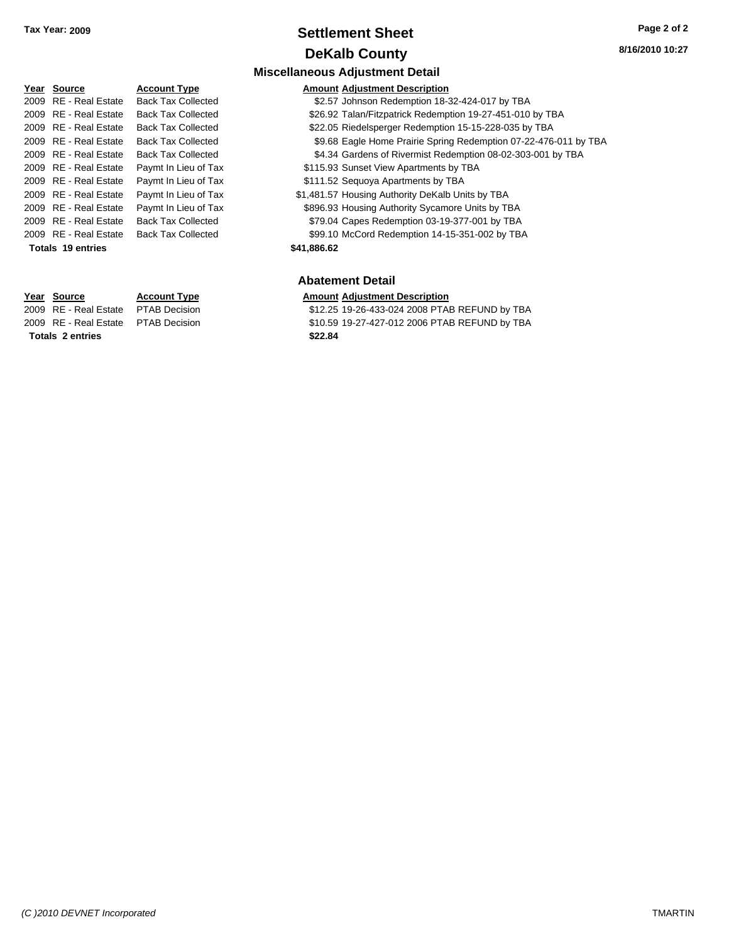## **Settlement Sheet Tax Year: 2009 Page 2 of 2 DeKalb County**

## **8/16/2010 10:27**

| r ear                    | source                  | <b>ACC</b> |  |
|--------------------------|-------------------------|------------|--|
| 2009                     | RE - Real Estate        | Back       |  |
| 2009                     | RE - Real Estate        | Back       |  |
| 2009                     | <b>RE</b> - Real Estate | Back       |  |
| 2009                     | <b>RE</b> - Real Estate | Back       |  |
| 2009                     | RE - Real Estate        | Back       |  |
| 2009                     | RE - Real Estate        | Payr       |  |
| 2009                     | <b>RE</b> - Real Estate | Payr       |  |
| 2009                     | <b>RE</b> - Real Estate | Payr       |  |
| 2009                     | <b>RE</b> - Real Estate | Payr       |  |
| 2009                     | <b>RE</b> - Real Estate | Back       |  |
| 2009                     | RE - Real Estate        | Back       |  |
| <b>Totals 19 entries</b> |                         |            |  |

**Totals \$22.84 2 entries**

## **Miscellaneous Adjustment Detail Year Source Account Type Amount Adjustment Description**

- Tax Collected **2009** \$2.57 Johnson Redemption 18-32-424-017 by TBA
- 2009 RE Real Estate Back Tax Collected \$26.92 Talan/Fitzpatrick Redemption 19-27-451-010 by TBA
- 2009 RE Real Estate Back Tax Collected \$22.05 Riedelsperger Redemption 15-15-228-035 by TBA
	- Tax Collected **2009 SPACE 2009 S9.68 Eagle Home Prairie Spring Redemption 07-22-476-011 by TBA**
	- Tax Collected **2009 S4.34 Gardens of Rivermist Redemption 08-02-303-001 by TBA**
	- 2009 nt In Lieu of Tax **Case Act Act Cay 5115.93 Sunset View Apartments by TBA**
	- 2009 mt In Lieu of Tax **Fayments by TBA** 8111.52 Sequoya Apartments by TBA
	- 2009 nt In Lieu of Tax **31,481.57 Housing Authority DeKalb Units by TBA** 2009 nt In Lieu of Tax - Payment State \$896.93 Housing Authority Sycamore Units by TBA 2009 Tax Collected **2009** S79.04 Capes Redemption 03-19-377-001 by TBA
	- 2009 Tax Collected **2009 SPU 1009 S99.10** McCord Redemption 14-15-351-002 by TBA

#### **Totals \$41,886.62 19 entries**

#### **Abatement Detail**

#### **Year Source Account Type Amount Adjustment Description**

2009 RE - Real Estate \$12.25 19-26-433-024 2008 PTAB REFUND by TBA PTAB Decision 2009 RE - Real Estate \$10.59 19-27-427-012 2006 PTAB REFUND by TBA PTAB Decision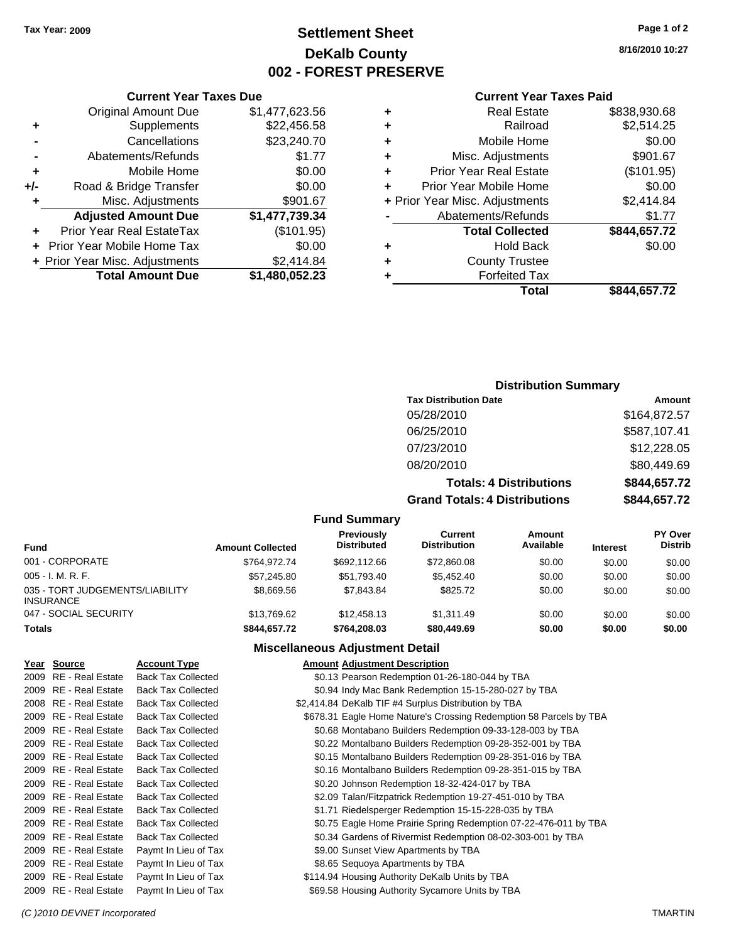## **Settlement Sheet Tax Year: 2009 Page 1 of 2 DeKalb County 002 - FOREST PRESERVE**

**8/16/2010 10:27**

#### **Current Year Taxes Paid**

|   | <b>Real Estate</b>             | \$838,930.68 |
|---|--------------------------------|--------------|
| ٠ | Railroad                       | \$2,514.25   |
| ٠ | Mobile Home                    | \$0.00       |
| ٠ | Misc. Adjustments              | \$901.67     |
| ٠ | <b>Prior Year Real Estate</b>  | (\$101.95)   |
|   | Prior Year Mobile Home         | \$0.00       |
|   | + Prior Year Misc. Adjustments | \$2,414.84   |
|   | Abatements/Refunds             | \$1.77       |
|   | <b>Total Collected</b>         | \$844,657.72 |
| ٠ | <b>Hold Back</b>               | \$0.00       |
| ٠ | <b>County Trustee</b>          |              |
|   | <b>Forfeited Tax</b>           |              |
|   | Total                          | \$844.657.72 |

## **Current Year Taxes Due** Original Amount Due \$1,477,623.56 **+** Supplements \$22,456.58 **-** Cancellations \$23,240.70 **-** Abatements/Refunds \$1.77

| ٠     | Mobile Home                    | \$0.00         |
|-------|--------------------------------|----------------|
| $+/-$ | Road & Bridge Transfer         | \$0.00         |
| ÷     | Misc. Adjustments              | \$901.67       |
|       | <b>Adjusted Amount Due</b>     | \$1,477,739.34 |
|       | Prior Year Real EstateTax      | (\$101.95)     |
|       | + Prior Year Mobile Home Tax   | \$0.00         |
|       | + Prior Year Misc. Adjustments | \$2,414.84     |
|       | <b>Total Amount Due</b>        | \$1,480,052.23 |

## **Distribution Summary**

| <b>Tax Distribution Date</b>         | Amount       |
|--------------------------------------|--------------|
| 05/28/2010                           | \$164,872.57 |
| 06/25/2010                           | \$587,107.41 |
| 07/23/2010                           | \$12,228.05  |
| 08/20/2010                           | \$80,449.69  |
| <b>Totals: 4 Distributions</b>       | \$844,657.72 |
| <b>Grand Totals: 4 Distributions</b> | \$844,657.72 |

#### **Fund Summary**

| <b>Fund</b>                                         | <b>Amount Collected</b> | <b>Previously</b><br><b>Distributed</b> | Current<br><b>Distribution</b> | Amount<br>Available | <b>Interest</b> | <b>PY Over</b><br><b>Distrib</b> |
|-----------------------------------------------------|-------------------------|-----------------------------------------|--------------------------------|---------------------|-----------------|----------------------------------|
| 001 - CORPORATE                                     | \$764.972.74            | \$692.112.66                            | \$72,860.08                    | \$0.00              | \$0.00          | \$0.00                           |
| $005 - I. M. R. F.$                                 | \$57,245.80             | \$51.793.40                             | \$5,452.40                     | \$0.00              | \$0.00          | \$0.00                           |
| 035 - TORT JUDGEMENTS/LIABILITY<br><b>INSURANCE</b> | \$8.669.56              | \$7.843.84                              | \$825.72                       | \$0.00              | \$0.00          | \$0.00                           |
| 047 - SOCIAL SECURITY                               | \$13.769.62             | \$12,458.13                             | \$1,311.49                     | \$0.00              | \$0.00          | \$0.00                           |
| <b>Totals</b>                                       | \$844.657.72            | \$764,208,03                            | \$80,449.69                    | \$0.00              | \$0.00          | \$0.00                           |

## **Miscellaneous Adjustment Detail**

| Year Source           | <b>Account Type</b>       | <b>Amount Adjustment Description</b>                               |  |
|-----------------------|---------------------------|--------------------------------------------------------------------|--|
| 2009 RE - Real Estate | <b>Back Tax Collected</b> | \$0.13 Pearson Redemption 01-26-180-044 by TBA                     |  |
| 2009 RE - Real Estate | <b>Back Tax Collected</b> | \$0.94 Indy Mac Bank Redemption 15-15-280-027 by TBA               |  |
| 2008 RE - Real Estate | <b>Back Tax Collected</b> | \$2,414.84 DeKalb TIF #4 Surplus Distribution by TBA               |  |
| 2009 RE - Real Estate | <b>Back Tax Collected</b> | \$678.31 Eagle Home Nature's Crossing Redemption 58 Parcels by TBA |  |
| 2009 RE - Real Estate | <b>Back Tax Collected</b> | \$0.68 Montabano Builders Redemption 09-33-128-003 by TBA          |  |
| 2009 RE - Real Estate | <b>Back Tax Collected</b> | \$0.22 Montalbano Builders Redemption 09-28-352-001 by TBA         |  |
| 2009 RE - Real Estate | <b>Back Tax Collected</b> | \$0.15 Montalbano Builders Redemption 09-28-351-016 by TBA         |  |
| 2009 RE - Real Estate | <b>Back Tax Collected</b> | \$0.16 Montalbano Builders Redemption 09-28-351-015 by TBA         |  |
| 2009 RE - Real Estate | <b>Back Tax Collected</b> | \$0.20 Johnson Redemption 18-32-424-017 by TBA                     |  |
| 2009 RE - Real Estate | <b>Back Tax Collected</b> | \$2.09 Talan/Fitzpatrick Redemption 19-27-451-010 by TBA           |  |
| 2009 RE - Real Estate | <b>Back Tax Collected</b> | \$1.71 Riedelsperger Redemption 15-15-228-035 by TBA               |  |
| 2009 RE - Real Estate | <b>Back Tax Collected</b> | \$0.75 Eagle Home Prairie Spring Redemption 07-22-476-011 by TBA   |  |
| 2009 RE - Real Estate | <b>Back Tax Collected</b> | \$0.34 Gardens of Rivermist Redemption 08-02-303-001 by TBA        |  |
| 2009 RE - Real Estate | Paymt In Lieu of Tax      | \$9.00 Sunset View Apartments by TBA                               |  |
| 2009 RE - Real Estate | Paymt In Lieu of Tax      | \$8.65 Sequoya Apartments by TBA                                   |  |
| 2009 RE - Real Estate | Paymt In Lieu of Tax      | \$114.94 Housing Authority DeKalb Units by TBA                     |  |
| 2009 RE - Real Estate | Paymt In Lieu of Tax      | \$69.58 Housing Authority Sycamore Units by TBA                    |  |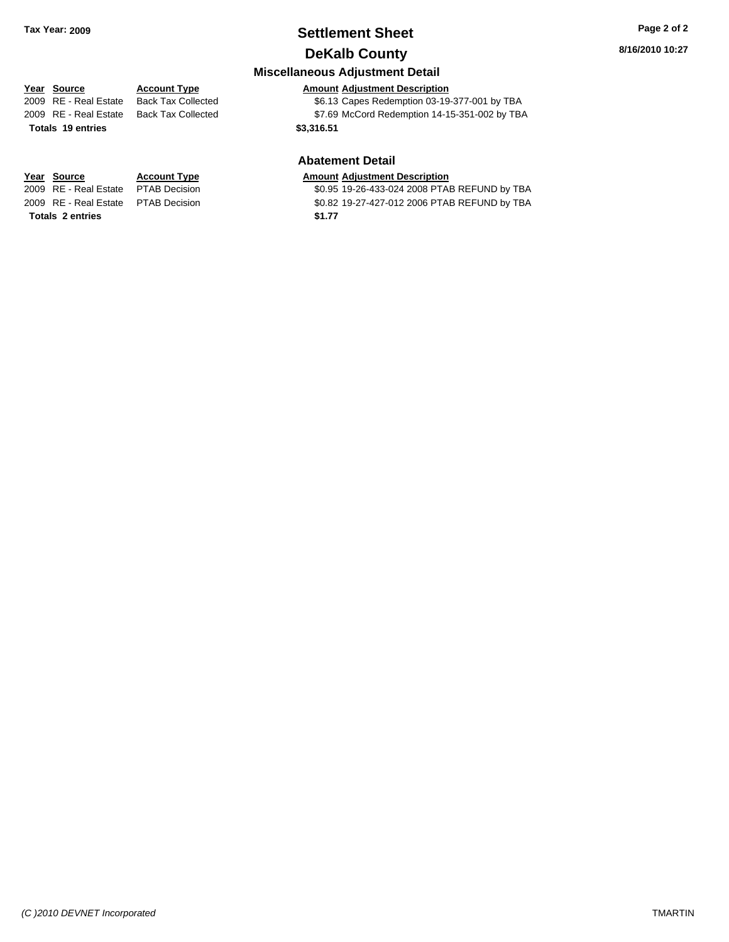## **Settlement Sheet Tax Year: 2009 Page 2 of 2 DeKalb County**

## **Miscellaneous Adjustment Detail**

## **Year Source Account Type Amount Adjustment Description**

2009 RE - Real Estate Back Tax Collected \$6.13 Capes Redemption 03-19-377-001 by TBA 2009 RE - Real Estate Back Tax Collected \$7.69 McCord Redemption 14-15-351-002 by TBA **Totals \$3,316.51 19 entries**

#### **Abatement Detail**

## **Year Source Account Type Amount Adjustment Description**

2009 RE - Real Estate PTAB Decision <br>2009 RE - Real Estate PTAB Decision **1999 19-26-433-024 2008 PTAB REFUND by TBA** PTAB REFUND by TBA \$0.82 19-27-427-012 2006 PTAB REFUND by TBA

**Totals \$1.77 2 entries**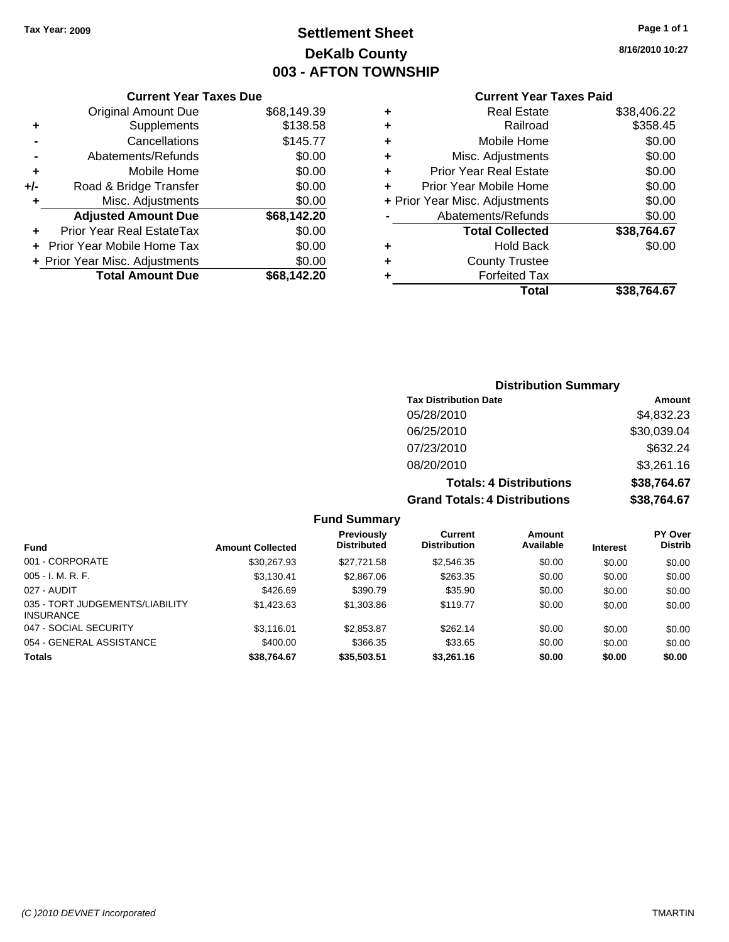## **Settlement Sheet Tax Year: 2009 Page 1 of 1 DeKalb County 003 - AFTON TOWNSHIP**

**8/16/2010 10:27**

| <b>Current Year Taxes Paid</b> |  |  |
|--------------------------------|--|--|
|                                |  |  |

|     | <b>Current Year Taxes Due</b>  |             |
|-----|--------------------------------|-------------|
|     | <b>Original Amount Due</b>     | \$68,149.39 |
| ٠   | Supplements                    | \$138.58    |
|     | Cancellations                  | \$145.77    |
|     | Abatements/Refunds             | \$0.00      |
| ٠   | Mobile Home                    | \$0.00      |
| +/- | Road & Bridge Transfer         | \$0.00      |
| ٠   | Misc. Adjustments              | \$0.00      |
|     | <b>Adjusted Amount Due</b>     | \$68,142.20 |
| ٠   | Prior Year Real EstateTax      | \$0.00      |
|     | Prior Year Mobile Home Tax     | \$0.00      |
|     | + Prior Year Misc. Adjustments | \$0.00      |
|     | <b>Total Amount Due</b>        | \$68.142.20 |
|     |                                |             |

| <b>Real Estate</b>             | \$38,406.22 |
|--------------------------------|-------------|
| Railroad                       | \$358.45    |
| Mobile Home                    | \$0.00      |
| Misc. Adjustments              | \$0.00      |
| <b>Prior Year Real Estate</b>  | \$0.00      |
| Prior Year Mobile Home         | \$0.00      |
| + Prior Year Misc. Adjustments | \$0.00      |
| Abatements/Refunds             | \$0.00      |
| <b>Total Collected</b>         | \$38,764.67 |
| Hold Back                      | \$0.00      |
| <b>County Trustee</b>          |             |
| <b>Forfeited Tax</b>           |             |
| Total                          | \$38,764.67 |
|                                |             |

| <b>Distribution Summary</b>          |             |  |  |  |
|--------------------------------------|-------------|--|--|--|
| <b>Tax Distribution Date</b>         | Amount      |  |  |  |
| 05/28/2010                           | \$4,832.23  |  |  |  |
| 06/25/2010                           | \$30,039.04 |  |  |  |
| 07/23/2010                           | \$632.24    |  |  |  |
| 08/20/2010                           | \$3,261.16  |  |  |  |
| <b>Totals: 4 Distributions</b>       | \$38,764.67 |  |  |  |
| <b>Grand Totals: 4 Distributions</b> | \$38,764.67 |  |  |  |

## **Fund Summary**

| <b>Fund</b>                                         | <b>Amount Collected</b> | Previously<br><b>Distributed</b> | Current<br><b>Distribution</b> | Amount<br>Available | <b>Interest</b> | <b>PY Over</b><br><b>Distrib</b> |
|-----------------------------------------------------|-------------------------|----------------------------------|--------------------------------|---------------------|-----------------|----------------------------------|
| 001 - CORPORATE                                     | \$30.267.93             | \$27.721.58                      | \$2,546,35                     | \$0.00              | \$0.00          | \$0.00                           |
| $005 - I. M. R. F.$                                 | \$3,130.41              | \$2,867.06                       | \$263.35                       | \$0.00              | \$0.00          | \$0.00                           |
| 027 - AUDIT                                         | \$426.69                | \$390.79                         | \$35.90                        | \$0.00              | \$0.00          | \$0.00                           |
| 035 - TORT JUDGEMENTS/LIABILITY<br><b>INSURANCE</b> | \$1,423.63              | \$1,303.86                       | \$119.77                       | \$0.00              | \$0.00          | \$0.00                           |
| 047 - SOCIAL SECURITY                               | \$3.116.01              | \$2,853.87                       | \$262.14                       | \$0.00              | \$0.00          | \$0.00                           |
| 054 - GENERAL ASSISTANCE                            | \$400.00                | \$366.35                         | \$33.65                        | \$0.00              | \$0.00          | \$0.00                           |
| <b>Totals</b>                                       | \$38.764.67             | \$35,503,51                      | \$3,261.16                     | \$0.00              | \$0.00          | \$0.00                           |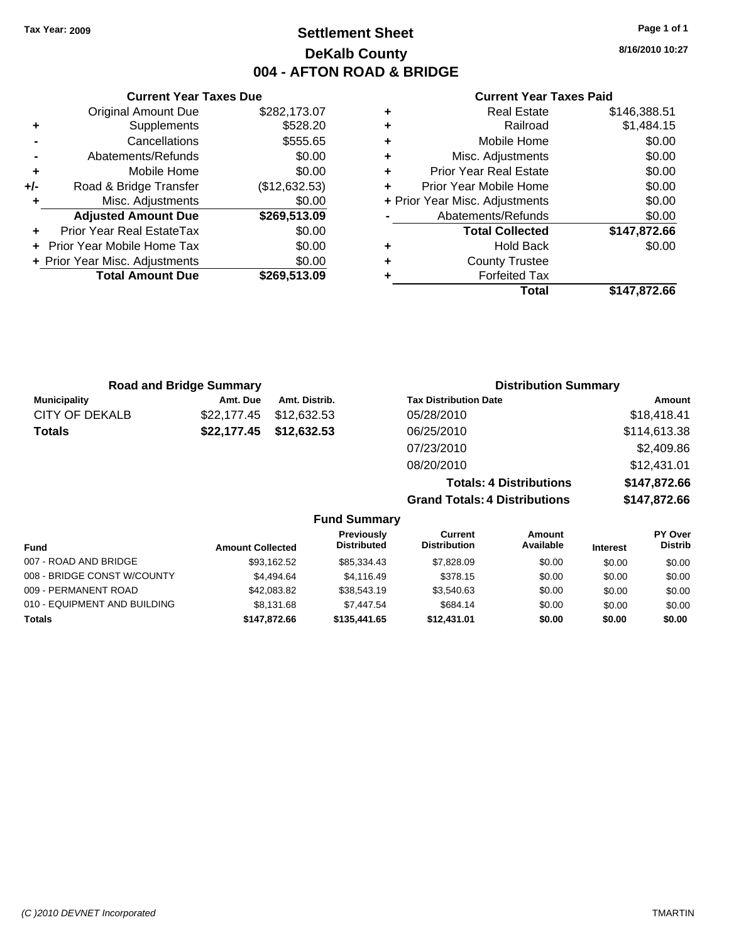## **Settlement Sheet Tax Year: 2009 Page 1 of 1 DeKalb County 004 - AFTON ROAD & BRIDGE**

**8/16/2010 10:27**

## **Current Year Taxes Paid**

|                   |   |               | <b>Current Year Taxes Due</b>  |       |
|-------------------|---|---------------|--------------------------------|-------|
|                   | ٠ | \$282,173.07  | <b>Original Amount Due</b>     |       |
|                   | ٠ | \$528.20      | Supplements                    | ٠     |
|                   | ٠ | \$555.65      | Cancellations                  |       |
| Misc.             |   | \$0.00        | Abatements/Refunds             |       |
| Prior Yea         |   | \$0.00        | Mobile Home                    | ٠     |
| Prior Year        |   | (\$12,632.53) | Road & Bridge Transfer         | $+/-$ |
| + Prior Year Misc |   | \$0.00        | Misc. Adjustments              |       |
| Abatem            |   | \$269,513.09  | <b>Adjusted Amount Due</b>     |       |
| То                |   | \$0.00        | Prior Year Real EstateTax      |       |
|                   |   | \$0.00        | + Prior Year Mobile Home Tax   |       |
| Сı                |   | \$0.00        | + Prior Year Misc. Adjustments |       |
|                   |   | \$269,513.09  | <b>Total Amount Due</b>        |       |
|                   |   |               |                                |       |

| <b>Real Estate</b>             | \$146,388.51 |
|--------------------------------|--------------|
| Railroad                       | \$1,484.15   |
| Mobile Home                    | \$0.00       |
| Misc. Adjustments              | \$0.00       |
| <b>Prior Year Real Estate</b>  | \$0.00       |
| Prior Year Mobile Home         | \$0.00       |
| + Prior Year Misc. Adjustments | \$0.00       |
| Abatements/Refunds             | \$0.00       |
| <b>Total Collected</b>         | \$147,872.66 |
| <b>Hold Back</b>               | \$0.00       |
| <b>County Trustee</b>          |              |
| <b>Forfeited Tax</b>           |              |
| Total                          | \$147,872.66 |
|                                |              |

| <b>Road and Bridge Summary</b> |             |               | <b>Distribution Summary</b>    |              |
|--------------------------------|-------------|---------------|--------------------------------|--------------|
| <b>Municipality</b>            | Amt. Due    | Amt. Distrib. | <b>Tax Distribution Date</b>   | Amount       |
| CITY OF DEKALB                 | \$22,177.45 | \$12,632.53   | 05/28/2010                     | \$18,418.41  |
| <b>Totals</b>                  | \$22,177.45 | \$12,632.53   | 06/25/2010                     | \$114,613.38 |
|                                |             |               | 07/23/2010                     | \$2,409.86   |
|                                |             |               | 08/20/2010                     | \$12,431.01  |
|                                |             |               | <b>Totals: 4 Distributions</b> | \$147,872.66 |

**Grand Totals: 4 Distributions \$147,872.66**

|                              |                         | <b>Fund Summary</b>              |                                |                     |                 |                                  |
|------------------------------|-------------------------|----------------------------------|--------------------------------|---------------------|-----------------|----------------------------------|
| <b>Fund</b>                  | <b>Amount Collected</b> | Previously<br><b>Distributed</b> | Current<br><b>Distribution</b> | Amount<br>Available | <b>Interest</b> | <b>PY Over</b><br><b>Distrib</b> |
| 007 - ROAD AND BRIDGE        | \$93,162.52             | \$85,334.43                      | \$7,828.09                     | \$0.00              | \$0.00          | \$0.00                           |
| 008 - BRIDGE CONST W/COUNTY  | \$4.494.64              | \$4.116.49                       | \$378.15                       | \$0.00              | \$0.00          | \$0.00                           |
| 009 - PERMANENT ROAD         | \$42,083.82             | \$38,543.19                      | \$3,540.63                     | \$0.00              | \$0.00          | \$0.00                           |
| 010 - EQUIPMENT AND BUILDING | \$8,131.68              | \$7.447.54                       | \$684.14                       | \$0.00              | \$0.00          | \$0.00                           |
| <b>Totals</b>                | \$147,872.66            | \$135,441.65                     | \$12,431.01                    | \$0.00              | \$0.00          | \$0.00                           |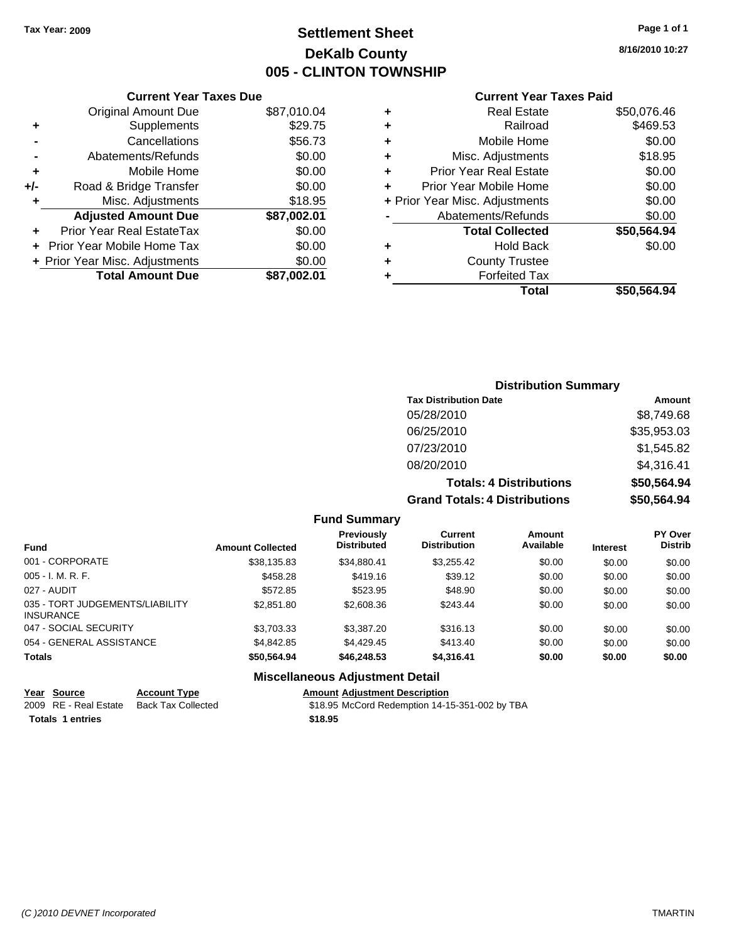## **Settlement Sheet Tax Year: 2009 Page 1 of 1 DeKalb County 005 - CLINTON TOWNSHIP**

**8/16/2010 10:27**

#### **Current Year Taxes Paid**

|     | VUITUIN TUUT TUAUJ DUU         |             |
|-----|--------------------------------|-------------|
|     | <b>Original Amount Due</b>     | \$87,010.04 |
| ٠   | Supplements                    | \$29.75     |
|     | Cancellations                  | \$56.73     |
|     | Abatements/Refunds             | \$0.00      |
| ÷   | Mobile Home                    | \$0.00      |
| +/- | Road & Bridge Transfer         | \$0.00      |
| ٠   | Misc. Adjustments              | \$18.95     |
|     | <b>Adjusted Amount Due</b>     | \$87,002.01 |
|     | Prior Year Real EstateTax      | \$0.00      |
|     | Prior Year Mobile Home Tax     | \$0.00      |
|     | + Prior Year Misc. Adjustments | \$0.00      |
|     | <b>Total Amount Due</b>        | \$87,002.01 |
|     |                                |             |

**Current Year Taxes Due**

|   | <b>Real Estate</b>             | \$50,076.46 |
|---|--------------------------------|-------------|
| ٠ | Railroad                       | \$469.53    |
| ٠ | Mobile Home                    | \$0.00      |
| ٠ | Misc. Adjustments              | \$18.95     |
| ٠ | Prior Year Real Estate         | \$0.00      |
| ÷ | Prior Year Mobile Home         | \$0.00      |
|   | + Prior Year Misc. Adjustments | \$0.00      |
|   | Abatements/Refunds             | \$0.00      |
|   | <b>Total Collected</b>         | \$50,564.94 |
| ٠ | <b>Hold Back</b>               | \$0.00      |
| ٠ | <b>County Trustee</b>          |             |
| ٠ | <b>Forfeited Tax</b>           |             |
|   | Total                          | \$50.564.94 |
|   |                                |             |

## **Distribution Summary Tax Distribution Date Amount** 05/28/2010 \$8,749.68 06/25/2010 \$35,953.03 07/23/2010 \$1,545.82 08/20/2010 \$4,316.41 **Totals: 4 Distributions \$50,564.94 Grand Totals: 4 Distributions \$50,564.94**

#### **Fund Summary**

| <b>Fund</b>                                         | <b>Amount Collected</b> | <b>Previously</b><br><b>Distributed</b> | Current<br><b>Distribution</b> | Amount<br>Available | <b>Interest</b> | <b>PY Over</b><br><b>Distrib</b> |
|-----------------------------------------------------|-------------------------|-----------------------------------------|--------------------------------|---------------------|-----------------|----------------------------------|
| 001 - CORPORATE                                     | \$38,135.83             | \$34,880.41                             | \$3,255.42                     | \$0.00              | \$0.00          | \$0.00                           |
| $005 - I. M. R. F.$                                 | \$458.28                | \$419.16                                | \$39.12                        | \$0.00              | \$0.00          | \$0.00                           |
| 027 - AUDIT                                         | \$572.85                | \$523.95                                | \$48.90                        | \$0.00              | \$0.00          | \$0.00                           |
| 035 - TORT JUDGEMENTS/LIABILITY<br><b>INSURANCE</b> | \$2,851.80              | \$2,608.36                              | \$243.44                       | \$0.00              | \$0.00          | \$0.00                           |
| 047 - SOCIAL SECURITY                               | \$3,703.33              | \$3,387.20                              | \$316.13                       | \$0.00              | \$0.00          | \$0.00                           |
| 054 - GENERAL ASSISTANCE                            | \$4,842.85              | \$4,429.45                              | \$413.40                       | \$0.00              | \$0.00          | \$0.00                           |
| <b>Totals</b>                                       | \$50,564.94             | \$46,248.53                             | \$4,316.41                     | \$0.00              | \$0.00          | \$0.00                           |
|                                                     |                         |                                         |                                |                     |                 |                                  |

## **Miscellaneous Adjustment Detail**

| Year Source           | <b>Account Type</b> |         | <b>Amount Adiustment Description</b>           |
|-----------------------|---------------------|---------|------------------------------------------------|
| 2009 RE - Real Estate | Back Tax Collected  |         | \$18.95 McCord Redemption 14-15-351-002 by TBA |
| Totals 1 entries      |                     | \$18.95 |                                                |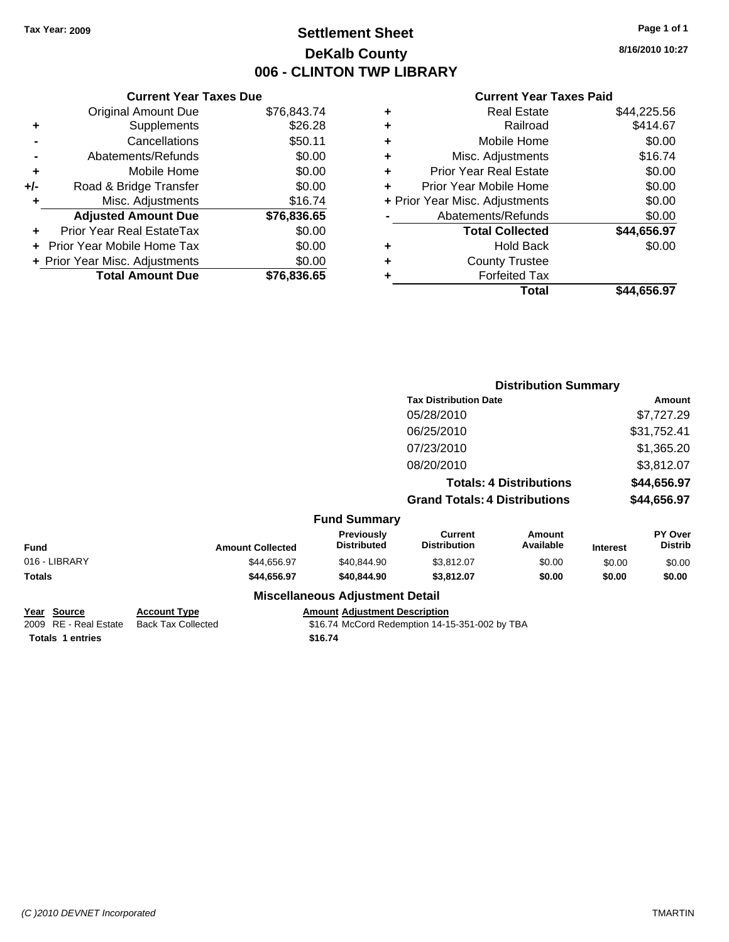## **Settlement Sheet Tax Year: 2009 Page 1 of 1 DeKalb County 006 - CLINTON TWP LIBRARY**

## **Current Year Taxes Due** Original Amount Due \$76,843.74 **+** Supplements \$26.28 **-** Cancellations \$50.11 **-** Abatements/Refunds \$0.00 **+** Mobile Home \$0.00 **+/-** Road & Bridge Transfer \$0.00 **+** Misc. Adjustments \$16.74 **Adjusted Amount Due \$76,836.65 +** Prior Year Real EstateTax \$0.00 **+** Prior Year Mobile Home Tax \$0.00 **+ Prior Year Misc. Adjustments**  $$0.00$ **Total Amount Due \$76,836.65**

#### **Current Year Taxes Paid**

| ٠ | <b>Real Estate</b>             | \$44,225.56 |
|---|--------------------------------|-------------|
| ٠ | Railroad                       | \$414.67    |
| ٠ | Mobile Home                    | \$0.00      |
| ٠ | Misc. Adjustments              | \$16.74     |
| ÷ | <b>Prior Year Real Estate</b>  | \$0.00      |
| ٠ | Prior Year Mobile Home         | \$0.00      |
|   | + Prior Year Misc. Adjustments | \$0.00      |
|   | Abatements/Refunds             | \$0.00      |
|   | <b>Total Collected</b>         | \$44,656.97 |
| ٠ | Hold Back                      | \$0.00      |
| ٠ | <b>County Trustee</b>          |             |
| ٠ | <b>Forfeited Tax</b>           |             |
|   | Total                          | \$44,656.97 |
|   |                                |             |

|               |                         |                                  |                                       | <b>Distribution Summary</b>    |                 |                           |
|---------------|-------------------------|----------------------------------|---------------------------------------|--------------------------------|-----------------|---------------------------|
|               |                         |                                  | <b>Tax Distribution Date</b>          |                                |                 | Amount                    |
|               |                         |                                  | 05/28/2010                            |                                |                 | \$7,727.29                |
|               |                         |                                  | 06/25/2010                            |                                |                 | \$31,752.41               |
|               |                         |                                  | 07/23/2010                            |                                |                 | \$1,365.20                |
|               |                         |                                  | 08/20/2010                            |                                |                 | \$3,812.07                |
|               |                         |                                  |                                       | <b>Totals: 4 Distributions</b> |                 | \$44,656.97               |
|               |                         |                                  | <b>Grand Totals: 4 Distributions</b>  |                                |                 | \$44,656.97               |
|               |                         | <b>Fund Summary</b>              |                                       |                                |                 |                           |
| <b>Fund</b>   | <b>Amount Collected</b> | Previously<br><b>Distributed</b> | <b>Current</b><br><b>Distribution</b> | Amount<br>Available            | <b>Interest</b> | PY Over<br><b>Distrib</b> |
| 016 - LIBRARY | \$44,656.97             | \$40,844.90                      | \$3,812.07                            | \$0.00                         | \$0.00          | \$0.00                    |
| Totals        | \$44,656.97             | \$40,844.90                      | \$3,812.07                            | \$0.00                         | \$0.00          | \$0.00                    |
|               |                         | Miscellaneous Adiustment Detail  |                                       |                                |                 |                           |

## **Miscellaneous Adjustment Detail**

**Year Source Account Type Amount Adjustment Description** Totals 1 entries **16.74 16.74** 

2009 RE - Real Estate Back Tax Collected \$16.74 McCord Redemption 14-15-351-002 by TBA

**8/16/2010 10:27**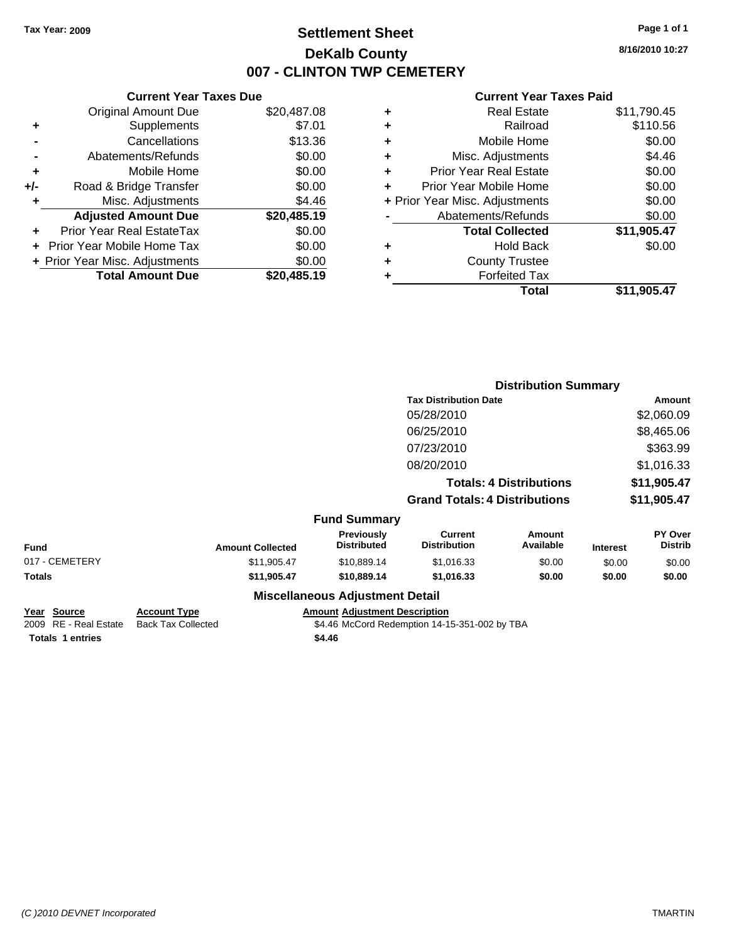## **Settlement Sheet Tax Year: 2009 Page 1 of 1 DeKalb County 007 - CLINTON TWP CEMETERY**

**8/16/2010 10:27**

#### **Current Year Taxes Paid**

| ÷ | <b>Real Estate</b>             | \$11,790.45 |
|---|--------------------------------|-------------|
| ÷ | Railroad                       | \$110.56    |
| ٠ | Mobile Home                    | \$0.00      |
| ٠ | Misc. Adjustments              | \$4.46      |
| ٠ | <b>Prior Year Real Estate</b>  | \$0.00      |
| ÷ | Prior Year Mobile Home         | \$0.00      |
|   | + Prior Year Misc. Adjustments | \$0.00      |
|   | Abatements/Refunds             | \$0.00      |
|   | <b>Total Collected</b>         | \$11,905.47 |
| ٠ | <b>Hold Back</b>               | \$0.00      |
| ٠ | <b>County Trustee</b>          |             |
|   | <b>Forfeited Tax</b>           |             |
|   | Total                          | \$11.905.47 |
|   |                                |             |

|     | <b>Current Year Taxes Due</b>            |             |  |  |  |  |
|-----|------------------------------------------|-------------|--|--|--|--|
|     | <b>Original Amount Due</b>               | \$20,487.08 |  |  |  |  |
| ٠   | Supplements                              | \$7.01      |  |  |  |  |
|     | \$13.36<br>Cancellations                 |             |  |  |  |  |
|     | Abatements/Refunds                       | \$0.00      |  |  |  |  |
| ٠   | Mobile Home                              | \$0.00      |  |  |  |  |
| +/- | Road & Bridge Transfer                   | \$0.00      |  |  |  |  |
| ٠   | Misc. Adjustments<br>\$4.46              |             |  |  |  |  |
|     | <b>Adjusted Amount Due</b>               | \$20,485.19 |  |  |  |  |
| ÷   | Prior Year Real EstateTax                | \$0.00      |  |  |  |  |
|     | Prior Year Mobile Home Tax               | \$0.00      |  |  |  |  |
|     | \$0.00<br>+ Prior Year Misc. Adjustments |             |  |  |  |  |
|     | <b>Total Amount Due</b>                  | \$20,485.19 |  |  |  |  |
|     |                                          |             |  |  |  |  |

|                |                         |                                                                                                                |                                       | <b>Distribution Summary</b>    |                 |                                  |
|----------------|-------------------------|----------------------------------------------------------------------------------------------------------------|---------------------------------------|--------------------------------|-----------------|----------------------------------|
|                |                         |                                                                                                                | <b>Tax Distribution Date</b>          |                                |                 | Amount                           |
|                |                         |                                                                                                                | 05/28/2010                            |                                |                 | \$2,060.09                       |
|                |                         |                                                                                                                | 06/25/2010                            |                                |                 | \$8,465.06                       |
|                |                         |                                                                                                                | 07/23/2010                            |                                |                 | \$363.99                         |
|                |                         |                                                                                                                | 08/20/2010                            |                                |                 | \$1,016.33                       |
|                |                         |                                                                                                                |                                       | <b>Totals: 4 Distributions</b> |                 | \$11,905.47                      |
|                |                         |                                                                                                                | <b>Grand Totals: 4 Distributions</b>  |                                |                 | \$11,905.47                      |
|                |                         | <b>Fund Summary</b>                                                                                            |                                       |                                |                 |                                  |
| <b>Fund</b>    | <b>Amount Collected</b> | Previously<br><b>Distributed</b>                                                                               | <b>Current</b><br><b>Distribution</b> | Amount<br>Available            | <b>Interest</b> | <b>PY Over</b><br><b>Distrib</b> |
| 017 - CEMETERY | \$11,905.47             | \$10,889.14                                                                                                    | \$1,016.33                            | \$0.00                         | \$0.00          | \$0.00                           |
| Totals         | \$11,905.47             | \$10,889.14                                                                                                    | \$1,016.33                            | \$0.00                         | \$0.00          | \$0.00                           |
|                |                         | Battle of History and Carolina and Constantinoplants of the Maria Miller of the Miller of the Miller of the Mi |                                       |                                |                 |                                  |

#### **Miscellaneous Adjustment Detail**

**Year Source Account Type Amount Adjustment Description Totals \$4.46 1 entries**

2009 RE - Real Estate Back Tax Collected \$4.46 McCord Redemption 14-15-351-002 by TBA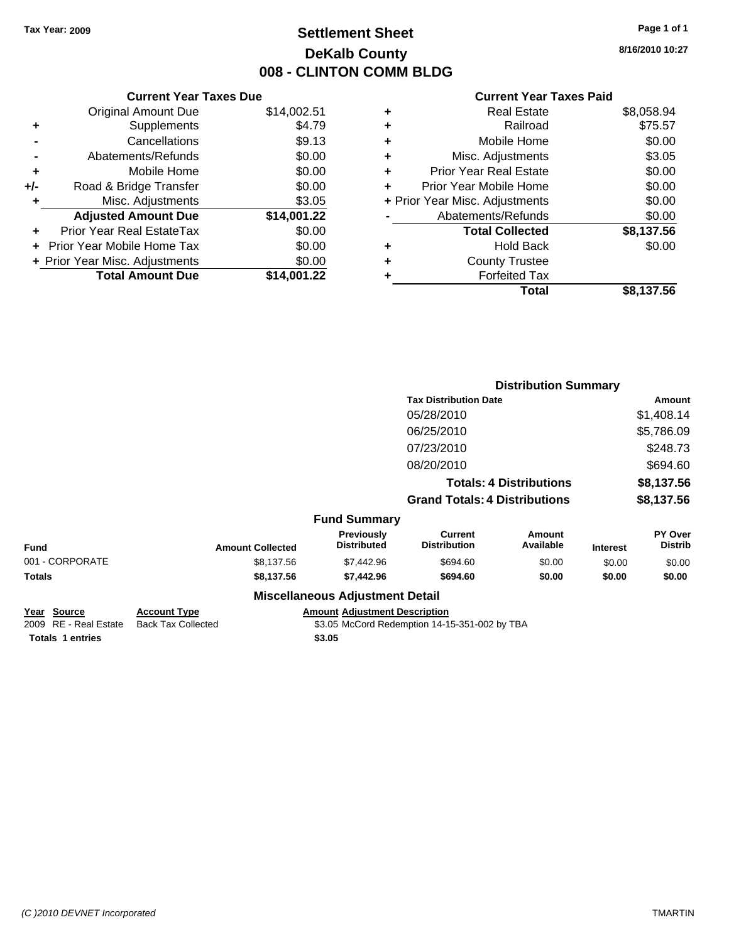## **Settlement Sheet Tax Year: 2009 Page 1 of 1 DeKalb County 008 - CLINTON COMM BLDG**

**8/16/2010 10:27**

#### **Current Year Taxes Paid**

| <b>Original Amount Due</b>               | \$14,002.51                   |  |  |  |  |
|------------------------------------------|-------------------------------|--|--|--|--|
| Supplements                              | \$4.79                        |  |  |  |  |
| Cancellations                            | \$9.13                        |  |  |  |  |
| \$0.00<br>Abatements/Refunds             |                               |  |  |  |  |
| Mobile Home                              | \$0.00                        |  |  |  |  |
| \$0.00<br>Road & Bridge Transfer<br>+/-  |                               |  |  |  |  |
| \$3.05<br>Misc. Adjustments<br>٠         |                               |  |  |  |  |
| <b>Adjusted Amount Due</b>               | \$14,001.22                   |  |  |  |  |
| Prior Year Real EstateTax                | \$0.00                        |  |  |  |  |
| \$0.00<br>Prior Year Mobile Home Tax     |                               |  |  |  |  |
| \$0.00<br>+ Prior Year Misc. Adjustments |                               |  |  |  |  |
| <b>Total Amount Due</b>                  | \$14.001.22                   |  |  |  |  |
|                                          | <b>Current Year Taxes Due</b> |  |  |  |  |

| \$8,058.94<br><b>Real Estate</b>         |
|------------------------------------------|
| \$75.57<br>Railroad                      |
| \$0.00<br>Mobile Home                    |
| \$3.05<br>Misc. Adjustments              |
| \$0.00<br><b>Prior Year Real Estate</b>  |
| \$0.00<br>Prior Year Mobile Home         |
| \$0.00<br>+ Prior Year Misc. Adjustments |
| \$0.00<br>Abatements/Refunds             |
| \$8,137.56<br><b>Total Collected</b>     |
| \$0.00<br><b>Hold Back</b>               |
| <b>County Trustee</b>                    |
| <b>Forfeited Tax</b>                     |
| \$8,137.56<br>Total                      |
|                                          |

|                 |                         |                                  |                                       | <b>Distribution Summary</b>    |                 |                           |
|-----------------|-------------------------|----------------------------------|---------------------------------------|--------------------------------|-----------------|---------------------------|
|                 |                         |                                  | <b>Tax Distribution Date</b>          |                                |                 | Amount                    |
|                 |                         |                                  | 05/28/2010                            |                                |                 | \$1,408.14                |
|                 |                         |                                  | 06/25/2010                            |                                |                 | \$5,786.09                |
|                 |                         |                                  | 07/23/2010                            |                                |                 | \$248.73                  |
|                 |                         |                                  | 08/20/2010                            |                                |                 | \$694.60                  |
|                 |                         |                                  |                                       | <b>Totals: 4 Distributions</b> |                 | \$8,137.56                |
|                 |                         |                                  | <b>Grand Totals: 4 Distributions</b>  |                                |                 | \$8,137.56                |
|                 |                         | <b>Fund Summary</b>              |                                       |                                |                 |                           |
| <b>Fund</b>     | <b>Amount Collected</b> | Previously<br><b>Distributed</b> | <b>Current</b><br><b>Distribution</b> | Amount<br>Available            | <b>Interest</b> | PY Over<br><b>Distrib</b> |
| 001 - CORPORATE | \$8,137.56              | \$7,442.96                       | \$694.60                              | \$0.00                         | \$0.00          | \$0.00                    |
| Totals          | \$8,137.56              | \$7,442.96                       | \$694.60                              | \$0.00                         | \$0.00          | \$0.00                    |
|                 |                         | Micrallangous Adiustmant Datail  |                                       |                                |                 |                           |

## **Miscellaneous Adjustment Detail**

**Totals \$3.05 1 entries**

**Year Source Account Type Amount Adjustment Description** 2009 RE - Real Estate Back Tax Collected \$3.05 McCord Redemption 14-15-351-002 by TBA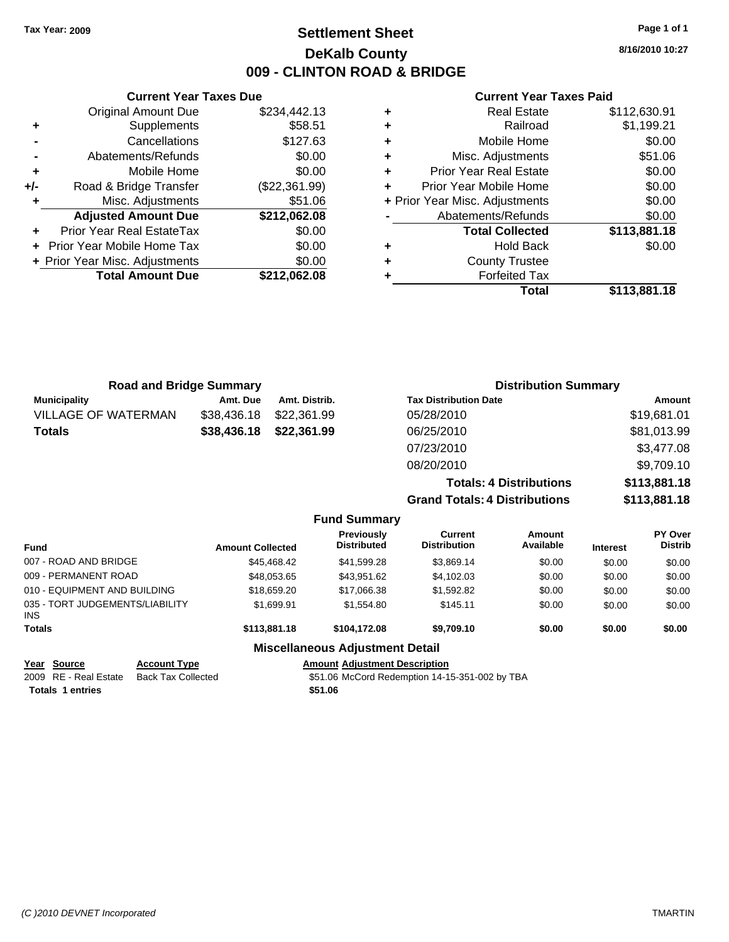## **Settlement Sheet Tax Year: 2009 Page 1 of 1 DeKalb County 009 - CLINTON ROAD & BRIDGE**

**8/16/2010 10:27**

## **Current Year Taxes Paid**

|   | <b>Real Estate</b>             | \$112,630.91 |
|---|--------------------------------|--------------|
| ٠ | Railroad                       | \$1,199.21   |
| ٠ | Mobile Home                    | \$0.00       |
| ٠ | Misc. Adjustments              | \$51.06      |
| ٠ | <b>Prior Year Real Estate</b>  | \$0.00       |
|   | Prior Year Mobile Home         | \$0.00       |
|   | + Prior Year Misc. Adjustments | \$0.00       |
|   | Abatements/Refunds             | \$0.00       |
|   | <b>Total Collected</b>         | \$113,881.18 |
| ٠ | <b>Hold Back</b>               | \$0.00       |
| ٠ | <b>County Trustee</b>          |              |
|   | <b>Forfeited Tax</b>           |              |
|   | Total                          | \$113,881.18 |
|   |                                |              |

|       | <b>Current Year Taxes Due</b>  |               |
|-------|--------------------------------|---------------|
|       | Original Amount Due            | \$234,442.13  |
| ٠     | Supplements                    | \$58.51       |
|       | Cancellations                  | \$127.63      |
|       | Abatements/Refunds             | \$0.00        |
| ٠     | Mobile Home                    | \$0.00        |
| $+/-$ | Road & Bridge Transfer         | (\$22,361.99) |
|       | Misc. Adjustments              | \$51.06       |
|       | <b>Adjusted Amount Due</b>     | \$212,062.08  |
|       | Prior Year Real EstateTax      | \$0.00        |
|       | Prior Year Mobile Home Tax     | \$0.00        |
|       | + Prior Year Misc. Adjustments | \$0.00        |
|       | <b>Total Amount Due</b>        | \$212,062.08  |
|       |                                |               |

| <b>Road and Bridge Summary</b> |                         |               |                                         |                                       | <b>Distribution Summary</b>    |                 |                           |
|--------------------------------|-------------------------|---------------|-----------------------------------------|---------------------------------------|--------------------------------|-----------------|---------------------------|
| <b>Municipality</b>            | Amt. Due                | Amt. Distrib. |                                         | <b>Tax Distribution Date</b>          |                                |                 | Amount                    |
| <b>VILLAGE OF WATERMAN</b>     | \$38,436.18             | \$22,361.99   |                                         | 05/28/2010                            |                                |                 | \$19,681.01               |
| <b>Totals</b>                  | \$38,436.18             | \$22,361.99   |                                         | 06/25/2010                            |                                |                 | \$81,013.99               |
|                                |                         |               |                                         | 07/23/2010                            |                                |                 | \$3,477.08                |
|                                |                         |               |                                         | 08/20/2010                            |                                |                 | \$9,709.10                |
|                                |                         |               |                                         |                                       | <b>Totals: 4 Distributions</b> |                 | \$113,881.18              |
|                                |                         |               |                                         | <b>Grand Totals: 4 Distributions</b>  |                                |                 | \$113,881.18              |
|                                |                         |               | <b>Fund Summary</b>                     |                                       |                                |                 |                           |
| Fund                           | <b>Amount Collected</b> |               | <b>Previously</b><br><b>Distributed</b> | <b>Current</b><br><b>Distribution</b> | Amount<br>Available            | <b>Interest</b> | PY Over<br><b>Distrib</b> |

| <b>Fund</b>                                   |                     | <b>Amount Collected</b> | <b>Distributed</b>                     | <b>Distribution</b> | Available | <b>Interest</b> | <b>Distrib</b> |
|-----------------------------------------------|---------------------|-------------------------|----------------------------------------|---------------------|-----------|-----------------|----------------|
| 007 - ROAD AND BRIDGE                         |                     | \$45,468,42             | \$41,599.28                            | \$3,869.14          | \$0.00    | \$0.00          | \$0.00         |
| 009 - PERMANENT ROAD                          |                     | \$48.053.65             | \$43.951.62                            | \$4,102.03          | \$0.00    | \$0.00          | \$0.00         |
| 010 - EQUIPMENT AND BUILDING                  |                     | \$18,659.20             | \$17,066.38                            | \$1,592.82          | \$0.00    | \$0.00          | \$0.00         |
| 035 - TORT JUDGEMENTS/LIABILITY<br><b>INS</b> |                     | \$1.699.91              | \$1,554.80                             | \$145.11            | \$0.00    | \$0.00          | \$0.00         |
| <b>Totals</b>                                 |                     | \$113,881.18            | \$104,172.08                           | \$9,709.10          | \$0.00    | \$0.00          | \$0.00         |
|                                               |                     |                         | <b>Miscellaneous Adjustment Detail</b> |                     |           |                 |                |
| Year Source                                   | <b>Account Type</b> |                         | <b>Amount Adiustment Description</b>   |                     |           |                 |                |

| Year Source             | <b>Account Type</b> | <b>Amount Adiustment Description</b>           |
|-------------------------|---------------------|------------------------------------------------|
| 2009 RE - Real Estate   | Back Tax Collected  | \$51.06 McCord Redemption 14-15-351-002 by TBA |
| <b>Totals 1 entries</b> |                     | \$51.06                                        |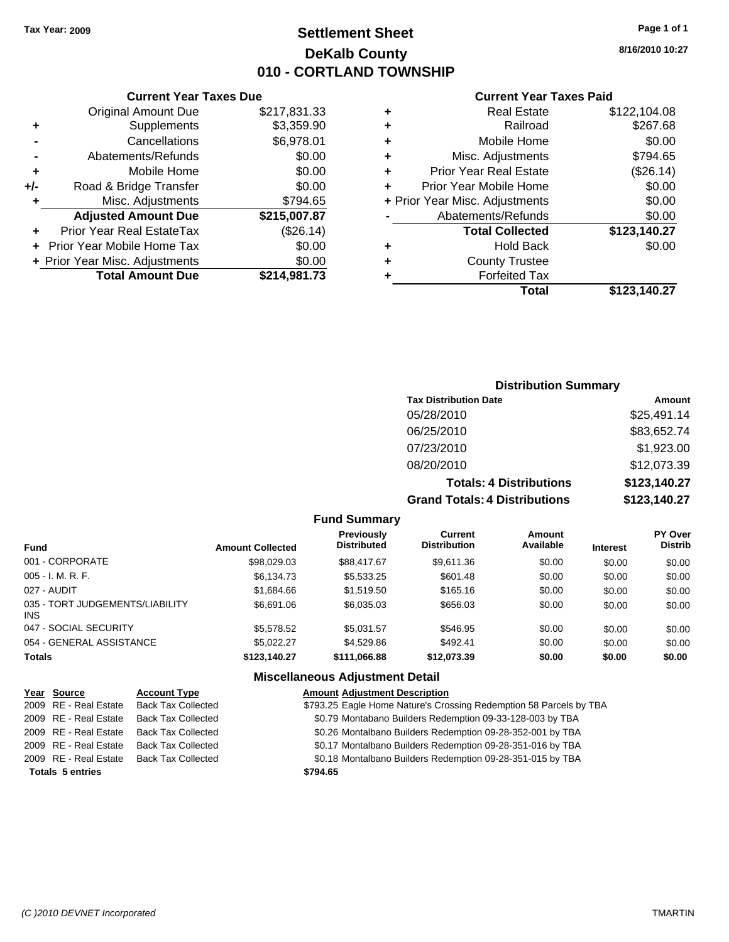## **Settlement Sheet Tax Year: 2009 Page 1 of 1 DeKalb County 010 - CORTLAND TOWNSHIP**

## **Current Year Taxes Due**

|     | <b>Original Amount Due</b>     | \$217,831.33 |
|-----|--------------------------------|--------------|
| ٠   | Supplements                    | \$3,359.90   |
|     | Cancellations                  | \$6,978.01   |
|     | Abatements/Refunds             | \$0.00       |
| ٠   | Mobile Home                    | \$0.00       |
| +/- | Road & Bridge Transfer         | \$0.00       |
| ٠   | Misc. Adjustments              | \$794.65     |
|     | <b>Adjusted Amount Due</b>     | \$215,007.87 |
|     | Prior Year Real EstateTax      | (\$26.14)    |
|     | Prior Year Mobile Home Tax     | \$0.00       |
|     | + Prior Year Misc. Adjustments | \$0.00       |
|     | <b>Total Amount Due</b>        | \$214,981.73 |

#### **Current Year Taxes Paid**

| ٠ | <b>Real Estate</b>             | \$122,104.08 |
|---|--------------------------------|--------------|
| ٠ | Railroad                       | \$267.68     |
| ٠ | Mobile Home                    | \$0.00       |
| ٠ | Misc. Adjustments              | \$794.65     |
| ÷ | <b>Prior Year Real Estate</b>  | (\$26.14)    |
|   | Prior Year Mobile Home         | \$0.00       |
|   | + Prior Year Misc. Adjustments | \$0.00       |
|   | Abatements/Refunds             | \$0.00       |
|   | <b>Total Collected</b>         | \$123,140.27 |
| ٠ | <b>Hold Back</b>               | \$0.00       |
| ٠ | <b>County Trustee</b>          |              |
| ٠ | <b>Forfeited Tax</b>           |              |
|   | Total                          | \$123,140.27 |
|   |                                |              |

## **Distribution Summary**

| <b>Tax Distribution Date</b>         | Amount       |
|--------------------------------------|--------------|
| 05/28/2010                           | \$25,491.14  |
| 06/25/2010                           | \$83,652.74  |
| 07/23/2010                           | \$1,923.00   |
| 08/20/2010                           | \$12,073.39  |
| <b>Totals: 4 Distributions</b>       | \$123,140.27 |
| <b>Grand Totals: 4 Distributions</b> | \$123,140.27 |

#### **Fund Summary**

| Fund                                    | <b>Amount Collected</b> | <b>Previously</b><br><b>Distributed</b> | Current<br><b>Distribution</b> | Amount<br>Available | <b>Interest</b> | <b>PY Over</b><br><b>Distrib</b> |
|-----------------------------------------|-------------------------|-----------------------------------------|--------------------------------|---------------------|-----------------|----------------------------------|
| 001 - CORPORATE                         | \$98,029.03             | \$88,417.67                             | \$9,611.36                     | \$0.00              | \$0.00          | \$0.00                           |
| 005 - I. M. R. F.                       | \$6,134.73              | \$5,533.25                              | \$601.48                       | \$0.00              | \$0.00          | \$0.00                           |
| 027 - AUDIT                             | \$1.684.66              | \$1,519.50                              | \$165.16                       | \$0.00              | \$0.00          | \$0.00                           |
| 035 - TORT JUDGEMENTS/LIABILITY<br>INS. | \$6,691.06              | \$6,035.03                              | \$656.03                       | \$0.00              | \$0.00          | \$0.00                           |
| 047 - SOCIAL SECURITY                   | \$5,578,52              | \$5.031.57                              | \$546.95                       | \$0.00              | \$0.00          | \$0.00                           |
| 054 - GENERAL ASSISTANCE                | \$5.022.27              | \$4,529.86                              | \$492.41                       | \$0.00              | \$0.00          | \$0.00                           |
| Totals                                  | \$123,140.27            | \$111,066.88                            | \$12,073.39                    | \$0.00              | \$0.00          | \$0.00                           |

## **Miscellaneous Adjustment Detail**

|                         | Year Source           | <b>Account Type</b>       | <b>Amount Adjustment Description</b>                               |
|-------------------------|-----------------------|---------------------------|--------------------------------------------------------------------|
|                         | 2009 RE - Real Estate | <b>Back Tax Collected</b> | \$793.25 Eagle Home Nature's Crossing Redemption 58 Parcels by TBA |
|                         | 2009 RE - Real Estate | <b>Back Tax Collected</b> | \$0.79 Montabano Builders Redemption 09-33-128-003 by TBA          |
|                         | 2009 RE - Real Estate | Back Tax Collected        | \$0.26 Montalbano Builders Redemption 09-28-352-001 by TBA         |
|                         | 2009 RE - Real Estate | <b>Back Tax Collected</b> | \$0.17 Montalbano Builders Redemption 09-28-351-016 by TBA         |
|                         | 2009 RE - Real Estate | <b>Back Tax Collected</b> | \$0.18 Montalbano Builders Redemption 09-28-351-015 by TBA         |
| <b>Totals 5 entries</b> |                       |                           | \$794.65                                                           |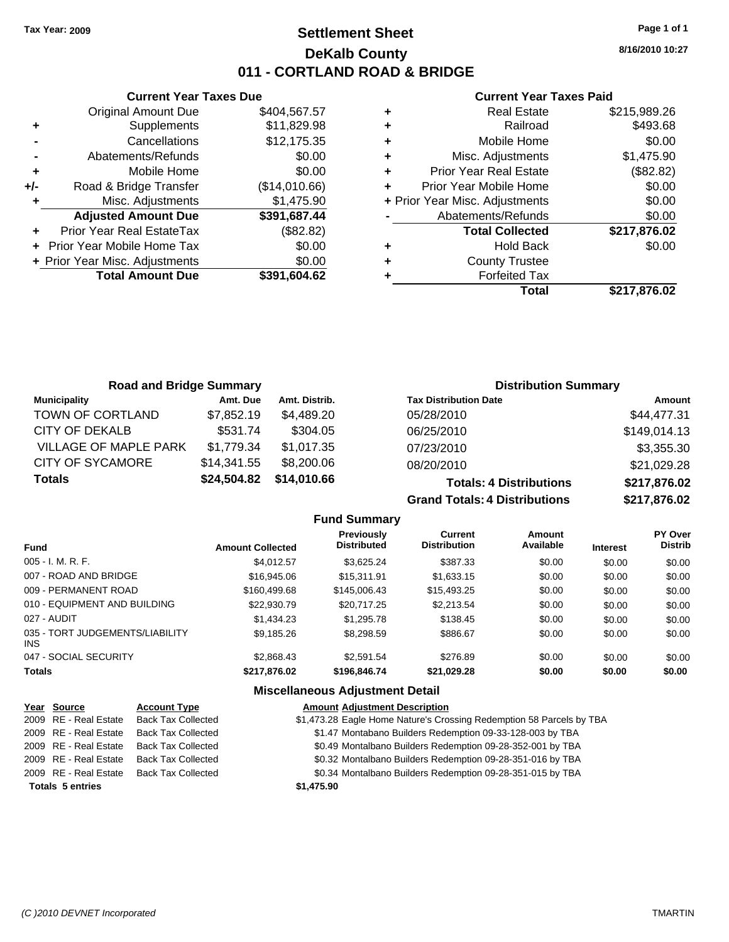## **Settlement Sheet Tax Year: 2009 Page 1 of 1 DeKalb County 011 - CORTLAND ROAD & BRIDGE**

**8/16/2010 10:27**

#### **Current Year Taxes Paid**

|       | <b>Current Year Taxes Due</b>  |               |
|-------|--------------------------------|---------------|
|       | <b>Original Amount Due</b>     | \$404,567.57  |
| ٠     | Supplements                    | \$11,829.98   |
|       | Cancellations                  | \$12,175.35   |
|       | Abatements/Refunds             | \$0.00        |
| ٠     | Mobile Home                    | \$0.00        |
| $+/-$ | Road & Bridge Transfer         | (\$14,010.66) |
|       | Misc. Adjustments              | \$1,475.90    |
|       | <b>Adjusted Amount Due</b>     | \$391,687.44  |
|       | Prior Year Real EstateTax      | (\$82.82)     |
|       | Prior Year Mobile Home Tax     | \$0.00        |
|       | + Prior Year Misc. Adjustments | \$0.00        |
|       | <b>Total Amount Due</b>        | \$391,604.62  |
|       |                                |               |

|   | <b>Real Estate</b>             | \$215,989.26 |
|---|--------------------------------|--------------|
| ÷ | Railroad                       | \$493.68     |
| ٠ | Mobile Home                    | \$0.00       |
| ٠ | Misc. Adjustments              | \$1,475.90   |
| ٠ | <b>Prior Year Real Estate</b>  | (\$82.82)    |
|   | Prior Year Mobile Home         | \$0.00       |
|   | + Prior Year Misc. Adjustments | \$0.00       |
|   | Abatements/Refunds             | \$0.00       |
|   | <b>Total Collected</b>         | \$217,876.02 |
|   | <b>Hold Back</b>               | \$0.00       |
| ٠ | <b>County Trustee</b>          |              |
|   | <b>Forfeited Tax</b>           |              |
|   | Total                          | \$217,876.02 |

| <b>Road and Bridge Summary</b> |             |               | <b>Distribution Summary</b>    |               |  |
|--------------------------------|-------------|---------------|--------------------------------|---------------|--|
| <b>Municipality</b>            | Amt. Due    | Amt. Distrib. | <b>Tax Distribution Date</b>   | <b>Amount</b> |  |
| TOWN OF CORTLAND               | \$7,852.19  | \$4,489.20    | 05/28/2010                     | \$44,477.31   |  |
| <b>CITY OF DEKALB</b>          | \$531.74    | \$304.05      | 06/25/2010                     | \$149,014.13  |  |
| VILLAGE OF MAPLE PARK          | \$1,779.34  | \$1,017.35    | 07/23/2010                     | \$3,355.30    |  |
| <b>CITY OF SYCAMORE</b>        | \$14,341.55 | \$8,200.06    | 08/20/2010                     | \$21,029.28   |  |
| \$24,504.82<br><b>Totals</b>   |             | \$14,010.66   | <b>Totals: 4 Distributions</b> | \$217,876.02  |  |
|                                |             |               | Crond Totalo: A Diotributions  | 0.4707c       |  |

| TULAIS. T DISLIIDULIUIIS             | <b>JAIL, ULU.UL</b> |                |
|--------------------------------------|---------------------|----------------|
| <b>Grand Totals: 4 Distributions</b> | \$217,876.02        |                |
| Current                              | Amount              | <b>PY Over</b> |

| <b>Fund</b>                             | <b>Amount Collected</b> | Previously<br><b>Distributed</b> | Current<br><b>Distribution</b> | Amount<br>Available | <b>Interest</b> | <b>PY Over</b><br><b>Distrib</b> |
|-----------------------------------------|-------------------------|----------------------------------|--------------------------------|---------------------|-----------------|----------------------------------|
| 005 - I. M. R. F.                       | \$4.012.57              | \$3.625.24                       | \$387.33                       | \$0.00              | \$0.00          | \$0.00                           |
| 007 - ROAD AND BRIDGE                   | \$16,945.06             | \$15,311.91                      | \$1,633.15                     | \$0.00              | \$0.00          | \$0.00                           |
| 009 - PERMANENT ROAD                    | \$160,499.68            | \$145,006.43                     | \$15,493.25                    | \$0.00              | \$0.00          | \$0.00                           |
| 010 - EQUIPMENT AND BUILDING            | \$22,930.79             | \$20.717.25                      | \$2,213.54                     | \$0.00              | \$0.00          | \$0.00                           |
| 027 - AUDIT                             | \$1,434.23              | \$1,295.78                       | \$138.45                       | \$0.00              | \$0.00          | \$0.00                           |
| 035 - TORT JUDGEMENTS/LIABILITY<br>INS. | \$9,185.26              | \$8,298.59                       | \$886.67                       | \$0.00              | \$0.00          | \$0.00                           |
| 047 - SOCIAL SECURITY                   | \$2,868.43              | \$2,591.54                       | \$276.89                       | \$0.00              | \$0.00          | \$0.00                           |
| Totals                                  | \$217,876.02            | \$196,846.74                     | \$21,029.28                    | \$0.00              | \$0.00          | \$0.00                           |
|                                         |                         |                                  |                                |                     |                 |                                  |

**Fund Summary**

#### **Miscellaneous Adjustment Detail Year Source Account Type Amount Adjustment Description** 2009 RE - Real Estate Back Tax Collected \$1,473.28 Eagle Home Nature's Crossing Redemption 58 Parcels by TBA 2009 RE - Real Estate Back Tax Collected **19.47 Montabano Builders Redemption 09-33-128-003 by TBA**<br>2009 RE - Real Estate Back Tax Collected 19.49 Montalbano Builders Redemption 09-28-352-001 by TBA 2009 RE - Real Estate Back Tax Collected \$0.49 Montalbano Builders Redemption 09-28-352-001 by TBA 2009 RE - Real Estate Back Tax Collected \$0.32 Montalbano Builders Redemption 09-28-351-016 by TBA 2009 RE - Real Estate Back Tax Collected \$0.34 Montalbano Builders Redemption 09-28-351-015 by TBA **Totals \$1,475.90 5 entries**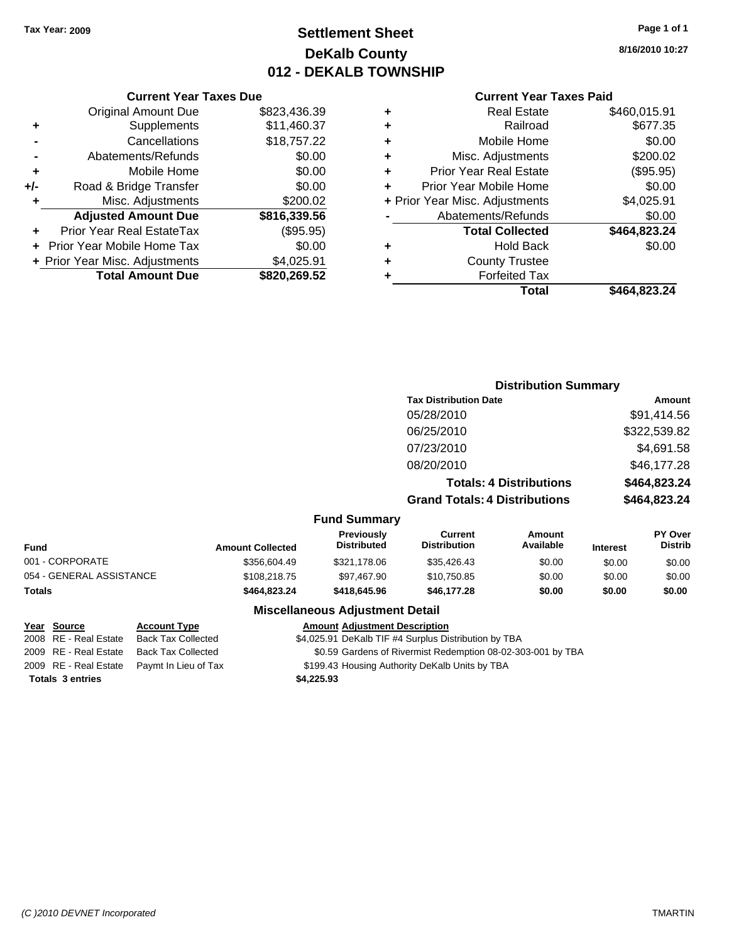## **Settlement Sheet Tax Year: 2009 Page 1 of 1 DeKalb County 012 - DEKALB TOWNSHIP**

**8/16/2010 10:27**

## **Current Year Taxes Paid**

|                   |   |              | <b>Current Year Taxes Due</b>  |     |
|-------------------|---|--------------|--------------------------------|-----|
|                   | ٠ | \$823,436.39 | <b>Original Amount Due</b>     |     |
|                   | ٠ | \$11,460.37  | Supplements                    | ٠   |
|                   | ٠ | \$18,757.22  | Cancellations                  |     |
| Misc              |   | \$0.00       | Abatements/Refunds             |     |
| Prior Yea         |   | \$0.00       | Mobile Home                    |     |
| <b>Prior Year</b> |   | \$0.00       | Road & Bridge Transfer         | +/- |
| + Prior Year Misc |   | \$200.02     | Misc. Adjustments              |     |
| Abatem            |   | \$816,339.56 | <b>Adjusted Amount Due</b>     |     |
| To                |   | (\$95.95)    | Prior Year Real EstateTax      |     |
|                   |   | \$0.00       | + Prior Year Mobile Home Tax   |     |
| C                 | ٠ | \$4,025.91   | + Prior Year Misc. Adjustments |     |
|                   |   | \$820,269.52 | <b>Total Amount Due</b>        |     |
|                   |   |              |                                |     |

|   | <b>Real Estate</b>             | \$460,015.91 |
|---|--------------------------------|--------------|
| ٠ | Railroad                       | \$677.35     |
| ٠ | Mobile Home                    | \$0.00       |
| ٠ | Misc. Adjustments              | \$200.02     |
| ÷ | <b>Prior Year Real Estate</b>  | (\$95.95)    |
| ÷ | Prior Year Mobile Home         | \$0.00       |
|   | + Prior Year Misc. Adjustments | \$4,025.91   |
|   | Abatements/Refunds             | \$0.00       |
|   | <b>Total Collected</b>         | \$464,823.24 |
| ٠ | <b>Hold Back</b>               | \$0.00       |
| ٠ | <b>County Trustee</b>          |              |
|   | <b>Forfeited Tax</b>           |              |
|   | Total                          | \$464,823.24 |
|   |                                |              |

#### **Distribution Summary Tax Distribution Date Amount** 05/28/2010 \$91,414.56 06/25/2010 \$322,539.82 07/23/2010 \$4,691.58 08/20/2010 \$46,177.28 **Totals: 4 Distributions \$464,823.24 Grand Totals: 4 Distributions \$464,823.24 Fund Summary Fund Interest Amount Collected Distributed PY Over Distrib Amount Available Current Distribution Previously** 001 - CORPORATE \$356,604.49 \$321,178.06 \$35,426.43 \$0.00 \$0.00 \$0.00 054 - GENERAL ASSISTANCE \$108,218.75 \$97,467.90 \$10,750.85 \$0.00 \$0.00 \$0.00 \$0.00 **Totals \$464,823.24 \$418,645.96 \$46,177.28 \$0.00 \$0.00 \$0.00 Miscellaneous Adjustment Detail Year Source Account Type Amount Adjustment Description**

**Totals \$4,225.93 3 entries**

2008 RE - Real Estate Back Tax Collected \$4,025.91 DeKalb TIF #4 Surplus Distribution by TBA

2009 RE - Real Estate Back Tax Collected \$0.59 Gardens of Rivermist Redemption 08-02-303-001 by TBA

2009 RE - Real Estate Paymt In Lieu of Tax \$199.43 Housing Authority DeKalb Units by TBA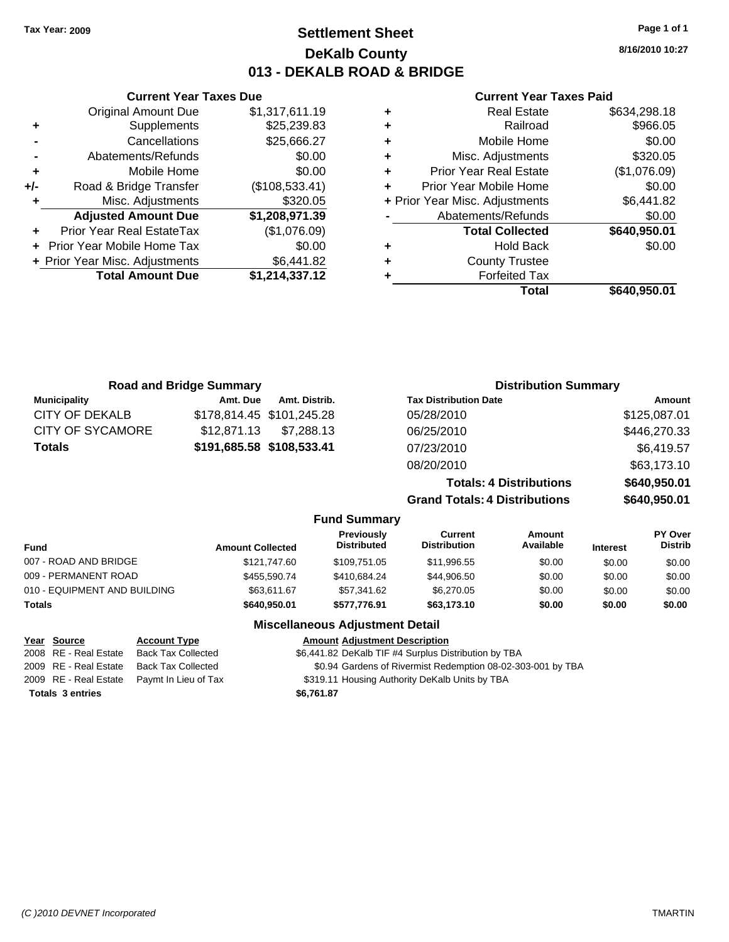**8/16/2010 10:27**

## **Current Year Taxes Paid**

| <b>Real Estate</b><br>٠            | \$634,298.18 |
|------------------------------------|--------------|
| Railroad<br>٠                      | \$966.05     |
| Mobile Home<br>٠                   | \$0.00       |
| Misc. Adjustments<br>٠             | \$320.05     |
| <b>Prior Year Real Estate</b><br>٠ | (\$1,076.09) |
| Prior Year Mobile Home<br>٠        | \$0.00       |
| + Prior Year Misc. Adjustments     | \$6,441.82   |
| Abatements/Refunds                 | \$0.00       |
| <b>Total Collected</b>             | \$640,950.01 |
| <b>Hold Back</b><br>٠              | \$0.00       |
| <b>County Trustee</b><br>٠         |              |
| <b>Forfeited Tax</b><br>٠          |              |
| Total                              | \$640.950.01 |

|     | <b>Current Year Taxes Due</b>  |                |
|-----|--------------------------------|----------------|
|     | <b>Original Amount Due</b>     | \$1,317,611.19 |
| ٠   | Supplements                    | \$25,239.83    |
|     | Cancellations                  | \$25,666.27    |
|     | Abatements/Refunds             | \$0.00         |
| ٠   | Mobile Home                    | \$0.00         |
| +/- | Road & Bridge Transfer         | (\$108,533.41) |
| ٠   | Misc. Adjustments              | \$320.05       |
|     | <b>Adjusted Amount Due</b>     | \$1,208,971.39 |
|     | Prior Year Real EstateTax      | (\$1,076.09)   |
|     | Prior Year Mobile Home Tax     | \$0.00         |
|     | + Prior Year Misc. Adjustments | \$6,441.82     |
|     | <b>Total Amount Due</b>        | \$1,214,337.12 |
|     |                                |                |

|                     | <b>Road and Bridge Summary</b> |                           |                                  |                                       | <b>Distribution Summary</b>    |                 |                           |
|---------------------|--------------------------------|---------------------------|----------------------------------|---------------------------------------|--------------------------------|-----------------|---------------------------|
| <b>Municipality</b> | Amt. Due                       | Amt. Distrib.             |                                  | <b>Tax Distribution Date</b>          |                                |                 | Amount                    |
| CITY OF DEKALB      |                                | \$178,814.45 \$101,245.28 |                                  | 05/28/2010                            |                                |                 | \$125,087.01              |
| CITY OF SYCAMORE    | \$12,871.13                    | \$7,288.13                |                                  | 06/25/2010                            |                                |                 | \$446,270.33              |
| <b>Totals</b>       | \$191,685.58 \$108,533.41      |                           |                                  | 07/23/2010                            |                                |                 | \$6,419.57                |
|                     |                                |                           |                                  | 08/20/2010                            |                                |                 | \$63,173.10               |
|                     |                                |                           |                                  |                                       | <b>Totals: 4 Distributions</b> |                 | \$640,950.01              |
|                     |                                |                           |                                  | <b>Grand Totals: 4 Distributions</b>  |                                |                 | \$640,950.01              |
|                     |                                |                           | <b>Fund Summary</b>              |                                       |                                |                 |                           |
| und                 | <b>Amount Collected</b>        |                           | Previously<br><b>Distributed</b> | <b>Current</b><br><b>Distribution</b> | Amount<br>Available            | <b>Interest</b> | PY Over<br><b>Distrib</b> |

| Fund                         | <b>Amount Collected</b> | <b>Distributed</b> | <b>Distribution</b> | Available | <b>Interest</b> | Distrib |
|------------------------------|-------------------------|--------------------|---------------------|-----------|-----------------|---------|
| 007 - ROAD AND BRIDGE        | \$121,747.60            | \$109.751.05       | \$11,996.55         | \$0.00    | \$0.00          | \$0.00  |
| 009 - PERMANENT ROAD         | \$455,590.74            | \$410.684.24       | \$44,906.50         | \$0.00    | \$0.00          | \$0.00  |
| 010 - EQUIPMENT AND BUILDING | \$63.611.67             | \$57,341.62        | \$6,270.05          | \$0.00    | \$0.00          | \$0.00  |
| Totals                       | \$640,950.01            | \$577.776.91       | \$63,173.10         | \$0.00    | \$0.00          | \$0.00  |
|                              |                         |                    |                     |           |                 |         |

## **Miscellaneous Adjustment Detail**

## **Year Source Account Type Amount Adjustment Description**

2008 RE - Real Estate Back Tax Collected \$6,441.82 DeKalb TIF #4 Surplus Distribution by TBA 2009 RE - Real Estate Back Tax Collected \$0.94 Gardens of Rivermist Redemption 08-02-303-001 by TBA 2009 RE - Real Estate Paymt In Lieu of Tax **\$319.11 Housing Authority DeKalb Units by TBA Totals \$6,761.87 3 entries**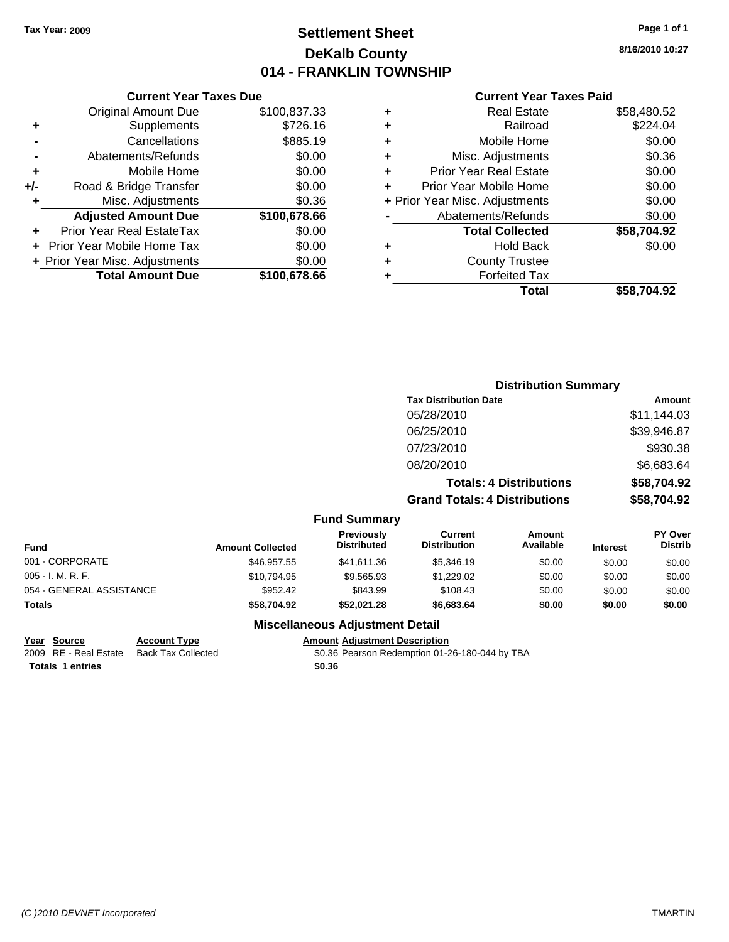## **Settlement Sheet Tax Year: 2009 Page 1 of 1 DeKalb County 014 - FRANKLIN TOWNSHIP**

**8/16/2010 10:27**

#### **Current Year Taxes Paid**

|     | <b>Current Year Taxes Due</b>  |              |     |
|-----|--------------------------------|--------------|-----|
|     | <b>Original Amount Due</b>     | \$100,837.33 |     |
| ٠   | Supplements                    | \$726.16     | ٠   |
|     | Cancellations                  | \$885.19     |     |
|     | Abatements/Refunds             | \$0.00       | ٠   |
|     | Mobile Home                    | \$0.00       | ٠   |
| +/- | Road & Bridge Transfer         | \$0.00       | ٠   |
|     | Misc. Adjustments              | \$0.36       | + I |
|     | <b>Adjusted Amount Due</b>     | \$100,678.66 |     |
|     | Prior Year Real EstateTax      | \$0.00       |     |
|     | Prior Year Mobile Home Tax     | \$0.00       | ÷   |
|     | + Prior Year Misc. Adjustments | \$0.00       |     |
|     | <b>Total Amount Due</b>        | \$100,678,66 |     |
|     |                                |              |     |

| <b>Real Estate</b>             | \$58,480.52 |
|--------------------------------|-------------|
| Railroad                       | \$224.04    |
| Mobile Home                    | \$0.00      |
| Misc. Adjustments              | \$0.36      |
| <b>Prior Year Real Estate</b>  | \$0.00      |
| Prior Year Mobile Home         | \$0.00      |
| + Prior Year Misc. Adjustments | \$0.00      |
| Abatements/Refunds             | \$0.00      |
| <b>Total Collected</b>         | \$58,704.92 |
| Hold Back                      | \$0.00      |
| <b>County Trustee</b>          |             |
| <b>Forfeited Tax</b>           |             |
| Total                          | \$58.704.92 |
|                                |             |

|                          |                         |                                  |                                       | <b>Distribution Summary</b>    |                 |                                  |  |
|--------------------------|-------------------------|----------------------------------|---------------------------------------|--------------------------------|-----------------|----------------------------------|--|
|                          |                         |                                  | <b>Tax Distribution Date</b>          |                                |                 | <b>Amount</b>                    |  |
|                          |                         |                                  | 05/28/2010                            |                                |                 | \$11,144.03                      |  |
|                          |                         |                                  | 06/25/2010                            |                                |                 | \$39,946.87                      |  |
|                          |                         |                                  | 07/23/2010                            |                                |                 | \$930.38                         |  |
|                          |                         |                                  | 08/20/2010                            |                                |                 | \$6,683.64                       |  |
|                          |                         |                                  |                                       | <b>Totals: 4 Distributions</b> |                 | \$58,704.92                      |  |
|                          |                         |                                  | <b>Grand Totals: 4 Distributions</b>  |                                |                 | \$58,704.92                      |  |
|                          |                         | <b>Fund Summary</b>              |                                       |                                |                 |                                  |  |
| <b>Fund</b>              | <b>Amount Collected</b> | Previously<br><b>Distributed</b> | <b>Current</b><br><b>Distribution</b> | Amount<br>Available            | <b>Interest</b> | <b>PY Over</b><br><b>Distrib</b> |  |
| 001 - CORPORATE          | \$46,957.55             | \$41,611.36                      | \$5,346.19                            | \$0.00                         | \$0.00          | \$0.00                           |  |
| 005 - I. M. R. F.        | \$10,794.95             | \$9,565.93                       | \$1,229.02                            | \$0.00                         | \$0.00          | \$0.00                           |  |
| 054 - GENERAL ASSISTANCE | \$952.42                | \$843.99                         | \$108.43                              | \$0.00                         | \$0.00          | \$0.00                           |  |
| Totals                   | \$58,704.92             | \$52,021.28                      | \$6,683.64                            | \$0.00                         | \$0.00          | \$0.00                           |  |

## **Miscellaneous Adjustment Detail**

## **Year Source Account Type Amount Adjustment Description**

2009 RE - Real Estate Back Tax Collected \$0.36 Pearson Redemption 01-26-180-044 by TBA **Totals \$0.36 1 entries**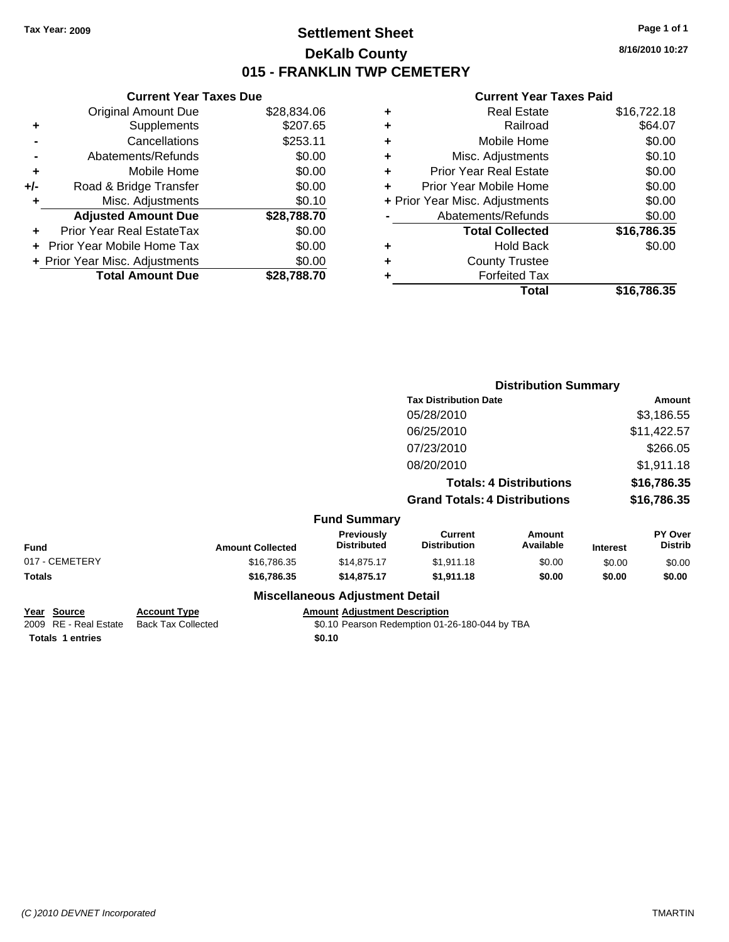## **Settlement Sheet Tax Year: 2009 Page 1 of 1 DeKalb County 015 - FRANKLIN TWP CEMETERY**

**8/16/2010 10:27**

## **Current Year Taxes Paid**

|   | Total                          | \$16.786.35 |
|---|--------------------------------|-------------|
|   | <b>Forfeited Tax</b>           |             |
| ٠ | <b>County Trustee</b>          |             |
| ٠ | <b>Hold Back</b>               | \$0.00      |
|   | <b>Total Collected</b>         | \$16,786.35 |
|   | Abatements/Refunds             | \$0.00      |
|   | + Prior Year Misc. Adjustments | \$0.00      |
| ÷ | Prior Year Mobile Home         | \$0.00      |
| ÷ | <b>Prior Year Real Estate</b>  | \$0.00      |
| ÷ | Misc. Adjustments              | \$0.10      |
| ٠ | Mobile Home                    | \$0.00      |
| ٠ | Railroad                       | \$64.07     |
| ٠ | <b>Real Estate</b>             | \$16,722.18 |
|   |                                |             |

|     | <b>Current Year Taxes Due</b>  |             |  |  |  |  |
|-----|--------------------------------|-------------|--|--|--|--|
|     | <b>Original Amount Due</b>     | \$28,834.06 |  |  |  |  |
| ÷   | Supplements                    | \$207.65    |  |  |  |  |
|     | Cancellations                  | \$253.11    |  |  |  |  |
|     | Abatements/Refunds             | \$0.00      |  |  |  |  |
| ٠   | Mobile Home                    | \$0.00      |  |  |  |  |
| +/- | Road & Bridge Transfer         | \$0.00      |  |  |  |  |
| ٠   | Misc. Adjustments              | \$0.10      |  |  |  |  |
|     | <b>Adjusted Amount Due</b>     | \$28,788.70 |  |  |  |  |
|     | Prior Year Real EstateTax      | \$0.00      |  |  |  |  |
|     | Prior Year Mobile Home Tax     | \$0.00      |  |  |  |  |
|     | + Prior Year Misc. Adjustments | \$0.00      |  |  |  |  |
|     | <b>Total Amount Due</b>        | \$28.788.70 |  |  |  |  |
|     |                                |             |  |  |  |  |

|                |                         | <b>Distribution Summary</b>      |                                       |                                |                 |                           |
|----------------|-------------------------|----------------------------------|---------------------------------------|--------------------------------|-----------------|---------------------------|
|                |                         |                                  | <b>Tax Distribution Date</b>          |                                |                 | <b>Amount</b>             |
|                |                         |                                  | 05/28/2010                            |                                |                 | \$3,186.55                |
|                |                         |                                  | 06/25/2010                            |                                |                 | \$11,422.57               |
|                |                         |                                  | 07/23/2010                            |                                |                 | \$266.05                  |
|                |                         |                                  | 08/20/2010                            |                                |                 | \$1,911.18                |
|                |                         |                                  |                                       | <b>Totals: 4 Distributions</b> |                 | \$16,786.35               |
|                |                         |                                  | <b>Grand Totals: 4 Distributions</b>  |                                |                 | \$16,786.35               |
|                |                         | <b>Fund Summary</b>              |                                       |                                |                 |                           |
| <b>Fund</b>    | <b>Amount Collected</b> | Previously<br><b>Distributed</b> | <b>Current</b><br><b>Distribution</b> | <b>Amount</b><br>Available     | <b>Interest</b> | PY Over<br><b>Distrib</b> |
| 017 - CEMETERY | \$16,786.35             | \$14,875.17                      | \$1,911.18                            | \$0.00                         | \$0.00          | \$0.00                    |
| Totals         | \$16,786.35             | \$14,875.17                      | \$1,911.18                            | \$0.00                         | \$0.00          | \$0.00                    |
|                |                         | Miscellaneous Adiustment Detail  |                                       |                                |                 |                           |

## **Miscellaneous Adjustment Detail**

**Year Source Account Type Amount Adjustment Description Totals 1 entries** \$0.10

2009 RE - Real Estate Back Tax Collected \$0.10 Pearson Redemption 01-26-180-044 by TBA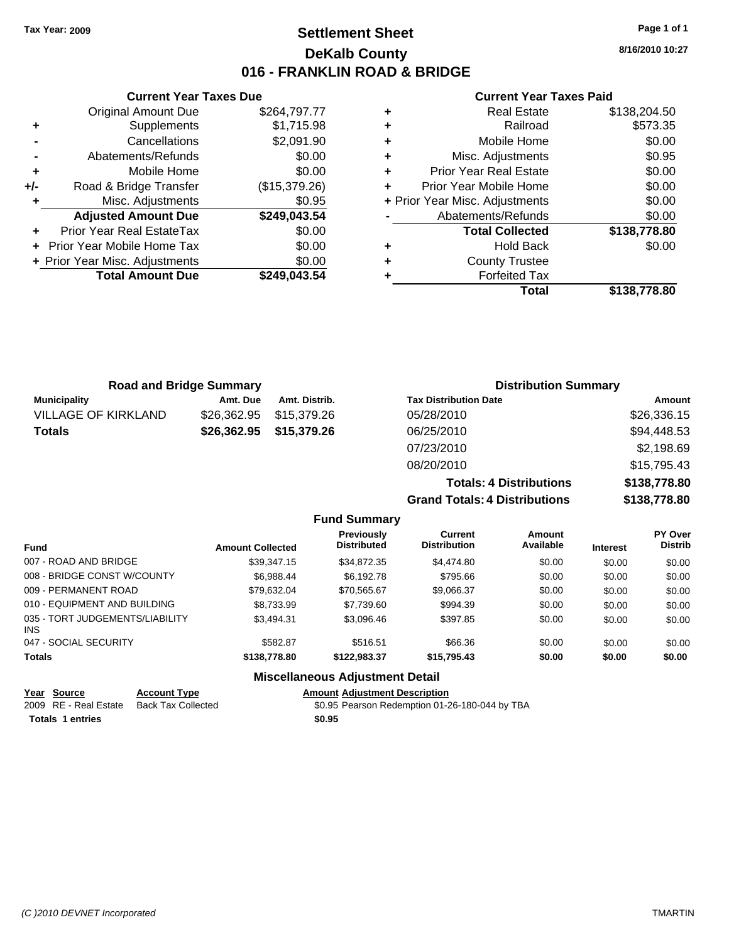**Current Year Taxes Due** Original Amount Due \$264,797.77

**Adjusted Amount Due \$249,043.54**

**Total Amount Due \$249,043.54**

**+** Supplements \$1,715.98 **-** Cancellations \$2,091.90 **-** Abatements/Refunds \$0.00 **+** Mobile Home \$0.00 **+/-** Road & Bridge Transfer (\$15,379.26) **+** Misc. Adjustments \$0.95

**+** Prior Year Real EstateTax \$0.00 **+** Prior Year Mobile Home Tax \$0.00 **+ Prior Year Misc. Adjustments**  $$0.00$ 

## **Settlement Sheet Tax Year: 2009 Page 1 of 1 DeKalb County 016 - FRANKLIN ROAD & BRIDGE**

**8/16/2010 10:27**

#### **Current Year Taxes Paid**

|   | Total                          | \$138,778.80 |
|---|--------------------------------|--------------|
|   | <b>Forfeited Tax</b>           |              |
| ÷ | <b>County Trustee</b>          |              |
| ٠ | <b>Hold Back</b>               | \$0.00       |
|   | <b>Total Collected</b>         | \$138,778.80 |
|   | Abatements/Refunds             | \$0.00       |
|   | + Prior Year Misc. Adjustments | \$0.00       |
| ÷ | Prior Year Mobile Home         | \$0.00       |
| ÷ | <b>Prior Year Real Estate</b>  | \$0.00       |
| ÷ | Misc. Adjustments              | \$0.95       |
| ٠ | Mobile Home                    | \$0.00       |
| ٠ | Railroad                       | \$573.35     |
| ٠ | <b>Real Estate</b>             | \$138,204.50 |
|   |                                |              |

| <b>Road and Bridge Summary</b> |             |                         | <b>Distribution Summary</b>  |                                                                                          |
|--------------------------------|-------------|-------------------------|------------------------------|------------------------------------------------------------------------------------------|
| <b>Municipality</b>            | Amt. Due    | Amt. Distrib.           | <b>Tax Distribution Date</b> | Amount                                                                                   |
| <b>VILLAGE OF KIRKLAND</b>     | \$26,362.95 | \$15.379.26             | 05/28/2010                   | \$26,336.15                                                                              |
| <b>Totals</b>                  |             | \$26,362.95 \$15,379.26 | 06/25/2010                   | \$94,448.53                                                                              |
|                                |             |                         | 07/23/2010                   | \$2,198.69                                                                               |
|                                |             |                         | 08/20/2010                   | \$15,795.43                                                                              |
|                                |             |                         | アー・コード・コール アドレイン けいしょうし しょう  | $\begin{array}{c} \bullet & \bullet & \bullet & \bullet & \bullet & \bullet \end{array}$ |

**Totals: 4 Dist Grand Totals: 4 Dist** 

| triputions | \$130,770.00 |
|------------|--------------|
| ributions: | \$138,778.80 |
|            |              |

| <b>Fund</b>                                |              | <b>Amount Collected</b> | <b>Previously</b><br><b>Distributed</b>                | Current<br><b>Distribution</b> | Amount<br>Available | <b>Interest</b> | PY Over<br><b>Distrib</b> |
|--------------------------------------------|--------------|-------------------------|--------------------------------------------------------|--------------------------------|---------------------|-----------------|---------------------------|
| 007 - ROAD AND BRIDGE                      |              | \$39.347.15             | \$34.872.35                                            | \$4,474.80                     | \$0.00              | \$0.00          | \$0.00                    |
| 008 - BRIDGE CONST W/COUNTY                |              | \$6.988.44              | \$6,192.78                                             | \$795.66                       | \$0.00              | \$0.00          | \$0.00                    |
| 009 - PERMANENT ROAD                       |              | \$79.632.04             | \$70.565.67                                            | \$9,066.37                     | \$0.00              | \$0.00          | \$0.00                    |
| 010 - EQUIPMENT AND BUILDING               |              | \$8,733.99              | \$7.739.60                                             | \$994.39                       | \$0.00              | \$0.00          | \$0.00                    |
| 035 - TORT JUDGEMENTS/LIABILITY<br>INS.    |              | \$3.494.31              | \$3.096.46                                             | \$397.85                       | \$0.00              | \$0.00          | \$0.00                    |
| 047 - SOCIAL SECURITY                      |              | \$582.87                | \$516.51                                               | \$66.36                        | \$0.00              | \$0.00          | \$0.00                    |
| <b>Totals</b>                              |              | \$138,778.80            | \$122.983.37                                           | \$15,795.43                    | \$0.00              | \$0.00          | \$0.00                    |
|                                            |              |                         | <b>Miscellaneous Adjustment Detail</b>                 |                                |                     |                 |                           |
| $\mathbf{v}$ . $\mathbf{v}$ . $\mathbf{v}$ | A 4 <b>.</b> |                         | A contract A discussion of Property of the contract of |                                |                     |                 |                           |

**Fund Summary**

| rear source             | ACCOUNT TVDE       | Alliount Adiustment Describtion                |
|-------------------------|--------------------|------------------------------------------------|
| 2009 RE - Real Estate   | Back Tax Collected | \$0.95 Pearson Redemption 01-26-180-044 by TBA |
| <b>Totals 1 entries</b> |                    | \$0.95                                         |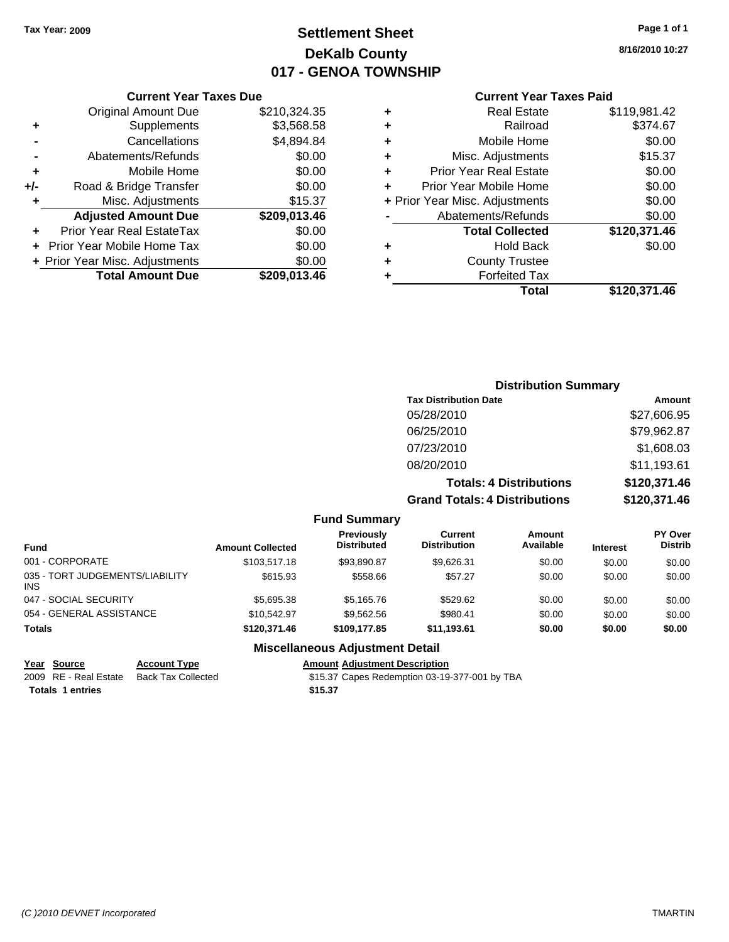## **Settlement Sheet Tax Year: 2009 Page 1 of 1 DeKalb County 017 - GENOA TOWNSHIP**

**8/16/2010 10:27**

|  | Year Taxes Due |  |
|--|----------------|--|
|  |                |  |

| <b>Original Amount Due</b><br>\$210,324.35<br>\$3,568.58<br>Supplements<br>٠<br>\$4,894.84<br>Cancellations<br>\$0.00<br>Abatements/Refunds<br>\$0.00<br>Mobile Home<br>٠<br>\$0.00<br>Road & Bridge Transfer<br>$+/-$<br>\$15.37<br>Misc. Adjustments<br>۰<br><b>Adjusted Amount Due</b><br>\$209,013.46<br>\$0.00<br>Prior Year Real EstateTax<br>\$0.00<br><b>Prior Year Mobile Home Tax</b><br>\$0.00<br>+ Prior Year Misc. Adjustments<br><b>Total Amount Due</b><br>\$209.013.46 | <b>Current Year Taxes Due</b> |  |
|----------------------------------------------------------------------------------------------------------------------------------------------------------------------------------------------------------------------------------------------------------------------------------------------------------------------------------------------------------------------------------------------------------------------------------------------------------------------------------------|-------------------------------|--|
|                                                                                                                                                                                                                                                                                                                                                                                                                                                                                        |                               |  |
|                                                                                                                                                                                                                                                                                                                                                                                                                                                                                        |                               |  |
|                                                                                                                                                                                                                                                                                                                                                                                                                                                                                        |                               |  |
|                                                                                                                                                                                                                                                                                                                                                                                                                                                                                        |                               |  |
|                                                                                                                                                                                                                                                                                                                                                                                                                                                                                        |                               |  |
|                                                                                                                                                                                                                                                                                                                                                                                                                                                                                        |                               |  |
|                                                                                                                                                                                                                                                                                                                                                                                                                                                                                        |                               |  |
|                                                                                                                                                                                                                                                                                                                                                                                                                                                                                        |                               |  |
|                                                                                                                                                                                                                                                                                                                                                                                                                                                                                        |                               |  |
|                                                                                                                                                                                                                                                                                                                                                                                                                                                                                        |                               |  |
|                                                                                                                                                                                                                                                                                                                                                                                                                                                                                        |                               |  |
|                                                                                                                                                                                                                                                                                                                                                                                                                                                                                        |                               |  |

## **Current Year Taxes Paid**

|   | Total                          | \$120,371.46 |
|---|--------------------------------|--------------|
| ٠ | <b>Forfeited Tax</b>           |              |
| ٠ | <b>County Trustee</b>          |              |
| ٠ | <b>Hold Back</b>               | \$0.00       |
|   | <b>Total Collected</b>         | \$120,371.46 |
|   | Abatements/Refunds             | \$0.00       |
|   | + Prior Year Misc. Adjustments | \$0.00       |
| ٠ | Prior Year Mobile Home         | \$0.00       |
| ٠ | Prior Year Real Estate         | \$0.00       |
| ٠ | Misc. Adjustments              | \$15.37      |
| ÷ | Mobile Home                    | \$0.00       |
| ÷ | Railroad                       | \$374.67     |
| ٠ | <b>Real Estate</b>             | \$119,981.42 |

## **Distribution Summary Tax Distribution Date Amount** 05/28/2010 \$27,606.95 06/25/2010 \$79,962.87 07/23/2010 \$1,608.03 08/20/2010 \$11,193.61 **Totals: 4 Distributions \$120,371.46 Grand Totals: 4 Distributions \$120,371.46**

|  | <b>Fund Summary</b> |
|--|---------------------|
|--|---------------------|

| <b>Fund</b>                             | <b>Amount Collected</b> | <b>Previously</b><br><b>Distributed</b> | Current<br><b>Distribution</b> | Amount<br>Available | <b>Interest</b> | <b>PY Over</b><br><b>Distrib</b> |
|-----------------------------------------|-------------------------|-----------------------------------------|--------------------------------|---------------------|-----------------|----------------------------------|
| 001 - CORPORATE                         | \$103.517.18            | \$93,890.87                             | \$9.626.31                     | \$0.00              | \$0.00          | \$0.00                           |
| 035 - TORT JUDGEMENTS/LIABILITY<br>INS. | \$615.93                | \$558.66                                | \$57.27                        | \$0.00              | \$0.00          | \$0.00                           |
| 047 - SOCIAL SECURITY                   | \$5,695.38              | \$5,165.76                              | \$529.62                       | \$0.00              | \$0.00          | \$0.00                           |
| 054 - GENERAL ASSISTANCE                | \$10.542.97             | \$9.562.56                              | \$980.41                       | \$0.00              | \$0.00          | \$0.00                           |
| <b>Totals</b>                           | \$120,371,46            | \$109,177.85                            | \$11.193.61                    | \$0.00              | \$0.00          | \$0.00                           |
|                                         |                         |                                         |                                |                     |                 |                                  |

## **Miscellaneous Adjustment Detail**

| Year Source           | <b>Account Type</b> | <b>Amount Adjustment Description</b>          |
|-----------------------|---------------------|-----------------------------------------------|
| 2009 RE - Real Estate | Back Tax Collected  | \$15.37 Capes Redemption 03-19-377-001 by TBA |
| Totals 1 entries      |                     | \$15.37                                       |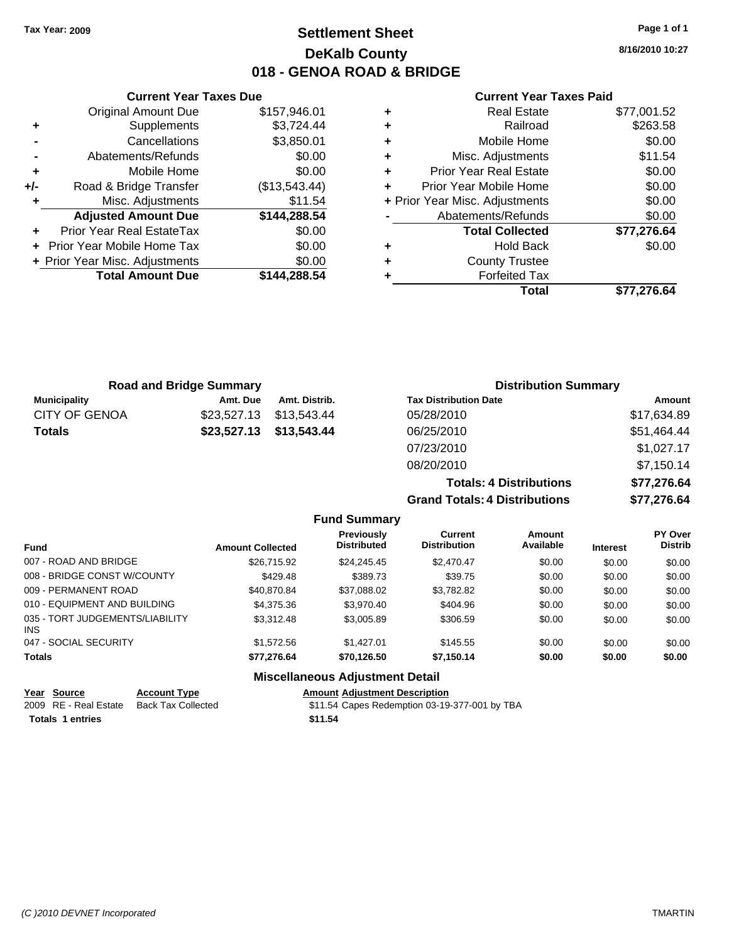## **Settlement Sheet Tax Year: 2009 Page 1 of 1 DeKalb County 018 - GENOA ROAD & BRIDGE**

**8/16/2010 10:27**

#### **Current Year Taxes Paid**

|       | <b>Current Year Taxes Due</b>  |               |
|-------|--------------------------------|---------------|
|       | <b>Original Amount Due</b>     | \$157,946.01  |
| ٠     | Supplements                    | \$3,724.44    |
|       | Cancellations                  | \$3,850.01    |
|       | Abatements/Refunds             | \$0.00        |
| ٠     | Mobile Home                    | \$0.00        |
| $+/-$ | Road & Bridge Transfer         | (\$13,543.44) |
| ٠     | Misc. Adjustments              | \$11.54       |
|       | <b>Adjusted Amount Due</b>     | \$144,288.54  |
|       | Prior Year Real EstateTax      | \$0.00        |
|       | Prior Year Mobile Home Tax     | \$0.00        |
|       | + Prior Year Misc. Adjustments | \$0.00        |
|       | <b>Total Amount Due</b>        | \$144.288.54  |
|       |                                |               |

| ٠ | <b>Real Estate</b>             | \$77,001.52 |
|---|--------------------------------|-------------|
| ٠ | Railroad                       | \$263.58    |
| ٠ | Mobile Home                    | \$0.00      |
| ٠ | Misc. Adjustments              | \$11.54     |
| ٠ | <b>Prior Year Real Estate</b>  | \$0.00      |
| ٠ | Prior Year Mobile Home         | \$0.00      |
|   | + Prior Year Misc. Adjustments | \$0.00      |
|   | Abatements/Refunds             | \$0.00      |
|   | <b>Total Collected</b>         | \$77,276.64 |
| ٠ | <b>Hold Back</b>               | \$0.00      |
| ٠ | <b>County Trustee</b>          |             |
| ٠ | <b>Forfeited Tax</b>           |             |
|   | Total                          | \$77.276.64 |

| <b>Road and Bridge Summary</b> |             |               | <b>Distribution Summary</b>    |             |  |
|--------------------------------|-------------|---------------|--------------------------------|-------------|--|
| <b>Municipality</b>            | Amt. Due    | Amt. Distrib. | <b>Tax Distribution Date</b>   | Amount      |  |
| <b>CITY OF GENOA</b>           | \$23,527.13 | \$13.543.44   | 05/28/2010                     | \$17,634.89 |  |
| <b>Totals</b>                  | \$23,527.13 | \$13,543.44   | 06/25/2010                     | \$51,464.44 |  |
|                                |             |               | 07/23/2010                     | \$1,027.17  |  |
|                                |             |               | 08/20/2010                     | \$7,150.14  |  |
|                                |             |               | <b>Totals: 4 Distributions</b> | \$77,276.64 |  |
|                                |             |               |                                |             |  |

**Grand Totals: 4 Distributions \$77,276.64**

|                                         |                         | <b>Fund Summary</b>                    |                                |                     |                 |                           |
|-----------------------------------------|-------------------------|----------------------------------------|--------------------------------|---------------------|-----------------|---------------------------|
| <b>Fund</b>                             | <b>Amount Collected</b> | Previously<br><b>Distributed</b>       | Current<br><b>Distribution</b> | Amount<br>Available | <b>Interest</b> | PY Over<br><b>Distrib</b> |
| 007 - ROAD AND BRIDGE                   | \$26.715.92             | \$24.245.45                            | \$2,470.47                     | \$0.00              | \$0.00          | \$0.00                    |
| 008 - BRIDGE CONST W/COUNTY             | \$429.48                | \$389.73                               | \$39.75                        | \$0.00              | \$0.00          | \$0.00                    |
| 009 - PERMANENT ROAD                    | \$40.870.84             | \$37,088.02                            | \$3.782.82                     | \$0.00              | \$0.00          | \$0.00                    |
| 010 - EQUIPMENT AND BUILDING            | \$4,375,36              | \$3,970.40                             | \$404.96                       | \$0.00              | \$0.00          | \$0.00                    |
| 035 - TORT JUDGEMENTS/LIABILITY<br>INS. | \$3.312.48              | \$3,005.89                             | \$306.59                       | \$0.00              | \$0.00          | \$0.00                    |
| 047 - SOCIAL SECURITY                   | \$1,572.56              | \$1,427.01                             | \$145.55                       | \$0.00              | \$0.00          | \$0.00                    |
| <b>Totals</b>                           | \$77.276.64             | \$70.126.50                            | \$7.150.14                     | \$0.00              | \$0.00          | \$0.00                    |
|                                         |                         | <b>Miscellaneous Adjustment Detail</b> |                                |                     |                 |                           |

| Year Source             | <b>Account Type</b>       | <b>Amount Adiustment Description</b>          |
|-------------------------|---------------------------|-----------------------------------------------|
| 2009 RE - Real Estate   | <b>Back Tax Collected</b> | \$11.54 Capes Redemption 03-19-377-001 by TBA |
| <b>Totals 1 entries</b> |                           | \$11.54                                       |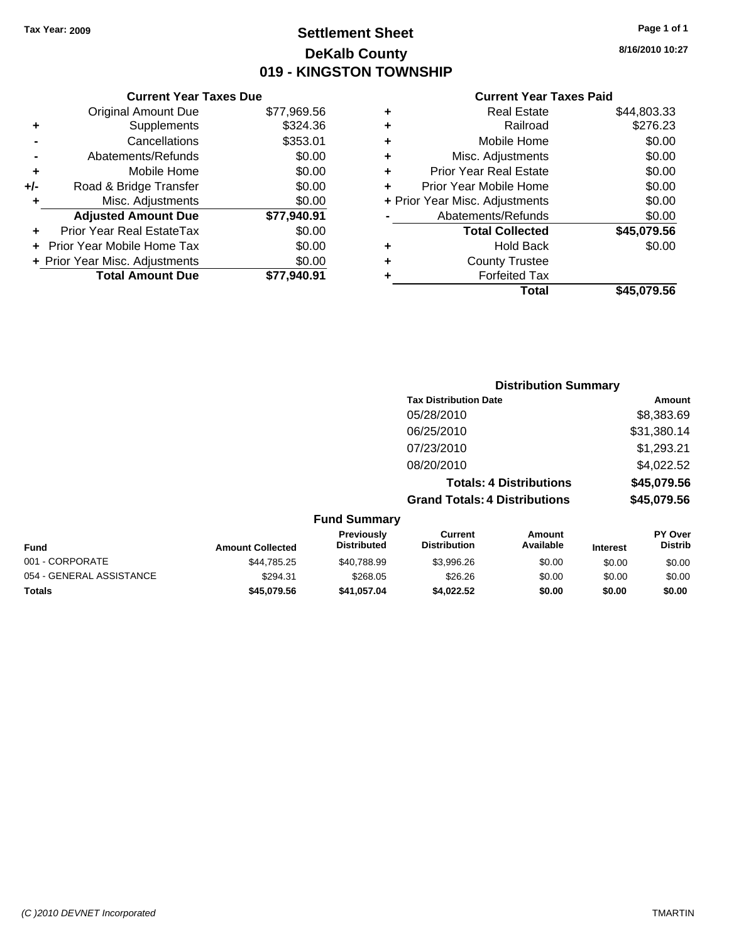## **Settlement Sheet Tax Year: 2009 Page 1 of 1 DeKalb County 019 - KINGSTON TOWNSHIP**

**8/16/2010 10:27**

## **Current Year Taxes Paid**

|     | <b>Current Year Taxes Due</b>  |             |     |
|-----|--------------------------------|-------------|-----|
|     | <b>Original Amount Due</b>     | \$77,969.56 |     |
|     | Supplements                    | \$324.36    |     |
|     | Cancellations                  | \$353.01    | ٠   |
|     | Abatements/Refunds             | \$0.00      | ٠   |
|     | Mobile Home                    | \$0.00      | ٠   |
| +/- | Road & Bridge Transfer         | \$0.00      | ٠   |
|     | Misc. Adjustments              | \$0.00      | + ł |
|     | <b>Adjusted Amount Due</b>     | \$77,940.91 |     |
|     | Prior Year Real EstateTax      | \$0.00      |     |
|     | Prior Year Mobile Home Tax     | \$0.00      |     |
|     | + Prior Year Misc. Adjustments | \$0.00      |     |
|     | <b>Total Amount Due</b>        | \$77.940.91 |     |
|     |                                |             |     |

| ٠ | <b>Real Estate</b>             | \$44,803.33 |
|---|--------------------------------|-------------|
| ٠ | Railroad                       | \$276.23    |
| ٠ | Mobile Home                    | \$0.00      |
| ٠ | Misc. Adjustments              | \$0.00      |
| ÷ | <b>Prior Year Real Estate</b>  | \$0.00      |
|   | Prior Year Mobile Home         | \$0.00      |
|   | + Prior Year Misc. Adjustments | \$0.00      |
|   | Abatements/Refunds             | \$0.00      |
|   | <b>Total Collected</b>         | \$45,079.56 |
| ٠ | <b>Hold Back</b>               | \$0.00      |
| ٠ | <b>County Trustee</b>          |             |
| ٠ | <b>Forfeited Tax</b>           |             |
|   | Total                          | \$45,079.56 |
|   |                                |             |

|                          |                         |                                  |                                       | <b>Distribution Summary</b>    |                 |                                  |
|--------------------------|-------------------------|----------------------------------|---------------------------------------|--------------------------------|-----------------|----------------------------------|
|                          |                         |                                  | <b>Tax Distribution Date</b>          |                                |                 | Amount                           |
|                          |                         |                                  | 05/28/2010                            |                                |                 | \$8,383.69                       |
|                          |                         |                                  | 06/25/2010                            |                                |                 | \$31,380.14                      |
|                          |                         |                                  | 07/23/2010                            |                                |                 | \$1,293.21                       |
|                          |                         |                                  | 08/20/2010                            |                                |                 | \$4,022.52                       |
|                          |                         |                                  |                                       | <b>Totals: 4 Distributions</b> |                 | \$45,079.56                      |
|                          |                         |                                  | <b>Grand Totals: 4 Distributions</b>  |                                |                 | \$45,079.56                      |
|                          |                         | <b>Fund Summary</b>              |                                       |                                |                 |                                  |
| Fund                     | <b>Amount Collected</b> | Previously<br><b>Distributed</b> | <b>Current</b><br><b>Distribution</b> | <b>Amount</b><br>Available     | <b>Interest</b> | <b>PY Over</b><br><b>Distrib</b> |
| 001 - CORPORATE          | \$44,785.25             | \$40,788.99                      | \$3,996.26                            | \$0.00                         | \$0.00          | \$0.00                           |
| 054 - GENERAL ASSISTANCE | \$294.31                | \$268.05                         | \$26.26                               | \$0.00                         | \$0.00          | \$0.00                           |

**Totals \$45,079.56 \$41,057.04 \$4,022.52 \$0.00 \$0.00 \$0.00**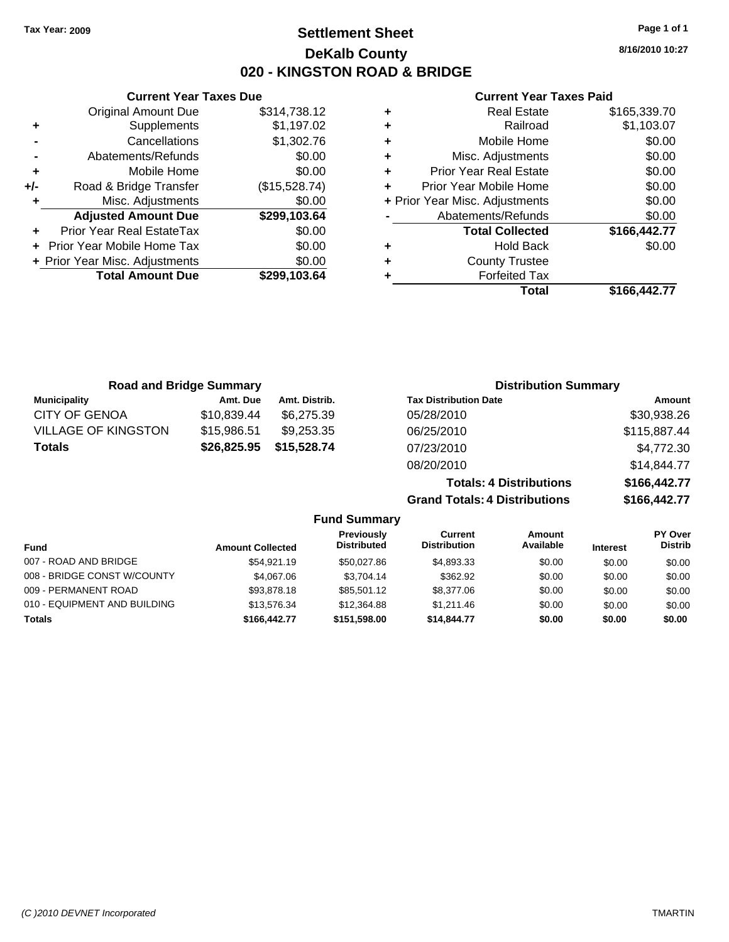**Current Year Taxes Due** Original Amount Due \$314,738.12

**Adjusted Amount Due \$299,103.64**

**Total Amount Due \$299,103.64**

**+** Supplements \$1,197.02 **-** Cancellations \$1,302.76 **-** Abatements/Refunds \$0.00 **+** Mobile Home \$0.00 **+/-** Road & Bridge Transfer (\$15,528.74) **+** Misc. Adjustments \$0.00

**+** Prior Year Real EstateTax \$0.00 **+** Prior Year Mobile Home Tax \$0.00 **+ Prior Year Misc. Adjustments**  $$0.00$ 

## **Settlement Sheet Tax Year: 2009 Page 1 of 1 DeKalb County 020 - KINGSTON ROAD & BRIDGE**

**8/16/2010 10:27**

## **Current Year Taxes Paid**

|   | <b>Hold Back</b>               | \$0.00       |
|---|--------------------------------|--------------|
|   | <b>Total Collected</b>         | \$166,442.77 |
|   | Abatements/Refunds             | \$0.00       |
|   | + Prior Year Misc. Adjustments | \$0.00       |
| ٠ | Prior Year Mobile Home         | \$0.00       |
| ٠ | <b>Prior Year Real Estate</b>  | \$0.00       |
| ٠ | Misc. Adjustments              | \$0.00       |
| ٠ | Mobile Home                    | \$0.00       |
| ٠ | Railroad                       | \$1,103.07   |
| ٠ | <b>Real Estate</b>             | \$165,339.70 |

| <b>Road and Bridge Summary</b> |             |               | <b>Distribution Summary</b>          |              |
|--------------------------------|-------------|---------------|--------------------------------------|--------------|
| <b>Municipality</b>            | Amt. Due    | Amt. Distrib. | <b>Tax Distribution Date</b>         | Amount       |
| <b>CITY OF GENOA</b>           | \$10,839.44 | \$6,275,39    | 05/28/2010                           | \$30,938.26  |
| <b>VILLAGE OF KINGSTON</b>     | \$15,986.51 | \$9,253.35    | 06/25/2010                           | \$115,887.44 |
| <b>Totals</b>                  | \$26,825.95 | \$15,528.74   | 07/23/2010                           | \$4,772.30   |
|                                |             |               | 08/20/2010                           | \$14,844.77  |
|                                |             |               | <b>Totals: 4 Distributions</b>       | \$166,442.77 |
|                                |             |               | <b>Grand Totals: 4 Distributions</b> | \$166,442.77 |

| <b>Fund Summary</b>          |                         |                                  |                                |                            |                 |                                  |
|------------------------------|-------------------------|----------------------------------|--------------------------------|----------------------------|-----------------|----------------------------------|
| <b>Fund</b>                  | <b>Amount Collected</b> | Previously<br><b>Distributed</b> | Current<br><b>Distribution</b> | <b>Amount</b><br>Available | <b>Interest</b> | <b>PY Over</b><br><b>Distrib</b> |
| 007 - ROAD AND BRIDGE        | \$54,921.19             | \$50.027.86                      | \$4,893.33                     | \$0.00                     | \$0.00          | \$0.00                           |
| 008 - BRIDGE CONST W/COUNTY  | \$4,067,06              | \$3.704.14                       | \$362.92                       | \$0.00                     | \$0.00          | \$0.00                           |
| 009 - PERMANENT ROAD         | \$93,878.18             | \$85.501.12                      | \$8,377,06                     | \$0.00                     | \$0.00          | \$0.00                           |
| 010 - EQUIPMENT AND BUILDING | \$13,576.34             | \$12,364.88                      | \$1.211.46                     | \$0.00                     | \$0.00          | \$0.00                           |
| <b>Totals</b>                | \$166,442.77            | \$151,598.00                     | \$14,844.77                    | \$0.00                     | \$0.00          | \$0.00                           |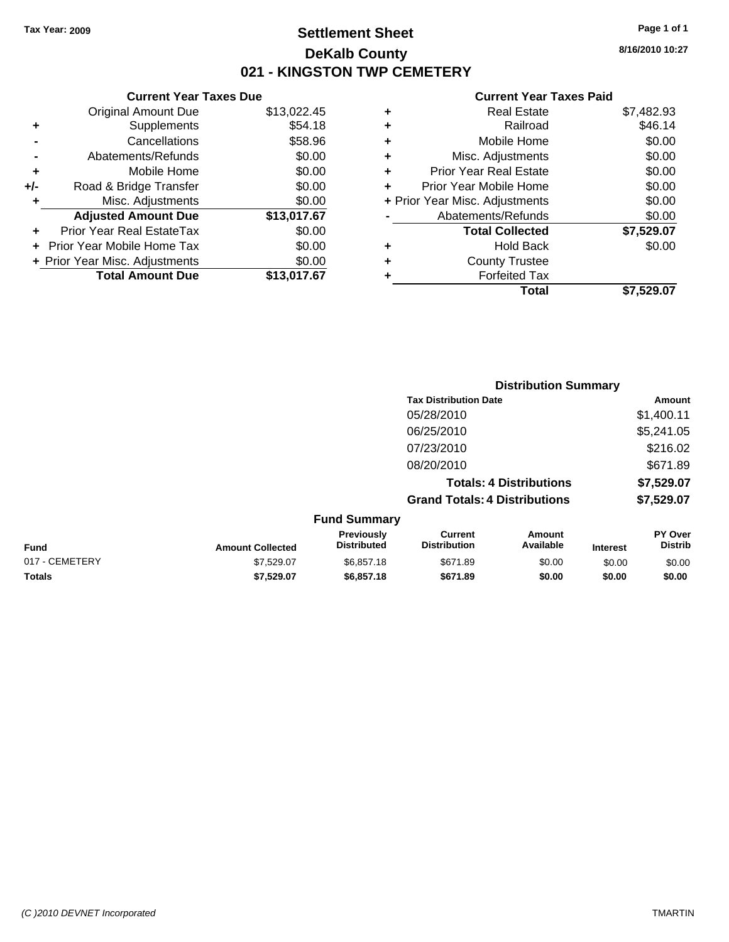## **Settlement Sheet Tax Year: 2009 Page 1 of 1 DeKalb County 021 - KINGSTON TWP CEMETERY**

## **Current Year Taxes Due**

|     | <b>Original Amount Due</b>       | \$13,022.45 |
|-----|----------------------------------|-------------|
|     | Supplements                      | \$54.18     |
|     | Cancellations                    | \$58.96     |
|     | Abatements/Refunds               | \$0.00      |
| ÷   | Mobile Home                      | \$0.00      |
| +/- | Road & Bridge Transfer           | \$0.00      |
| ٠   | Misc. Adjustments                | \$0.00      |
|     | <b>Adjusted Amount Due</b>       | \$13,017.67 |
|     | <b>Prior Year Real EstateTax</b> | \$0.00      |
|     | Prior Year Mobile Home Tax       | \$0.00      |
|     | + Prior Year Misc. Adjustments   | \$0.00      |
|     | <b>Total Amount Due</b>          | \$13,017.67 |

## **Current Year Taxes Paid**

|   | <b>Real Estate</b>             | \$7,482.93 |
|---|--------------------------------|------------|
| ٠ | Railroad                       | \$46.14    |
| ٠ | Mobile Home                    | \$0.00     |
| ٠ | Misc. Adjustments              | \$0.00     |
| ٠ | <b>Prior Year Real Estate</b>  | \$0.00     |
|   | Prior Year Mobile Home         | \$0.00     |
|   | + Prior Year Misc. Adjustments | \$0.00     |
|   | Abatements/Refunds             | \$0.00     |
|   | <b>Total Collected</b>         | \$7,529.07 |
| ٠ | <b>Hold Back</b>               | \$0.00     |
| ٠ | <b>County Trustee</b>          |            |
|   | <b>Forfeited Tax</b>           |            |
|   | Total                          | \$7.529.07 |
|   |                                |            |

|                     | <b>Distribution Summary</b>          |                                |                |  |
|---------------------|--------------------------------------|--------------------------------|----------------|--|
|                     | <b>Tax Distribution Date</b>         |                                | Amount         |  |
|                     | 05/28/2010                           |                                | \$1,400.11     |  |
|                     | 06/25/2010                           |                                | \$5,241.05     |  |
|                     | 07/23/2010                           |                                | \$216.02       |  |
|                     | 08/20/2010                           |                                | \$671.89       |  |
|                     |                                      | <b>Totals: 4 Distributions</b> | \$7,529.07     |  |
|                     | <b>Grand Totals: 4 Distributions</b> |                                | \$7,529.07     |  |
| <b>Fund Summary</b> |                                      |                                |                |  |
| <b>Previously</b>   | Current                              | Amount                         | <b>PY Over</b> |  |

| <b>Fund</b>    | <b>Amount Collected</b> | <b>Previousiv</b><br><b>Distributed</b> | Current<br>Distribution | Amount<br>Available | <b>Interest</b> | <b>PY Over</b><br>Distrib |
|----------------|-------------------------|-----------------------------------------|-------------------------|---------------------|-----------------|---------------------------|
| 017 - CEMETERY | \$7.529.07              | \$6.857.18                              | \$671.89                | \$0.00              | \$0.00          | \$0.00                    |
| <b>Totals</b>  | \$7.529.07              | \$6,857,18                              | \$671.89                | \$0.00              | \$0.00          | \$0.00                    |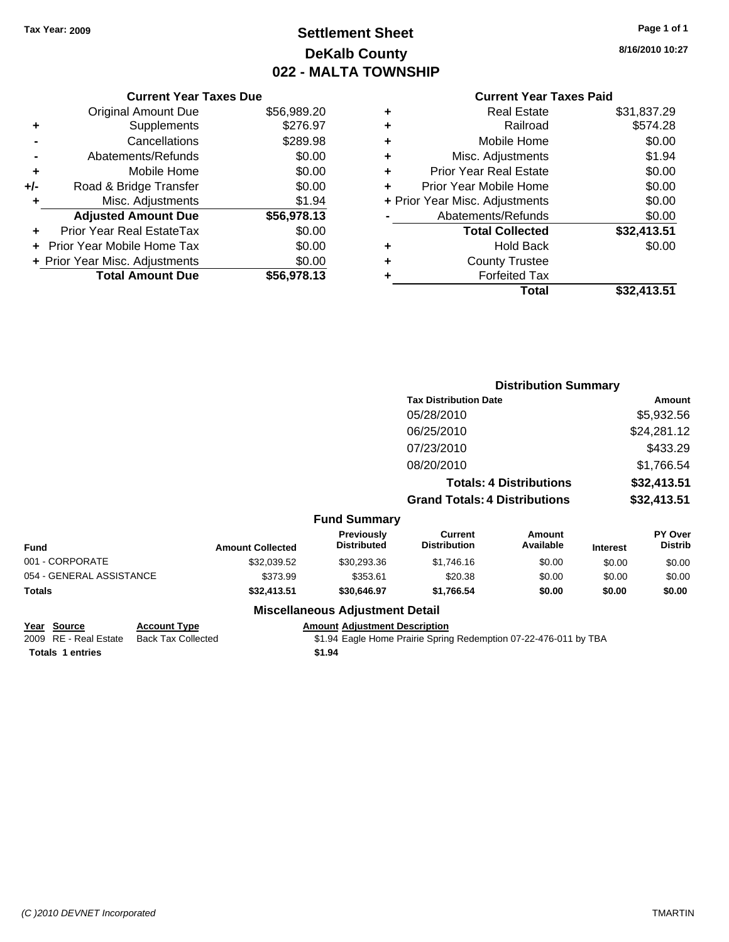## **Settlement Sheet Tax Year: 2009 Page 1 of 1 DeKalb County 022 - MALTA TOWNSHIP**

**8/16/2010 10:27**

# **Current Year Taxes Paid**

| <b>Current Year Taxes Due</b>     |             |
|-----------------------------------|-------------|
| <b>Original Amount Due</b>        | \$56,989.20 |
| Supplements                       | \$276.97    |
| Cancellations                     | \$289.98    |
| Abatements/Refunds                | \$0.00      |
| Mobile Home                       | \$0.00      |
| Road & Bridge Transfer            | \$0.00      |
| Misc. Adjustments                 | \$1.94      |
| <b>Adjusted Amount Due</b>        | \$56,978.13 |
| Prior Year Real EstateTax         | \$0.00      |
| <b>Prior Year Mobile Home Tax</b> | \$0.00      |
| + Prior Year Misc. Adjustments    | \$0.00      |
| <b>Total Amount Due</b>           | \$56,978.13 |
|                                   |             |

|   | <b>Forfeited Tax</b><br>Total  | \$32,413.51 |
|---|--------------------------------|-------------|
| ٠ | <b>County Trustee</b>          |             |
| ٠ | <b>Hold Back</b>               | \$0.00      |
|   | <b>Total Collected</b>         | \$32,413.51 |
|   | Abatements/Refunds             | \$0.00      |
|   | + Prior Year Misc. Adjustments | \$0.00      |
| ÷ | Prior Year Mobile Home         | \$0.00      |
| ÷ | <b>Prior Year Real Estate</b>  | \$0.00      |
| ٠ | Misc. Adjustments              | \$1.94      |
| ÷ | Mobile Home                    | \$0.00      |
| ÷ | Railroad                       | \$574.28    |
| ٠ | <b>Real Estate</b>             | \$31,837.29 |
|   |                                |             |

|                          |                         |                                         | <b>Distribution Summary</b>           |                                |                 |                           |
|--------------------------|-------------------------|-----------------------------------------|---------------------------------------|--------------------------------|-----------------|---------------------------|
|                          |                         |                                         | <b>Tax Distribution Date</b>          |                                |                 | Amount                    |
|                          |                         |                                         | 05/28/2010                            |                                |                 | \$5,932.56                |
|                          |                         |                                         | 06/25/2010                            |                                |                 | \$24,281.12               |
|                          |                         |                                         | 07/23/2010                            |                                |                 | \$433.29                  |
|                          |                         |                                         | 08/20/2010                            |                                |                 | \$1,766.54                |
|                          |                         |                                         |                                       | <b>Totals: 4 Distributions</b> |                 | \$32,413.51               |
|                          |                         |                                         | <b>Grand Totals: 4 Distributions</b>  |                                |                 | \$32,413.51               |
|                          |                         | <b>Fund Summary</b>                     |                                       |                                |                 |                           |
| Fund                     | <b>Amount Collected</b> | <b>Previously</b><br><b>Distributed</b> | <b>Current</b><br><b>Distribution</b> | <b>Amount</b><br>Available     | <b>Interest</b> | PY Over<br><b>Distrib</b> |
| 001 - CORPORATE          | \$32,039.52             | \$30,293.36                             | \$1,746.16                            | \$0.00                         | \$0.00          | \$0.00                    |
| 054 - GENERAL ASSISTANCE | \$373.99                | \$353.61                                | \$20.38                               | \$0.00                         | \$0.00          | \$0.00                    |
| Totals                   | \$32,413.51             | \$30,646.97                             | \$1,766.54                            | \$0.00                         | \$0.00          | \$0.00                    |
|                          |                         |                                         |                                       |                                |                 |                           |

## **Miscellaneous Adjustment Detail**

#### **Year Source Account Type Amount Adjustment Description**

2009 RE - Real Estate Back Tax Collected **\$1.94 Eagle Home Prairie Spring Redemption 07-22-476-011 by TBA Totals 1 entries** 

**Totals 1 entries**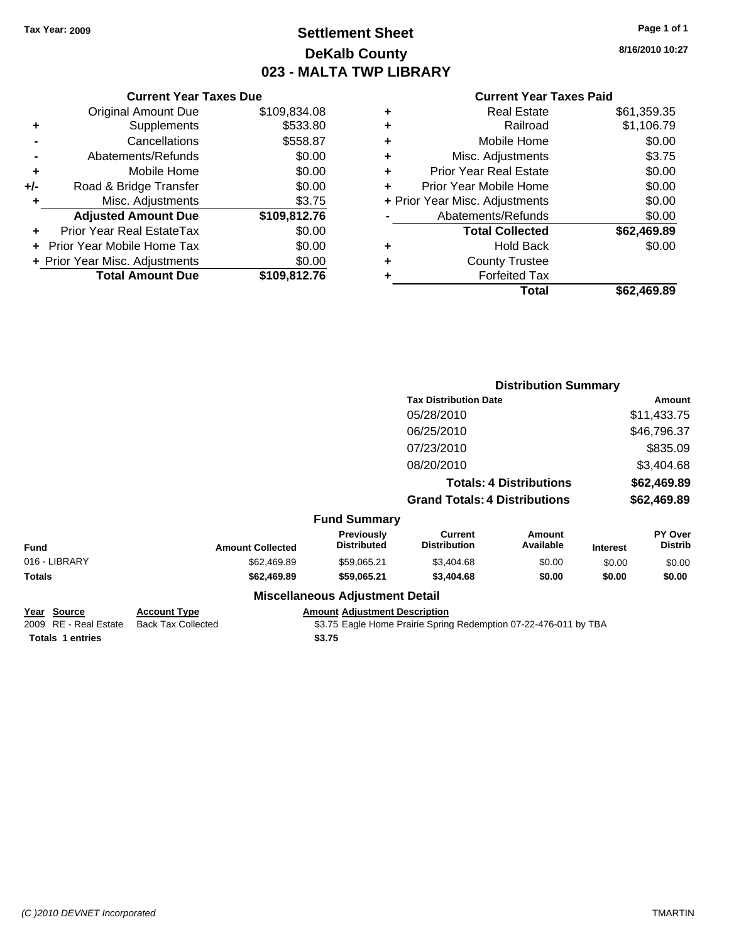## **Settlement Sheet Tax Year: 2009 Page 1 of 1 DeKalb County 023 - MALTA TWP LIBRARY**

**8/16/2010 10:27**

#### **Current Year Taxes Paid**

|     | <b>Current Year Taxes Due</b>            |              |  |  |
|-----|------------------------------------------|--------------|--|--|
|     | <b>Original Amount Due</b>               | \$109,834.08 |  |  |
| ٠   | Supplements                              | \$533.80     |  |  |
|     | Cancellations                            | \$558.87     |  |  |
|     | Abatements/Refunds                       | \$0.00       |  |  |
| ٠   | Mobile Home                              | \$0.00       |  |  |
| +/- | Road & Bridge Transfer                   | \$0.00       |  |  |
| ٠   | Misc. Adjustments                        | \$3.75       |  |  |
|     | <b>Adjusted Amount Due</b>               | \$109,812.76 |  |  |
|     | Prior Year Real EstateTax                | \$0.00       |  |  |
|     | Prior Year Mobile Home Tax               | \$0.00       |  |  |
|     | \$0.00<br>+ Prior Year Misc. Adjustments |              |  |  |
|     | <b>Total Amount Due</b>                  | \$109.812.76 |  |  |
|     |                                          |              |  |  |

| ٠ | <b>Real Estate</b>             | \$61,359.35 |
|---|--------------------------------|-------------|
| ٠ | Railroad                       | \$1,106.79  |
| ٠ | Mobile Home                    | \$0.00      |
| ٠ | Misc. Adjustments              | \$3.75      |
| ٠ | <b>Prior Year Real Estate</b>  | \$0.00      |
| ÷ | Prior Year Mobile Home         | \$0.00      |
|   | + Prior Year Misc. Adjustments | \$0.00      |
|   | Abatements/Refunds             | \$0.00      |
|   | <b>Total Collected</b>         | \$62,469.89 |
| ٠ | Hold Back                      | \$0.00      |
| ٠ | <b>County Trustee</b>          |             |
| ٠ | <b>Forfeited Tax</b>           |             |
|   | Total                          | \$62.469.89 |
|   |                                |             |

|               |                         |                                         | <b>Distribution Summary</b>           |                                |                 |                           |
|---------------|-------------------------|-----------------------------------------|---------------------------------------|--------------------------------|-----------------|---------------------------|
|               |                         |                                         | <b>Tax Distribution Date</b>          |                                |                 | Amount                    |
|               |                         |                                         | 05/28/2010                            |                                |                 | \$11,433.75               |
|               |                         |                                         | 06/25/2010                            |                                |                 | \$46,796.37               |
|               |                         |                                         | 07/23/2010                            |                                |                 | \$835.09                  |
|               |                         |                                         | 08/20/2010                            |                                |                 | \$3,404.68                |
|               |                         |                                         |                                       | <b>Totals: 4 Distributions</b> |                 | \$62,469.89               |
|               |                         |                                         | <b>Grand Totals: 4 Distributions</b>  |                                |                 | \$62,469.89               |
|               |                         | <b>Fund Summary</b>                     |                                       |                                |                 |                           |
| <b>Fund</b>   | <b>Amount Collected</b> | <b>Previously</b><br><b>Distributed</b> | <b>Current</b><br><b>Distribution</b> | Amount<br>Available            | <b>Interest</b> | PY Over<br><b>Distrib</b> |
| 016 - LIBRARY | \$62,469.89             | \$59,065.21                             | \$3,404.68                            | \$0.00                         | \$0.00          | \$0.00                    |
| Totals        | \$62,469.89             | \$59,065.21                             | \$3,404.68                            | \$0.00                         | \$0.00          | \$0.00                    |
|               |                         | <b>Miscellaneous Adjustment Detail</b>  |                                       |                                |                 |                           |

## **Year Source Account Type Amount Adjustment Description** Totals 1 entries **\$3.75**

2009 RE - Real Estate Back Tax Collected **19.15 Tax Collected** \$3.75 Eagle Home Prairie Spring Redemption 07-22-476-011 by TBA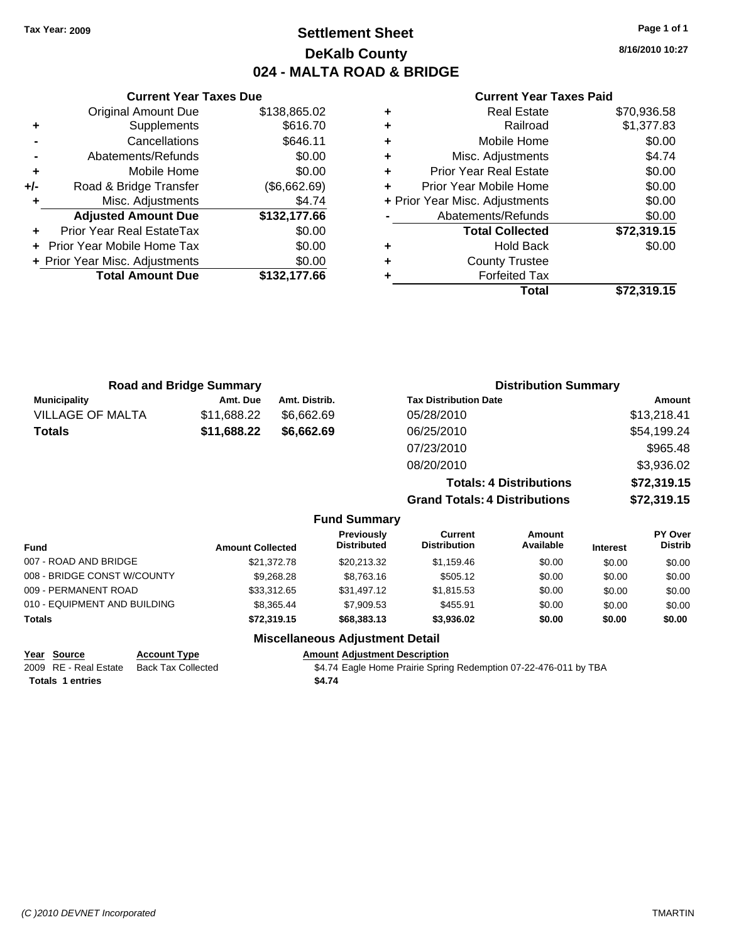## **Settlement Sheet Tax Year: 2009 Page 1 of 1 DeKalb County 024 - MALTA ROAD & BRIDGE**

**8/16/2010 10:27**

## **Current Year Taxes Paid**

|     | <b>Current Year Taxes Due</b>  |              |
|-----|--------------------------------|--------------|
|     | <b>Original Amount Due</b>     | \$138,865.02 |
| ٠   | Supplements                    | \$616.70     |
|     | Cancellations                  | \$646.11     |
|     | Abatements/Refunds             | \$0.00       |
| ٠   | Mobile Home                    | \$0.00       |
| +/- | Road & Bridge Transfer         | (\$6,662.69) |
|     | Misc. Adjustments              | \$4.74       |
|     | <b>Adjusted Amount Due</b>     | \$132,177.66 |
|     | Prior Year Real EstateTax      | \$0.00       |
|     | Prior Year Mobile Home Tax     | \$0.00       |
|     | + Prior Year Misc. Adjustments | \$0.00       |
|     | <b>Total Amount Due</b>        | \$132.177.66 |
|     |                                |              |

| <b>Real Estate</b>             | \$70,936.58 |
|--------------------------------|-------------|
| Railroad                       | \$1,377.83  |
| Mobile Home                    | \$0.00      |
| Misc. Adjustments              | \$4.74      |
| <b>Prior Year Real Estate</b>  | \$0.00      |
| Prior Year Mobile Home         | \$0.00      |
| + Prior Year Misc. Adjustments | \$0.00      |
| Abatements/Refunds             | \$0.00      |
| <b>Total Collected</b>         | \$72,319.15 |
| <b>Hold Back</b>               | \$0.00      |
| <b>County Trustee</b>          |             |
| <b>Forfeited Tax</b>           |             |
| Total                          | \$72,319.15 |
|                                |             |

| <b>Road and Bridge Summary</b> |             |                     |                                      | <b>Distribution Summary</b>    |                |
|--------------------------------|-------------|---------------------|--------------------------------------|--------------------------------|----------------|
| <b>Municipality</b>            | Amt. Due    | Amt. Distrib.       | <b>Tax Distribution Date</b>         |                                | <b>Amount</b>  |
| <b>VILLAGE OF MALTA</b>        | \$11,688.22 | \$6,662.69          | 05/28/2010                           |                                | \$13,218.41    |
| <b>Totals</b>                  | \$11,688.22 | \$6,662.69          | 06/25/2010                           |                                | \$54,199.24    |
|                                |             |                     | 07/23/2010                           |                                | \$965.48       |
|                                |             |                     | 08/20/2010                           |                                | \$3,936.02     |
|                                |             |                     |                                      | <b>Totals: 4 Distributions</b> | \$72,319.15    |
|                                |             |                     | <b>Grand Totals: 4 Distributions</b> |                                | \$72,319.15    |
|                                |             | <b>Fund Summary</b> |                                      |                                |                |
|                                |             | <b>Previously</b>   | <b>Current</b>                       | Amount                         | <b>PY Over</b> |

| <b>Fund</b>                  | <b>Amount Collected</b> | <b>Previously</b><br><b>Distributed</b> | Current<br><b>Distribution</b> | Amount<br>Available | <b>Interest</b> | <b>PY Over</b><br><b>Distrib</b> |
|------------------------------|-------------------------|-----------------------------------------|--------------------------------|---------------------|-----------------|----------------------------------|
| 007 - ROAD AND BRIDGE        | \$21,372.78             | \$20.213.32                             | \$1,159.46                     | \$0.00              | \$0.00          | \$0.00                           |
| 008 - BRIDGE CONST W/COUNTY  | \$9,268,28              | \$8,763,16                              | \$505.12                       | \$0.00              | \$0.00          | \$0.00                           |
| 009 - PERMANENT ROAD         | \$33,312.65             | \$31,497.12                             | \$1.815.53                     | \$0.00              | \$0.00          | \$0.00                           |
| 010 - EQUIPMENT AND BUILDING | \$8,365,44              | \$7,909.53                              | \$455.91                       | \$0.00              | \$0.00          | \$0.00                           |
| Totals                       | \$72,319.15             | \$68,383.13                             | \$3,936.02                     | \$0.00              | \$0.00          | \$0.00                           |

## **Miscellaneous Adjustment Detail**

| <u>Year Source</u>      | <b>Account Type</b> | <b>Amount Adjustment Description</b>                             |
|-------------------------|---------------------|------------------------------------------------------------------|
| 2009 RE - Real Estate   | Back Tax Collected  | \$4.74 Eagle Home Prairie Spring Redemption 07-22-476-011 by TBA |
| <b>Totals 1 entries</b> |                     | \$4.74                                                           |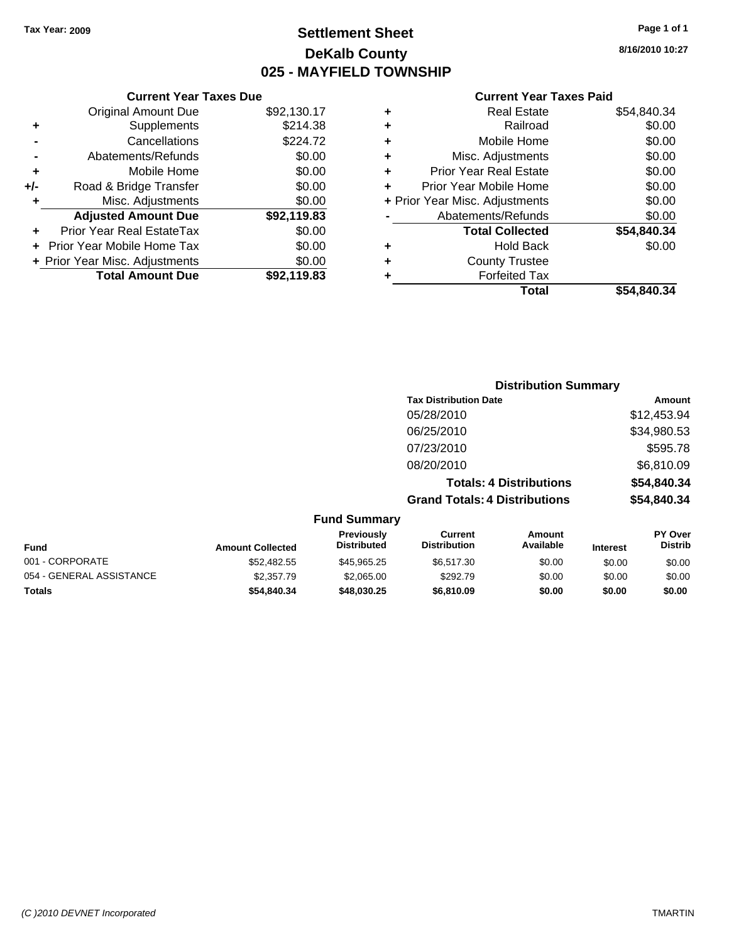## **Settlement Sheet Tax Year: 2009 Page 1 of 1 DeKalb County 025 - MAYFIELD TOWNSHIP**

## **8/16/2010 10:27**

#### **Current Year Taxes Paid**

|     | <b>Current Year Taxes Due</b>  |             |     |
|-----|--------------------------------|-------------|-----|
|     | <b>Original Amount Due</b>     | \$92,130.17 |     |
|     | <b>Supplements</b>             | \$214.38    |     |
|     | Cancellations                  | \$224.72    |     |
|     | Abatements/Refunds             | \$0.00      |     |
|     | Mobile Home                    | \$0.00      |     |
| +/- | Road & Bridge Transfer         | \$0.00      |     |
|     | Misc. Adjustments              | \$0.00      | + P |
|     | <b>Adjusted Amount Due</b>     | \$92,119.83 |     |
|     | Prior Year Real EstateTax      | \$0.00      |     |
|     | Prior Year Mobile Home Tax     | \$0.00      |     |
|     | + Prior Year Misc. Adjustments | \$0.00      |     |
|     | <b>Total Amount Due</b>        | \$92,119.83 |     |
|     |                                |             |     |

| ٠ | <b>Real Estate</b>             | \$54,840.34 |
|---|--------------------------------|-------------|
| ٠ | Railroad                       | \$0.00      |
| ٠ | Mobile Home                    | \$0.00      |
| ÷ | Misc. Adjustments              | \$0.00      |
| ٠ | <b>Prior Year Real Estate</b>  | \$0.00      |
| ÷ | Prior Year Mobile Home         | \$0.00      |
|   | + Prior Year Misc. Adjustments | \$0.00      |
|   | Abatements/Refunds             | \$0.00      |
|   | <b>Total Collected</b>         | \$54,840.34 |
| ٠ | Hold Back                      | \$0.00      |
| ٠ | <b>County Trustee</b>          |             |
| ٠ | <b>Forfeited Tax</b>           |             |
|   | Total                          | \$54.840.34 |
|   |                                |             |

## **Distribution Summary Tax Distribution Date Amount** 05/28/2010 \$12,453.94 06/25/2010 \$34,980.53 07/23/2010 \$595.78 08/20/2010 \$6,810.09 **Totals: 4 Distributions \$54,840.34 Grand Totals: 4 Distributions \$54,840.34 Fund Summary**

| <b>Fund</b>              | <b>Amount Collected</b> | <b>Previously</b><br><b>Distributed</b> | Current<br><b>Distribution</b> | Amount<br>Available | <b>Interest</b> | <b>PY Over</b><br><b>Distrib</b> |
|--------------------------|-------------------------|-----------------------------------------|--------------------------------|---------------------|-----------------|----------------------------------|
| 001 - CORPORATE          | \$52,482.55             | \$45.965.25                             | \$6,517.30                     | \$0.00              | \$0.00          | \$0.00                           |
| 054 - GENERAL ASSISTANCE | \$2,357.79              | \$2,065.00                              | \$292.79                       | \$0.00              | \$0.00          | \$0.00                           |
| <b>Totals</b>            | \$54.840.34             | \$48.030.25                             | \$6,810.09                     | \$0.00              | \$0.00          | \$0.00                           |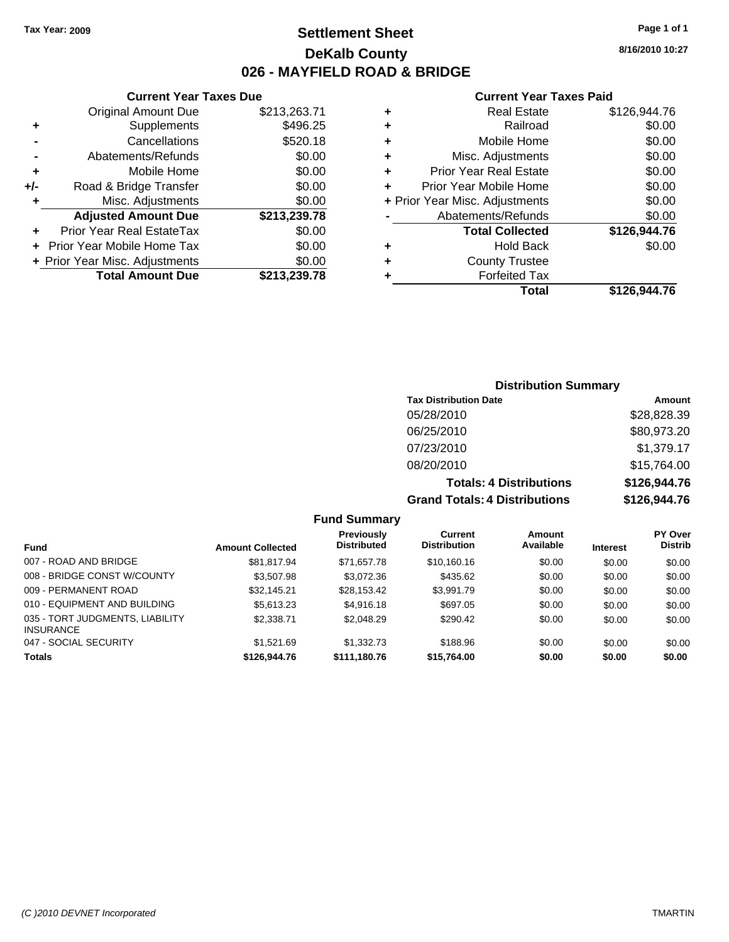## **Settlement Sheet Tax Year: 2009 Page 1 of 1 DeKalb County 026 - MAYFIELD ROAD & BRIDGE**

## **Current Year Taxes Due**

|       | <b>Original Amount Due</b>     | \$213,263.71 |
|-------|--------------------------------|--------------|
| ٠     | Supplements                    | \$496.25     |
|       | Cancellations                  | \$520.18     |
|       | Abatements/Refunds             | \$0.00       |
| ٠     | Mobile Home                    | \$0.00       |
| $+/-$ | Road & Bridge Transfer         | \$0.00       |
| ٠     | Misc. Adjustments              | \$0.00       |
|       | <b>Adjusted Amount Due</b>     | \$213,239.78 |
|       | Prior Year Real EstateTax      | \$0.00       |
|       | Prior Year Mobile Home Tax     | \$0.00       |
|       | + Prior Year Misc. Adjustments | \$0.00       |
|       | <b>Total Amount Due</b>        | \$213,239.78 |

## **Current Year Taxes Paid**

|   | <b>Real Estate</b>             | \$126,944.76 |
|---|--------------------------------|--------------|
| ٠ | Railroad                       | \$0.00       |
| ٠ | Mobile Home                    | \$0.00       |
| ٠ | Misc. Adjustments              | \$0.00       |
| ٠ | <b>Prior Year Real Estate</b>  | \$0.00       |
|   | Prior Year Mobile Home         | \$0.00       |
|   | + Prior Year Misc. Adjustments | \$0.00       |
|   | Abatements/Refunds             | \$0.00       |
|   | <b>Total Collected</b>         | \$126,944.76 |
| ٠ | Hold Back                      | \$0.00       |
| ٠ | <b>County Trustee</b>          |              |
|   | <b>Forfeited Tax</b>           |              |
|   | Total                          | \$126,944.76 |
|   |                                |              |

| <b>Distribution Summary</b>          |               |  |  |  |
|--------------------------------------|---------------|--|--|--|
| <b>Tax Distribution Date</b>         | <b>Amount</b> |  |  |  |
| 05/28/2010                           | \$28,828.39   |  |  |  |
| 06/25/2010                           | \$80,973.20   |  |  |  |
| 07/23/2010                           | \$1,379.17    |  |  |  |
| 08/20/2010                           | \$15,764.00   |  |  |  |
| <b>Totals: 4 Distributions</b>       | \$126,944.76  |  |  |  |
| <b>Grand Totals: 4 Distributions</b> | \$126,944.76  |  |  |  |

## **Fund Summary**

| <b>Fund</b>                                         | <b>Amount Collected</b> | Previously<br><b>Distributed</b> | Current<br><b>Distribution</b> | Amount<br>Available | <b>Interest</b> | <b>PY Over</b><br><b>Distrib</b> |
|-----------------------------------------------------|-------------------------|----------------------------------|--------------------------------|---------------------|-----------------|----------------------------------|
| 007 - ROAD AND BRIDGE                               | \$81,817.94             | \$71.657.78                      | \$10,160.16                    | \$0.00              | \$0.00          | \$0.00                           |
| 008 - BRIDGE CONST W/COUNTY                         | \$3,507.98              | \$3,072.36                       | \$435.62                       | \$0.00              | \$0.00          | \$0.00                           |
| 009 - PERMANENT ROAD                                | \$32,145.21             | \$28,153.42                      | \$3.991.79                     | \$0.00              | \$0.00          | \$0.00                           |
| 010 - EQUIPMENT AND BUILDING                        | \$5,613.23              | \$4,916.18                       | \$697.05                       | \$0.00              | \$0.00          | \$0.00                           |
| 035 - TORT JUDGMENTS, LIABILITY<br><b>INSURANCE</b> | \$2,338,71              | \$2,048.29                       | \$290.42                       | \$0.00              | \$0.00          | \$0.00                           |
| 047 - SOCIAL SECURITY                               | \$1.521.69              | \$1,332.73                       | \$188.96                       | \$0.00              | \$0.00          | \$0.00                           |
| <b>Totals</b>                                       | \$126,944.76            | \$111,180.76                     | \$15,764.00                    | \$0.00              | \$0.00          | \$0.00                           |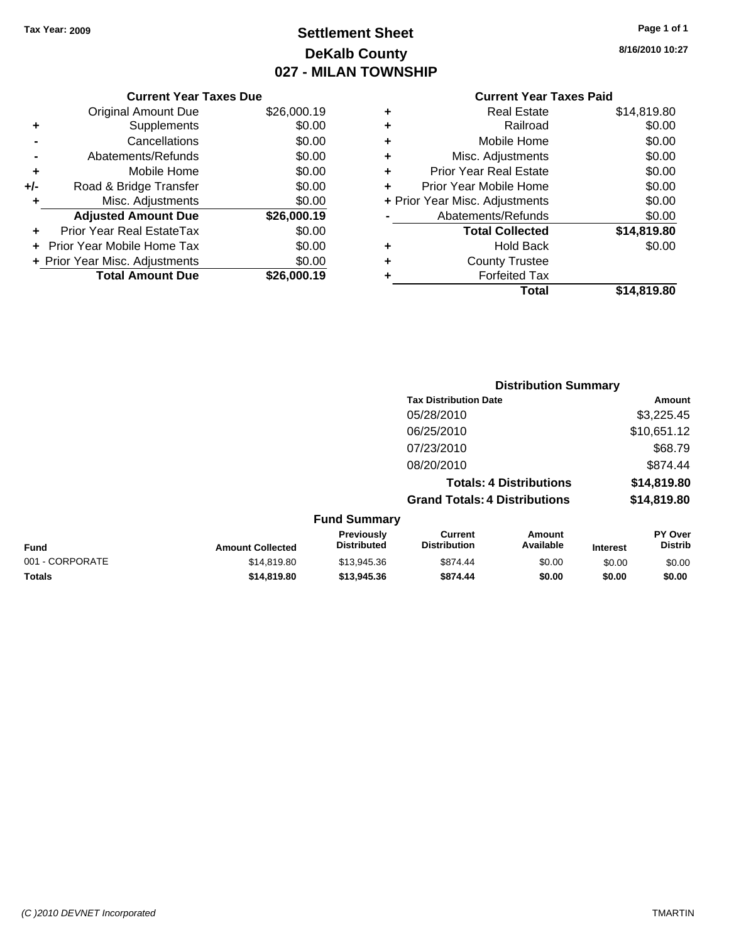# **Settlement Sheet Tax Year: 2009 Page 1 of 1 DeKalb County 027 - MILAN TOWNSHIP**

| Page 1 of 1 |  |  |  |
|-------------|--|--|--|
|-------------|--|--|--|

**8/16/2010 10:27**

|     | <b>Current Year Taxes Due</b>  |             |  |  |  |
|-----|--------------------------------|-------------|--|--|--|
|     | <b>Original Amount Due</b>     | \$26,000.19 |  |  |  |
| ٠   | Supplements                    | \$0.00      |  |  |  |
|     | Cancellations                  | \$0.00      |  |  |  |
|     | Abatements/Refunds             | \$0.00      |  |  |  |
| ٠   | Mobile Home                    | \$0.00      |  |  |  |
| +/- | Road & Bridge Transfer         | \$0.00      |  |  |  |
| ٠   | Misc. Adjustments              | \$0.00      |  |  |  |
|     | <b>Adjusted Amount Due</b>     | \$26,000.19 |  |  |  |
|     | Prior Year Real EstateTax      | \$0.00      |  |  |  |
|     | Prior Year Mobile Home Tax     | \$0.00      |  |  |  |
|     | + Prior Year Misc. Adjustments | \$0.00      |  |  |  |
|     | <b>Total Amount Due</b>        | \$26,000.19 |  |  |  |

## **Current Year Taxes Paid**

|   | Total                          | \$14,819.80 |
|---|--------------------------------|-------------|
| ٠ | <b>Forfeited Tax</b>           |             |
| ٠ | <b>County Trustee</b>          |             |
| ٠ | <b>Hold Back</b>               | \$0.00      |
|   | <b>Total Collected</b>         | \$14,819.80 |
|   | Abatements/Refunds             | \$0.00      |
|   | + Prior Year Misc. Adjustments | \$0.00      |
| ٠ | Prior Year Mobile Home         | \$0.00      |
| ٠ | <b>Prior Year Real Estate</b>  | \$0.00      |
| ٠ | Misc. Adjustments              | \$0.00      |
| ÷ | Mobile Home                    | \$0.00      |
| ٠ | Railroad                       | \$0.00      |
| ٠ | <b>Real Estate</b>             | \$14,819.80 |

|                 |                         |                                  | <b>Distribution Summary</b>           |                                |                 |                           |
|-----------------|-------------------------|----------------------------------|---------------------------------------|--------------------------------|-----------------|---------------------------|
|                 |                         |                                  | <b>Tax Distribution Date</b>          |                                |                 | Amount                    |
|                 |                         |                                  | 05/28/2010                            |                                |                 | \$3,225.45                |
|                 |                         |                                  | 06/25/2010                            |                                |                 | \$10,651.12               |
|                 |                         |                                  | 07/23/2010                            |                                |                 | \$68.79                   |
|                 |                         |                                  | 08/20/2010                            |                                |                 | \$874.44                  |
|                 |                         |                                  |                                       | <b>Totals: 4 Distributions</b> |                 | \$14,819.80               |
|                 |                         |                                  | <b>Grand Totals: 4 Distributions</b>  |                                |                 | \$14,819.80               |
|                 |                         | <b>Fund Summary</b>              |                                       |                                |                 |                           |
| <b>Fund</b>     | <b>Amount Collected</b> | Previously<br><b>Distributed</b> | <b>Current</b><br><b>Distribution</b> | Amount<br>Available            | <b>Interest</b> | PY Over<br><b>Distrib</b> |
| 001 - CORPORATE | \$14,819.80             | \$13,945.36                      | \$874.44                              | \$0.00                         | \$0.00          | \$0.00                    |
| <b>Totals</b>   | \$14.819.80             | \$13,945.36                      | \$874.44                              | \$0.00                         | \$0.00          | \$0.00                    |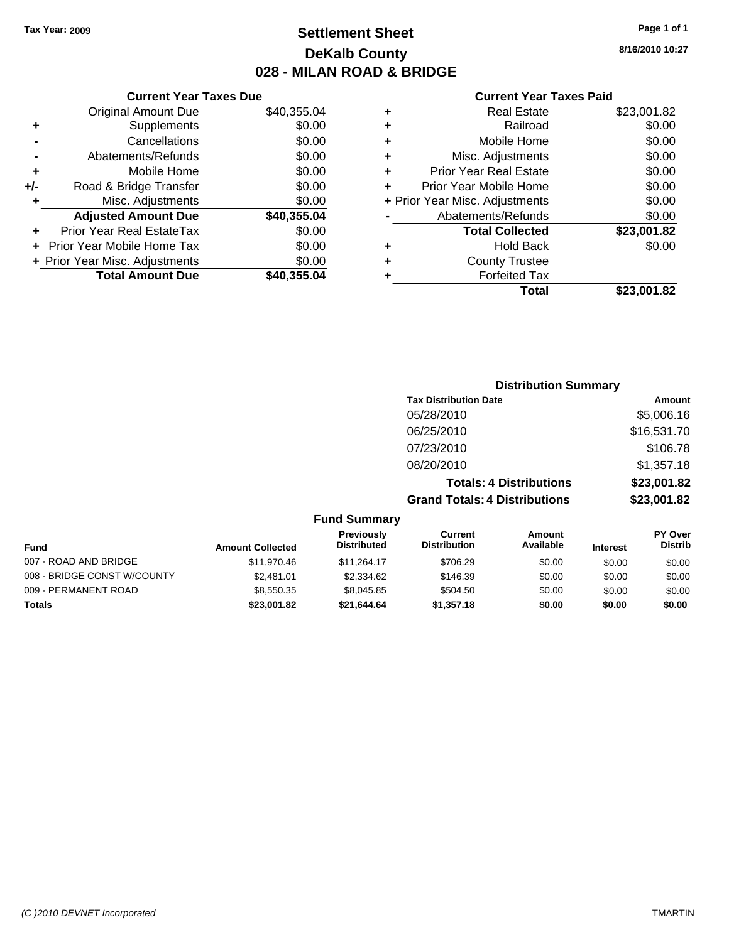## **Settlement Sheet Tax Year: 2009 Page 1 of 1 DeKalb County 028 - MILAN ROAD & BRIDGE**

## **Current Year Taxes Due**

|       | <b>Original Amount Due</b>       | \$40,355.04 |
|-------|----------------------------------|-------------|
| ٠     | Supplements                      | \$0.00      |
|       | Cancellations                    | \$0.00      |
|       | Abatements/Refunds               | \$0.00      |
| ٠     | Mobile Home                      | \$0.00      |
| $+/-$ | Road & Bridge Transfer           | \$0.00      |
| ٠     | Misc. Adjustments                | \$0.00      |
|       | <b>Adjusted Amount Due</b>       | \$40,355.04 |
|       | <b>Prior Year Real EstateTax</b> | \$0.00      |
|       | Prior Year Mobile Home Tax       | \$0.00      |
|       | + Prior Year Misc. Adjustments   | \$0.00      |
|       | <b>Total Amount Due</b>          | \$40.355.04 |

## **Current Year Taxes Paid**

|   | <b>Real Estate</b>             | \$23,001.82 |
|---|--------------------------------|-------------|
| ٠ | Railroad                       | \$0.00      |
| ٠ | Mobile Home                    | \$0.00      |
| ٠ | Misc. Adjustments              | \$0.00      |
| ٠ | Prior Year Real Estate         | \$0.00      |
| ÷ | Prior Year Mobile Home         | \$0.00      |
|   | + Prior Year Misc. Adjustments | \$0.00      |
|   | Abatements/Refunds             | \$0.00      |
|   | <b>Total Collected</b>         | \$23,001.82 |
| ٠ | <b>Hold Back</b>               | \$0.00      |
| ٠ | <b>County Trustee</b>          |             |
| ٠ | <b>Forfeited Tax</b>           |             |
|   | Total                          | \$23,001.82 |
|   |                                |             |

|                       |                         |                                         |                                       | <b>Distribution Summary</b>    |                 |                           |
|-----------------------|-------------------------|-----------------------------------------|---------------------------------------|--------------------------------|-----------------|---------------------------|
|                       |                         |                                         | <b>Tax Distribution Date</b>          |                                |                 | Amount                    |
|                       |                         |                                         | 05/28/2010                            |                                |                 | \$5,006.16                |
|                       |                         |                                         | 06/25/2010                            |                                |                 | \$16,531.70               |
|                       |                         |                                         | 07/23/2010                            |                                |                 | \$106.78                  |
|                       |                         |                                         | 08/20/2010                            |                                |                 | \$1,357.18                |
|                       |                         |                                         |                                       | <b>Totals: 4 Distributions</b> |                 | \$23,001.82               |
|                       |                         |                                         | <b>Grand Totals: 4 Distributions</b>  |                                |                 | \$23,001.82               |
|                       |                         | <b>Fund Summary</b>                     |                                       |                                |                 |                           |
| <b>Fund</b>           | <b>Amount Collected</b> | <b>Previously</b><br><b>Distributed</b> | <b>Current</b><br><b>Distribution</b> | Amount<br>Available            | <b>Interest</b> | PY Over<br><b>Distrib</b> |
| 007 - ROAD AND RRIDGE | 411070A6                | $Q$ 11 $Q$ $Q$ $A$ 17                   | 2706.20                               | en on                          | 0000            | ድስ ሰሰ                     |

| Fund                        | <b>Amount Collected</b> | PISH IDULGU | PISU IDUUUII | Avaliable | <b>Interest</b> | <b>PISUIP</b> |
|-----------------------------|-------------------------|-------------|--------------|-----------|-----------------|---------------|
| 007 - ROAD AND BRIDGE       | \$11.970.46             | \$11.264.17 | \$706.29     | \$0.00    | \$0.00          | \$0.00        |
| 008 - BRIDGE CONST W/COUNTY | \$2,481.01              | \$2,334.62  | \$146.39     | \$0.00    | \$0.00          | \$0.00        |
| 009 - PERMANENT ROAD        | \$8.550.35              | \$8,045.85  | \$504.50     | \$0.00    | \$0.00          | \$0.00        |
| <b>Totals</b>               | \$23,001.82             | \$21.644.64 | \$1,357.18   | \$0.00    | \$0.00          | \$0.00        |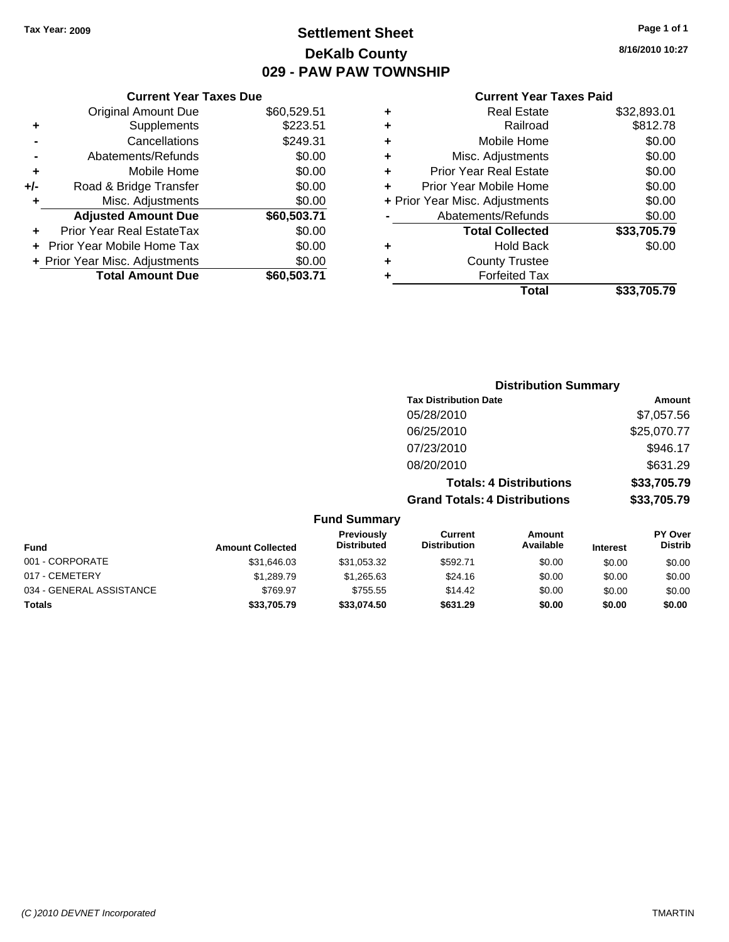## **Settlement Sheet Tax Year: 2009 Page 1 of 1 DeKalb County 029 - PAW PAW TOWNSHIP**

**8/16/2010 10:27**

## **Current Year Taxes Paid**

|     | <b>Current Year Taxes Due</b>  |             |
|-----|--------------------------------|-------------|
|     | <b>Original Amount Due</b>     | \$60,529.51 |
| ٠   | Supplements                    | \$223.51    |
|     | Cancellations                  | \$249.31    |
|     | Abatements/Refunds             | \$0.00      |
| ٠   | Mobile Home                    | \$0.00      |
| +/- | Road & Bridge Transfer         | \$0.00      |
| ٠   | Misc. Adjustments              | \$0.00      |
|     | <b>Adjusted Amount Due</b>     | \$60,503.71 |
| ٠   | Prior Year Real EstateTax      | \$0.00      |
|     | Prior Year Mobile Home Tax     | \$0.00      |
|     | + Prior Year Misc. Adjustments | \$0.00      |
|     | <b>Total Amount Due</b>        | \$60,503,71 |
|     |                                |             |

|   | <b>Real Estate</b>             | \$32,893.01 |
|---|--------------------------------|-------------|
| ٠ | Railroad                       | \$812.78    |
| ٠ | Mobile Home                    | \$0.00      |
| ٠ | Misc. Adjustments              | \$0.00      |
| ٠ | <b>Prior Year Real Estate</b>  | \$0.00      |
| ٠ | Prior Year Mobile Home         | \$0.00      |
|   | + Prior Year Misc. Adjustments | \$0.00      |
|   | Abatements/Refunds             | \$0.00      |
|   | <b>Total Collected</b>         | \$33,705.79 |
|   | <b>Hold Back</b>               | \$0.00      |
| ٠ | <b>County Trustee</b>          |             |
| ٠ | <b>Forfeited Tax</b>           |             |
|   | Total                          | \$33,705.79 |
|   |                                |             |

|                          |                         |                                  |                                      | <b>Distribution Summary</b>    |                 |                                  |
|--------------------------|-------------------------|----------------------------------|--------------------------------------|--------------------------------|-----------------|----------------------------------|
|                          |                         |                                  | <b>Tax Distribution Date</b>         |                                |                 | Amount                           |
|                          |                         |                                  | 05/28/2010                           |                                |                 | \$7,057.56                       |
|                          |                         |                                  | 06/25/2010                           |                                |                 | \$25,070.77                      |
|                          |                         |                                  | 07/23/2010                           |                                |                 | \$946.17                         |
|                          |                         |                                  | 08/20/2010                           |                                |                 | \$631.29                         |
|                          |                         |                                  |                                      | <b>Totals: 4 Distributions</b> |                 | \$33,705.79                      |
|                          |                         |                                  | <b>Grand Totals: 4 Distributions</b> |                                |                 | \$33,705.79                      |
|                          |                         | <b>Fund Summary</b>              |                                      |                                |                 |                                  |
| <b>Fund</b>              | <b>Amount Collected</b> | Previously<br><b>Distributed</b> | Current<br><b>Distribution</b>       | Amount<br>Available            | <b>Interest</b> | <b>PY Over</b><br><b>Distrib</b> |
| 001 - CORPORATE          | \$31,646.03             | \$31,053.32                      | \$592.71                             | \$0.00                         | \$0.00          | \$0.00                           |
| 017 - CEMETERY           | \$1,289.79              | \$1,265.63                       | \$24.16                              | \$0.00                         | \$0.00          | \$0.00                           |
| 034 - GENERAL ASSISTANCE | \$769.97                | \$755.55                         | \$14.42                              | \$0.00                         | \$0.00          | \$0.00                           |

**Totals \$33,705.79 \$33,074.50 \$631.29 \$0.00 \$0.00 \$0.00**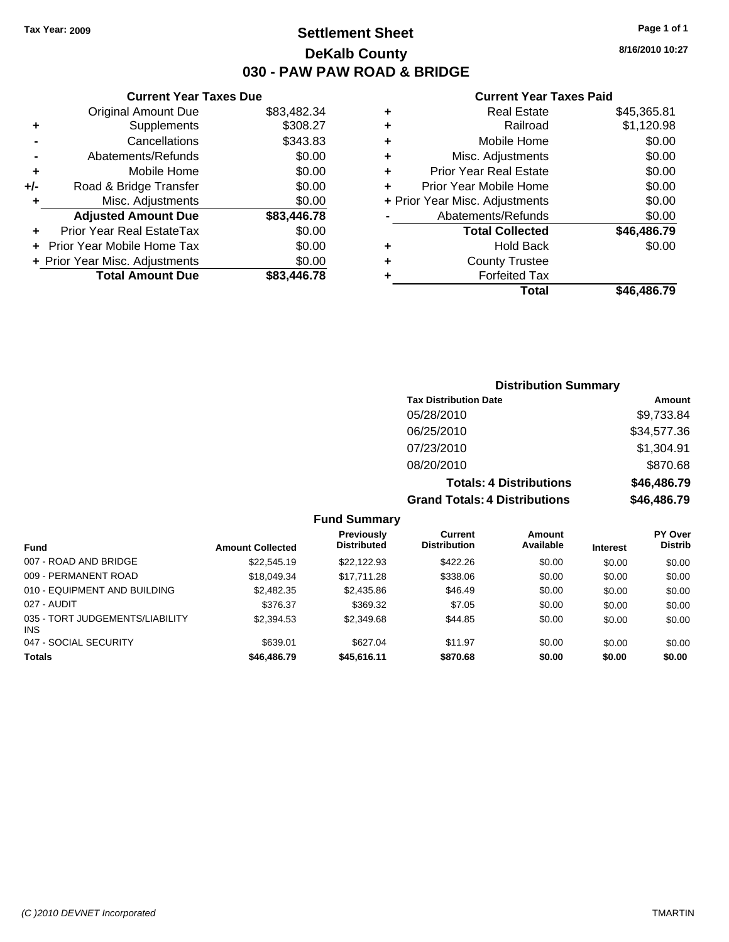**8/16/2010 10:27**

## **Current Year Taxes Paid**

| ٠ | <b>Real Estate</b>             | \$45,365.81 |
|---|--------------------------------|-------------|
| ٠ | Railroad                       | \$1,120.98  |
| ٠ | Mobile Home                    | \$0.00      |
| ٠ | Misc. Adjustments              | \$0.00      |
| ٠ | <b>Prior Year Real Estate</b>  | \$0.00      |
| ÷ | Prior Year Mobile Home         | \$0.00      |
|   | + Prior Year Misc. Adjustments | \$0.00      |
|   | Abatements/Refunds             | \$0.00      |
|   | <b>Total Collected</b>         | \$46,486.79 |
| ٠ | <b>Hold Back</b>               | \$0.00      |
| ÷ | <b>County Trustee</b>          |             |
| ÷ | <b>Forfeited Tax</b>           |             |
|   | Total                          | \$46.486.79 |

## **Current Year Taxes Due** Original Amount Due \$83,482.34 **+** Supplements \$308.27 **-** Cancellations \$343.83 **-** Abatements/Refunds \$0.00 **+** Mobile Home \$0.00 **+/-** Road & Bridge Transfer \$0.00 **+** Misc. Adjustments \$0.00 **Adjusted Amount Due \$83,446.78 +** Prior Year Real EstateTax \$0.00 **+** Prior Year Mobile Home Tax \$0.00 **+ Prior Year Misc. Adjustments**  $$0.00$ **Total Amount Due \$83,446.78**

## **Distribution Summary**

| <b>Tax Distribution Date</b>         | Amount      |
|--------------------------------------|-------------|
| 05/28/2010                           | \$9,733.84  |
| 06/25/2010                           | \$34,577.36 |
| 07/23/2010                           | \$1,304.91  |
| 08/20/2010                           | \$870.68    |
| <b>Totals: 4 Distributions</b>       | \$46,486.79 |
| <b>Grand Totals: 4 Distributions</b> | \$46,486.79 |

#### **Fund Summary**

| <b>Fund</b>                                   | <b>Amount Collected</b> | Previously<br><b>Distributed</b> | Current<br><b>Distribution</b> | Amount<br>Available | <b>Interest</b> | <b>PY Over</b><br><b>Distrib</b> |
|-----------------------------------------------|-------------------------|----------------------------------|--------------------------------|---------------------|-----------------|----------------------------------|
| 007 - ROAD AND BRIDGE                         |                         |                                  |                                |                     |                 |                                  |
|                                               | \$22,545.19             | \$22.122.93                      | \$422.26                       | \$0.00              | \$0.00          | \$0.00                           |
| 009 - PERMANENT ROAD                          | \$18,049.34             | \$17.711.28                      | \$338.06                       | \$0.00              | \$0.00          | \$0.00                           |
| 010 - EQUIPMENT AND BUILDING                  | \$2,482.35              | \$2,435.86                       | \$46.49                        | \$0.00              | \$0.00          | \$0.00                           |
| 027 - AUDIT                                   | \$376.37                | \$369.32                         | \$7.05                         | \$0.00              | \$0.00          | \$0.00                           |
| 035 - TORT JUDGEMENTS/LIABILITY<br><b>INS</b> | \$2,394.53              | \$2,349.68                       | \$44.85                        | \$0.00              | \$0.00          | \$0.00                           |
| 047 - SOCIAL SECURITY                         | \$639.01                | \$627.04                         | \$11.97                        | \$0.00              | \$0.00          | \$0.00                           |
| <b>Totals</b>                                 | \$46,486.79             | \$45,616.11                      | \$870.68                       | \$0.00              | \$0.00          | \$0.00                           |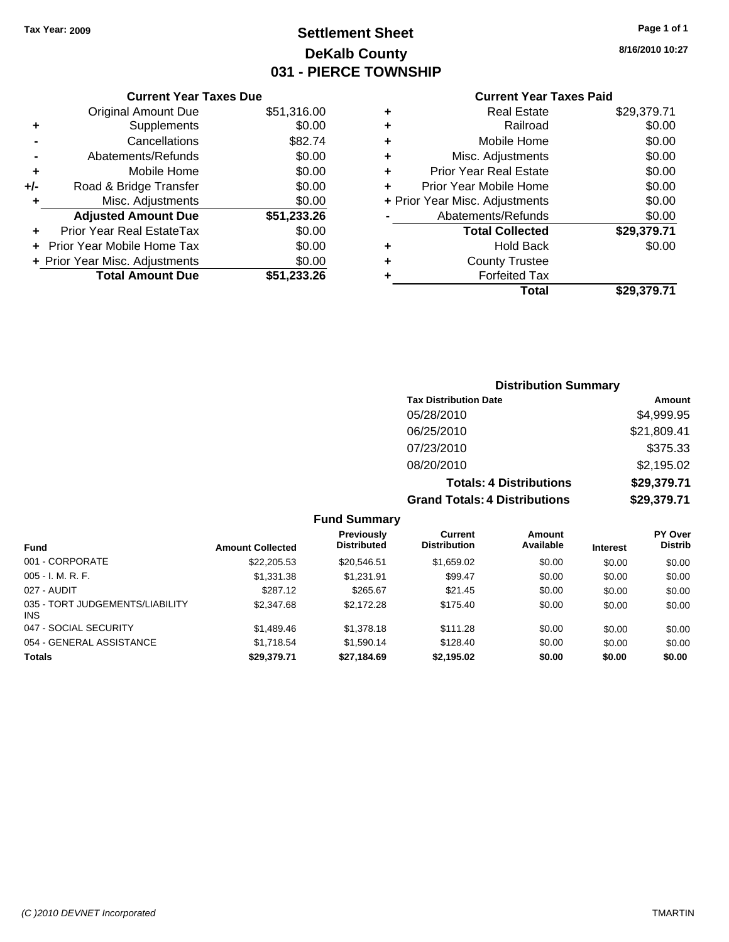## **Settlement Sheet Tax Year: 2009 Page 1 of 1 DeKalb County 031 - PIERCE TOWNSHIP**

**8/16/2010 10:27**

## **Current Year Taxes Paid**

|                |                                |             |   | Total                          | \$29,379.71 |
|----------------|--------------------------------|-------------|---|--------------------------------|-------------|
|                | <b>Total Amount Due</b>        | \$51,233.26 |   | <b>Forfeited Tax</b>           |             |
|                | + Prior Year Misc. Adjustments | \$0.00      | ٠ | <b>County Trustee</b>          |             |
|                | + Prior Year Mobile Home Tax   | \$0.00      | ٠ | <b>Hold Back</b>               | \$0.00      |
| ÷              | Prior Year Real EstateTax      | \$0.00      |   | <b>Total Collected</b>         | \$29,379.71 |
|                | <b>Adjusted Amount Due</b>     | \$51,233.26 |   | Abatements/Refunds             | \$0.00      |
| ٠              | Misc. Adjustments              | \$0.00      |   | + Prior Year Misc. Adjustments | \$0.00      |
| /-             | Road & Bridge Transfer         | \$0.00      |   | Prior Year Mobile Home         | \$0.00      |
| ٠              | Mobile Home                    | \$0.00      |   | <b>Prior Year Real Estate</b>  | \$0.00      |
| $\blacksquare$ | Abatements/Refunds             | \$0.00      | ٠ | Misc. Adjustments              | \$0.00      |
| $\blacksquare$ | Cancellations                  | \$82.74     | ٠ | Mobile Home                    | \$0.00      |
| ٠              | Supplements                    | \$0.00      | ٠ | Railroad                       | \$0.00      |
|                | <b>Original Amount Due</b>     | \$51,316.00 | ٠ | <b>Real Estate</b>             | \$29,379.71 |
|                |                                |             |   |                                |             |

## **-** Abatements/Refunds \$ **+** Mobile Home \$0.00 **+/-** Road & Bridge Transfer \$0.00 **+** Misc. Adjustments Adjusted Amount Due \$51,23 **+** Prior Year Real EstateTax \$0.00 **+ Prior Year Mobile Home Tax**  $\sqrt{$}$ **+ Prior Year Misc. Adjustments** \$ **Total Amount Due \$51,23**

**Current Year Taxes Due**

## **Distribution Summary Tax Distribution Date Amount** 05/28/2010 \$4,999.95 06/25/2010 \$21,809.41 07/23/2010 \$375.33 08/20/2010 \$2,195.02 **Totals: 4 Distributions \$29,379.71 Grand Totals: 4 Distributions \$29,379.71**

#### **Fund Summary**

| <b>Fund</b>                                   | <b>Amount Collected</b> | Previously<br><b>Distributed</b> | Current<br><b>Distribution</b> | Amount<br>Available | <b>Interest</b> | <b>PY Over</b><br><b>Distrib</b> |
|-----------------------------------------------|-------------------------|----------------------------------|--------------------------------|---------------------|-----------------|----------------------------------|
| 001 - CORPORATE                               | \$22,205.53             | \$20,546.51                      | \$1,659.02                     | \$0.00              | \$0.00          | \$0.00                           |
| $005 - I. M. R. F.$                           | \$1,331,38              | \$1.231.91                       | \$99.47                        | \$0.00              | \$0.00          | \$0.00                           |
| 027 - AUDIT                                   | \$287.12                | \$265.67                         | \$21.45                        | \$0.00              | \$0.00          | \$0.00                           |
| 035 - TORT JUDGEMENTS/LIABILITY<br><b>INS</b> | \$2,347.68              | \$2,172.28                       | \$175.40                       | \$0.00              | \$0.00          | \$0.00                           |
| 047 - SOCIAL SECURITY                         | \$1,489.46              | \$1,378.18                       | \$111.28                       | \$0.00              | \$0.00          | \$0.00                           |
| 054 - GENERAL ASSISTANCE                      | \$1.718.54              | \$1.590.14                       | \$128.40                       | \$0.00              | \$0.00          | \$0.00                           |
| <b>Totals</b>                                 | \$29,379.71             | \$27,184.69                      | \$2,195.02                     | \$0.00              | \$0.00          | \$0.00                           |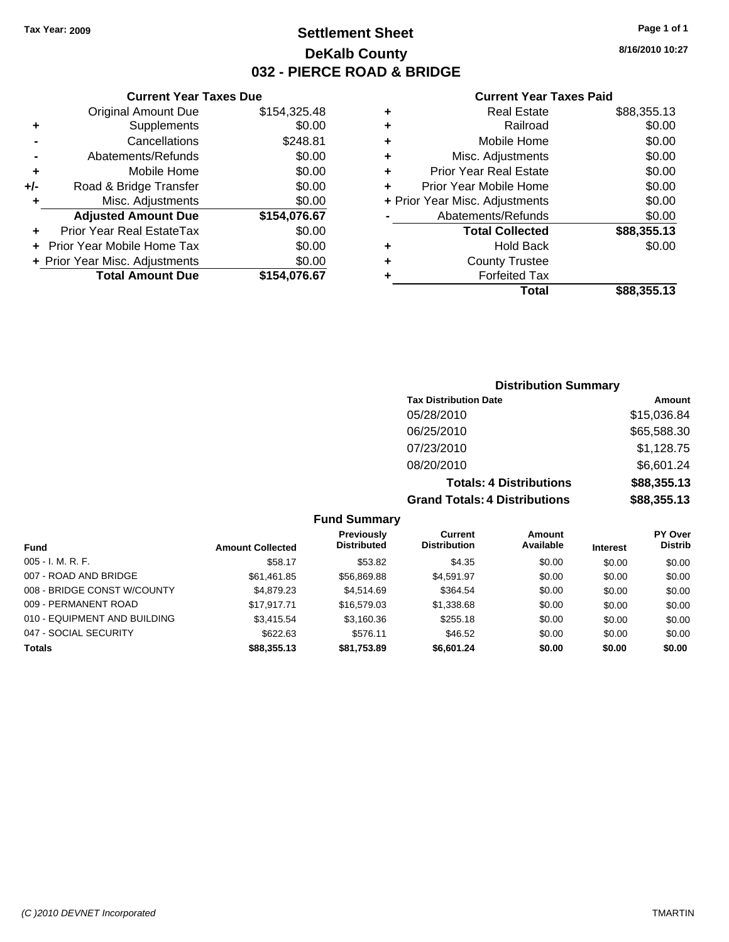## **Settlement Sheet Tax Year: 2009 Page 1 of 1 DeKalb County 032 - PIERCE ROAD & BRIDGE**

## **Current Year Taxes Due**

| <b>Original Amount Due</b> | \$154,325.48                   |
|----------------------------|--------------------------------|
| Supplements                | \$0.00                         |
| Cancellations              | \$248.81                       |
| Abatements/Refunds         | \$0.00                         |
| Mobile Home                | \$0.00                         |
| Road & Bridge Transfer     | \$0.00                         |
| Misc. Adjustments          | \$0.00                         |
| <b>Adjusted Amount Due</b> | \$154,076.67                   |
| Prior Year Real EstateTax  | \$0.00                         |
| Prior Year Mobile Home Tax | \$0.00                         |
|                            | \$0.00                         |
| <b>Total Amount Due</b>    | \$154,076.67                   |
|                            | + Prior Year Misc. Adjustments |

## **Current Year Taxes Paid**

|   | <b>Real Estate</b>             | \$88,355.13 |
|---|--------------------------------|-------------|
| ٠ | Railroad                       | \$0.00      |
| ٠ | Mobile Home                    | \$0.00      |
| ٠ | Misc. Adjustments              | \$0.00      |
| ٠ | <b>Prior Year Real Estate</b>  | \$0.00      |
| ٠ | Prior Year Mobile Home         | \$0.00      |
|   | + Prior Year Misc. Adjustments | \$0.00      |
|   | Abatements/Refunds             | \$0.00      |
|   | <b>Total Collected</b>         | \$88,355.13 |
| ٠ | <b>Hold Back</b>               | \$0.00      |
| ٠ | <b>County Trustee</b>          |             |
| ٠ | <b>Forfeited Tax</b>           |             |
|   | Total                          | \$88,355.13 |
|   |                                |             |

# **Distribution Summary**

| <b>Tax Distribution Date</b>         | <b>Amount</b> |
|--------------------------------------|---------------|
| 05/28/2010                           | \$15,036.84   |
| 06/25/2010                           | \$65,588.30   |
| 07/23/2010                           | \$1,128.75    |
| 08/20/2010                           | \$6,601.24    |
| <b>Totals: 4 Distributions</b>       | \$88,355.13   |
| <b>Grand Totals: 4 Distributions</b> | \$88,355.13   |

## **Fund Summary**

|                              |                         | <b>Previously</b>  | Current             | Amount    |                 | <b>PY Over</b> |
|------------------------------|-------------------------|--------------------|---------------------|-----------|-----------------|----------------|
| <b>Fund</b>                  | <b>Amount Collected</b> | <b>Distributed</b> | <b>Distribution</b> | Available | <b>Interest</b> | <b>Distrib</b> |
| $005 - I. M. R. F.$          | \$58.17                 | \$53.82            | \$4.35              | \$0.00    | \$0.00          | \$0.00         |
| 007 - ROAD AND BRIDGE        | \$61,461.85             | \$56,869.88        | \$4,591.97          | \$0.00    | \$0.00          | \$0.00         |
| 008 - BRIDGE CONST W/COUNTY  | \$4,879.23              | \$4.514.69         | \$364.54            | \$0.00    | \$0.00          | \$0.00         |
| 009 - PERMANENT ROAD         | \$17.917.71             | \$16,579.03        | \$1,338.68          | \$0.00    | \$0.00          | \$0.00         |
| 010 - EQUIPMENT AND BUILDING | \$3,415.54              | \$3,160.36         | \$255.18            | \$0.00    | \$0.00          | \$0.00         |
| 047 - SOCIAL SECURITY        | \$622.63                | \$576.11           | \$46.52             | \$0.00    | \$0.00          | \$0.00         |
| <b>Totals</b>                | \$88,355.13             | \$81,753.89        | \$6,601.24          | \$0.00    | \$0.00          | \$0.00         |

**8/16/2010 10:27**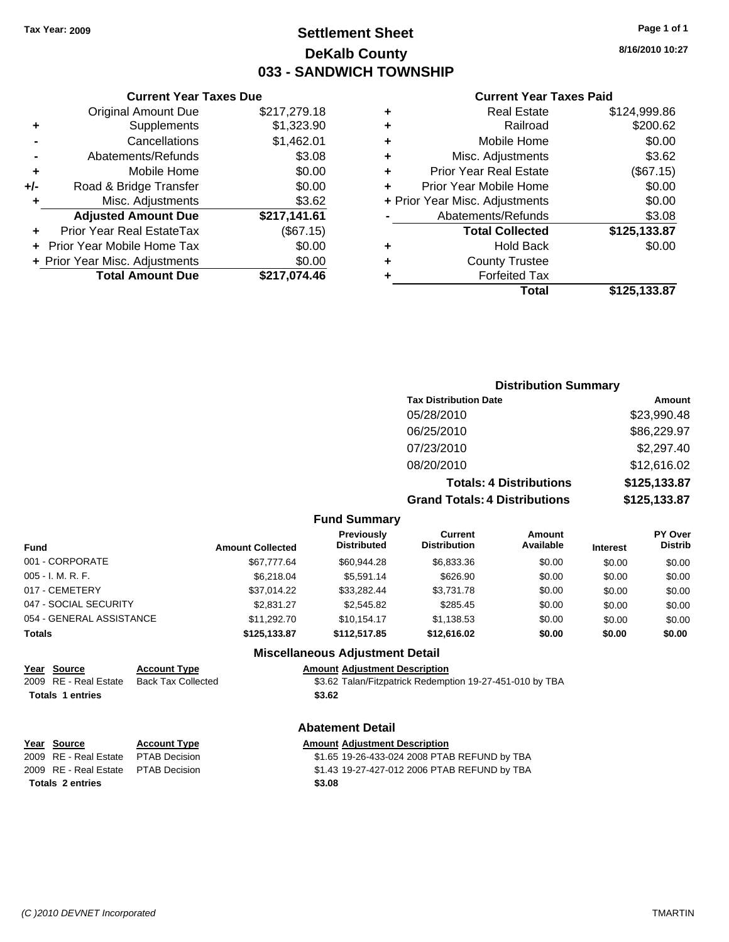## **Settlement Sheet Tax Year: 2009 Page 1 of 1 DeKalb County 033 - SANDWICH TOWNSHIP**

**8/16/2010 10:27**

#### **Current Year Taxes Paid**

|                |   | Total                          | \$125,133.87 |
|----------------|---|--------------------------------|--------------|
|                |   | <b>Forfeited Tax</b>           |              |
| $\frac{10}{6}$ | ٠ | <b>County Trustee</b>          |              |
| 0              | ٠ | <b>Hold Back</b>               | \$0.00       |
| 5)             |   | <b>Total Collected</b>         | \$125,133.87 |
|                |   | Abatements/Refunds             | \$3.08       |
| $\frac{12}{1}$ |   | + Prior Year Misc. Adjustments | \$0.00       |
| 0              |   | Prior Year Mobile Home         | \$0.00       |
| 0              | ٠ | <b>Prior Year Real Estate</b>  | (\$67.15)    |
| 18             | ٠ | Misc. Adjustments              | \$3.62       |
| 11             | ٠ | Mobile Home                    | \$0.00       |
| 0              | ٠ | Railroad                       | \$200.62     |
| 8              | ٠ | <b>Real Estate</b>             | \$124,999.86 |
|                |   |                                |              |

# **Current Year Taxes Due** Original Amount Due \$217,279.1

|     | Supplements                    | \$1,323.90   |
|-----|--------------------------------|--------------|
|     | Cancellations                  | \$1,462.01   |
|     | Abatements/Refunds             | \$3.08       |
| ÷   | Mobile Home                    | \$0.00       |
| +/- | Road & Bridge Transfer         | \$0.00       |
| ٠   | Misc. Adjustments              | \$3.62       |
|     | <b>Adjusted Amount Due</b>     | \$217,141.61 |
|     | Prior Year Real EstateTax      | (\$67.15)    |
|     | Prior Year Mobile Home Tax     | \$0.00       |
|     | + Prior Year Misc. Adjustments | \$0.00       |
|     | <b>Total Amount Due</b>        | \$217,074.46 |

## **Distribution Summary**

| <b>Tax Distribution Date</b>         | Amount       |
|--------------------------------------|--------------|
| 05/28/2010                           | \$23,990.48  |
| 06/25/2010                           | \$86,229.97  |
| 07/23/2010                           | \$2,297.40   |
| 08/20/2010                           | \$12,616.02  |
| <b>Totals: 4 Distributions</b>       | \$125,133.87 |
| <b>Grand Totals: 4 Distributions</b> | \$125,133.87 |

**Fund Summary**

| <b>Fund</b>              | <b>Amount Collected</b> | <b>Previously</b><br><b>Distributed</b> | Current<br><b>Distribution</b> | <b>Amount</b><br>Available | <b>Interest</b> | PY Over<br><b>Distrib</b> |
|--------------------------|-------------------------|-----------------------------------------|--------------------------------|----------------------------|-----------------|---------------------------|
| 001 - CORPORATE          | \$67,777.64             | \$60.944.28                             | \$6,833,36                     | \$0.00                     | \$0.00          | \$0.00                    |
| 005 - I. M. R. F.        | \$6,218,04              | \$5.591.14                              | \$626.90                       | \$0.00                     | \$0.00          | \$0.00                    |
| 017 - CEMETERY           | \$37.014.22             | \$33.282.44                             | \$3,731.78                     | \$0.00                     | \$0.00          | \$0.00                    |
| 047 - SOCIAL SECURITY    | \$2,831.27              | \$2,545.82                              | \$285.45                       | \$0.00                     | \$0.00          | \$0.00                    |
| 054 - GENERAL ASSISTANCE | \$11.292.70             | \$10.154.17                             | \$1,138.53                     | \$0.00                     | \$0.00          | \$0.00                    |
| Totals                   | \$125,133.87            | \$112,517.85                            | \$12,616.02                    | \$0.00                     | \$0.00          | \$0.00                    |

#### **Miscellaneous Adjustment Detail**

#### **Year Source Account Type Amount Adjustment Description**

2009 RE - Real Estate Back Tax Collected \$3.62 Talan/Fitzpatrick Redemption 19-27-451-010 by TBA Totals 1 entries \$3.62

#### **Abatement Detail**

#### **Year Source Account Type Amount Adjustment Description** 2009 RE - Real Estate \$1.65 19-26-433-024 2008 PTAB REFUND by TBA PTAB Decision 2009 RE - Real Estate \$1.43 19-27-427-012 2006 PTAB REFUND by TBA PTAB Decision **Totals \$3.08 2 entries**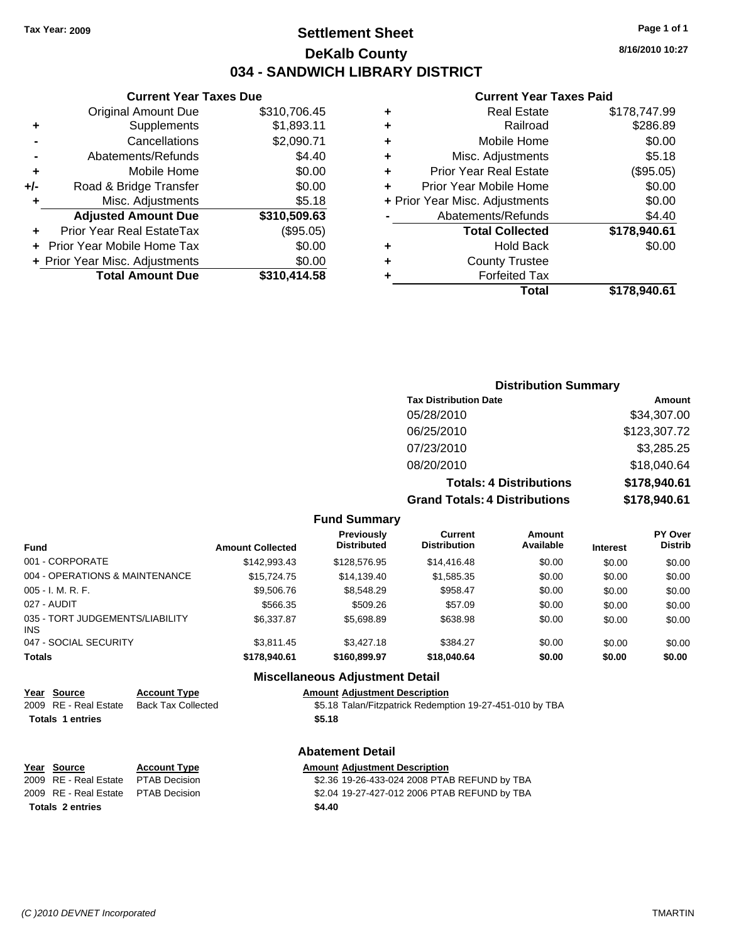## **Settlement Sheet Tax Year: 2009 Page 1 of 1 DeKalb County 034 - SANDWICH LIBRARY DISTRICT**

**8/16/2010 10:27**

## **Current Year Taxes Paid**

|     | <b>Current Year Taxes Due</b>  |              |  |  |  |  |
|-----|--------------------------------|--------------|--|--|--|--|
|     | <b>Original Amount Due</b>     | \$310,706.45 |  |  |  |  |
| ٠   | \$1,893.11<br>Supplements      |              |  |  |  |  |
|     | Cancellations                  | \$2,090.71   |  |  |  |  |
|     | Abatements/Refunds             | \$4.40       |  |  |  |  |
| ٠   | Mobile Home                    | \$0.00       |  |  |  |  |
| +/- | Road & Bridge Transfer         | \$0.00       |  |  |  |  |
| ٠   | Misc. Adjustments              | \$5.18       |  |  |  |  |
|     | <b>Adjusted Amount Due</b>     | \$310,509.63 |  |  |  |  |
| ÷   | Prior Year Real EstateTax      | (\$95.05)    |  |  |  |  |
|     | Prior Year Mobile Home Tax     | \$0.00       |  |  |  |  |
|     | + Prior Year Misc. Adjustments | \$0.00       |  |  |  |  |
|     | <b>Total Amount Due</b>        | \$310,414.58 |  |  |  |  |
|     |                                |              |  |  |  |  |

| ٠ | <b>Real Estate</b>             | \$178,747.99 |
|---|--------------------------------|--------------|
| ٠ | Railroad                       | \$286.89     |
| ٠ | Mobile Home                    | \$0.00       |
| ٠ | Misc. Adjustments              | \$5.18       |
| ٠ | <b>Prior Year Real Estate</b>  | (\$95.05)    |
| ÷ | Prior Year Mobile Home         | \$0.00       |
|   | + Prior Year Misc. Adjustments | \$0.00       |
|   | Abatements/Refunds             | \$4.40       |
|   | <b>Total Collected</b>         | \$178,940.61 |
| ٠ | <b>Hold Back</b>               | \$0.00       |
| ٠ | <b>County Trustee</b>          |              |
| ٠ | <b>Forfeited Tax</b>           |              |
|   | Total                          | \$178,940.61 |
|   |                                |              |

## **Distribution Summary Tax Distribution Date Amount**

| <b>Grand Totals: 4 Distributions</b> | \$178,940.61 |
|--------------------------------------|--------------|
| <b>Totals: 4 Distributions</b>       | \$178,940.61 |
| 08/20/2010                           | \$18,040.64  |
| 07/23/2010                           | \$3,285.25   |
| 06/25/2010                           | \$123,307.72 |
| 05/28/2010                           | \$34,307.00  |
| TAN DISTINGUOTI DATE                 | anvun        |

**Fund Summary**

| Fund                                   | <b>Amount Collected</b> | Previously<br><b>Distributed</b> | Current<br><b>Distribution</b> | Amount<br>Available | <b>Interest</b> | <b>PY Over</b><br><b>Distrib</b> |
|----------------------------------------|-------------------------|----------------------------------|--------------------------------|---------------------|-----------------|----------------------------------|
| 001 - CORPORATE                        | \$142,993.43            | \$128,576.95                     | \$14,416.48                    | \$0.00              | \$0.00          | \$0.00                           |
| 004 - OPERATIONS & MAINTENANCE         | \$15,724.75             | \$14.139.40                      | \$1,585.35                     | \$0.00              | \$0.00          | \$0.00                           |
| 005 - I. M. R. F.                      | \$9,506.76              | \$8,548,29                       | \$958.47                       | \$0.00              | \$0.00          | \$0.00                           |
| 027 - AUDIT                            | \$566.35                | \$509.26                         | \$57.09                        | \$0.00              | \$0.00          | \$0.00                           |
| 035 - TORT JUDGEMENTS/LIABILITY<br>INS | \$6,337.87              | \$5,698.89                       | \$638.98                       | \$0.00              | \$0.00          | \$0.00                           |
| 047 - SOCIAL SECURITY                  | \$3.811.45              | \$3,427.18                       | \$384.27                       | \$0.00              | \$0.00          | \$0.00                           |
| Totals                                 | \$178,940.61            | \$160,899.97                     | \$18,040.64                    | \$0.00              | \$0.00          | \$0.00                           |

## **Miscellaneous Adjustment Detail**

| Year Source           | <b>Account Type</b> | <b>Amount Adiustment Description</b> |
|-----------------------|---------------------|--------------------------------------|
| 2009 RE - Real Estate | Back Tax Collected  | \$5.18 Talan/Fitzpatrick Redemp      |

**Totals \$5.18 1 entries**

\$5.18 Talan/Fitzpatrick Redemption 19-27-451-010 by TBA

|                                     |                     | <b>Abatement Detail</b>              |
|-------------------------------------|---------------------|--------------------------------------|
| Year Source                         | <b>Account Type</b> | <b>Amount Adiustment Description</b> |
| 2009 RE - Real Estate PTAB Decision |                     | \$2.36 19-26-433-024 2008 PTA        |

## **Abatement Detail**

| $\frac{1 \text{ cal}}{2 \text{ OULCE}}$ | ACCOUNT TYPE | <b>Allivulit Aujustinent Description</b>     |
|-----------------------------------------|--------------|----------------------------------------------|
| 2009 RE - Real Estate PTAB Decision     |              | \$2.36 19-26-433-024 2008 PTAB REFUND by TBA |
| 2009 RE - Real Estate PTAB Decision     |              | \$2.04 19-27-427-012 2006 PTAB REFUND by TBA |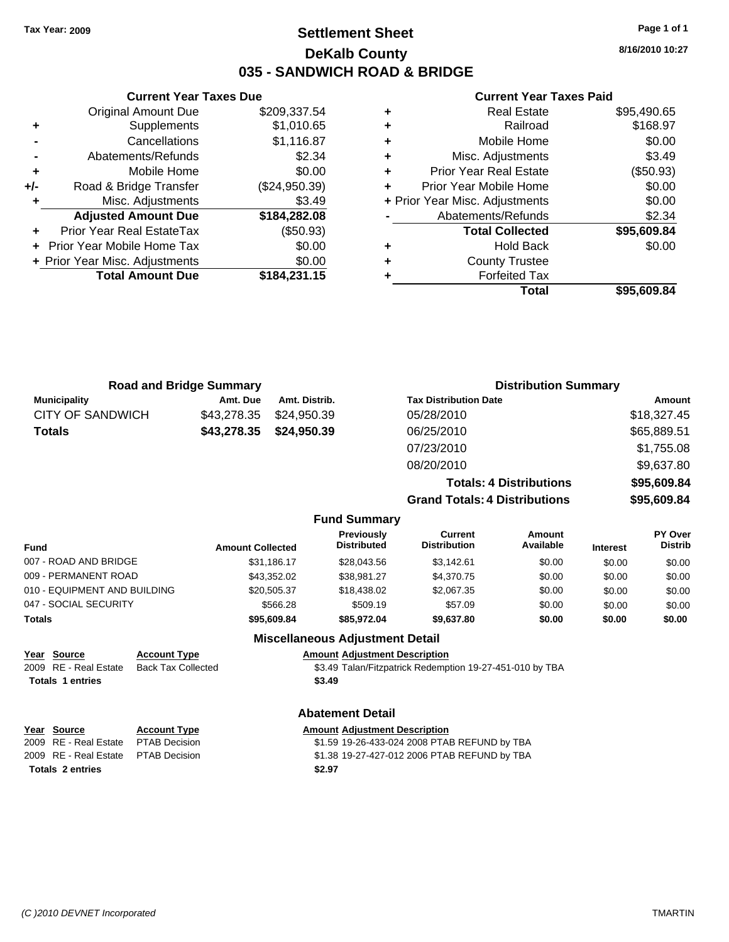### **Settlement Sheet Tax Year: 2009 Page 1 of 1 DeKalb County 035 - SANDWICH ROAD & BRIDGE**

**8/16/2010 10:27**

#### **Current Year Taxes Paid**

| Total                          | \$95,609.84 |
|--------------------------------|-------------|
| <b>Forfeited Tax</b>           |             |
| <b>County Trustee</b>          |             |
| Hold Back                      | \$0.00      |
| <b>Total Collected</b>         | \$95,609.84 |
| Abatements/Refunds             | \$2.34      |
| + Prior Year Misc. Adjustments | \$0.00      |
| Prior Year Mobile Home         | \$0.00      |
| <b>Prior Year Real Estate</b>  | (\$50.93)   |
| Misc. Adjustments              | \$3.49      |
| Mobile Home                    | \$0.00      |
| Railroad                       | \$168.97    |
| <b>Real Estate</b>             | \$95,490.65 |
|                                |             |

|     | <b>Current Year Taxes Due</b>  |               |
|-----|--------------------------------|---------------|
|     | <b>Original Amount Due</b>     | \$209,337.54  |
| ٠   | Supplements                    | \$1,010.65    |
|     | Cancellations                  | \$1,116.87    |
|     | Abatements/Refunds             | \$2.34        |
| ٠   | Mobile Home                    | \$0.00        |
| +/- | Road & Bridge Transfer         | (\$24,950.39) |
| ٠   | Misc. Adjustments              | \$3.49        |
|     | <b>Adjusted Amount Due</b>     | \$184,282.08  |
|     | Prior Year Real EstateTax      | (\$50.93)     |
|     | Prior Year Mobile Home Tax     | \$0.00        |
|     | + Prior Year Misc. Adjustments | \$0.00        |
|     | <b>Total Amount Due</b>        | \$184,231.15  |
|     |                                |               |

| <b>Road and Bridge Summary</b> |  |                                                                                                 |                                             |                                                               |                                                                                                                                                                                                             |                             |
|--------------------------------|--|-------------------------------------------------------------------------------------------------|---------------------------------------------|---------------------------------------------------------------|-------------------------------------------------------------------------------------------------------------------------------------------------------------------------------------------------------------|-----------------------------|
| Amt. Due                       |  |                                                                                                 |                                             |                                                               |                                                                                                                                                                                                             | Amount                      |
| \$43,278.35                    |  |                                                                                                 | 05/28/2010                                  |                                                               |                                                                                                                                                                                                             | \$18,327.45                 |
| \$43,278.35                    |  |                                                                                                 | 06/25/2010                                  |                                                               |                                                                                                                                                                                                             | \$65,889.51                 |
|                                |  |                                                                                                 | 07/23/2010                                  |                                                               |                                                                                                                                                                                                             | \$1,755.08                  |
|                                |  |                                                                                                 | 08/20/2010                                  |                                                               |                                                                                                                                                                                                             | \$9,637.80                  |
|                                |  |                                                                                                 |                                             |                                                               |                                                                                                                                                                                                             | \$95,609.84                 |
|                                |  |                                                                                                 |                                             |                                                               |                                                                                                                                                                                                             | \$95,609.84                 |
|                                |  |                                                                                                 |                                             |                                                               |                                                                                                                                                                                                             |                             |
|                                |  | <b>Previously</b><br><b>Distributed</b>                                                         |                                             | Amount<br>Available                                           | <b>Interest</b>                                                                                                                                                                                             | PY Over<br><b>Distrib</b>   |
|                                |  | \$28,043.56                                                                                     |                                             | \$0.00                                                        | \$0.00                                                                                                                                                                                                      | \$0.00                      |
|                                |  | \$38,981.27                                                                                     |                                             | \$0.00                                                        | \$0.00                                                                                                                                                                                                      | \$0.00                      |
|                                |  | \$18,438.02                                                                                     |                                             | \$0.00                                                        | \$0.00                                                                                                                                                                                                      | \$0.00                      |
|                                |  | \$509.19                                                                                        |                                             | \$0.00                                                        | \$0.00                                                                                                                                                                                                      | \$0.00                      |
|                                |  | \$85,972.04                                                                                     |                                             | \$0.00                                                        | \$0.00                                                                                                                                                                                                      | \$0.00                      |
|                                |  |                                                                                                 |                                             |                                                               |                                                                                                                                                                                                             |                             |
|                                |  | <b>Amount Collected</b><br>\$31,186.17<br>\$43,352.02<br>\$20,505.37<br>\$566.28<br>\$95,609.84 | Amt. Distrib.<br>\$24,950.39<br>\$24,950.39 | <b>Fund Summary</b><br><b>Miscellaneous Adjustment Detail</b> | <b>Tax Distribution Date</b><br><b>Totals: 4 Distributions</b><br><b>Grand Totals: 4 Distributions</b><br>Current<br><b>Distribution</b><br>\$3,142.61<br>\$4,370.75<br>\$2,067.35<br>\$57.09<br>\$9,637.80 | <b>Distribution Summary</b> |

**Year Source Account Type Amount Adjustment Description**<br>
2009 RE - Real Estate Back Tax Collected \$3.49 Talan/Fitzpatrick Redemp \$3.49 Talan/Fitzpatrick Redemption 19-27-451-010 by TBA **Totals 1 entries** \$3.49

#### **Abatement Detail**

| Year Source                          | <b>Account Type</b> | <b>Amount Adjustment Description</b>         |
|--------------------------------------|---------------------|----------------------------------------------|
| 2009 RE - Real Estate  PTAB Decision |                     | \$1.59 19-26-433-024 2008 PTAB REFUND by TBA |
| 2009 RE - Real Estate  PTAB Decision |                     | \$1.38 19-27-427-012 2006 PTAB REFUND by TBA |
| <b>Totals 2 entries</b>              |                     | \$2.97                                       |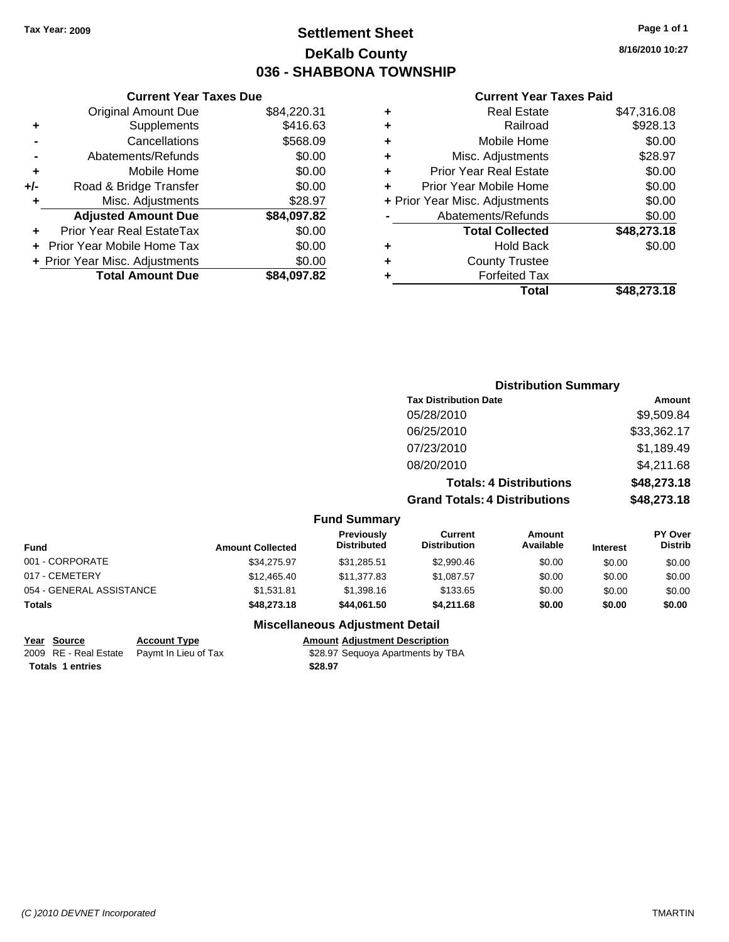### **Settlement Sheet Tax Year: 2009 Page 1 of 1 DeKalb County 036 - SHABBONA TOWNSHIP**

**8/16/2010 10:27**

#### **Current Year Taxes Paid**

|     | OGNOM TOGET GAOS DUC           |             |
|-----|--------------------------------|-------------|
|     | <b>Original Amount Due</b>     | \$84,220.31 |
| ٠   | Supplements                    | \$416.63    |
|     | Cancellations                  | \$568.09    |
|     | Abatements/Refunds             | \$0.00      |
| ٠   | Mobile Home                    | \$0.00      |
| +/- | Road & Bridge Transfer         | \$0.00      |
| ٠   | Misc. Adjustments              | \$28.97     |
|     | <b>Adjusted Amount Due</b>     | \$84,097.82 |
|     | Prior Year Real EstateTax      | \$0.00      |
|     | Prior Year Mobile Home Tax     | \$0.00      |
|     | + Prior Year Misc. Adjustments | \$0.00      |
|     | <b>Total Amount Due</b>        | \$84,097.82 |
|     |                                |             |

**Current Year Taxes Due**

| ٠ | <b>Real Estate</b>             | \$47,316.08 |
|---|--------------------------------|-------------|
| ٠ | Railroad                       | \$928.13    |
| ÷ | Mobile Home                    | \$0.00      |
| ٠ | Misc. Adjustments              | \$28.97     |
| ٠ | <b>Prior Year Real Estate</b>  | \$0.00      |
| ÷ | Prior Year Mobile Home         | \$0.00      |
|   | + Prior Year Misc. Adjustments | \$0.00      |
|   | Abatements/Refunds             | \$0.00      |
|   | <b>Total Collected</b>         | \$48,273.18 |
| ٠ | Hold Back                      | \$0.00      |
| ٠ | <b>County Trustee</b>          |             |
| ٠ | <b>Forfeited Tax</b>           |             |
|   | Total                          | \$48,273.18 |

#### **Distribution Summary Tax Distribution Date Amount** 05/28/2010 \$9,509.84 06/25/2010 \$33,362.17 07/23/2010 \$1,189.49 08/20/2010 \$4,211.68 **Totals: 4 Distributions \$48,273.18 Grand Totals: 4 Distributions \$48,273.18 Fund Summary Fund Interest Amount Collected Distributed PY Over Distrib Amount Available Current Distribution Previously** 001 - CORPORATE \$34,275.97 \$31,285.51 \$2,990.46 \$0.00 \$0.00 \$0.00 017 - CEMETERY \$12,465.40 \$11,377.83 \$1,087.57 \$0.00 \$0.00 \$0.00

### **Miscellaneous Adjustment Detail**

### **Year Source Account Type Amount Adjustment Description**

054 - GENERAL ASSISTANCE \$1,531.81 \$1,398.16 \$1,398.16 \$0.00 \$0.00 \$0.00 \$0.00 **Totals \$48,273.18 \$44,061.50 \$4,211.68 \$0.00 \$0.00 \$0.00**

**Totals \$28.97 1 entries**

2009 RE - Real Estate Paymt In Lieu of Tax \$28.97 Sequoya Apartments by TBA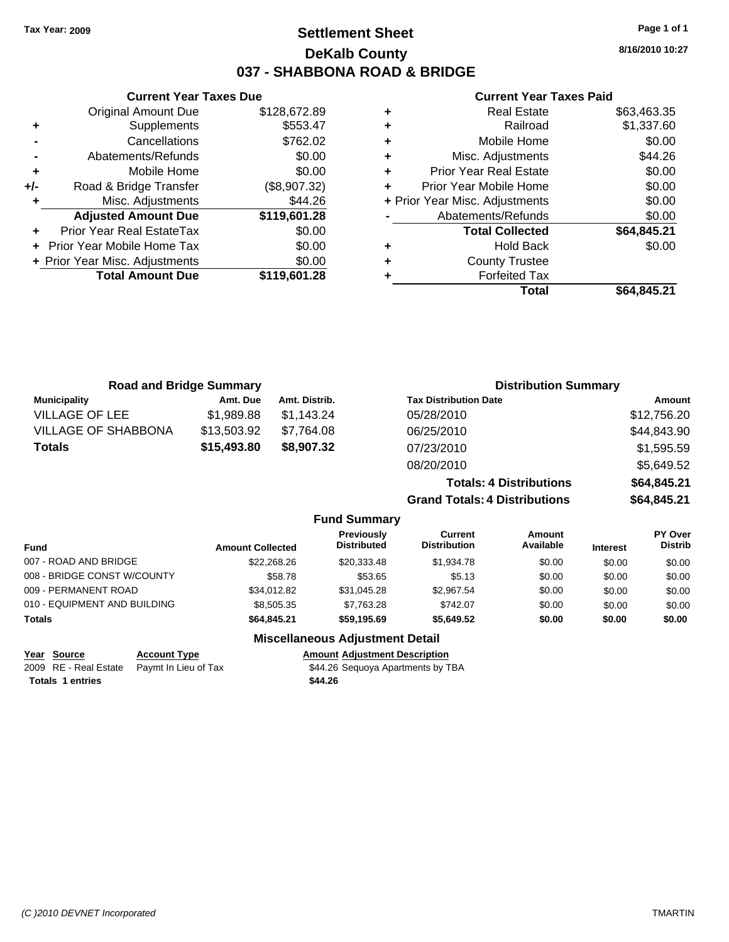**Current Year Taxes Due** Original Amount Due \$128,672.89

**Adjusted Amount Due \$119,601.28**

**Total Amount Due \$119,601.28**

**+** Supplements \$553.47 **-** Cancellations \$762.02 **-** Abatements/Refunds \$0.00 **+** Mobile Home \$0.00 **+/-** Road & Bridge Transfer (\$8,907.32) **+** Misc. Adjustments \$44.26

**+** Prior Year Real EstateTax \$0.00 **+** Prior Year Mobile Home Tax \$0.00 **+ Prior Year Misc. Adjustments**  $$0.00$ 

### **Settlement Sheet Tax Year: 2009 Page 1 of 1 DeKalb County 037 - SHABBONA ROAD & BRIDGE**

**8/16/2010 10:27**

#### **Current Year Taxes Paid**

| <b>Road and Bridge Summary</b> |             |                     | <b>Distribution Summary</b>          |             |
|--------------------------------|-------------|---------------------|--------------------------------------|-------------|
| <b>Municipality</b>            | Amt. Due    | Amt. Distrib.       | <b>Tax Distribution Date</b>         | Amount      |
| <b>VILLAGE OF LEE</b>          | \$1,989.88  | \$1,143.24          | 05/28/2010                           | \$12,756.20 |
| <b>VILLAGE OF SHABBONA</b>     | \$13,503.92 | \$7,764.08          | 06/25/2010                           | \$44,843.90 |
| <b>Totals</b>                  | \$15,493.80 | \$8,907.32          | 07/23/2010                           | \$1,595.59  |
|                                |             |                     | 08/20/2010                           | \$5,649.52  |
|                                |             |                     | <b>Totals: 4 Distributions</b>       | \$64,845.21 |
|                                |             |                     | <b>Grand Totals: 4 Distributions</b> | \$64,845.21 |
|                                |             | <b>Fund Summary</b> |                                      |             |

|                              |                         | <u>. and Januar</u>              |                                |                     |                 |                                  |
|------------------------------|-------------------------|----------------------------------|--------------------------------|---------------------|-----------------|----------------------------------|
| <b>Fund</b>                  | <b>Amount Collected</b> | Previously<br><b>Distributed</b> | Current<br><b>Distribution</b> | Amount<br>Available | <b>Interest</b> | <b>PY Over</b><br><b>Distrib</b> |
| 007 - ROAD AND BRIDGE        | \$22,268.26             | \$20.333.48                      | \$1,934.78                     | \$0.00              | \$0.00          | \$0.00                           |
| 008 - BRIDGE CONST W/COUNTY  | \$58.78                 | \$53.65                          | \$5.13                         | \$0.00              | \$0.00          | \$0.00                           |
| 009 - PERMANENT ROAD         | \$34,012.82             | \$31,045.28                      | \$2,967.54                     | \$0.00              | \$0.00          | \$0.00                           |
| 010 - EQUIPMENT AND BUILDING | \$8,505.35              | \$7,763.28                       | \$742.07                       | \$0.00              | \$0.00          | \$0.00                           |
| <b>Totals</b>                | \$64.845.21             | \$59,195.69                      | \$5,649.52                     | \$0.00              | \$0.00          | \$0.00                           |
|                              | ---                     |                                  |                                |                     |                 |                                  |

| <u>Year Source</u>      | <b>Account Type</b>                        | <b>Amount Adjustment Description</b> |
|-------------------------|--------------------------------------------|--------------------------------------|
|                         | 2009 RE - Real Estate Pavmt In Lieu of Tax | \$44.26 Sequoya Apartments by TBA    |
| <b>Totals 1 entries</b> |                                            | \$44.26                              |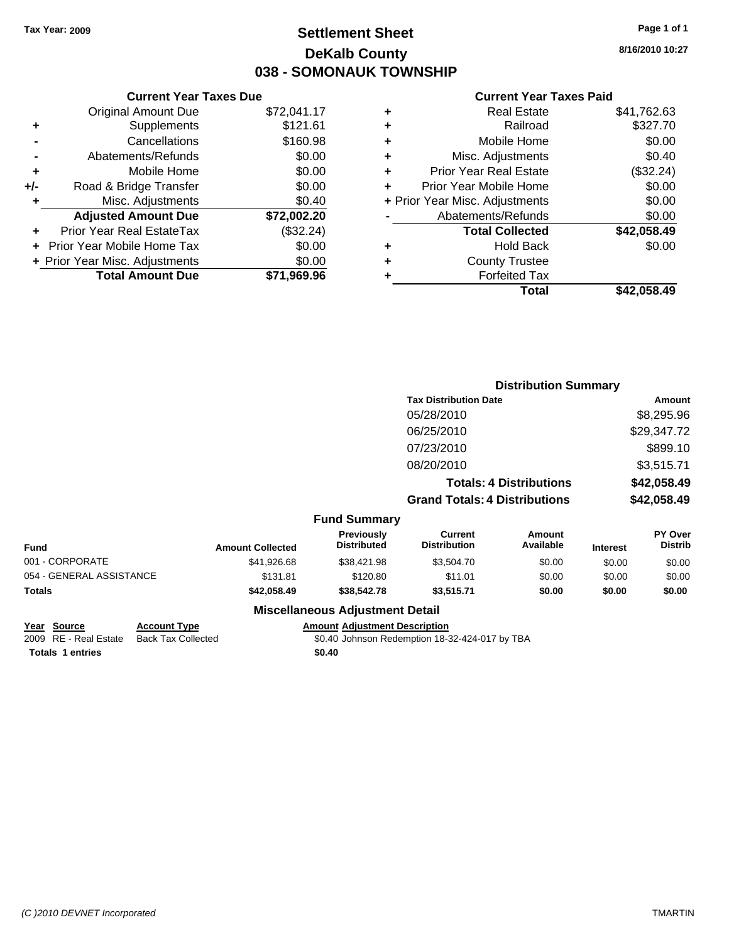### **Settlement Sheet Tax Year: 2009 Page 1 of 1 DeKalb County 038 - SOMONAUK TOWNSHIP**

**8/16/2010 10:27**

\$42,058.49

### **Current Year Taxes Paid**

| \$72,041.17 | ٠ | <b>Real Estate</b>             | \$41,762.63 |
|-------------|---|--------------------------------|-------------|
| \$121.61    | ٠ | Railroad                       | \$327.70    |
| \$160.98    | ٠ | Mobile Home                    | \$0.00      |
| \$0.00      | ٠ | Misc. Adjustments              | \$0.40      |
| \$0.00      | ٠ | <b>Prior Year Real Estate</b>  | (\$32.24)   |
| \$0.00      | ÷ | Prior Year Mobile Home         | \$0.00      |
| \$0.40      |   | + Prior Year Misc. Adjustments | \$0.00      |
| \$72,002.20 |   | Abatements/Refunds             | \$0.00      |
| (\$32.24)   |   | <b>Total Collected</b>         | \$42,058.49 |
| \$0.00      | ٠ | <b>Hold Back</b>               | \$0.00      |
| \$0.00      | ٠ | <b>County Trustee</b>          |             |
| \$71,969.96 |   | <b>Forfeited Tax</b>           |             |
|             |   | Total                          | \$42.058.49 |

|     | <b>Current Year Taxes Due</b>  |             |
|-----|--------------------------------|-------------|
|     | Original Amount Due            | \$72,041.17 |
| ٠   | Supplements                    | \$121.61    |
|     | Cancellations                  | \$160.98    |
|     | Abatements/Refunds             | \$0.00      |
| ٠   | Mobile Home                    | \$0.00      |
| +/- | Road & Bridge Transfer         | \$0.00      |
|     | Misc. Adjustments              | \$0.40      |
|     | <b>Adjusted Amount Due</b>     | \$72,002.20 |
|     | Prior Year Real EstateTax      | (\$32.24)   |
|     | Prior Year Mobile Home Tax     | \$0.00      |
|     | + Prior Year Misc. Adjustments | \$0.00      |
|     | <b>Total Amount Due</b>        | \$71,969.96 |
|     |                                |             |

|                     | <b>Distribution Summary</b>          |             |
|---------------------|--------------------------------------|-------------|
|                     | <b>Tax Distribution Date</b>         | Amount      |
|                     | 05/28/2010                           | \$8,295.96  |
|                     | 06/25/2010                           | \$29,347.72 |
|                     | 07/23/2010                           | \$899.10    |
|                     | 08/20/2010                           | \$3,515.71  |
|                     | <b>Totals: 4 Distributions</b>       | \$42,058.49 |
|                     | <b>Grand Totals: 4 Distributions</b> | \$42,058.49 |
| <b>Fund Summary</b> |                                      |             |

| Fund                     | <b>Amount Collected</b> | <b>Previously</b><br><b>Distributed</b> | Current<br><b>Distribution</b> | Amount<br>Available | <b>Interest</b> | <b>PY Over</b><br><b>Distrib</b> |
|--------------------------|-------------------------|-----------------------------------------|--------------------------------|---------------------|-----------------|----------------------------------|
| 001 - CORPORATE          | \$41,926.68             | \$38,421.98                             | \$3,504.70                     | \$0.00              | \$0.00          | \$0.00                           |
| 054 - GENERAL ASSISTANCE | \$131.81                | \$120.80                                | \$11.01                        | \$0.00              | \$0.00          | \$0.00                           |
| Totals                   | \$42,058,49             | \$38,542.78                             | \$3.515.71                     | \$0.00              | \$0.00          | \$0.00                           |
|                          |                         |                                         |                                |                     |                 |                                  |

### **Miscellaneous Adjustment Detail**

### **Year Source Account Type Amount Adjustment Description**

2009 RE - Real Estate Back Tax Collected \$0.40 Johnson Redemption 18-32-424-017 by TBA **Totals 1 entries** \$0.40

*(C )2010 DEVNET Incorporated* TMARTIN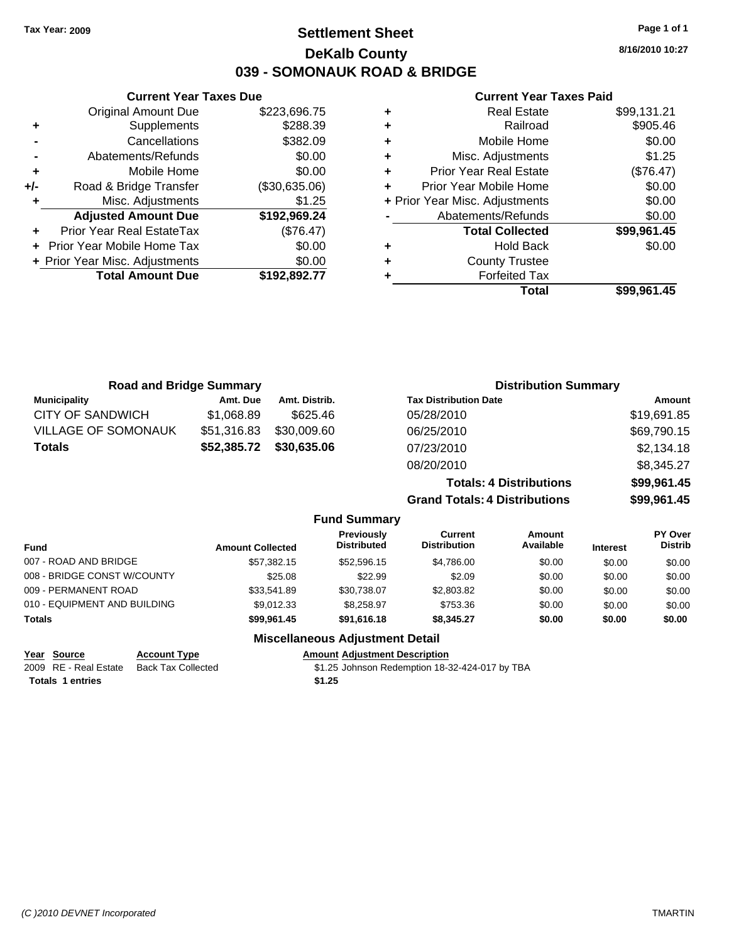### **Settlement Sheet Tax Year: 2009 Page 1 of 1 DeKalb County 039 - SOMONAUK ROAD & BRIDGE**

**8/16/2010 10:27**

#### **Current Year Taxes Paid**

| ٠ | <b>Real Estate</b>             | \$99,131.21 |
|---|--------------------------------|-------------|
| ٠ | Railroad                       | \$905.46    |
| ٠ | Mobile Home                    | \$0.00      |
| ٠ | Misc. Adjustments              | \$1.25      |
| ÷ | <b>Prior Year Real Estate</b>  | (\$76.47)   |
| ÷ | Prior Year Mobile Home         | \$0.00      |
|   | + Prior Year Misc. Adjustments | \$0.00      |
|   | Abatements/Refunds             | \$0.00      |
|   | <b>Total Collected</b>         | \$99,961.45 |
| ٠ | Hold Back                      | \$0.00      |
| ٠ | <b>County Trustee</b>          |             |
|   | <b>Forfeited Tax</b>           |             |
|   | Total                          | \$99.961.45 |

|     | <b>Current Year Taxes Due</b>  |               |  |  |  |  |
|-----|--------------------------------|---------------|--|--|--|--|
|     | <b>Original Amount Due</b>     | \$223,696.75  |  |  |  |  |
| ٠   | Supplements                    | \$288.39      |  |  |  |  |
|     | Cancellations                  | \$382.09      |  |  |  |  |
|     | Abatements/Refunds             | \$0.00        |  |  |  |  |
| ٠   | Mobile Home                    | \$0.00        |  |  |  |  |
| +/- | Road & Bridge Transfer         | (\$30,635.06) |  |  |  |  |
| ٠   | Misc. Adjustments              | \$1.25        |  |  |  |  |
|     | <b>Adjusted Amount Due</b>     | \$192,969.24  |  |  |  |  |
|     | Prior Year Real EstateTax      | (\$76.47)     |  |  |  |  |
|     | Prior Year Mobile Home Tax     | \$0.00        |  |  |  |  |
|     | + Prior Year Misc. Adjustments | \$0.00        |  |  |  |  |
|     | <b>Total Amount Due</b>        | \$192,892.77  |  |  |  |  |
|     |                                |               |  |  |  |  |

| <b>Road and Bridge Summary</b> |                         |               |                                         |                                       | <b>Distribution Summary</b>    |                 |                                  |
|--------------------------------|-------------------------|---------------|-----------------------------------------|---------------------------------------|--------------------------------|-----------------|----------------------------------|
| <b>Municipality</b>            | Amt. Due                | Amt. Distrib. |                                         | <b>Tax Distribution Date</b>          |                                |                 | Amount                           |
| <b>CITY OF SANDWICH</b>        | \$1,068.89              | \$625.46      |                                         | 05/28/2010                            |                                |                 | \$19,691.85                      |
| <b>VILLAGE OF SOMONAUK</b>     | \$51,316.83             | \$30,009.60   |                                         | 06/25/2010                            |                                |                 | \$69,790.15                      |
| <b>Totals</b>                  | \$52,385.72             | \$30,635.06   |                                         | 07/23/2010                            |                                |                 | \$2,134.18                       |
|                                |                         |               |                                         | 08/20/2010                            |                                |                 | \$8,345.27                       |
|                                |                         |               |                                         |                                       | <b>Totals: 4 Distributions</b> |                 | \$99,961.45                      |
|                                |                         |               |                                         | <b>Grand Totals: 4 Distributions</b>  |                                |                 | \$99,961.45                      |
|                                |                         |               | <b>Fund Summary</b>                     |                                       |                                |                 |                                  |
| Fund                           | <b>Amount Collected</b> |               | <b>Previously</b><br><b>Distributed</b> | <b>Current</b><br><b>Distribution</b> | Amount<br>Available            | <b>Interest</b> | <b>PY Over</b><br><b>Distrib</b> |
| 007 - ROAD AND BRIDGE          |                         | \$57.382.15   | \$52,596.15                             | \$4.786.00                            | \$0.00                         | \$0.00          | \$0.00                           |

| <b>Miscellaneous Adjustment Detail</b> |             |             |            |        |        |        |  |
|----------------------------------------|-------------|-------------|------------|--------|--------|--------|--|
| <b>Totals</b>                          | \$99.961.45 | \$91.616.18 | \$8.345.27 | \$0.00 | \$0.00 | \$0.00 |  |
| 010 - EQUIPMENT AND BUILDING           | \$9.012.33  | \$8.258.97  | \$753.36   | \$0.00 | \$0.00 | \$0.00 |  |
| 009 - PERMANENT ROAD                   | \$33.541.89 | \$30,738.07 | \$2,803.82 | \$0.00 | \$0.00 | \$0.00 |  |
| 008 - BRIDGE CONST W/COUNTY            | \$25.08     | \$22.99     | \$2.09     | \$0.00 | \$0.00 | \$0.00 |  |

### **Year Source Account Type Amount Adjustment Description** 2009 RE - Real Estate Back Tax Collected \$1.25 Johnson Redemption 18-32-424-017 by TBA Totals 1 entries \$1.25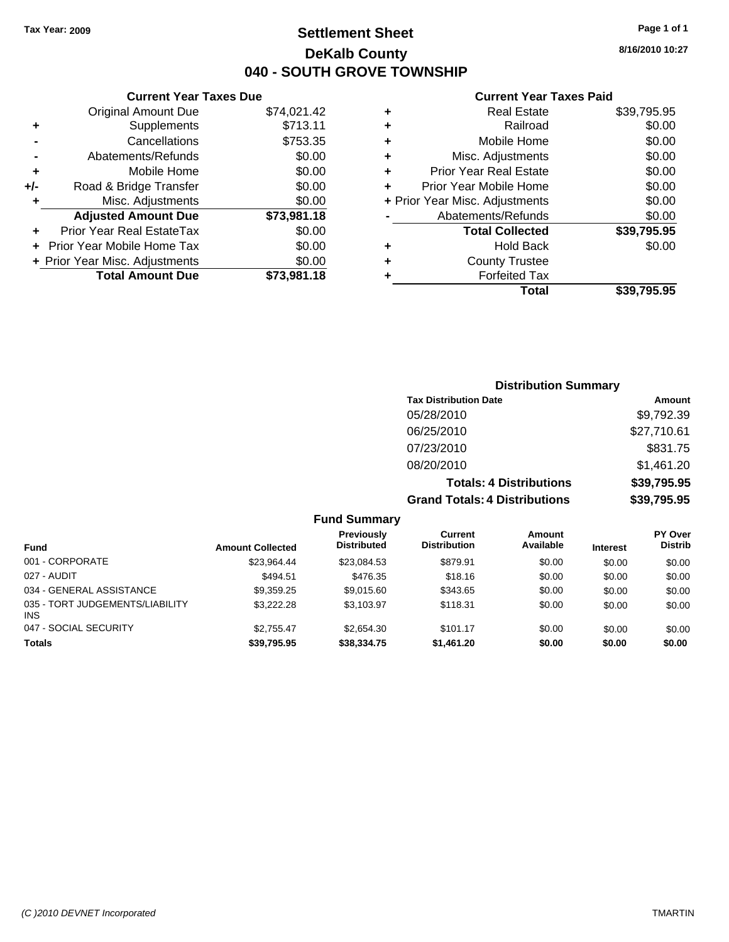Original Amount Due

**Adjusted Amount Due** 

**Total Amount Due** 

**+** Supplements **-** Cancellations **-** Abatements/Refunds **+** Mobile Home **+/-** Road & Bridge Transfer **+** Misc. Adjustments

**+** Prior Year Real EstateTax \$0.00 **+** Prior Year Mobile Home Tax **+ Prior Year Misc. Adjustments** 

### **Settlement Sheet Tax Year: 2009 Page 1 of 1 DeKalb County 040 - SOUTH GROVE TOWNSHIP**

**8/16/2010 10:27**

### **Current Year Taxes Paid**

| <b>Current Year Taxes Due</b> |             |   | <b>Current Year Taxes Paid</b> |             |
|-------------------------------|-------------|---|--------------------------------|-------------|
| ıl Amount Due                 | \$74,021.42 | ٠ | <b>Real Estate</b>             | \$39,795.95 |
| Supplements                   | \$713.11    | ٠ | Railroad                       | \$0.00      |
| Cancellations                 | \$753.35    | ÷ | Mobile Home                    | \$0.00      |
| าents/Refunds                 | \$0.00      | ٠ | Misc. Adjustments              | \$0.00      |
| Mobile Home                   | \$0.00      | ÷ | <b>Prior Year Real Estate</b>  | \$0.00      |
| ridge Transfer                | \$0.00      | ÷ | Prior Year Mobile Home         | \$0.00      |
| . Adjustments                 | \$0.00      |   | + Prior Year Misc. Adjustments | \$0.00      |
| <b>Amount Due</b>             | \$73,981.18 |   | Abatements/Refunds             | \$0.00      |
| eal EstateTax                 | \$0.00      |   | <b>Total Collected</b>         | \$39,795.95 |
| pile Home Tax                 | \$0.00      | ÷ | <b>Hold Back</b>               | \$0.00      |
| . Adjustments                 | \$0.00      | ٠ | <b>County Trustee</b>          |             |
| <b>Amount Due</b>             | \$73,981.18 |   | <b>Forfeited Tax</b>           |             |
|                               |             |   | Total                          | \$39,795.95 |

# **Distribution Summary**

| <b>Tax Distribution Date</b>         | Amount      |
|--------------------------------------|-------------|
| 05/28/2010                           | \$9,792.39  |
| 06/25/2010                           | \$27,710.61 |
| 07/23/2010                           | \$831.75    |
| 08/20/2010                           | \$1,461.20  |
| <b>Totals: 4 Distributions</b>       | \$39,795.95 |
| <b>Grand Totals: 4 Distributions</b> | \$39,795.95 |

**Fund Summary**

| <b>Fund</b>                                   | <b>Amount Collected</b> | <b>Previously</b><br><b>Distributed</b> | Current<br><b>Distribution</b> | Amount<br>Available | <b>Interest</b> | <b>PY Over</b><br><b>Distrib</b> |
|-----------------------------------------------|-------------------------|-----------------------------------------|--------------------------------|---------------------|-----------------|----------------------------------|
| 001 - CORPORATE                               | \$23.964.44             | \$23.084.53                             | \$879.91                       | \$0.00              | \$0.00          | \$0.00                           |
| 027 - AUDIT                                   | \$494.51                | \$476.35                                | \$18.16                        | \$0.00              | \$0.00          | \$0.00                           |
| 034 - GENERAL ASSISTANCE                      | \$9,359.25              | \$9.015.60                              | \$343.65                       | \$0.00              | \$0.00          | \$0.00                           |
| 035 - TORT JUDGEMENTS/LIABILITY<br><b>INS</b> | \$3.222.28              | \$3.103.97                              | \$118.31                       | \$0.00              | \$0.00          | \$0.00                           |
| 047 - SOCIAL SECURITY                         | \$2,755.47              | \$2,654.30                              | \$101.17                       | \$0.00              | \$0.00          | \$0.00                           |
| <b>Totals</b>                                 | \$39,795.95             | \$38,334,75                             | \$1,461.20                     | \$0.00              | \$0.00          | \$0.00                           |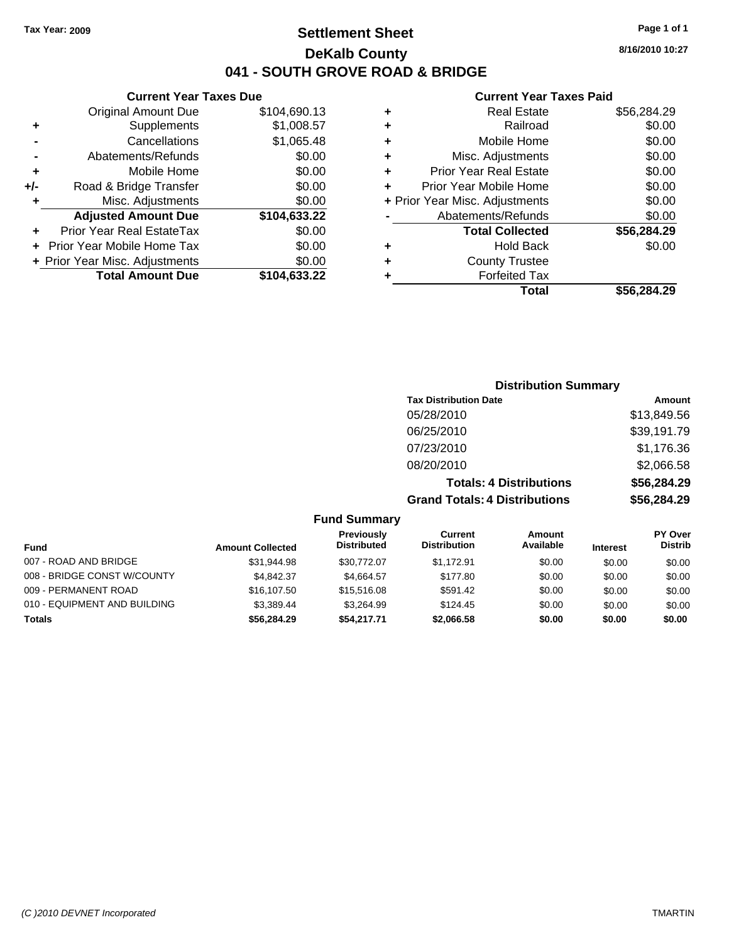### **Settlement Sheet Tax Year: 2009 Page 1 of 1 DeKalb County 041 - SOUTH GROVE ROAD & BRIDGE**

### **Current Year Taxes Due**

|     | <b>Original Amount Due</b>       | \$104,690.13 |
|-----|----------------------------------|--------------|
| ٠   | Supplements                      | \$1,008.57   |
|     | Cancellations                    | \$1,065.48   |
|     | Abatements/Refunds               | \$0.00       |
| ٠   | Mobile Home                      | \$0.00       |
| +/- | Road & Bridge Transfer           | \$0.00       |
| ٠   | Misc. Adjustments                | \$0.00       |
|     | <b>Adjusted Amount Due</b>       | \$104,633.22 |
|     | <b>Prior Year Real EstateTax</b> | \$0.00       |
|     | Prior Year Mobile Home Tax       | \$0.00       |
|     | + Prior Year Misc. Adjustments   | \$0.00       |
|     | <b>Total Amount Due</b>          | \$104,633.22 |
|     |                                  |              |

#### **Current Year Taxes Paid**

|   | <b>Real Estate</b>             | \$56,284.29 |
|---|--------------------------------|-------------|
| ٠ | Railroad                       | \$0.00      |
| ٠ | Mobile Home                    | \$0.00      |
| ٠ | Misc. Adjustments              | \$0.00      |
| ٠ | <b>Prior Year Real Estate</b>  | \$0.00      |
|   | Prior Year Mobile Home         | \$0.00      |
|   | + Prior Year Misc. Adjustments | \$0.00      |
|   | Abatements/Refunds             | \$0.00      |
|   | <b>Total Collected</b>         | \$56,284.29 |
| ٠ | <b>Hold Back</b>               | \$0.00      |
| ٠ | <b>County Trustee</b>          |             |
| ٠ | <b>Forfeited Tax</b>           |             |
|   | Total                          | \$56,284.29 |
|   |                                |             |

# **Distribution Summary Tax Distribution Date Amount**<br>05/28/2010 **12:38:49 13:849 13:849 14:49**  $$13.8/0.56$

|                             |                         |                                         | <u>UJIZOIZUTU</u>                     |                                |                 | <b>JIJ,049.JU</b>         |
|-----------------------------|-------------------------|-----------------------------------------|---------------------------------------|--------------------------------|-----------------|---------------------------|
|                             |                         |                                         | 06/25/2010                            |                                |                 | \$39,191.79               |
|                             |                         |                                         | 07/23/2010                            |                                |                 | \$1,176.36                |
|                             |                         |                                         | 08/20/2010                            |                                |                 | \$2,066.58                |
|                             |                         |                                         |                                       | <b>Totals: 4 Distributions</b> |                 | \$56,284.29               |
|                             |                         |                                         | <b>Grand Totals: 4 Distributions</b>  |                                |                 | \$56,284.29               |
|                             |                         | <b>Fund Summary</b>                     |                                       |                                |                 |                           |
| Fund                        | <b>Amount Collected</b> | <b>Previously</b><br><b>Distributed</b> | <b>Current</b><br><b>Distribution</b> | Amount<br>Available            | <b>Interest</b> | PY Over<br><b>Distrib</b> |
| 007 - ROAD AND BRIDGE       | \$31,944.98             | \$30,772.07                             | \$1.172.91                            | \$0.00                         | \$0.00          | \$0.00                    |
| 008 - BRIDGE CONST W/COUNTY | \$4.842.37              | \$4.664.57                              | \$177.80                              | \$0.00                         | \$0.00          | \$0.00                    |

009 - PERMANENT ROAD \$16,107.50 \$15,516.08 \$591.42 \$0.00 \$0.00 \$0.00 010 - EQUIPMENT AND BUILDING \$3,389.44 \$3,264.99 \$124.45 \$0.00 \$0.00 \$0.00 \$0.00 **Totals \$56,284.29 \$54,217.71 \$2,066.58 \$0.00 \$0.00 \$0.00**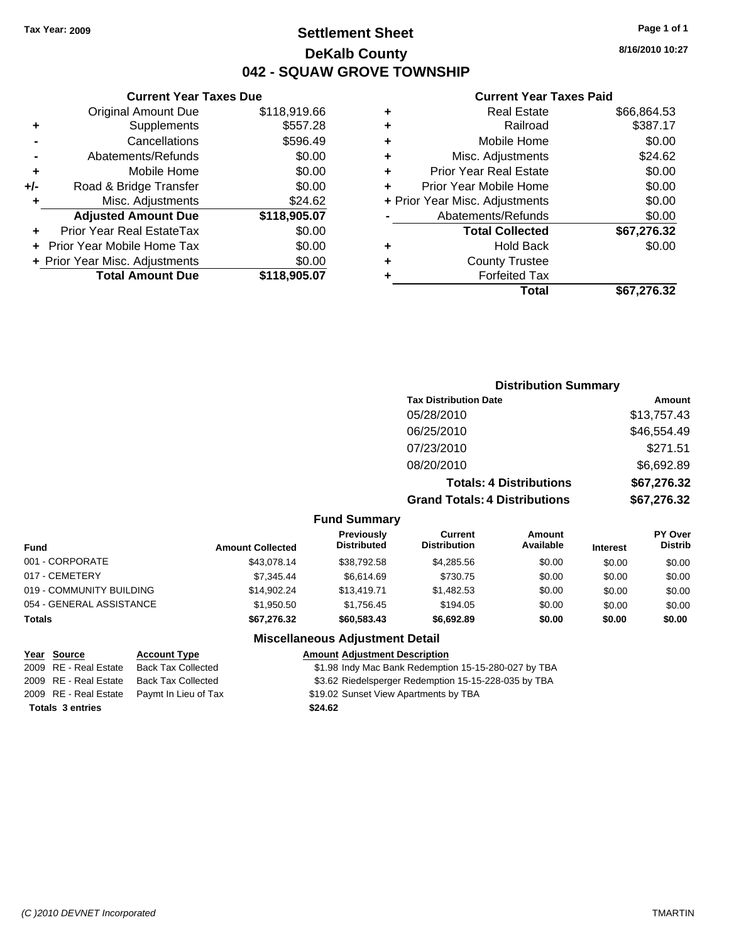### **Settlement Sheet Tax Year: 2009 Page 1 of 1 DeKalb County 042 - SQUAW GROVE TOWNSHIP**

**Current Year Taxes Paid**

| ٠ | <b>Real Estate</b>             | \$66,864.53 |
|---|--------------------------------|-------------|
| ÷ | Railroad                       | \$387.17    |
| ٠ | Mobile Home                    | \$0.00      |
| ٠ | Misc. Adjustments              | \$24.62     |
| ٠ | <b>Prior Year Real Estate</b>  | \$0.00      |
| ٠ | Prior Year Mobile Home         | \$0.00      |
|   | + Prior Year Misc. Adjustments | \$0.00      |
|   | Abatements/Refunds             | \$0.00      |
|   | <b>Total Collected</b>         | \$67,276.32 |
| ٠ | <b>Hold Back</b>               | \$0.00      |
| ٠ | <b>County Trustee</b>          |             |
|   | <b>Forfeited Tax</b>           |             |
|   | Total                          | \$67,276.32 |
|   |                                |             |

|     | <b>Current Year Taxes Due</b>     |              |
|-----|-----------------------------------|--------------|
|     | <b>Original Amount Due</b>        | \$118,919.66 |
| ٠   | Supplements                       | \$557.28     |
|     | Cancellations                     | \$596.49     |
|     | Abatements/Refunds                | \$0.00       |
| ٠   | Mobile Home                       | \$0.00       |
| +/- | Road & Bridge Transfer            | \$0.00       |
| ٠   | Misc. Adjustments                 | \$24.62      |
|     | <b>Adjusted Amount Due</b>        | \$118,905.07 |
|     | Prior Year Real EstateTax         | \$0.00       |
|     | <b>Prior Year Mobile Home Tax</b> | \$0.00       |
|     | + Prior Year Misc. Adjustments    | \$0.00       |
|     | <b>Total Amount Due</b>           | \$118,905.07 |

| <b>Distribution Summary</b>  |             |  |
|------------------------------|-------------|--|
| <b>Tax Distribution Date</b> | Amount      |  |
| 05/28/2010                   | \$13,757.43 |  |
| 06/25/2010                   | \$46,554.49 |  |
| 07/23/2010                   | \$271.51    |  |
| 08/20/2010                   | \$6,692.89  |  |
|                              |             |  |

| \$67,276.32 |
|-------------|
| \$67,276,32 |
|             |
|             |

| <b>Fund</b>              | <b>Amount Collected</b> | Previously<br><b>Distributed</b> | Current<br><b>Distribution</b> | Amount<br>Available | <b>Interest</b> | <b>PY Over</b><br><b>Distrib</b> |
|--------------------------|-------------------------|----------------------------------|--------------------------------|---------------------|-----------------|----------------------------------|
| 001 - CORPORATE          | \$43.078.14             | \$38.792.58                      | \$4.285.56                     | \$0.00              | \$0.00          | \$0.00                           |
| 017 - CEMETERY           | \$7,345,44              | \$6.614.69                       | \$730.75                       | \$0.00              | \$0.00          | \$0.00                           |
| 019 - COMMUNITY BUILDING | \$14.902.24             | \$13,419.71                      | \$1,482.53                     | \$0.00              | \$0.00          | \$0.00                           |
| 054 - GENERAL ASSISTANCE | \$1,950.50              | \$1.756.45                       | \$194.05                       | \$0.00              | \$0.00          | \$0.00                           |
| <b>Totals</b>            | \$67,276.32             | \$60,583,43                      | \$6.692.89                     | \$0.00              | \$0.00          | \$0.00                           |

**Fund Summary**

| Year Source             | <b>Account Type</b>                        | <b>Amount Adjustment Description</b>                 |
|-------------------------|--------------------------------------------|------------------------------------------------------|
| 2009 RE - Real Estate   | <b>Back Tax Collected</b>                  | \$1.98 Indy Mac Bank Redemption 15-15-280-027 by TBA |
| 2009 RE - Real Estate   | <b>Back Tax Collected</b>                  | \$3.62 Riedelsperger Redemption 15-15-228-035 by TBA |
|                         | 2009 RE - Real Estate Paymt In Lieu of Tax | \$19.02 Sunset View Apartments by TBA                |
| <b>Totals 3 entries</b> |                                            | \$24.62                                              |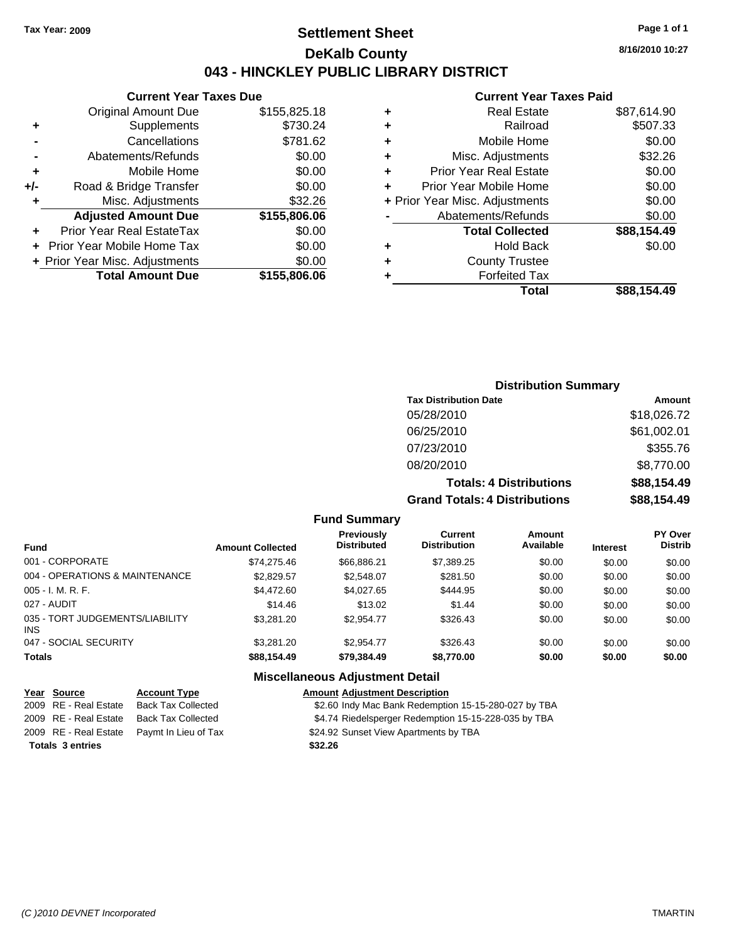### **Settlement Sheet Tax Year: 2009 Page 1 of 1 DeKalb County 043 - HINCKLEY PUBLIC LIBRARY DISTRICT**

**Current Year Taxes Due**

|     | <b>Original Amount Due</b>       | \$155,825.18 |
|-----|----------------------------------|--------------|
| ٠   | Supplements                      | \$730.24     |
|     | Cancellations                    | \$781.62     |
|     | Abatements/Refunds               | \$0.00       |
| ٠   | Mobile Home                      | \$0.00       |
| +/- | Road & Bridge Transfer           | \$0.00       |
| ٠   | Misc. Adjustments                | \$32.26      |
|     | <b>Adjusted Amount Due</b>       | \$155,806.06 |
|     | <b>Prior Year Real EstateTax</b> | \$0.00       |
|     | Prior Year Mobile Home Tax       | \$0.00       |
|     | + Prior Year Misc. Adjustments   | \$0.00       |
|     | <b>Total Amount Due</b>          | \$155,806.06 |
|     |                                  |              |

#### **Current Year Taxes Paid**

| ٠ | <b>Real Estate</b>             | \$87,614.90 |
|---|--------------------------------|-------------|
| ٠ | Railroad                       | \$507.33    |
| ٠ | Mobile Home                    | \$0.00      |
| ٠ | Misc. Adjustments              | \$32.26     |
| ٠ | <b>Prior Year Real Estate</b>  | \$0.00      |
| ٠ | Prior Year Mobile Home         | \$0.00      |
|   | + Prior Year Misc. Adjustments | \$0.00      |
|   | Abatements/Refunds             | \$0.00      |
|   | <b>Total Collected</b>         | \$88,154.49 |
| ٠ | Hold Back                      | \$0.00      |
| ٠ | <b>County Trustee</b>          |             |
| ٠ | <b>Forfeited Tax</b>           |             |
|   | Total                          | \$88,154.49 |
|   |                                |             |

### **Distribution Summary Tax Distribution Date Amount** 05/28/2010 \$18,026.72 06/25/2010 \$61,002.01 07/23/2010 \$355.76 08/20/2010 \$8,770.00 **Totals: 4 Distributions \$88,154.49 Grand Totals: 4 Distributions \$88,154.49**

#### **Fund Summary**

| <b>Fund</b>                            | <b>Amount Collected</b> | <b>Previously</b><br><b>Distributed</b> | Current<br><b>Distribution</b> | Amount<br>Available | <b>Interest</b> | PY Over<br><b>Distrib</b> |
|----------------------------------------|-------------------------|-----------------------------------------|--------------------------------|---------------------|-----------------|---------------------------|
| 001 - CORPORATE                        | \$74.275.46             | \$66.886.21                             | \$7,389.25                     | \$0.00              | \$0.00          | \$0.00                    |
| 004 - OPERATIONS & MAINTENANCE         | \$2.829.57              | \$2,548.07                              | \$281.50                       | \$0.00              | \$0.00          | \$0.00                    |
| 005 - I. M. R. F.                      | \$4,472.60              | \$4,027.65                              | \$444.95                       | \$0.00              | \$0.00          | \$0.00                    |
| 027 - AUDIT                            | \$14.46                 | \$13.02                                 | \$1.44                         | \$0.00              | \$0.00          | \$0.00                    |
| 035 - TORT JUDGEMENTS/LIABILITY<br>INS | \$3,281.20              | \$2.954.77                              | \$326.43                       | \$0.00              | \$0.00          | \$0.00                    |
| 047 - SOCIAL SECURITY                  | \$3,281.20              | \$2.954.77                              | \$326.43                       | \$0.00              | \$0.00          | \$0.00                    |
| <b>Totals</b>                          | \$88,154.49             | \$79,384.49                             | \$8,770.00                     | \$0.00              | \$0.00          | \$0.00                    |

### **Miscellaneous Adjustment Detail**

| Year Source             | <b>Account Type</b>  | <b>Amount Adjustment Description</b>                 |
|-------------------------|----------------------|------------------------------------------------------|
| 2009 RE - Real Estate   | Back Tax Collected   | \$2.60 Indy Mac Bank Redemption 15-15-280-027 by TBA |
| 2009 RE - Real Estate   | Back Tax Collected   | \$4.74 Riedelsperger Redemption 15-15-228-035 by TBA |
| 2009 RE - Real Estate   | Pavmt In Lieu of Tax | \$24.92 Sunset View Apartments by TBA                |
| <b>Totals 3 entries</b> |                      | \$32.26                                              |



**8/16/2010 10:27**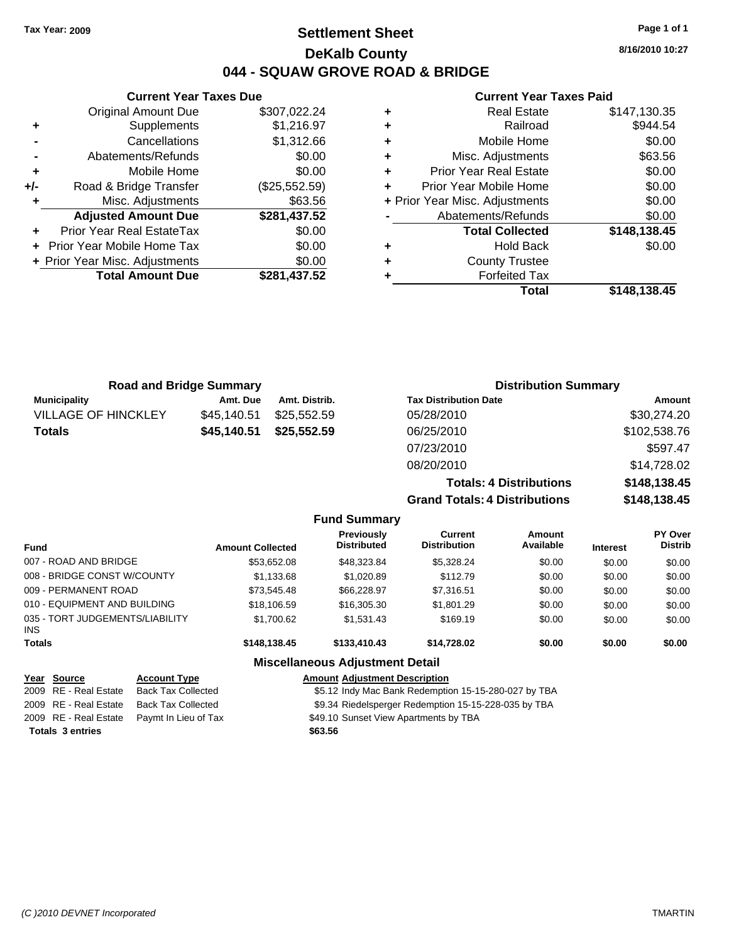### **Settlement Sheet Tax Year: 2009 Page 1 of 1 DeKalb County 044 - SQUAW GROVE ROAD & BRIDGE**

**8/16/2010 10:27**

#### **Current Year Taxes Paid**

|   | <b>Real Estate</b>             | \$147,130.35 |
|---|--------------------------------|--------------|
| ٠ | Railroad                       | \$944.54     |
| ٠ | Mobile Home                    | \$0.00       |
| ٠ | Misc. Adjustments              | \$63.56      |
| ٠ | <b>Prior Year Real Estate</b>  | \$0.00       |
| ÷ | Prior Year Mobile Home         | \$0.00       |
|   | + Prior Year Misc. Adjustments | \$0.00       |
|   | Abatements/Refunds             | \$0.00       |
|   | <b>Total Collected</b>         | \$148,138.45 |
|   | <b>Hold Back</b>               | \$0.00       |
| ٠ | <b>County Trustee</b>          |              |
|   | <b>Forfeited Tax</b>           |              |
|   | Total                          | \$148,138.45 |

| <b>Current Year Taxes Due</b>  |               |  |  |  |
|--------------------------------|---------------|--|--|--|
| <b>Original Amount Due</b>     | \$307,022.24  |  |  |  |
| Supplements                    | \$1,216.97    |  |  |  |
| Cancellations                  | \$1,312.66    |  |  |  |
| Abatements/Refunds             | \$0.00        |  |  |  |
| Mobile Home                    | \$0.00        |  |  |  |
| Road & Bridge Transfer         | (\$25,552.59) |  |  |  |
| Misc. Adjustments              | \$63.56       |  |  |  |
| <b>Adjusted Amount Due</b>     | \$281,437.52  |  |  |  |
| Prior Year Real EstateTax      | \$0.00        |  |  |  |
| Prior Year Mobile Home Tax     | \$0.00        |  |  |  |
| + Prior Year Misc. Adjustments | \$0.00        |  |  |  |
| <b>Total Amount Due</b>        | \$281,437.52  |  |  |  |
|                                |               |  |  |  |

| <b>Road and Bridge Summary</b> |             | <b>Distribution Summary</b> |                                |              |
|--------------------------------|-------------|-----------------------------|--------------------------------|--------------|
| <b>Municipality</b>            | Amt. Due    | Amt. Distrib.               | <b>Tax Distribution Date</b>   | Amount       |
| <b>VILLAGE OF HINCKLEY</b>     | \$45,140.51 | \$25,552,59                 | 05/28/2010                     | \$30,274.20  |
| <b>Totals</b>                  | \$45,140.51 | \$25,552.59                 | 06/25/2010                     | \$102,538.76 |
|                                |             |                             | 07/23/2010                     | \$597.47     |
|                                |             |                             | 08/20/2010                     | \$14,728.02  |
|                                |             |                             | <b>Totals: 4 Distributions</b> | \$148,138.45 |

**Grand To** 

| \$148,138.45 |
|--------------|
| \$148,138.45 |
|              |
|              |

| <b>Fund</b>                                   | <b>Amount Collected</b> | <b>Previously</b><br><b>Distributed</b> | Current<br><b>Distribution</b> | <b>Amount</b><br>Available | <b>Interest</b> | <b>PY Over</b><br><b>Distrib</b> |
|-----------------------------------------------|-------------------------|-----------------------------------------|--------------------------------|----------------------------|-----------------|----------------------------------|
| 007 - ROAD AND BRIDGE                         | \$53.652.08             | \$48,323.84                             | \$5.328.24                     | \$0.00                     | \$0.00          | \$0.00                           |
| 008 - BRIDGE CONST W/COUNTY                   | \$1,133.68              | \$1,020.89                              | \$112.79                       | \$0.00                     | \$0.00          | \$0.00                           |
| 009 - PERMANENT ROAD                          | \$73.545.48             | \$66,228.97                             | \$7.316.51                     | \$0.00                     | \$0.00          | \$0.00                           |
| 010 - EQUIPMENT AND BUILDING                  | \$18,106.59             | \$16,305.30                             | \$1,801.29                     | \$0.00                     | \$0.00          | \$0.00                           |
| 035 - TORT JUDGEMENTS/LIABILITY<br><b>INS</b> | \$1,700.62              | \$1,531.43                              | \$169.19                       | \$0.00                     | \$0.00          | \$0.00                           |
| <b>Totals</b>                                 | \$148,138,45            | \$133,410,43                            | \$14.728.02                    | \$0.00                     | \$0.00          | \$0.00                           |
|                                               |                         | <b>Miscellaneous Adjustment Detail</b>  |                                |                            |                 |                                  |

**Fund Summary**

| Year Source             | <b>Account Type</b>                        | <b>Amount Adjustment Description</b>                 |
|-------------------------|--------------------------------------------|------------------------------------------------------|
| 2009 RE - Real Estate   | Back Tax Collected                         | \$5.12 Indy Mac Bank Redemption 15-15-280-027 by TBA |
|                         | 2009 RE - Real Estate Back Tax Collected   | \$9.34 Riedelsperger Redemption 15-15-228-035 by TBA |
|                         | 2009 RE - Real Estate Paymt In Lieu of Tax | \$49.10 Sunset View Apartments by TBA                |
| <b>Totals 3 entries</b> |                                            | \$63.56                                              |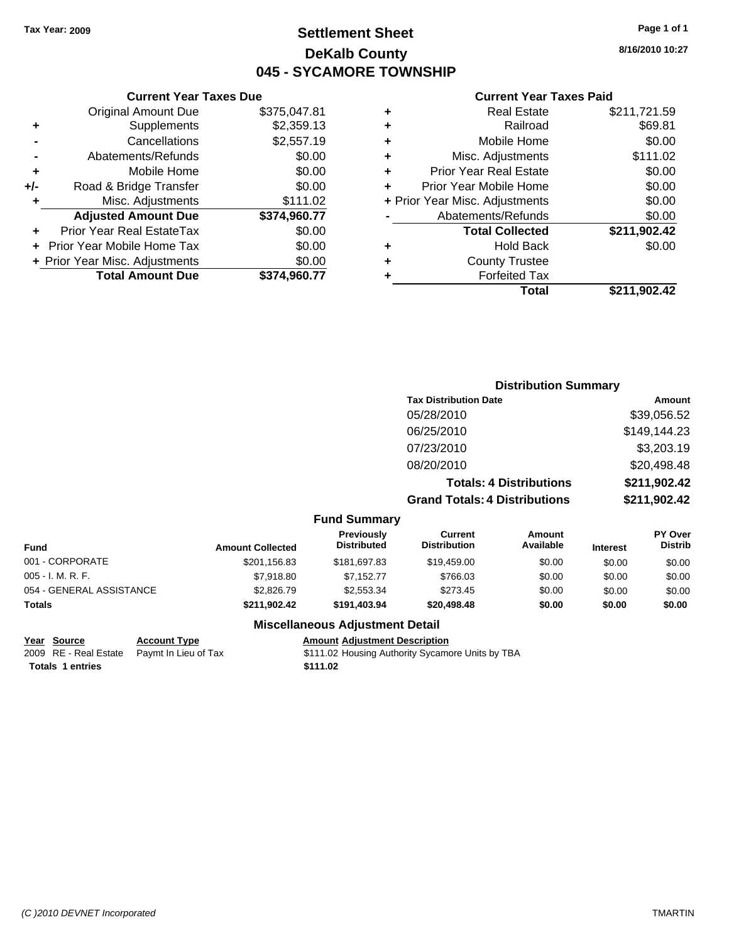### **Settlement Sheet Tax Year: 2009 Page 1 of 1 DeKalb County 045 - SYCAMORE TOWNSHIP**

### **Current Year Taxes Due**

| \$0.00 | \$111.02<br>\$374,960.77 | Misc. Adjustments<br><b>Adjusted Amount Due</b><br>Prior Year Real EstateTax |     |
|--------|--------------------------|------------------------------------------------------------------------------|-----|
|        |                          |                                                                              |     |
|        |                          |                                                                              |     |
| \$0.00 |                          | Road & Bridge Transfer                                                       | +/- |
| \$0.00 |                          | Mobile Home                                                                  | ٠   |
| \$0.00 |                          | Abatements/Refunds                                                           |     |
|        | \$2,557.19               | Cancellations                                                                |     |
|        | \$2,359.13               | Supplements                                                                  | ٠   |
|        | \$375,047.81             | <b>Original Amount Due</b>                                                   |     |

#### **Current Year Taxes Paid**

|   | <b>Real Estate</b>             | \$211,721.59 |
|---|--------------------------------|--------------|
| ٠ | Railroad                       | \$69.81      |
| ٠ | Mobile Home                    | \$0.00       |
| ٠ | Misc. Adjustments              | \$111.02     |
| ٠ | <b>Prior Year Real Estate</b>  | \$0.00       |
|   | Prior Year Mobile Home         | \$0.00       |
|   | + Prior Year Misc. Adjustments | \$0.00       |
|   | Abatements/Refunds             | \$0.00       |
|   | <b>Total Collected</b>         | \$211,902.42 |
| ٠ | Hold Back                      | \$0.00       |
| ٠ | <b>County Trustee</b>          |              |
|   | <b>Forfeited Tax</b>           |              |
|   | Total                          | \$211,902.42 |
|   |                                |              |

**Totals: 4 Distributions \$211,902.42**

## **Distribution Summary Tax Distribution Date Amount** 05/28/2010 \$39,056.52 06/25/2010 \$149,144.23 07/23/2010 \$3,203.19 08/20/2010 \$20,498.48

#### **Grand Totals: 4 Distributions \$211,902.42 Fund Summary Amount Current Previously**

| Fund                     | <b>Amount Collected</b> | <b>I</b> IGVIUUSIV<br><b>Distributed</b> | <b>VULLEIR</b><br><b>Distribution</b> | Allivulit<br>Available | <b>Interest</b> | וסעשו<br><b>Distrib</b> |
|--------------------------|-------------------------|------------------------------------------|---------------------------------------|------------------------|-----------------|-------------------------|
| 001 - CORPORATE          | \$201,156.83            | \$181.697.83                             | \$19.459.00                           | \$0.00                 | \$0.00          | \$0.00                  |
| 005 - I. M. R. F.        | \$7,918.80              | \$7.152.77                               | \$766.03                              | \$0.00                 | \$0.00          | \$0.00                  |
| 054 - GENERAL ASSISTANCE | \$2.826.79              | \$2,553,34                               | \$273.45                              | \$0.00                 | \$0.00          | \$0.00                  |
| Totals                   | \$211.902.42            | \$191.403.94                             | \$20,498,48                           | \$0.00                 | \$0.00          | \$0.00                  |

### **Miscellaneous Adjustment Detail**

#### **Year Source Account Type Amount Adjustment Description**

**Totals 1 entries** \$111.02

2009 RE - Real Estate Paymt In Lieu of Tax \$111.02 Housing Authority Sycamore Units by TBA

**PY Over**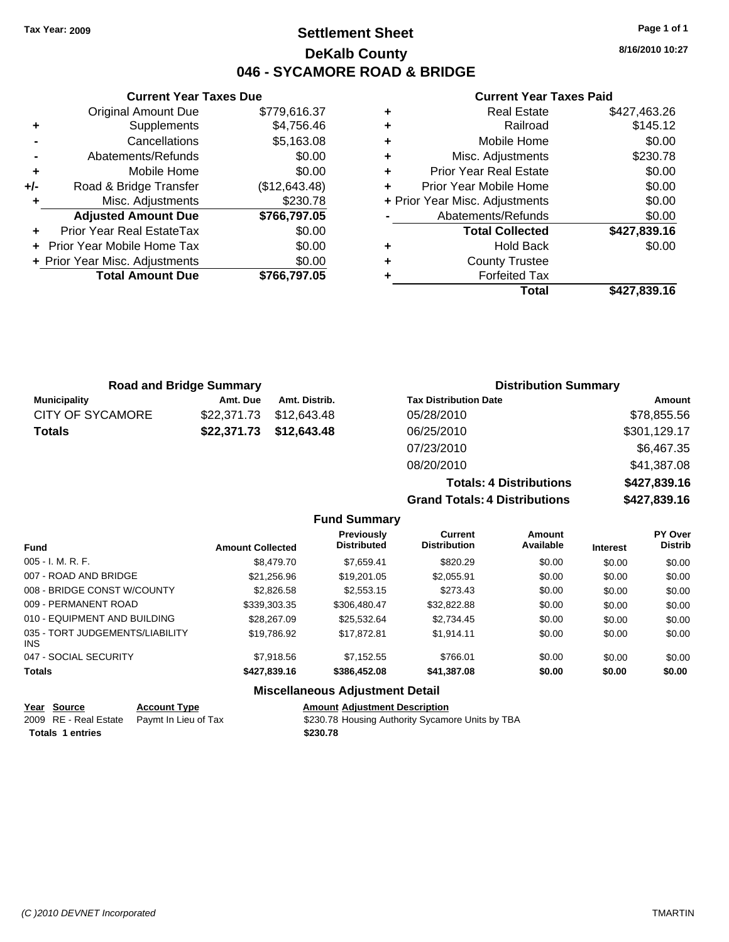### **Settlement Sheet Tax Year: 2009 Page 1 of 1 DeKalb County 046 - SYCAMORE ROAD & BRIDGE**

**8/16/2010 10:27**

### **Current Year Taxes Paid**

|     | <b>Current Year Taxes Due</b>  |               |  |
|-----|--------------------------------|---------------|--|
|     | <b>Original Amount Due</b>     | \$779,616.37  |  |
| ٠   | Supplements                    | \$4,756.46    |  |
|     | Cancellations                  | \$5,163.08    |  |
|     | Abatements/Refunds             | \$0.00        |  |
| ٠   | Mobile Home                    | \$0.00        |  |
| +/- | Road & Bridge Transfer         | (\$12,643.48) |  |
| ٠   | Misc. Adjustments              | \$230.78      |  |
|     | <b>Adjusted Amount Due</b>     | \$766,797.05  |  |
| ٠   | Prior Year Real EstateTax      | \$0.00        |  |
|     | Prior Year Mobile Home Tax     | \$0.00        |  |
|     | + Prior Year Misc. Adjustments | \$0.00        |  |
|     | <b>Total Amount Due</b>        | \$766,797.05  |  |
|     |                                |               |  |

| ٠ | <b>Real Estate</b>             | \$427,463.26 |
|---|--------------------------------|--------------|
| ٠ | Railroad                       | \$145.12     |
| ٠ | Mobile Home                    | \$0.00       |
| ٠ | Misc. Adjustments              | \$230.78     |
| ÷ | <b>Prior Year Real Estate</b>  | \$0.00       |
| ٠ | Prior Year Mobile Home         | \$0.00       |
|   | + Prior Year Misc. Adjustments | \$0.00       |
|   | Abatements/Refunds             | \$0.00       |
|   | <b>Total Collected</b>         | \$427,839.16 |
| ٠ | Hold Back                      | \$0.00       |
| ٠ | <b>County Trustee</b>          |              |
| ٠ | <b>Forfeited Tax</b>           |              |
|   | Total                          | \$427,839.16 |

|                         | <b>Road and Bridge Summary</b> |               | <b>Distribution Summary</b>    |              |
|-------------------------|--------------------------------|---------------|--------------------------------|--------------|
| <b>Municipality</b>     | Amt. Due                       | Amt. Distrib. | <b>Tax Distribution Date</b>   | Amount       |
| <b>CITY OF SYCAMORE</b> | \$22,371.73                    | \$12,643.48   | 05/28/2010                     | \$78,855.56  |
| <b>Totals</b>           | \$22,371.73                    | \$12,643.48   | 06/25/2010                     | \$301,129.17 |
|                         |                                |               | 07/23/2010                     | \$6,467.35   |
|                         |                                |               | 08/20/2010                     | \$41,387.08  |
|                         |                                |               | <b>Totals: 4 Distributions</b> | \$427,839.16 |

|                     | <b>Totals: 4 Distributions</b>       | \$427,839.16 |
|---------------------|--------------------------------------|--------------|
|                     | <b>Grand Totals: 4 Distributions</b> | \$427,839.16 |
| <b>Fund Summary</b> |                                      |              |

| <b>Fund</b>                             | <b>Amount Collected</b> | Previously<br><b>Distributed</b>       | Current<br><b>Distribution</b> | Amount<br>Available | <b>Interest</b> | PY Over<br><b>Distrib</b> |
|-----------------------------------------|-------------------------|----------------------------------------|--------------------------------|---------------------|-----------------|---------------------------|
| $005 - I. M. R. F.$                     | \$8,479.70              | \$7.659.41                             | \$820.29                       | \$0.00              | \$0.00          | \$0.00                    |
| 007 - ROAD AND BRIDGE                   | \$21.256.96             | \$19,201.05                            | \$2.055.91                     | \$0.00              | \$0.00          | \$0.00                    |
| 008 - BRIDGE CONST W/COUNTY             | \$2,826.58              | \$2,553.15                             | \$273.43                       | \$0.00              | \$0.00          | \$0.00                    |
| 009 - PERMANENT ROAD                    | \$339,303,35            | \$306.480.47                           | \$32,822.88                    | \$0.00              | \$0.00          | \$0.00                    |
| 010 - EQUIPMENT AND BUILDING            | \$28,267.09             | \$25.532.64                            | \$2.734.45                     | \$0.00              | \$0.00          | \$0.00                    |
| 035 - TORT JUDGEMENTS/LIABILITY<br>INS. | \$19.786.92             | \$17,872.81                            | \$1.914.11                     | \$0.00              | \$0.00          | \$0.00                    |
| 047 - SOCIAL SECURITY                   | \$7,918.56              | \$7.152.55                             | \$766.01                       | \$0.00              | \$0.00          | \$0.00                    |
| <b>Totals</b>                           | \$427,839,16            | \$386,452.08                           | \$41,387.08                    | \$0.00              | \$0.00          | \$0.00                    |
|                                         |                         | <b>Miscellaneous Adiustment Detail</b> |                                |                     |                 |                           |

| Year Source             | <b>Account Type</b>                        | <b>Amount Adjustment Description</b>             |
|-------------------------|--------------------------------------------|--------------------------------------------------|
|                         | 2009 RE - Real Estate Paymt In Lieu of Tax | \$230.78 Housing Authority Sycamore Units by TBA |
| <b>Totals 1 entries</b> |                                            | \$230.78                                         |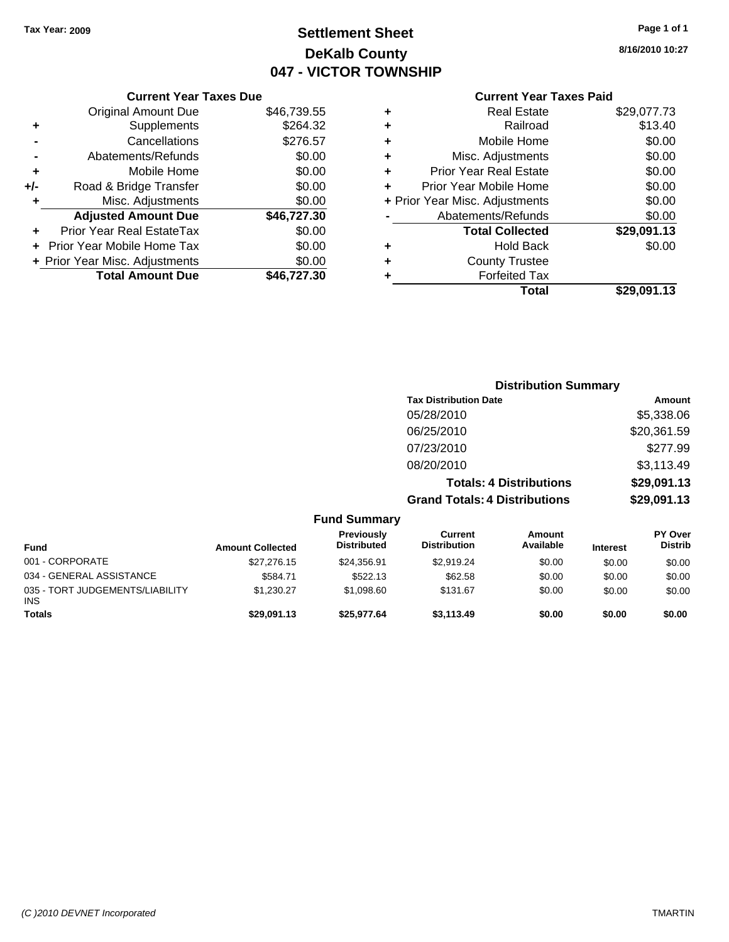## **Settlement Sheet Tax Year: 2009 Page 1 of 1 DeKalb County 047 - VICTOR TOWNSHIP**

**8/16/2010 10:27**

| <b>Current Year Taxes Paid</b>     |             |
|------------------------------------|-------------|
| <b>Real Estate</b><br>٠            | \$29,077.73 |
| Railroad<br>٠                      | \$13.40     |
| Mobile Home<br>٠                   | \$0.00      |
| Misc. Adjustments<br>٠             | \$0.00      |
| <b>Prior Year Real Estate</b><br>÷ | \$0.00      |
| Prior Year Mobile Home             | \$0.00      |
| + Prior Year Misc. Adjustments     | \$0.00      |
| Abatements/Refunds                 | \$0.00      |
| <b>Total Collected</b>             | \$29,091.13 |
| Hold Back<br>٠                     | \$0.00      |
| <b>County Trustee</b>              |             |
| <b>Forfeited Tax</b><br>٠          |             |
| Total                              | \$29.091.13 |

|     | <b>Current Year Taxes Due</b>  |             |
|-----|--------------------------------|-------------|
|     | Original Amount Due            | \$46,739.55 |
| ٠   | Supplements                    | \$264.32    |
|     | Cancellations                  | \$276.57    |
|     | Abatements/Refunds             | \$0.00      |
| ٠   | Mobile Home                    | \$0.00      |
| +/- | Road & Bridge Transfer         | \$0.00      |
| ٠   | Misc. Adjustments              | \$0.00      |
|     | <b>Adjusted Amount Due</b>     | \$46,727.30 |
|     | Prior Year Real EstateTax      | \$0.00      |
|     | Prior Year Mobile Home Tax     | \$0.00      |
|     | + Prior Year Misc. Adjustments | \$0.00      |
|     | <b>Total Amount Due</b>        | \$46.727.30 |

|                         |                                         |                                       | <b>Distribution Summary</b>    |                 |                                  |
|-------------------------|-----------------------------------------|---------------------------------------|--------------------------------|-----------------|----------------------------------|
|                         |                                         | <b>Tax Distribution Date</b>          |                                |                 | Amount                           |
|                         |                                         | 05/28/2010                            |                                |                 | \$5,338.06                       |
|                         |                                         | 06/25/2010                            |                                |                 | \$20,361.59                      |
|                         |                                         | 07/23/2010                            |                                |                 | \$277.99                         |
|                         |                                         | 08/20/2010                            |                                |                 | \$3,113.49                       |
|                         |                                         |                                       | <b>Totals: 4 Distributions</b> |                 | \$29,091.13                      |
|                         |                                         | <b>Grand Totals: 4 Distributions</b>  |                                |                 | \$29,091.13                      |
|                         | <b>Fund Summary</b>                     |                                       |                                |                 |                                  |
| <b>Amount Collected</b> | <b>Previously</b><br><b>Distributed</b> | <b>Current</b><br><b>Distribution</b> | Amount<br>Available            | <b>Interest</b> | <b>PY Over</b><br><b>Distrib</b> |
|                         |                                         |                                       |                                |                 |                                  |

| <b>Fund</b>                            | <b>Amount Collected</b> | <b>Distributed</b> | <b>Distribution</b> | Available | <b>Interest</b> | <b>Distrib</b> |
|----------------------------------------|-------------------------|--------------------|---------------------|-----------|-----------------|----------------|
| 001 - CORPORATE                        | \$27,276.15             | \$24.356.91        | \$2.919.24          | \$0.00    | \$0.00          | \$0.00         |
| 034 - GENERAL ASSISTANCE               | \$584.71                | \$522.13           | \$62.58             | \$0.00    | \$0.00          | \$0.00         |
| 035 - TORT JUDGEMENTS/LIABILITY<br>INS | \$1,230.27              | \$1.098.60         | \$131.67            | \$0.00    | \$0.00          | \$0.00         |
| Totals                                 | \$29,091.13             | \$25,977.64        | \$3.113.49          | \$0.00    | \$0.00          | \$0.00         |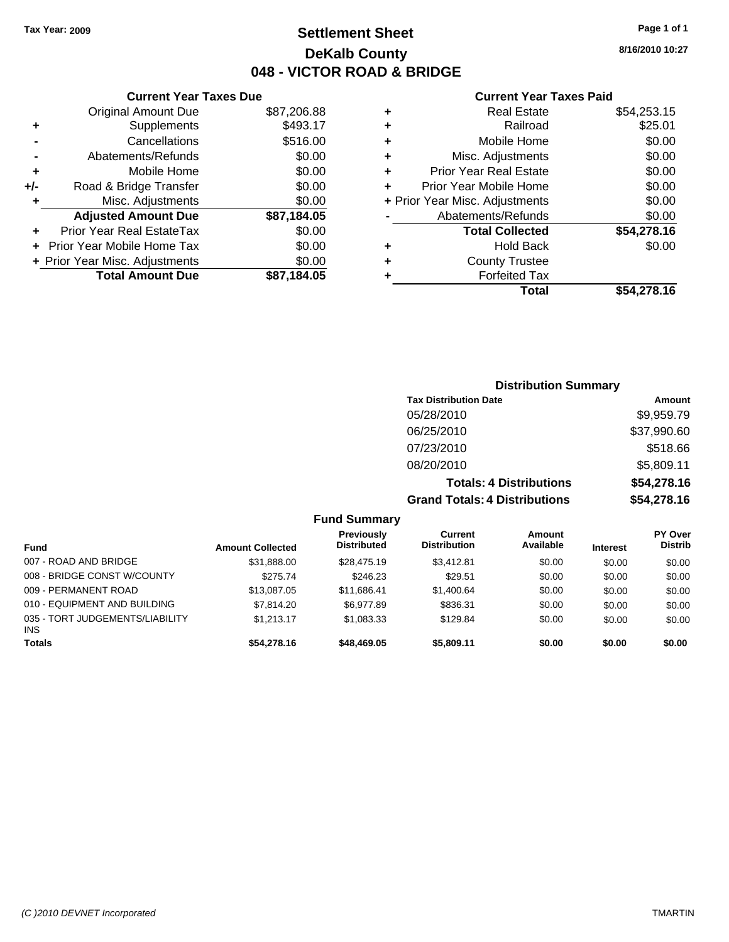### **Settlement Sheet Tax Year: 2009 Page 1 of 1 DeKalb County 048 - VICTOR ROAD & BRIDGE**

|   | <b>Current Year Taxes Paid</b> |             |
|---|--------------------------------|-------------|
| ٠ | <b>Real Estate</b>             | \$54,253.15 |
| ٠ | Railroad                       | \$25.01     |
| ٠ | Mobile Home                    | \$0.00      |
| ٠ | Misc. Adjustments              | \$0.00      |
| ٠ | <b>Prior Year Real Estate</b>  | \$0.00      |
|   | Prior Year Mobile Home         | \$0.00      |
|   | + Prior Year Misc. Adjustments | \$0.00      |
|   | Abatements/Refunds             | \$0.00      |
|   | <b>Total Collected</b>         | \$54,278.16 |
| ٠ | <b>Hold Back</b>               | \$0.00      |
| ٠ | <b>County Trustee</b>          |             |
| ٠ | <b>Forfeited Tax</b>           |             |
|   | Total                          | \$54,278.16 |

| <b>Current Year Taxes Due</b>    |             |
|----------------------------------|-------------|
| <b>Original Amount Due</b>       | \$87,206.88 |
| Supplements                      | \$493.17    |
| Cancellations                    | \$516.00    |
| Abatements/Refunds               | \$0.00      |
| Mobile Home                      | \$0.00      |
| Road & Bridge Transfer           | \$0.00      |
| Misc. Adjustments                | \$0.00      |
| <b>Adjusted Amount Due</b>       | \$87,184.05 |
| <b>Prior Year Real EstateTax</b> | \$0.00      |
| Prior Year Mobile Home Tax       | \$0.00      |
| + Prior Year Misc. Adjustments   | \$0.00      |
| <b>Total Amount Due</b>          | \$87,184.05 |
|                                  |             |

| <b>Distribution Summary</b>          |             |
|--------------------------------------|-------------|
| <b>Tax Distribution Date</b>         | Amount      |
| 05/28/2010                           | \$9,959.79  |
| 06/25/2010                           | \$37,990.60 |
| 07/23/2010                           | \$518.66    |
| 08/20/2010                           | \$5,809.11  |
| <b>Totals: 4 Distributions</b>       | \$54,278.16 |
| <b>Grand Totals: 4 Distributions</b> | \$54,278.16 |

### **Fund Summary**

| Fund                                          | <b>Amount Collected</b> | <b>Previously</b><br><b>Distributed</b> | Current<br><b>Distribution</b> | Amount<br>Available | <b>Interest</b> | <b>PY Over</b><br><b>Distrib</b> |
|-----------------------------------------------|-------------------------|-----------------------------------------|--------------------------------|---------------------|-----------------|----------------------------------|
| 007 - ROAD AND BRIDGE                         | \$31,888,00             | \$28,475.19                             | \$3.412.81                     | \$0.00              | \$0.00          | \$0.00                           |
| 008 - BRIDGE CONST W/COUNTY                   | \$275.74                | \$246.23                                | \$29.51                        | \$0.00              | \$0.00          | \$0.00                           |
| 009 - PERMANENT ROAD                          | \$13,087.05             | \$11.686.41                             | \$1,400.64                     | \$0.00              | \$0.00          | \$0.00                           |
| 010 - EQUIPMENT AND BUILDING                  | \$7.814.20              | \$6,977.89                              | \$836.31                       | \$0.00              | \$0.00          | \$0.00                           |
| 035 - TORT JUDGEMENTS/LIABILITY<br><b>INS</b> | \$1.213.17              | \$1.083.33                              | \$129.84                       | \$0.00              | \$0.00          | \$0.00                           |
| <b>Totals</b>                                 | \$54,278.16             | \$48,469.05                             | \$5.809.11                     | \$0.00              | \$0.00          | \$0.00                           |

**8/16/2010 10:27**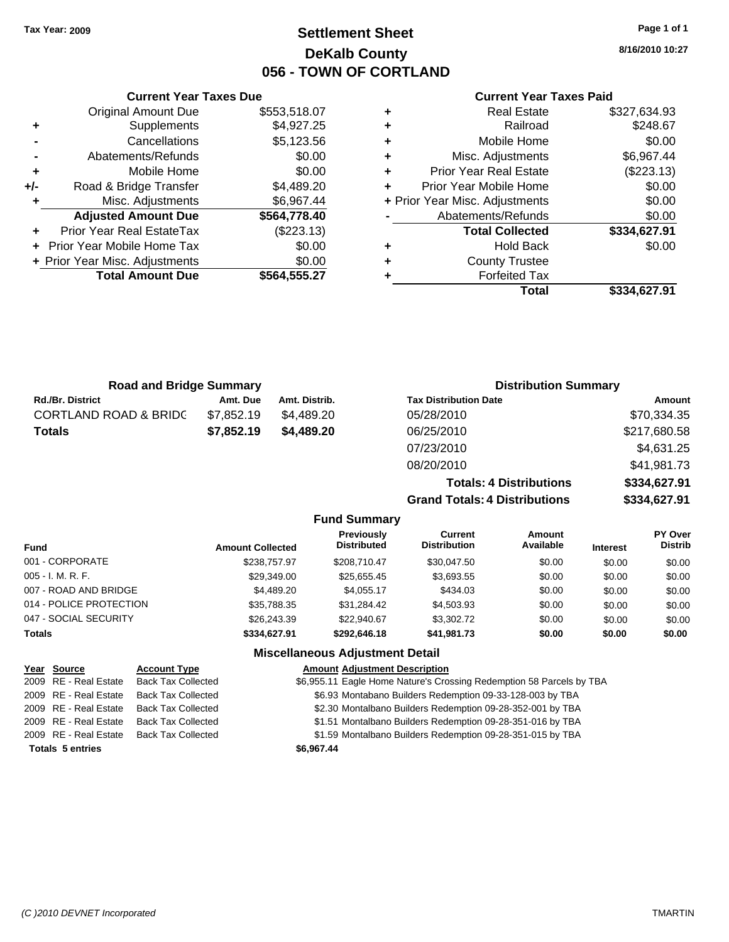### **Settlement Sheet Tax Year: 2009 Page 1 of 1 DeKalb County 056 - TOWN OF CORTLAND**

**8/16/2010 10:27**

### **Current Year Taxes Paid**

| <b>Road and Bridge Summary</b>   |            |               | <b>Distribution Summary</b>    |              |  |
|----------------------------------|------------|---------------|--------------------------------|--------------|--|
| <b>Rd./Br. District</b>          | Amt. Due   | Amt. Distrib. | <b>Tax Distribution Date</b>   | Amount       |  |
| <b>CORTLAND ROAD &amp; BRIDC</b> | \$7,852.19 | \$4.489.20    | 05/28/2010                     | \$70,334.35  |  |
| <b>Totals</b>                    | \$7,852.19 | \$4.489.20    | 06/25/2010                     | \$217,680.58 |  |
|                                  |            |               | 07/23/2010                     | \$4,631.25   |  |
|                                  |            |               | 08/20/2010                     | \$41,981.73  |  |
|                                  |            |               | <b>Totals: 4 Distributions</b> | \$334,627.91 |  |

**Grand Totals: 4 Distributions \$334,627.91**

|                         |                         | <b>Fund Summary</b>                     |                                |                     |                 |                           |
|-------------------------|-------------------------|-----------------------------------------|--------------------------------|---------------------|-----------------|---------------------------|
| Fund                    | <b>Amount Collected</b> | <b>Previously</b><br><b>Distributed</b> | Current<br><b>Distribution</b> | Amount<br>Available | <b>Interest</b> | PY Over<br><b>Distrib</b> |
| 001 - CORPORATE         | \$238,757.97            | \$208,710.47                            | \$30,047.50                    | \$0.00              | \$0.00          | \$0.00                    |
| 005 - I. M. R. F.       | \$29,349.00             | \$25,655.45                             | \$3,693.55                     | \$0.00              | \$0.00          | \$0.00                    |
| 007 - ROAD AND BRIDGE   | \$4,489.20              | \$4,055.17                              | \$434.03                       | \$0.00              | \$0.00          | \$0.00                    |
| 014 - POLICE PROTECTION | \$35,788.35             | \$31,284.42                             | \$4,503.93                     | \$0.00              | \$0.00          | \$0.00                    |
| 047 - SOCIAL SECURITY   | \$26,243,39             | \$22,940.67                             | \$3,302.72                     | \$0.00              | \$0.00          | \$0.00                    |
| Totals                  | \$334,627.91            | \$292.646.18                            | \$41,981.73                    | \$0.00              | \$0.00          | \$0.00                    |
|                         |                         | <b>Miscellaneous Adjustment Detail</b>  |                                |                     |                 |                           |

|                         | Year Source           | <b>Account Type</b>                      | <b>Amount Adjustment Description</b>                                 |
|-------------------------|-----------------------|------------------------------------------|----------------------------------------------------------------------|
|                         | 2009 RE - Real Estate | <b>Back Tax Collected</b>                | \$6,955.11 Eagle Home Nature's Crossing Redemption 58 Parcels by TBA |
|                         | 2009 RE - Real Estate | Back Tax Collected                       | \$6.93 Montabano Builders Redemption 09-33-128-003 by TBA            |
|                         | 2009 RE - Real Estate | Back Tax Collected                       | \$2.30 Montalbano Builders Redemption 09-28-352-001 by TBA           |
|                         | 2009 RE - Real Estate | Back Tax Collected                       | \$1.51 Montalbano Builders Redemption 09-28-351-016 by TBA           |
|                         |                       | 2009 RE - Real Estate Back Tax Collected | \$1.59 Montalbano Builders Redemption 09-28-351-015 by TBA           |
| <b>Totals 5 entries</b> |                       |                                          | \$6.967.44                                                           |

|     | <b>Original Amount Due</b>     | \$553,518.07 |
|-----|--------------------------------|--------------|
| ٠   | Supplements                    | \$4,927.25   |
|     | Cancellations                  | \$5,123.56   |
|     | Abatements/Refunds             | \$0.00       |
| ٠   | Mobile Home                    | \$0.00       |
| +/- | Road & Bridge Transfer         | \$4,489.20   |
|     | Misc. Adjustments              | \$6,967.44   |
|     | <b>Adjusted Amount Due</b>     | \$564,778.40 |
|     | Prior Year Real EstateTax      | (\$223.13)   |
|     | Prior Year Mobile Home Tax     | \$0.00       |
|     | + Prior Year Misc. Adjustments | \$0.00       |
|     | <b>Total Amount Due</b>        | \$564,555.27 |
|     |                                |              |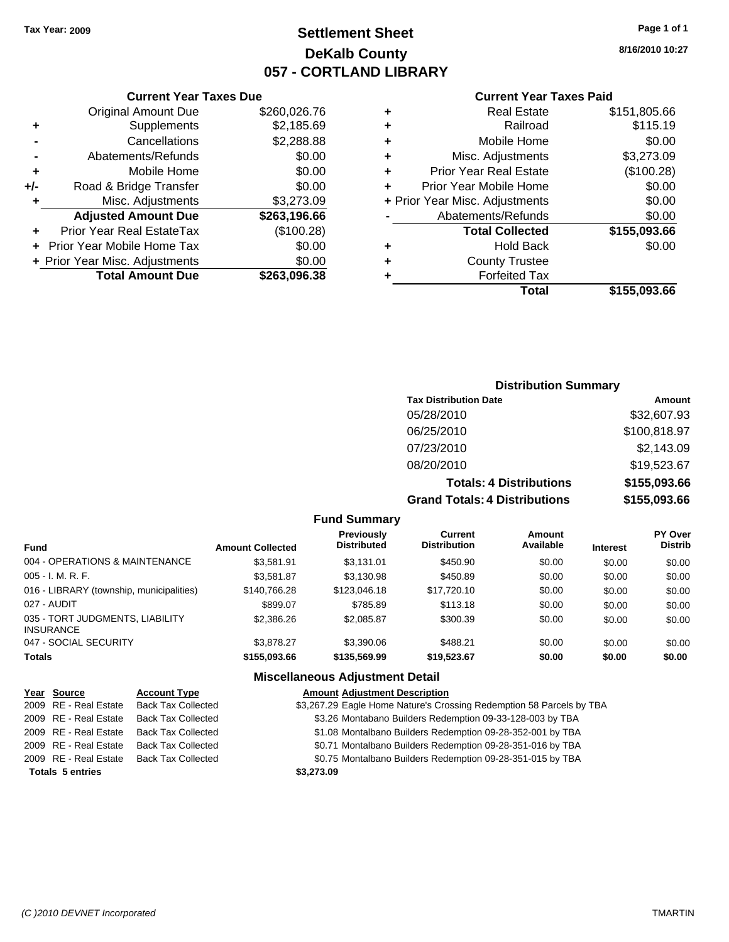## **Settlement Sheet Tax Year: 2009 Page 1 of 1 DeKalb County 057 - CORTLAND LIBRARY**

**8/16/2010 10:27**

### **Current Year Taxes Paid**

|                  |   | Total                          | \$155,093.66 |
|------------------|---|--------------------------------|--------------|
| $\overline{.38}$ |   | <b>Forfeited Tax</b>           |              |
| .00              | ٠ | <b>County Trustee</b>          |              |
| .00              | ٠ | <b>Hold Back</b>               | \$0.00       |
| 28)              |   | <b>Total Collected</b>         | \$155,093.66 |
| .66              |   | Abatements/Refunds             | \$0.00       |
| .09              |   | + Prior Year Misc. Adjustments | \$0.00       |
| .00              |   | Prior Year Mobile Home         | \$0.00       |
| .00              | ٠ | <b>Prior Year Real Estate</b>  | (\$100.28)   |
| .00              | ٠ | Misc. Adjustments              | \$3,273.09   |
| .88              | ٠ | Mobile Home                    | \$0.00       |
| .69              | ٠ | Railroad                       | \$115.19     |
| .76              | ٠ | <b>Real Estate</b>             | \$151,805.66 |
|                  |   |                                |              |

#### **Current Year Taxes Due** Original Amount Due \$260,026. **+** Supplements \$2,185.<br>Cancellations \$2,288 **-** Cancellations \$2,288.88

|     | <b>Total Amount Due</b>        | \$263,096.38 |
|-----|--------------------------------|--------------|
|     | + Prior Year Misc. Adjustments | \$0.00       |
|     | + Prior Year Mobile Home Tax   | \$0.00       |
|     | Prior Year Real EstateTax      | (\$100.28)   |
|     | <b>Adjusted Amount Due</b>     | \$263,196.66 |
| ÷   | Misc. Adjustments              | \$3,273.09   |
| +/- | Road & Bridge Transfer         | \$0.00       |
| ٠   | Mobile Home                    | \$0.00       |
|     | Abatements/Refunds             | \$0.00       |
|     | Cancellations                  | \$2,288.88   |

### **Distribution Summary**

| <b>Tax Distribution Date</b>         | Amount       |
|--------------------------------------|--------------|
| 05/28/2010                           | \$32,607.93  |
| 06/25/2010                           | \$100,818.97 |
| 07/23/2010                           | \$2,143.09   |
| 08/20/2010                           | \$19,523.67  |
| <b>Totals: 4 Distributions</b>       | \$155,093.66 |
| <b>Grand Totals: 4 Distributions</b> | \$155,093.66 |

**Fund Summary**

| <b>Fund</b>                                         | <b>Amount Collected</b> | <b>Previously</b><br><b>Distributed</b> | Current<br><b>Distribution</b> | Amount<br>Available | <b>Interest</b> | PY Over<br><b>Distrib</b> |
|-----------------------------------------------------|-------------------------|-----------------------------------------|--------------------------------|---------------------|-----------------|---------------------------|
| 004 - OPERATIONS & MAINTENANCE                      | \$3.581.91              | \$3.131.01                              | \$450.90                       | \$0.00              | \$0.00          | \$0.00                    |
| $005 - I. M. R. F.$                                 | \$3.581.87              | \$3,130.98                              | \$450.89                       | \$0.00              | \$0.00          | \$0.00                    |
| 016 - LIBRARY (township, municipalities)            | \$140.766.28            | \$123,046.18                            | \$17,720.10                    | \$0.00              | \$0.00          | \$0.00                    |
| 027 - AUDIT                                         | \$899.07                | \$785.89                                | \$113.18                       | \$0.00              | \$0.00          | \$0.00                    |
| 035 - TORT JUDGMENTS, LIABILITY<br><b>INSURANCE</b> | \$2,386.26              | \$2,085.87                              | \$300.39                       | \$0.00              | \$0.00          | \$0.00                    |
| 047 - SOCIAL SECURITY                               | \$3.878.27              | \$3,390.06                              | \$488.21                       | \$0.00              | \$0.00          | \$0.00                    |
| <b>Totals</b>                                       | \$155,093.66            | \$135,569,99                            | \$19,523.67                    | \$0.00              | \$0.00          | \$0.00                    |

| Year Source             | <b>Account Type</b>                      | <b>Amount Adjustment Description</b>                                 |
|-------------------------|------------------------------------------|----------------------------------------------------------------------|
| 2009 RE - Real Estate   | <b>Back Tax Collected</b>                | \$3,267.29 Eagle Home Nature's Crossing Redemption 58 Parcels by TBA |
| 2009 RE - Real Estate   | <b>Back Tax Collected</b>                | \$3.26 Montabano Builders Redemption 09-33-128-003 by TBA            |
| 2009 RE - Real Estate   | Back Tax Collected                       | \$1.08 Montalbano Builders Redemption 09-28-352-001 by TBA           |
| 2009 RE - Real Estate   | Back Tax Collected                       | \$0.71 Montalbano Builders Redemption 09-28-351-016 by TBA           |
|                         | 2009 RE - Real Estate Back Tax Collected | \$0.75 Montalbano Builders Redemption 09-28-351-015 by TBA           |
| <b>Totals 5 entries</b> |                                          | \$3,273.09                                                           |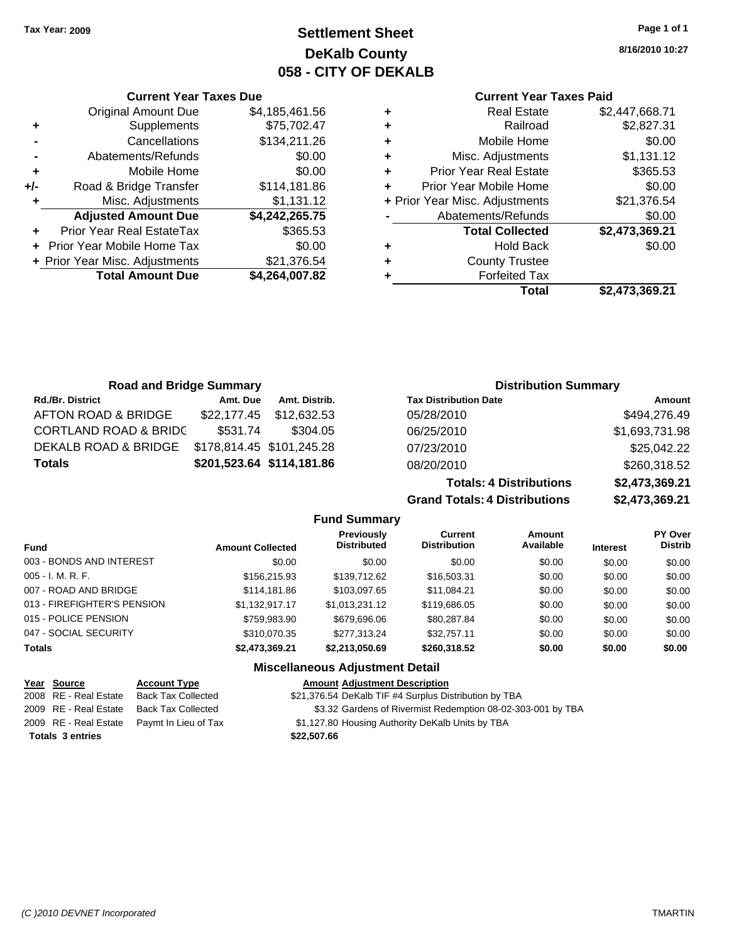**Current Year Taxes Due** Original Amount Due \$4,185,461.56

**Adjusted Amount Due \$4,242,265.75**

**Total Amount Due \$4,264,007.82**

**+** Supplements \$75,702.47 **-** Cancellations \$134,211.26 **-** Abatements/Refunds \$0.00 **+** Mobile Home \$0.00 **+/-** Road & Bridge Transfer \$114,181.86 **+** Misc. Adjustments \$1,131.12

**+** Prior Year Real EstateTax \$365.53 **+** Prior Year Mobile Home Tax \$0.00 + Prior Year Misc. Adjustments \$21,376.54

## **Settlement Sheet Tax Year: 2009 Page 1 of 1 DeKalb County 058 - CITY OF DEKALB**

**8/16/2010 10:27**

#### **Current Year Taxes Paid**

|   | Total                          | \$2,473,369.21 |
|---|--------------------------------|----------------|
|   | <b>Forfeited Tax</b>           |                |
| ٠ | <b>County Trustee</b>          |                |
| ٠ | <b>Hold Back</b>               | \$0.00         |
|   | <b>Total Collected</b>         | \$2,473,369.21 |
|   | Abatements/Refunds             | \$0.00         |
|   | + Prior Year Misc. Adjustments | \$21,376.54    |
|   | Prior Year Mobile Home         | \$0.00         |
| ٠ | <b>Prior Year Real Estate</b>  | \$365.53       |
| ٠ | Misc. Adjustments              | \$1,131.12     |
| ٠ | Mobile Home                    | \$0.00         |
| ٠ | Railroad                       | \$2,827.31     |
| ٠ | <b>Real Estate</b>             | \$2,447,668.71 |
|   |                                |                |

| <b>Road and Bridge Summary</b>   |          |                           | <b>Distribution Summary</b>    |                |  |
|----------------------------------|----------|---------------------------|--------------------------------|----------------|--|
| <b>Rd./Br. District</b>          | Amt. Due | Amt. Distrib.             | <b>Tax Distribution Date</b>   | Amount         |  |
| AFTON ROAD & BRIDGE              |          | \$22,177.45 \$12,632.53   | 05/28/2010                     | \$494,276.49   |  |
| <b>CORTLAND ROAD &amp; BRIDC</b> | \$531.74 | \$304.05                  | 06/25/2010                     | \$1,693,731.98 |  |
| DEKALB ROAD & BRIDGE             |          | \$178,814.45 \$101,245.28 | 07/23/2010                     | \$25,042.22    |  |
| <b>Totals</b>                    |          | \$201,523.64 \$114,181.86 | 08/20/2010                     | \$260,318.52   |  |
|                                  |          |                           | <b>Totals: 4 Distributions</b> | \$2,473,369.21 |  |

**Grand Totals: 4 Distribution** 

| ns | \$2,473,369.21 |
|----|----------------|
| ns | \$2,473,369.21 |

|                                              |                         | <b>Fund Summary</b>                     |                                       |                     |                 |                           |
|----------------------------------------------|-------------------------|-----------------------------------------|---------------------------------------|---------------------|-----------------|---------------------------|
| <b>Fund</b>                                  | <b>Amount Collected</b> | <b>Previously</b><br><b>Distributed</b> | <b>Current</b><br><b>Distribution</b> | Amount<br>Available | <b>Interest</b> | PY Over<br><b>Distrib</b> |
| 003 - BONDS AND INTEREST                     | \$0.00                  | \$0.00                                  | \$0.00                                | \$0.00              | \$0.00          | \$0.00                    |
| $005 - I. M. R. F.$                          | \$156,215,93            | \$139,712.62                            | \$16,503.31                           | \$0.00              | \$0.00          | \$0.00                    |
| 007 - ROAD AND BRIDGE                        | \$114.181.86            | \$103,097.65                            | \$11,084.21                           | \$0.00              | \$0.00          | \$0.00                    |
| 013 - FIREFIGHTER'S PENSION                  | \$1.132.917.17          | \$1.013.231.12                          | \$119,686.05                          | \$0.00              | \$0.00          | \$0.00                    |
| 015 - POLICE PENSION                         | \$759,983.90            | \$679,696,06                            | \$80,287.84                           | \$0.00              | \$0.00          | \$0.00                    |
| 047 - SOCIAL SECURITY                        | \$310,070.35            | \$277.313.24                            | \$32,757.11                           | \$0.00              | \$0.00          | \$0.00                    |
| <b>Totals</b>                                | \$2,473,369.21          | \$2,213,050.69                          | \$260,318.52                          | \$0.00              | \$0.00          | \$0.00                    |
|                                              |                         | <b>Miscellaneous Adjustment Detail</b>  |                                       |                     |                 |                           |
| Year<br><b>Source</b><br><b>Account Type</b> |                         | <b>Amount Adjustment Description</b>    |                                       |                     |                 |                           |

|                         | $1$ cal $30$ ull be   | ACCOUNT TYPE                               | <b>Allioulit Aujustifield Description</b>                   |
|-------------------------|-----------------------|--------------------------------------------|-------------------------------------------------------------|
|                         | 2008 RE - Real Estate | Back Tax Collected                         | \$21,376.54 DeKalb TIF #4 Surplus Distribution by TBA       |
|                         | 2009 RE - Real Estate | Back Tax Collected                         | \$3.32 Gardens of Rivermist Redemption 08-02-303-001 by TBA |
|                         |                       | 2009 RE - Real Estate Paymt In Lieu of Tax | \$1,127.80 Housing Authority DeKalb Units by TBA            |
| <b>Totals 3 entries</b> |                       |                                            | \$22,507.66                                                 |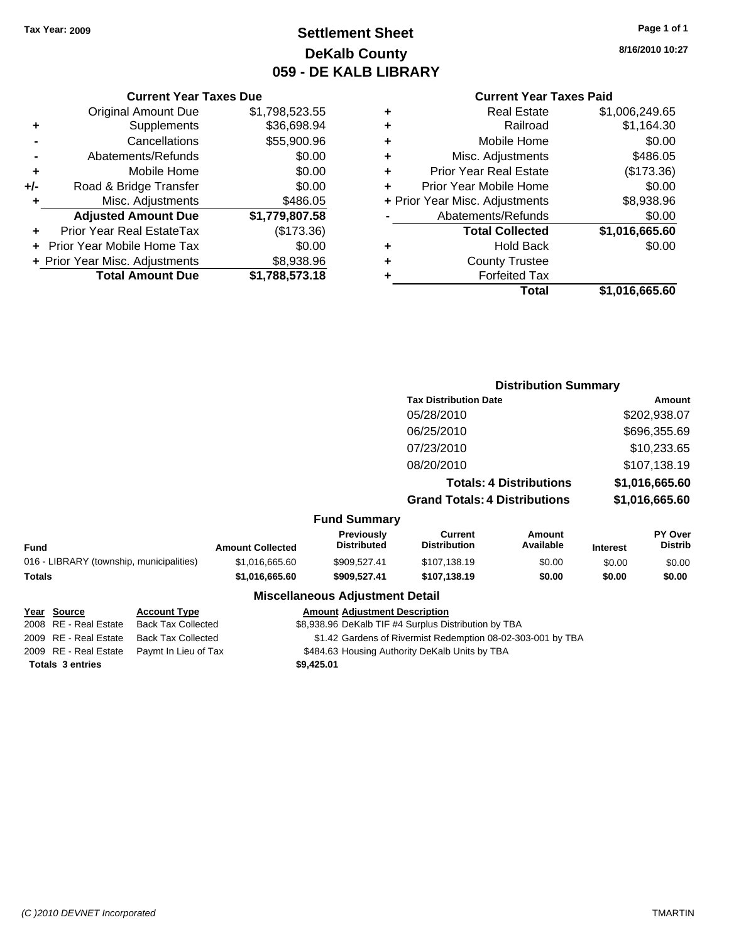## **Settlement Sheet Tax Year: 2009 Page 1 of 1 DeKalb County 059 - DE KALB LIBRARY**

**8/16/2010 10:27**

### **Current Year Taxes Paid**

|   | Total                          | \$1,016,665.60 |
|---|--------------------------------|----------------|
|   | <b>Forfeited Tax</b>           |                |
| ٠ | <b>County Trustee</b>          |                |
| ٠ | <b>Hold Back</b>               | \$0.00         |
|   | <b>Total Collected</b>         | \$1,016,665.60 |
|   | Abatements/Refunds             | \$0.00         |
|   | + Prior Year Misc. Adjustments | \$8,938.96     |
| ÷ | Prior Year Mobile Home         | \$0.00         |
| ٠ | <b>Prior Year Real Estate</b>  | (\$173.36)     |
| ٠ | Misc. Adjustments              | \$486.05       |
| ٠ | Mobile Home                    | \$0.00         |
| ٠ | Railroad                       | \$1,164.30     |
| ٠ | Real Estate                    | \$1,006,249.65 |
|   |                                |                |

|     | <b>Current Year Taxes Due</b>  |                |  |  |  |
|-----|--------------------------------|----------------|--|--|--|
|     | <b>Original Amount Due</b>     | \$1,798,523.55 |  |  |  |
| ٠   | Supplements                    | \$36,698.94    |  |  |  |
|     | Cancellations                  | \$55,900.96    |  |  |  |
|     | Abatements/Refunds             | \$0.00         |  |  |  |
| ٠   | Mobile Home                    | \$0.00         |  |  |  |
| +/- | Road & Bridge Transfer         | \$0.00         |  |  |  |
| ٠   | Misc. Adjustments              | \$486.05       |  |  |  |
|     | <b>Adjusted Amount Due</b>     | \$1,779,807.58 |  |  |  |
|     | Prior Year Real EstateTax      | (\$173.36)     |  |  |  |
|     | Prior Year Mobile Home Tax     | \$0.00         |  |  |  |
|     | + Prior Year Misc. Adjustments | \$8,938.96     |  |  |  |
|     | <b>Total Amount Due</b>        | \$1,788,573.18 |  |  |  |

|                                          |                         |                                  |                                       | <b>Distribution Summary</b> |                 |                           |
|------------------------------------------|-------------------------|----------------------------------|---------------------------------------|-----------------------------|-----------------|---------------------------|
|                                          |                         |                                  | <b>Tax Distribution Date</b>          |                             |                 | <b>Amount</b>             |
|                                          |                         |                                  | 05/28/2010                            |                             |                 | \$202,938.07              |
|                                          |                         |                                  | 06/25/2010                            |                             |                 | \$696,355.69              |
|                                          |                         |                                  | 07/23/2010                            |                             |                 | \$10,233.65               |
|                                          |                         |                                  | 08/20/2010                            |                             |                 | \$107,138.19              |
|                                          |                         |                                  | <b>Totals: 4 Distributions</b>        |                             | \$1,016,665.60  |                           |
|                                          |                         |                                  | <b>Grand Totals: 4 Distributions</b>  |                             |                 | \$1,016,665.60            |
|                                          |                         | <b>Fund Summary</b>              |                                       |                             |                 |                           |
| <b>Fund</b>                              | <b>Amount Collected</b> | Previously<br><b>Distributed</b> | <b>Current</b><br><b>Distribution</b> | Amount<br>Available         | <b>Interest</b> | PY Over<br><b>Distrib</b> |
| 016 - LIBRARY (township, municipalities) | \$1,016,665.60          | \$909.527.41                     | \$107,138.19                          | \$0.00                      | \$0.00          | \$0.00                    |
| <b>Totals</b>                            | \$1,016,665.60          | \$909,527.41                     | \$107,138.19                          | \$0.00                      | \$0.00          | \$0.00                    |

### **Miscellaneous Adjustment Detail**

**Year Source Account Type Amount Adjustment Description** 2008 RE - Real Estate Back Tax Collected \$8,938.96 DeKalb TIF #4 Surplus Distribution by TBA 2009 RE - Real Estate Back Tax Collected \$1.42 Gardens of Rivermist Redemption 08-02-303-001 by TBA 2009 RE - Real Estate Paymt In Lieu of Tax **\$484.63 Housing Authority DeKalb Units by TBA Totals \$9,425.01 3 entries**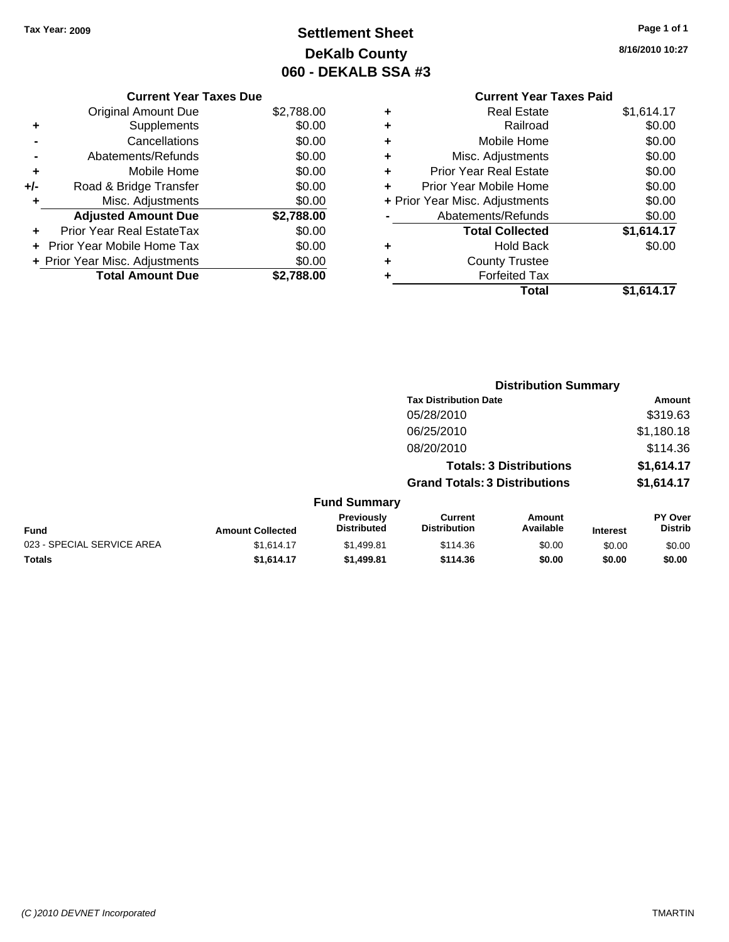## **Settlement Sheet Tax Year: 2009 Page 1 of 1 DeKalb County 060 - DEKALB SSA #3**

**8/16/2010 10:27**

| <b>Current Year Taxes Due</b> |  |  |
|-------------------------------|--|--|
|                               |  |  |

|       | <b>Original Amount Due</b>        | \$2,788.00 |
|-------|-----------------------------------|------------|
| ٠     | Supplements                       | \$0.00     |
|       | Cancellations                     | \$0.00     |
|       | Abatements/Refunds                | \$0.00     |
| ÷     | Mobile Home                       | \$0.00     |
| $+/-$ | Road & Bridge Transfer            | \$0.00     |
| ٠     | Misc. Adjustments                 | \$0.00     |
|       | <b>Adjusted Amount Due</b>        | \$2,788.00 |
|       | <b>Prior Year Real EstateTax</b>  | \$0.00     |
|       | <b>Prior Year Mobile Home Tax</b> | \$0.00     |
|       | + Prior Year Misc. Adjustments    | \$0.00     |
|       | <b>Total Amount Due</b>           | \$2,788.00 |

### **Current Year Taxes Paid +** Real Estate \$1,614.17

|   | Total                          | \$1,614.17        |
|---|--------------------------------|-------------------|
|   | <b>Forfeited Tax</b>           |                   |
|   | <b>County Trustee</b>          |                   |
|   | <b>Hold Back</b>               | \$0.00            |
|   | <b>Total Collected</b>         | \$1,614.17        |
|   | Abatements/Refunds             | \$0.00            |
|   | + Prior Year Misc. Adjustments | \$0.00            |
| ٠ | Prior Year Mobile Home         | \$0.00            |
| ٠ | <b>Prior Year Real Estate</b>  | \$0.00            |
| ÷ | Misc. Adjustments              | \$0.00            |
| ÷ | Mobile Home                    | \$0.00            |
| ÷ | Railroad                       | \$0.00            |
| ۰ | Redi Esidie                    | <b>JI.OI4.I</b> I |

|                            |                         | <b>Distribution Summary</b>      |                                       |                                |                 |                                  |
|----------------------------|-------------------------|----------------------------------|---------------------------------------|--------------------------------|-----------------|----------------------------------|
|                            |                         |                                  | <b>Tax Distribution Date</b>          |                                |                 | Amount                           |
|                            |                         |                                  | 05/28/2010                            |                                |                 | \$319.63                         |
|                            |                         |                                  | 06/25/2010                            |                                |                 | \$1,180.18                       |
|                            |                         |                                  | 08/20/2010                            |                                |                 | \$114.36                         |
|                            |                         |                                  |                                       | <b>Totals: 3 Distributions</b> |                 | \$1,614.17                       |
|                            |                         |                                  | <b>Grand Totals: 3 Distributions</b>  |                                |                 | \$1,614.17                       |
|                            |                         | <b>Fund Summary</b>              |                                       |                                |                 |                                  |
| <b>Fund</b>                | <b>Amount Collected</b> | Previously<br><b>Distributed</b> | <b>Current</b><br><b>Distribution</b> | Amount<br>Available            | <b>Interest</b> | <b>PY Over</b><br><b>Distrib</b> |
| 023 - SPECIAL SERVICE AREA | \$1,614.17              | \$1,499.81                       | \$114.36                              | \$0.00                         | \$0.00          | \$0.00                           |
| Totals                     | \$1,614.17              | \$1,499.81                       | \$114.36                              | \$0.00                         | \$0.00          | \$0.00                           |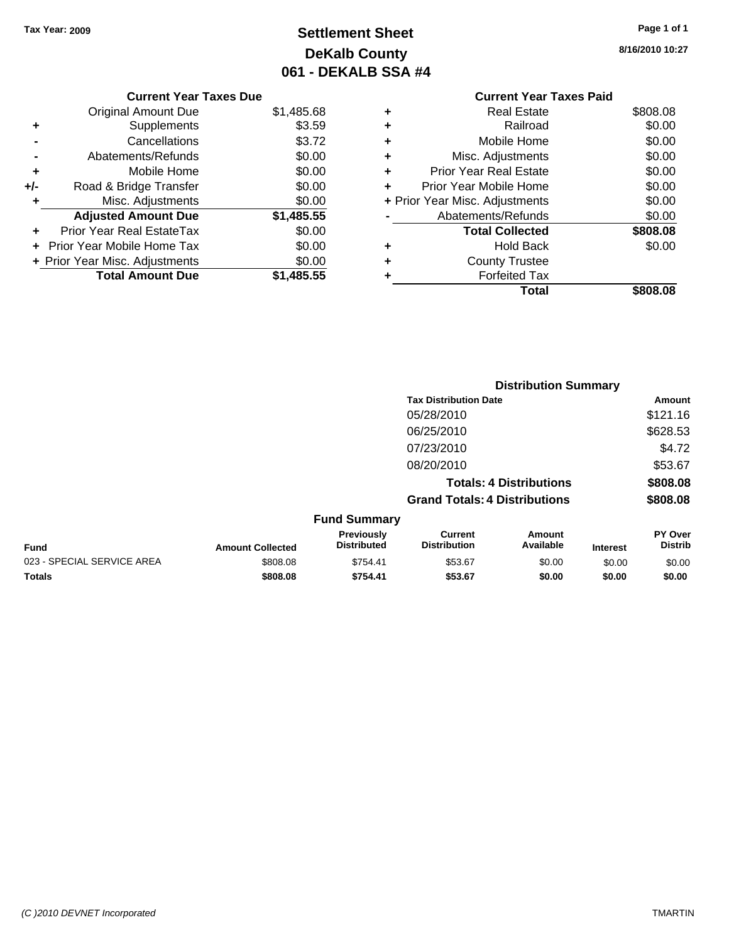## **Settlement Sheet Tax Year: 2009 Page 1 of 1 DeKalb County 061 - DEKALB SSA #4**

**8/16/2010 10:27**

|   | <b>Current Year Taxes Paid</b> |          |  |  |  |
|---|--------------------------------|----------|--|--|--|
| ٠ | <b>Real Estate</b>             | \$808.08 |  |  |  |
| ٠ | Railroad                       | \$0.00   |  |  |  |
| ٠ | Mobile Home                    | \$0.00   |  |  |  |
| ٠ | Misc. Adjustments              | \$0.00   |  |  |  |
| ٠ | <b>Prior Year Real Estate</b>  | \$0.00   |  |  |  |
| ٠ | Prior Year Mobile Home         |          |  |  |  |
|   | + Prior Year Misc. Adjustments | \$0.00   |  |  |  |
|   | Abatements/Refunds             | \$0.00   |  |  |  |
|   | <b>Total Collected</b>         | \$808.08 |  |  |  |
| ٠ | <b>Hold Back</b>               | \$0.00   |  |  |  |
|   | <b>County Trustee</b>          |          |  |  |  |
|   | <b>Forfeited Tax</b>           |          |  |  |  |
|   | Total                          | \$808.08 |  |  |  |

**Distribution Summary**

# **Current Year Taxes Due**

|       | <b>Original Amount Due</b>        | \$1,485.68 |
|-------|-----------------------------------|------------|
| ٠     | Supplements                       | \$3.59     |
|       | Cancellations                     | \$3.72     |
|       | Abatements/Refunds                | \$0.00     |
| ÷     | Mobile Home                       | \$0.00     |
| $+/-$ | Road & Bridge Transfer            | \$0.00     |
| ٠     | Misc. Adjustments                 | \$0.00     |
|       | <b>Adjusted Amount Due</b>        | \$1,485.55 |
|       | <b>Prior Year Real EstateTax</b>  | \$0.00     |
|       | <b>Prior Year Mobile Home Tax</b> | \$0.00     |
|       | + Prior Year Misc. Adjustments    | \$0.00     |
|       | <b>Total Amount Due</b>           | \$1,485.55 |

|                            |                         |                                  | <b>Tax Distribution Date</b>          |                                |                 | Amount                           |
|----------------------------|-------------------------|----------------------------------|---------------------------------------|--------------------------------|-----------------|----------------------------------|
|                            |                         |                                  | 05/28/2010                            |                                |                 | \$121.16                         |
|                            |                         |                                  | 06/25/2010                            |                                |                 | \$628.53                         |
|                            |                         |                                  | 07/23/2010                            |                                |                 | \$4.72                           |
|                            |                         |                                  | 08/20/2010                            |                                |                 | \$53.67                          |
|                            |                         |                                  |                                       | <b>Totals: 4 Distributions</b> |                 | \$808.08                         |
|                            |                         |                                  | <b>Grand Totals: 4 Distributions</b>  |                                |                 | \$808.08                         |
|                            |                         | <b>Fund Summary</b>              |                                       |                                |                 |                                  |
| <b>Fund</b>                | <b>Amount Collected</b> | Previously<br><b>Distributed</b> | <b>Current</b><br><b>Distribution</b> | Amount<br>Available            | <b>Interest</b> | <b>PY Over</b><br><b>Distrib</b> |
| 023 - SPECIAL SERVICE AREA | \$808.08                | \$754.41                         | \$53.67                               | \$0.00                         | \$0.00          | \$0.00                           |
| Totals                     | \$808.08                | \$754.41                         | \$53.67                               | \$0.00                         | \$0.00          | \$0.00                           |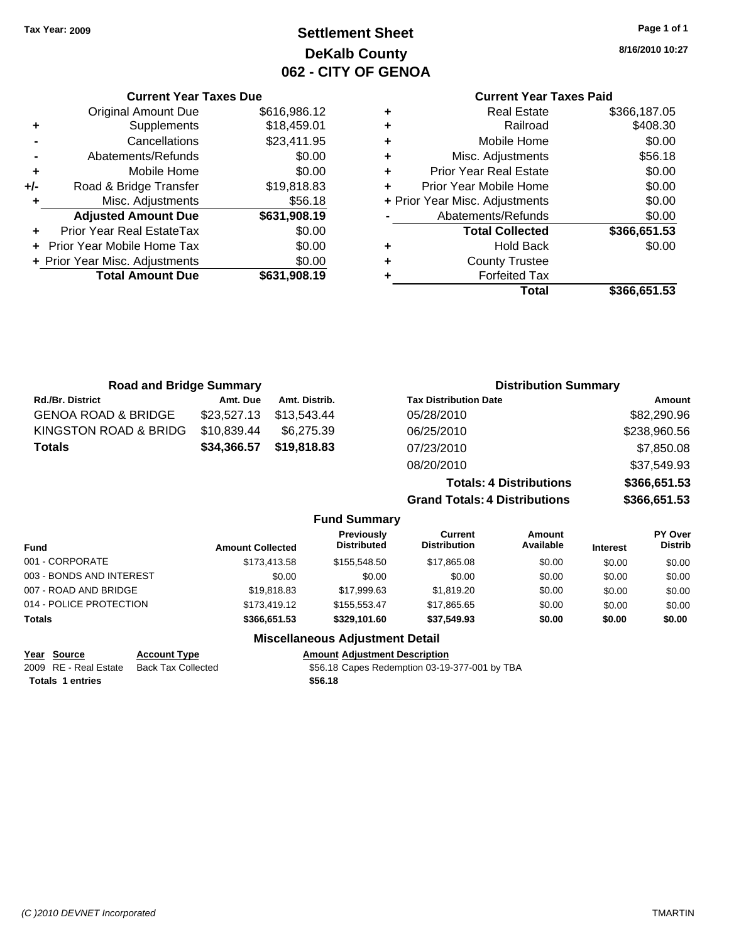**Current Year Taxes Due** Original Amount Due \$616,986.12

**Adjusted Amount Due \$631,908.19**

**+** Supplements \$18,459.01 **-** Cancellations \$23,411.95 **-** Abatements/Refunds \$0.00 **+** Mobile Home \$0.00 **+/-** Road & Bridge Transfer \$19,818.83 **+** Misc. Adjustments \$56.18

**+** Prior Year Real EstateTax \$0.00 **+** Prior Year Mobile Home Tax \$0.00 **+ Prior Year Misc. Adjustments \$0.00<br>
<b>Total Amount Due** \$631,908.19

**Total Amount Due** 

## **Settlement Sheet Tax Year: 2009 Page 1 of 1 DeKalb County 062 - CITY OF GENOA**

**8/16/2010 10:27**

## **Current Year Taxes Paid**

|   | Total                          | \$366,651.53 |
|---|--------------------------------|--------------|
|   | <b>Forfeited Tax</b>           |              |
| ٠ | <b>County Trustee</b>          |              |
| ٠ | <b>Hold Back</b>               | \$0.00       |
|   | <b>Total Collected</b>         | \$366,651.53 |
|   | Abatements/Refunds             | \$0.00       |
|   | + Prior Year Misc. Adjustments | \$0.00       |
| ٠ | Prior Year Mobile Home         | \$0.00       |
| ٠ | Prior Year Real Estate         | \$0.00       |
| ÷ | Misc. Adjustments              | \$56.18      |
| ٠ | Mobile Home                    | \$0.00       |
| ٠ | Railroad                       | \$408.30     |
|   | <b>Real Estate</b>             | \$366,187.05 |

| <b>Road and Bridge Summary</b> |             |                     | <b>Distribution Summary</b>          |              |
|--------------------------------|-------------|---------------------|--------------------------------------|--------------|
| <b>Rd./Br. District</b>        | Amt. Due    | Amt. Distrib.       | <b>Tax Distribution Date</b>         | Amount       |
| <b>GENOA ROAD &amp; BRIDGE</b> | \$23,527.13 | \$13,543.44         | 05/28/2010                           | \$82,290.96  |
| KINGSTON ROAD & BRIDG          | \$10,839.44 | \$6,275.39          | 06/25/2010                           | \$238,960.56 |
| <b>Totals</b>                  | \$34,366.57 | \$19,818.83         | 07/23/2010                           | \$7,850.08   |
|                                |             |                     | 08/20/2010                           | \$37,549.93  |
|                                |             |                     | <b>Totals: 4 Distributions</b>       | \$366,651.53 |
|                                |             |                     | <b>Grand Totals: 4 Distributions</b> | \$366,651.53 |
|                                |             | <b>Fund Summary</b> |                                      |              |

| Fund                     | <b>Amount Collected</b> | Previously<br><b>Distributed</b> | Current<br><b>Distribution</b> | Amount<br>Available | <b>Interest</b> | <b>PY Over</b><br><b>Distrib</b> |
|--------------------------|-------------------------|----------------------------------|--------------------------------|---------------------|-----------------|----------------------------------|
| 001 - CORPORATE          | \$173,413.58            | \$155,548,50                     | \$17,865.08                    | \$0.00              | \$0.00          | \$0.00                           |
| 003 - BONDS AND INTEREST | \$0.00                  | \$0.00                           | \$0.00                         | \$0.00              | \$0.00          | \$0.00                           |
| 007 - ROAD AND BRIDGE    | \$19,818,83             | \$17.999.63                      | \$1,819.20                     | \$0.00              | \$0.00          | \$0.00                           |
| 014 - POLICE PROTECTION  | \$173,419.12            | \$155.553.47                     | \$17,865.65                    | \$0.00              | \$0.00          | \$0.00                           |
| <b>Totals</b>            | \$366,651.53            | \$329,101.60                     | \$37,549.93                    | \$0.00              | \$0.00          | \$0.00                           |

| <u>Year Source</u>      | <b>Account Type</b> | <b>Amount Adiustment Description</b>          |
|-------------------------|---------------------|-----------------------------------------------|
| 2009 RE - Real Estate   | Back Tax Collected  | \$56.18 Capes Redemption 03-19-377-001 by TBA |
| <b>Totals 1 entries</b> |                     | \$56.18                                       |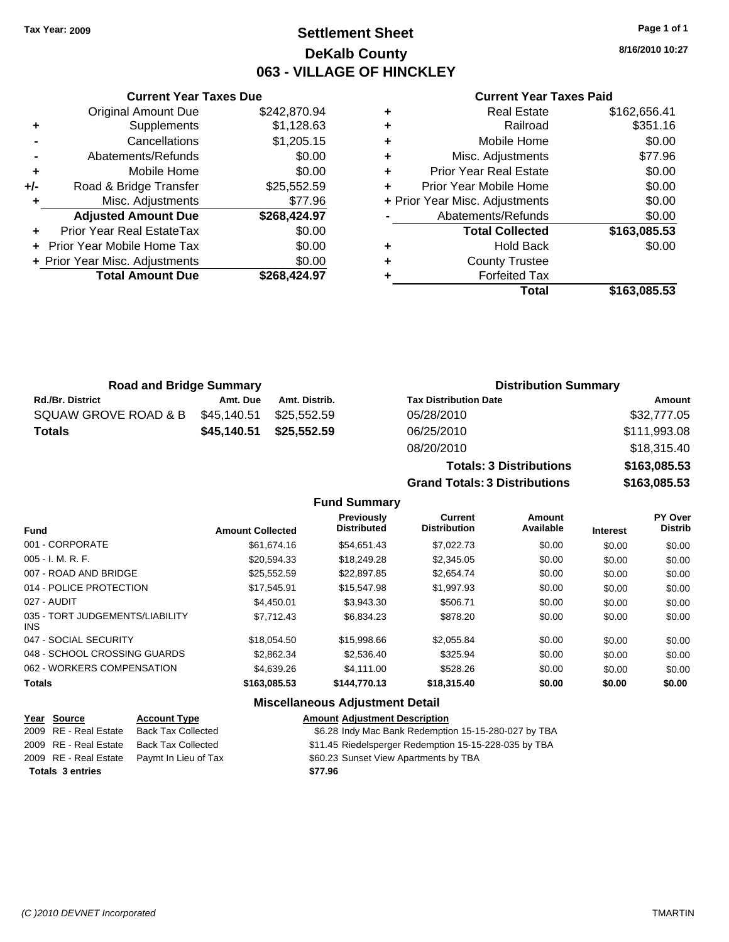### **Settlement Sheet Tax Year: 2009 Page 1 of 1 DeKalb County 063 - VILLAGE OF HINCKLEY**

**8/16/2010 10:27**

#### **Current Year Taxes Paid**

|     | <b>Total Amount Due</b>           | \$268,424.97 |
|-----|-----------------------------------|--------------|
|     | + Prior Year Misc. Adjustments    | \$0.00       |
|     | <b>Prior Year Mobile Home Tax</b> | \$0.00       |
|     | Prior Year Real EstateTax         | \$0.00       |
|     | <b>Adjusted Amount Due</b>        | \$268,424.97 |
| ٠   | Misc. Adjustments                 | \$77.96      |
| +/- | Road & Bridge Transfer            | \$25,552.59  |
| ٠   | Mobile Home                       | \$0.00       |
|     | Abatements/Refunds                | \$0.00       |
|     | Cancellations                     | \$1,205.15   |
| ٠   | Supplements                       | \$1,128.63   |
|     | <b>Original Amount Due</b>        | \$242,870.94 |
|     |                                   |              |

**Current Year Taxes Due**

| <b>Real Estate</b>             | \$162,656.41 |
|--------------------------------|--------------|
| Railroad                       | \$351.16     |
| Mobile Home                    | \$0.00       |
| Misc. Adjustments              | \$77.96      |
| <b>Prior Year Real Estate</b>  | \$0.00       |
| Prior Year Mobile Home         | \$0.00       |
| + Prior Year Misc. Adjustments | \$0.00       |
| Abatements/Refunds             | \$0.00       |
| <b>Total Collected</b>         | \$163,085.53 |
| <b>Hold Back</b>               | \$0.00       |
| <b>County Trustee</b>          |              |
| <b>Forfeited Tax</b>           |              |
| Total                          | \$163,085.53 |
|                                |              |

**Totals: 3 Distributions \$163,085.53**

**Grand Totals: 3 Distributions \$163,085.53**

| <b>Road and Bridge Summary</b> |             |               | <b>Distribution Summary</b>  |              |
|--------------------------------|-------------|---------------|------------------------------|--------------|
| <b>Rd./Br. District</b>        | Amt. Due    | Amt. Distrib. | <b>Tax Distribution Date</b> | Amount       |
| SQUAW GROVE ROAD & B           | \$45,140.51 | \$25.552.59   | 05/28/2010                   | \$32,777.05  |
| <b>Totals</b>                  | \$45,140.51 | \$25,552.59   | 06/25/2010                   | \$111,993.08 |
|                                |             |               | 08/20/2010                   | \$18,315.40  |

#### **Fund Summary Fund Interest Amount Collected Distributed PY Over Distrib Amount Available Current Distribution Previously** 001 - CORPORATE \$61,674.16 \$54,651.43 \$7,022.73 \$0.00 \$0.00 \$0.00 005 - I. M. R. F. Charles Communication (St. 20,594.33 \$18,249.28 \$2,345.05 \$0.00 \$0.00 \$0.00 \$0.00 007 - ROAD AND BRIDGE \$25,552.59 \$22,897.85 \$2,654.74 \$0.00 \$0.00 \$0.00 014 - POLICE PROTECTION \$17,545.91 \$15,547.98 \$1,997.93 \$0.00 \$0.00 \$0.00 027 - AUDIT \$4,450.01 \$3,943.30 \$506.71 \$0.00 \$0.00 \$0.00 035 - TORT JUDGEMENTS/LIABILITY INS \$7,712.43 \$6,834.23 \$878.20 \$0.00 \$0.00 \$0.00 047 - SOCIAL SECURITY \$18,054.50 \$15,998.66 \$2,055.84 \$0.00 \$0.00 \$0.00 048 - SCHOOL CROSSING GUARDS \$2,862.34 \$2,536.40 \$325.94 \$0.00 \$0.00 \$0.00 \$0.00 062 - WORKERS COMPENSATION \$4,639.26 \$4,111.00 \$528.26 \$0.00 \$0.00 \$0.00 \$0.00 **Totals \$163,085.53 \$144,770.13 \$18,315.40 \$0.00 \$0.00 \$0.00**

| Year Source             | <b>Account Type</b>                        | <b>Amount Adjustment Description</b>                  |
|-------------------------|--------------------------------------------|-------------------------------------------------------|
| 2009 RE - Real Estate   | <b>Back Tax Collected</b>                  | \$6.28 Indy Mac Bank Redemption 15-15-280-027 by TBA  |
| 2009 RE - Real Estate   | <b>Back Tax Collected</b>                  | \$11.45 Riedelsperger Redemption 15-15-228-035 by TBA |
|                         | 2009 RE - Real Estate Paymt In Lieu of Tax | \$60.23 Sunset View Apartments by TBA                 |
| <b>Totals 3 entries</b> |                                            | \$77.96                                               |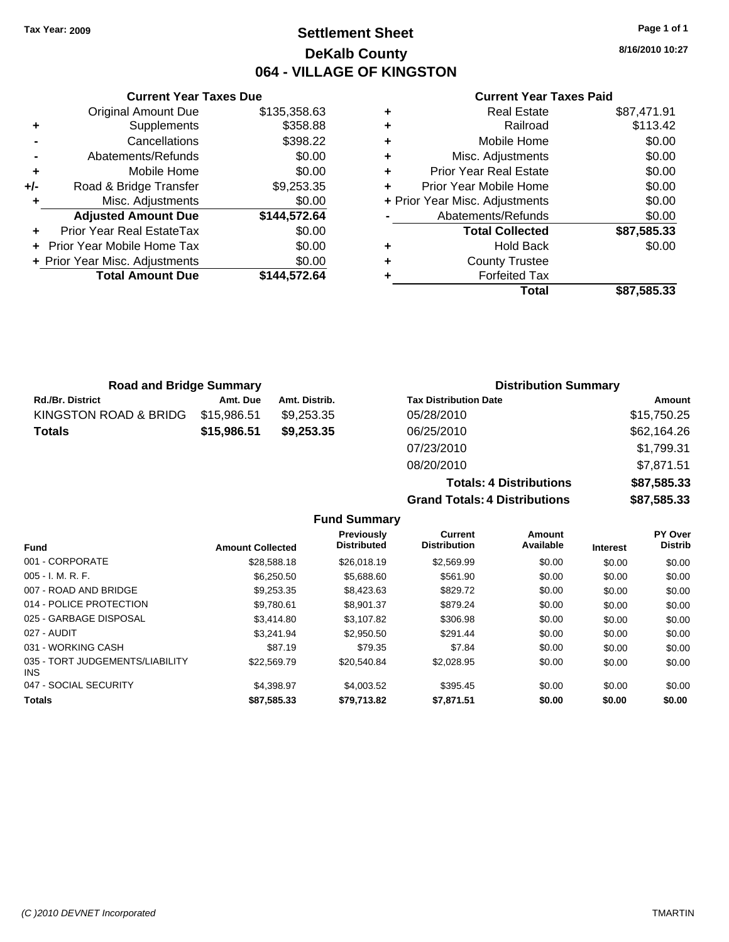### **Settlement Sheet Tax Year: 2009 Page 1 of 1 DeKalb County 064 - VILLAGE OF KINGSTON**

**8/16/2010 10:27**

#### **Current Year Taxes Paid**

|     | <b>Current Year Taxes Due</b>  |              |
|-----|--------------------------------|--------------|
|     | <b>Original Amount Due</b>     | \$135,358.63 |
| ٠   | Supplements                    | \$358.88     |
|     | Cancellations                  | \$398.22     |
|     | Abatements/Refunds             | \$0.00       |
| ٠   | Mobile Home                    | \$0.00       |
| +/- | Road & Bridge Transfer         | \$9,253.35   |
| ٠   | Misc. Adjustments              | \$0.00       |
|     | <b>Adjusted Amount Due</b>     | \$144,572.64 |
|     | Prior Year Real EstateTax      | \$0.00       |
|     | Prior Year Mobile Home Tax     | \$0.00       |
|     | + Prior Year Misc. Adjustments | \$0.00       |
|     | <b>Total Amount Due</b>        | \$144,572.64 |
|     |                                |              |

| ٠ | <b>Real Estate</b>             | \$87,471.91 |
|---|--------------------------------|-------------|
| ٠ | Railroad                       | \$113.42    |
| ٠ | Mobile Home                    | \$0.00      |
| ٠ | Misc. Adjustments              | \$0.00      |
| ÷ | Prior Year Real Estate         | \$0.00      |
| ٠ | Prior Year Mobile Home         | \$0.00      |
|   | + Prior Year Misc. Adjustments | \$0.00      |
|   | Abatements/Refunds             | \$0.00      |
|   | <b>Total Collected</b>         | \$87,585.33 |
| ٠ | <b>Hold Back</b>               | \$0.00      |
| ٠ | <b>County Trustee</b>          |             |
|   | <b>Forfeited Tax</b>           |             |
|   | Total                          | \$87.585.33 |

| <b>Road and Bridge Summary</b> |             |               | <b>Distribution Summary</b>  |             |
|--------------------------------|-------------|---------------|------------------------------|-------------|
| <b>Rd./Br. District</b>        | Amt. Due    | Amt. Distrib. | <b>Tax Distribution Date</b> | Amount      |
| KINGSTON ROAD & BRIDG          | \$15,986.51 | \$9.253.35    | 05/28/2010                   | \$15,750.25 |
| <b>Totals</b>                  | \$15,986.51 | \$9.253.35    | 06/25/2010                   | \$62,164.26 |
|                                |             |               | 07/23/2010                   | \$1,799.31  |

| nt. Due | Amt. Distrib. | <b>Tax Distribution Date</b>   | Amount      |
|---------|---------------|--------------------------------|-------------|
| 186.51  | \$9.253.35    | 05/28/2010                     | \$15,750.25 |
| 86.51   | \$9,253,35    | 06/25/2010                     | \$62,164.26 |
|         |               | 07/23/2010                     | \$1,799.31  |
|         |               | 08/20/2010                     | \$7.871.51  |
|         |               | <b>Totals: 4 Distributions</b> | \$87.585.33 |

**Totals: 4 Distributions \$87,585.33 Grand Totals: 4 Distributions \$87,585.33**

|                                         |                         |                                         | Grand Totals. 4 Distributions  |                     |                 |                           |
|-----------------------------------------|-------------------------|-----------------------------------------|--------------------------------|---------------------|-----------------|---------------------------|
|                                         |                         | <b>Fund Summary</b>                     |                                |                     |                 |                           |
| <b>Fund</b>                             | <b>Amount Collected</b> | <b>Previously</b><br><b>Distributed</b> | Current<br><b>Distribution</b> | Amount<br>Available | <b>Interest</b> | PY Over<br><b>Distrib</b> |
| 001 - CORPORATE                         | \$28,588.18             | \$26,018.19                             | \$2,569.99                     | \$0.00              | \$0.00          | \$0.00                    |
| $005 - I. M. R. F.$                     | \$6,250.50              | \$5,688.60                              | \$561.90                       | \$0.00              | \$0.00          | \$0.00                    |
| 007 - ROAD AND BRIDGE                   | \$9,253.35              | \$8,423.63                              | \$829.72                       | \$0.00              | \$0.00          | \$0.00                    |
| 014 - POLICE PROTECTION                 | \$9,780.61              | \$8,901.37                              | \$879.24                       | \$0.00              | \$0.00          | \$0.00                    |
| 025 - GARBAGE DISPOSAL                  | \$3,414.80              | \$3.107.82                              | \$306.98                       | \$0.00              | \$0.00          | \$0.00                    |
| 027 - AUDIT                             | \$3.241.94              | \$2,950.50                              | \$291.44                       | \$0.00              | \$0.00          | \$0.00                    |
| 031 - WORKING CASH                      | \$87.19                 | \$79.35                                 | \$7.84                         | \$0.00              | \$0.00          | \$0.00                    |
| 035 - TORT JUDGEMENTS/LIABILITY<br>INS. | \$22,569.79             | \$20,540.84                             | \$2,028.95                     | \$0.00              | \$0.00          | \$0.00                    |
| 047 - SOCIAL SECURITY                   | \$4,398.97              | \$4,003.52                              | \$395.45                       | \$0.00              | \$0.00          | \$0.00                    |
| <b>Totals</b>                           | \$87,585.33             | \$79.713.82                             | \$7,871.51                     | \$0.00              | \$0.00          | \$0.00                    |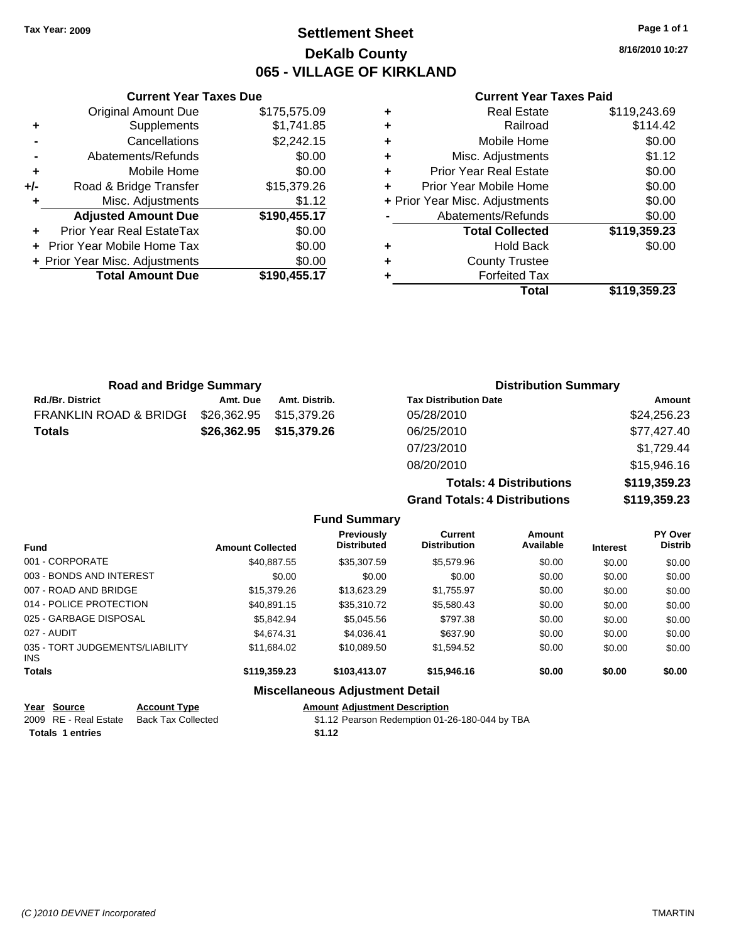### **Settlement Sheet Tax Year: 2009 Page 1 of 1 DeKalb County 065 - VILLAGE OF KIRKLAND**

**8/16/2010 10:27**

#### **Current Year Taxes Paid**

|     | <b>Current Year Taxes Due</b>  |              |
|-----|--------------------------------|--------------|
|     | <b>Original Amount Due</b>     | \$175,575.09 |
| ٠   | Supplements                    | \$1,741.85   |
|     | Cancellations                  | \$2,242.15   |
|     | Abatements/Refunds             | \$0.00       |
| ٠   | Mobile Home                    | \$0.00       |
| +/- | Road & Bridge Transfer         | \$15,379.26  |
| ٠   | Misc. Adjustments              | \$1.12       |
|     | <b>Adjusted Amount Due</b>     | \$190,455.17 |
| ٠   | Prior Year Real EstateTax      | \$0.00       |
|     | Prior Year Mobile Home Tax     | \$0.00       |
|     | + Prior Year Misc. Adjustments | \$0.00       |
|     | <b>Total Amount Due</b>        | \$190,455.17 |
|     |                                |              |

| ٠ | <b>Real Estate</b>             | \$119,243.69 |
|---|--------------------------------|--------------|
| ÷ | Railroad                       | \$114.42     |
| ÷ | Mobile Home                    | \$0.00       |
| ÷ | Misc. Adjustments              | \$1.12       |
| ٠ | Prior Year Real Estate         | \$0.00       |
| ÷ | Prior Year Mobile Home         | \$0.00       |
|   | + Prior Year Misc. Adjustments | \$0.00       |
|   | Abatements/Refunds             | \$0.00       |
|   | <b>Total Collected</b>         | \$119,359.23 |
| ٠ | <b>Hold Back</b>               | \$0.00       |
| ٠ | <b>County Trustee</b>          |              |
|   | <b>Forfeited Tax</b>           |              |
|   | Total                          | \$119,359.23 |

**Totals: 4 Distributions \$119,359.23**

**Grand Totals: 4 Distributions \$119,359.23**

| <b>Road and Bridge Summary</b>    |             |                         | <b>Distribution Summary</b>  |             |
|-----------------------------------|-------------|-------------------------|------------------------------|-------------|
| <b>Rd./Br. District</b>           | Amt. Due    | Amt. Distrib.           | <b>Tax Distribution Date</b> | Amount      |
| <b>FRANKLIN ROAD &amp; BRIDGI</b> | \$26,362.95 | \$15.379.26             | 05/28/2010                   | \$24,256.23 |
| <b>Totals</b>                     |             | \$26,362.95 \$15,379.26 | 06/25/2010                   | \$77,427.40 |
|                                   |             |                         | 07/23/2010                   | \$1,729.44  |
|                                   |             |                         | 08/20/2010                   | \$15,946.16 |

|                                         |                         | <b>Fund Summary</b>                     |                                |                     |                 |                                  |
|-----------------------------------------|-------------------------|-----------------------------------------|--------------------------------|---------------------|-----------------|----------------------------------|
| <b>Fund</b>                             | <b>Amount Collected</b> | <b>Previously</b><br><b>Distributed</b> | Current<br><b>Distribution</b> | Amount<br>Available | <b>Interest</b> | <b>PY Over</b><br><b>Distrib</b> |
| 001 - CORPORATE                         | \$40,887.55             | \$35,307.59                             | \$5,579.96                     | \$0.00              | \$0.00          | \$0.00                           |
| 003 - BONDS AND INTEREST                | \$0.00                  | \$0.00                                  | \$0.00                         | \$0.00              | \$0.00          | \$0.00                           |
| 007 - ROAD AND BRIDGE                   | \$15,379.26             | \$13,623.29                             | \$1,755.97                     | \$0.00              | \$0.00          | \$0.00                           |
| 014 - POLICE PROTECTION                 | \$40.891.15             | \$35,310.72                             | \$5,580.43                     | \$0.00              | \$0.00          | \$0.00                           |
| 025 - GARBAGE DISPOSAL                  | \$5,842.94              | \$5.045.56                              | \$797.38                       | \$0.00              | \$0.00          | \$0.00                           |
| 027 - AUDIT                             | \$4.674.31              | \$4.036.41                              | \$637.90                       | \$0.00              | \$0.00          | \$0.00                           |
| 035 - TORT JUDGEMENTS/LIABILITY<br>INS. | \$11,684.02             | \$10,089.50                             | \$1,594.52                     | \$0.00              | \$0.00          | \$0.00                           |
| <b>Totals</b>                           | \$119,359.23            | \$103,413.07                            | \$15,946.16                    | \$0.00              | \$0.00          | \$0.00                           |
|                                         |                         | <b>Miscellaneous Adjustment Detail</b>  |                                |                     |                 |                                  |

| Year Source             | <b>Account Type</b>       | <b>Amount Adiustment Description</b>           |
|-------------------------|---------------------------|------------------------------------------------|
| 2009 RE - Real Estate   | <b>Back Tax Collected</b> | \$1.12 Pearson Redemption 01-26-180-044 by TBA |
| <b>Totals 1 entries</b> |                           | \$1.12                                         |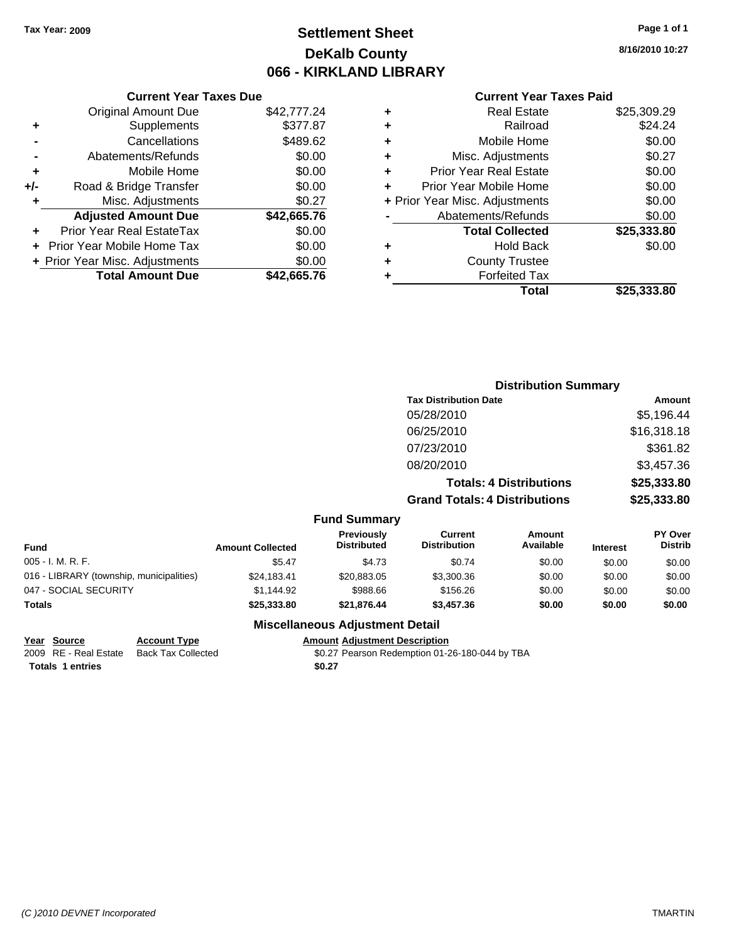## **Settlement Sheet Tax Year: 2009 Page 1 of 1 DeKalb County 066 - KIRKLAND LIBRARY**

**8/16/2010 10:27**

#### **Current Year Taxes Paid**

|     | <b>Current Year Taxes Due</b>  |             |  |
|-----|--------------------------------|-------------|--|
|     | <b>Original Amount Due</b>     | \$42,777.24 |  |
| ٠   | Supplements                    | \$377.87    |  |
|     | Cancellations                  | \$489.62    |  |
|     | Abatements/Refunds             | \$0.00      |  |
| ٠   | Mobile Home                    | \$0.00      |  |
| +/- | Road & Bridge Transfer         | \$0.00      |  |
| ٠   | Misc. Adjustments              | \$0.27      |  |
|     | <b>Adjusted Amount Due</b>     | \$42,665.76 |  |
| ٠   | Prior Year Real EstateTax      | \$0.00      |  |
|     | Prior Year Mobile Home Tax     | \$0.00      |  |
|     | + Prior Year Misc. Adjustments | \$0.00      |  |
|     | <b>Total Amount Due</b>        | \$42.665.76 |  |

| ٠ | <b>Real Estate</b>             | \$25,309.29 |
|---|--------------------------------|-------------|
| ٠ | Railroad                       | \$24.24     |
| ٠ | Mobile Home                    | \$0.00      |
| ٠ | Misc. Adjustments              | \$0.27      |
| ٠ | <b>Prior Year Real Estate</b>  | \$0.00      |
| ÷ | Prior Year Mobile Home         | \$0.00      |
|   | + Prior Year Misc. Adjustments | \$0.00      |
|   | Abatements/Refunds             | \$0.00      |
|   | <b>Total Collected</b>         | \$25,333.80 |
| ٠ | Hold Back                      | \$0.00      |
| ٠ | <b>County Trustee</b>          |             |
| ٠ | <b>Forfeited Tax</b>           |             |
|   | Total                          | \$25,333.80 |
|   |                                |             |

|                         |                                         | <b>Distribution Summary</b>           |                                |                 |                           |  |
|-------------------------|-----------------------------------------|---------------------------------------|--------------------------------|-----------------|---------------------------|--|
|                         |                                         | <b>Tax Distribution Date</b>          |                                |                 | Amount                    |  |
|                         |                                         | 05/28/2010                            |                                |                 | \$5,196.44                |  |
|                         |                                         | 06/25/2010                            |                                |                 | \$16,318.18               |  |
|                         |                                         | 07/23/2010                            |                                |                 | \$361.82                  |  |
|                         |                                         | 08/20/2010                            |                                |                 | \$3,457.36                |  |
|                         |                                         |                                       | <b>Totals: 4 Distributions</b> |                 | \$25,333.80               |  |
|                         |                                         | <b>Grand Totals: 4 Distributions</b>  |                                |                 | \$25,333.80               |  |
|                         | <b>Fund Summary</b>                     |                                       |                                |                 |                           |  |
| <b>Amount Collected</b> | <b>Previously</b><br><b>Distributed</b> | <b>Current</b><br><b>Distribution</b> | Amount<br>Available            | <b>Interest</b> | PY Over<br><b>Distrib</b> |  |

| <b>Fund</b>                              | <b>Amount Collected</b> | <b>FIGVIOUSIV</b><br><b>Distributed</b> | <b>Gurrent</b><br><b>Distribution</b> | Alliount<br>Available | <b>Interest</b> | FI UVEI<br><b>Distrib</b> |
|------------------------------------------|-------------------------|-----------------------------------------|---------------------------------------|-----------------------|-----------------|---------------------------|
| $005 - I. M. R. F.$                      | \$5.47                  | \$4.73                                  | \$0.74                                | \$0.00                | \$0.00          | \$0.00                    |
| 016 - LIBRARY (township, municipalities) | \$24,183.41             | \$20,883,05                             | \$3,300.36                            | \$0.00                | \$0.00          | \$0.00                    |
| 047 - SOCIAL SECURITY                    | \$1,144.92              | \$988.66                                | \$156.26                              | \$0.00                | \$0.00          | \$0.00                    |
| <b>Totals</b>                            | \$25,333,80             | \$21.876.44                             | \$3,457.36                            | \$0.00                | \$0.00          | \$0.00                    |

### **Miscellaneous Adjustment Detail**

**Year Source Account Type Amount Adjustment Description** Totals 1 entries \$0.27

\$0.27 Pearson Redemption 01-26-180-044 by TBA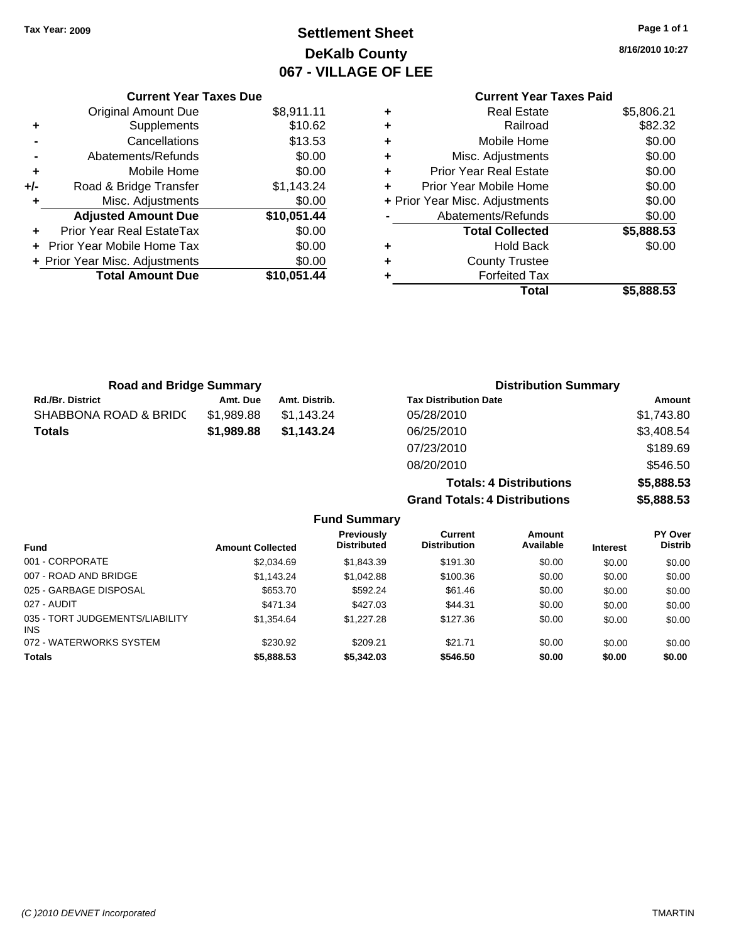## **Settlement Sheet Tax Year: 2009 Page 1 of 1 DeKalb County 067 - VILLAGE OF LEE**

**8/16/2010 10:27**

### **Current Year Taxes Paid**

| <b>Curren</b>            |   |             | <b>Current Year Taxes Due</b>  |       |
|--------------------------|---|-------------|--------------------------------|-------|
| Real                     | ٠ | \$8,911.11  | <b>Original Amount Due</b>     |       |
| R                        | ٠ | \$10.62     | Supplements                    | ٠     |
| Mobile                   | ٠ | \$13.53     | Cancellations                  |       |
| Misc. Adjus              | ٠ | \$0.00      | Abatements/Refunds             |       |
| <b>Prior Year Real</b>   | ÷ | \$0.00      | Mobile Home                    | ٠     |
| <b>Prior Year Mobile</b> | ÷ | \$1,143.24  | Road & Bridge Transfer         | $+/-$ |
| + Prior Year Misc. Adjus |   | \$0.00      | Misc. Adjustments              |       |
| Abatements/R             |   | \$10,051.44 | <b>Adjusted Amount Due</b>     |       |
| <b>Total Col</b>         |   | \$0.00      | Prior Year Real EstateTax      |       |
| Hol                      | ٠ | \$0.00      | + Prior Year Mobile Home Tax   |       |
| County T                 | ٠ | \$0.00      | + Prior Year Misc. Adjustments |       |
| Forfeit                  |   | \$10,051.44 | <b>Total Amount Due</b>        |       |
|                          |   |             |                                |       |

| ٠ | <b>Real Estate</b>             | \$5,806.21 |
|---|--------------------------------|------------|
| ٠ | Railroad                       | \$82.32    |
| ٠ | Mobile Home                    | \$0.00     |
| ٠ | Misc. Adjustments              | \$0.00     |
| ٠ | <b>Prior Year Real Estate</b>  | \$0.00     |
| ÷ | Prior Year Mobile Home         | \$0.00     |
|   | + Prior Year Misc. Adjustments | \$0.00     |
|   | Abatements/Refunds             | \$0.00     |
|   | <b>Total Collected</b>         | \$5,888.53 |
|   | <b>Hold Back</b>               | \$0.00     |
| ٠ | <b>County Trustee</b>          |            |
|   | <b>Forfeited Tax</b>           |            |
|   | Total                          | \$5.888.53 |

**Totals: 4 Distributions \$5,888.53**

**Grand Totals: 4 Distributions \$5,888.53**

| <b>Road and Bridge Summary</b> |            |               | <b>Distribution Summary</b>  |            |
|--------------------------------|------------|---------------|------------------------------|------------|
| <b>Rd./Br. District</b>        | Amt. Due   | Amt. Distrib. | <b>Tax Distribution Date</b> | Amount     |
| SHABBONA ROAD & BRIDC          | \$1,989.88 | \$1,143.24    | 05/28/2010                   | \$1,743.80 |
| <b>Totals</b>                  | \$1,989.88 | \$1.143.24    | 06/25/2010                   | \$3,408.54 |
|                                |            |               | 07/23/2010                   | \$189.69   |
|                                |            |               | 08/20/2010                   | \$546.50   |

|                                         |                         | <b>Fund Summary</b>              |                                |                            |                 |                                  |
|-----------------------------------------|-------------------------|----------------------------------|--------------------------------|----------------------------|-----------------|----------------------------------|
| Fund                                    | <b>Amount Collected</b> | Previously<br><b>Distributed</b> | Current<br><b>Distribution</b> | <b>Amount</b><br>Available | <b>Interest</b> | <b>PY Over</b><br><b>Distrib</b> |
| 001 - CORPORATE                         | \$2,034.69              | \$1,843.39                       | \$191.30                       | \$0.00                     | \$0.00          | \$0.00                           |
| 007 - ROAD AND BRIDGE                   | \$1,143.24              | \$1,042.88                       | \$100.36                       | \$0.00                     | \$0.00          | \$0.00                           |
| 025 - GARBAGE DISPOSAL                  | \$653.70                | \$592.24                         | \$61.46                        | \$0.00                     | \$0.00          | \$0.00                           |
| 027 - AUDIT                             | \$471.34                | \$427.03                         | \$44.31                        | \$0.00                     | \$0.00          | \$0.00                           |
| 035 - TORT JUDGEMENTS/LIABILITY<br>INS. | \$1,354.64              | \$1,227.28                       | \$127.36                       | \$0.00                     | \$0.00          | \$0.00                           |
| 072 - WATERWORKS SYSTEM                 | \$230.92                | \$209.21                         | \$21.71                        | \$0.00                     | \$0.00          | \$0.00                           |
| Totals                                  | \$5,888.53              | \$5,342.03                       | \$546.50                       | \$0.00                     | \$0.00          | \$0.00                           |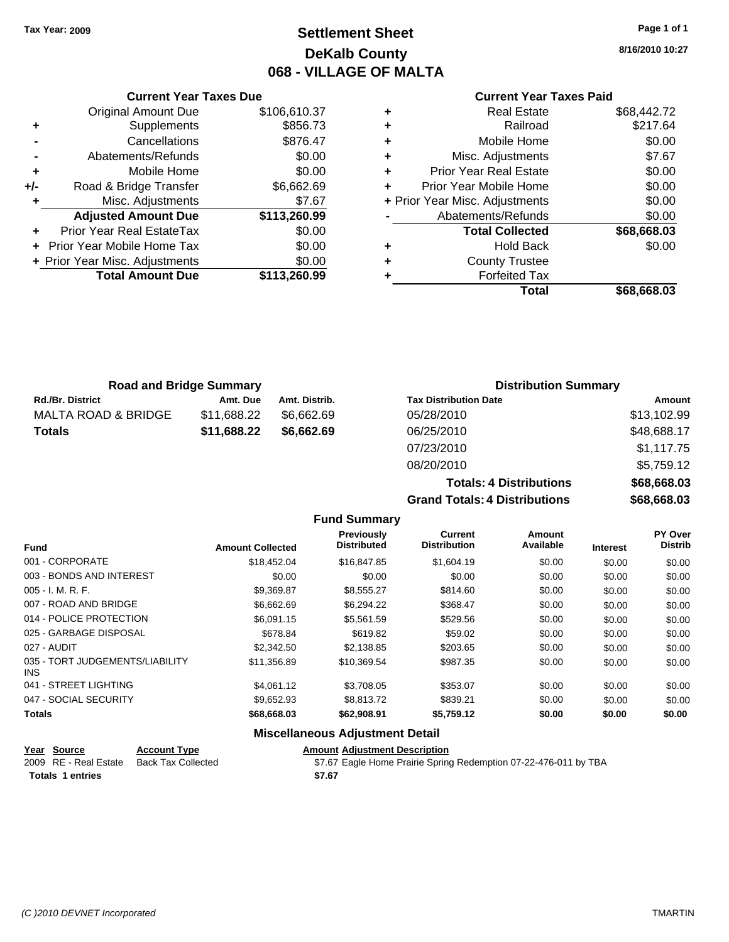## **Settlement Sheet Tax Year: 2009 Page 1 of 1 DeKalb County 068 - VILLAGE OF MALTA**

**8/16/2010 10:27**

#### **Current Year Taxes Paid**

| ٠ | <b>Real Estate</b>             | \$68,442.72 |
|---|--------------------------------|-------------|
| ٠ | Railroad                       | \$217.64    |
| ٠ | Mobile Home                    | \$0.00      |
| ٠ | Misc. Adjustments              | \$7.67      |
| ٠ | <b>Prior Year Real Estate</b>  | \$0.00      |
| ٠ | Prior Year Mobile Home         | \$0.00      |
|   | + Prior Year Misc. Adjustments | \$0.00      |
|   | Abatements/Refunds             | \$0.00      |
|   | <b>Total Collected</b>         | \$68,668.03 |
| ٠ | <b>Hold Back</b>               | \$0.00      |
| ٠ | <b>County Trustee</b>          |             |
| ٠ | <b>Forfeited Tax</b>           |             |
|   | Total                          | \$68.668.03 |

|       | <b>Current Year Taxes Due</b>     |              |
|-------|-----------------------------------|--------------|
|       | <b>Original Amount Due</b>        | \$106,610.37 |
| ٠     | Supplements                       | \$856.73     |
|       | Cancellations                     | \$876.47     |
|       | Abatements/Refunds                | \$0.00       |
| ٠     | Mobile Home                       | \$0.00       |
| $+/-$ | Road & Bridge Transfer            | \$6,662.69   |
| ٠     | Misc. Adjustments                 | \$7.67       |
|       | <b>Adjusted Amount Due</b>        | \$113,260.99 |
|       | Prior Year Real EstateTax         | \$0.00       |
|       | <b>Prior Year Mobile Home Tax</b> | \$0.00       |
|       | + Prior Year Misc. Adjustments    | \$0.00       |
|       | <b>Total Amount Due</b>           | \$113,260.99 |
|       |                                   |              |

| <b>Road and Bridge Summary</b> |             |               | <b>Distribution Summary</b>  |             |  |
|--------------------------------|-------------|---------------|------------------------------|-------------|--|
| <b>Rd./Br. District</b>        | Amt. Due    | Amt. Distrib. | <b>Tax Distribution Date</b> | Amount      |  |
| <b>MALTA ROAD &amp; BRIDGE</b> | \$11,688.22 | \$6.662.69    | 05/28/2010                   | \$13,102.99 |  |
| <b>Totals</b>                  | \$11,688.22 | \$6,662.69    | 06/25/2010                   | \$48,688.17 |  |
|                                |             |               | 07/23/2010                   | \$1,117.75  |  |
|                                |             |               | 08/20/2010                   | \$5,759.12  |  |

 $Totals$  $Grand$  Totals

|                    | \$5.759.12  |
|--------------------|-------------|
| :: 4 Distributions | \$68,668.03 |
| : 4 Distributions  | \$68,668.03 |

|                                         |                         | <b>Fund Summary</b>              |                                       |                     |                 |                           |
|-----------------------------------------|-------------------------|----------------------------------|---------------------------------------|---------------------|-----------------|---------------------------|
| <b>Fund</b>                             | <b>Amount Collected</b> | <b>Previously</b><br>Distributed | <b>Current</b><br><b>Distribution</b> | Amount<br>Available | <b>Interest</b> | PY Over<br><b>Distrib</b> |
| 001 - CORPORATE                         | \$18,452.04             | \$16,847.85                      | \$1,604.19                            | \$0.00              | \$0.00          | \$0.00                    |
| 003 - BONDS AND INTEREST                | \$0.00                  | \$0.00                           | \$0.00                                | \$0.00              | \$0.00          | \$0.00                    |
| $005 - I. M. R. F.$                     | \$9,369.87              | \$8,555.27                       | \$814.60                              | \$0.00              | \$0.00          | \$0.00                    |
| 007 - ROAD AND BRIDGE                   | \$6,662.69              | \$6,294.22                       | \$368.47                              | \$0.00              | \$0.00          | \$0.00                    |
| 014 - POLICE PROTECTION                 | \$6,091.15              | \$5,561.59                       | \$529.56                              | \$0.00              | \$0.00          | \$0.00                    |
| 025 - GARBAGE DISPOSAL                  | \$678.84                | \$619.82                         | \$59.02                               | \$0.00              | \$0.00          | \$0.00                    |
| 027 - AUDIT                             | \$2,342.50              | \$2,138.85                       | \$203.65                              | \$0.00              | \$0.00          | \$0.00                    |
| 035 - TORT JUDGEMENTS/LIABILITY<br>INS. | \$11,356.89             | \$10,369.54                      | \$987.35                              | \$0.00              | \$0.00          | \$0.00                    |
| 041 - STREET LIGHTING                   | \$4,061.12              | \$3,708.05                       | \$353.07                              | \$0.00              | \$0.00          | \$0.00                    |
| 047 - SOCIAL SECURITY                   | \$9,652.93              | \$8,813.72                       | \$839.21                              | \$0.00              | \$0.00          | \$0.00                    |
| Totals                                  | \$68,668.03             | \$62,908.91                      | \$5,759.12                            | \$0.00              | \$0.00          | \$0.00                    |
| <b>Miscellaneous Adjustment Detail</b>  |                         |                                  |                                       |                     |                 |                           |

### **Year Source Account Type Amount Adjustment Description**<br>2009 RE - Real Estate Back Tax Collected \$7.67 Eagle Home Prairie Spring **Totals \$7.67 1 entries**

\$7.67 Eagle Home Prairie Spring Redemption 07-22-476-011 by TBA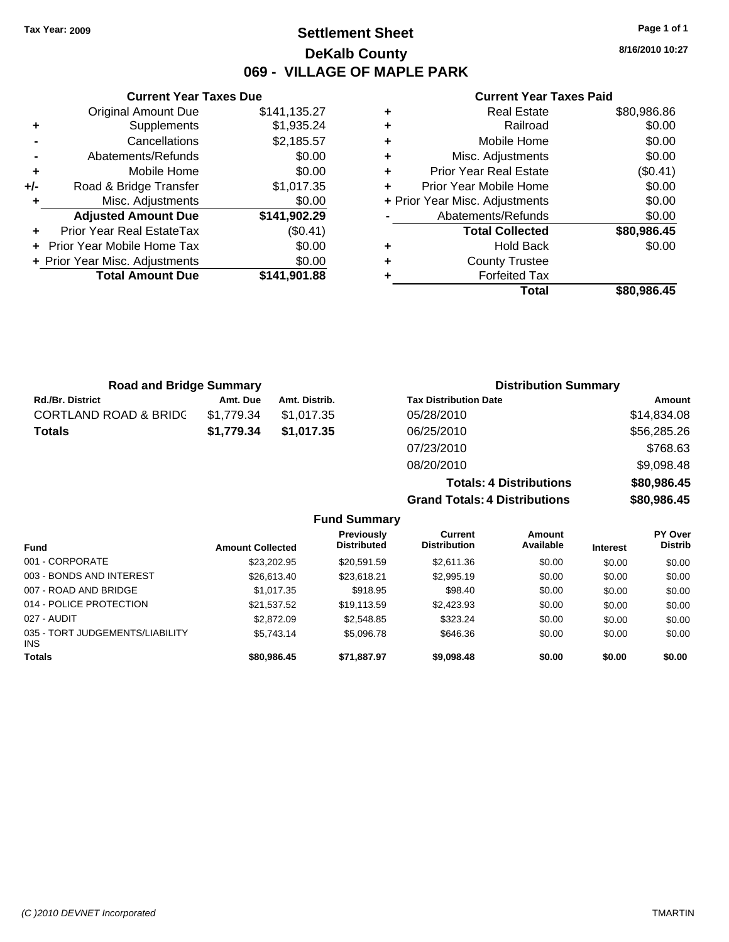**Current Year Taxes Due** Original Amount Due \$141,135.27

**Adjusted Amount Due \$141,902.29**

**Total Amount Due \$141,901.88**

**+** Supplements \$1,935.24 **-** Cancellations \$2,185.57 **-** Abatements/Refunds \$0.00 **+** Mobile Home \$0.00 **+/-** Road & Bridge Transfer \$1,017.35 **+** Misc. Adjustments \$0.00

**+** Prior Year Real EstateTax (\$0.41) **+** Prior Year Mobile Home Tax \$0.00 **+ Prior Year Misc. Adjustments**  $$0.00$ 

### **Settlement Sheet Tax Year: 2009 Page 1 of 1 DeKalb County 069 - VILLAGE OF MAPLE PARK**

**8/16/2010 10:27**

#### **Current Year Taxes Paid**

|   | Total                          | \$80,986.45 |
|---|--------------------------------|-------------|
|   | <b>Forfeited Tax</b>           |             |
| ٠ | <b>County Trustee</b>          |             |
| ٠ | <b>Hold Back</b>               | \$0.00      |
|   | <b>Total Collected</b>         | \$80,986.45 |
|   | Abatements/Refunds             | \$0.00      |
|   | + Prior Year Misc. Adjustments | \$0.00      |
| ÷ | Prior Year Mobile Home         | \$0.00      |
| ٠ | <b>Prior Year Real Estate</b>  | (\$0.41)    |
| ٠ | Misc. Adjustments              | \$0.00      |
| ÷ | Mobile Home                    | \$0.00      |
| ٠ | Railroad                       | \$0.00      |
| ٠ | <b>Real Estate</b>             | \$80,986.86 |

**Totals: 4 Distributions \$80,986.45**

**Grand Totals: 4 Distributions \$80,986.45**

| <b>Road and Bridge Summary</b>   |            |               | <b>Distribution Summary</b>  |             |
|----------------------------------|------------|---------------|------------------------------|-------------|
| <b>Rd./Br. District</b>          | Amt. Due   | Amt. Distrib. | <b>Tax Distribution Date</b> | Amount      |
| <b>CORTLAND ROAD &amp; BRIDC</b> | \$1,779.34 | \$1,017.35    | 05/28/2010                   | \$14,834.08 |
| Totals                           | \$1,779.34 | \$1,017.35    | 06/25/2010                   | \$56,285.26 |
|                                  |            |               | 07/23/2010                   | \$768.63    |
|                                  |            |               | 08/20/2010                   | \$9,098.48  |

**Fund Summary Fund Interest Amount Collected Distributed PY Over Distrib Amount Available Current Distribution Previously** 001 - CORPORATE \$23,202.95 \$20,591.59 \$2,611.36 \$0.00 \$0.00 \$0.00 003 - BONDS AND INTEREST  $$26,613.40$   $$23,618.21$   $$2,995.19$   $$0.00$   $$0.00$   $$0.00$ 007 - ROAD AND BRIDGE \$1,017.35 \$918.95 \$98.40 \$0.00 \$0.00 \$0.00 014 - POLICE PROTECTION \$21,537.52 \$19,113.59 \$2,423.93 \$0.00 \$0.00 \$0.00 \$0.00 027 - AUDIT \$2,872.09 \$2,548.85 \$323.24 \$0.00 \$0.00 \$0.00 035 - TORT JUDGEMENTS/LIABILITY INS \$5,743.14 \$5,096.78 \$646.36 \$0.00 \$0.00 \$0.00 **Totals \$80,986.45 \$71,887.97 \$9,098.48 \$0.00 \$0.00 \$0.00**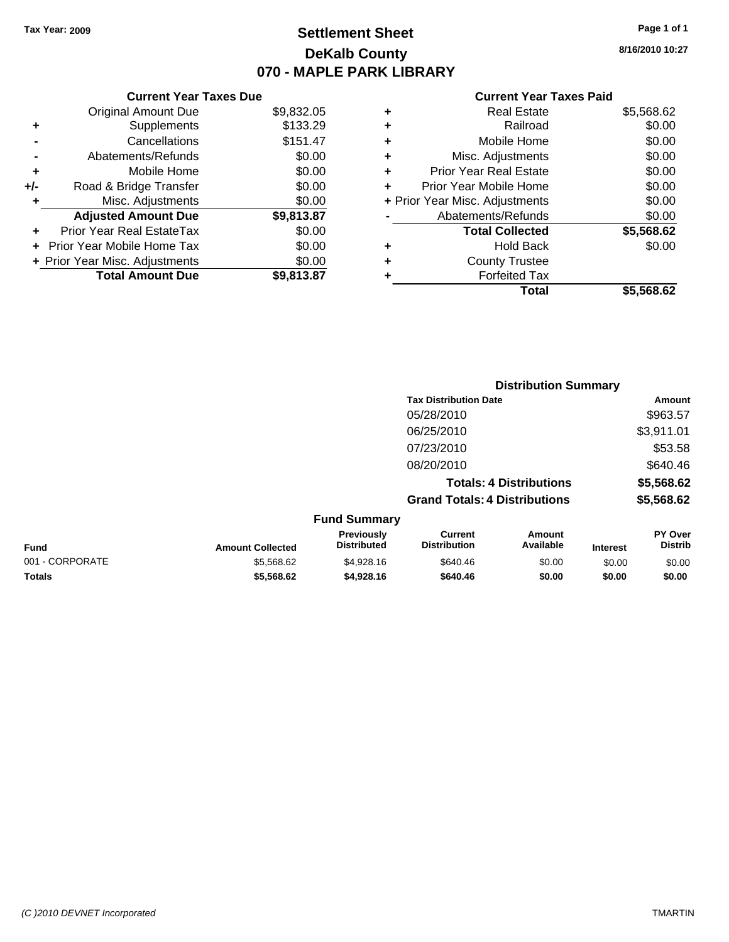## **Settlement Sheet Tax Year: 2009 Page 1 of 1 DeKalb County 070 - MAPLE PARK LIBRARY**

**8/16/2010 10:27**

### **Current Year Taxes Paid**

| ٠ | Real Estate                    | \$5,568.62 |
|---|--------------------------------|------------|
| ٠ | Railroad                       | \$0.00     |
| ÷ | Mobile Home                    | \$0.00     |
| ٠ | Misc. Adjustments              | \$0.00     |
| ٠ | <b>Prior Year Real Estate</b>  | \$0.00     |
| ٠ | Prior Year Mobile Home         | \$0.00     |
|   | + Prior Year Misc. Adjustments | \$0.00     |
|   | Abatements/Refunds             | \$0.00     |
|   | <b>Total Collected</b>         | \$5,568.62 |
| ٠ | <b>Hold Back</b>               | \$0.00     |
| ٠ | <b>County Trustee</b>          |            |
|   | <b>Forfeited Tax</b>           |            |
|   | Total                          | \$5.568.62 |

|     | <b>Current Year Taxes Due</b>     |            |
|-----|-----------------------------------|------------|
|     | <b>Original Amount Due</b>        | \$9,832.05 |
| ٠   | Supplements                       | \$133.29   |
|     | Cancellations                     | \$151.47   |
|     | Abatements/Refunds                | \$0.00     |
| ÷   | Mobile Home                       | \$0.00     |
| +/- | Road & Bridge Transfer            | \$0.00     |
| ٠   | Misc. Adjustments                 | \$0.00     |
|     | <b>Adjusted Amount Due</b>        | \$9,813.87 |
|     | Prior Year Real EstateTax         | \$0.00     |
|     | <b>Prior Year Mobile Home Tax</b> | \$0.00     |
|     | + Prior Year Misc. Adjustments    | \$0.00     |
|     | <b>Total Amount Due</b>           | \$9,813.87 |

|                  |                                  | <b>Distribution Summary</b>           |                                |          |                                  |
|------------------|----------------------------------|---------------------------------------|--------------------------------|----------|----------------------------------|
|                  |                                  | <b>Tax Distribution Date</b>          |                                | Amount   |                                  |
|                  |                                  | 05/28/2010                            |                                |          | \$963.57                         |
|                  |                                  | 06/25/2010                            |                                |          | \$3,911.01                       |
|                  |                                  | 07/23/2010                            |                                |          | \$53.58                          |
|                  |                                  | 08/20/2010                            |                                |          | \$640.46                         |
|                  |                                  |                                       | <b>Totals: 4 Distributions</b> |          | \$5,568.62                       |
|                  |                                  | <b>Grand Totals: 4 Distributions</b>  |                                |          | \$5,568.62                       |
|                  | <b>Fund Summary</b>              |                                       |                                |          |                                  |
| Amount Collected | Previously<br><b>Distributed</b> | <b>Current</b><br><b>Distribution</b> | Amount<br>Available            | Intaract | <b>PY Over</b><br><b>Distrib</b> |

| <b>Fund</b>     | <b>Amount Collected</b> | <b>Previously</b><br><b>Distributed</b> | Current<br><b>Distribution</b> | Amount<br>Available | <b>Interest</b> | <b>PY Over</b><br><b>Distrib</b> |
|-----------------|-------------------------|-----------------------------------------|--------------------------------|---------------------|-----------------|----------------------------------|
| 001 - CORPORATE | \$5.568.62              | \$4.928.16                              | \$640.46                       | \$0.00              | \$0.00          | \$0.00                           |
| <b>Totals</b>   | \$5,568,62              | \$4.928.16                              | \$640.46                       | \$0.00              | \$0.00          | \$0.00                           |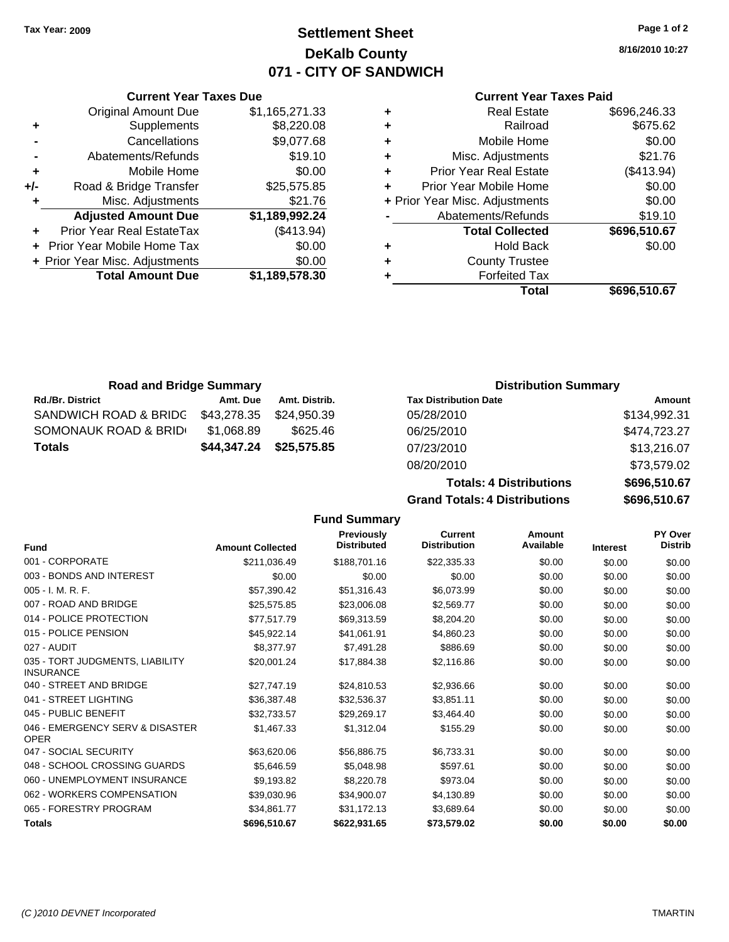**Current Year Taxes Due** Original Amount Due \$1,165,271.33

**Adjusted Amount Due \$1,189,992.24**

**Total Amount Due \$1,189,578.30**

**+** Supplements \$8,220.08 **-** Cancellations \$9,077.68 **-** Abatements/Refunds \$19.10 **+** Mobile Home \$0.00 **+/-** Road & Bridge Transfer \$25,575.85 **+** Misc. Adjustments \$21.76

**+** Prior Year Real EstateTax (\$413.94) **+** Prior Year Mobile Home Tax \$0.00 **+ Prior Year Misc. Adjustments**  $$0.00$ 

### **Settlement Sheet Tax Year: 2009 Page 1 of 2 DeKalb County 071 - CITY OF SANDWICH**

**8/16/2010 10:27**

### **Current Year Taxes Paid**

| ٠ | <b>Real Estate</b>             | \$696,246.33 |
|---|--------------------------------|--------------|
| ٠ | Railroad                       | \$675.62     |
| ٠ | Mobile Home                    | \$0.00       |
| ٠ | Misc. Adjustments              | \$21.76      |
| ٠ | <b>Prior Year Real Estate</b>  | (\$413.94)   |
| ÷ | Prior Year Mobile Home         | \$0.00       |
|   | + Prior Year Misc. Adjustments | \$0.00       |
|   | Abatements/Refunds             | \$19.10      |
|   | <b>Total Collected</b>         | \$696,510.67 |
| ٠ | <b>Hold Back</b>               | \$0.00       |
| ٠ | <b>County Trustee</b>          |              |
|   | <b>Forfeited Tax</b>           |              |
|   | Total                          | \$696,510.67 |

| <b>Road and Bridge Summary</b> |             |               | <b>Distribution Summary</b>  |              |
|--------------------------------|-------------|---------------|------------------------------|--------------|
| <b>Rd./Br. District</b>        | Amt. Due    | Amt. Distrib. | <b>Tax Distribution Date</b> | Amount       |
| SANDWICH ROAD & BRIDG          | \$43,278.35 | \$24.950.39   | 05/28/2010                   | \$134,992.31 |
| SOMONAUK ROAD & BRID           | \$1,068.89  | \$625.46      | 06/25/2010                   | \$474,723.27 |
| <b>Totals</b>                  | \$44,347.24 | \$25,575.85   | 07/23/2010                   | \$13,216.07  |

| Tax Distribution Date             | Amount              |  |  |
|-----------------------------------|---------------------|--|--|
| 05/28/2010                        | \$134,992.31        |  |  |
| 06/25/2010                        | \$474,723.27        |  |  |
| 07/23/2010                        | \$13,216.07         |  |  |
| 08/20/2010                        | \$73,579.02         |  |  |
| <b>Totals: 4 Distributions</b>    | \$696,510.67        |  |  |
| Oran J. Tatalan J. Diatributional | <u> AAAA FIA AT</u> |  |  |

**Grand Totals: 4 Distributions \$696,510.67**

|                                                     |                         | <b>Fund Summary</b>                     |                                       |                     |                 |                                  |
|-----------------------------------------------------|-------------------------|-----------------------------------------|---------------------------------------|---------------------|-----------------|----------------------------------|
| <b>Fund</b>                                         | <b>Amount Collected</b> | <b>Previously</b><br><b>Distributed</b> | <b>Current</b><br><b>Distribution</b> | Amount<br>Available | <b>Interest</b> | <b>PY Over</b><br><b>Distrib</b> |
| 001 - CORPORATE                                     | \$211,036.49            | \$188,701.16                            | \$22,335.33                           | \$0.00              | \$0.00          | \$0.00                           |
| 003 - BONDS AND INTEREST                            | \$0.00                  | \$0.00                                  | \$0.00                                | \$0.00              | \$0.00          | \$0.00                           |
| 005 - I. M. R. F.                                   | \$57,390.42             | \$51,316.43                             | \$6,073.99                            | \$0.00              | \$0.00          | \$0.00                           |
| 007 - ROAD AND BRIDGE                               | \$25,575.85             | \$23,006.08                             | \$2,569.77                            | \$0.00              | \$0.00          | \$0.00                           |
| 014 - POLICE PROTECTION                             | \$77,517.79             | \$69,313.59                             | \$8,204.20                            | \$0.00              | \$0.00          | \$0.00                           |
| 015 - POLICE PENSION                                | \$45,922.14             | \$41,061.91                             | \$4,860.23                            | \$0.00              | \$0.00          | \$0.00                           |
| 027 - AUDIT                                         | \$8,377.97              | \$7,491.28                              | \$886.69                              | \$0.00              | \$0.00          | \$0.00                           |
| 035 - TORT JUDGMENTS, LIABILITY<br><b>INSURANCE</b> | \$20,001.24             | \$17,884.38                             | \$2,116.86                            | \$0.00              | \$0.00          | \$0.00                           |
| 040 - STREET AND BRIDGE                             | \$27,747.19             | \$24,810.53                             | \$2,936.66                            | \$0.00              | \$0.00          | \$0.00                           |
| 041 - STREET LIGHTING                               | \$36,387.48             | \$32,536.37                             | \$3,851.11                            | \$0.00              | \$0.00          | \$0.00                           |
| 045 - PUBLIC BENEFIT                                | \$32,733.57             | \$29,269.17                             | \$3,464.40                            | \$0.00              | \$0.00          | \$0.00                           |
| 046 - EMERGENCY SERV & DISASTER<br><b>OPER</b>      | \$1,467.33              | \$1,312.04                              | \$155.29                              | \$0.00              | \$0.00          | \$0.00                           |
| 047 - SOCIAL SECURITY                               | \$63,620.06             | \$56,886.75                             | \$6,733.31                            | \$0.00              | \$0.00          | \$0.00                           |
| 048 - SCHOOL CROSSING GUARDS                        | \$5,646.59              | \$5,048.98                              | \$597.61                              | \$0.00              | \$0.00          | \$0.00                           |
| 060 - UNEMPLOYMENT INSURANCE                        | \$9,193.82              | \$8,220.78                              | \$973.04                              | \$0.00              | \$0.00          | \$0.00                           |
| 062 - WORKERS COMPENSATION                          | \$39,030.96             | \$34,900.07                             | \$4,130.89                            | \$0.00              | \$0.00          | \$0.00                           |

065 - FORESTRY PROGRAM \$34,861.77 \$31,172.13 \$3,689.64 \$0.00 \$0.00 \$0.00 **Totals \$696,510.67 \$622,931.65 \$73,579.02 \$0.00 \$0.00 \$0.00**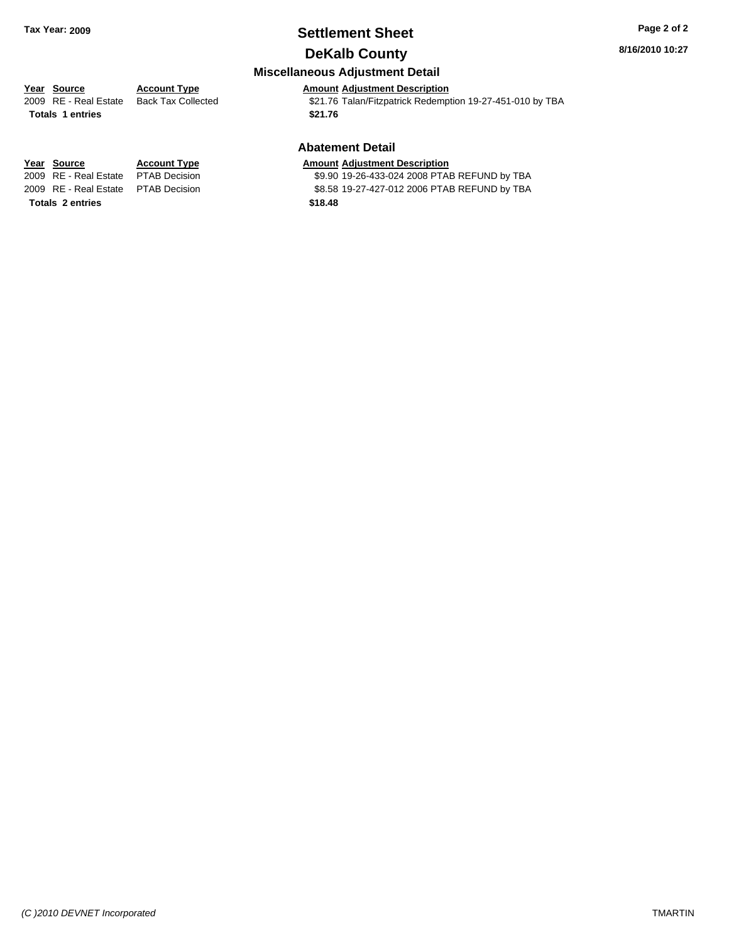### **Settlement Sheet Tax Year: 2009 Page 2 of 2 DeKalb County**

### **8/16/2010 10:27**

### **Miscellaneous Adjustment Detail**

### **Year Source Account Type Amount Adjustment Description**

**Totals \$21.76 1 entries**

2009 RE - Real Estate Back Tax Collected \$21.76 Talan/Fitzpatrick Redemption 19-27-451-010 by TBA

### **Abatement Detail**

#### **Year Source Account Type Amount Adjustment Description**

2009 RE - Real Estate \$9.90 19-26-433-024 2008 PTAB REFUND by TBA PTAB Decision 2009 RE - Real Estate \$8.58 19-27-427-012 2006 PTAB REFUND by TBA PTAB Decision

**Totals \$18.48 2 entries**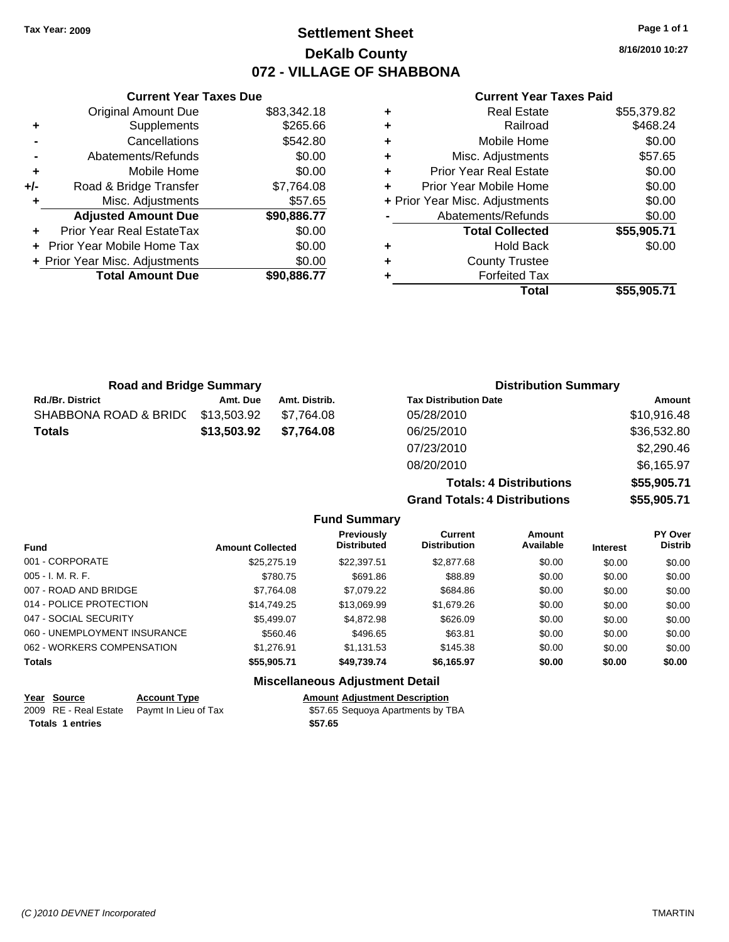### **Settlement Sheet Tax Year: 2009 Page 1 of 1 DeKalb County 072 - VILLAGE OF SHABBONA**

**8/16/2010 10:27**

#### **Current Year Taxes Paid**

|     | <b>Current Year Taxes Due</b>  |             |  |  |  |  |  |
|-----|--------------------------------|-------------|--|--|--|--|--|
|     | <b>Original Amount Due</b>     | \$83,342.18 |  |  |  |  |  |
| ٠   | Supplements                    | \$265.66    |  |  |  |  |  |
|     | Cancellations                  | \$542.80    |  |  |  |  |  |
|     | Abatements/Refunds             | \$0.00      |  |  |  |  |  |
| ٠   | Mobile Home                    | \$0.00      |  |  |  |  |  |
| +/- | Road & Bridge Transfer         | \$7,764.08  |  |  |  |  |  |
| ٠   | Misc. Adjustments              | \$57.65     |  |  |  |  |  |
|     | <b>Adjusted Amount Due</b>     | \$90,886.77 |  |  |  |  |  |
|     | Prior Year Real EstateTax      | \$0.00      |  |  |  |  |  |
|     | Prior Year Mobile Home Tax     | \$0.00      |  |  |  |  |  |
|     | + Prior Year Misc. Adjustments | \$0.00      |  |  |  |  |  |
|     | <b>Total Amount Due</b>        | \$90,886.77 |  |  |  |  |  |
|     |                                |             |  |  |  |  |  |

| ٠ | <b>Real Estate</b>             | \$55,379.82 |
|---|--------------------------------|-------------|
| ٠ | Railroad                       | \$468.24    |
| ٠ | Mobile Home                    | \$0.00      |
| ٠ | Misc. Adjustments              | \$57.65     |
| ٠ | <b>Prior Year Real Estate</b>  | \$0.00      |
| ٠ | Prior Year Mobile Home         | \$0.00      |
|   | + Prior Year Misc. Adjustments | \$0.00      |
|   | Abatements/Refunds             | \$0.00      |
|   | <b>Total Collected</b>         | \$55,905.71 |
| ٠ | <b>Hold Back</b>               | \$0.00      |
| ٠ | <b>County Trustee</b>          |             |
| ٠ | <b>Forfeited Tax</b>           |             |
|   | Total                          | \$55,905.71 |
|   |                                |             |

| <b>Road and Bridge Summary</b> |             |               | <b>Distribution Summary</b>  |             |  |
|--------------------------------|-------------|---------------|------------------------------|-------------|--|
| <b>Rd./Br. District</b>        | Amt. Due    | Amt. Distrib. | <b>Tax Distribution Date</b> | Amount      |  |
| SHABBONA ROAD & BRIDC          | \$13,503.92 | \$7.764.08    | 05/28/2010                   | \$10,916.48 |  |
| <b>Totals</b>                  | \$13,503.92 | \$7.764.08    | 06/25/2010                   | \$36,532.80 |  |
|                                |             |               | 07/23/2010                   | \$2,290.46  |  |

08/20/2010 \$6,165.97  $Totals: 4$ **Grand Totals: 4** 

| <b>Distributions</b> | \$55,905.71 |
|----------------------|-------------|
| <b>Distributions</b> | \$55,905.71 |

| <b>Fund</b>                  | <b>Amount Collected</b> | <b>Previously</b><br><b>Distributed</b> | Current<br><b>Distribution</b> | Amount<br>Available | <b>Interest</b> | <b>PY Over</b><br><b>Distrib</b> |
|------------------------------|-------------------------|-----------------------------------------|--------------------------------|---------------------|-----------------|----------------------------------|
| 001 - CORPORATE              | \$25,275.19             | \$22,397.51                             | \$2,877.68                     | \$0.00              | \$0.00          | \$0.00                           |
| $005 - I. M. R. F.$          | \$780.75                | \$691.86                                | \$88.89                        | \$0.00              | \$0.00          | \$0.00                           |
| 007 - ROAD AND BRIDGE        | \$7,764.08              | \$7,079.22                              | \$684.86                       | \$0.00              | \$0.00          | \$0.00                           |
| 014 - POLICE PROTECTION      | \$14,749.25             | \$13,069.99                             | \$1,679.26                     | \$0.00              | \$0.00          | \$0.00                           |
| 047 - SOCIAL SECURITY        | \$5,499.07              | \$4,872.98                              | \$626.09                       | \$0.00              | \$0.00          | \$0.00                           |
| 060 - UNEMPLOYMENT INSURANCE | \$560.46                | \$496.65                                | \$63.81                        | \$0.00              | \$0.00          | \$0.00                           |
| 062 - WORKERS COMPENSATION   | \$1,276.91              | \$1.131.53                              | \$145.38                       | \$0.00              | \$0.00          | \$0.00                           |
| <b>Totals</b>                | \$55,905.71             | \$49,739.74                             | \$6,165.97                     | \$0.00              | \$0.00          | \$0.00                           |

| Year Source             | <b>Account Type</b>                        | <b>Amount Adjustment Description</b> |
|-------------------------|--------------------------------------------|--------------------------------------|
|                         | 2009 RE - Real Estate Paymt In Lieu of Tax | \$57.65 Sequoya Apartments by TBA    |
| <b>Totals 1 entries</b> |                                            | \$57.65                              |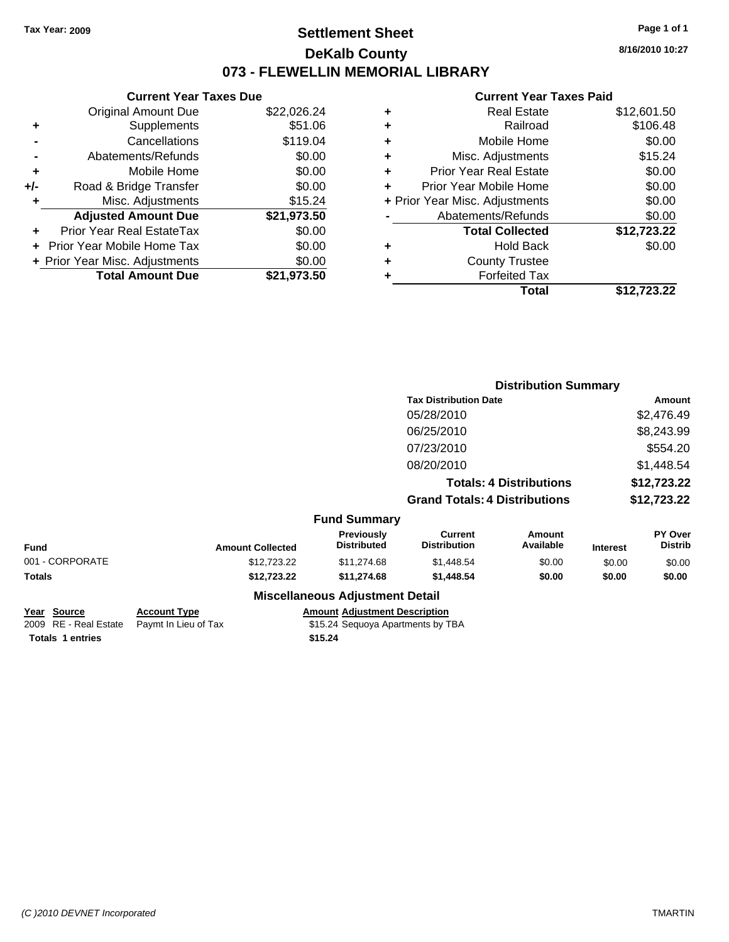### **Settlement Sheet Tax Year: 2009 Page 1 of 1 DeKalb County 073 - FLEWELLIN MEMORIAL LIBRARY**

**8/16/2010 10:27**

#### **Current Year Taxes Paid**

| <b>Current Year Taxes Due</b>               |             |  |  |  |  |
|---------------------------------------------|-------------|--|--|--|--|
| <b>Original Amount Due</b>                  | \$22,026.24 |  |  |  |  |
| Supplements                                 | \$51.06     |  |  |  |  |
| Cancellations                               | \$119.04    |  |  |  |  |
| Abatements/Refunds                          | \$0.00      |  |  |  |  |
| Mobile Home                                 | \$0.00      |  |  |  |  |
| \$0.00<br>Road & Bridge Transfer<br>+/-     |             |  |  |  |  |
| \$15.24<br>Misc. Adjustments                |             |  |  |  |  |
| <b>Adjusted Amount Due</b>                  | \$21,973.50 |  |  |  |  |
| Prior Year Real EstateTax                   | \$0.00      |  |  |  |  |
| \$0.00<br><b>Prior Year Mobile Home Tax</b> |             |  |  |  |  |
| \$0.00<br>+ Prior Year Misc. Adjustments    |             |  |  |  |  |
| <b>Total Amount Due</b>                     | \$21.973.50 |  |  |  |  |
|                                             |             |  |  |  |  |

| ٠ | <b>Real Estate</b>             | \$12,601.50 |
|---|--------------------------------|-------------|
| ٠ | Railroad                       | \$106.48    |
| ٠ | Mobile Home                    | \$0.00      |
| ٠ | Misc. Adjustments              | \$15.24     |
| ÷ | Prior Year Real Estate         | \$0.00      |
| ÷ | Prior Year Mobile Home         | \$0.00      |
|   | + Prior Year Misc. Adjustments | \$0.00      |
|   | Abatements/Refunds             | \$0.00      |
|   | <b>Total Collected</b>         | \$12,723.22 |
| ٠ | <b>Hold Back</b>               | \$0.00      |
| ٠ | <b>County Trustee</b>          |             |
| ٠ | <b>Forfeited Tax</b>           |             |
|   | Total                          | \$12,723.22 |
|   |                                |             |

|                 |                         |                                        | <b>Distribution Summary</b>           |                                |                 |                                  |
|-----------------|-------------------------|----------------------------------------|---------------------------------------|--------------------------------|-----------------|----------------------------------|
|                 |                         |                                        | <b>Tax Distribution Date</b>          |                                |                 | <b>Amount</b>                    |
|                 |                         |                                        | 05/28/2010                            |                                |                 | \$2,476.49                       |
|                 |                         |                                        | 06/25/2010                            |                                |                 | \$8,243.99                       |
|                 |                         |                                        | 07/23/2010                            |                                |                 | \$554.20                         |
|                 |                         |                                        | 08/20/2010                            |                                |                 | \$1,448.54                       |
|                 |                         |                                        |                                       | <b>Totals: 4 Distributions</b> |                 | \$12,723.22                      |
|                 |                         |                                        | <b>Grand Totals: 4 Distributions</b>  |                                |                 | \$12,723.22                      |
|                 |                         | <b>Fund Summary</b>                    |                                       |                                |                 |                                  |
| Fund            | <b>Amount Collected</b> | Previously<br><b>Distributed</b>       | <b>Current</b><br><b>Distribution</b> | <b>Amount</b><br>Available     | <b>Interest</b> | <b>PY Over</b><br><b>Distrib</b> |
| 001 - CORPORATE | \$12,723.22             | \$11,274.68                            | \$1,448.54                            | \$0.00                         | \$0.00          | \$0.00                           |
| Totals          | \$12,723.22             | \$11,274.68                            | \$1,448.54                            | \$0.00                         | \$0.00          | \$0.00                           |
|                 |                         | <b>Miscellaneous Adjustment Detail</b> |                                       |                                |                 |                                  |

| <u>Year Source</u>      | <b>Account Type</b>                        | <b>Amount Adjustment Description</b> |
|-------------------------|--------------------------------------------|--------------------------------------|
|                         | 2009 RE - Real Estate Pavmt In Lieu of Tax | \$15.24 Sequoya Apartments by TBA    |
| <b>Totals 1 entries</b> |                                            | \$15.24                              |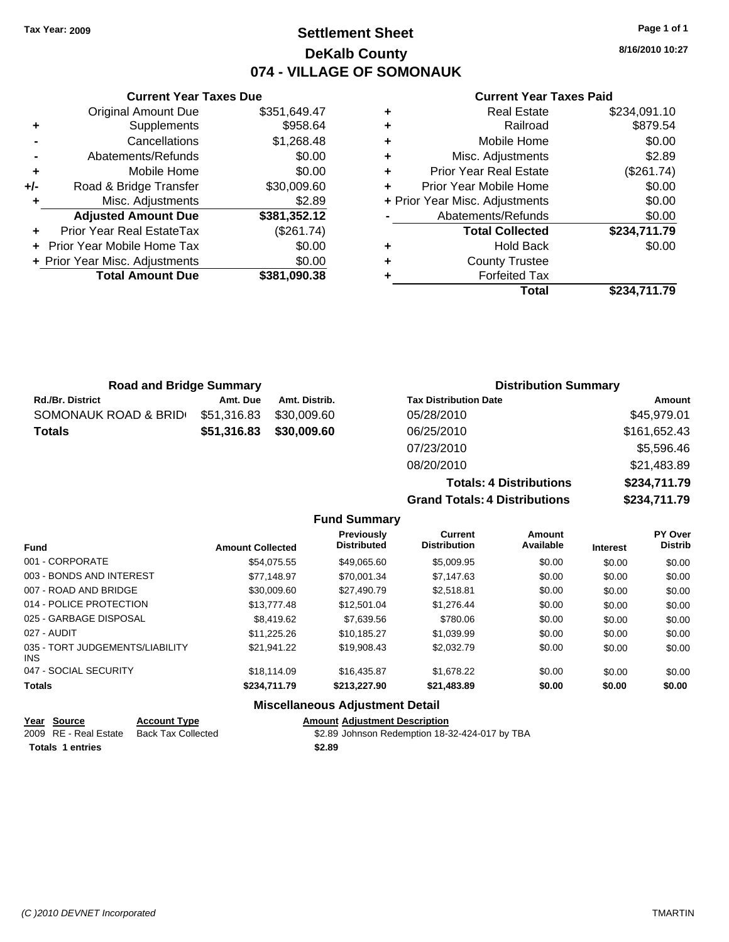### **Settlement Sheet Tax Year: 2009 Page 1 of 1 DeKalb County 074 - VILLAGE OF SOMONAUK**

**8/16/2010 10:27**

### **Current Year Taxes Paid**

| ٠                                  | \$234,091.10<br><b>Real Estate</b> |
|------------------------------------|------------------------------------|
| ٠                                  | \$879.54<br>Railroad               |
| Mobile Home<br>٠                   | \$0.00                             |
| Misc. Adjustments<br>٠             | \$2.89                             |
| <b>Prior Year Real Estate</b><br>÷ | (\$261.74)                         |
| Prior Year Mobile Home<br>÷        | \$0.00                             |
| + Prior Year Misc. Adjustments     | \$0.00                             |
| Abatements/Refunds                 | \$0.00                             |
| <b>Total Collected</b>             | \$234,711.79                       |
| ٠                                  | \$0.00<br><b>Hold Back</b>         |
| <b>County Trustee</b><br>÷         |                                    |
| <b>Forfeited Tax</b><br>٠          |                                    |
|                                    | Total<br>\$234.711.79              |

**Grand Totals: 4 Distributions \$234,711.79**

|     | <b>Current Year Taxes Due</b>  |              |
|-----|--------------------------------|--------------|
|     | Original Amount Due            | \$351,649.47 |
| ٠   | Supplements                    | \$958.64     |
|     | Cancellations                  | \$1,268.48   |
|     | Abatements/Refunds             | \$0.00       |
| ٠   | Mobile Home                    | \$0.00       |
| +/- | Road & Bridge Transfer         | \$30,009.60  |
|     | Misc. Adjustments              | \$2.89       |
|     | <b>Adjusted Amount Due</b>     | \$381,352.12 |
|     | Prior Year Real EstateTax      | (\$261.74)   |
|     | Prior Year Mobile Home Tax     | \$0.00       |
|     | + Prior Year Misc. Adjustments | \$0.00       |
|     | <b>Total Amount Due</b>        | \$381,090.38 |
|     |                                |              |

| <b>Road and Bridge Summary</b> |             |               | <b>Distribution Summary</b>    |              |  |
|--------------------------------|-------------|---------------|--------------------------------|--------------|--|
| <b>Rd./Br. District</b>        | Amt. Due    | Amt. Distrib. | <b>Tax Distribution Date</b>   | Amount       |  |
| SOMONAUK ROAD & BRID           | \$51,316.83 | \$30,009.60   | 05/28/2010                     | \$45,979.01  |  |
| <b>Totals</b>                  | \$51,316.83 | \$30,009.60   | 06/25/2010                     | \$161,652.43 |  |
|                                |             |               | 07/23/2010                     | \$5,596.46   |  |
|                                |             |               | 08/20/2010                     | \$21,483.89  |  |
|                                |             |               | <b>Totals: 4 Distributions</b> | \$234,711.79 |  |

|                                         |                         | <b>Fund Summary</b>              |                                       |                            |                 |                                  |
|-----------------------------------------|-------------------------|----------------------------------|---------------------------------------|----------------------------|-----------------|----------------------------------|
| <b>Fund</b>                             | <b>Amount Collected</b> | Previously<br><b>Distributed</b> | <b>Current</b><br><b>Distribution</b> | <b>Amount</b><br>Available | <b>Interest</b> | <b>PY Over</b><br><b>Distrib</b> |
| 001 - CORPORATE                         | \$54.075.55             | \$49,065.60                      | \$5,009.95                            | \$0.00                     | \$0.00          | \$0.00                           |
| 003 - BONDS AND INTEREST                | \$77,148.97             | \$70,001.34                      | \$7,147.63                            | \$0.00                     | \$0.00          | \$0.00                           |
| 007 - ROAD AND BRIDGE                   | \$30,009.60             | \$27,490.79                      | \$2.518.81                            | \$0.00                     | \$0.00          | \$0.00                           |
| 014 - POLICE PROTECTION                 | \$13,777.48             | \$12,501.04                      | \$1.276.44                            | \$0.00                     | \$0.00          | \$0.00                           |
| 025 - GARBAGE DISPOSAL                  | \$8,419.62              | \$7,639.56                       | \$780.06                              | \$0.00                     | \$0.00          | \$0.00                           |
| 027 - AUDIT                             | \$11,225.26             | \$10.185.27                      | \$1.039.99                            | \$0.00                     | \$0.00          | \$0.00                           |
| 035 - TORT JUDGEMENTS/LIABILITY<br>INS. | \$21,941.22             | \$19,908.43                      | \$2,032.79                            | \$0.00                     | \$0.00          | \$0.00                           |
| 047 - SOCIAL SECURITY                   | \$18,114.09             | \$16,435.87                      | \$1.678.22                            | \$0.00                     | \$0.00          | \$0.00                           |
| <b>Totals</b>                           | \$234.711.79            | \$213,227.90                     | \$21,483.89                           | \$0.00                     | \$0.00          | \$0.00                           |

| Year Source             | <b>Account Type</b> | <b>Amount Adiustment Description</b>           |
|-------------------------|---------------------|------------------------------------------------|
| 2009 RE - Real Estate   | Back Tax Collected  | \$2.89 Johnson Redemption 18-32-424-017 by TBA |
| <b>Totals 1 entries</b> |                     | \$2.89                                         |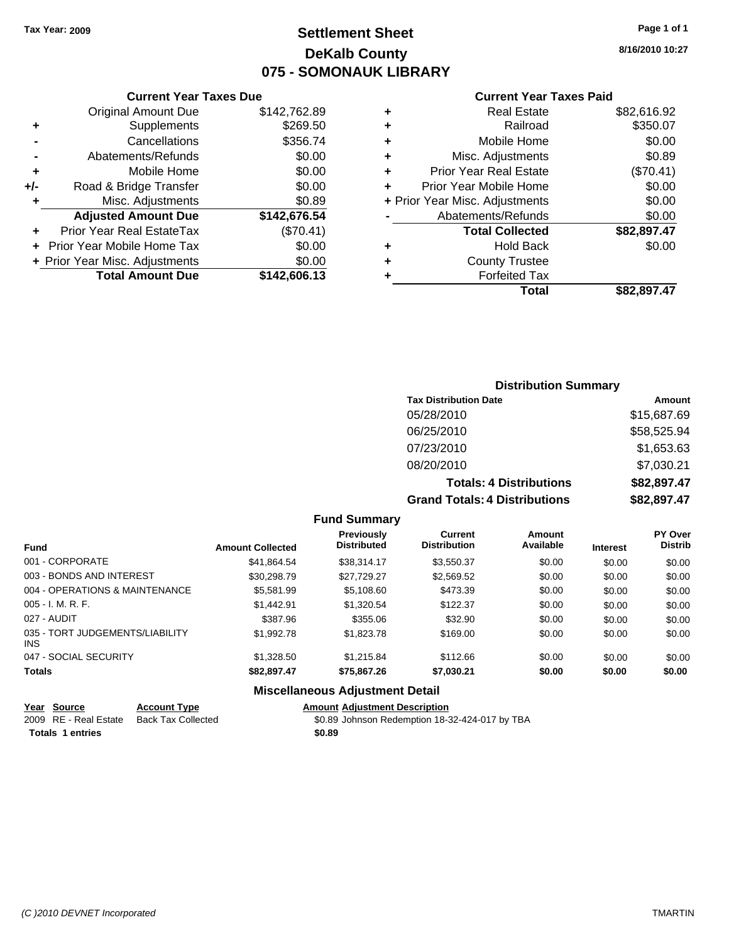## **Settlement Sheet Tax Year: 2009 Page 1 of 1 DeKalb County 075 - SOMONAUK LIBRARY**

**8/16/2010 10:27**

#### **Current Year Taxes Paid**

|     | OGNON, I GAI TAAGO DAG            |              |         |
|-----|-----------------------------------|--------------|---------|
|     | <b>Original Amount Due</b>        | \$142,762.89 | ٠       |
|     | Supplements                       | \$269.50     | ٠       |
|     | Cancellations                     | \$356.74     | ٠       |
|     | Abatements/Refunds                | \$0.00       | ٠       |
|     | Mobile Home                       | \$0.00       | ٠       |
| +/- | Road & Bridge Transfer            | \$0.00       | ٠       |
|     | Misc. Adjustments                 | \$0.89       | + Prior |
|     | <b>Adjusted Amount Due</b>        | \$142,676.54 |         |
|     | Prior Year Real EstateTax         | (\$70.41)    |         |
|     | <b>Prior Year Mobile Home Tax</b> | \$0.00       | ٠       |
|     | + Prior Year Misc. Adjustments    | \$0.00       | ٠       |
|     | <b>Total Amount Due</b>           | \$142,606.13 |         |
|     |                                   |              |         |

**Current Year Taxes Due**

| ٠ | <b>Real Estate</b>             | \$82,616.92 |
|---|--------------------------------|-------------|
| ٠ | Railroad                       | \$350.07    |
| ٠ | Mobile Home                    | \$0.00      |
| ٠ | Misc. Adjustments              | \$0.89      |
| ٠ | <b>Prior Year Real Estate</b>  | (\$70.41)   |
| ÷ | Prior Year Mobile Home         | \$0.00      |
|   | + Prior Year Misc. Adjustments | \$0.00      |
|   | Abatements/Refunds             | \$0.00      |
|   | <b>Total Collected</b>         | \$82,897.47 |
| ٠ | <b>Hold Back</b>               | \$0.00      |
|   |                                |             |
| ٠ | <b>County Trustee</b>          |             |
| ٠ | <b>Forfeited Tax</b>           |             |
|   | Total                          | \$82,897.47 |

### **Distribution Summary Tax Distribution Date Amount** 05/28/2010 \$15,687.69 06/25/2010 \$58,525.94 07/23/2010 \$1,653.63 08/20/2010 \$7,030.21 **Totals: 4 Distributions \$82,897.47 Grand Totals: 4 Distributions \$82,897.47**

#### **Fund Summary**

| <b>Fund</b>                            | <b>Amount Collected</b> | Previously<br><b>Distributed</b> | Current<br><b>Distribution</b> | Amount<br>Available | <b>Interest</b> | <b>PY Over</b><br><b>Distrib</b> |
|----------------------------------------|-------------------------|----------------------------------|--------------------------------|---------------------|-----------------|----------------------------------|
| 001 - CORPORATE                        | \$41,864.54             | \$38,314.17                      | \$3,550.37                     | \$0.00              | \$0.00          | \$0.00                           |
| 003 - BONDS AND INTEREST               | \$30,298.79             | \$27.729.27                      | \$2,569.52                     | \$0.00              | \$0.00          | \$0.00                           |
| 004 - OPERATIONS & MAINTENANCE         | \$5,581.99              | \$5,108.60                       | \$473.39                       | \$0.00              | \$0.00          | \$0.00                           |
| $005 - I. M. R. F.$                    | \$1,442.91              | \$1,320.54                       | \$122.37                       | \$0.00              | \$0.00          | \$0.00                           |
| 027 - AUDIT                            | \$387.96                | \$355.06                         | \$32.90                        | \$0.00              | \$0.00          | \$0.00                           |
| 035 - TORT JUDGEMENTS/LIABILITY<br>INS | \$1,992.78              | \$1,823.78                       | \$169.00                       | \$0.00              | \$0.00          | \$0.00                           |
| 047 - SOCIAL SECURITY                  | \$1,328.50              | \$1.215.84                       | \$112.66                       | \$0.00              | \$0.00          | \$0.00                           |
| <b>Totals</b>                          | \$82,897.47             | \$75,867.26                      | \$7,030.21                     | \$0.00              | \$0.00          | \$0.00                           |
|                                        |                         |                                  |                                |                     |                 |                                  |

| Year Source             | <b>Account Type</b>       | <b>Amount Adiustment Description</b>           |
|-------------------------|---------------------------|------------------------------------------------|
| 2009 RE - Real Estate   | <b>Back Tax Collected</b> | \$0.89 Johnson Redemption 18-32-424-017 by TBA |
| <b>Totals 1 entries</b> |                           | \$0.89                                         |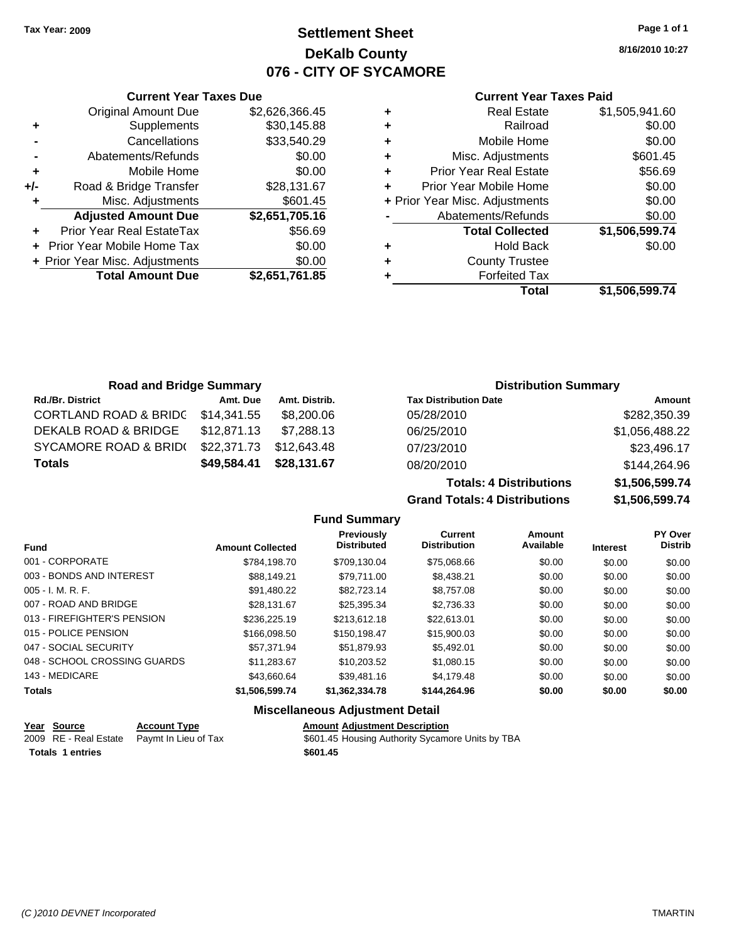### **Settlement Sheet Tax Year: 2009 Page 1 of 1 DeKalb County 076 - CITY OF SYCAMORE**

**8/16/2010 10:27**

### **Current Year Taxes Paid**

| ٠ | <b>Real Estate</b>             | \$1,505,941.60 |
|---|--------------------------------|----------------|
| ٠ | Railroad                       | \$0.00         |
| ٠ | Mobile Home                    | \$0.00         |
| ٠ | Misc. Adjustments              | \$601.45       |
| ٠ | <b>Prior Year Real Estate</b>  | \$56.69        |
| ÷ | Prior Year Mobile Home         | \$0.00         |
|   | + Prior Year Misc. Adjustments | \$0.00         |
|   | Abatements/Refunds             | \$0.00         |
|   | <b>Total Collected</b>         | \$1,506,599.74 |
| ٠ | <b>Hold Back</b>               | \$0.00         |
| ٠ | <b>County Trustee</b>          |                |
| ٠ | <b>Forfeited Tax</b>           |                |
|   | Total                          | \$1.506.599.74 |

| <b>Current Year Taxes Due</b>  |                |  |  |  |
|--------------------------------|----------------|--|--|--|
| Original Amount Due            | \$2,626,366.45 |  |  |  |
| Supplements                    | \$30,145.88    |  |  |  |
| Cancellations                  | \$33,540.29    |  |  |  |
| \$0.00<br>Abatements/Refunds   |                |  |  |  |
| Mobile Home                    | \$0.00         |  |  |  |
| Road & Bridge Transfer         | \$28,131.67    |  |  |  |
| Misc. Adjustments              | \$601.45       |  |  |  |
| <b>Adjusted Amount Due</b>     | \$2,651,705.16 |  |  |  |
| Prior Year Real EstateTax      | \$56.69        |  |  |  |
| Prior Year Mobile Home Tax     | \$0.00         |  |  |  |
| + Prior Year Misc. Adjustments | \$0.00         |  |  |  |
| <b>Total Amount Due</b>        | \$2,651,761.85 |  |  |  |
|                                |                |  |  |  |

| <b>Road and Bridge Summary</b>   |             |               |                              | <b>Distribution Summary</b> |  |  |
|----------------------------------|-------------|---------------|------------------------------|-----------------------------|--|--|
| <b>Rd./Br. District</b>          | Amt. Due    | Amt. Distrib. | <b>Tax Distribution Date</b> | Amount                      |  |  |
| <b>CORTLAND ROAD &amp; BRIDC</b> | \$14,341.55 | \$8,200.06    | 05/28/2010                   | \$282,350.39                |  |  |
| DEKALB ROAD & BRIDGE             | \$12,871.13 | \$7,288.13    | 06/25/2010                   | \$1,056,488.22              |  |  |
| SYCAMORE ROAD & BRID(            | \$22,371.73 | \$12,643.48   | 07/23/2010                   | \$23,496.17                 |  |  |
| <b>Totals</b>                    | \$49,584.41 | \$28,131.67   | 08/20/2010                   | \$144,264.96                |  |  |

|                     | <b>Totals: 4 Distributions</b>       | \$1,506,599.74 |  |  |
|---------------------|--------------------------------------|----------------|--|--|
|                     | <b>Grand Totals: 4 Distributions</b> | \$1,506,599.74 |  |  |
| <b>Fund Summary</b> |                                      |                |  |  |

| Totals: 4 Distributions | \$1,506,599.74 |
|-------------------------|----------------|
| Totals: 4 Distributions | \$1,506,599.74 |

| <b>Fund</b>                  | <b>Amount Collected</b> | Previously<br><b>Distributed</b> | <b>Current</b><br><b>Distribution</b> | Amount<br>Available | <b>Interest</b> | <b>PY Over</b><br>Distrib |
|------------------------------|-------------------------|----------------------------------|---------------------------------------|---------------------|-----------------|---------------------------|
| 001 - CORPORATE              | \$784.198.70            | \$709.130.04                     | \$75,068.66                           | \$0.00              | \$0.00          | \$0.00                    |
| 003 - BONDS AND INTEREST     | \$88,149.21             | \$79.711.00                      | \$8,438.21                            | \$0.00              | \$0.00          | \$0.00                    |
| $005 - I. M. R. F.$          | \$91.480.22             | \$82,723,14                      | \$8,757.08                            | \$0.00              | \$0.00          | \$0.00                    |
| 007 - ROAD AND BRIDGE        | \$28,131.67             | \$25.395.34                      | \$2,736.33                            | \$0.00              | \$0.00          | \$0.00                    |
| 013 - FIREFIGHTER'S PENSION  | \$236,225.19            | \$213.612.18                     | \$22,613.01                           | \$0.00              | \$0.00          | \$0.00                    |
| 015 - POLICE PENSION         | \$166,098.50            | \$150.198.47                     | \$15,900.03                           | \$0.00              | \$0.00          | \$0.00                    |
| 047 - SOCIAL SECURITY        | \$57.371.94             | \$51.879.93                      | \$5.492.01                            | \$0.00              | \$0.00          | \$0.00                    |
| 048 - SCHOOL CROSSING GUARDS | \$11.283.67             | \$10.203.52                      | \$1,080.15                            | \$0.00              | \$0.00          | \$0.00                    |
| 143 - MEDICARE               | \$43.660.64             | \$39.481.16                      | \$4,179.48                            | \$0.00              | \$0.00          | \$0.00                    |
| <b>Totals</b>                | \$1,506,599.74          | \$1,362,334.78                   | \$144,264.96                          | \$0.00              | \$0.00          | \$0.00                    |
|                              |                         |                                  |                                       |                     |                 |                           |

| <u>Year Source</u>      | <b>Account Type</b>                        | <b>Amount Adiustment Description</b>             |
|-------------------------|--------------------------------------------|--------------------------------------------------|
|                         | 2009 RE - Real Estate Paymt In Lieu of Tax | \$601.45 Housing Authority Sycamore Units by TBA |
| <b>Totals 1 entries</b> |                                            | \$601.45                                         |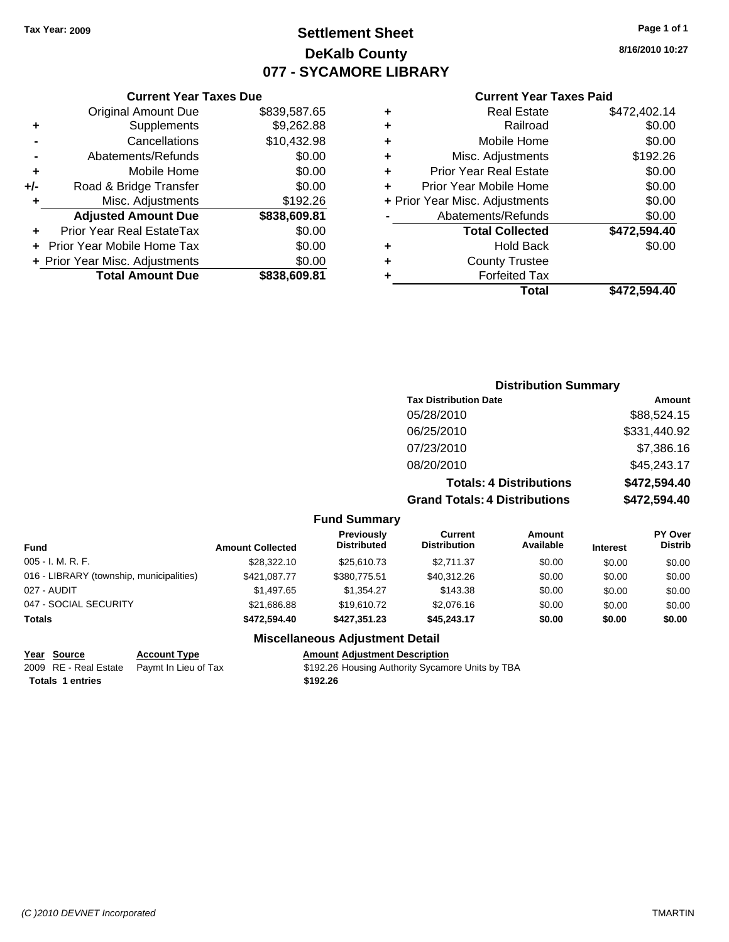# **Settlement Sheet Tax Year: 2009 Page 1 of 1 DeKalb County 077 - SYCAMORE LIBRARY**

**8/16/2010 10:27**

#### **Current Year Taxes Paid**

|   | Total                          | \$472.594.40 |
|---|--------------------------------|--------------|
|   | <b>Forfeited Tax</b>           |              |
|   | <b>County Trustee</b>          |              |
| ÷ | <b>Hold Back</b>               | \$0.00       |
|   | <b>Total Collected</b>         | \$472,594.40 |
|   | Abatements/Refunds             | \$0.00       |
|   | + Prior Year Misc. Adjustments | \$0.00       |
| ÷ | Prior Year Mobile Home         | \$0.00       |
| ٠ | <b>Prior Year Real Estate</b>  | \$0.00       |
| ٠ | Misc. Adjustments              | \$192.26     |
| ٠ | Mobile Home                    | \$0.00       |
| ٠ | Railroad                       | \$0.00       |
| ÷ | <b>Real Estate</b>             | \$472,402.14 |
|   |                                |              |

|     | <b>Current Year Taxes Due</b>  |              |
|-----|--------------------------------|--------------|
|     | <b>Original Amount Due</b>     | \$839,587.65 |
| ٠   | Supplements                    | \$9,262.88   |
|     | Cancellations                  | \$10,432.98  |
|     | Abatements/Refunds             | \$0.00       |
| ٠   | Mobile Home                    | \$0.00       |
| +/- | Road & Bridge Transfer         | \$0.00       |
| ٠   | Misc. Adjustments              | \$192.26     |
|     | <b>Adjusted Amount Due</b>     | \$838,609.81 |
|     | Prior Year Real EstateTax      | \$0.00       |
|     | Prior Year Mobile Home Tax     | \$0.00       |
|     | + Prior Year Misc. Adjustments | \$0.00       |
|     | <b>Total Amount Due</b>        | \$838,609.81 |

## **Distribution Summary**

| <b>Tax Distribution Date</b>         | Amount       |
|--------------------------------------|--------------|
| 05/28/2010                           | \$88,524.15  |
| 06/25/2010                           | \$331,440.92 |
| 07/23/2010                           | \$7,386.16   |
| 08/20/2010                           | \$45,243.17  |
| <b>Totals: 4 Distributions</b>       | \$472,594.40 |
| <b>Grand Totals: 4 Distributions</b> | \$472,594.40 |

#### **Fund Summary**

| <b>Amount Collected</b> | Previously<br><b>Distributed</b> | <b>Current</b><br><b>Distribution</b> | Amount<br>Available | <b>Interest</b> | <b>PY Over</b><br><b>Distrib</b> |
|-------------------------|----------------------------------|---------------------------------------|---------------------|-----------------|----------------------------------|
| \$28,322.10             | \$25,610.73                      | \$2.711.37                            | \$0.00              | \$0.00          | \$0.00                           |
| \$421.087.77            | \$380,775.51                     | \$40.312.26                           | \$0.00              | \$0.00          | \$0.00                           |
| \$1,497.65              | \$1.354.27                       | \$143.38                              | \$0.00              | \$0.00          | \$0.00                           |
| \$21.686.88             | \$19,610.72                      | \$2,076.16                            | \$0.00              | \$0.00          | \$0.00                           |
| \$472.594.40            | \$427.351.23                     | \$45.243.17                           | \$0.00              | \$0.00          | \$0.00                           |
|                         |                                  |                                       |                     |                 |                                  |

#### **Miscellaneous Adjustment Detail**

| Year Source             | <b>Account Type</b>                        | <b>Amount Adiustment Description</b>             |
|-------------------------|--------------------------------------------|--------------------------------------------------|
|                         | 2009 RE - Real Estate Paymt In Lieu of Tax | \$192.26 Housing Authority Sycamore Units by TBA |
| <b>Totals 1 entries</b> |                                            | \$192.26                                         |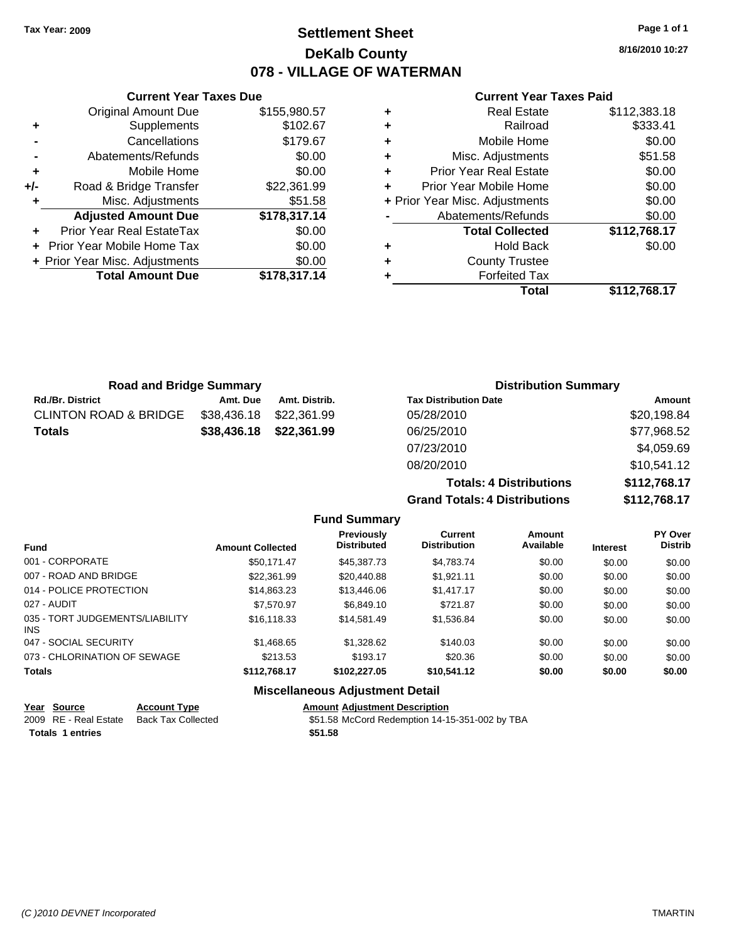# **Settlement Sheet Tax Year: 2009 Page 1 of 1 DeKalb County 078 - VILLAGE OF WATERMAN**

**8/16/2010 10:27**

#### **Current Year Taxes Paid**

|           |   | Total                          | \$112,768.17 |
|-----------|---|--------------------------------|--------------|
| 78,317.14 |   | <b>Forfeited Tax</b>           |              |
| \$0.00    | ٠ | <b>County Trustee</b>          |              |
| \$0.00    | ٠ | <b>Hold Back</b>               | \$0.00       |
| \$0.00    |   | <b>Total Collected</b>         | \$112,768.17 |
| 78,317.14 |   | Abatements/Refunds             | \$0.00       |
| \$51.58   |   | + Prior Year Misc. Adjustments | \$0.00       |
| 22,361.99 | ÷ | Prior Year Mobile Home         | \$0.00       |
| \$0.00    | ÷ | <b>Prior Year Real Estate</b>  | \$0.00       |
| \$0.00    | ٠ | Misc. Adjustments              | \$51.58      |
| \$179.67  | ٠ | Mobile Home                    | \$0.00       |
| \$102.67  | ٠ | Railroad                       | \$333.41     |
| 55,980.57 | ÷ | <b>Real Estate</b>             | \$112,383.18 |
|           |   |                                |              |

|       | <b>Current Year Taxes Due</b>  |              |
|-------|--------------------------------|--------------|
|       | <b>Original Amount Due</b>     | \$155,980.57 |
| ٠     | Supplements                    | \$102.67     |
|       | Cancellations                  | \$179.67     |
|       | Abatements/Refunds             | \$0.00       |
| ٠     | Mobile Home                    | \$0.00       |
| $+/-$ | Road & Bridge Transfer         | \$22,361.99  |
|       | Misc. Adjustments              | \$51.58      |
|       | <b>Adjusted Amount Due</b>     | \$178,317.14 |
|       | Prior Year Real EstateTax      | \$0.00       |
|       | Prior Year Mobile Home Tax     | \$0.00       |
|       | + Prior Year Misc. Adjustments | \$0.00       |
|       | <b>Total Amount Due</b>        | \$178.317.14 |
|       |                                |              |

| <b>Road and Bridge Summary</b>   |             |               | <b>Distribution Summary</b>    |              |  |
|----------------------------------|-------------|---------------|--------------------------------|--------------|--|
| <b>Rd./Br. District</b>          | Amt. Due    | Amt. Distrib. | <b>Tax Distribution Date</b>   | Amount       |  |
| <b>CLINTON ROAD &amp; BRIDGE</b> | \$38,436.18 | \$22.361.99   | 05/28/2010                     | \$20,198.84  |  |
| <b>Totals</b>                    | \$38,436.18 | \$22,361.99   | 06/25/2010                     | \$77,968.52  |  |
|                                  |             |               | 07/23/2010                     | \$4,059.69   |  |
|                                  |             |               | 08/20/2010                     | \$10,541.12  |  |
|                                  |             |               | <b>Totals: 4 Distributions</b> | \$112,768.17 |  |

**Grand Totals: 4 Distributions \$112,768.17**

|                         | Grand Totals: 4 Distributions |                                         |                                |                     |                 | 3112,708.17                      |  |
|-------------------------|-------------------------------|-----------------------------------------|--------------------------------|---------------------|-----------------|----------------------------------|--|
|                         |                               | <b>Fund Summary</b>                     |                                |                     |                 |                                  |  |
| Fund                    | <b>Amount Collected</b>       | <b>Previously</b><br><b>Distributed</b> | Current<br><b>Distribution</b> | Amount<br>Available | <b>Interest</b> | <b>PY Over</b><br><b>Distrib</b> |  |
| 001 - CORPORATE         | \$50.171.47                   | \$45,387,73                             | \$4.783.74                     | \$0.00              | \$0.00          | \$0.00                           |  |
| 007 - ROAD AND BRIDGE   | \$22,361.99                   | \$20,440.88                             | \$1.921.11                     | \$0.00              | \$0.00          | \$0.00                           |  |
| 014 - POLICE PROTECTION | \$14,863,23                   | \$13,446.06                             | \$1,417.17                     | \$0.00              | \$0.00          | \$0.00                           |  |

| <b>Totals</b>                           | \$112,768.17 | \$102,227.05 | \$10,541.12 | \$0.00 | \$0.00 | \$0.00 |
|-----------------------------------------|--------------|--------------|-------------|--------|--------|--------|
| 073 - CHLORINATION OF SEWAGE            | \$213.53     | \$193.17     | \$20.36     | \$0.00 | \$0.00 | \$0.00 |
| 047 - SOCIAL SECURITY                   | \$1,468.65   | \$1,328,62   | \$140.03    | \$0.00 | \$0.00 | \$0.00 |
| 035 - TORT JUDGEMENTS/LIABILITY<br>INS. | \$16.118.33  | \$14.581.49  | \$1,536.84  | \$0.00 | \$0.00 | \$0.00 |
| 027 - AUDIT                             | \$7,570.97   | \$6,849.10   | \$721.87    | \$0.00 | \$0.00 | \$0.00 |
| 014 - POLICE PROTECTION                 | \$14,863.23  | \$13,446.06  | \$1,417.17  | \$0.00 | \$0.00 | \$0.00 |
| 007 - ROAD AND BRIDGE                   | \$22,361.99  | \$20,440.88  | \$1,921.11  | \$0.00 | \$0.00 | \$0.00 |
| 001 - CORPORATE                         | \$50,171.47  | \$45,387.73  | \$4,783.74  | \$0.00 | \$0.00 | \$0.00 |
|                                         |              |              |             |        |        |        |

#### **Miscellaneous Adjustment Detail**

| Year Source           | <b>Account Type</b> | <b>Amount Adiustment Description</b>           |
|-----------------------|---------------------|------------------------------------------------|
| 2009 RE - Real Estate | Back Tax Collected  | \$51.58 McCord Redemption 14-15-351-002 by TBA |
| Totals 1 entries      |                     | \$51.58                                        |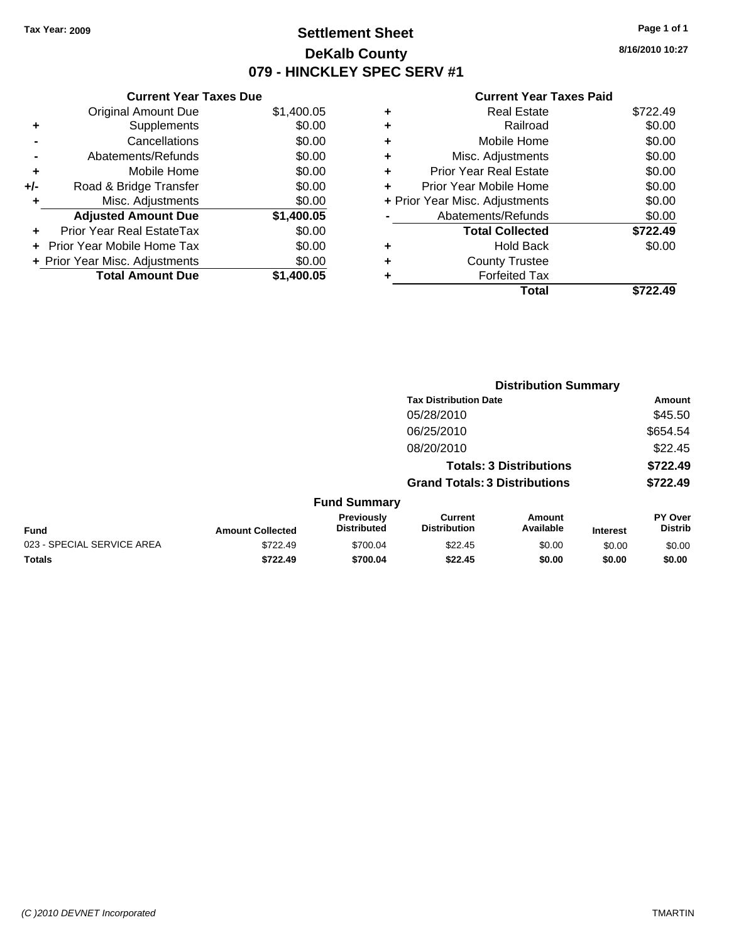# **Settlement Sheet Tax Year: 2009 Page 1 of 1 DeKalb County 079 - HINCKLEY SPEC SERV #1**

**8/16/2010 10:27**

| \$1,400.05 |
|------------|
| \$0.00     |
| \$0.00     |
| \$0.00     |
| \$0.00     |
| \$0.00     |
| \$0.00     |
| \$1,400.05 |
| \$0.00     |
| \$0.00     |
| \$0.00     |
| \$1.400.05 |
|            |

|   | Real Estate                    | \$722.49 |
|---|--------------------------------|----------|
| ٠ | Railroad                       | \$0.00   |
| ٠ | Mobile Home                    | \$0.00   |
| ٠ | Misc. Adjustments              | \$0.00   |
| ٠ | <b>Prior Year Real Estate</b>  | \$0.00   |
| ٠ | Prior Year Mobile Home         | \$0.00   |
|   | + Prior Year Misc. Adjustments | \$0.00   |
|   | Abatements/Refunds             | \$0.00   |
|   | <b>Total Collected</b>         | \$722.49 |
| ٠ | <b>Hold Back</b>               | \$0.00   |
|   | <b>County Trustee</b>          |          |
|   | <b>Forfeited Tax</b>           |          |
|   | Total                          | \$722.49 |
|   |                                |          |

|                            | <b>Distribution Summary</b> |                                  |                                       |                     |                 |                           |
|----------------------------|-----------------------------|----------------------------------|---------------------------------------|---------------------|-----------------|---------------------------|
|                            |                             |                                  | <b>Tax Distribution Date</b>          |                     |                 | Amount                    |
|                            |                             |                                  | 05/28/2010                            |                     |                 | \$45.50                   |
|                            |                             |                                  | 06/25/2010                            |                     |                 | \$654.54                  |
|                            |                             |                                  | 08/20/2010                            |                     |                 | \$22.45                   |
|                            |                             |                                  | <b>Totals: 3 Distributions</b>        |                     |                 | \$722.49                  |
|                            |                             |                                  | <b>Grand Totals: 3 Distributions</b>  |                     |                 | \$722.49                  |
|                            |                             | <b>Fund Summary</b>              |                                       |                     |                 |                           |
| Fund                       | <b>Amount Collected</b>     | Previously<br><b>Distributed</b> | <b>Current</b><br><b>Distribution</b> | Amount<br>Available | <b>Interest</b> | PY Over<br><b>Distrib</b> |
| 023 - SPECIAL SERVICE AREA | \$722.49                    | \$700.04                         | \$22.45                               | \$0.00              | \$0.00          | \$0.00                    |
| Totals                     | \$722.49                    | \$700.04                         | \$22.45                               | \$0.00              | \$0.00          | \$0.00                    |
|                            |                             |                                  |                                       |                     |                 |                           |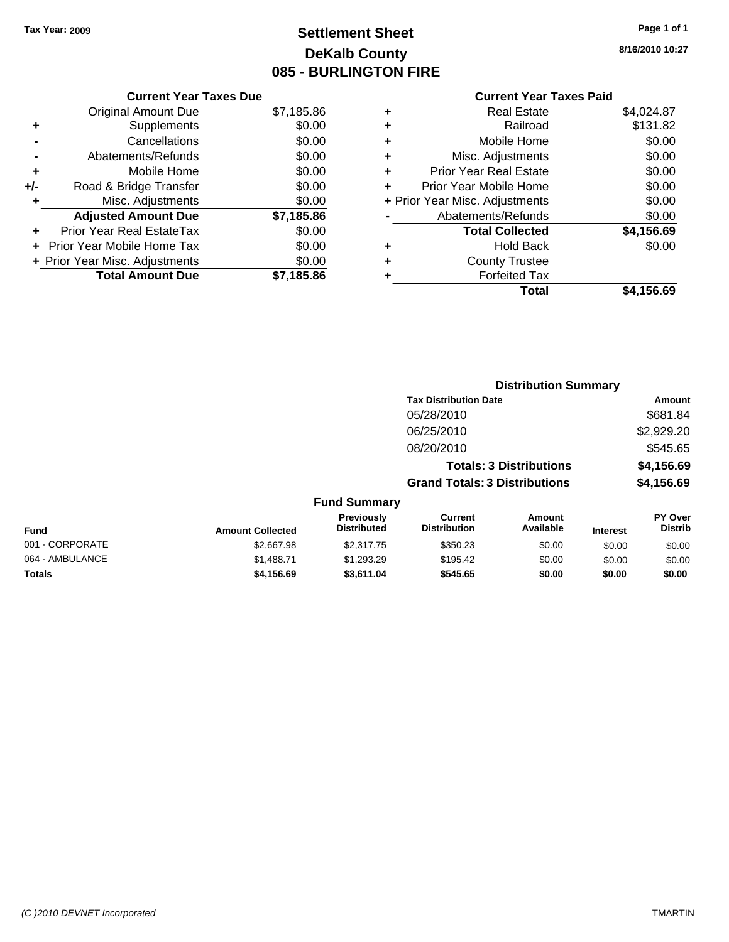# **Settlement Sheet Tax Year: 2009 Page 1 of 1 DeKalb County 085 - BURLINGTON FIRE**

**8/16/2010 10:27**

|     | <b>Current Year Taxes Due</b>  |            |      |
|-----|--------------------------------|------------|------|
|     | <b>Original Amount Due</b>     | \$7,185.86 |      |
|     | <b>Supplements</b>             | \$0.00     |      |
|     | Cancellations                  | \$0.00     |      |
|     | Abatements/Refunds             | \$0.00     | ٠    |
|     | Mobile Home                    | \$0.00     | ٠    |
| +/- | Road & Bridge Transfer         | \$0.00     |      |
|     | Misc. Adjustments              | \$0.00     | + Pi |
|     | <b>Adjusted Amount Due</b>     | \$7,185.86 |      |
|     | Prior Year Real EstateTax      | \$0.00     |      |
|     | Prior Year Mobile Home Tax     | \$0.00     |      |
|     | + Prior Year Misc. Adjustments | \$0.00     |      |
|     | <b>Total Amount Due</b>        | \$7,185.86 |      |
|     |                                |            |      |

| ٠ | <b>Real Estate</b>             | \$4,024.87 |
|---|--------------------------------|------------|
| ٠ | Railroad                       | \$131.82   |
| ٠ | Mobile Home                    | \$0.00     |
| ٠ | Misc. Adjustments              | \$0.00     |
| ÷ | <b>Prior Year Real Estate</b>  | \$0.00     |
| ٠ | Prior Year Mobile Home         | \$0.00     |
|   | + Prior Year Misc. Adjustments | \$0.00     |
|   | Abatements/Refunds             | \$0.00     |
|   | <b>Total Collected</b>         | \$4,156.69 |
| ٠ | <b>Hold Back</b>               | \$0.00     |
| ٠ | <b>County Trustee</b>          |            |
|   | <b>Forfeited Tax</b>           |            |
|   | Total                          | \$4,156.69 |

|                 |                         |                                         | <b>Distribution Summary</b>          |                                |                 |                                  |
|-----------------|-------------------------|-----------------------------------------|--------------------------------------|--------------------------------|-----------------|----------------------------------|
|                 |                         |                                         | <b>Tax Distribution Date</b>         |                                |                 | Amount                           |
|                 |                         |                                         | 05/28/2010                           |                                |                 | \$681.84                         |
|                 |                         |                                         | 06/25/2010                           |                                |                 | \$2,929.20                       |
|                 |                         |                                         | 08/20/2010                           |                                |                 | \$545.65                         |
|                 |                         |                                         |                                      | <b>Totals: 3 Distributions</b> |                 | \$4,156.69                       |
|                 |                         |                                         | <b>Grand Totals: 3 Distributions</b> |                                |                 | \$4,156.69                       |
|                 |                         | <b>Fund Summary</b>                     |                                      |                                |                 |                                  |
| <b>Fund</b>     | <b>Amount Collected</b> | <b>Previously</b><br><b>Distributed</b> | Current<br><b>Distribution</b>       | <b>Amount</b><br>Available     | <b>Interest</b> | <b>PY Over</b><br><b>Distrib</b> |
| 001 - CORPORATE | \$2,667.98              | \$2,317.75                              | \$350.23                             | \$0.00                         | \$0.00          | \$0.00                           |
| 064 - AMBULANCE | \$1,488.71              | \$1,293.29                              | \$195.42                             | \$0.00                         | \$0.00          | \$0.00                           |
| Totals          | \$4,156.69              | \$3,611.04                              | \$545.65                             | \$0.00                         | \$0.00          | \$0.00                           |
|                 |                         |                                         |                                      |                                |                 |                                  |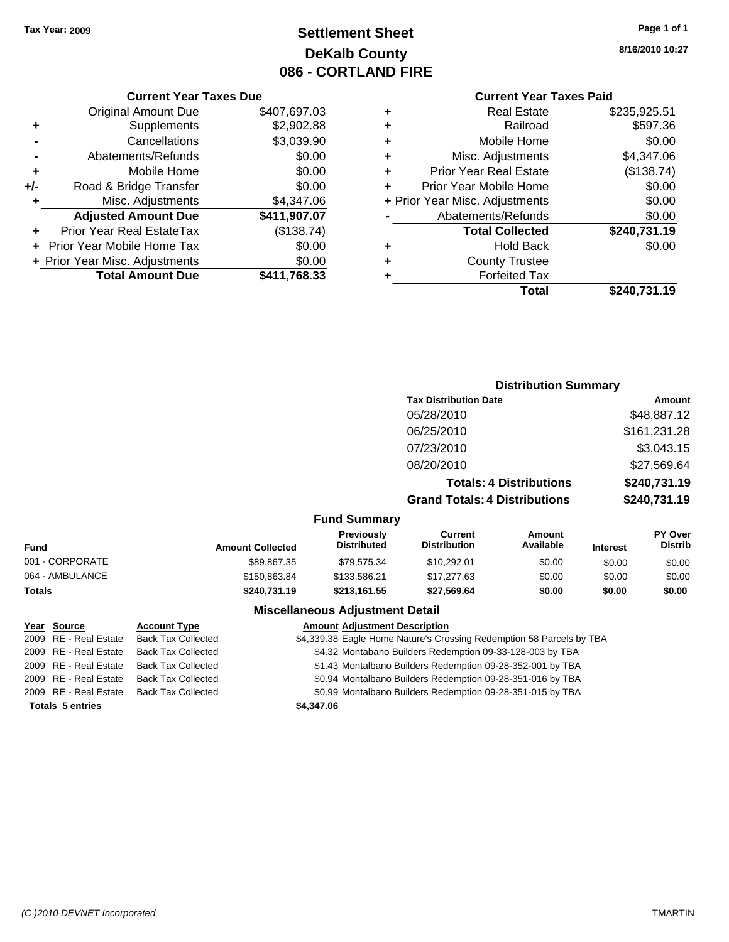# **Settlement Sheet Tax Year: 2009 Page 1 of 1 DeKalb County 086 - CORTLAND FIRE**

#### **8/16/2010 10:27**

#### **Current Year Taxes Paid**

|   | Total                          | \$240.731.19 |
|---|--------------------------------|--------------|
|   | <b>Forfeited Tax</b>           |              |
| ٠ | <b>County Trustee</b>          |              |
| ٠ | <b>Hold Back</b>               | \$0.00       |
|   | <b>Total Collected</b>         | \$240,731.19 |
|   | Abatements/Refunds             | \$0.00       |
|   | + Prior Year Misc. Adjustments | \$0.00       |
| ÷ | Prior Year Mobile Home         | \$0.00       |
| ٠ | <b>Prior Year Real Estate</b>  | (\$138.74)   |
| ٠ | Misc. Adjustments              | \$4,347.06   |
| ÷ | Mobile Home                    | \$0.00       |
| ٠ | Railroad                       | \$597.36     |
| ÷ | <b>Real Estate</b>             | \$235,925.51 |

**Distribution Summary**

|     | <b>Current Year Taxes Due</b>     |              |
|-----|-----------------------------------|--------------|
|     | <b>Original Amount Due</b>        | \$407,697.03 |
| ٠   | Supplements                       | \$2,902.88   |
|     | Cancellations                     | \$3,039.90   |
|     | Abatements/Refunds                | \$0.00       |
| ٠   | Mobile Home                       | \$0.00       |
| +/- | Road & Bridge Transfer            | \$0.00       |
| ٠   | Misc. Adjustments                 | \$4,347.06   |
|     | <b>Adjusted Amount Due</b>        | \$411,907.07 |
|     | Prior Year Real EstateTax         | (\$138.74)   |
|     | <b>Prior Year Mobile Home Tax</b> | \$0.00       |
|     | + Prior Year Misc. Adjustments    | \$0.00       |
|     | <b>Total Amount Due</b>           | \$411,768.33 |

|                 |                         |                                  | <b>Tax Distribution Date</b>          |                                |                 | Amount                    |
|-----------------|-------------------------|----------------------------------|---------------------------------------|--------------------------------|-----------------|---------------------------|
|                 |                         |                                  | 05/28/2010                            |                                |                 | \$48,887.12               |
|                 |                         |                                  | 06/25/2010                            |                                |                 | \$161,231.28              |
|                 |                         |                                  | 07/23/2010                            |                                |                 | \$3,043.15                |
|                 |                         |                                  | 08/20/2010                            |                                |                 | \$27,569.64               |
|                 |                         |                                  |                                       | <b>Totals: 4 Distributions</b> |                 | \$240,731.19              |
|                 |                         |                                  | <b>Grand Totals: 4 Distributions</b>  |                                |                 | \$240,731.19              |
|                 |                         | <b>Fund Summary</b>              |                                       |                                |                 |                           |
| Fund            | <b>Amount Collected</b> | Previously<br><b>Distributed</b> | <b>Current</b><br><b>Distribution</b> | <b>Amount</b><br>Available     | <b>Interest</b> | PY Over<br><b>Distrib</b> |
| 001 - CORPORATE | \$89.867.35             | \$79.575.34                      | \$10.292.01                           | \$0.00                         | \$0.00          | \$0.00                    |
| 064 - AMBULANCE | \$150,863.84            | \$133,586.21                     | \$17,277.63                           | \$0.00                         | \$0.00          | \$0.00                    |
| Totals          | \$240,731.19            | \$213,161.55                     | \$27,569.64                           | \$0.00                         | \$0.00          | \$0.00                    |
|                 |                         |                                  |                                       |                                |                 |                           |

#### **Miscellaneous Adjustment Detail**

#### **Year Source Account Type Amount Adjustment Description**<br>2009 RE - Real Estate Back Tax Collected **Account S4,339.38** Eagle Home Nature's Cros \$4,339.38 Eagle Home Nature's Crossing Redemption 58 Parcels by TBA 2009 RE - Real Estate Back Tax Collected \$4.32 Montabano Builders Redemption 09-33-128-003 by TBA 2009 RE - Real Estate Back Tax Collected \$1.43 Montalbano Builders Redemption 09-28-352-001 by TBA 2009 RE - Real Estate Back Tax Collected \$0.94 Montalbano Builders Redemption 09-28-351-016 by TBA 2009 RE - Real Estate Back Tax Collected \$0.99 Montalbano Builders Redemption 09-28-351-015 by TBA **Totals \$4,347.06 5 entries**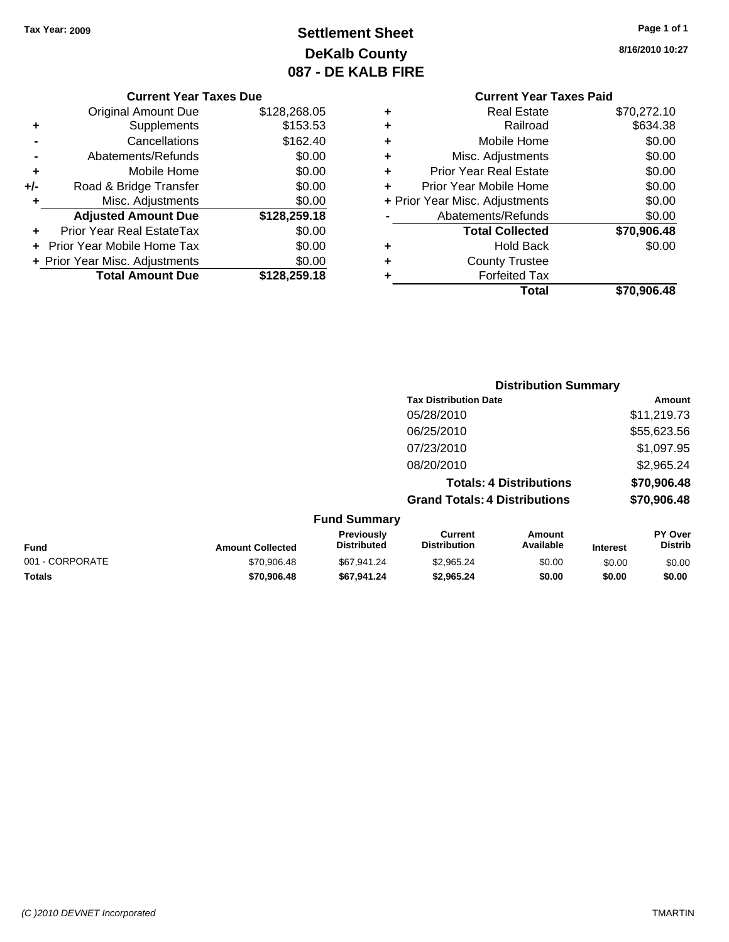# **Settlement Sheet Tax Year: 2009 Page 1 of 1 DeKalb County 087 - DE KALB FIRE**

**8/16/2010 10:27**

#### **Current Year Taxes Due**

|       | <b>Original Amount Due</b>       | \$128,268.05 |
|-------|----------------------------------|--------------|
| ٠     | Supplements                      | \$153.53     |
|       | Cancellations                    | \$162.40     |
|       | Abatements/Refunds               | \$0.00       |
| ٠     | Mobile Home                      | \$0.00       |
| $+/-$ | Road & Bridge Transfer           | \$0.00       |
| ٠     | Misc. Adjustments                | \$0.00       |
|       | <b>Adjusted Amount Due</b>       | \$128,259.18 |
|       | <b>Prior Year Real EstateTax</b> | \$0.00       |
|       | Prior Year Mobile Home Tax       | \$0.00       |
|       | + Prior Year Misc. Adjustments   | \$0.00       |
|       | <b>Total Amount Due</b>          | \$128,259.18 |

## **Current Year Taxes Paid**

|   | <b>Forfeited Tax</b><br>Total  | \$70,906.48 |
|---|--------------------------------|-------------|
|   | <b>County Trustee</b>          |             |
| ٠ | <b>Hold Back</b>               | \$0.00      |
|   | <b>Total Collected</b>         | \$70,906.48 |
|   | Abatements/Refunds             | \$0.00      |
|   | + Prior Year Misc. Adjustments | \$0.00      |
|   | Prior Year Mobile Home         | \$0.00      |
| ٠ | <b>Prior Year Real Estate</b>  | \$0.00      |
| ٠ | Misc. Adjustments              | \$0.00      |
| ٠ | Mobile Home                    | \$0.00      |
|   | Railroad                       | \$634.38    |
|   | Real Estate                    | \$70,272.10 |

#### **Distribution Summary Tax Distribution Date Amount** 05/28/2010 \$11,219.73 06/25/2010 \$55,623.56 07/23/2010 \$1,097.95 08/20/2010 \$2,965.24 **Totals: 4 Distributions \$70,906.48 Grand Totals: 4 Distributions \$70,906.48 Fund Summary PY Over Distrib Amount Available Current Distribution Previously**

|                 |                         | Previously         | Current             | Amount    |                 | <b>PY Over</b> |
|-----------------|-------------------------|--------------------|---------------------|-----------|-----------------|----------------|
| Fund            | <b>Amount Collected</b> | <b>Distributed</b> | <b>Distribution</b> | Available | <b>Interest</b> | Distrib        |
| 001 - CORPORATE | \$70.906.48             | \$67.941.24        | \$2.965.24          | \$0.00    | \$0.00          | \$0.00         |
| <b>Totals</b>   | \$70,906,48             | \$67.941.24        | \$2.965.24          | \$0.00    | \$0.00          | \$0.00         |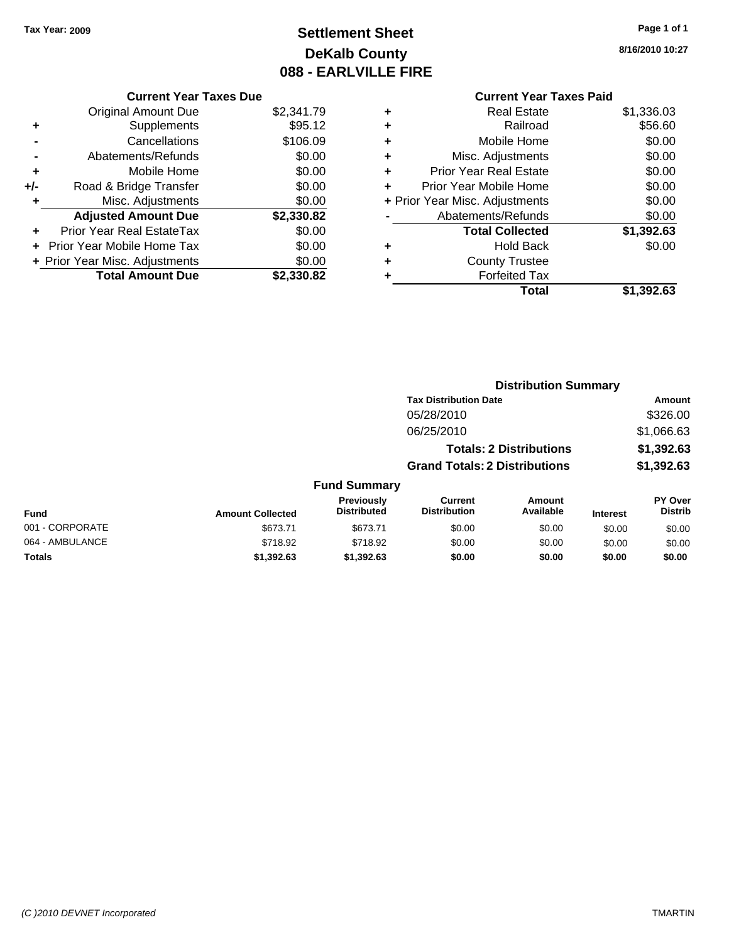# **Settlement Sheet Tax Year: 2009 Page 1 of 1 DeKalb County 088 - EARLVILLE FIRE**

**8/16/2010 10:27**

|     | <b>Current Year Taxes Due</b>  |            |         |
|-----|--------------------------------|------------|---------|
|     | <b>Original Amount Due</b>     | \$2,341.79 | ÷       |
|     | Supplements                    | \$95.12    | ٠       |
|     | Cancellations                  | \$106.09   | ÷       |
|     | Abatements/Refunds             | \$0.00     | ٠       |
|     | Mobile Home                    | \$0.00     | ٠       |
| +/- | Road & Bridge Transfer         | \$0.00     | ٠       |
|     | Misc. Adjustments              | \$0.00     | + Prior |
|     | <b>Adjusted Amount Due</b>     | \$2,330.82 |         |
|     | Prior Year Real EstateTax      | \$0.00     |         |
|     | Prior Year Mobile Home Tax     | \$0.00     | ÷       |
|     | + Prior Year Misc. Adjustments | \$0.00     | ÷       |
|     | <b>Total Amount Due</b>        | \$2,330.82 |         |
|     |                                |            |         |

| ٠ | <b>Real Estate</b>             | \$1,336.03 |
|---|--------------------------------|------------|
| ٠ | Railroad                       | \$56.60    |
| ٠ | Mobile Home                    | \$0.00     |
| ٠ | Misc. Adjustments              | \$0.00     |
| ÷ | <b>Prior Year Real Estate</b>  | \$0.00     |
| ÷ | Prior Year Mobile Home         | \$0.00     |
|   | + Prior Year Misc. Adjustments | \$0.00     |
|   | Abatements/Refunds             | \$0.00     |
|   | <b>Total Collected</b>         | \$1,392.63 |
| ٠ | <b>Hold Back</b>               | \$0.00     |
| ٠ | <b>County Trustee</b>          |            |
|   | <b>Forfeited Tax</b>           |            |
|   | Total                          | \$1,392.63 |
|   |                                |            |

|                         |                                         | <b>Distribution Summary</b>    |                     |                                                                                                        |                           |
|-------------------------|-----------------------------------------|--------------------------------|---------------------|--------------------------------------------------------------------------------------------------------|---------------------------|
|                         |                                         |                                |                     |                                                                                                        | Amount                    |
|                         |                                         | 05/28/2010                     |                     |                                                                                                        | \$326.00                  |
|                         |                                         | 06/25/2010                     |                     |                                                                                                        | \$1,066.63                |
|                         |                                         |                                |                     |                                                                                                        | \$1,392.63                |
|                         |                                         |                                |                     |                                                                                                        | \$1,392.63                |
|                         |                                         |                                |                     |                                                                                                        |                           |
| <b>Amount Collected</b> | <b>Previously</b><br><b>Distributed</b> | Current<br><b>Distribution</b> | Amount<br>Available | <b>Interest</b>                                                                                        | PY Over<br><b>Distrib</b> |
| \$673.71                | \$673.71                                | \$0.00                         | \$0.00              | \$0.00                                                                                                 | \$0.00                    |
| \$718.92                | \$718.92                                | \$0.00                         | \$0.00              | \$0.00                                                                                                 | \$0.00                    |
| \$1,392.63              | \$1,392.63                              | \$0.00                         | \$0.00              | \$0.00                                                                                                 | \$0.00                    |
|                         |                                         |                                | <b>Fund Summary</b> | <b>Tax Distribution Date</b><br><b>Totals: 2 Distributions</b><br><b>Grand Totals: 2 Distributions</b> |                           |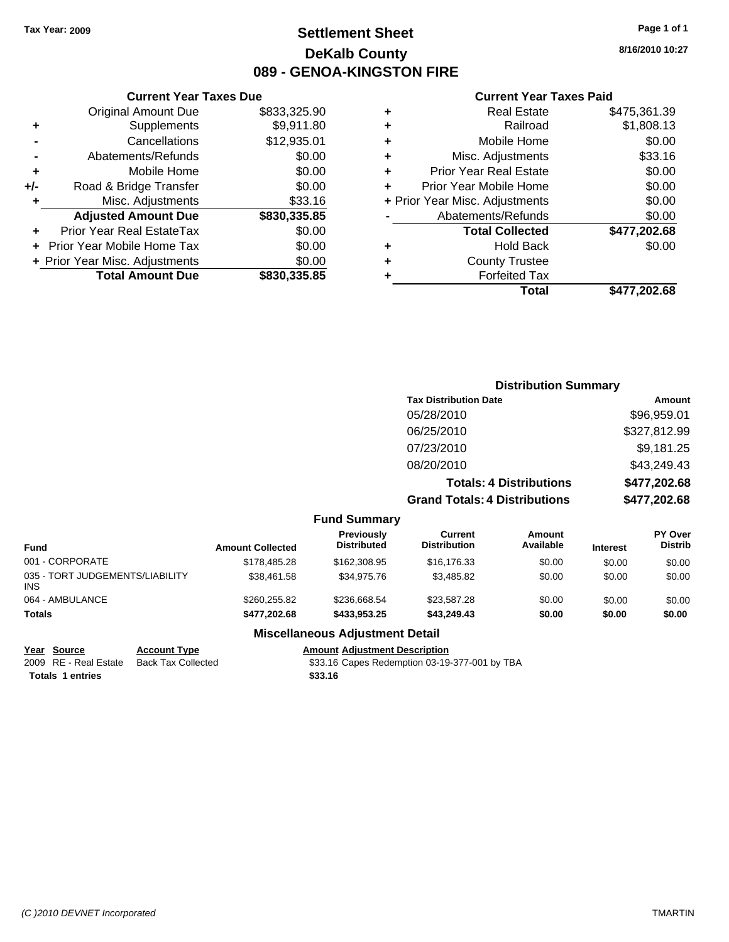# **Settlement Sheet Tax Year: 2009 Page 1 of 1 DeKalb County 089 - GENOA-KINGSTON FIRE**

**8/16/2010 10:27**

#### **Current Year Taxes Paid**

|   | Total                          | \$477.202.68 |
|---|--------------------------------|--------------|
| ٠ | <b>Forfeited Tax</b>           |              |
| ٠ | <b>County Trustee</b>          |              |
| ٠ | <b>Hold Back</b>               | \$0.00       |
|   | <b>Total Collected</b>         | \$477,202.68 |
|   | Abatements/Refunds             | \$0.00       |
|   | + Prior Year Misc. Adjustments | \$0.00       |
| ٠ | Prior Year Mobile Home         | \$0.00       |
| ÷ | <b>Prior Year Real Estate</b>  | \$0.00       |
| ٠ | Misc. Adjustments              | \$33.16      |
| ÷ | Mobile Home                    | \$0.00       |
| ٠ | Railroad                       | \$1,808.13   |
| ٠ | <b>Real Estate</b>             | \$475,361.39 |

|                                          | <b>Current Year Taxes Due</b>    |              |  |  |  |  |
|------------------------------------------|----------------------------------|--------------|--|--|--|--|
|                                          | <b>Original Amount Due</b>       | \$833,325.90 |  |  |  |  |
| ٠                                        | Supplements                      | \$9,911.80   |  |  |  |  |
|                                          | Cancellations                    | \$12,935.01  |  |  |  |  |
|                                          | Abatements/Refunds               | \$0.00       |  |  |  |  |
| ٠                                        | Mobile Home                      | \$0.00       |  |  |  |  |
| +/-                                      | Road & Bridge Transfer           | \$0.00       |  |  |  |  |
| ٠                                        | Misc. Adjustments                | \$33.16      |  |  |  |  |
|                                          | <b>Adjusted Amount Due</b>       | \$830,335.85 |  |  |  |  |
| ٠                                        | <b>Prior Year Real EstateTax</b> | \$0.00       |  |  |  |  |
|                                          | Prior Year Mobile Home Tax       | \$0.00       |  |  |  |  |
| \$0.00<br>+ Prior Year Misc. Adjustments |                                  |              |  |  |  |  |
|                                          | <b>Total Amount Due</b>          | \$830,335.85 |  |  |  |  |
|                                          |                                  |              |  |  |  |  |

|                     | <b>Distribution Summary</b>          |              |
|---------------------|--------------------------------------|--------------|
|                     | <b>Tax Distribution Date</b>         | Amount       |
|                     | 05/28/2010                           | \$96,959.01  |
|                     | 06/25/2010                           | \$327,812.99 |
|                     | 07/23/2010                           | \$9,181.25   |
|                     | 08/20/2010                           | \$43,249.43  |
|                     | <b>Totals: 4 Distributions</b>       | \$477,202.68 |
|                     | <b>Grand Totals: 4 Distributions</b> | \$477,202.68 |
| <b>Fund Summary</b> |                                      |              |

| <b>Fund</b>                                   | <b>Amount Collected</b> | Previously<br><b>Distributed</b> | Current<br><b>Distribution</b> | Amount<br>Available | <b>Interest</b> | <b>PY Over</b><br><b>Distrib</b> |
|-----------------------------------------------|-------------------------|----------------------------------|--------------------------------|---------------------|-----------------|----------------------------------|
| 001 - CORPORATE                               | \$178,485.28            | \$162,308.95                     | \$16,176.33                    | \$0.00              | \$0.00          | \$0.00                           |
| 035 - TORT JUDGEMENTS/LIABILITY<br><b>INS</b> | \$38,461.58             | \$34.975.76                      | \$3.485.82                     | \$0.00              | \$0.00          | \$0.00                           |
| 064 - AMBULANCE                               | \$260,255.82            | \$236,668,54                     | \$23,587.28                    | \$0.00              | \$0.00          | \$0.00                           |
| <b>Totals</b>                                 | \$477.202.68            | \$433,953,25                     | \$43,249.43                    | \$0.00              | \$0.00          | \$0.00                           |

#### **Miscellaneous Adjustment Detail**

**Totals \$33.16 1 entries**

**<u>Year Source</u> <b>Account Type Amount Adjustment Description**<br> **Amount Adjustment Description**<br> **Amount Adjustment Description**<br> **Amount Adjustment Description**<br> **Amount Adjustment Description**<br> **Amount Adjustm** \$33.16 Capes Redemption 03-19-377-001 by TBA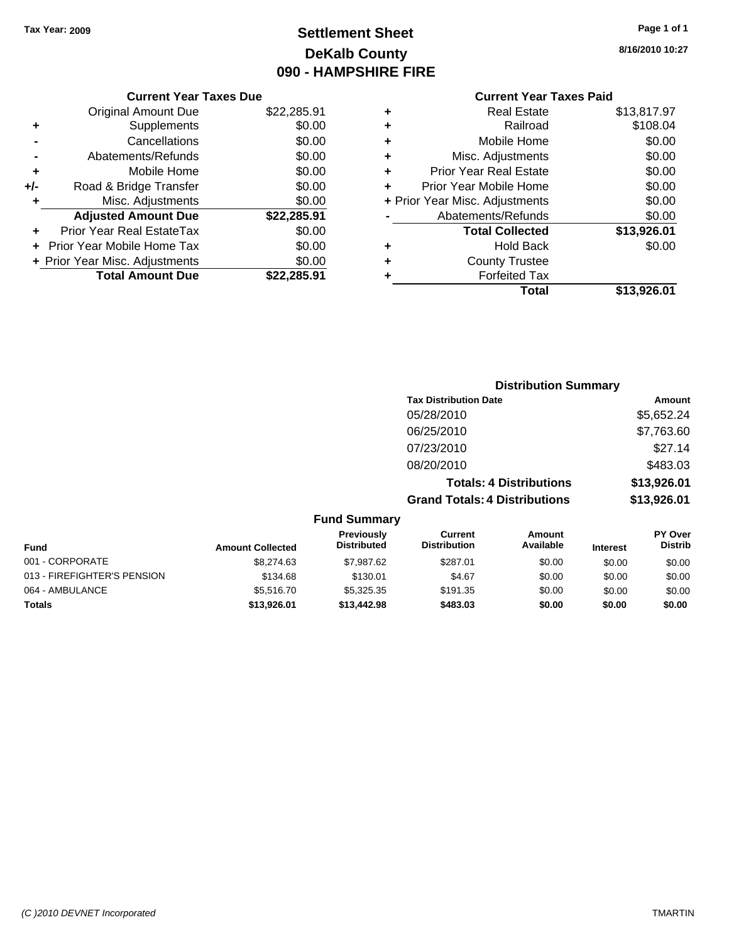# **Settlement Sheet Tax Year: 2009 Page 1 of 1 DeKalb County 090 - HAMPSHIRE FIRE**

**8/16/2010 10:27**

| <b>Current Year Taxes Due</b> |  |  |
|-------------------------------|--|--|

|       | <b>Original Amount Due</b>        | \$22,285.91 |
|-------|-----------------------------------|-------------|
| ٠     | Supplements                       | \$0.00      |
|       | Cancellations                     | \$0.00      |
|       | Abatements/Refunds                | \$0.00      |
| ÷     | Mobile Home                       | \$0.00      |
| $+/-$ | Road & Bridge Transfer            | \$0.00      |
| ٠     | Misc. Adjustments                 | \$0.00      |
|       | <b>Adjusted Amount Due</b>        | \$22,285.91 |
|       | <b>Prior Year Real EstateTax</b>  | \$0.00      |
|       | <b>Prior Year Mobile Home Tax</b> | \$0.00      |
|       | + Prior Year Misc. Adjustments    | \$0.00      |
|       | <b>Total Amount Due</b>           | \$22,285.91 |

| ٠ | <b>Real Estate</b>             | \$13,817.97 |
|---|--------------------------------|-------------|
| ÷ | Railroad                       | \$108.04    |
| ÷ | Mobile Home                    | \$0.00      |
| ٠ | Misc. Adjustments              | \$0.00      |
| ٠ | <b>Prior Year Real Estate</b>  | \$0.00      |
| ÷ | Prior Year Mobile Home         | \$0.00      |
|   | + Prior Year Misc. Adjustments | \$0.00      |
|   | Abatements/Refunds             | \$0.00      |
|   | <b>Total Collected</b>         | \$13,926.01 |
| ٠ | <b>Hold Back</b>               | \$0.00      |
| ٠ | <b>County Trustee</b>          |             |
| ٠ | <b>Forfeited Tax</b>           |             |
|   | Total                          | \$13,926.01 |
|   |                                |             |

|                         |                                         |                                       | <b>Distribution Summary</b>    |                 |                           |
|-------------------------|-----------------------------------------|---------------------------------------|--------------------------------|-----------------|---------------------------|
|                         |                                         | <b>Tax Distribution Date</b>          |                                |                 | Amount                    |
|                         |                                         | 05/28/2010                            |                                |                 | \$5,652.24                |
|                         |                                         | 06/25/2010                            |                                |                 | \$7,763.60                |
|                         |                                         | 07/23/2010                            |                                |                 | \$27.14                   |
|                         |                                         | 08/20/2010                            |                                |                 | \$483.03                  |
|                         |                                         |                                       | <b>Totals: 4 Distributions</b> |                 | \$13,926.01               |
|                         |                                         | <b>Grand Totals: 4 Distributions</b>  |                                |                 | \$13,926.01               |
|                         | <b>Fund Summary</b>                     |                                       |                                |                 |                           |
| <b>Amount Collected</b> | <b>Previously</b><br><b>Distributed</b> | <b>Current</b><br><b>Distribution</b> | <b>Amount</b><br>Available     | <b>Interest</b> | PY Over<br><b>Distrib</b> |
| S <sub>8</sub> 274 63   | \$7,987.62                              | \$287.01                              | .SO 00.                        | \$0.00          | \$0.00                    |

| <b>Fund</b>                 | <b>Amount Collected</b> | <b>Distributed</b> | <b>Distribution</b> | Available | <b>Interest</b> | Distrib |
|-----------------------------|-------------------------|--------------------|---------------------|-----------|-----------------|---------|
| 001 - CORPORATE             | \$8,274.63              | \$7,987.62         | \$287.01            | \$0.00    | \$0.00          | \$0.00  |
| 013 - FIREFIGHTER'S PENSION | \$134.68                | \$130.01           | \$4.67              | \$0.00    | \$0.00          | \$0.00  |
| 064 - AMBULANCE             | \$5,516.70              | \$5,325,35         | \$191.35            | \$0.00    | \$0.00          | \$0.00  |
| <b>Totals</b>               | \$13.926.01             | \$13,442.98        | \$483.03            | \$0.00    | \$0.00          | \$0.00  |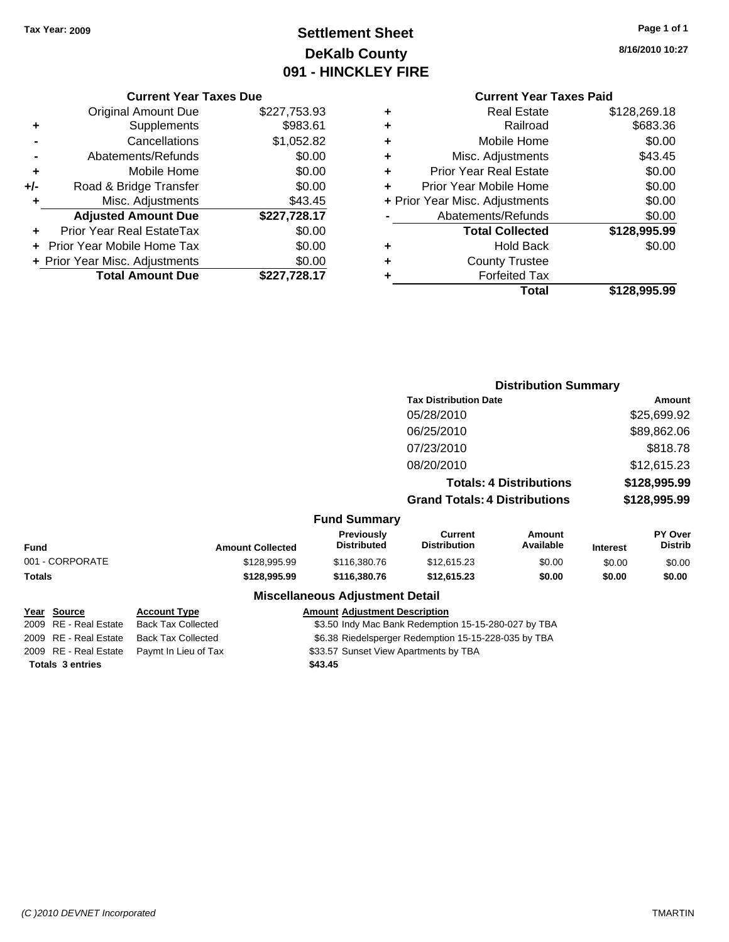# **Settlement Sheet Tax Year: 2009 Page 1 of 1 DeKalb County 091 - HINCKLEY FIRE**

**8/16/2010 10:27**

#### **Current Year Taxes Due**

|       | <b>Original Amount Due</b>        | \$227,753.93 |
|-------|-----------------------------------|--------------|
| ٠     | Supplements                       | \$983.61     |
|       | Cancellations                     | \$1,052.82   |
|       | Abatements/Refunds                | \$0.00       |
| ٠     | Mobile Home                       | \$0.00       |
| $+/-$ | Road & Bridge Transfer            | \$0.00       |
| ٠     | Misc. Adjustments                 | \$43.45      |
|       | <b>Adjusted Amount Due</b>        | \$227,728.17 |
|       | Prior Year Real EstateTax         | \$0.00       |
|       | <b>Prior Year Mobile Home Tax</b> | \$0.00       |
|       | + Prior Year Misc. Adjustments    | \$0.00       |
|       | <b>Total Amount Due</b>           | \$227,728.17 |

| ٠ | <b>Real Estate</b>             | \$128,269.18 |
|---|--------------------------------|--------------|
| ٠ | Railroad                       | \$683.36     |
| ٠ | Mobile Home                    | \$0.00       |
| ٠ | Misc. Adjustments              | \$43.45      |
| ٠ | <b>Prior Year Real Estate</b>  | \$0.00       |
| ÷ | Prior Year Mobile Home         | \$0.00       |
|   | + Prior Year Misc. Adjustments | \$0.00       |
|   | Abatements/Refunds             | \$0.00       |
|   | <b>Total Collected</b>         | \$128,995.99 |
| ٠ | <b>Hold Back</b>               | \$0.00       |
| ٠ | <b>County Trustee</b>          |              |
| ٠ | <b>Forfeited Tax</b>           |              |
|   | Total                          | \$128,995.99 |
|   |                                |              |

|                 |                     |                         |                                         |                                       | <b>Distribution Summary</b>    |                 |                           |
|-----------------|---------------------|-------------------------|-----------------------------------------|---------------------------------------|--------------------------------|-----------------|---------------------------|
|                 |                     |                         |                                         | <b>Tax Distribution Date</b>          |                                |                 | Amount                    |
|                 |                     |                         |                                         | 05/28/2010                            |                                |                 | \$25,699.92               |
|                 |                     |                         |                                         | 06/25/2010                            |                                |                 | \$89,862.06               |
|                 |                     |                         |                                         | 07/23/2010                            |                                |                 | \$818.78                  |
|                 |                     |                         |                                         | 08/20/2010                            |                                |                 | \$12,615.23               |
|                 |                     |                         |                                         |                                       | <b>Totals: 4 Distributions</b> |                 | \$128,995.99              |
|                 |                     |                         |                                         | <b>Grand Totals: 4 Distributions</b>  |                                |                 | \$128,995.99              |
|                 |                     |                         | <b>Fund Summary</b>                     |                                       |                                |                 |                           |
| <b>Fund</b>     |                     | <b>Amount Collected</b> | <b>Previously</b><br><b>Distributed</b> | <b>Current</b><br><b>Distribution</b> | Amount<br>Available            | <b>Interest</b> | PY Over<br><b>Distrib</b> |
| 001 - CORPORATE |                     | \$128,995.99            | \$116,380.76                            | \$12,615.23                           | \$0.00                         | \$0.00          | \$0.00                    |
| Totals          |                     | \$128,995.99            | \$116,380.76                            | \$12,615.23                           | \$0.00                         | \$0.00          | \$0.00                    |
|                 |                     |                         | <b>Miscellaneous Adjustment Detail</b>  |                                       |                                |                 |                           |
| Year Source     | <b>Account Type</b> |                         | <b>Amount Adjustment Description</b>    |                                       |                                |                 |                           |

|                         |                           | <b>MISCULATIONS AUGUSTICITY</b>                      |
|-------------------------|---------------------------|------------------------------------------------------|
| Year Source             | <b>Account Type</b>       | <b>Amount Adjustment Description</b>                 |
| 2009 RE - Real Estate   | <b>Back Tax Collected</b> | \$3.50 Indy Mac Bank Redemption 15-15-280-027 by TBA |
| 2009 RE - Real Estate   | <b>Back Tax Collected</b> | \$6.38 Riedelsperger Redemption 15-15-228-035 by TBA |
| 2009 RE - Real Estate   | Paymt In Lieu of Tax      | \$33.57 Sunset View Apartments by TBA                |
| <b>Totals 3 entries</b> |                           | \$43.45                                              |
|                         |                           |                                                      |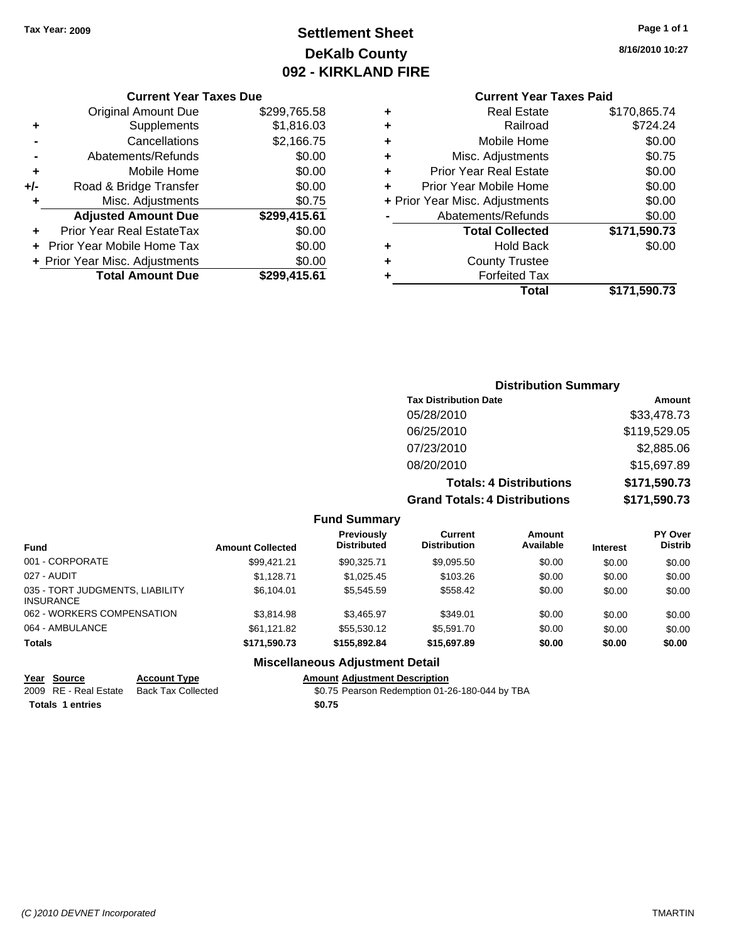# **Settlement Sheet Tax Year: 2009 Page 1 of 1 DeKalb County 092 - KIRKLAND FIRE**

**8/16/2010 10:27**

# **Current Year Taxes Paid**

|     | <b>Current Year Taxes Due</b>  |              |  |  |  |  |  |  |
|-----|--------------------------------|--------------|--|--|--|--|--|--|
|     | <b>Original Amount Due</b>     | \$299,765.58 |  |  |  |  |  |  |
| ٠   | Supplements                    | \$1,816.03   |  |  |  |  |  |  |
|     | Cancellations                  | \$2,166.75   |  |  |  |  |  |  |
|     | Abatements/Refunds             | \$0.00       |  |  |  |  |  |  |
| ٠   | Mobile Home                    | \$0.00       |  |  |  |  |  |  |
| +/- | Road & Bridge Transfer         | \$0.00       |  |  |  |  |  |  |
| ٠   | Misc. Adjustments              | \$0.75       |  |  |  |  |  |  |
|     | <b>Adjusted Amount Due</b>     | \$299,415.61 |  |  |  |  |  |  |
| ٠   | Prior Year Real EstateTax      | \$0.00       |  |  |  |  |  |  |
|     | Prior Year Mobile Home Tax     | \$0.00       |  |  |  |  |  |  |
|     | + Prior Year Misc. Adjustments | \$0.00       |  |  |  |  |  |  |
|     | <b>Total Amount Due</b>        | \$299,415.61 |  |  |  |  |  |  |
|     |                                |              |  |  |  |  |  |  |

|   | <b>Real Estate</b>             | \$170,865.74 |
|---|--------------------------------|--------------|
| ٠ | Railroad                       | \$724.24     |
| ٠ | Mobile Home                    | \$0.00       |
| ٠ | Misc. Adjustments              | \$0.75       |
| ٠ | Prior Year Real Estate         | \$0.00       |
|   | Prior Year Mobile Home         | \$0.00       |
|   | + Prior Year Misc. Adjustments | \$0.00       |
|   | Abatements/Refunds             | \$0.00       |
|   | <b>Total Collected</b>         | \$171,590.73 |
| ٠ | <b>Hold Back</b>               | \$0.00       |
| ٠ | <b>County Trustee</b>          |              |
| ٠ | <b>Forfeited Tax</b>           |              |
|   | Total                          | \$171,590.73 |
|   |                                |              |

## **Distribution Summary Tax Distribution Date Amount** 05/28/2010 \$33,478.73 06/25/2010 \$119,529.05 07/23/2010 \$2,885.06 08/20/2010 \$15,697.89 **Totals: 4 Distributions \$171,590.73 Grand Totals: 4 Distributions \$171,590.73**

#### **Fund Summary**

| <b>Fund</b>                                         | <b>Amount Collected</b> | Previously<br><b>Distributed</b> | Current<br><b>Distribution</b> | Amount<br>Available | <b>Interest</b> | <b>PY Over</b><br><b>Distrib</b> |
|-----------------------------------------------------|-------------------------|----------------------------------|--------------------------------|---------------------|-----------------|----------------------------------|
| 001 - CORPORATE                                     | \$99.421.21             | \$90.325.71                      | \$9,095.50                     | \$0.00              | \$0.00          | \$0.00                           |
| 027 - AUDIT                                         | \$1.128.71              | \$1.025.45                       | \$103.26                       | \$0.00              | \$0.00          | \$0.00                           |
| 035 - TORT JUDGMENTS, LIABILITY<br><b>INSURANCE</b> | \$6,104.01              | \$5.545.59                       | \$558.42                       | \$0.00              | \$0.00          | \$0.00                           |
| 062 - WORKERS COMPENSATION                          | \$3.814.98              | \$3.465.97                       | \$349.01                       | \$0.00              | \$0.00          | \$0.00                           |
| 064 - AMBULANCE                                     | \$61,121.82             | \$55,530.12                      | \$5,591.70                     | \$0.00              | \$0.00          | \$0.00                           |
| <b>Totals</b>                                       | \$171.590.73            | \$155,892,84                     | \$15,697.89                    | \$0.00              | \$0.00          | \$0.00                           |

#### **Miscellaneous Adjustment Detail**

#### **Year Source Account Type Amount Adjustment Description**

2009 RE - Real Estate Back Tax Collected \$0.75 Pearson Redemption 01-26-180-044 by TBA

Totals 1 entries **12.12 and 12.12 and 12.13 and 12.13 and 12.13 and 12.13 and 12.13 and 12.13 and 12.13 and 12.13 and 12.13 and 12.13 and 12.13 and 12.13 and 12.13 and 12.13 and 12.13 and 12.13 and 12.13 and 12.13 and 12.1**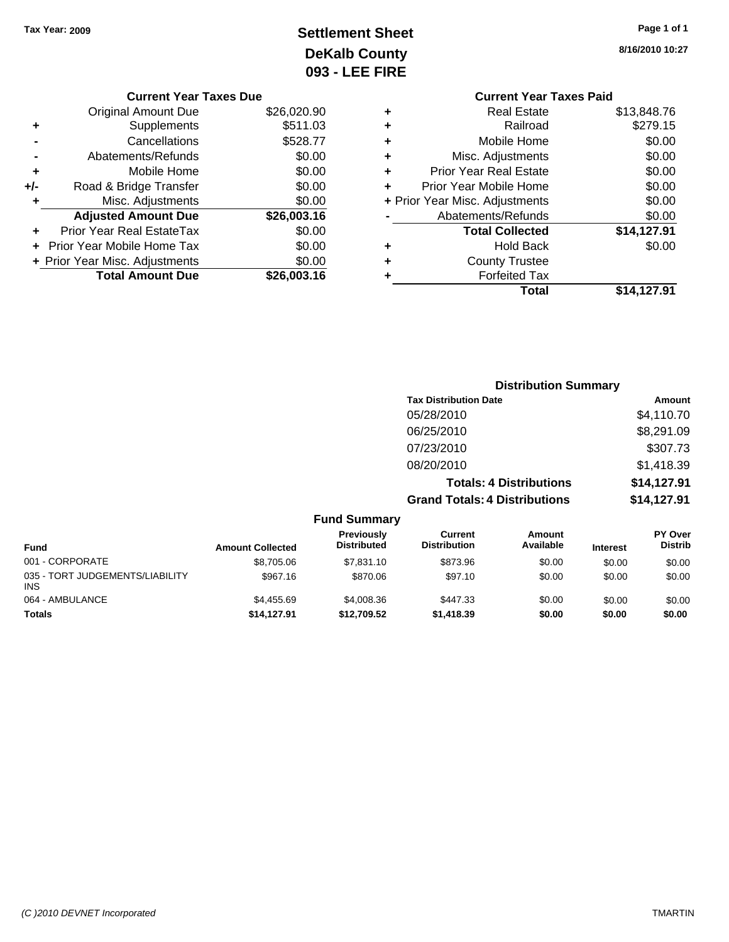# **Settlement Sheet Tax Year: 2009 Page 1 of 1 DeKalb County 093 - LEE FIRE**

**8/16/2010 10:27**

|                    | <b>Current Year Taxes Paid</b> |             |  |  |  |  |
|--------------------|--------------------------------|-------------|--|--|--|--|
| ٠                  | <b>Real Estate</b>             | \$13,848.76 |  |  |  |  |
| ٠                  | Railroad                       | \$279.15    |  |  |  |  |
| ٠                  | Mobile Home                    | \$0.00      |  |  |  |  |
| ٠                  | Misc. Adjustments              | \$0.00      |  |  |  |  |
| ٠                  | <b>Prior Year Real Estate</b>  | \$0.00      |  |  |  |  |
| ÷                  | Prior Year Mobile Home         |             |  |  |  |  |
|                    | + Prior Year Misc. Adjustments | \$0.00      |  |  |  |  |
| Abatements/Refunds |                                | \$0.00      |  |  |  |  |
|                    | <b>Total Collected</b>         | \$14,127.91 |  |  |  |  |
| ٠                  | <b>Hold Back</b>               | \$0.00      |  |  |  |  |
|                    | <b>County Trustee</b>          |             |  |  |  |  |
|                    | <b>Forfeited Tax</b>           |             |  |  |  |  |
|                    | Total                          | \$14.127.91 |  |  |  |  |

|     | <b>Current Year Taxes Due</b>  |             |
|-----|--------------------------------|-------------|
|     | Original Amount Due            | \$26,020.90 |
| ٠   | Supplements                    | \$511.03    |
|     | Cancellations                  | \$528.77    |
|     | Abatements/Refunds             | \$0.00      |
| ٠   | Mobile Home                    | \$0.00      |
| +/- | Road & Bridge Transfer         | \$0.00      |
|     | Misc. Adjustments              | \$0.00      |
|     | <b>Adjusted Amount Due</b>     | \$26,003.16 |
| ٠   | Prior Year Real EstateTax      | \$0.00      |
|     | Prior Year Mobile Home Tax     | \$0.00      |
|     | + Prior Year Misc. Adjustments | \$0.00      |
|     | <b>Total Amount Due</b>        | \$26,003.16 |
|     |                                |             |

|                     | <b>Distribution Summary</b>          |                                |               |  |
|---------------------|--------------------------------------|--------------------------------|---------------|--|
|                     | <b>Tax Distribution Date</b>         |                                | <b>Amount</b> |  |
|                     | 05/28/2010                           |                                | \$4,110.70    |  |
|                     | 06/25/2010                           |                                | \$8,291.09    |  |
|                     | 07/23/2010                           |                                | \$307.73      |  |
|                     | 08/20/2010                           |                                | \$1,418.39    |  |
|                     |                                      | <b>Totals: 4 Distributions</b> | \$14,127.91   |  |
|                     | <b>Grand Totals: 4 Distributions</b> |                                | \$14,127.91   |  |
| <b>Fund Summary</b> |                                      |                                |               |  |
| <b>Previously</b>   | <b>Current</b>                       | Amount                         | PY Over       |  |

| <b>Fund</b>                                   | <b>Amount Collected</b> | Previously<br><b>Distributed</b> | Current<br><b>Distribution</b> | Amount<br>Available | <b>Interest</b> | <b>PY Over</b><br><b>Distrib</b> |
|-----------------------------------------------|-------------------------|----------------------------------|--------------------------------|---------------------|-----------------|----------------------------------|
| 001 - CORPORATE                               | \$8,705.06              | \$7,831.10                       | \$873.96                       | \$0.00              | \$0.00          | \$0.00                           |
| 035 - TORT JUDGEMENTS/LIABILITY<br><b>INS</b> | \$967.16                | \$870.06                         | \$97.10                        | \$0.00              | \$0.00          | \$0.00                           |
| 064 - AMBULANCE                               | \$4.455.69              | \$4,008.36                       | \$447.33                       | \$0.00              | \$0.00          | \$0.00                           |
| Totals                                        | \$14,127.91             | \$12.709.52                      | \$1.418.39                     | \$0.00              | \$0.00          | \$0.00                           |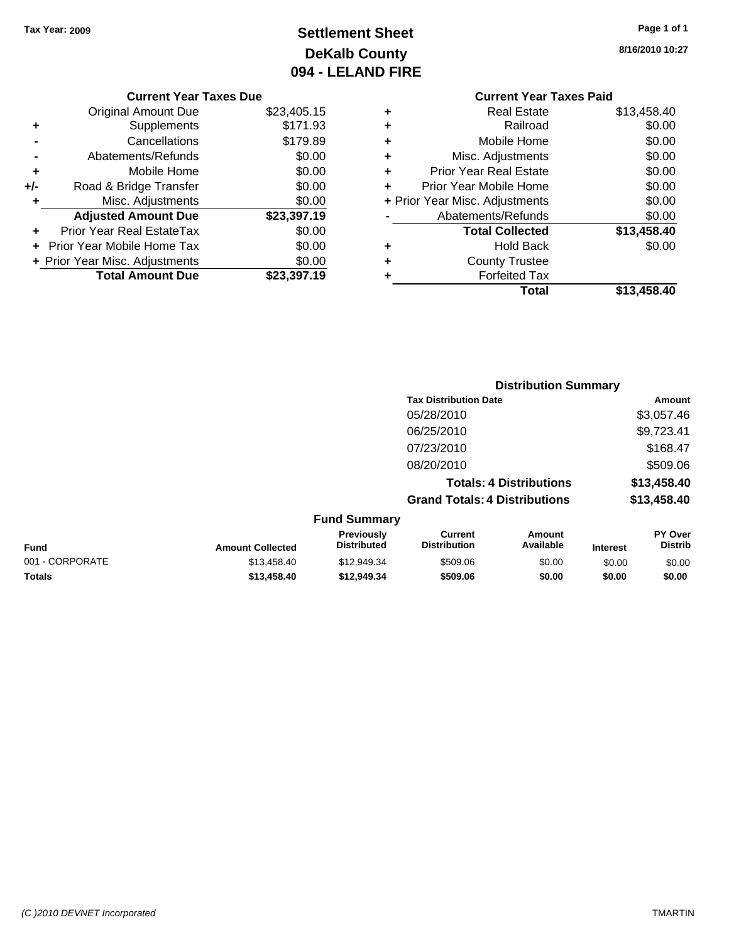# **Settlement Sheet Tax Year: 2009 Page 1 of 1 DeKalb County 094 - LELAND FIRE**

**8/16/2010 10:27**

#### **Current Year Taxes Due**

|     | <b>Original Amount Due</b>     | \$23,405.15 |
|-----|--------------------------------|-------------|
| ٠   | Supplements                    | \$171.93    |
|     | Cancellations                  | \$179.89    |
|     | Abatements/Refunds             | \$0.00      |
| ٠   | Mobile Home                    | \$0.00      |
| +/- | Road & Bridge Transfer         | \$0.00      |
| ٠   | Misc. Adjustments              | \$0.00      |
|     | <b>Adjusted Amount Due</b>     | \$23,397.19 |
|     | Prior Year Real EstateTax      | \$0.00      |
|     | Prior Year Mobile Home Tax     | \$0.00      |
|     | + Prior Year Misc. Adjustments | \$0.00      |
|     | <b>Total Amount Due</b>        | \$23.397.19 |

#### **Current Year Taxes Paid +** Real Estate \$13,458.40 **+** Railroad \$0.00 **+** Mobile Home \$0.00 **+** Misc. Adjustments \$0.00 **+** Prior Year Real Estate \$0.00

|   | Total                          | \$13,458.40 |
|---|--------------------------------|-------------|
| ÷ | <b>Forfeited Tax</b>           |             |
| ٠ | <b>County Trustee</b>          |             |
|   | <b>Hold Back</b>               | \$0.00      |
|   | <b>Total Collected</b>         | \$13,458.40 |
|   | Abatements/Refunds             | \$0.00      |
|   | + Prior Year Misc. Adjustments | \$0.00      |
|   | Prior Year Mobile Home         | \$0.00      |

## **Distribution Summary Tax Distribution Date Amount** 05/28/2010 \$3,057.46 06/25/2010 \$9,723.41 07/23/2010 \$168.47 08/20/2010 \$509.06 **Totals: 4 Distributions \$13,458.40 Grand Totals: 4 Distributions \$13,458.40 Fund Summary**

| <b>Fund</b>     | <b>Amount Collected</b> | <b>Previously</b><br><b>Distributed</b> | Current<br><b>Distribution</b> | Amount<br>Available | <b>Interest</b> | <b>PY Over</b><br><b>Distrib</b> |
|-----------------|-------------------------|-----------------------------------------|--------------------------------|---------------------|-----------------|----------------------------------|
| 001 - CORPORATE | \$13.458.40             | \$12,949.34                             | \$509.06                       | \$0.00              | \$0.00          | \$0.00                           |
| <b>Totals</b>   | \$13.458.40             | \$12.949.34                             | \$509.06                       | \$0.00              | \$0.00          | \$0.00                           |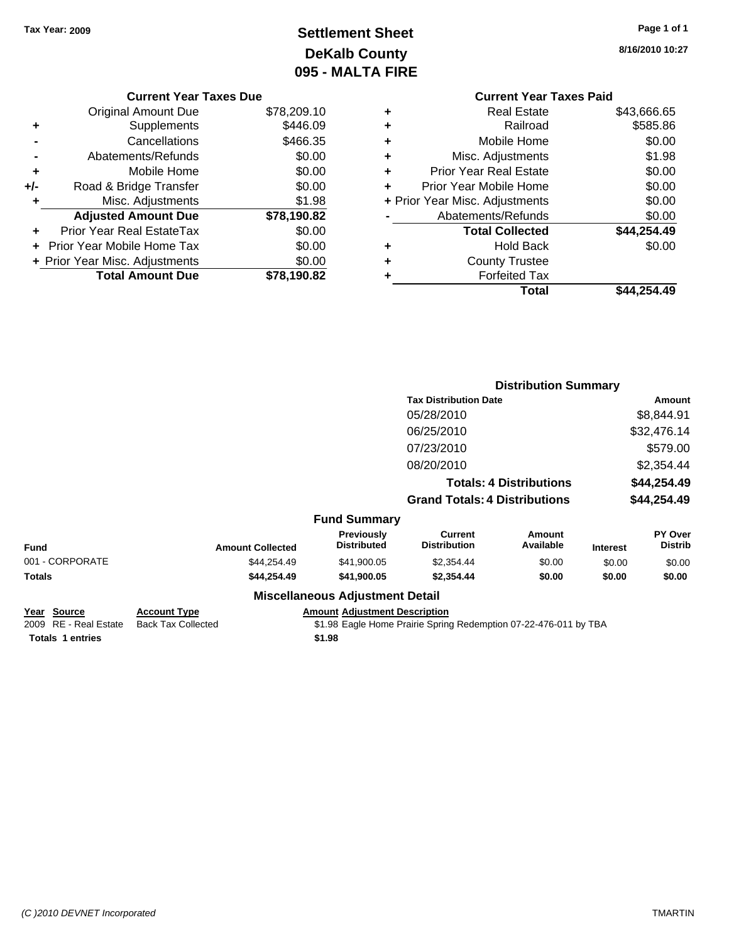# **Settlement Sheet Tax Year: 2009 Page 1 of 1 DeKalb County 095 - MALTA FIRE**

| Page 1 of 1 |  |  |  |
|-------------|--|--|--|
|-------------|--|--|--|

**8/16/2010 10:27**

|     | <b>Current Year Taxes Due</b>  |             |   |
|-----|--------------------------------|-------------|---|
|     | Original Amount Due            | \$78,209.10 |   |
| ٠   | Supplements                    | \$446.09    |   |
|     | Cancellations                  | \$466.35    | ٠ |
|     | Abatements/Refunds             | \$0.00      |   |
|     | Mobile Home                    | \$0.00      |   |
| +/- | Road & Bridge Transfer         | \$0.00      |   |
|     | Misc. Adjustments              | \$1.98      |   |
|     | <b>Adjusted Amount Due</b>     | \$78,190.82 |   |
|     | Prior Year Real EstateTax      | \$0.00      |   |
|     | Prior Year Mobile Home Tax     | \$0.00      |   |
|     | + Prior Year Misc. Adjustments | \$0.00      |   |
|     | <b>Total Amount Due</b>        | \$78,190.82 |   |
|     |                                |             |   |

|   | <b>Current Year Taxes Paid</b> |             |
|---|--------------------------------|-------------|
| ٠ | <b>Real Estate</b>             | \$43,666.65 |
| ٠ | Railroad                       | \$585.86    |
| ٠ | Mobile Home                    | \$0.00      |
| ٠ | Misc. Adjustments              | \$1.98      |
| ٠ | <b>Prior Year Real Estate</b>  | \$0.00      |
| ٠ | Prior Year Mobile Home         | \$0.00      |
|   | + Prior Year Misc. Adjustments | \$0.00      |
|   | Abatements/Refunds             | \$0.00      |
|   | <b>Total Collected</b>         | \$44,254.49 |
| ٠ | <b>Hold Back</b>               | \$0.00      |
| ٠ | <b>County Trustee</b>          |             |
| ٠ | <b>Forfeited Tax</b>           |             |
|   | Total                          | \$44,254.49 |
|   |                                |             |

|                 |                         |                                  |                                       | <b>Distribution Summary</b>    |                 |                           |
|-----------------|-------------------------|----------------------------------|---------------------------------------|--------------------------------|-----------------|---------------------------|
|                 |                         |                                  | <b>Tax Distribution Date</b>          |                                |                 | Amount                    |
|                 |                         |                                  | 05/28/2010                            |                                |                 | \$8,844.91                |
|                 |                         |                                  | 06/25/2010                            |                                |                 | \$32,476.14               |
|                 |                         |                                  | 07/23/2010                            |                                |                 | \$579.00                  |
|                 |                         |                                  | 08/20/2010                            |                                |                 | \$2,354.44                |
|                 |                         |                                  |                                       | <b>Totals: 4 Distributions</b> |                 | \$44,254.49               |
|                 |                         |                                  | <b>Grand Totals: 4 Distributions</b>  |                                |                 | \$44,254.49               |
|                 |                         | <b>Fund Summary</b>              |                                       |                                |                 |                           |
| <b>Fund</b>     | <b>Amount Collected</b> | Previously<br><b>Distributed</b> | <b>Current</b><br><b>Distribution</b> | <b>Amount</b><br>Available     | <b>Interest</b> | PY Over<br><b>Distrib</b> |
| 001 - CORPORATE | \$44.254.49             | \$41,900.05                      | \$2,354.44                            | \$0.00                         | \$0.00          | \$0.00                    |
| Totals          | \$44,254.49             | \$41,900.05                      | \$2,354.44                            | \$0.00                         | \$0.00          | \$0.00                    |
|                 |                         | Miccellenceus Adjustment Detail  |                                       |                                |                 |                           |

#### **Miscellaneous Adjustment Detail**

**Year Source Account Type Amount Adjustment Description Totals \$1.98 1 entries**

2009 RE - Real Estate Back Tax Collected \$1.98 Eagle Home Prairie Spring Redemption 07-22-476-011 by TBA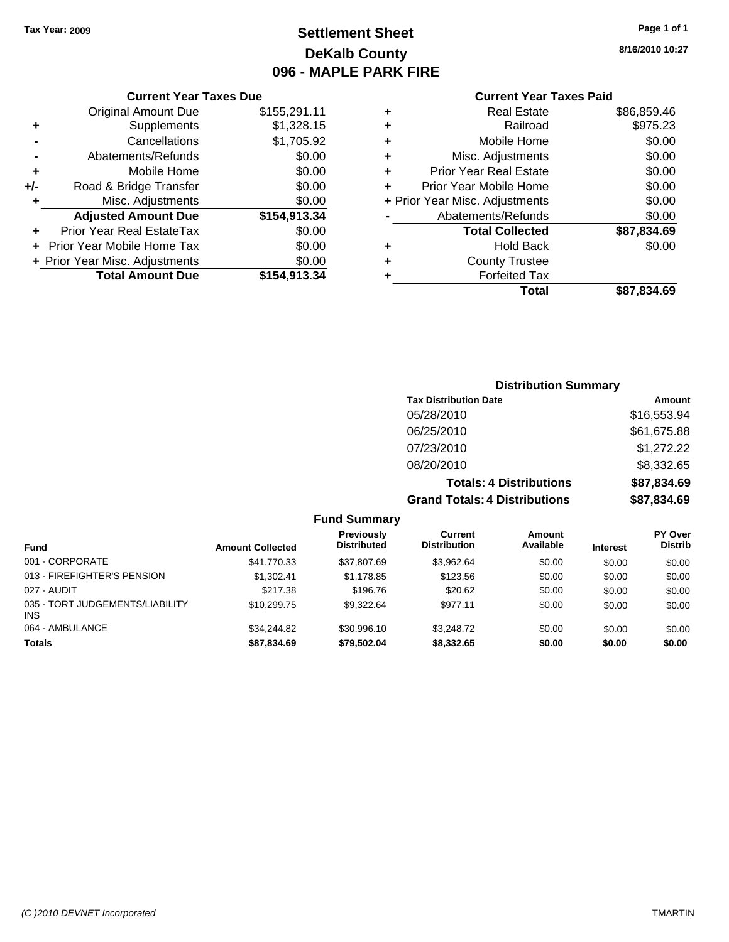# **Settlement Sheet Tax Year: 2009 Page 1 of 1 DeKalb County 096 - MAPLE PARK FIRE**

**8/16/2010 10:27**

#### **Current Year Taxes Paid**

|     | <b>Current Year Taxes Due</b>  |              |  |  |  |  |  |
|-----|--------------------------------|--------------|--|--|--|--|--|
|     | <b>Original Amount Due</b>     | \$155,291.11 |  |  |  |  |  |
| ٠   | Supplements                    | \$1,328.15   |  |  |  |  |  |
|     | Cancellations                  | \$1,705.92   |  |  |  |  |  |
|     | Abatements/Refunds             | \$0.00       |  |  |  |  |  |
| ٠   | Mobile Home                    | \$0.00       |  |  |  |  |  |
| +/- | Road & Bridge Transfer         | \$0.00       |  |  |  |  |  |
| ٠   | Misc. Adjustments              | \$0.00       |  |  |  |  |  |
|     | <b>Adjusted Amount Due</b>     | \$154,913.34 |  |  |  |  |  |
| ٠   | Prior Year Real EstateTax      | \$0.00       |  |  |  |  |  |
|     | Prior Year Mobile Home Tax     | \$0.00       |  |  |  |  |  |
|     | + Prior Year Misc. Adjustments | \$0.00       |  |  |  |  |  |
|     | <b>Total Amount Due</b>        | \$154,913.34 |  |  |  |  |  |
|     |                                |              |  |  |  |  |  |

|   | <b>Real Estate</b>             | \$86,859.46 |
|---|--------------------------------|-------------|
| ٠ | Railroad                       | \$975.23    |
| ٠ | Mobile Home                    | \$0.00      |
| ٠ | Misc. Adjustments              | \$0.00      |
| ٠ | <b>Prior Year Real Estate</b>  | \$0.00      |
| ٠ | Prior Year Mobile Home         | \$0.00      |
|   | + Prior Year Misc. Adjustments | \$0.00      |
|   | Abatements/Refunds             | \$0.00      |
|   | <b>Total Collected</b>         | \$87,834.69 |
| ٠ | <b>Hold Back</b>               | \$0.00      |
| ٠ | <b>County Trustee</b>          |             |
| ٠ | <b>Forfeited Tax</b>           |             |
|   | Total                          | \$87.834.69 |

### **Distribution Summary Tax Distribution Date Amount** 05/28/2010 \$16,553.94 06/25/2010 \$61,675.88 07/23/2010 \$1,272.22 08/20/2010 \$8,332.65 **Totals: 4 Distributions \$87,834.69 Grand Totals: 4 Distributions \$87,834.69**

**Fund Summary**

| <b>Fund</b>                                   | <b>Amount Collected</b> | <b>Previously</b><br><b>Distributed</b> | Current<br><b>Distribution</b> | Amount<br>Available | <b>Interest</b> | <b>PY Over</b><br><b>Distrib</b> |
|-----------------------------------------------|-------------------------|-----------------------------------------|--------------------------------|---------------------|-----------------|----------------------------------|
| 001 - CORPORATE                               | \$41,770.33             | \$37.807.69                             | \$3.962.64                     | \$0.00              | \$0.00          | \$0.00                           |
| 013 - FIREFIGHTER'S PENSION                   | \$1.302.41              | \$1.178.85                              | \$123.56                       | \$0.00              | \$0.00          | \$0.00                           |
| 027 - AUDIT                                   | \$217.38                | \$196.76                                | \$20.62                        | \$0.00              | \$0.00          | \$0.00                           |
| 035 - TORT JUDGEMENTS/LIABILITY<br><b>INS</b> | \$10.299.75             | \$9,322.64                              | \$977.11                       | \$0.00              | \$0.00          | \$0.00                           |
| 064 - AMBULANCE                               | \$34,244.82             | \$30.996.10                             | \$3,248.72                     | \$0.00              | \$0.00          | \$0.00                           |
| <b>Totals</b>                                 | \$87.834.69             | \$79.502.04                             | \$8,332.65                     | \$0.00              | \$0.00          | \$0.00                           |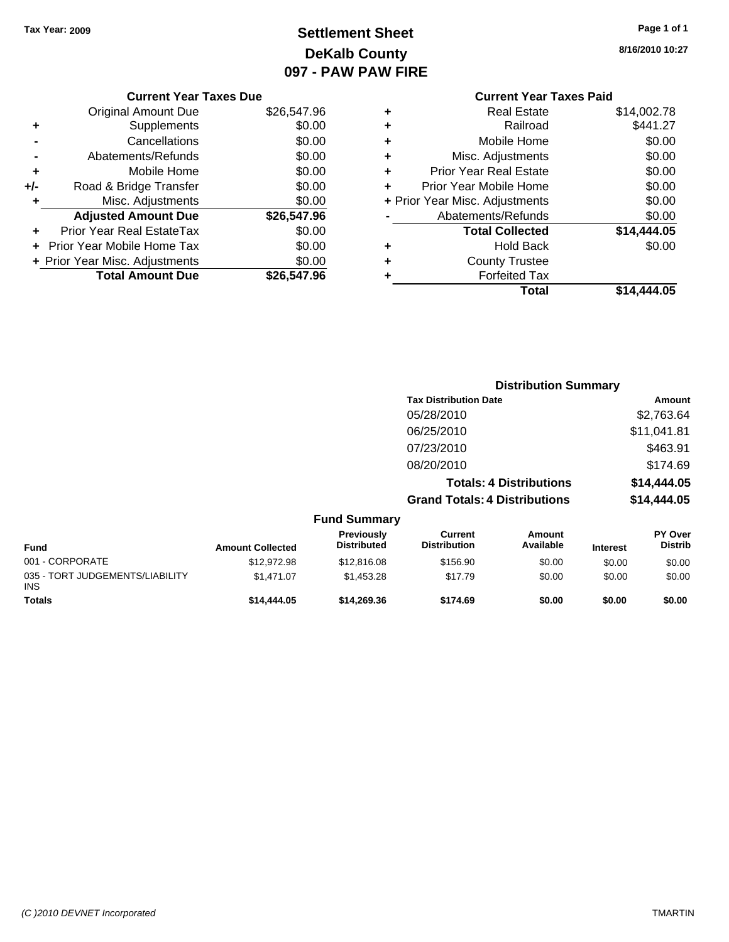# **Settlement Sheet Tax Year: 2009 Page 1 of 1 DeKalb County 097 - PAW PAW FIRE**

| Page 1 of 1 |  |
|-------------|--|
|-------------|--|

**8/16/2010 10:27**

|     | <b>Current Year Taxes Due</b>  |             |  |  |  |  |
|-----|--------------------------------|-------------|--|--|--|--|
|     | Original Amount Due            | \$26,547.96 |  |  |  |  |
| ٠   | Supplements                    | \$0.00      |  |  |  |  |
|     | Cancellations                  | \$0.00      |  |  |  |  |
|     | Abatements/Refunds             | \$0.00      |  |  |  |  |
| ٠   | Mobile Home                    | \$0.00      |  |  |  |  |
| +/- | Road & Bridge Transfer         | \$0.00      |  |  |  |  |
| ٠   | Misc. Adjustments              | \$0.00      |  |  |  |  |
|     | <b>Adjusted Amount Due</b>     | \$26,547.96 |  |  |  |  |
|     | Prior Year Real EstateTax      | \$0.00      |  |  |  |  |
|     | Prior Year Mobile Home Tax     | \$0.00      |  |  |  |  |
|     | + Prior Year Misc. Adjustments | \$0.00      |  |  |  |  |
|     | <b>Total Amount Due</b>        | \$26,547.96 |  |  |  |  |
|     |                                |             |  |  |  |  |

### **Current Year Taxes Paid +** Real Estate \$14,002.78

|   | Total                          | \$14,444.05 |
|---|--------------------------------|-------------|
|   | <b>Forfeited Tax</b>           |             |
|   | <b>County Trustee</b>          |             |
|   | <b>Hold Back</b>               | \$0.00      |
|   | <b>Total Collected</b>         | \$14,444.05 |
|   | Abatements/Refunds             | \$0.00      |
|   | + Prior Year Misc. Adjustments | \$0.00      |
|   | Prior Year Mobile Home         | \$0.00      |
| ٠ | <b>Prior Year Real Estate</b>  | \$0.00      |
| ÷ | Misc. Adjustments              | \$0.00      |
| ÷ | Mobile Home                    | \$0.00      |
|   | Railroad                       | \$441.27    |
|   |                                |             |

|                                                | <b>Distribution Summary</b> |                                  |                                       |                                |                 |                           |
|------------------------------------------------|-----------------------------|----------------------------------|---------------------------------------|--------------------------------|-----------------|---------------------------|
|                                                |                             |                                  | <b>Tax Distribution Date</b>          |                                |                 | Amount                    |
|                                                |                             |                                  | 05/28/2010                            |                                |                 | \$2,763.64                |
|                                                |                             |                                  | 06/25/2010                            |                                |                 | \$11,041.81               |
|                                                |                             |                                  | 07/23/2010                            |                                |                 | \$463.91                  |
|                                                |                             |                                  | 08/20/2010                            |                                |                 | \$174.69                  |
|                                                |                             |                                  |                                       | <b>Totals: 4 Distributions</b> |                 | \$14,444.05               |
|                                                |                             |                                  | <b>Grand Totals: 4 Distributions</b>  |                                |                 | \$14,444.05               |
|                                                |                             | <b>Fund Summary</b>              |                                       |                                |                 |                           |
| <b>Fund</b>                                    | <b>Amount Collected</b>     | Previously<br><b>Distributed</b> | <b>Current</b><br><b>Distribution</b> | Amount<br>Available            | <b>Interest</b> | PY Over<br><b>Distrib</b> |
| 001 - CORPORATE                                | \$12,972.98                 | \$12,816.08                      | \$156.90                              | \$0.00                         | \$0.00          | \$0.00                    |
| 035 - TORT JUDGEMENTS/LIABILITY<br><b>INIQ</b> | \$1,471.07                  | \$1,453.28                       | \$17.79                               | \$0.00                         | \$0.00          | \$0.00                    |

**Totals \$14,444.05 \$14,269.36 \$174.69 \$0.00 \$0.00 \$0.00**

INS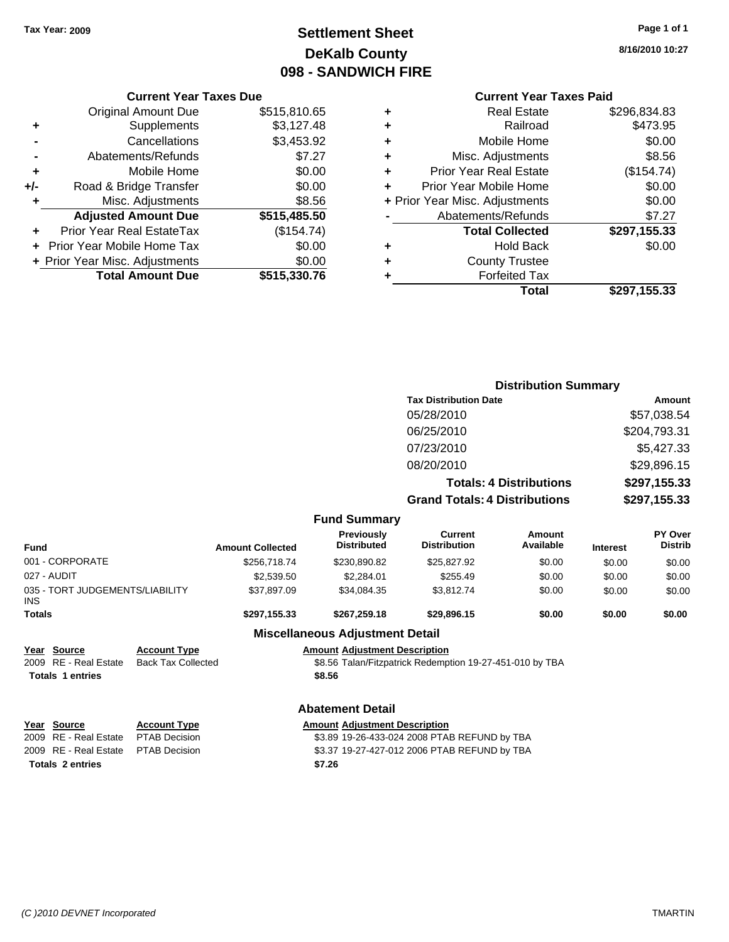# **Settlement Sheet Tax Year: 2009 Page 1 of 1 DeKalb County 098 - SANDWICH FIRE**

**8/16/2010 10:27**

| ٠ | <b>Real Estate</b>             | \$296,834.83 |
|---|--------------------------------|--------------|
| ٠ | Railroad                       | \$473.95     |
| ٠ | Mobile Home                    | \$0.00       |
| ٠ | Misc. Adjustments              | \$8.56       |
| ٠ | <b>Prior Year Real Estate</b>  | (\$154.74)   |
| ÷ | Prior Year Mobile Home         | \$0.00       |
|   | + Prior Year Misc. Adjustments | \$0.00       |
|   | Abatements/Refunds             | \$7.27       |
|   | <b>Total Collected</b>         | \$297,155.33 |
| ٠ | <b>Hold Back</b>               | \$0.00       |
| ٠ | <b>County Trustee</b>          |              |
|   | <b>Forfeited Tax</b>           |              |
|   | Total                          | \$297.155.33 |

|     | <b>Current Year Taxes Due</b>            |              |  |  |  |
|-----|------------------------------------------|--------------|--|--|--|
|     | <b>Original Amount Due</b>               | \$515,810.65 |  |  |  |
| ٠   | Supplements                              | \$3,127.48   |  |  |  |
|     | Cancellations                            | \$3,453.92   |  |  |  |
|     | Abatements/Refunds                       | \$7.27       |  |  |  |
| ٠   | Mobile Home                              | \$0.00       |  |  |  |
| +/- | Road & Bridge Transfer                   | \$0.00       |  |  |  |
| ٠   | Misc. Adjustments                        | \$8.56       |  |  |  |
|     | <b>Adjusted Amount Due</b>               | \$515,485.50 |  |  |  |
|     | <b>Prior Year Real EstateTax</b>         | (\$154.74)   |  |  |  |
|     | Prior Year Mobile Home Tax               | \$0.00       |  |  |  |
|     | \$0.00<br>+ Prior Year Misc. Adjustments |              |  |  |  |
|     | <b>Total Amount Due</b>                  | \$515,330.76 |  |  |  |

|                                                                                                         |                           |                         |                                              |                                                          | <b>Distribution Summary</b>    |                 |                           |
|---------------------------------------------------------------------------------------------------------|---------------------------|-------------------------|----------------------------------------------|----------------------------------------------------------|--------------------------------|-----------------|---------------------------|
|                                                                                                         |                           |                         |                                              | <b>Tax Distribution Date</b>                             |                                |                 | <b>Amount</b>             |
|                                                                                                         |                           |                         |                                              | 05/28/2010                                               |                                |                 | \$57,038.54               |
|                                                                                                         |                           |                         |                                              | 06/25/2010                                               |                                |                 | \$204,793.31              |
|                                                                                                         |                           |                         |                                              | 07/23/2010                                               |                                |                 | \$5,427.33                |
|                                                                                                         |                           |                         |                                              | 08/20/2010                                               |                                |                 | \$29,896.15               |
|                                                                                                         |                           |                         |                                              |                                                          | <b>Totals: 4 Distributions</b> | \$297,155.33    |                           |
|                                                                                                         |                           |                         |                                              | <b>Grand Totals: 4 Distributions</b>                     |                                |                 |                           |
|                                                                                                         |                           |                         |                                              |                                                          |                                |                 | \$297,155.33              |
|                                                                                                         |                           |                         | <b>Fund Summary</b>                          |                                                          |                                |                 |                           |
| <b>Fund</b>                                                                                             |                           | <b>Amount Collected</b> | <b>Previously</b><br><b>Distributed</b>      | <b>Current</b><br><b>Distribution</b>                    | Amount<br>Available            | <b>Interest</b> | PY Over<br><b>Distrib</b> |
| 001 - CORPORATE                                                                                         |                           | \$256,718.74            | \$230,890.82                                 | \$25,827.92                                              | \$0.00                         | \$0.00          | \$0.00                    |
| 027 - AUDIT                                                                                             |                           | \$2,539.50              | \$2,284.01                                   | \$255.49                                                 | \$0.00                         | \$0.00          | \$0.00                    |
| 035 - TORT JUDGEMENTS/LIABILITY<br><b>INS</b>                                                           |                           | \$37,897.09             | \$34,084.35                                  | \$3,812.74                                               | \$0.00                         | \$0.00          | \$0.00                    |
| <b>Totals</b>                                                                                           |                           | \$297,155.33            | \$267,259.18                                 | \$29,896.15                                              | \$0.00                         | \$0.00          | \$0.00                    |
|                                                                                                         |                           |                         | <b>Miscellaneous Adjustment Detail</b>       |                                                          |                                |                 |                           |
| Year Source                                                                                             | <b>Account Type</b>       |                         | <b>Amount Adjustment Description</b>         |                                                          |                                |                 |                           |
| RE - Real Estate<br>2009                                                                                | <b>Back Tax Collected</b> |                         |                                              | \$8.56 Talan/Fitzpatrick Redemption 19-27-451-010 by TBA |                                |                 |                           |
| <b>Totals 1 entries</b>                                                                                 |                           |                         | \$8.56                                       |                                                          |                                |                 |                           |
|                                                                                                         |                           |                         | <b>Abatement Detail</b>                      |                                                          |                                |                 |                           |
| Year Source                                                                                             | <b>Account Type</b>       |                         | <b>Amount Adjustment Description</b>         |                                                          |                                |                 |                           |
| <b>RE</b> - Real Estate<br>2009                                                                         | <b>PTAB Decision</b>      |                         | \$3.89 19-26-433-024 2008 PTAB REFUND by TBA |                                                          |                                |                 |                           |
| <b>RE</b> - Real Estate<br><b>PTAB Decision</b><br>\$3.37 19-27-427-012 2006 PTAB REFUND by TBA<br>2009 |                           |                         |                                              |                                                          |                                |                 |                           |
| <b>Totals 2 entries</b>                                                                                 |                           |                         | \$7.26                                       |                                                          |                                |                 |                           |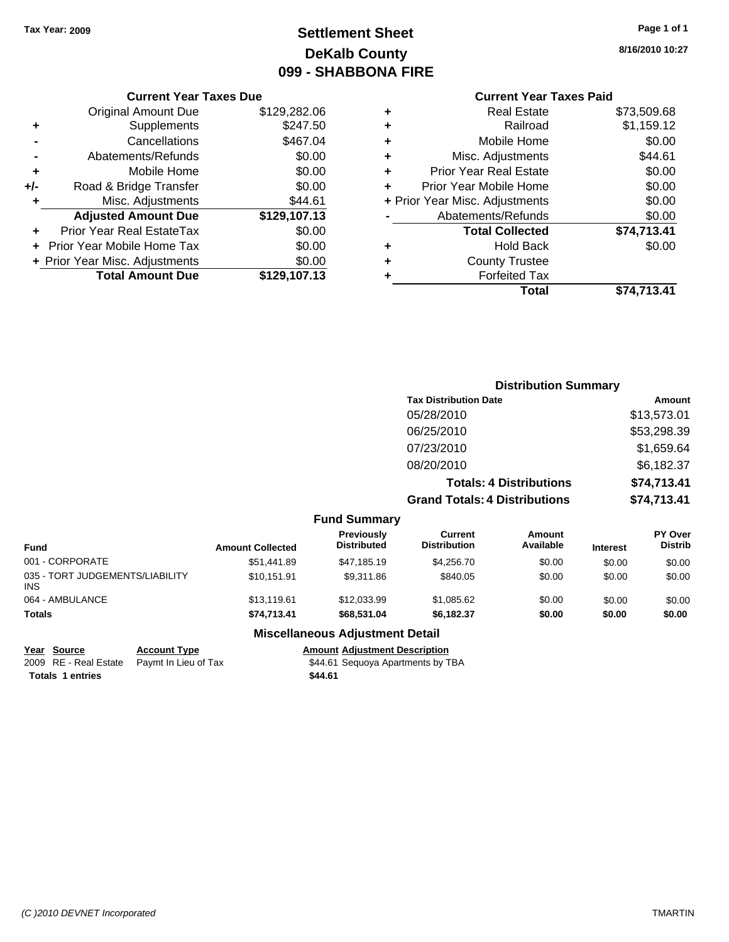# **Settlement Sheet Tax Year: 2009 Page 1 of 1 DeKalb County 099 - SHABBONA FIRE**

#### **8/16/2010 10:27**

#### **Current Year Taxes Paid**

| \$129,282.06 |
|--------------|
| \$247.50     |
| \$467.04     |
| \$0.00       |
| \$0.00       |
| \$0.00       |
| \$44.61      |
| \$129,107.13 |
| \$0.00       |
| \$0.00       |
| \$0.00       |
| \$129,107.13 |
|              |

| ٠ | <b>Real Estate</b>             | \$73,509.68 |
|---|--------------------------------|-------------|
| ٠ | Railroad                       | \$1,159.12  |
| ٠ | Mobile Home                    | \$0.00      |
| ٠ | Misc. Adjustments              | \$44.61     |
| ٠ | <b>Prior Year Real Estate</b>  | \$0.00      |
| ٠ | Prior Year Mobile Home         | \$0.00      |
|   | + Prior Year Misc. Adjustments | \$0.00      |
|   | Abatements/Refunds             | \$0.00      |
|   | <b>Total Collected</b>         | \$74,713.41 |
| ٠ | <b>Hold Back</b>               | \$0.00      |
| ٠ | <b>County Trustee</b>          |             |
| ٠ | <b>Forfeited Tax</b>           |             |
|   | Total                          | \$74,713.41 |
|   |                                |             |

|                         |                                  | <b>Distribution Summary</b>           |                                |                 |                                  |  |  |
|-------------------------|----------------------------------|---------------------------------------|--------------------------------|-----------------|----------------------------------|--|--|
|                         |                                  | <b>Tax Distribution Date</b>          |                                |                 | Amount                           |  |  |
|                         |                                  | 05/28/2010                            |                                |                 | \$13,573.01                      |  |  |
|                         |                                  | 06/25/2010                            |                                | \$53,298.39     |                                  |  |  |
|                         |                                  | 07/23/2010                            |                                |                 | \$1,659.64                       |  |  |
|                         |                                  | 08/20/2010                            |                                |                 | \$6,182.37                       |  |  |
|                         |                                  |                                       | <b>Totals: 4 Distributions</b> |                 | \$74,713.41                      |  |  |
|                         |                                  | <b>Grand Totals: 4 Distributions</b>  |                                |                 | \$74,713.41                      |  |  |
|                         | <b>Fund Summary</b>              |                                       |                                |                 |                                  |  |  |
| <b>Amount Collected</b> | Previously<br><b>Distributed</b> | <b>Current</b><br><b>Distribution</b> | Amount<br>Available            | <b>Interest</b> | <b>PY Over</b><br><b>Distrib</b> |  |  |
| \$51,441.89             | \$47,185.19                      | \$4,256.70                            | \$0.00                         | \$0.00          | \$0.00                           |  |  |

| Fund                                   | <b>Amount Collected</b> | <b>Distributed</b> | <b>Distribution</b> | Available | <b>Interest</b> | Distrib |
|----------------------------------------|-------------------------|--------------------|---------------------|-----------|-----------------|---------|
| 001 - CORPORATE                        | \$51,441.89             | \$47.185.19        | \$4,256.70          | \$0.00    | \$0.00          | \$0.00  |
| 035 - TORT JUDGEMENTS/LIABILITY<br>INS | \$10.151.91             | \$9.311.86         | \$840.05            | \$0.00    | \$0.00          | \$0.00  |
| 064 - AMBULANCE                        | \$13.119.61             | \$12,033.99        | \$1,085.62          | \$0.00    | \$0.00          | \$0.00  |
| <b>Totals</b>                          | \$74.713.41             | \$68,531.04        | \$6,182.37          | \$0.00    | \$0.00          | \$0.00  |
|                                        | ---                     |                    |                     |           |                 |         |

### **Miscellaneous Adjustment Detail**

**Year Source Account Type Amount Adjustment Description** 2009 RE - Real Estate \$44.61 Sequoya Apartments by TBA Paymt In Lieu of Tax **Totals \$44.61 1 entries**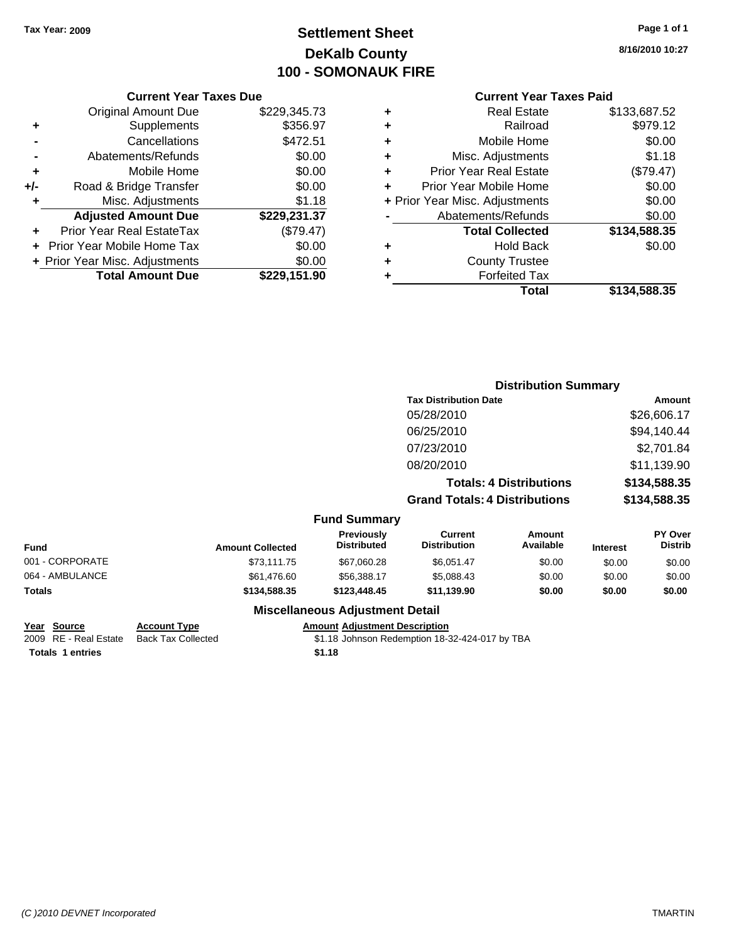# **Settlement Sheet Tax Year: 2009 Page 1 of 1 DeKalb County 100 - SOMONAUK FIRE**

**8/16/2010 10:27**

| <b>Current Year Taxes Due</b>               |                        |  |  |  |  |
|---------------------------------------------|------------------------|--|--|--|--|
| <b>Original Amount Due</b>                  | \$229,345.73           |  |  |  |  |
| Supplements                                 | \$356.97               |  |  |  |  |
| Cancellations                               | \$472.51               |  |  |  |  |
| Abatements/Refunds                          | \$0.00                 |  |  |  |  |
| Mobile Home                                 | \$0.00                 |  |  |  |  |
| \$0.00<br>+/-                               |                        |  |  |  |  |
| Misc. Adjustments                           | \$1.18                 |  |  |  |  |
| <b>Adjusted Amount Due</b>                  | \$229,231.37           |  |  |  |  |
| Prior Year Real EstateTax                   | (\$79.47)              |  |  |  |  |
| \$0.00<br><b>Prior Year Mobile Home Tax</b> |                        |  |  |  |  |
| + Prior Year Misc. Adjustments              |                        |  |  |  |  |
| <b>Total Amount Due</b>                     | \$229,151.90           |  |  |  |  |
|                                             | Road & Bridge Transfer |  |  |  |  |

| ٠ | <b>Real Estate</b>             | \$133,687.52 |
|---|--------------------------------|--------------|
| ٠ | Railroad                       | \$979.12     |
| ٠ | Mobile Home                    | \$0.00       |
| ٠ | Misc. Adjustments              | \$1.18       |
| ÷ | <b>Prior Year Real Estate</b>  | (\$79.47)    |
| ÷ | Prior Year Mobile Home         | \$0.00       |
|   | + Prior Year Misc. Adjustments | \$0.00       |
|   | Abatements/Refunds             | \$0.00       |
|   | <b>Total Collected</b>         | \$134,588.35 |
| ٠ | <b>Hold Back</b>               | \$0.00       |
| ٠ | <b>County Trustee</b>          |              |
| ٠ | <b>Forfeited Tax</b>           |              |
|   | Total                          | \$134,588.35 |

|                 |                         |                                         | <b>Distribution Summary</b>           |                                |                 |                           |
|-----------------|-------------------------|-----------------------------------------|---------------------------------------|--------------------------------|-----------------|---------------------------|
|                 |                         |                                         | <b>Tax Distribution Date</b>          |                                |                 | Amount                    |
|                 |                         |                                         | 05/28/2010                            |                                |                 | \$26,606.17               |
|                 |                         |                                         | 06/25/2010                            |                                |                 | \$94,140.44               |
|                 |                         |                                         | 07/23/2010                            |                                |                 | \$2,701.84                |
|                 |                         |                                         | 08/20/2010                            |                                |                 | \$11,139.90               |
|                 |                         |                                         |                                       | <b>Totals: 4 Distributions</b> |                 | \$134,588.35              |
|                 |                         |                                         | <b>Grand Totals: 4 Distributions</b>  |                                |                 | \$134,588.35              |
|                 |                         | <b>Fund Summary</b>                     |                                       |                                |                 |                           |
| <b>Fund</b>     | <b>Amount Collected</b> | <b>Previously</b><br><b>Distributed</b> | <b>Current</b><br><b>Distribution</b> | <b>Amount</b><br>Available     | <b>Interest</b> | PY Over<br><b>Distrib</b> |
| 001 - CORPORATE | \$73,111.75             | \$67,060.28                             | \$6,051.47                            | \$0.00                         | \$0.00          | \$0.00                    |
| 064 - AMBULANCE | \$61,476.60             | \$56,388.17                             | \$5,088.43                            | \$0.00                         | \$0.00          | \$0.00                    |
| Totals          | \$134,588.35            | \$123,448.45                            | \$11,139.90                           | \$0.00                         | \$0.00          | \$0.00                    |
|                 |                         | <b>Miscellaneous Adjustment Detail</b>  |                                       |                                |                 |                           |

| Year Source             | <b>Account Type</b>       | <b>Amount Adjustment Description</b>           |
|-------------------------|---------------------------|------------------------------------------------|
| 2009 RE - Real Estate   | <b>Back Tax Collected</b> | \$1.18 Johnson Redemption 18-32-424-017 by TBA |
| <b>Totals 1 entries</b> |                           | \$1.18                                         |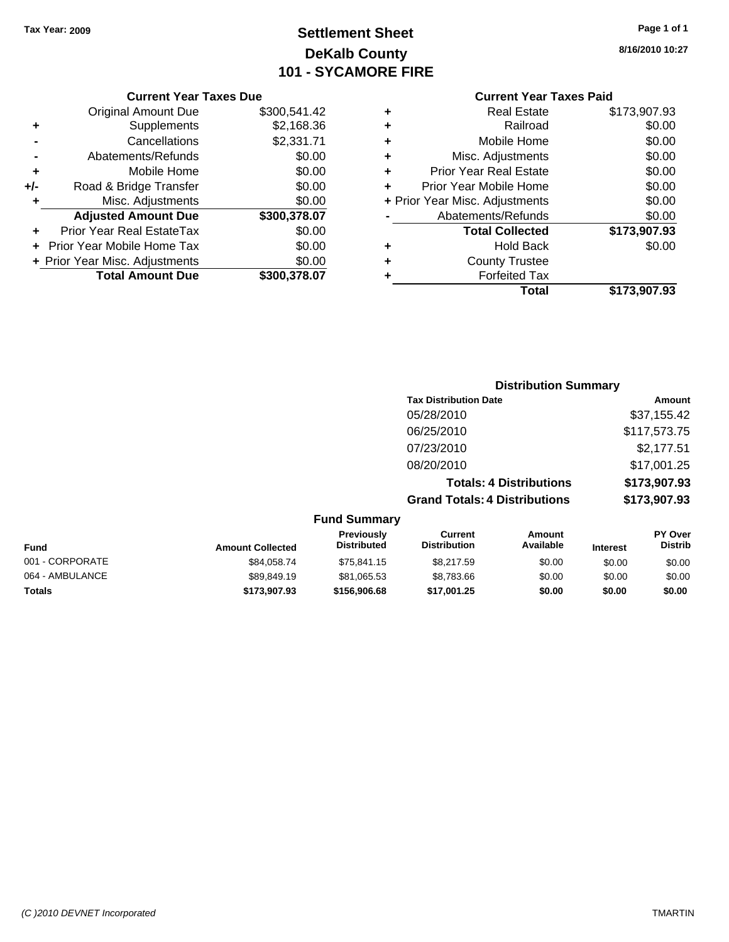# **Settlement Sheet Tax Year: 2009 Page 1 of 1 DeKalb County 101 - SYCAMORE FIRE**

#### **Current Year Taxes Due**

|       | <b>Original Amount Due</b>        | \$300,541.42 |
|-------|-----------------------------------|--------------|
| ٠     | Supplements                       | \$2,168.36   |
|       | Cancellations                     | \$2,331.71   |
|       | Abatements/Refunds                | \$0.00       |
| ٠     | Mobile Home                       | \$0.00       |
| $+/-$ | Road & Bridge Transfer            | \$0.00       |
| ٠     | Misc. Adjustments                 | \$0.00       |
|       | <b>Adjusted Amount Due</b>        | \$300,378.07 |
|       | Prior Year Real EstateTax         | \$0.00       |
|       | <b>Prior Year Mobile Home Tax</b> | \$0.00       |
|       | + Prior Year Misc. Adjustments    | \$0.00       |
|       | <b>Total Amount Due</b>           | \$300.378.07 |

#### **Current Year Taxes Paid**

|   | <b>Real Estate</b>             | \$173,907.93 |
|---|--------------------------------|--------------|
| ٠ | Railroad                       | \$0.00       |
| ٠ | Mobile Home                    | \$0.00       |
| ٠ | Misc. Adjustments              | \$0.00       |
| ٠ | <b>Prior Year Real Estate</b>  | \$0.00       |
|   | Prior Year Mobile Home         | \$0.00       |
|   | + Prior Year Misc. Adjustments | \$0.00       |
|   | Abatements/Refunds             | \$0.00       |
|   | <b>Total Collected</b>         | \$173,907.93 |
| ٠ | Hold Back                      | \$0.00       |
| ٠ | <b>County Trustee</b>          |              |
| ٠ | <b>Forfeited Tax</b>           |              |
|   | Total                          | \$173,907.93 |
|   |                                |              |

# **Distribution Summary Tax Distribution Date Amount** 05/28/2010 \$37,155.42 06/25/2010 \$117,573.75 07/23/2010 \$2,177.51 08/20/2010 \$17,001.25 **Totals: 4 Distributions \$173,907.93**

**Grand Totals: 4 Distributions \$173,907.93**

|                 |                         | <b>Fund Summary</b>              |                                |                     |                 |                                  |
|-----------------|-------------------------|----------------------------------|--------------------------------|---------------------|-----------------|----------------------------------|
| <b>Fund</b>     | <b>Amount Collected</b> | Previously<br><b>Distributed</b> | Current<br><b>Distribution</b> | Amount<br>Available | <b>Interest</b> | <b>PY Over</b><br><b>Distrib</b> |
| 001 - CORPORATE | \$84,058.74             | \$75.841.15                      | \$8,217.59                     | \$0.00              | \$0.00          | \$0.00                           |
| 064 - AMBULANCE | \$89,849.19             | \$81,065.53                      | \$8,783.66                     | \$0.00              | \$0.00          | \$0.00                           |
| <b>Totals</b>   | \$173,907.93            | \$156,906.68                     | \$17,001.25                    | \$0.00              | \$0.00          | \$0.00                           |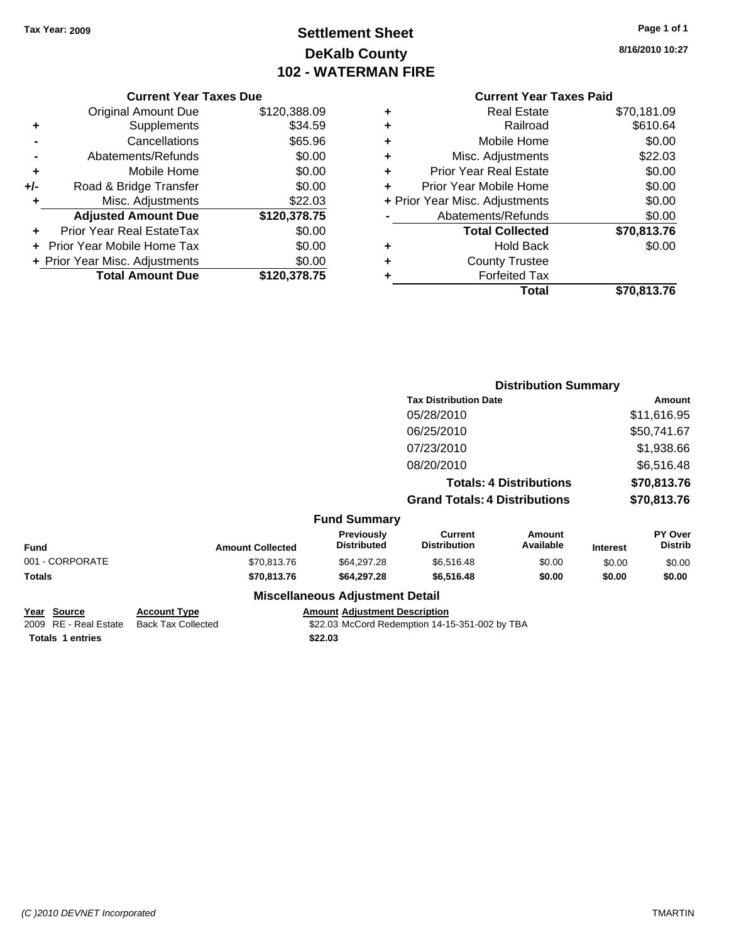# **Settlement Sheet Tax Year: 2009 Page 1 of 1 DeKalb County 102 - WATERMAN FIRE**

**8/16/2010 10:27**

| <b>Original Amount Due</b> | \$120,388.09                   |
|----------------------------|--------------------------------|
| Supplements                | \$34.59                        |
| Cancellations              | \$65.96                        |
| Abatements/Refunds         | \$0.00                         |
| Mobile Home                | \$0.00                         |
| Road & Bridge Transfer     | \$0.00                         |
| Misc. Adjustments          | \$22.03                        |
| <b>Adjusted Amount Due</b> | \$120,378.75                   |
| Prior Year Real EstateTax  | \$0.00                         |
| Prior Year Mobile Home Tax | \$0.00                         |
|                            | \$0.00                         |
| <b>Total Amount Due</b>    | \$120,378.75                   |
|                            | + Prior Year Misc. Adjustments |

# **Current Year Taxes Paid**

| ٠ | <b>Real Estate</b>             | \$70,181.09 |
|---|--------------------------------|-------------|
| ٠ | Railroad                       | \$610.64    |
| ٠ | Mobile Home                    | \$0.00      |
| ٠ | Misc. Adjustments              | \$22.03     |
| ٠ | <b>Prior Year Real Estate</b>  | \$0.00      |
| ٠ | Prior Year Mobile Home         | \$0.00      |
|   | + Prior Year Misc. Adjustments | \$0.00      |
|   | Abatements/Refunds             | \$0.00      |
|   | <b>Total Collected</b>         | \$70,813.76 |
| ٠ | <b>Hold Back</b>               | \$0.00      |
| ٠ | <b>County Trustee</b>          |             |
| ٠ | <b>Forfeited Tax</b>           |             |
|   | Total                          | \$70,813.76 |
|   |                                |             |

|                 |                         |                                           |                                       | <b>Distribution Summary</b>    |                 |                           |
|-----------------|-------------------------|-------------------------------------------|---------------------------------------|--------------------------------|-----------------|---------------------------|
|                 |                         |                                           | <b>Tax Distribution Date</b>          |                                |                 | <b>Amount</b>             |
|                 |                         |                                           | 05/28/2010                            |                                |                 | \$11,616.95               |
|                 |                         |                                           | 06/25/2010                            |                                |                 | \$50,741.67               |
|                 |                         |                                           | 07/23/2010                            |                                |                 | \$1,938.66                |
|                 |                         |                                           | 08/20/2010                            |                                |                 | \$6,516.48                |
|                 |                         |                                           |                                       | <b>Totals: 4 Distributions</b> |                 | \$70,813.76               |
|                 |                         |                                           | <b>Grand Totals: 4 Distributions</b>  |                                |                 | \$70,813.76               |
|                 |                         | <b>Fund Summary</b>                       |                                       |                                |                 |                           |
| <b>Fund</b>     | <b>Amount Collected</b> | <b>Previously</b><br><b>Distributed</b>   | <b>Current</b><br><b>Distribution</b> | Amount<br>Available            | <b>Interest</b> | PY Over<br><b>Distrib</b> |
| 001 - CORPORATE | \$70,813.76             | \$64,297.28                               | \$6,516.48                            | \$0.00                         | \$0.00          | \$0.00                    |
| Totals          | \$70,813.76             | \$64,297.28                               | \$6,516.48                            | \$0.00                         | \$0.00          | \$0.00                    |
|                 |                         | <b>Missellanessen, Adhiedriche Datell</b> |                                       |                                |                 |                           |

#### **Miscellaneous Adjustment Detail**

**Year Source Account Type Amount Adjustment Description Totals \$22.03 1 entries**

2009 RE - Real Estate Back Tax Collected \$22.03 McCord Redemption 14-15-351-002 by TBA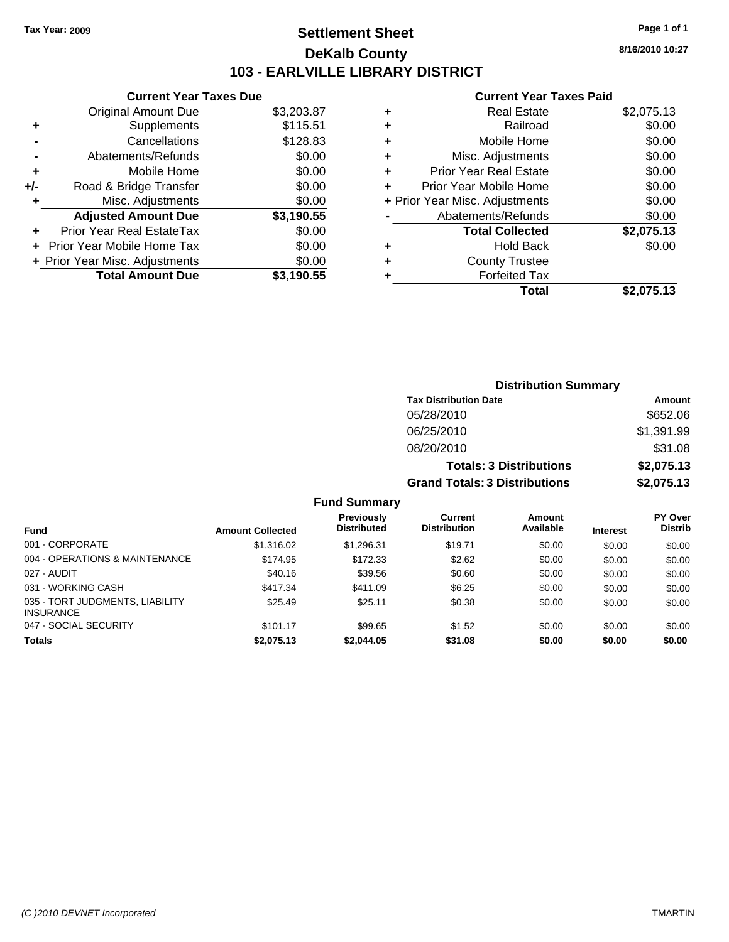# **Settlement Sheet Tax Year: 2009 Page 1 of 1 DeKalb County 103 - EARLVILLE LIBRARY DISTRICT**

**Current Year Taxes Due**

|     | <b>Original Amount Due</b>       | \$3,203.87 |
|-----|----------------------------------|------------|
| ٠   | Supplements                      | \$115.51   |
|     | Cancellations                    | \$128.83   |
|     | Abatements/Refunds               | \$0.00     |
| ÷   | Mobile Home                      | \$0.00     |
| +/- | Road & Bridge Transfer           | \$0.00     |
| ÷   | Misc. Adjustments                | \$0.00     |
|     | <b>Adjusted Amount Due</b>       | \$3,190.55 |
|     | <b>Prior Year Real EstateTax</b> | \$0.00     |
|     | Prior Year Mobile Home Tax       | \$0.00     |
|     | + Prior Year Misc. Adjustments   | \$0.00     |
|     | <b>Total Amount Due</b>          | \$3.190.55 |

|   | <b>Real Estate</b>             | \$2,075.13 |
|---|--------------------------------|------------|
| ٠ | Railroad                       | \$0.00     |
| ٠ | Mobile Home                    | \$0.00     |
| ٠ | Misc. Adjustments              | \$0.00     |
| ٠ | <b>Prior Year Real Estate</b>  | \$0.00     |
|   | Prior Year Mobile Home         | \$0.00     |
|   | + Prior Year Misc. Adjustments | \$0.00     |
|   | Abatements/Refunds             | \$0.00     |
|   | <b>Total Collected</b>         | \$2,075.13 |
| ٠ | <b>Hold Back</b>               | \$0.00     |
| ٠ | <b>County Trustee</b>          |            |
|   | <b>Forfeited Tax</b>           |            |
|   | Total                          | \$2,075.13 |
|   |                                |            |

| <b>Distribution Summary</b>          |            |
|--------------------------------------|------------|
| <b>Tax Distribution Date</b>         | Amount     |
| 05/28/2010                           | \$652.06   |
| 06/25/2010                           | \$1,391.99 |
| 08/20/2010                           | \$31.08    |
| <b>Totals: 3 Distributions</b>       | \$2,075.13 |
| <b>Grand Totals: 3 Distributions</b> | \$2,075.13 |

|  | <b>Fund Summary</b> |  |
|--|---------------------|--|
|--|---------------------|--|

| <b>Fund</b>                                         | <b>Amount Collected</b> | <b>Previously</b><br><b>Distributed</b> | Current<br><b>Distribution</b> | <b>Amount</b><br>Available | <b>Interest</b> | <b>PY Over</b><br><b>Distrib</b> |
|-----------------------------------------------------|-------------------------|-----------------------------------------|--------------------------------|----------------------------|-----------------|----------------------------------|
| 001 - CORPORATE                                     | \$1,316.02              | \$1.296.31                              | \$19.71                        | \$0.00                     | \$0.00          | \$0.00                           |
| 004 - OPERATIONS & MAINTENANCE                      | \$174.95                | \$172.33                                | \$2.62                         | \$0.00                     | \$0.00          | \$0.00                           |
| 027 - AUDIT                                         | \$40.16                 | \$39.56                                 | \$0.60                         | \$0.00                     | \$0.00          | \$0.00                           |
| 031 - WORKING CASH                                  | \$417.34                | \$411.09                                | \$6.25                         | \$0.00                     | \$0.00          | \$0.00                           |
| 035 - TORT JUDGMENTS, LIABILITY<br><b>INSURANCE</b> | \$25.49                 | \$25.11                                 | \$0.38                         | \$0.00                     | \$0.00          | \$0.00                           |
| 047 - SOCIAL SECURITY                               | \$101.17                | \$99.65                                 | \$1.52                         | \$0.00                     | \$0.00          | \$0.00                           |
| <b>Totals</b>                                       | \$2,075.13              | \$2,044.05                              | \$31.08                        | \$0.00                     | \$0.00          | \$0.00                           |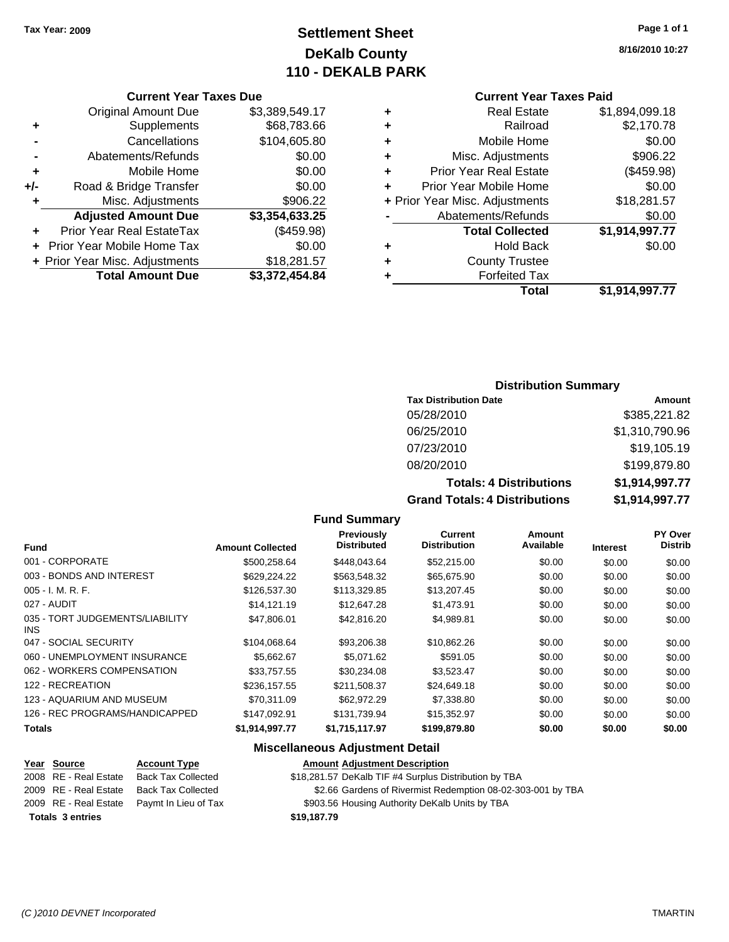# **Settlement Sheet Tax Year: 2009 Page 1 of 1 DeKalb County 110 - DEKALB PARK**

#### **Current Year Taxes Due**

|       | <b>Original Amount Due</b>       | \$3,389,549.17 |
|-------|----------------------------------|----------------|
| ٠     | Supplements                      | \$68,783.66    |
|       | Cancellations                    | \$104,605.80   |
|       | Abatements/Refunds               | \$0.00         |
| ÷     | Mobile Home                      | \$0.00         |
| $+/-$ | Road & Bridge Transfer           | \$0.00         |
| ٠     | Misc. Adjustments                | \$906.22       |
|       | <b>Adjusted Amount Due</b>       | \$3,354,633.25 |
|       | <b>Prior Year Real EstateTax</b> | (\$459.98)     |
|       | + Prior Year Mobile Home Tax     | \$0.00         |
|       | + Prior Year Misc. Adjustments   | \$18,281.57    |
|       | <b>Total Amount Due</b>          | \$3,372,454.84 |
|       |                                  |                |

#### **Current Year Taxes Paid**

| <b>Real Estate</b>             | \$1,894,099.18 |
|--------------------------------|----------------|
| Railroad                       | \$2,170.78     |
| Mobile Home                    | \$0.00         |
| Misc. Adjustments              | \$906.22       |
| <b>Prior Year Real Estate</b>  | (\$459.98)     |
| Prior Year Mobile Home         | \$0.00         |
| + Prior Year Misc. Adjustments | \$18,281.57    |
| Abatements/Refunds             | \$0.00         |
| <b>Total Collected</b>         | \$1,914,997.77 |
| <b>Hold Back</b>               | \$0.00         |
| <b>County Trustee</b>          |                |
| <b>Forfeited Tax</b>           |                |
| Total                          | \$1,914,997.77 |
|                                |                |

#### **Distribution Summary**

| <b>Tax Distribution Date</b>   | Amount         |
|--------------------------------|----------------|
| 05/28/2010                     | \$385,221.82   |
| 06/25/2010                     | \$1,310,790.96 |
| 07/23/2010                     | \$19,105.19    |
| 08/20/2010                     | \$199,879.80   |
| <b>Totals: 4 Distributions</b> | \$1,914,997.77 |
| Grand Totale: A Dictributione  | \$1 Q14 QQ7 77 |

#### **Fund Summary**

| <b>Fund</b>                                   | <b>Amount Collected</b> | Previously<br><b>Distributed</b> | <b>Current</b><br><b>Distribution</b> | Amount<br>Available | <b>Interest</b> | PY Over<br><b>Distrib</b> |
|-----------------------------------------------|-------------------------|----------------------------------|---------------------------------------|---------------------|-----------------|---------------------------|
| 001 - CORPORATE                               | \$500.258.64            | \$448,043.64                     | \$52,215.00                           | \$0.00              | \$0.00          | \$0.00                    |
| 003 - BONDS AND INTEREST                      | \$629,224.22            | \$563,548.32                     | \$65,675.90                           | \$0.00              | \$0.00          | \$0.00                    |
| $005 - I. M. R. F.$                           | \$126,537.30            | \$113,329.85                     | \$13,207.45                           | \$0.00              | \$0.00          | \$0.00                    |
| 027 - AUDIT                                   | \$14,121.19             | \$12,647.28                      | \$1,473.91                            | \$0.00              | \$0.00          | \$0.00                    |
| 035 - TORT JUDGEMENTS/LIABILITY<br><b>INS</b> | \$47,806.01             | \$42,816.20                      | \$4,989.81                            | \$0.00              | \$0.00          | \$0.00                    |
| 047 - SOCIAL SECURITY                         | \$104,068.64            | \$93,206.38                      | \$10,862.26                           | \$0.00              | \$0.00          | \$0.00                    |
| 060 - UNEMPLOYMENT INSURANCE                  | \$5,662.67              | \$5.071.62                       | \$591.05                              | \$0.00              | \$0.00          | \$0.00                    |
| 062 - WORKERS COMPENSATION                    | \$33.757.55             | \$30,234.08                      | \$3,523.47                            | \$0.00              | \$0.00          | \$0.00                    |
| 122 - RECREATION                              | \$236,157.55            | \$211,508.37                     | \$24,649.18                           | \$0.00              | \$0.00          | \$0.00                    |
| 123 - AQUARIUM AND MUSEUM                     | \$70.311.09             | \$62,972.29                      | \$7,338.80                            | \$0.00              | \$0.00          | \$0.00                    |
| 126 - REC PROGRAMS/HANDICAPPED                | \$147.092.91            | \$131.739.94                     | \$15,352.97                           | \$0.00              | \$0.00          | \$0.00                    |
| <b>Totals</b>                                 | \$1,914,997.77          | \$1,715,117.97                   | \$199,879.80                          | \$0.00              | \$0.00          | \$0.00                    |

#### **Miscellaneous Adjustment Detail**

#### **Year Source Account Type Amount Adjustment Description** 2008 RE - Real Estate Back Tax Collected \$18,281.57 DeKalb TIF #4 Surplus Distribution by TBA 2009 RE - Real Estate Back Tax Collected \$2.66 Gardens of Rivermist Redemption 08-02-303-001 by TBA 2009 RE - Real Estate Paymt In Lieu of Tax \$903.56 Housing Authority DeKalb Units by TBA

**Totals \$19,187.79 3 entries**

**Grand Totals: 4 Distributions \$1,914,997.77**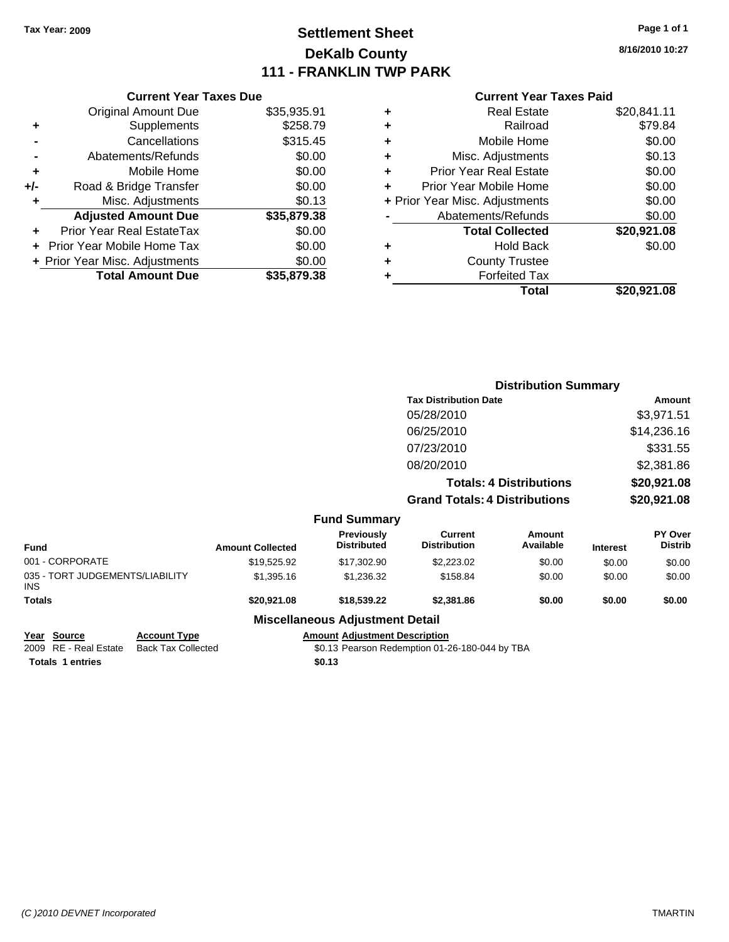# **Settlement Sheet Tax Year: 2009 Page 1 of 1 DeKalb County 111 - FRANKLIN TWP PARK**

**8/16/2010 10:27**

|     | <b>Current Year Taxes Due</b>     |             |
|-----|-----------------------------------|-------------|
|     | <b>Original Amount Due</b>        | \$35,935.91 |
| ٠   | Supplements                       | \$258.79    |
|     | Cancellations                     | \$315.45    |
|     | Abatements/Refunds                | \$0.00      |
| ٠   | Mobile Home                       | \$0.00      |
| +/- | Road & Bridge Transfer            | \$0.00      |
| ٠   | Misc. Adjustments                 | \$0.13      |
|     | <b>Adjusted Amount Due</b>        | \$35,879.38 |
|     | Prior Year Real EstateTax         | \$0.00      |
|     | <b>Prior Year Mobile Home Tax</b> | \$0.00      |
|     | + Prior Year Misc. Adjustments    | \$0.00      |
|     | <b>Total Amount Due</b>           | \$35.879.38 |
|     |                                   |             |

| ٠ | <b>Real Estate</b>             | \$20,841.11 |
|---|--------------------------------|-------------|
| ÷ | Railroad                       | \$79.84     |
| ÷ | Mobile Home                    | \$0.00      |
| ٠ | Misc. Adjustments              | \$0.13      |
| ٠ | <b>Prior Year Real Estate</b>  | \$0.00      |
| ÷ | Prior Year Mobile Home         | \$0.00      |
|   | + Prior Year Misc. Adjustments | \$0.00      |
|   | Abatements/Refunds             | \$0.00      |
|   | <b>Total Collected</b>         | \$20,921.08 |
| ٠ | Hold Back                      | \$0.00      |
| ٠ | <b>County Trustee</b>          |             |
| ٠ | <b>Forfeited Tax</b>           |             |
|   | Total                          | \$20,921.08 |

|                                                       |                         |                                         | <b>Distribution Summary</b>                    |                                |                 |                           |
|-------------------------------------------------------|-------------------------|-----------------------------------------|------------------------------------------------|--------------------------------|-----------------|---------------------------|
|                                                       |                         |                                         | <b>Tax Distribution Date</b>                   |                                | Amount          |                           |
|                                                       |                         |                                         | 05/28/2010                                     |                                |                 | \$3,971.51                |
|                                                       |                         |                                         | 06/25/2010                                     |                                |                 | \$14,236.16               |
|                                                       |                         |                                         | 07/23/2010                                     |                                |                 | \$331.55                  |
|                                                       |                         |                                         | 08/20/2010                                     |                                |                 | \$2,381.86                |
|                                                       |                         |                                         |                                                | <b>Totals: 4 Distributions</b> |                 | \$20,921.08               |
|                                                       |                         |                                         | <b>Grand Totals: 4 Distributions</b>           |                                | \$20,921.08     |                           |
|                                                       |                         | <b>Fund Summary</b>                     |                                                |                                |                 |                           |
| <b>Fund</b>                                           | <b>Amount Collected</b> | <b>Previously</b><br><b>Distributed</b> | <b>Current</b><br><b>Distribution</b>          | Amount<br>Available            | <b>Interest</b> | PY Over<br><b>Distrib</b> |
| 001 - CORPORATE                                       | \$19,525.92             | \$17,302.90                             | \$2,223.02                                     | \$0.00                         | \$0.00          | \$0.00                    |
| 035 - TORT JUDGEMENTS/LIABILITY<br><b>INS</b>         | \$1,395.16              | \$1,236.32                              | \$158.84                                       | \$0.00                         | \$0.00          | \$0.00                    |
| <b>Totals</b>                                         | \$20,921.08             | \$18,539.22                             | \$2,381.86                                     | \$0.00                         | \$0.00          | \$0.00                    |
|                                                       |                         | <b>Miscellaneous Adjustment Detail</b>  |                                                |                                |                 |                           |
| Source<br><b>Account Type</b><br>Year                 |                         | <b>Amount Adjustment Description</b>    |                                                |                                |                 |                           |
| RE - Real Estate<br><b>Back Tax Collected</b><br>2009 |                         |                                         | \$0.13 Pearson Redemption 01-26-180-044 by TBA |                                |                 |                           |

**Totals 1 entries** \$0.13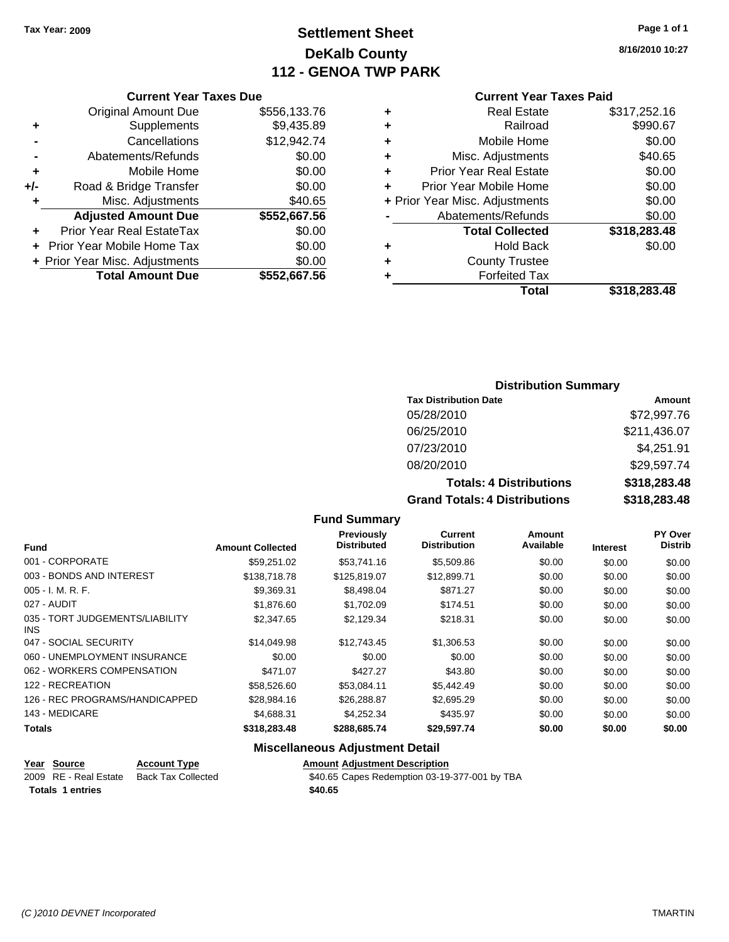# **Settlement Sheet Tax Year: 2009 Page 1 of 1 DeKalb County 112 - GENOA TWP PARK**

**8/16/2010 10:27**

| <b>Current Year Taxes Due</b> |  |  |  |
|-------------------------------|--|--|--|
|-------------------------------|--|--|--|

|     | <b>Original Amount Due</b>              | \$556,133.76 |  |  |  |
|-----|-----------------------------------------|--------------|--|--|--|
| ٠   | Supplements                             | \$9,435.89   |  |  |  |
|     | Cancellations                           | \$12,942.74  |  |  |  |
|     | Abatements/Refunds                      | \$0.00       |  |  |  |
| ٠   | Mobile Home                             | \$0.00       |  |  |  |
| +/- | Road & Bridge Transfer                  | \$0.00       |  |  |  |
| ٠   | Misc. Adjustments                       | \$40.65      |  |  |  |
|     | <b>Adjusted Amount Due</b>              | \$552,667.56 |  |  |  |
|     | <b>Prior Year Real EstateTax</b>        | \$0.00       |  |  |  |
|     | + Prior Year Mobile Home Tax            | \$0.00       |  |  |  |
|     | + Prior Year Misc. Adjustments          | \$0.00       |  |  |  |
|     | <b>Total Amount Due</b><br>\$552,667.56 |              |  |  |  |

#### **Current Year Taxes Paid**

| ٠ | <b>Real Estate</b>             | \$317,252.16 |
|---|--------------------------------|--------------|
| ٠ | Railroad                       | \$990.67     |
| ٠ | Mobile Home                    | \$0.00       |
| ٠ | Misc. Adjustments              | \$40.65      |
| ÷ | <b>Prior Year Real Estate</b>  | \$0.00       |
| ÷ | Prior Year Mobile Home         | \$0.00       |
|   | + Prior Year Misc. Adjustments | \$0.00       |
|   | Abatements/Refunds             | \$0.00       |
|   | <b>Total Collected</b>         | \$318,283.48 |
| ٠ | <b>Hold Back</b>               | \$0.00       |
| ٠ | <b>County Trustee</b>          |              |
| ٠ | <b>Forfeited Tax</b>           |              |
|   | Total                          | \$318,283.48 |
|   |                                |              |

#### **Distribution Summary**

| <b>Tax Distribution Date</b>         | Amount       |  |  |  |
|--------------------------------------|--------------|--|--|--|
| 05/28/2010                           | \$72,997.76  |  |  |  |
| 06/25/2010                           | \$211,436.07 |  |  |  |
| 07/23/2010                           | \$4,251.91   |  |  |  |
| 08/20/2010                           | \$29,597.74  |  |  |  |
| <b>Totals: 4 Distributions</b>       | \$318,283.48 |  |  |  |
| <b>Grand Totals: 4 Distributions</b> | \$318,283.48 |  |  |  |

#### **Fund Summary**

| <b>Fund</b>                             | <b>Amount Collected</b> | Previously<br><b>Distributed</b> | Current<br><b>Distribution</b> | Amount<br>Available | <b>Interest</b> | PY Over<br><b>Distrib</b> |
|-----------------------------------------|-------------------------|----------------------------------|--------------------------------|---------------------|-----------------|---------------------------|
| 001 - CORPORATE                         | \$59.251.02             | \$53,741.16                      | \$5,509.86                     | \$0.00              | \$0.00          | \$0.00                    |
| 003 - BONDS AND INTEREST                | \$138,718.78            | \$125.819.07                     | \$12,899.71                    | \$0.00              | \$0.00          | \$0.00                    |
| $005 - I. M. R. F.$                     | \$9.369.31              | \$8,498,04                       | \$871.27                       | \$0.00              | \$0.00          | \$0.00                    |
| 027 - AUDIT                             | \$1,876.60              | \$1.702.09                       | \$174.51                       | \$0.00              | \$0.00          | \$0.00                    |
| 035 - TORT JUDGEMENTS/LIABILITY<br>INS. | \$2,347.65              | \$2,129.34                       | \$218.31                       | \$0.00              | \$0.00          | \$0.00                    |
| 047 - SOCIAL SECURITY                   | \$14,049.98             | \$12,743.45                      | \$1,306.53                     | \$0.00              | \$0.00          | \$0.00                    |
| 060 - UNEMPLOYMENT INSURANCE            | \$0.00                  | \$0.00                           | \$0.00                         | \$0.00              | \$0.00          | \$0.00                    |
| 062 - WORKERS COMPENSATION              | \$471.07                | \$427.27                         | \$43.80                        | \$0.00              | \$0.00          | \$0.00                    |
| 122 - RECREATION                        | \$58,526.60             | \$53.084.11                      | \$5,442.49                     | \$0.00              | \$0.00          | \$0.00                    |
| 126 - REC PROGRAMS/HANDICAPPED          | \$28,984.16             | \$26,288.87                      | \$2.695.29                     | \$0.00              | \$0.00          | \$0.00                    |
| 143 - MEDICARE                          | \$4,688.31              | \$4.252.34                       | \$435.97                       | \$0.00              | \$0.00          | \$0.00                    |
| <b>Totals</b>                           | \$318,283.48            | \$288,685.74                     | \$29,597.74                    | \$0.00              | \$0.00          | \$0.00                    |

#### **Miscellaneous Adjustment Detail**

| Year Source             | <b>Account Type</b>       | <b>Amount Adjustment Description</b>          |
|-------------------------|---------------------------|-----------------------------------------------|
| 2009 RE - Real Estate   | <b>Back Tax Collected</b> | \$40.65 Capes Redemption 03-19-377-001 by TBA |
| <b>Totals 1 entries</b> |                           | \$40.65                                       |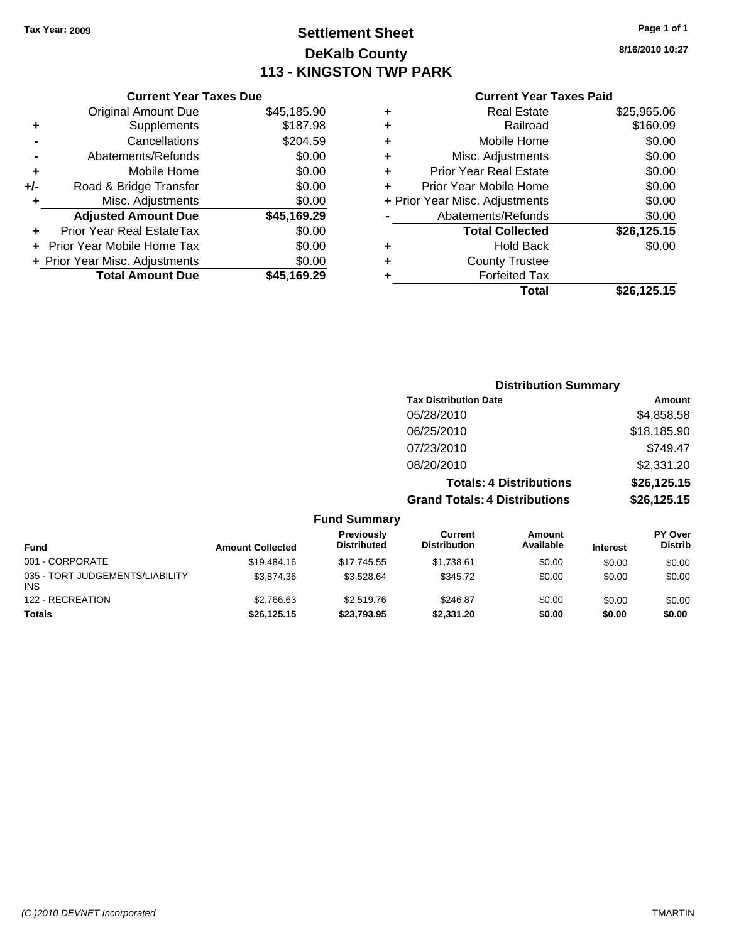# **Settlement Sheet Tax Year: 2009 Page 1 of 1 DeKalb County 113 - KINGSTON TWP PARK**

**8/16/2010 10:27**

|       | <b>Current Year Taxes Due</b>  |             |
|-------|--------------------------------|-------------|
|       | <b>Original Amount Due</b>     | \$45,185.90 |
| ÷     | Supplements                    | \$187.98    |
|       | Cancellations                  | \$204.59    |
|       | Abatements/Refunds             | \$0.00      |
| ٠     | Mobile Home                    | \$0.00      |
| $+/-$ | Road & Bridge Transfer         | \$0.00      |
|       | Misc. Adjustments              | \$0.00      |
|       | <b>Adjusted Amount Due</b>     | \$45,169.29 |
|       | Prior Year Real EstateTax      | \$0.00      |
|       | Prior Year Mobile Home Tax     | \$0.00      |
|       | + Prior Year Misc. Adjustments | \$0.00      |
|       | <b>Total Amount Due</b>        | \$45.169.29 |
|       |                                |             |

|   | <b>Real Estate</b>             | \$25,965.06 |
|---|--------------------------------|-------------|
| ٠ | Railroad                       | \$160.09    |
| ٠ | Mobile Home                    | \$0.00      |
| ٠ | Misc. Adjustments              | \$0.00      |
| ٠ | <b>Prior Year Real Estate</b>  | \$0.00      |
| ٠ | Prior Year Mobile Home         | \$0.00      |
|   | + Prior Year Misc. Adjustments | \$0.00      |
|   | Abatements/Refunds             | \$0.00      |
|   | <b>Total Collected</b>         | \$26,125.15 |
|   | <b>Hold Back</b>               | \$0.00      |
| ٠ | <b>County Trustee</b>          |             |
| ٠ | <b>Forfeited Tax</b>           |             |
|   | Total                          | \$26,125.15 |
|   |                                |             |

|                         |                                  | <b>Distribution Summary</b>          |                                |                 |                                  |
|-------------------------|----------------------------------|--------------------------------------|--------------------------------|-----------------|----------------------------------|
|                         |                                  | <b>Tax Distribution Date</b>         |                                |                 | Amount                           |
|                         |                                  | 05/28/2010                           |                                |                 | \$4,858.58                       |
|                         |                                  | 06/25/2010                           |                                |                 | \$18,185.90                      |
|                         |                                  | 07/23/2010                           |                                |                 | \$749.47                         |
|                         |                                  | 08/20/2010                           |                                |                 | \$2,331.20                       |
|                         |                                  |                                      | <b>Totals: 4 Distributions</b> |                 | \$26,125.15                      |
|                         |                                  | <b>Grand Totals: 4 Distributions</b> |                                |                 | \$26,125.15                      |
|                         | <b>Fund Summary</b>              |                                      |                                |                 |                                  |
| <b>Amount Collected</b> | Previously<br><b>Distributed</b> | Current<br><b>Distribution</b>       | Amount<br>Available            | <b>Interest</b> | <b>PY Over</b><br><b>Distrib</b> |
| \$19,484.16             | \$17,745.55                      | \$1,738.61                           | \$0.00                         | \$0.00          | \$0.00                           |

| <b>Fund</b>                                   | <b>Amount Collected</b> | <b>Distributed</b> | <b>Distribution</b> | Available | <b>Interest</b> | <b>Distrib</b> |
|-----------------------------------------------|-------------------------|--------------------|---------------------|-----------|-----------------|----------------|
| 001 - CORPORATE                               | \$19,484.16             | \$17.745.55        | \$1.738.61          | \$0.00    | \$0.00          | \$0.00         |
| 035 - TORT JUDGEMENTS/LIABILITY<br><b>INS</b> | \$3.874.36              | \$3.528.64         | \$345.72            | \$0.00    | \$0.00          | \$0.00         |
| 122 - RECREATION                              | \$2,766.63              | \$2,519.76         | \$246.87            | \$0.00    | \$0.00          | \$0.00         |
| <b>Totals</b>                                 | \$26,125.15             | \$23,793.95        | \$2.331.20          | \$0.00    | \$0.00          | \$0.00         |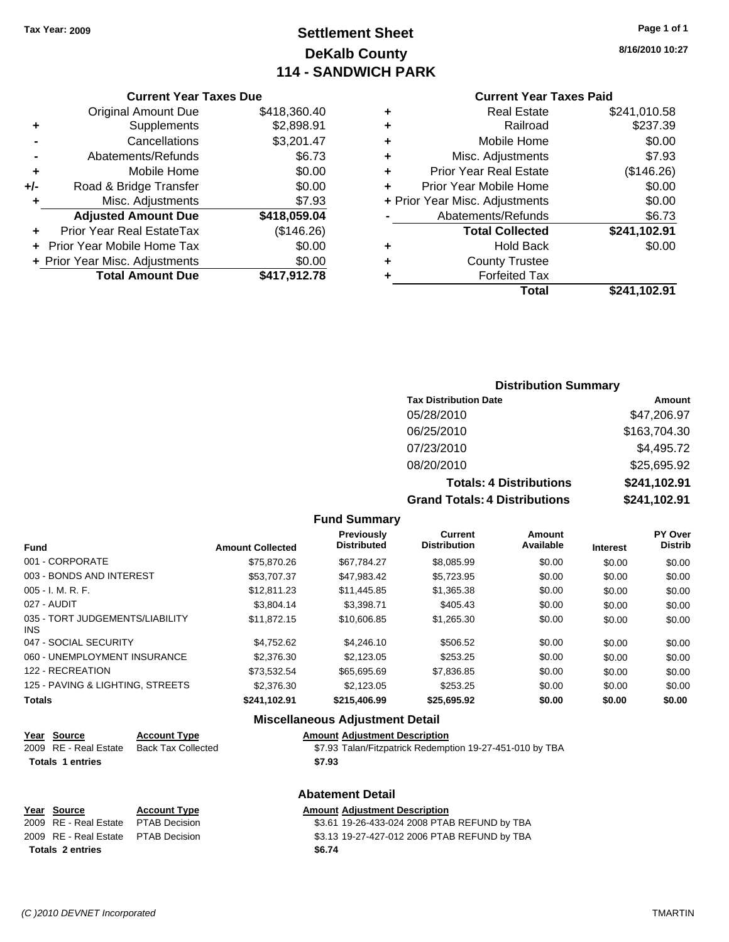# **Settlement Sheet Tax Year: 2009 Page 1 of 1 DeKalb County 114 - SANDWICH PARK**

**8/16/2010 10:27**

# **Current Year Taxes Paid**

|   | odhoni Todi Tuaco I did        |              |  |  |
|---|--------------------------------|--------------|--|--|
| ٠ | <b>Real Estate</b>             | \$241,010.58 |  |  |
| ٠ | Railroad                       | \$237.39     |  |  |
| ٠ | Mobile Home                    | \$0.00       |  |  |
| ٠ | Misc. Adjustments              | \$7.93       |  |  |
| ٠ | <b>Prior Year Real Estate</b>  | (\$146.26)   |  |  |
|   | Prior Year Mobile Home         | \$0.00       |  |  |
|   | + Prior Year Misc. Adjustments | \$0.00       |  |  |
|   | Abatements/Refunds             | \$6.73       |  |  |
|   | <b>Total Collected</b>         | \$241,102.91 |  |  |
| ٠ | <b>Hold Back</b>               | \$0.00       |  |  |
| ٠ | <b>County Trustee</b>          |              |  |  |
|   | <b>Forfeited Tax</b>           |              |  |  |
|   | Total                          | \$241.102.91 |  |  |
|   |                                |              |  |  |

# **Current Year Taxes Due**

|       | <b>Original Amount Due</b>       | \$418,360.40 |
|-------|----------------------------------|--------------|
| ٠     | Supplements                      | \$2,898.91   |
|       | Cancellations                    | \$3,201.47   |
|       | Abatements/Refunds               | \$6.73       |
| ÷     | Mobile Home                      | \$0.00       |
| $+/-$ | Road & Bridge Transfer           | \$0.00       |
| ٠     | Misc. Adjustments                | \$7.93       |
|       | <b>Adjusted Amount Due</b>       | \$418,059.04 |
|       | <b>Prior Year Real EstateTax</b> | (\$146.26)   |
|       | Prior Year Mobile Home Tax       | \$0.00       |
|       | + Prior Year Misc. Adjustments   | \$0.00       |
|       | <b>Total Amount Due</b>          | \$417,912.78 |

#### **Distribution Summary**

| <b>Tax Distribution Date</b>         | Amount       |
|--------------------------------------|--------------|
| 05/28/2010                           | \$47,206.97  |
| 06/25/2010                           | \$163,704.30 |
| 07/23/2010                           | \$4,495.72   |
| 08/20/2010                           | \$25,695.92  |
| <b>Totals: 4 Distributions</b>       | \$241,102.91 |
| <b>Grand Totals: 4 Distributions</b> | \$241,102.91 |

#### **Fund Summary**

| <b>Fund</b>                             | <b>Amount Collected</b> | <b>Previously</b><br><b>Distributed</b> | Current<br><b>Distribution</b> | Amount<br>Available | <b>Interest</b> | PY Over<br><b>Distrib</b> |
|-----------------------------------------|-------------------------|-----------------------------------------|--------------------------------|---------------------|-----------------|---------------------------|
| 001 - CORPORATE                         | \$75,870.26             | \$67.784.27                             | \$8,085.99                     | \$0.00              | \$0.00          | \$0.00                    |
| 003 - BONDS AND INTEREST                | \$53.707.37             | \$47,983.42                             | \$5,723.95                     | \$0.00              | \$0.00          | \$0.00                    |
| 005 - I. M. R. F.                       | \$12.811.23             | \$11,445.85                             | \$1,365.38                     | \$0.00              | \$0.00          | \$0.00                    |
| 027 - AUDIT                             | \$3.804.14              | \$3.398.71                              | \$405.43                       | \$0.00              | \$0.00          | \$0.00                    |
| 035 - TORT JUDGEMENTS/LIABILITY<br>INS. | \$11,872.15             | \$10,606.85                             | \$1,265.30                     | \$0.00              | \$0.00          | \$0.00                    |
| 047 - SOCIAL SECURITY                   | \$4.752.62              | \$4,246.10                              | \$506.52                       | \$0.00              | \$0.00          | \$0.00                    |
| 060 - UNEMPLOYMENT INSURANCE            | \$2,376,30              | \$2,123,05                              | \$253.25                       | \$0.00              | \$0.00          | \$0.00                    |
| 122 - RECREATION                        | \$73.532.54             | \$65,695.69                             | \$7,836.85                     | \$0.00              | \$0.00          | \$0.00                    |
| 125 - PAVING & LIGHTING, STREETS        | \$2,376,30              | \$2,123,05                              | \$253.25                       | \$0.00              | \$0.00          | \$0.00                    |
| Totals                                  | \$241,102.91            | \$215,406.99                            | \$25,695.92                    | \$0.00              | \$0.00          | \$0.00                    |

#### **Miscellaneous Adjustment Detail**

\$7.93 Talan/Fitzpatrick Redemption 19-27-451-010 by TBA

| Year Source | <b>Account Type</b>                      | <b>Amount Adiustment Description</b> |
|-------------|------------------------------------------|--------------------------------------|
|             | 2009 RE - Real Estate Back Tax Collected | \$7.93 Talan/Fitzpatrick Redemp      |

**Totals \$7.93 1 entries**

## **Abatement Detail**

| Year Source                         | <b>Account Type</b> | <b>Amount Adiustment Description</b>         |
|-------------------------------------|---------------------|----------------------------------------------|
| 2009 RE - Real Estate               | PTAB Decision       | \$3.61 19-26-433-024 2008 PTAB REFUND by TBA |
| 2009 RE - Real Estate PTAB Decision |                     | \$3.13 19-27-427-012 2006 PTAB REFUND by TBA |
| <b>Totals 2 entries</b>             |                     | \$6.74                                       |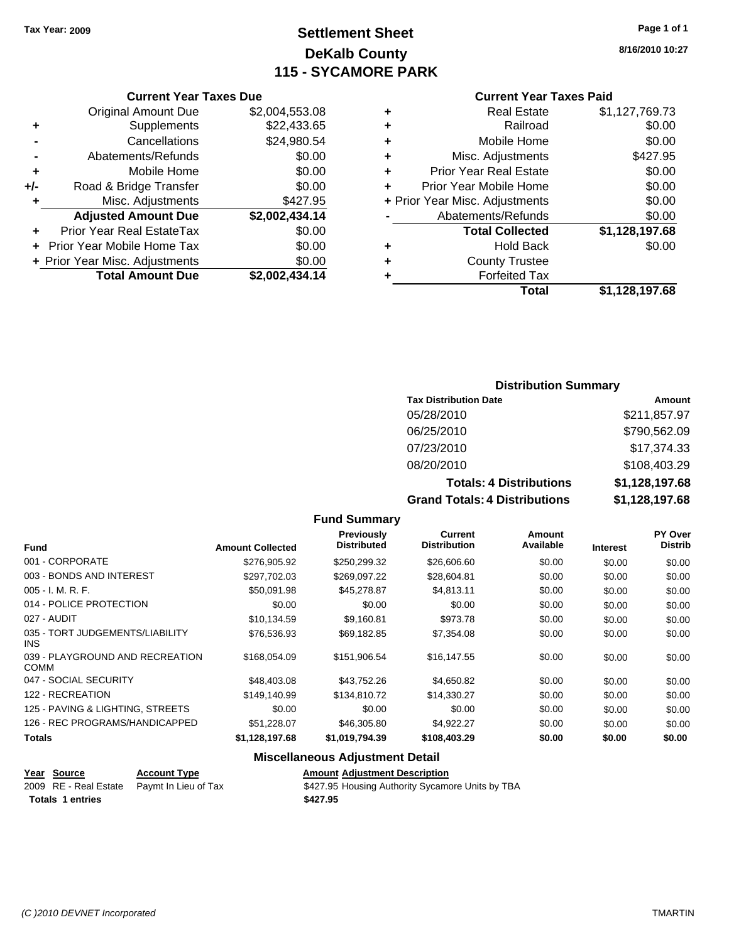# **Settlement Sheet Tax Year: 2009 Page 1 of 1 DeKalb County 115 - SYCAMORE PARK**

**8/16/2010 10:27**

| <b>Current Year Taxes Due</b> |  |  |  |
|-------------------------------|--|--|--|
|-------------------------------|--|--|--|

|     | <b>Original Amount Due</b>        | \$2,004,553.08 |
|-----|-----------------------------------|----------------|
| ٠   | Supplements                       | \$22,433.65    |
|     | Cancellations                     | \$24,980.54    |
|     | Abatements/Refunds                | \$0.00         |
| ٠   | Mobile Home                       | \$0.00         |
| +/- | Road & Bridge Transfer            | \$0.00         |
| ÷   | Misc. Adjustments                 | \$427.95       |
|     | <b>Adjusted Amount Due</b>        | \$2,002,434.14 |
|     | <b>Prior Year Real EstateTax</b>  | \$0.00         |
|     | <b>Prior Year Mobile Home Tax</b> | \$0.00         |
|     | + Prior Year Misc. Adjustments    | \$0.00         |
|     | <b>Total Amount Due</b>           | \$2,002,434.14 |

#### **Current Year Taxes Paid**

|   | <b>Real Estate</b>             | \$1,127,769.73 |
|---|--------------------------------|----------------|
| ٠ | Railroad                       | \$0.00         |
| ٠ | Mobile Home                    | \$0.00         |
| ٠ | Misc. Adjustments              | \$427.95       |
| ÷ | <b>Prior Year Real Estate</b>  | \$0.00         |
| ٠ | Prior Year Mobile Home         | \$0.00         |
|   | + Prior Year Misc. Adjustments | \$0.00         |
|   | Abatements/Refunds             | \$0.00         |
|   | <b>Total Collected</b>         | \$1,128,197.68 |
| ٠ | <b>Hold Back</b>               | \$0.00         |
| ٠ | <b>County Trustee</b>          |                |
| ٠ | <b>Forfeited Tax</b>           |                |
|   | Total                          | \$1,128,197.68 |
|   |                                |                |

#### **Distribution Summary**

| <b>Tax Distribution Date</b>         | Amount         |
|--------------------------------------|----------------|
| 05/28/2010                           | \$211,857.97   |
| 06/25/2010                           | \$790,562.09   |
| 07/23/2010                           | \$17,374.33    |
| 08/20/2010                           | \$108,403.29   |
| <b>Totals: 4 Distributions</b>       | \$1,128,197.68 |
| <b>Grand Totals: 4 Distributions</b> | \$1,128,197.68 |

#### **Fund Summary**

|                                                |                         | Previously<br><b>Distributed</b> | Current<br><b>Distribution</b> | Amount<br>Available |                 | <b>PY Over</b><br><b>Distrib</b> |
|------------------------------------------------|-------------------------|----------------------------------|--------------------------------|---------------------|-----------------|----------------------------------|
| <b>Fund</b>                                    | <b>Amount Collected</b> |                                  |                                |                     | <b>Interest</b> |                                  |
| 001 - CORPORATE                                | \$276,905.92            | \$250,299.32                     | \$26,606.60                    | \$0.00              | \$0.00          | \$0.00                           |
| 003 - BONDS AND INTEREST                       | \$297.702.03            | \$269.097.22                     | \$28,604.81                    | \$0.00              | \$0.00          | \$0.00                           |
| $005 - I. M. R. F.$                            | \$50,091.98             | \$45,278.87                      | \$4,813.11                     | \$0.00              | \$0.00          | \$0.00                           |
| 014 - POLICE PROTECTION                        | \$0.00                  | \$0.00                           | \$0.00                         | \$0.00              | \$0.00          | \$0.00                           |
| 027 - AUDIT                                    | \$10,134.59             | \$9,160.81                       | \$973.78                       | \$0.00              | \$0.00          | \$0.00                           |
| 035 - TORT JUDGEMENTS/LIABILITY<br>INS.        | \$76.536.93             | \$69.182.85                      | \$7,354.08                     | \$0.00              | \$0.00          | \$0.00                           |
| 039 - PLAYGROUND AND RECREATION<br><b>COMM</b> | \$168,054.09            | \$151,906.54                     | \$16,147.55                    | \$0.00              | \$0.00          | \$0.00                           |
| 047 - SOCIAL SECURITY                          | \$48,403.08             | \$43.752.26                      | \$4,650.82                     | \$0.00              | \$0.00          | \$0.00                           |
| 122 - RECREATION                               | \$149,140.99            | \$134,810.72                     | \$14,330.27                    | \$0.00              | \$0.00          | \$0.00                           |
| 125 - PAVING & LIGHTING, STREETS               | \$0.00                  | \$0.00                           | \$0.00                         | \$0.00              | \$0.00          | \$0.00                           |
| 126 - REC PROGRAMS/HANDICAPPED                 | \$51,228.07             | \$46,305.80                      | \$4,922.27                     | \$0.00              | \$0.00          | \$0.00                           |
| <b>Totals</b>                                  | \$1,128,197.68          | \$1,019,794.39                   | \$108,403.29                   | \$0.00              | \$0.00          | \$0.00                           |

#### **Miscellaneous Adjustment Detail**

|                         | Year Source | <b>Account Type</b>                        | <b>Amount Adjustment Description</b>             |
|-------------------------|-------------|--------------------------------------------|--------------------------------------------------|
|                         |             | 2009 RE - Real Estate Paymt In Lieu of Tax | \$427.95 Housing Authority Sycamore Units by TBA |
| <b>Totals 1 entries</b> |             |                                            | \$427.95                                         |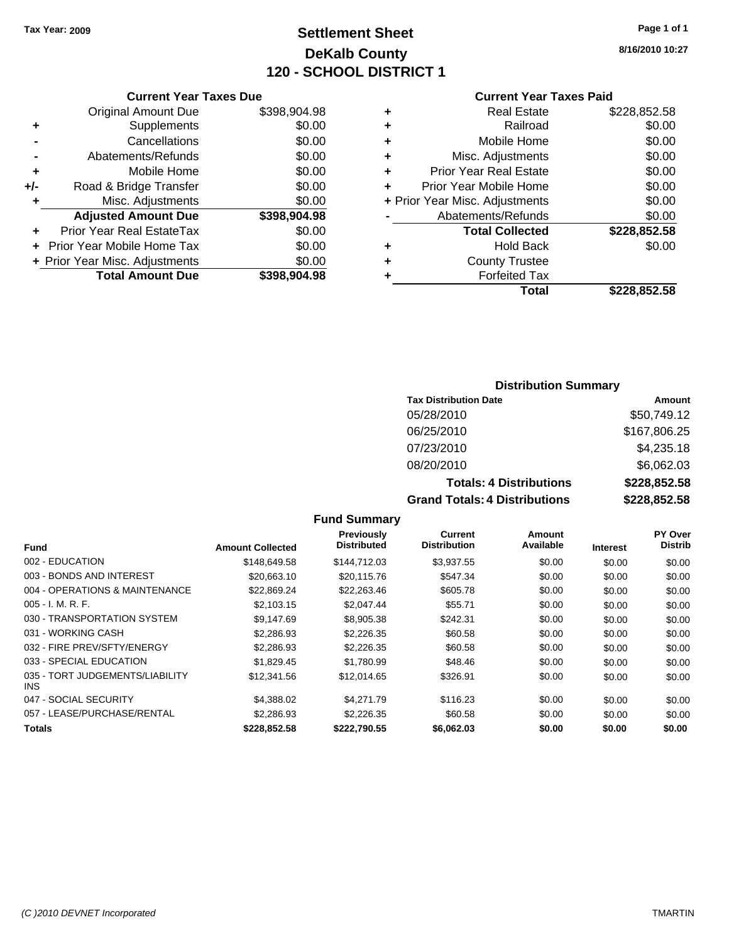# **Settlement Sheet Tax Year: 2009 Page 1 of 1 DeKalb County 120 - SCHOOL DISTRICT 1**

**8/16/2010 10:27**

#### **Current Year Taxes Paid**

| Total                          | \$228,852.58 |
|--------------------------------|--------------|
| <b>Forfeited Tax</b>           |              |
| <b>County Trustee</b>          |              |
| <b>Hold Back</b>               | \$0.00       |
| <b>Total Collected</b>         | \$228,852.58 |
| Abatements/Refunds             | \$0.00       |
| + Prior Year Misc. Adjustments | \$0.00       |
| Prior Year Mobile Home         | \$0.00       |
| <b>Prior Year Real Estate</b>  | \$0.00       |
| Misc. Adjustments              | \$0.00       |
| Mobile Home                    | \$0.00       |
| Railroad                       | \$0.00       |
| <b>Real Estate</b>             | \$228,852.58 |
|                                |              |

# **Current Year Taxes Due**

|     | <b>Original Amount Due</b>     | \$398,904.98 |
|-----|--------------------------------|--------------|
| ٠   | Supplements                    | \$0.00       |
|     | Cancellations                  | \$0.00       |
|     | Abatements/Refunds             | \$0.00       |
| ٠   | Mobile Home                    | \$0.00       |
| +/- | Road & Bridge Transfer         | \$0.00       |
| ٠   | Misc. Adjustments              | \$0.00       |
|     | <b>Adjusted Amount Due</b>     | \$398,904.98 |
|     | Prior Year Real EstateTax      | \$0.00       |
|     | Prior Year Mobile Home Tax     | \$0.00       |
|     | + Prior Year Misc. Adjustments | \$0.00       |
|     | <b>Total Amount Due</b>        | \$398,904.98 |

#### **Distribution Summary**

| <b>Tax Distribution Date</b>         | Amount       |
|--------------------------------------|--------------|
| 05/28/2010                           | \$50,749.12  |
| 06/25/2010                           | \$167,806.25 |
| 07/23/2010                           | \$4,235.18   |
| 08/20/2010                           | \$6,062.03   |
| <b>Totals: 4 Distributions</b>       | \$228,852.58 |
| <b>Grand Totals: 4 Distributions</b> | \$228,852.58 |

#### **Fund Summary**

|                                         |                         | <b>Previously</b>  | <b>Current</b>      | Amount    |                 | <b>PY Over</b> |
|-----------------------------------------|-------------------------|--------------------|---------------------|-----------|-----------------|----------------|
| Fund                                    | <b>Amount Collected</b> | <b>Distributed</b> | <b>Distribution</b> | Available | <b>Interest</b> | <b>Distrib</b> |
| 002 - EDUCATION                         | \$148,649.58            | \$144.712.03       | \$3,937.55          | \$0.00    | \$0.00          | \$0.00         |
| 003 - BONDS AND INTEREST                | \$20.663.10             | \$20.115.76        | \$547.34            | \$0.00    | \$0.00          | \$0.00         |
| 004 - OPERATIONS & MAINTENANCE          | \$22,869.24             | \$22,263.46        | \$605.78            | \$0.00    | \$0.00          | \$0.00         |
| $005 - I. M. R. F.$                     | \$2,103.15              | \$2,047.44         | \$55.71             | \$0.00    | \$0.00          | \$0.00         |
| 030 - TRANSPORTATION SYSTEM             | \$9,147.69              | \$8,905.38         | \$242.31            | \$0.00    | \$0.00          | \$0.00         |
| 031 - WORKING CASH                      | \$2,286.93              | \$2,226.35         | \$60.58             | \$0.00    | \$0.00          | \$0.00         |
| 032 - FIRE PREV/SFTY/ENERGY             | \$2,286.93              | \$2,226.35         | \$60.58             | \$0.00    | \$0.00          | \$0.00         |
| 033 - SPECIAL EDUCATION                 | \$1.829.45              | \$1.780.99         | \$48.46             | \$0.00    | \$0.00          | \$0.00         |
| 035 - TORT JUDGEMENTS/LIABILITY<br>INS. | \$12,341.56             | \$12,014.65        | \$326.91            | \$0.00    | \$0.00          | \$0.00         |
| 047 - SOCIAL SECURITY                   | \$4,388.02              | \$4,271.79         | \$116.23            | \$0.00    | \$0.00          | \$0.00         |
| 057 - LEASE/PURCHASE/RENTAL             | \$2,286.93              | \$2,226.35         | \$60.58             | \$0.00    | \$0.00          | \$0.00         |
| <b>Totals</b>                           | \$228,852.58            | \$222.790.55       | \$6,062.03          | \$0.00    | \$0.00          | \$0.00         |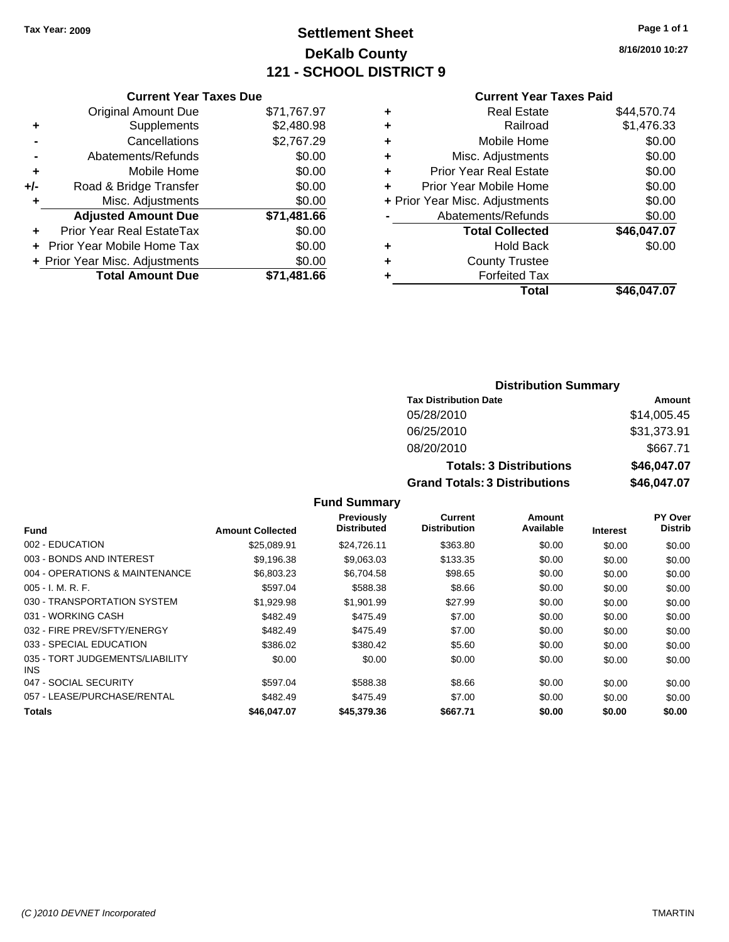# **Settlement Sheet Tax Year: 2009 Page 1 of 1 DeKalb County 121 - SCHOOL DISTRICT 9**

**8/16/2010 10:27**

|     | <b>Current Year Taxes Due</b>  |             |  |  |  |
|-----|--------------------------------|-------------|--|--|--|
|     | <b>Original Amount Due</b>     | \$71,767.97 |  |  |  |
| ٠   | Supplements                    | \$2,480.98  |  |  |  |
|     | Cancellations                  | \$2,767.29  |  |  |  |
|     | Abatements/Refunds             | \$0.00      |  |  |  |
| ٠   | Mobile Home                    | \$0.00      |  |  |  |
| +/- | Road & Bridge Transfer         | \$0.00      |  |  |  |
|     | Misc. Adjustments              | \$0.00      |  |  |  |
|     | <b>Adjusted Amount Due</b>     | \$71,481.66 |  |  |  |
|     | Prior Year Real EstateTax      | \$0.00      |  |  |  |
|     | Prior Year Mobile Home Tax     | \$0.00      |  |  |  |
|     | + Prior Year Misc. Adjustments | \$0.00      |  |  |  |
|     | <b>Total Amount Due</b>        | \$71.481.66 |  |  |  |

|   | <b>Current Year Taxes Paid</b> |             |
|---|--------------------------------|-------------|
| ٠ | <b>Real Estate</b>             | \$44,570.74 |
| ٠ | Railroad                       | \$1,476.33  |
| ٠ | Mobile Home                    | \$0.00      |
| ٠ | Misc. Adjustments              | \$0.00      |
| ٠ | <b>Prior Year Real Estate</b>  | \$0.00      |
| ٠ | Prior Year Mobile Home         | \$0.00      |
|   | + Prior Year Misc. Adjustments | \$0.00      |
|   | Abatements/Refunds             | \$0.00      |
|   | <b>Total Collected</b>         | \$46,047.07 |
| ٠ | <b>Hold Back</b>               | \$0.00      |
|   | <b>County Trustee</b>          |             |
| ٠ | <b>Forfeited Tax</b>           |             |
|   | Total                          | \$46,047.07 |
|   |                                |             |

| <b>Distribution Summary</b>          |             |
|--------------------------------------|-------------|
| <b>Tax Distribution Date</b>         | Amount      |
| 05/28/2010                           | \$14,005.45 |
| 06/25/2010                           | \$31,373.91 |
| 08/20/2010                           | \$667.71    |
| <b>Totals: 3 Distributions</b>       | \$46,047.07 |
| <b>Grand Totals: 3 Distributions</b> | \$46,047.07 |

#### **Fund Summary**

|                                         |                         | Previously         | Current             | Amount    |                 | <b>PY Over</b> |
|-----------------------------------------|-------------------------|--------------------|---------------------|-----------|-----------------|----------------|
| Fund                                    | <b>Amount Collected</b> | <b>Distributed</b> | <b>Distribution</b> | Available | <b>Interest</b> | <b>Distrib</b> |
| 002 - EDUCATION                         | \$25.089.91             | \$24,726.11        | \$363.80            | \$0.00    | \$0.00          | \$0.00         |
| 003 - BONDS AND INTEREST                | \$9,196.38              | \$9,063.03         | \$133.35            | \$0.00    | \$0.00          | \$0.00         |
| 004 - OPERATIONS & MAINTENANCE          | \$6,803.23              | \$6,704.58         | \$98.65             | \$0.00    | \$0.00          | \$0.00         |
| $005 - I. M. R. F.$                     | \$597.04                | \$588.38           | \$8.66              | \$0.00    | \$0.00          | \$0.00         |
| 030 - TRANSPORTATION SYSTEM             | \$1,929.98              | \$1,901.99         | \$27.99             | \$0.00    | \$0.00          | \$0.00         |
| 031 - WORKING CASH                      | \$482.49                | \$475.49           | \$7.00              | \$0.00    | \$0.00          | \$0.00         |
| 032 - FIRE PREV/SFTY/ENERGY             | \$482.49                | \$475.49           | \$7.00              | \$0.00    | \$0.00          | \$0.00         |
| 033 - SPECIAL EDUCATION                 | \$386.02                | \$380.42           | \$5.60              | \$0.00    | \$0.00          | \$0.00         |
| 035 - TORT JUDGEMENTS/LIABILITY<br>INS. | \$0.00                  | \$0.00             | \$0.00              | \$0.00    | \$0.00          | \$0.00         |
| 047 - SOCIAL SECURITY                   | \$597.04                | \$588.38           | \$8.66              | \$0.00    | \$0.00          | \$0.00         |
| 057 - LEASE/PURCHASE/RENTAL             | \$482.49                | \$475.49           | \$7.00              | \$0.00    | \$0.00          | \$0.00         |
| <b>Totals</b>                           | \$46,047.07             | \$45,379.36        | \$667.71            | \$0.00    | \$0.00          | \$0.00         |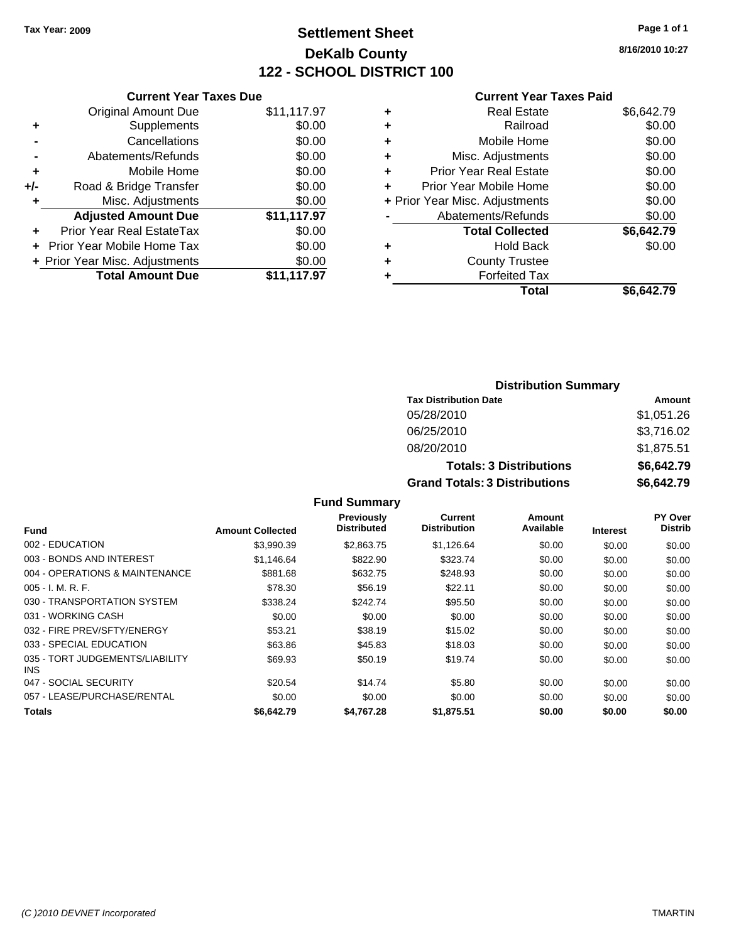# **Settlement Sheet Tax Year: 2009 Page 1 of 1 DeKalb County 122 - SCHOOL DISTRICT 100**

**8/16/2010 10:27**

#### **Current Year Taxes Paid**

|     | <b>Current Year Taxes Due</b>  |             |
|-----|--------------------------------|-------------|
|     | <b>Original Amount Due</b>     | \$11,117.97 |
| ٠   | Supplements                    | \$0.00      |
|     | Cancellations                  | \$0.00      |
|     | Abatements/Refunds             | \$0.00      |
| ٠   | Mobile Home                    | \$0.00      |
| +/- | Road & Bridge Transfer         | \$0.00      |
|     | Misc. Adjustments              | \$0.00      |
|     | <b>Adjusted Amount Due</b>     | \$11,117.97 |
|     | Prior Year Real EstateTax      | \$0.00      |
|     | Prior Year Mobile Home Tax     | \$0.00      |
|     | + Prior Year Misc. Adjustments | \$0.00      |
|     | <b>Total Amount Due</b>        | \$11,117.97 |
|     |                                |             |

|   | <b>Real Estate</b>             | \$6,642.79 |
|---|--------------------------------|------------|
| ٠ | Railroad                       | \$0.00     |
| ٠ | Mobile Home                    | \$0.00     |
| ٠ | Misc. Adjustments              | \$0.00     |
| ٠ | Prior Year Real Estate         | \$0.00     |
|   | Prior Year Mobile Home         | \$0.00     |
|   | + Prior Year Misc. Adjustments | \$0.00     |
|   | Abatements/Refunds             | \$0.00     |
|   | <b>Total Collected</b>         | \$6,642.79 |
| ٠ | <b>Hold Back</b>               | \$0.00     |
| ٠ | <b>County Trustee</b>          |            |
| ٠ | <b>Forfeited Tax</b>           |            |
|   | Total                          | \$6,642.79 |
|   |                                |            |

### **Distribution Summary Tax Distribution Date Amount** 05/28/2010 \$1,051.26 06/25/2010 \$3,716.02 08/20/2010 \$1,875.51 **Totals: 3 Distributions \$6,642.79 Grand Totals: 3 Distributions \$6,642.79**

|  | <b>Fund Summary</b> |  |
|--|---------------------|--|
|--|---------------------|--|

| <b>Fund</b>                                   | <b>Amount Collected</b> | <b>Previously</b><br><b>Distributed</b> | Current<br><b>Distribution</b> | Amount<br>Available | <b>Interest</b> | <b>PY Over</b><br><b>Distrib</b> |
|-----------------------------------------------|-------------------------|-----------------------------------------|--------------------------------|---------------------|-----------------|----------------------------------|
| 002 - EDUCATION                               | \$3,990.39              | \$2,863.75                              | \$1,126.64                     | \$0.00              | \$0.00          | \$0.00                           |
| 003 - BONDS AND INTEREST                      | \$1.146.64              | \$822.90                                | \$323.74                       | \$0.00              | \$0.00          | \$0.00                           |
| 004 - OPERATIONS & MAINTENANCE                | \$881.68                | \$632.75                                | \$248.93                       | \$0.00              | \$0.00          | \$0.00                           |
| $005 - I. M. R. F.$                           | \$78.30                 | \$56.19                                 | \$22.11                        | \$0.00              | \$0.00          | \$0.00                           |
| 030 - TRANSPORTATION SYSTEM                   | \$338.24                | \$242.74                                | \$95.50                        | \$0.00              | \$0.00          | \$0.00                           |
| 031 - WORKING CASH                            | \$0.00                  | \$0.00                                  | \$0.00                         | \$0.00              | \$0.00          | \$0.00                           |
| 032 - FIRE PREV/SFTY/ENERGY                   | \$53.21                 | \$38.19                                 | \$15.02                        | \$0.00              | \$0.00          | \$0.00                           |
| 033 - SPECIAL EDUCATION                       | \$63.86                 | \$45.83                                 | \$18.03                        | \$0.00              | \$0.00          | \$0.00                           |
| 035 - TORT JUDGEMENTS/LIABILITY<br><b>INS</b> | \$69.93                 | \$50.19                                 | \$19.74                        | \$0.00              | \$0.00          | \$0.00                           |
| 047 - SOCIAL SECURITY                         | \$20.54                 | \$14.74                                 | \$5.80                         | \$0.00              | \$0.00          | \$0.00                           |
| 057 - LEASE/PURCHASE/RENTAL                   | \$0.00                  | \$0.00                                  | \$0.00                         | \$0.00              | \$0.00          | \$0.00                           |
| Totals                                        | \$6.642.79              | \$4,767,28                              | \$1,875.51                     | \$0.00              | \$0.00          | \$0.00                           |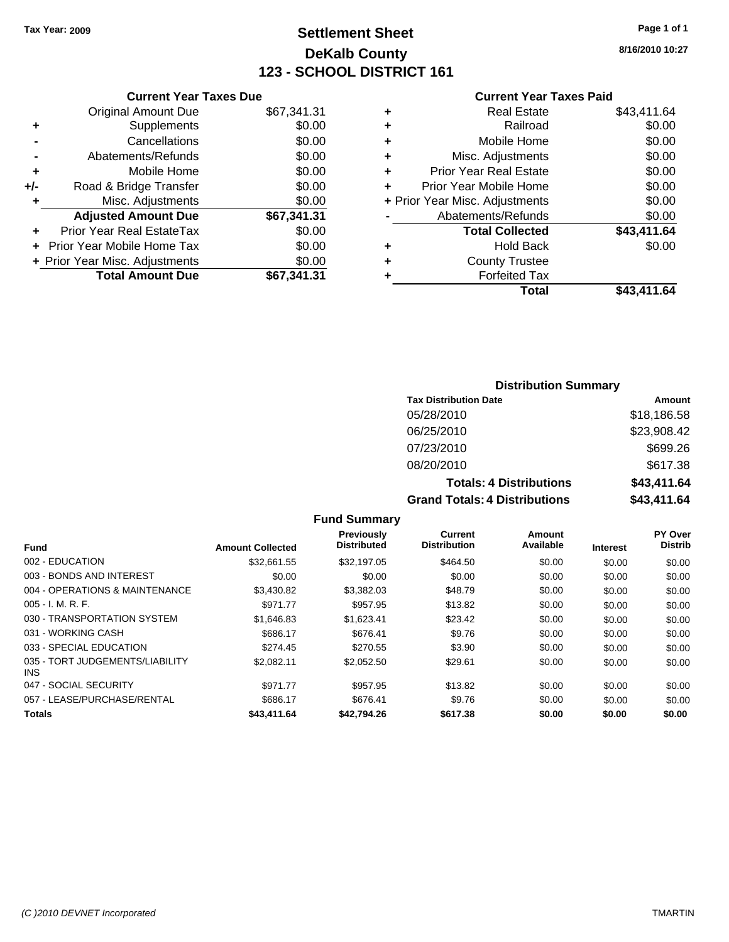# **Settlement Sheet Tax Year: 2009 Page 1 of 1 DeKalb County 123 - SCHOOL DISTRICT 161**

**8/16/2010 10:27**

#### **Current Year Taxes Paid**

| <b>Current Ye</b>            |   |             | <b>Current Year Taxes Due</b>  |       |
|------------------------------|---|-------------|--------------------------------|-------|
| <b>Real Esta</b>             | ٠ | \$67,341.31 | Original Amount Due            |       |
| Railro                       | ٠ | \$0.00      | <b>Supplements</b>             |       |
| Mobile Hor                   | ٠ | \$0.00      | Cancellations                  |       |
| Misc. Adjustmer              | ٠ | \$0.00      | Abatements/Refunds             |       |
| <b>Prior Year Real Esta</b>  | ٠ | \$0.00      | Mobile Home                    | ÷     |
| Prior Year Mobile Hor        |   | \$0.00      | Road & Bridge Transfer         | $+/-$ |
| + Prior Year Misc. Adjustmer |   | \$0.00      | Misc. Adjustments              |       |
| Abatements/Refun             |   | \$67,341.31 | <b>Adjusted Amount Due</b>     |       |
| <b>Total Collect</b>         |   | \$0.00      | Prior Year Real EstateTax      |       |
| Hold Ba                      | ٠ | \$0.00      | + Prior Year Mobile Home Tax   |       |
| <b>County Trust</b>          | ٠ | \$0.00      | + Prior Year Misc. Adjustments |       |
| <b>Forfeited T</b>           |   | \$67,341.31 | <b>Total Amount Due</b>        |       |
| т.                           |   |             |                                |       |

|    | OUITUR TUUT TUAUS TURU         |             |
|----|--------------------------------|-------------|
| Ŧ. | <b>Real Estate</b>             | \$43,411.64 |
| Ŧ. | Railroad                       | \$0.00      |
| Ŧ. | Mobile Home                    | \$0.00      |
| ÷. | Misc. Adjustments              | \$0.00      |
| ÷. | <b>Prior Year Real Estate</b>  | \$0.00      |
| ÷  | Prior Year Mobile Home         | \$0.00      |
|    | + Prior Year Misc. Adjustments | \$0.00      |
|    | Abatements/Refunds             | \$0.00      |
|    | <b>Total Collected</b>         | \$43,411.64 |

|   | <b>Total</b>          | \$43,411.64 |
|---|-----------------------|-------------|
| ٠ | <b>Forfeited Tax</b>  |             |
| ٠ | <b>County Trustee</b> |             |
| ٠ | <b>Hold Back</b>      | \$0.00      |
|   |                       |             |

# **Distribution Summary**

| <b>Tax Distribution Date</b>         | Amount      |
|--------------------------------------|-------------|
| 05/28/2010                           | \$18,186.58 |
| 06/25/2010                           | \$23,908.42 |
| 07/23/2010                           | \$699.26    |
| 08/20/2010                           | \$617.38    |
| <b>Totals: 4 Distributions</b>       | \$43,411.64 |
| <b>Grand Totals: 4 Distributions</b> | \$43,411.64 |

#### **Fund Summary**

|                                         |                         | <b>Previously</b>  | Current             | Amount    |                 | PY Over        |
|-----------------------------------------|-------------------------|--------------------|---------------------|-----------|-----------------|----------------|
| <b>Fund</b>                             | <b>Amount Collected</b> | <b>Distributed</b> | <b>Distribution</b> | Available | <b>Interest</b> | <b>Distrib</b> |
| 002 - EDUCATION                         | \$32.661.55             | \$32,197.05        | \$464.50            | \$0.00    | \$0.00          | \$0.00         |
| 003 - BONDS AND INTEREST                | \$0.00                  | \$0.00             | \$0.00              | \$0.00    | \$0.00          | \$0.00         |
| 004 - OPERATIONS & MAINTENANCE          | \$3,430.82              | \$3,382.03         | \$48.79             | \$0.00    | \$0.00          | \$0.00         |
| $005 - I. M. R. F.$                     | \$971.77                | \$957.95           | \$13.82             | \$0.00    | \$0.00          | \$0.00         |
| 030 - TRANSPORTATION SYSTEM             | \$1,646.83              | \$1,623.41         | \$23.42             | \$0.00    | \$0.00          | \$0.00         |
| 031 - WORKING CASH                      | \$686.17                | \$676.41           | \$9.76              | \$0.00    | \$0.00          | \$0.00         |
| 033 - SPECIAL EDUCATION                 | \$274.45                | \$270.55           | \$3.90              | \$0.00    | \$0.00          | \$0.00         |
| 035 - TORT JUDGEMENTS/LIABILITY<br>INS. | \$2,082.11              | \$2,052.50         | \$29.61             | \$0.00    | \$0.00          | \$0.00         |
| 047 - SOCIAL SECURITY                   | \$971.77                | \$957.95           | \$13.82             | \$0.00    | \$0.00          | \$0.00         |
| 057 - LEASE/PURCHASE/RENTAL             | \$686.17                | \$676.41           | \$9.76              | \$0.00    | \$0.00          | \$0.00         |
| <b>Totals</b>                           | \$43,411.64             | \$42,794.26        | \$617.38            | \$0.00    | \$0.00          | \$0.00         |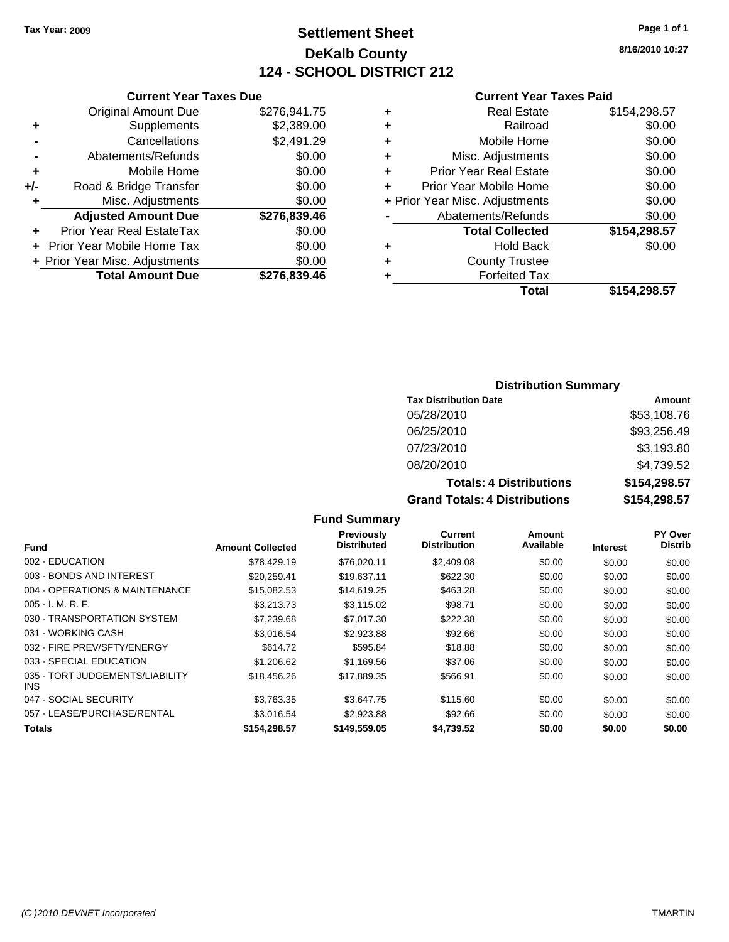**Original Amount Due** 

**Adjusted Amount Due** 

**Total Amount Due** 

**+** Supplements **-** Cancellations **-** Abatements/Refunds **+** Mobile Home **+/-** Road & Bridge Transfer **+** Misc. Adjustments

**+** Prior Year Real EstateTax \$0.00 **+** Prior Year Mobile Home Tax **+ Prior Year Misc. Adjustments** 

# **Settlement Sheet Tax Year: 2009 Page 1 of 1 DeKalb County 124 - SCHOOL DISTRICT 212**

**8/16/2010 10:27**

#### **Current Year Taxes Paid**

| <b>Current Year Taxes Due</b> |              | <b>Current Year Taxes Paid</b> |                                |              |  |  |
|-------------------------------|--------------|--------------------------------|--------------------------------|--------------|--|--|
| ıl Amount Due                 | \$276,941.75 | ٠                              | <b>Real Estate</b>             | \$154,298.57 |  |  |
| Supplements                   | \$2,389.00   | ٠                              | Railroad                       | \$0.00       |  |  |
| Cancellations                 | \$2,491.29   | ٠                              | Mobile Home                    | \$0.00       |  |  |
| าents/Refunds                 | \$0.00       | ÷                              | Misc. Adjustments              | \$0.00       |  |  |
| Mobile Home                   | \$0.00       | ÷                              | <b>Prior Year Real Estate</b>  | \$0.00       |  |  |
| ridge Transfer                | \$0.00       | ÷                              | Prior Year Mobile Home         | \$0.00       |  |  |
| . Adjustments                 | \$0.00       |                                | + Prior Year Misc. Adjustments | \$0.00       |  |  |
| <b>Amount Due</b>             | \$276,839.46 |                                | Abatements/Refunds             | \$0.00       |  |  |
| eal EstateTax                 | \$0.00       |                                | <b>Total Collected</b>         | \$154,298.57 |  |  |
| pile Home Tax                 | \$0.00       | ÷                              | <b>Hold Back</b>               | \$0.00       |  |  |
| . Adjustments                 | \$0.00       | ٠                              | <b>County Trustee</b>          |              |  |  |
| <b>Amount Due</b>             | \$276,839.46 |                                | <b>Forfeited Tax</b>           |              |  |  |
|                               |              |                                | Total                          | \$154 298 57 |  |  |

# **Total \$154,298.57**

#### **Distribution Summary**

| <b>Tax Distribution Date</b>         | Amount       |
|--------------------------------------|--------------|
| 05/28/2010                           | \$53,108.76  |
| 06/25/2010                           | \$93,256.49  |
| 07/23/2010                           | \$3,193.80   |
| 08/20/2010                           | \$4,739.52   |
| <b>Totals: 4 Distributions</b>       | \$154,298.57 |
| <b>Grand Totals: 4 Distributions</b> | \$154,298.57 |

#### **Fund Interest Amount Collected Distributed PY Over Distrib Amount Available Current Distribution Previously** 002 - EDUCATION \$78,429.19 \$76,020.11 \$2,409.08 \$0.00 \$0.00 \$0.00 003 - BONDS AND INTEREST 60.00 \$20,259.41 \$19,637.11 \$622.30 \$0.00 \$0.00 \$0.00 \$0.00 004 - OPERATIONS & MAINTENANCE \$15,082.53 \$14,619.25 \$463.28 \$0.00 \$0.00 \$0.00 005 - I. M. R. F. \$3,213.73 \$3,115.02 \$98.71 \$0.00 \$0.00 \$0.00 030 - TRANSPORTATION SYSTEM  $$7,239.68$  \$7,017.30 \$222.38 \$0.00 \$0.00 \$0.00 \$0.00 031 - WORKING CASH \$3,016.54 \$2,923.88 \$92.66 \$0.00 \$0.00 \$0.00 032 - FIRE PREV/SFTY/ENERGY \$614.72 \$595.84 \$18.88 \$0.00 \$0.00 \$0.00 \$0.00 033 - SPECIAL EDUCATION \$1,206.62 \$1,169.56 \$37.06 \$0.00 \$0.00 \$0.00 \$0.00 035 - TORT JUDGEMENTS/LIABILITY INS \$18,456.26 \$17,889.35 \$566.91 \$0.00 \$0.00 \$0.00 047 - SOCIAL SECURITY \$3,763.35 \$3,647.75 \$115.60 \$0.00 \$0.00 \$0.00 057 - LEASE/PURCHASE/RENTAL \$3,016.54 \$2,923.88 \$92.66 \$0.00 \$0.00 \$0.00 \$0.00 **Totals \$154,298.57 \$149,559.05 \$4,739.52 \$0.00 \$0.00 \$0.00**

**Fund Summary**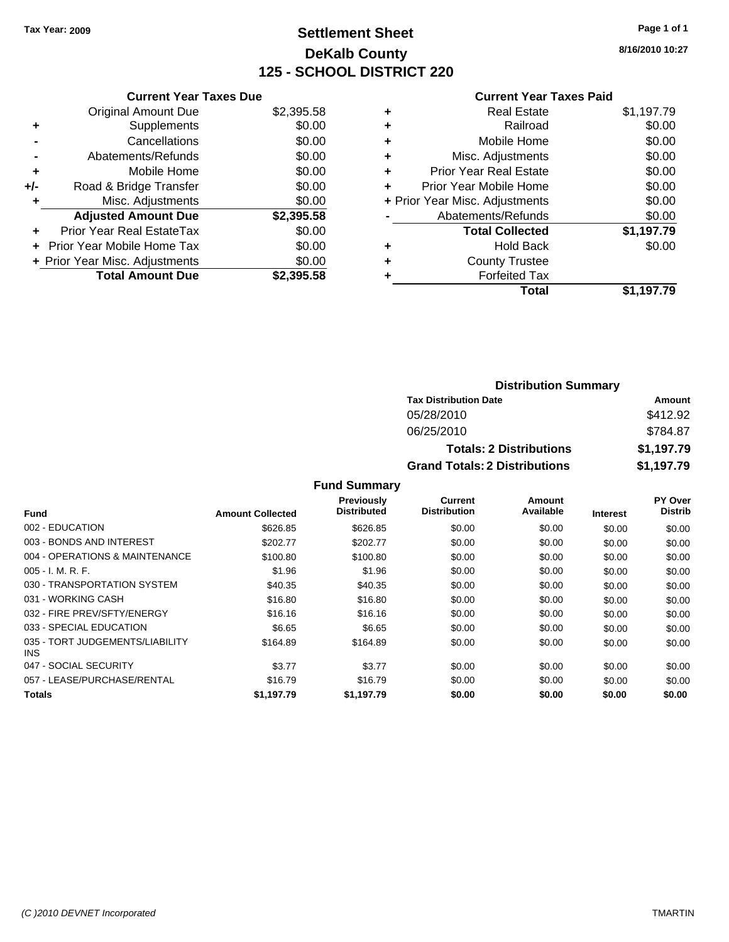# **Settlement Sheet Tax Year: 2009 Page 1 of 1 DeKalb County 125 - SCHOOL DISTRICT 220**

**8/16/2010 10:27**

|     | <b>Current Year Taxes Due</b>  |            |
|-----|--------------------------------|------------|
|     | <b>Original Amount Due</b>     | \$2,395.58 |
| ٠   | Supplements                    | \$0.00     |
|     | Cancellations                  | \$0.00     |
|     | Abatements/Refunds             | \$0.00     |
| ٠   | Mobile Home                    | \$0.00     |
| +/- | Road & Bridge Transfer         | \$0.00     |
| ٠   | Misc. Adjustments              | \$0.00     |
|     | <b>Adjusted Amount Due</b>     | \$2,395.58 |
| ÷   | Prior Year Real EstateTax      | \$0.00     |
|     | Prior Year Mobile Home Tax     | \$0.00     |
|     | + Prior Year Misc. Adjustments | \$0.00     |
|     | <b>Total Amount Due</b>        | \$2.395.58 |
|     |                                |            |

| ٠ | Real Estate                    | \$1,197.79 |
|---|--------------------------------|------------|
| ٠ | Railroad                       | \$0.00     |
| ٠ | Mobile Home                    | \$0.00     |
| ÷ | Misc. Adjustments              | \$0.00     |
| ÷ | <b>Prior Year Real Estate</b>  | \$0.00     |
| ٠ | Prior Year Mobile Home         | \$0.00     |
|   | + Prior Year Misc. Adjustments | \$0.00     |
|   | Abatements/Refunds             | \$0.00     |
|   | <b>Total Collected</b>         | \$1,197.79 |
| ٠ | Hold Back                      | \$0.00     |
| ٠ | <b>County Trustee</b>          |            |
|   | <b>Forfeited Tax</b>           |            |
|   | Total                          | \$1,197.79 |

| <b>Distribution Summary</b>          |            |  |
|--------------------------------------|------------|--|
| <b>Tax Distribution Date</b>         | Amount     |  |
| 05/28/2010                           | \$412.92   |  |
| 06/25/2010                           | \$784.87   |  |
| <b>Totals: 2 Distributions</b>       | \$1,197.79 |  |
| <b>Grand Totals: 2 Distributions</b> | \$1,197.79 |  |

|                                         |                         | <b>Fund Summary</b>                     |                                |                     |                 |                                  |
|-----------------------------------------|-------------------------|-----------------------------------------|--------------------------------|---------------------|-----------------|----------------------------------|
| Fund                                    | <b>Amount Collected</b> | <b>Previously</b><br><b>Distributed</b> | Current<br><b>Distribution</b> | Amount<br>Available | <b>Interest</b> | <b>PY Over</b><br><b>Distrib</b> |
| 002 - EDUCATION                         | \$626.85                | \$626.85                                | \$0.00                         | \$0.00              | \$0.00          | \$0.00                           |
| 003 - BONDS AND INTEREST                | \$202.77                | \$202.77                                | \$0.00                         | \$0.00              | \$0.00          | \$0.00                           |
| 004 - OPERATIONS & MAINTENANCE          | \$100.80                | \$100.80                                | \$0.00                         | \$0.00              | \$0.00          | \$0.00                           |
| $005 - I. M. R. F.$                     | \$1.96                  | \$1.96                                  | \$0.00                         | \$0.00              | \$0.00          | \$0.00                           |
| 030 - TRANSPORTATION SYSTEM             | \$40.35                 | \$40.35                                 | \$0.00                         | \$0.00              | \$0.00          | \$0.00                           |
| 031 - WORKING CASH                      | \$16.80                 | \$16.80                                 | \$0.00                         | \$0.00              | \$0.00          | \$0.00                           |
| 032 - FIRE PREV/SFTY/ENERGY             | \$16.16                 | \$16.16                                 | \$0.00                         | \$0.00              | \$0.00          | \$0.00                           |
| 033 - SPECIAL EDUCATION                 | \$6.65                  | \$6.65                                  | \$0.00                         | \$0.00              | \$0.00          | \$0.00                           |
| 035 - TORT JUDGEMENTS/LIABILITY<br>INS. | \$164.89                | \$164.89                                | \$0.00                         | \$0.00              | \$0.00          | \$0.00                           |
| 047 - SOCIAL SECURITY                   | \$3.77                  | \$3.77                                  | \$0.00                         | \$0.00              | \$0.00          | \$0.00                           |
| 057 - LEASE/PURCHASE/RENTAL             | \$16.79                 | \$16.79                                 | \$0.00                         | \$0.00              | \$0.00          | \$0.00                           |
| <b>Totals</b>                           | \$1,197.79              | \$1,197.79                              | \$0.00                         | \$0.00              | \$0.00          | \$0.00                           |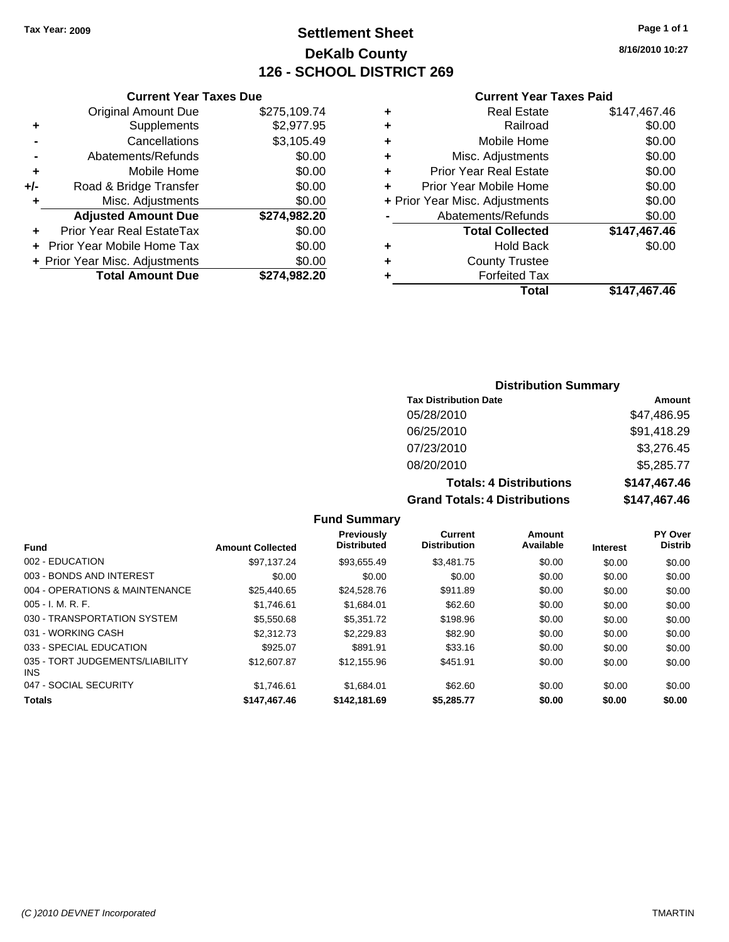# **Settlement Sheet Tax Year: 2009 Page 1 of 1 DeKalb County 126 - SCHOOL DISTRICT 269**

**8/16/2010 10:27**

#### **Current Year Taxes Paid**

|     | <b>Current Year Taxes Due</b>  |              |       |
|-----|--------------------------------|--------------|-------|
|     | <b>Original Amount Due</b>     | \$275,109.74 | ÷     |
|     | Supplements                    | \$2,977.95   | ٠     |
|     | Cancellations                  | \$3,105.49   | ٠     |
|     | Abatements/Refunds             | \$0.00       | ٠     |
|     | Mobile Home                    | \$0.00       | ٠     |
| +/- | Road & Bridge Transfer         | \$0.00       | ٠     |
|     | Misc. Adjustments              | \$0.00       | + Pri |
|     | <b>Adjusted Amount Due</b>     | \$274,982.20 |       |
|     | Prior Year Real EstateTax      | \$0.00       |       |
|     | Prior Year Mobile Home Tax     | \$0.00       | ٠     |
|     | + Prior Year Misc. Adjustments | \$0.00       |       |
|     | <b>Total Amount Due</b>        | \$274,982.20 |       |
|     |                                |              |       |

|   | <b>Real Estate</b>             | \$147,467.46 |
|---|--------------------------------|--------------|
| ÷ | Railroad                       | \$0.00       |
| ٠ | Mobile Home                    | \$0.00       |
| ٠ | Misc. Adjustments              | \$0.00       |
| ٠ | <b>Prior Year Real Estate</b>  | \$0.00       |
| ٠ | Prior Year Mobile Home         | \$0.00       |
|   | + Prior Year Misc. Adjustments | \$0.00       |
|   | Abatements/Refunds             | \$0.00       |
|   | <b>Total Collected</b>         | \$147,467.46 |
| ٠ | <b>Hold Back</b>               | \$0.00       |
| ٠ | <b>County Trustee</b>          |              |
| ٠ | <b>Forfeited Tax</b>           |              |
|   | Total                          | \$147,467.46 |
|   |                                |              |

#### **Distribution Summary**

| <b>Tax Distribution Date</b>   | Amount             |
|--------------------------------|--------------------|
| 05/28/2010                     | \$47,486.95        |
| 06/25/2010                     | \$91,418.29        |
| 07/23/2010                     | \$3,276.45         |
| 08/20/2010                     | \$5,285.77         |
| <b>Totals: 4 Distributions</b> | \$147,467.46       |
| Crond Totolo: 4 Diotributions  | <b>CAA7 AC7 AC</b> |

**Grand Totals: 4 Distril** 

| butions | \$147,467.46 |
|---------|--------------|
| butions | \$147,467.46 |

#### **Fund Interest Amount Collected Distributed PY Over Distrib Amount Available Current Distribution Previously** 002 - EDUCATION \$97,137.24 \$93,655.49 \$3,481.75 \$0.00 \$0.00 \$0.00 003 - BONDS AND INTEREST  $$0.00$  \$0.00 \$0.00 \$0.00 \$0.00 \$0.00 \$0.00 \$0.00 004 - OPERATIONS & MAINTENANCE  $$24,528.76$  \$911.89 \$0.00 \$0.00 \$0.00 \$0.00 005 - I. M. R. F. \$1,746.61 \$1,684.01 \$62.60 \$0.00 \$0.00 \$0.00 030 - TRANSPORTATION SYSTEM  $$5,550.68$   $$5,351.72$   $$198.96$  \$0.00  $$0.00$  \$0.00 \$0.00 031 - WORKING CASH \$2,312.73 \$2,229.83 \$82.90 \$0.00 \$0.00 \$0.00 033 - SPECIAL EDUCATION 69025.07 \$891.91 \$33.16 \$0.00 \$0.00 \$0.00 \$0.00 035 - TORT JUDGEMENTS/LIABILITY INS \$12,607.87 \$12,155.96 \$451.91 \$0.00 \$0.00 \$0.00 047 - SOCIAL SECURITY 661 \$1,746.61 \$1,684.01 \$62.60 \$0.00 \$0.00 \$0.00 \$0.00 **Totals \$147,467.46 \$142,181.69 \$5,285.77 \$0.00 \$0.00 \$0.00**

**Fund Summary**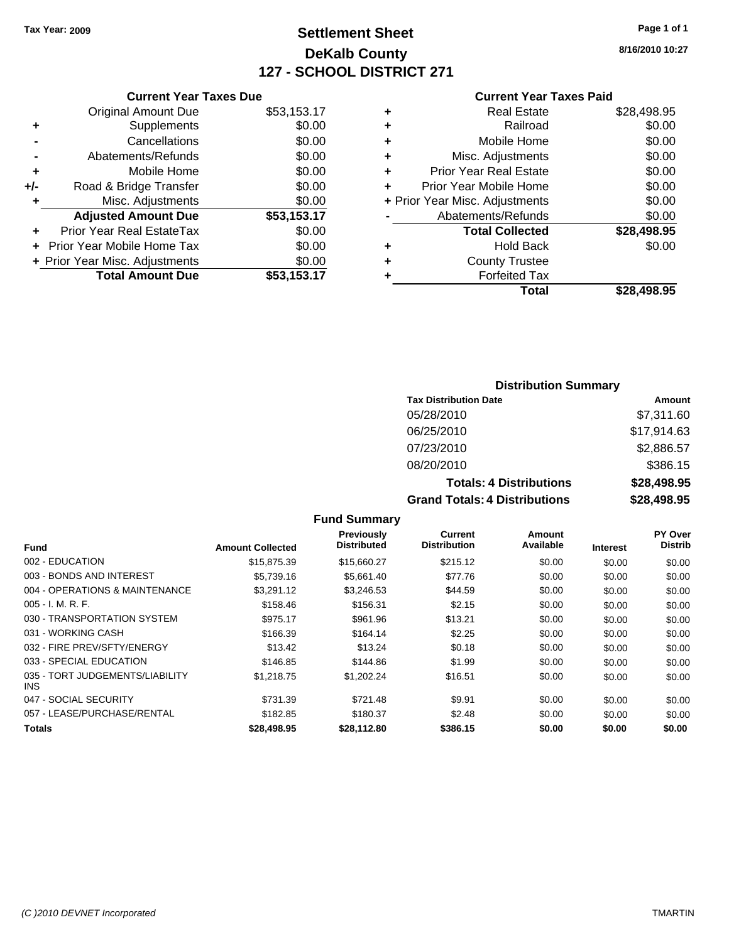# **Settlement Sheet Tax Year: 2009 Page 1 of 1 DeKalb County 127 - SCHOOL DISTRICT 271**

**8/16/2010 10:27**

|  |  | <b>Current Year Taxes Paid</b> |  |  |  |
|--|--|--------------------------------|--|--|--|
|--|--|--------------------------------|--|--|--|

|     | <b>Current Year Taxes Due</b>  |             |
|-----|--------------------------------|-------------|
|     | <b>Original Amount Due</b>     | \$53,153.17 |
| ٠   | Supplements                    | \$0.00      |
|     | Cancellations                  | \$0.00      |
|     | Abatements/Refunds             | \$0.00      |
| ٠   | Mobile Home                    | \$0.00      |
| +/- | Road & Bridge Transfer         | \$0.00      |
| ٠   | Misc. Adjustments              | \$0.00      |
|     | <b>Adjusted Amount Due</b>     | \$53,153.17 |
|     | Prior Year Real EstateTax      | \$0.00      |
|     | Prior Year Mobile Home Tax     | \$0.00      |
|     | + Prior Year Misc. Adjustments | \$0.00      |
|     | <b>Total Amount Due</b>        | \$53,153.17 |
|     |                                |             |

| ٠ | <b>Real Estate</b>             | \$28,498.95 |
|---|--------------------------------|-------------|
| ٠ | Railroad                       | \$0.00      |
| ÷ | Mobile Home                    | \$0.00      |
| ٠ | Misc. Adjustments              | \$0.00      |
| ٠ | <b>Prior Year Real Estate</b>  | \$0.00      |
| ÷ | Prior Year Mobile Home         | \$0.00      |
|   | + Prior Year Misc. Adjustments | \$0.00      |
|   | Abatements/Refunds             | \$0.00      |
|   | <b>Total Collected</b>         | \$28,498.95 |
| ٠ | Hold Back                      | \$0.00      |
| ٠ | <b>County Trustee</b>          |             |
| ٠ | <b>Forfeited Tax</b>           |             |
|   | Total                          | \$28,498.95 |
|   |                                |             |

#### **Distribution Summary Tax Distribution Date Amount** 05/28/2010 \$7,311.60 06/25/2010 \$17,914.63 07/23/2010 \$2,886.57 08/20/2010 \$386.15 **Totals: 4 Distributions \$28,498.95 Grand Totals: 4 Distributions \$28,498.95**

#### **Fund Summary**

| <b>Fund</b>                                   | <b>Amount Collected</b> | Previously<br><b>Distributed</b> | Current<br><b>Distribution</b> | Amount<br>Available | <b>Interest</b> | <b>PY Over</b><br><b>Distrib</b> |
|-----------------------------------------------|-------------------------|----------------------------------|--------------------------------|---------------------|-----------------|----------------------------------|
| 002 - EDUCATION                               | \$15,875.39             | \$15,660.27                      | \$215.12                       | \$0.00              | \$0.00          | \$0.00                           |
| 003 - BONDS AND INTEREST                      | \$5,739.16              | \$5,661.40                       | \$77.76                        | \$0.00              | \$0.00          | \$0.00                           |
| 004 - OPERATIONS & MAINTENANCE                | \$3.291.12              | \$3.246.53                       | \$44.59                        | \$0.00              | \$0.00          | \$0.00                           |
| $005 - I. M. R. F.$                           | \$158.46                | \$156.31                         | \$2.15                         | \$0.00              | \$0.00          | \$0.00                           |
| 030 - TRANSPORTATION SYSTEM                   | \$975.17                | \$961.96                         | \$13.21                        | \$0.00              | \$0.00          | \$0.00                           |
| 031 - WORKING CASH                            | \$166.39                | \$164.14                         | \$2.25                         | \$0.00              | \$0.00          | \$0.00                           |
| 032 - FIRE PREV/SFTY/ENERGY                   | \$13.42                 | \$13.24                          | \$0.18                         | \$0.00              | \$0.00          | \$0.00                           |
| 033 - SPECIAL EDUCATION                       | \$146.85                | \$144.86                         | \$1.99                         | \$0.00              | \$0.00          | \$0.00                           |
| 035 - TORT JUDGEMENTS/LIABILITY<br><b>INS</b> | \$1.218.75              | \$1.202.24                       | \$16.51                        | \$0.00              | \$0.00          | \$0.00                           |
| 047 - SOCIAL SECURITY                         | \$731.39                | \$721.48                         | \$9.91                         | \$0.00              | \$0.00          | \$0.00                           |
| 057 - LEASE/PURCHASE/RENTAL                   | \$182.85                | \$180.37                         | \$2.48                         | \$0.00              | \$0.00          | \$0.00                           |
| Totals                                        | \$28,498.95             | \$28,112.80                      | \$386.15                       | \$0.00              | \$0.00          | \$0.00                           |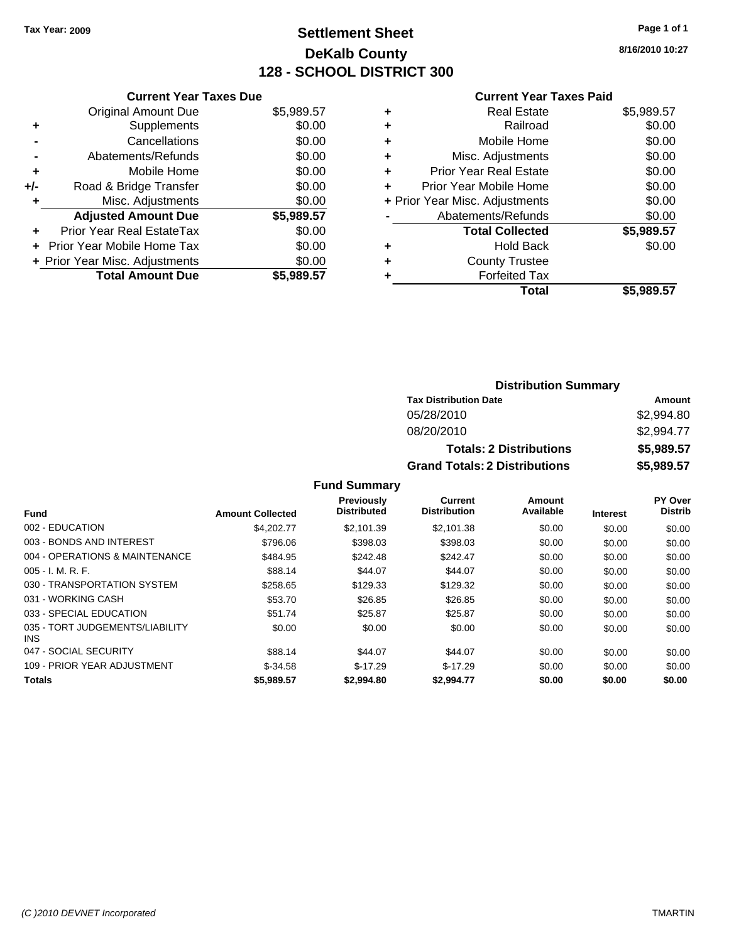## **Settlement Sheet Tax Year: 2009 Page 1 of 1 DeKalb County 128 - SCHOOL DISTRICT 300**

**8/16/2010 10:27**

### **Current Year Taxes Paid**

| <b>Current Year Taxes Due</b>     |                                |
|-----------------------------------|--------------------------------|
| <b>Original Amount Due</b>        | \$5,989.57                     |
| Supplements                       | \$0.00                         |
| Cancellations                     | \$0.00                         |
| Abatements/Refunds                | \$0.00                         |
| Mobile Home                       | \$0.00                         |
| Road & Bridge Transfer            | \$0.00                         |
| Misc. Adjustments                 | \$0.00                         |
| <b>Adjusted Amount Due</b>        | \$5,989.57                     |
| Prior Year Real EstateTax         | \$0.00                         |
| <b>Prior Year Mobile Home Tax</b> | \$0.00                         |
|                                   | \$0.00                         |
| <b>Total Amount Due</b>           | \$5.989.57                     |
|                                   | + Prior Year Misc. Adjustments |

| \$5,989.57 |
|------------|
| \$0.00     |
| \$0.00     |
| \$0.00     |
| \$0.00     |
| \$0.00     |
| \$0.00     |
| \$0.00     |
| \$5,989.57 |
| \$0.00     |
|            |
|            |
| \$5.989.57 |
|            |

## **Distribution Summary Tax Distribution Date Amount** 05/28/2010 \$2,994.80 08/20/2010 \$2,994.77 **Totals: 2 Distributions \$5,989.57 Grand Totals: 2 Distributions \$5,989.57**

|                                               |                         | <b>Previously</b>  | Current             | Amount    |                 | PY Over        |
|-----------------------------------------------|-------------------------|--------------------|---------------------|-----------|-----------------|----------------|
| Fund                                          | <b>Amount Collected</b> | <b>Distributed</b> | <b>Distribution</b> | Available | <b>Interest</b> | <b>Distrib</b> |
| 002 - EDUCATION                               | \$4,202.77              | \$2.101.39         | \$2,101.38          | \$0.00    | \$0.00          | \$0.00         |
| 003 - BONDS AND INTEREST                      | \$796.06                | \$398.03           | \$398.03            | \$0.00    | \$0.00          | \$0.00         |
| 004 - OPERATIONS & MAINTENANCE                | \$484.95                | \$242.48           | \$242.47            | \$0.00    | \$0.00          | \$0.00         |
| $005 - I. M. R. F.$                           | \$88.14                 | \$44.07            | \$44.07             | \$0.00    | \$0.00          | \$0.00         |
| 030 - TRANSPORTATION SYSTEM                   | \$258.65                | \$129.33           | \$129.32            | \$0.00    | \$0.00          | \$0.00         |
| 031 - WORKING CASH                            | \$53.70                 | \$26.85            | \$26.85             | \$0.00    | \$0.00          | \$0.00         |
| 033 - SPECIAL EDUCATION                       | \$51.74                 | \$25.87            | \$25.87             | \$0.00    | \$0.00          | \$0.00         |
| 035 - TORT JUDGEMENTS/LIABILITY<br><b>INS</b> | \$0.00                  | \$0.00             | \$0.00              | \$0.00    | \$0.00          | \$0.00         |
| 047 - SOCIAL SECURITY                         | \$88.14                 | \$44.07            | \$44.07             | \$0.00    | \$0.00          | \$0.00         |
| 109 - PRIOR YEAR ADJUSTMENT                   | $$-34.58$               | $$-17.29$          | $$-17.29$           | \$0.00    | \$0.00          | \$0.00         |
| <b>Totals</b>                                 | \$5,989.57              | \$2,994.80         | \$2,994.77          | \$0.00    | \$0.00          | \$0.00         |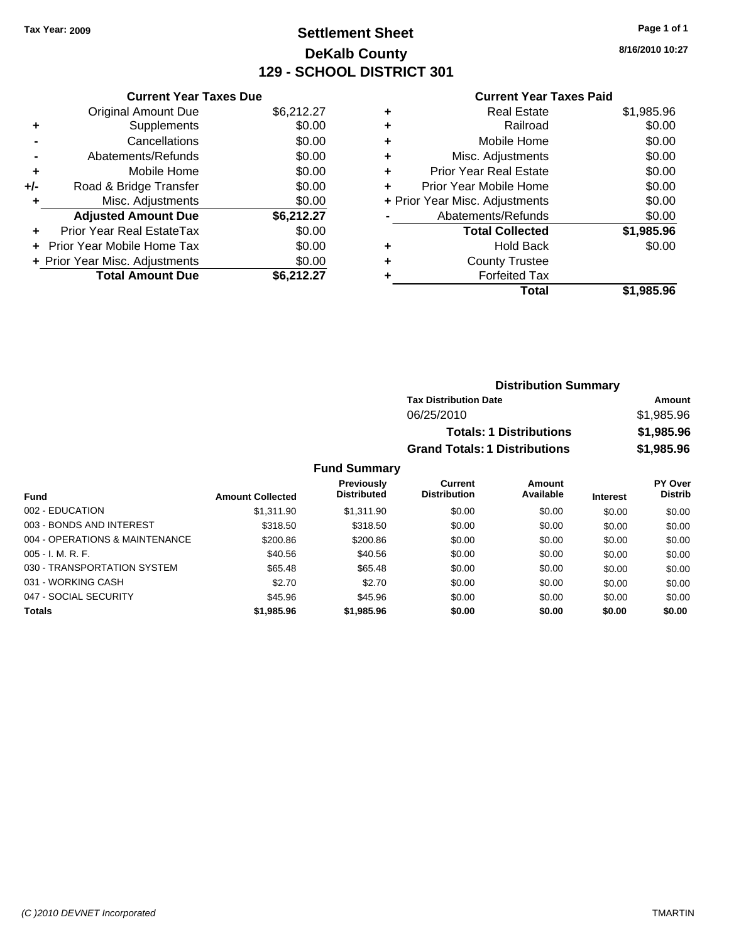## **Settlement Sheet Tax Year: 2009 Page 1 of 1 DeKalb County 129 - SCHOOL DISTRICT 301**

**8/16/2010 10:27**

### **Current Year Taxes Paid**

|     | <b>Current Year Taxes Due</b>     |            |
|-----|-----------------------------------|------------|
|     | <b>Original Amount Due</b>        | \$6,212.27 |
| ٠   | Supplements                       | \$0.00     |
|     | Cancellations                     | \$0.00     |
|     | Abatements/Refunds                | \$0.00     |
| ٠   | Mobile Home                       | \$0.00     |
| +/- | Road & Bridge Transfer            | \$0.00     |
| ٠   | Misc. Adjustments                 | \$0.00     |
|     | <b>Adjusted Amount Due</b>        | \$6,212.27 |
| ٠   | Prior Year Real EstateTax         | \$0.00     |
|     | <b>Prior Year Mobile Home Tax</b> | \$0.00     |
|     | + Prior Year Misc. Adjustments    | \$0.00     |
|     | <b>Total Amount Due</b>           | \$6,212,27 |

| Real Estate                    | \$1,985.96 |
|--------------------------------|------------|
| Railroad                       | \$0.00     |
| Mobile Home                    | \$0.00     |
| Misc. Adjustments              | \$0.00     |
| <b>Prior Year Real Estate</b>  | \$0.00     |
| Prior Year Mobile Home         | \$0.00     |
| + Prior Year Misc. Adjustments | \$0.00     |
| Abatements/Refunds             | \$0.00     |
| <b>Total Collected</b>         | \$1,985.96 |
| <b>Hold Back</b>               | \$0.00     |
| <b>County Trustee</b>          |            |
| <b>Forfeited Tax</b>           |            |
| Total                          | \$1,985.96 |
|                                |            |

| <b>Distribution Summary</b>          |            |
|--------------------------------------|------------|
| <b>Tax Distribution Date</b>         | Amount     |
| 06/25/2010                           | \$1,985.96 |
| <b>Totals: 1 Distributions</b>       | \$1,985.96 |
| <b>Grand Totals: 1 Distributions</b> | \$1,985.96 |

| <b>Fund</b>                    | <b>Amount Collected</b> | <b>Previously</b><br><b>Distributed</b> | Current<br><b>Distribution</b> | Amount<br>Available | <b>Interest</b> | <b>PY Over</b><br><b>Distrib</b> |
|--------------------------------|-------------------------|-----------------------------------------|--------------------------------|---------------------|-----------------|----------------------------------|
| 002 - EDUCATION                | \$1.311.90              | \$1.311.90                              | \$0.00                         | \$0.00              | \$0.00          | \$0.00                           |
| 003 - BONDS AND INTEREST       | \$318.50                | \$318.50                                | \$0.00                         | \$0.00              | \$0.00          | \$0.00                           |
| 004 - OPERATIONS & MAINTENANCE | \$200.86                | \$200.86                                | \$0.00                         | \$0.00              | \$0.00          | \$0.00                           |
| $005 - I. M. R. F.$            | \$40.56                 | \$40.56                                 | \$0.00                         | \$0.00              | \$0.00          | \$0.00                           |
| 030 - TRANSPORTATION SYSTEM    | \$65.48                 | \$65.48                                 | \$0.00                         | \$0.00              | \$0.00          | \$0.00                           |
| 031 - WORKING CASH             | \$2.70                  | \$2.70                                  | \$0.00                         | \$0.00              | \$0.00          | \$0.00                           |
| 047 - SOCIAL SECURITY          | \$45.96                 | \$45.96                                 | \$0.00                         | \$0.00              | \$0.00          | \$0.00                           |
| <b>Totals</b>                  | \$1,985.96              | \$1,985.96                              | \$0.00                         | \$0.00              | \$0.00          | \$0.00                           |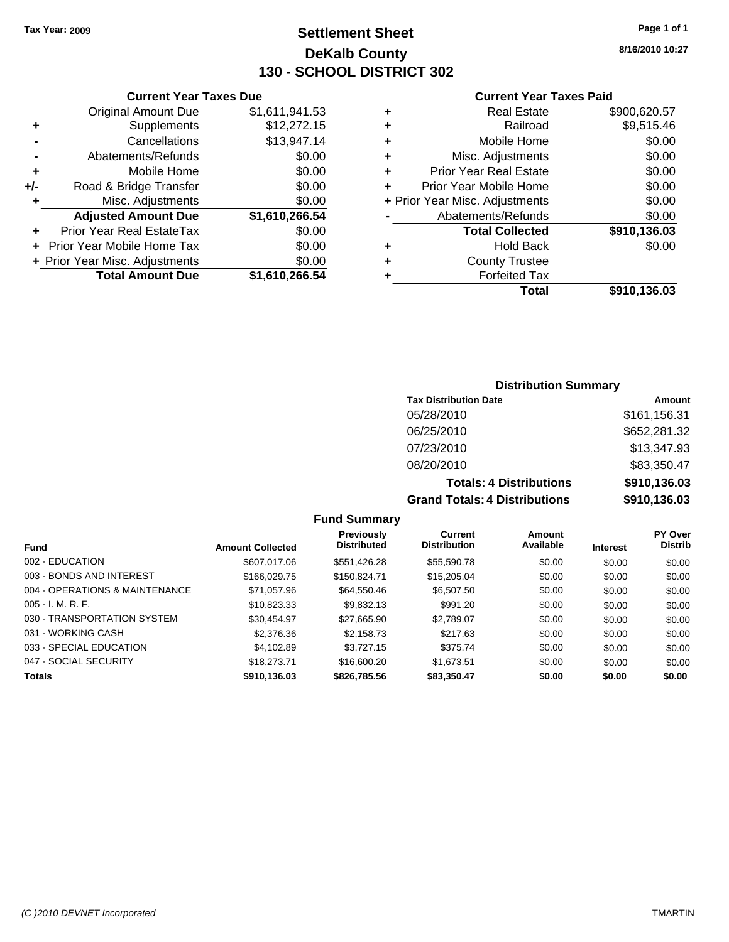## **Settlement Sheet Tax Year: 2009 Page 1 of 1 DeKalb County 130 - SCHOOL DISTRICT 302**

**8/16/2010 10:27**

## **Current Year Taxes Paid**

|   | Total                          | \$910.136.03 |
|---|--------------------------------|--------------|
| ٠ | <b>Forfeited Tax</b>           |              |
| ٠ | <b>County Trustee</b>          |              |
| ٠ | <b>Hold Back</b>               | \$0.00       |
|   | <b>Total Collected</b>         | \$910,136.03 |
|   | Abatements/Refunds             | \$0.00       |
|   | + Prior Year Misc. Adjustments | \$0.00       |
| ÷ | Prior Year Mobile Home         | \$0.00       |
| ÷ | <b>Prior Year Real Estate</b>  | \$0.00       |
| ÷ | Misc. Adjustments              | \$0.00       |
| ÷ | Mobile Home                    | \$0.00       |
| ٠ | Railroad                       | \$9,515.46   |
| ٠ | Real Estate                    | \$900,620.57 |

|     | <b>Current Year Taxes Due</b>    |                |
|-----|----------------------------------|----------------|
|     | <b>Original Amount Due</b>       | \$1,611,941.53 |
| ٠   | Supplements                      | \$12,272.15    |
|     | Cancellations                    | \$13,947.14    |
|     | Abatements/Refunds               | \$0.00         |
| ٠   | Mobile Home                      | \$0.00         |
| +/- | Road & Bridge Transfer           | \$0.00         |
| ٠   | Misc. Adjustments                | \$0.00         |
|     | <b>Adjusted Amount Due</b>       | \$1,610,266.54 |
|     | <b>Prior Year Real EstateTax</b> | \$0.00         |
|     | Prior Year Mobile Home Tax       | \$0.00         |
|     | + Prior Year Misc. Adjustments   | \$0.00         |
|     | <b>Total Amount Due</b>          | \$1,610,266.54 |

## **Distribution Summary**

| <b>Tax Distribution Date</b>         | Amount       |  |  |
|--------------------------------------|--------------|--|--|
| 05/28/2010                           | \$161,156.31 |  |  |
| 06/25/2010                           | \$652,281.32 |  |  |
| 07/23/2010                           | \$13,347.93  |  |  |
| 08/20/2010                           | \$83,350.47  |  |  |
| <b>Totals: 4 Distributions</b>       | \$910,136.03 |  |  |
| <b>Grand Totals: 4 Distributions</b> | \$910,136.03 |  |  |

|                                |                         | Previously         | Current             | Amount    |                 | <b>PY Over</b> |
|--------------------------------|-------------------------|--------------------|---------------------|-----------|-----------------|----------------|
| <b>Fund</b>                    | <b>Amount Collected</b> | <b>Distributed</b> | <b>Distribution</b> | Available | <b>Interest</b> | <b>Distrib</b> |
| 002 - EDUCATION                | \$607,017,06            | \$551,426.28       | \$55,590.78         | \$0.00    | \$0.00          | \$0.00         |
| 003 - BONDS AND INTEREST       | \$166,029.75            | \$150.824.71       | \$15,205.04         | \$0.00    | \$0.00          | \$0.00         |
| 004 - OPERATIONS & MAINTENANCE | \$71,057.96             | \$64,550.46        | \$6,507.50          | \$0.00    | \$0.00          | \$0.00         |
| $005 - I. M. R. F.$            | \$10.823.33             | \$9,832.13         | \$991.20            | \$0.00    | \$0.00          | \$0.00         |
| 030 - TRANSPORTATION SYSTEM    | \$30.454.97             | \$27.665.90        | \$2,789.07          | \$0.00    | \$0.00          | \$0.00         |
| 031 - WORKING CASH             | \$2,376,36              | \$2,158.73         | \$217.63            | \$0.00    | \$0.00          | \$0.00         |
| 033 - SPECIAL EDUCATION        | \$4,102.89              | \$3,727.15         | \$375.74            | \$0.00    | \$0.00          | \$0.00         |
| 047 - SOCIAL SECURITY          | \$18,273.71             | \$16,600.20        | \$1,673.51          | \$0.00    | \$0.00          | \$0.00         |
| <b>Totals</b>                  | \$910,136.03            | \$826,785.56       | \$83,350.47         | \$0.00    | \$0.00          | \$0.00         |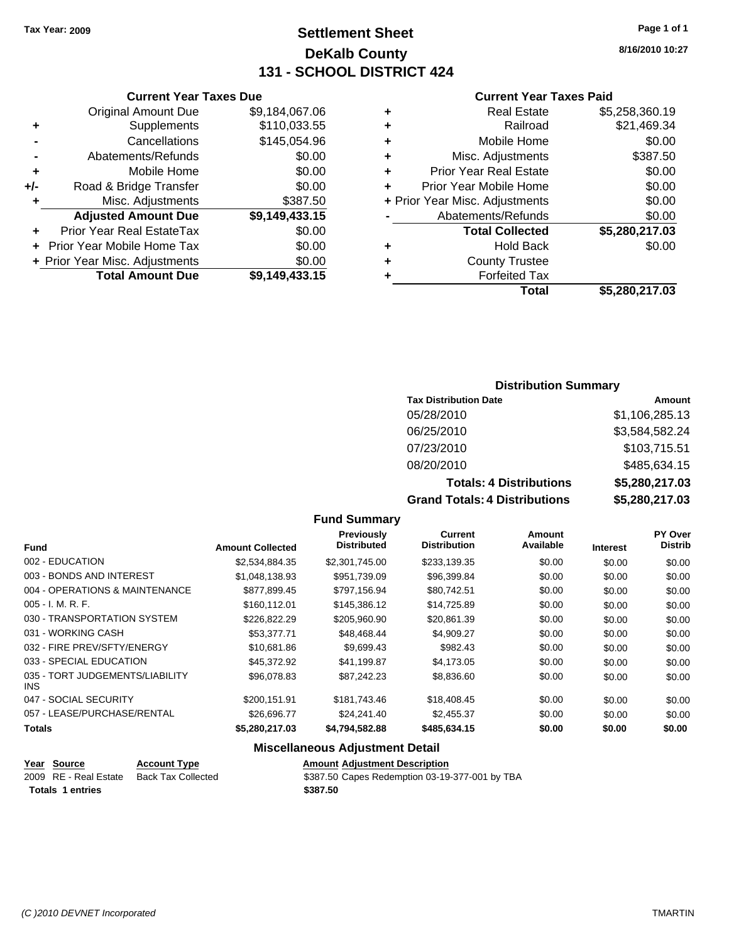**Current Year Taxes Due** Original Amount Due \$9,184,067.06

**Adjusted Amount Due \$9,149,433.15**

**+** Supplements \$110,033.55 **-** Cancellations \$145,054.96 **-** Abatements/Refunds \$0.00 **+** Mobile Home \$0.00 **+/-** Road & Bridge Transfer \$0.00 **+** Misc. Adjustments \$387.50

**+** Prior Year Real EstateTax \$0.00 **+** Prior Year Mobile Home Tax \$0.00 **+ Prior Year Misc. Adjustments \$0.00<br>Total Amount Due \$9,149,433.15** 

**Total Amount Due** 

## **Settlement Sheet Tax Year: 2009 Page 1 of 1 DeKalb County 131 - SCHOOL DISTRICT 424**

**8/16/2010 10:27**

### **Current Year Taxes Paid**

|   | Total                          | \$5,280,217.03 |
|---|--------------------------------|----------------|
| ٠ | <b>Forfeited Tax</b>           |                |
| ٠ | <b>County Trustee</b>          |                |
| ٠ | <b>Hold Back</b>               | \$0.00         |
|   | <b>Total Collected</b>         | \$5,280,217.03 |
|   | Abatements/Refunds             | \$0.00         |
|   | + Prior Year Misc. Adjustments | \$0.00         |
| ٠ | Prior Year Mobile Home         | \$0.00         |
| ٠ | <b>Prior Year Real Estate</b>  | \$0.00         |
| ٠ | Misc. Adjustments              | \$387.50       |
| ٠ | Mobile Home                    | \$0.00         |
| ٠ | Railroad                       | \$21,469.34    |
|   |                                |                |
| ٠ | <b>Real Estate</b>             | \$5,258,360.19 |

## **Distribution Summary**

| <b>Tax Distribution Date</b>   | Amount                |
|--------------------------------|-----------------------|
| 05/28/2010                     | \$1,106,285.13        |
| 06/25/2010                     | \$3,584,582.24        |
| 07/23/2010                     | \$103,715.51          |
| 08/20/2010                     | \$485,634.15          |
| <b>Totals: 4 Distributions</b> | \$5,280,217.03        |
| Crond Tatolo: 1 Diotributiona  | <u> CA 544 DO GAD</u> |

**Grand Totals: 4 Distributions \$5,280,217.03**

| <b>Fund Summary</b> |  |
|---------------------|--|
|---------------------|--|

|                                         |                         | Previously<br><b>Distributed</b> | <b>Current</b><br><b>Distribution</b> | Amount<br>Available |                 | PY Over<br><b>Distrib</b> |
|-----------------------------------------|-------------------------|----------------------------------|---------------------------------------|---------------------|-----------------|---------------------------|
| <b>Fund</b>                             | <b>Amount Collected</b> |                                  |                                       |                     | <b>Interest</b> |                           |
| 002 - EDUCATION                         | \$2,534,884.35          | \$2,301,745.00                   | \$233,139.35                          | \$0.00              | \$0.00          | \$0.00                    |
| 003 - BONDS AND INTEREST                | \$1,048,138.93          | \$951,739.09                     | \$96,399.84                           | \$0.00              | \$0.00          | \$0.00                    |
| 004 - OPERATIONS & MAINTENANCE          | \$877.899.45            | \$797,156.94                     | \$80,742.51                           | \$0.00              | \$0.00          | \$0.00                    |
| $005 - I. M. R. F.$                     | \$160,112.01            | \$145,386.12                     | \$14,725.89                           | \$0.00              | \$0.00          | \$0.00                    |
| 030 - TRANSPORTATION SYSTEM             | \$226,822.29            | \$205,960.90                     | \$20,861.39                           | \$0.00              | \$0.00          | \$0.00                    |
| 031 - WORKING CASH                      | \$53,377.71             | \$48,468.44                      | \$4,909.27                            | \$0.00              | \$0.00          | \$0.00                    |
| 032 - FIRE PREV/SFTY/ENERGY             | \$10.681.86             | \$9,699.43                       | \$982.43                              | \$0.00              | \$0.00          | \$0.00                    |
| 033 - SPECIAL EDUCATION                 | \$45,372.92             | \$41.199.87                      | \$4,173.05                            | \$0.00              | \$0.00          | \$0.00                    |
| 035 - TORT JUDGEMENTS/LIABILITY<br>INS. | \$96,078.83             | \$87.242.23                      | \$8,836.60                            | \$0.00              | \$0.00          | \$0.00                    |
| 047 - SOCIAL SECURITY                   | \$200,151.91            | \$181.743.46                     | \$18,408.45                           | \$0.00              | \$0.00          | \$0.00                    |
| 057 - LEASE/PURCHASE/RENTAL             | \$26,696.77             | \$24.241.40                      | \$2,455.37                            | \$0.00              | \$0.00          | \$0.00                    |
| <b>Totals</b>                           | \$5,280,217.03          | \$4,794,582.88                   | \$485,634.15                          | \$0.00              | \$0.00          | \$0.00                    |

| Year Source             | <b>Account Type</b>       | <b>Amount Adjustment Description</b>           |
|-------------------------|---------------------------|------------------------------------------------|
| 2009 RE - Real Estate   | <b>Back Tax Collected</b> | \$387.50 Capes Redemption 03-19-377-001 by TBA |
| <b>Totals 1 entries</b> |                           | \$387.50                                       |
|                         |                           |                                                |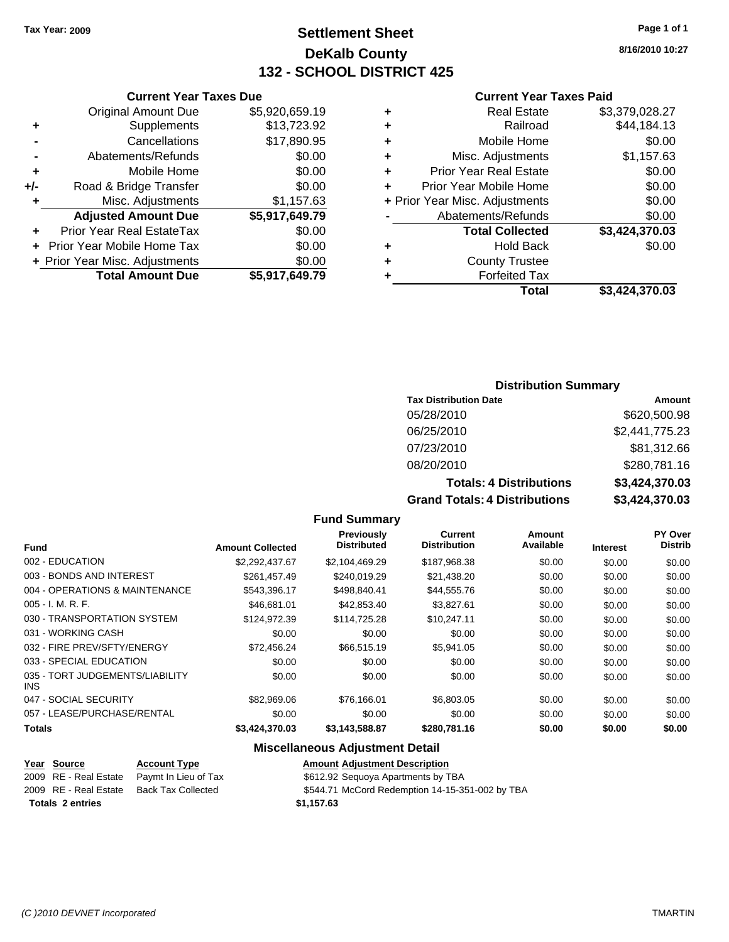## **Settlement Sheet Tax Year: 2009 Page 1 of 1 DeKalb County 132 - SCHOOL DISTRICT 425**

**8/16/2010 10:27**

### **Current Year Taxes Paid**

| ٠ | <b>Real Estate</b>             | \$3,379,028.27 |
|---|--------------------------------|----------------|
| ٠ | Railroad                       | \$44,184.13    |
| ٠ | Mobile Home                    | \$0.00         |
| ٠ | Misc. Adjustments              | \$1,157.63     |
| ٠ | <b>Prior Year Real Estate</b>  | \$0.00         |
| ٠ | Prior Year Mobile Home         | \$0.00         |
|   | + Prior Year Misc. Adjustments | \$0.00         |
|   | Abatements/Refunds             | \$0.00         |
|   | <b>Total Collected</b>         | \$3,424,370.03 |
| ٠ | <b>Hold Back</b>               | \$0.00         |
| ٠ | <b>County Trustee</b>          |                |
| ٠ | <b>Forfeited Tax</b>           |                |
|   | Total                          | \$3.424.370.03 |

|     | <b>Current Year Taxes Due</b>    |                |
|-----|----------------------------------|----------------|
|     | <b>Original Amount Due</b>       | \$5,920,659.19 |
| ٠   | Supplements                      | \$13,723.92    |
|     | Cancellations                    | \$17,890.95    |
|     | Abatements/Refunds               | \$0.00         |
| ٠   | Mobile Home                      | \$0.00         |
| +/- | Road & Bridge Transfer           | \$0.00         |
| ٠   | Misc. Adjustments                | \$1,157.63     |
|     | <b>Adjusted Amount Due</b>       | \$5,917,649.79 |
|     | <b>Prior Year Real EstateTax</b> | \$0.00         |
|     | Prior Year Mobile Home Tax       | \$0.00         |
|     | + Prior Year Misc. Adjustments   | \$0.00         |
|     | <b>Total Amount Due</b>          | \$5,917,649.79 |
|     |                                  |                |

## **Distribution Summary**

| <b>Tax Distribution Date</b>         | Amount         |
|--------------------------------------|----------------|
| 05/28/2010                           | \$620,500.98   |
| 06/25/2010                           | \$2,441,775.23 |
| 07/23/2010                           | \$81,312.66    |
| 08/20/2010                           | \$280,781.16   |
| <b>Totals: 4 Distributions</b>       | \$3,424,370.03 |
| <b>Grand Totals: 4 Distributions</b> | \$3,424,370.03 |

### **Fund Summary**

|                                         |                         | <b>Previously</b><br><b>Distributed</b> | Current<br><b>Distribution</b> | Amount<br>Available |                 | PY Over<br><b>Distrib</b> |
|-----------------------------------------|-------------------------|-----------------------------------------|--------------------------------|---------------------|-----------------|---------------------------|
| <b>Fund</b>                             | <b>Amount Collected</b> |                                         |                                |                     | <b>Interest</b> |                           |
| 002 - EDUCATION                         | \$2,292,437.67          | \$2,104,469.29                          | \$187,968.38                   | \$0.00              | \$0.00          | \$0.00                    |
| 003 - BONDS AND INTEREST                | \$261,457.49            | \$240,019.29                            | \$21,438.20                    | \$0.00              | \$0.00          | \$0.00                    |
| 004 - OPERATIONS & MAINTENANCE          | \$543.396.17            | \$498,840.41                            | \$44,555.76                    | \$0.00              | \$0.00          | \$0.00                    |
| $005 - I. M. R. F.$                     | \$46,681.01             | \$42,853.40                             | \$3,827.61                     | \$0.00              | \$0.00          | \$0.00                    |
| 030 - TRANSPORTATION SYSTEM             | \$124.972.39            | \$114,725,28                            | \$10.247.11                    | \$0.00              | \$0.00          | \$0.00                    |
| 031 - WORKING CASH                      | \$0.00                  | \$0.00                                  | \$0.00                         | \$0.00              | \$0.00          | \$0.00                    |
| 032 - FIRE PREV/SFTY/ENERGY             | \$72,456.24             | \$66,515.19                             | \$5,941.05                     | \$0.00              | \$0.00          | \$0.00                    |
| 033 - SPECIAL EDUCATION                 | \$0.00                  | \$0.00                                  | \$0.00                         | \$0.00              | \$0.00          | \$0.00                    |
| 035 - TORT JUDGEMENTS/LIABILITY<br>INS. | \$0.00                  | \$0.00                                  | \$0.00                         | \$0.00              | \$0.00          | \$0.00                    |
| 047 - SOCIAL SECURITY                   | \$82,969.06             | \$76,166.01                             | \$6,803.05                     | \$0.00              | \$0.00          | \$0.00                    |
| 057 - LEASE/PURCHASE/RENTAL             | \$0.00                  | \$0.00                                  | \$0.00                         | \$0.00              | \$0.00          | \$0.00                    |
| <b>Totals</b>                           | \$3,424,370.03          | \$3,143,588.87                          | \$280,781.16                   | \$0.00              | \$0.00          | \$0.00                    |

## **Miscellaneous Adjustment Detail**

| Year Source             | <b>Account Type</b>                        | Amount     |
|-------------------------|--------------------------------------------|------------|
|                         | 2009 RE - Real Estate Paymt In Lieu of Tax | \$612.92   |
|                         | 2009 RE - Real Estate Back Tax Collected   | \$544.71   |
| <b>Totals 2 entries</b> |                                            | \$1.157.63 |

**Amount Adjustment Description** \$612.92 Sequoya Apartments by TBA \$544.71 McCord Redemption 14-15-351-002 by TBA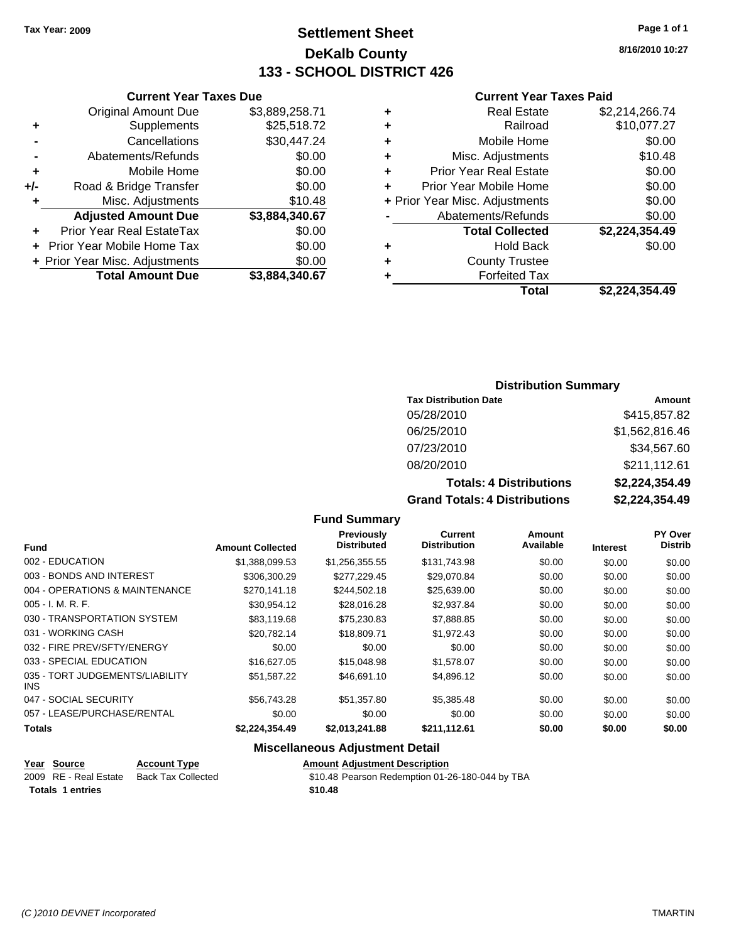## **Settlement Sheet Tax Year: 2009 Page 1 of 1 DeKalb County 133 - SCHOOL DISTRICT 426**

**8/16/2010 10:27**

## **Current Year Taxes Paid**

|   | Total                          | \$2,224,354.49 |
|---|--------------------------------|----------------|
| ٠ | <b>Forfeited Tax</b>           |                |
| ÷ | <b>County Trustee</b>          |                |
| ٠ | <b>Hold Back</b>               | \$0.00         |
|   | <b>Total Collected</b>         | \$2,224,354.49 |
|   | Abatements/Refunds             | \$0.00         |
|   | + Prior Year Misc. Adjustments | \$0.00         |
| ÷ | Prior Year Mobile Home         | \$0.00         |
| ÷ | <b>Prior Year Real Estate</b>  | \$0.00         |
| ÷ | Misc. Adjustments              | \$10.48        |
| ٠ | Mobile Home                    | \$0.00         |
| ٠ | Railroad                       | \$10,077.27    |
| ٠ | <b>Real Estate</b>             | \$2,214,266.74 |
|   |                                |                |

|     | <b>Current Year Taxes Due</b>    |                |
|-----|----------------------------------|----------------|
|     | <b>Original Amount Due</b>       | \$3,889,258.71 |
| ٠   | Supplements                      | \$25,518.72    |
|     | Cancellations                    | \$30,447.24    |
|     | Abatements/Refunds               | \$0.00         |
| ٠   | Mobile Home                      | \$0.00         |
| +/- | Road & Bridge Transfer           | \$0.00         |
|     | Misc. Adjustments                | \$10.48        |
|     | <b>Adjusted Amount Due</b>       | \$3,884,340.67 |
|     | <b>Prior Year Real EstateTax</b> | \$0.00         |
|     | Prior Year Mobile Home Tax       | \$0.00         |
|     | + Prior Year Misc. Adjustments   | \$0.00         |
|     | <b>Total Amount Due</b>          | \$3.884.340.67 |

## **Distribution Summary**

| <b>Tax Distribution Date</b>         | Amount         |
|--------------------------------------|----------------|
| 05/28/2010                           | \$415,857.82   |
| 06/25/2010                           | \$1,562,816.46 |
| 07/23/2010                           | \$34,567.60    |
| 08/20/2010                           | \$211,112.61   |
| <b>Totals: 4 Distributions</b>       | \$2,224,354.49 |
| <b>Grand Totals: 4 Distributions</b> | \$2,224,354.49 |

### **Fund Summary**

| <b>Fund</b>                             | <b>Amount Collected</b> | Previously<br><b>Distributed</b> | Current<br><b>Distribution</b> | Amount<br>Available | <b>Interest</b> | PY Over<br><b>Distrib</b> |
|-----------------------------------------|-------------------------|----------------------------------|--------------------------------|---------------------|-----------------|---------------------------|
|                                         |                         |                                  |                                |                     |                 |                           |
| 002 - EDUCATION                         | \$1,388,099.53          | \$1,256,355.55                   | \$131,743.98                   | \$0.00              | \$0.00          | \$0.00                    |
| 003 - BONDS AND INTEREST                | \$306,300.29            | \$277,229.45                     | \$29,070.84                    | \$0.00              | \$0.00          | \$0.00                    |
| 004 - OPERATIONS & MAINTENANCE          | \$270.141.18            | \$244.502.18                     | \$25,639.00                    | \$0.00              | \$0.00          | \$0.00                    |
| $005 - I. M. R. F.$                     | \$30,954.12             | \$28,016.28                      | \$2,937.84                     | \$0.00              | \$0.00          | \$0.00                    |
| 030 - TRANSPORTATION SYSTEM             | \$83,119.68             | \$75,230.83                      | \$7,888.85                     | \$0.00              | \$0.00          | \$0.00                    |
| 031 - WORKING CASH                      | \$20.782.14             | \$18,809.71                      | \$1,972.43                     | \$0.00              | \$0.00          | \$0.00                    |
| 032 - FIRE PREV/SFTY/ENERGY             | \$0.00                  | \$0.00                           | \$0.00                         | \$0.00              | \$0.00          | \$0.00                    |
| 033 - SPECIAL EDUCATION                 | \$16,627.05             | \$15,048.98                      | \$1,578.07                     | \$0.00              | \$0.00          | \$0.00                    |
| 035 - TORT JUDGEMENTS/LIABILITY<br>INS. | \$51.587.22             | \$46,691.10                      | \$4,896.12                     | \$0.00              | \$0.00          | \$0.00                    |
| 047 - SOCIAL SECURITY                   | \$56,743.28             | \$51,357.80                      | \$5,385.48                     | \$0.00              | \$0.00          | \$0.00                    |
| 057 - LEASE/PURCHASE/RENTAL             | \$0.00                  | \$0.00                           | \$0.00                         | \$0.00              | \$0.00          | \$0.00                    |
| <b>Totals</b>                           | \$2,224,354.49          | \$2,013,241.88                   | \$211,112.61                   | \$0.00              | \$0.00          | \$0.00                    |

| Year Source             | <b>Account Type</b> | <b>Amount Adiustment Description</b>            |
|-------------------------|---------------------|-------------------------------------------------|
| 2009 RE - Real Estate   | Back Tax Collected  | \$10.48 Pearson Redemption 01-26-180-044 by TBA |
| <b>Totals 1 entries</b> |                     | \$10.48                                         |
|                         |                     |                                                 |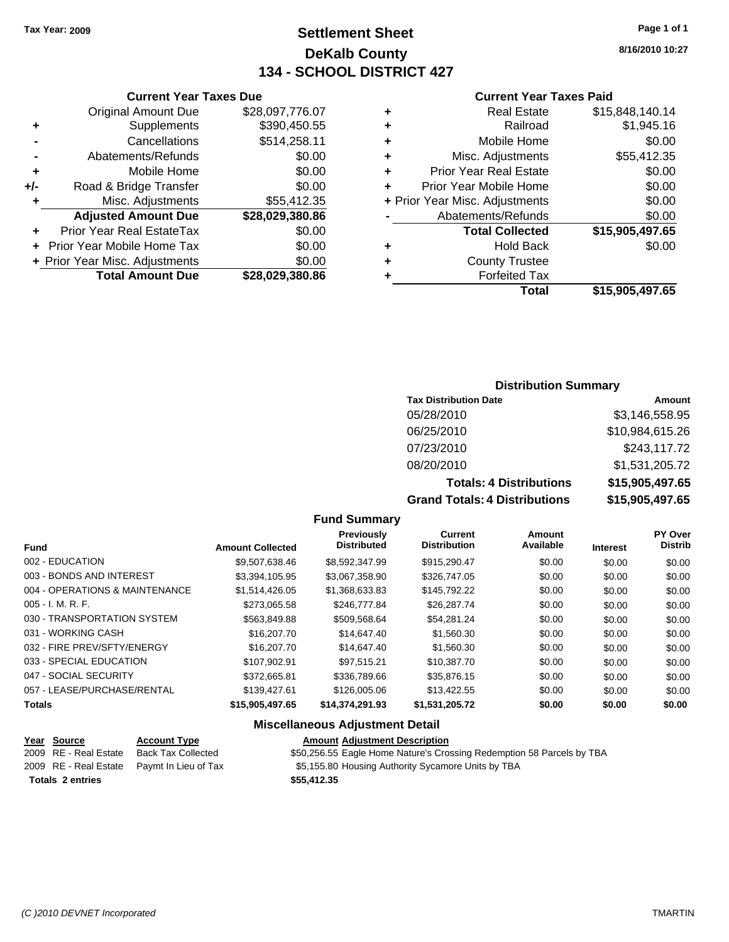## **Settlement Sheet Tax Year: 2009 Page 1 of 1 DeKalb County 134 - SCHOOL DISTRICT 427**

**8/16/2010 10:27**

### **Current Year Taxes Paid**

|   | Total                          | \$15.905.497.65 |
|---|--------------------------------|-----------------|
|   | <b>Forfeited Tax</b>           |                 |
| ٠ | <b>County Trustee</b>          |                 |
| ٠ | <b>Hold Back</b>               | \$0.00          |
|   | <b>Total Collected</b>         | \$15,905,497.65 |
|   | Abatements/Refunds             | \$0.00          |
|   | + Prior Year Misc. Adjustments | \$0.00          |
| ÷ | Prior Year Mobile Home         | \$0.00          |
| ٠ | <b>Prior Year Real Estate</b>  | \$0.00          |
| ٠ | Misc. Adjustments              | \$55,412.35     |
| ٠ | Mobile Home                    | \$0.00          |
| ٠ | Railroad                       | \$1,945.16      |
| ٠ | <b>Real Estate</b>             | \$15,848,140.14 |

|     | <b>Current Year Taxes Due</b>     |                 |
|-----|-----------------------------------|-----------------|
|     | <b>Original Amount Due</b>        | \$28,097,776.07 |
| ٠   | Supplements                       | \$390,450.55    |
|     | Cancellations                     | \$514,258.11    |
|     | Abatements/Refunds                | \$0.00          |
| ٠   | Mobile Home                       | \$0.00          |
| +/- | Road & Bridge Transfer            | \$0.00          |
|     | Misc. Adjustments                 | \$55,412.35     |
|     | <b>Adjusted Amount Due</b>        | \$28,029,380.86 |
|     | Prior Year Real EstateTax         | \$0.00          |
|     | <b>Prior Year Mobile Home Tax</b> | \$0.00          |
|     | + Prior Year Misc. Adjustments    | \$0.00          |
|     | <b>Total Amount Due</b>           | \$28.029.380.86 |

## **Distribution Summary**

| <b>Tax Distribution Date</b>   | Amount          |
|--------------------------------|-----------------|
| 05/28/2010                     | \$3,146,558.95  |
| 06/25/2010                     | \$10,984,615.26 |
| 07/23/2010                     | \$243,117.72    |
| 08/20/2010                     | \$1,531,205.72  |
| <b>Totals: 4 Distributions</b> | \$15,905,497.65 |
| _____________                  | 885 IST 85      |

**Grand Totals: 4 Distributions \$15,905,497.65**

## **Fund Summary**

| <b>Fund</b>                    | <b>Amount Collected</b> | <b>Previously</b><br><b>Distributed</b> | Current<br><b>Distribution</b> | Amount<br>Available | <b>Interest</b> | PY Over<br><b>Distrib</b> |
|--------------------------------|-------------------------|-----------------------------------------|--------------------------------|---------------------|-----------------|---------------------------|
| 002 - EDUCATION                | \$9.507.638.46          | \$8.592.347.99                          | \$915.290.47                   | \$0.00              | \$0.00          | \$0.00                    |
| 003 - BONDS AND INTEREST       | \$3.394.105.95          | \$3,067,358.90                          | \$326,747.05                   | \$0.00              | \$0.00          | \$0.00                    |
| 004 - OPERATIONS & MAINTENANCE | \$1,514,426.05          | \$1,368,633.83                          | \$145,792.22                   | \$0.00              | \$0.00          | \$0.00                    |
| $005 - I. M. R. F.$            | \$273.065.58            | \$246,777,84                            | \$26,287.74                    | \$0.00              | \$0.00          | \$0.00                    |
| 030 - TRANSPORTATION SYSTEM    | \$563.849.88            | \$509.568.64                            | \$54.281.24                    | \$0.00              | \$0.00          | \$0.00                    |
| 031 - WORKING CASH             | \$16,207.70             | \$14,647.40                             | \$1,560.30                     | \$0.00              | \$0.00          | \$0.00                    |
| 032 - FIRE PREV/SFTY/ENERGY    | \$16,207.70             | \$14,647.40                             | \$1,560.30                     | \$0.00              | \$0.00          | \$0.00                    |
| 033 - SPECIAL EDUCATION        | \$107.902.91            | \$97.515.21                             | \$10.387.70                    | \$0.00              | \$0.00          | \$0.00                    |
| 047 - SOCIAL SECURITY          | \$372.665.81            | \$336,789.66                            | \$35,876.15                    | \$0.00              | \$0.00          | \$0.00                    |
| 057 - LEASE/PURCHASE/RENTAL    | \$139,427.61            | \$126,005.06                            | \$13,422.55                    | \$0.00              | \$0.00          | \$0.00                    |
| <b>Totals</b>                  | \$15,905,497.65         | \$14,374,291.93                         | \$1,531,205.72                 | \$0.00              | \$0.00          | \$0.00                    |

| Year Source<br>2009 RE - Real Estate | <b>Account Type</b><br><b>Back Tax Collected</b><br>2009 RE - Real Estate Paymt In Lieu of Tax | <b>Amount Adjustment Description</b><br>\$50,256.55 Eagle Home Nature's Crossing Redemption 58 Parcels by TBA<br>\$5,155.80 Housing Authority Sycamore Units by TBA |
|--------------------------------------|------------------------------------------------------------------------------------------------|---------------------------------------------------------------------------------------------------------------------------------------------------------------------|
| <b>Totals 2 entries</b>              |                                                                                                | \$55,412.35                                                                                                                                                         |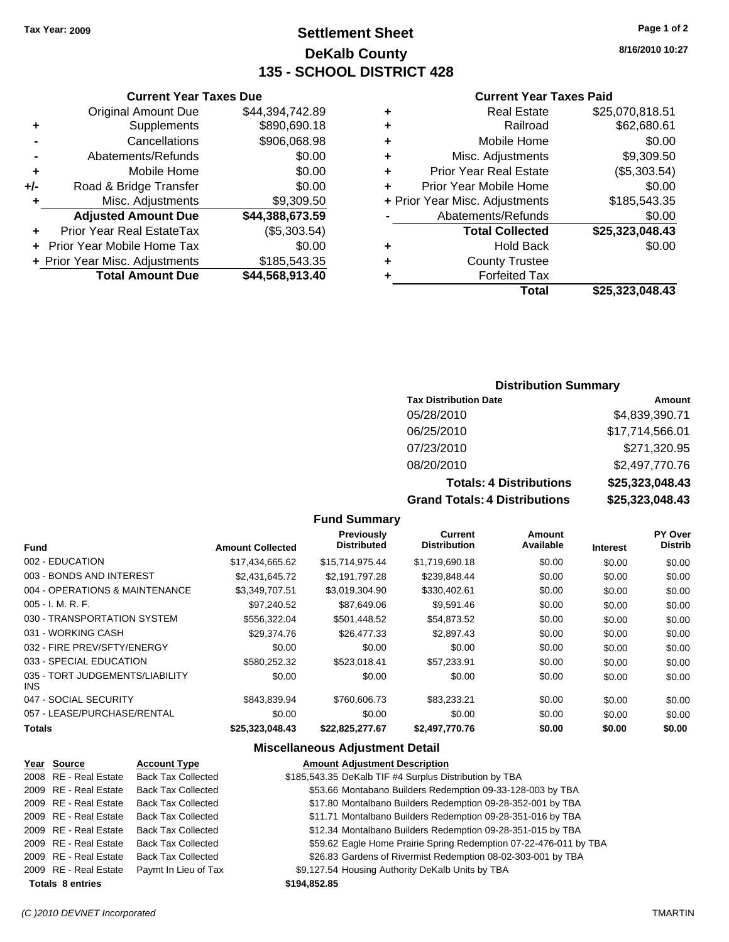## **Settlement Sheet Tax Year: 2009 Page 1 of 2 DeKalb County 135 - SCHOOL DISTRICT 428**

**8/16/2010 10:27**

### **Current Year Taxes Paid**

| ٠                                  | \$25,070,818.51<br><b>Real Estate</b> |
|------------------------------------|---------------------------------------|
| ٠                                  | \$62,680.61<br>Railroad               |
| ٠                                  | \$0.00<br>Mobile Home                 |
| Misc. Adjustments<br>٠             | \$9,309.50                            |
| <b>Prior Year Real Estate</b><br>٠ | (\$5,303.54)                          |
| Prior Year Mobile Home<br>÷        | \$0.00                                |
| + Prior Year Misc. Adjustments     | \$185,543.35                          |
| Abatements/Refunds                 | \$0.00                                |
| <b>Total Collected</b>             | \$25,323,048.43                       |
| ٠                                  | \$0.00<br><b>Hold Back</b>            |
| ٠                                  | <b>County Trustee</b>                 |
| ٠                                  | <b>Forfeited Tax</b>                  |
|                                    | Total<br>\$25,323,048.43              |

## **Current Year Taxes Due** Original Amount Due \$44,394,742.89 **+** Supplements \$890,690.18 **-** Cancellations \$906,068.98

|                | <b>Total Amount Due</b>        | \$44,568,913.40 |
|----------------|--------------------------------|-----------------|
|                | + Prior Year Misc. Adjustments | \$185,543.35    |
|                | + Prior Year Mobile Home Tax   | \$0.00          |
|                | Prior Year Real EstateTax      | (\$5,303.54)    |
|                | <b>Adjusted Amount Due</b>     | \$44,388,673.59 |
| $\ddot{}$      | Misc. Adjustments              | \$9,309.50      |
| +/-            | Road & Bridge Transfer         | \$0.00          |
| ÷              | Mobile Home                    | \$0.00          |
| $\blacksquare$ | Abatements/Refunds             | \$0.00          |

### **Distribution Summary**

| <b>Tax Distribution Date</b>   | Amount          |
|--------------------------------|-----------------|
| 05/28/2010                     | \$4,839,390.71  |
| 06/25/2010                     | \$17,714,566.01 |
| 07/23/2010                     | \$271,320.95    |
| 08/20/2010                     | \$2,497,770.76  |
| <b>Totals: 4 Distributions</b> | \$25,323,048.43 |
|                                |                 |

**Grand Totals: 4 Distributions \$25,323,048.43**

## **Fund Summary**

| <b>Fund</b>                             | <b>Amount Collected</b> | <b>Previously</b><br><b>Distributed</b> | Current<br><b>Distribution</b> | Amount<br>Available | <b>Interest</b> | PY Over<br><b>Distrib</b> |
|-----------------------------------------|-------------------------|-----------------------------------------|--------------------------------|---------------------|-----------------|---------------------------|
|                                         |                         |                                         |                                |                     |                 |                           |
| 002 - EDUCATION                         | \$17,434,665.62         | \$15,714,975.44                         | \$1,719,690.18                 | \$0.00              | \$0.00          | \$0.00                    |
| 003 - BONDS AND INTEREST                | \$2.431.645.72          | \$2,191,797.28                          | \$239,848.44                   | \$0.00              | \$0.00          | \$0.00                    |
| 004 - OPERATIONS & MAINTENANCE          | \$3,349,707.51          | \$3,019,304.90                          | \$330,402.61                   | \$0.00              | \$0.00          | \$0.00                    |
| $005 - I. M. R. F.$                     | \$97.240.52             | \$87,649.06                             | \$9,591.46                     | \$0.00              | \$0.00          | \$0.00                    |
| 030 - TRANSPORTATION SYSTEM             | \$556.322.04            | \$501,448.52                            | \$54,873.52                    | \$0.00              | \$0.00          | \$0.00                    |
| 031 - WORKING CASH                      | \$29,374.76             | \$26,477.33                             | \$2,897.43                     | \$0.00              | \$0.00          | \$0.00                    |
| 032 - FIRE PREV/SFTY/ENERGY             | \$0.00                  | \$0.00                                  | \$0.00                         | \$0.00              | \$0.00          | \$0.00                    |
| 033 - SPECIAL EDUCATION                 | \$580.252.32            | \$523.018.41                            | \$57.233.91                    | \$0.00              | \$0.00          | \$0.00                    |
| 035 - TORT JUDGEMENTS/LIABILITY<br>INS. | \$0.00                  | \$0.00                                  | \$0.00                         | \$0.00              | \$0.00          | \$0.00                    |
| 047 - SOCIAL SECURITY                   | \$843.839.94            | \$760,606.73                            | \$83,233.21                    | \$0.00              | \$0.00          | \$0.00                    |
| 057 - LEASE/PURCHASE/RENTAL             | \$0.00                  | \$0.00                                  | \$0.00                         | \$0.00              | \$0.00          | \$0.00                    |
| <b>Totals</b>                           | \$25,323,048.43         | \$22,825,277.67                         | \$2,497,770.76                 | \$0.00              | \$0.00          | \$0.00                    |

### **Miscellaneous Adjustment Detail**

### **Year Source Account Type Amount Adjustment Description** 2008 RE - Real Estate Back Tax Collected \$185,543.35 DeKalb TIF #4 Surplus Distribution by TBA 2009 RE - Real Estate Back Tax Collected \$53.66 Montabano Builders Redemption 09-33-128-003 by TBA 2009 RE - Real Estate Back Tax Collected \$17.80 Montalbano Builders Redemption 09-28-352-001 by TBA 2009 RE - Real Estate Back Tax Collected \$11.71 Montalbano Builders Redemption 09-28-351-016 by TBA 2009 RE - Real Estate Back Tax Collected \$12.34 Montalbano Builders Redemption 09-28-351-015 by TBA 2009 RE - Real Estate Back Tax Collected \$59.62 Eagle Home Prairie Spring Redemption 07-22-476-011 by TBA 2009 RE - Real Estate Back Tax Collected \$26.83 Gardens of Rivermist Redemption 08-02-303-001 by TBA 2009 RE - Real Estate Paymt In Lieu of Tax \$9,127.54 Housing Authority DeKalb Units by TBA **Totals \$194,852.85 8 entries**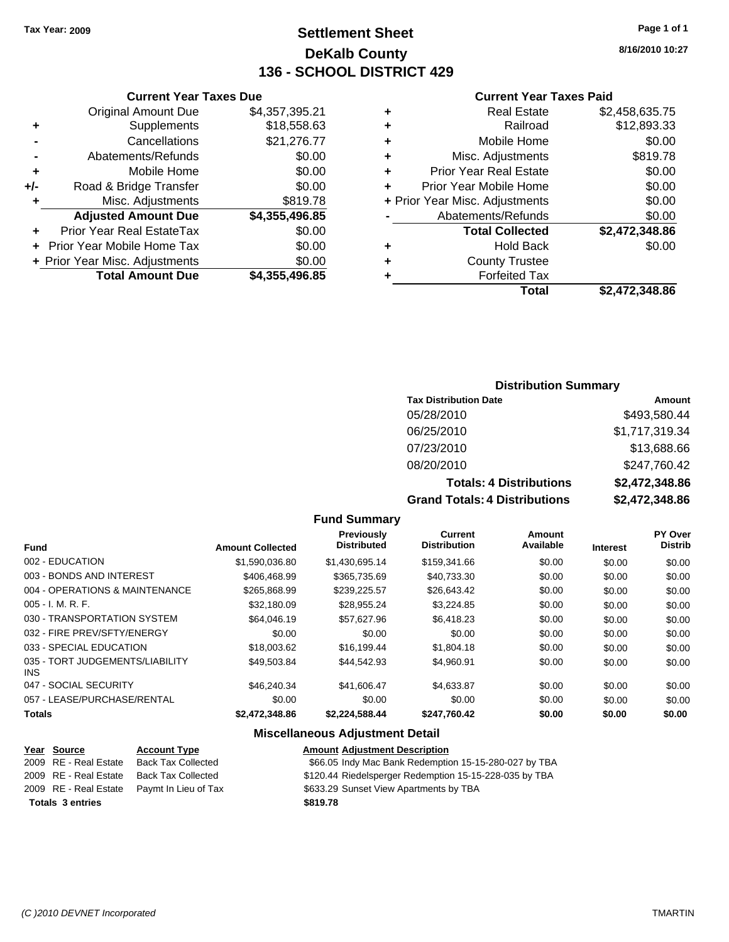## **Settlement Sheet Tax Year: 2009 Page 1 of 1 DeKalb County 136 - SCHOOL DISTRICT 429**

**8/16/2010 10:27**

### **Current Year Taxes Paid**

|     | <b>Current Year Taxes Due</b>     |                |      |
|-----|-----------------------------------|----------------|------|
|     | <b>Original Amount Due</b>        | \$4,357,395.21 | ٠    |
|     | Supplements                       | \$18,558.63    | ٠    |
|     | Cancellations                     | \$21,276.77    | ٠    |
|     | Abatements/Refunds                | \$0.00         | ٠    |
|     | Mobile Home                       | \$0.00         | ٠    |
| +/- | Road & Bridge Transfer            | \$0.00         | ٠    |
|     | Misc. Adjustments                 | \$819.78       | + Pr |
|     | <b>Adjusted Amount Due</b>        | \$4,355,496.85 |      |
|     | Prior Year Real EstateTax         | \$0.00         |      |
|     | <b>Prior Year Mobile Home Tax</b> | \$0.00         | ٠    |
|     | + Prior Year Misc. Adjustments    | \$0.00         |      |
|     | <b>Total Amount Due</b>           | \$4,355,496.85 |      |
|     |                                   |                |      |

|   | <b>Real Estate</b>             | \$2,458,635.75 |
|---|--------------------------------|----------------|
| ٠ | Railroad                       | \$12,893.33    |
| ٠ | Mobile Home                    | \$0.00         |
| ٠ | Misc. Adjustments              | \$819.78       |
| ٠ | <b>Prior Year Real Estate</b>  | \$0.00         |
| ÷ | Prior Year Mobile Home         | \$0.00         |
|   | + Prior Year Misc. Adjustments | \$0.00         |
|   | Abatements/Refunds             | \$0.00         |
|   | <b>Total Collected</b>         | \$2,472,348.86 |
| ٠ | <b>Hold Back</b>               | \$0.00         |
| ٠ | <b>County Trustee</b>          |                |
| ٠ | <b>Forfeited Tax</b>           |                |
|   | Total                          | \$2,472,348.86 |
|   |                                |                |

## **Distribution Summary**

| <b>Tax Distribution Date</b>         | Amount         |
|--------------------------------------|----------------|
| 05/28/2010                           | \$493,580.44   |
| 06/25/2010                           | \$1,717,319.34 |
| 07/23/2010                           | \$13,688.66    |
| 08/20/2010                           | \$247,760.42   |
| <b>Totals: 4 Distributions</b>       | \$2,472,348.86 |
| <b>Grand Totals: 4 Distributions</b> | \$2,472,348.86 |

### **Fund Summary**

| <b>Fund</b>                                   | <b>Amount Collected</b> | Previously<br><b>Distributed</b> | Current<br><b>Distribution</b> | Amount<br>Available | <b>Interest</b> | PY Over<br><b>Distrib</b> |
|-----------------------------------------------|-------------------------|----------------------------------|--------------------------------|---------------------|-----------------|---------------------------|
| 002 - EDUCATION                               | \$1.590.036.80          | \$1.430.695.14                   | \$159,341.66                   | \$0.00              | \$0.00          | \$0.00                    |
|                                               |                         |                                  |                                |                     |                 |                           |
| 003 - BONDS AND INTEREST                      | \$406,468.99            | \$365,735.69                     | \$40.733.30                    | \$0.00              | \$0.00          | \$0.00                    |
| 004 - OPERATIONS & MAINTENANCE                | \$265,868.99            | \$239,225.57                     | \$26.643.42                    | \$0.00              | \$0.00          | \$0.00                    |
| 005 - I. M. R. F.                             | \$32,180.09             | \$28.955.24                      | \$3.224.85                     | \$0.00              | \$0.00          | \$0.00                    |
| 030 - TRANSPORTATION SYSTEM                   | \$64,046.19             | \$57,627.96                      | \$6,418.23                     | \$0.00              | \$0.00          | \$0.00                    |
| 032 - FIRE PREV/SFTY/ENERGY                   | \$0.00                  | \$0.00                           | \$0.00                         | \$0.00              | \$0.00          | \$0.00                    |
| 033 - SPECIAL EDUCATION                       | \$18,003.62             | \$16.199.44                      | \$1,804.18                     | \$0.00              | \$0.00          | \$0.00                    |
| 035 - TORT JUDGEMENTS/LIABILITY<br><b>INS</b> | \$49,503.84             | \$44.542.93                      | \$4,960.91                     | \$0.00              | \$0.00          | \$0.00                    |
| 047 - SOCIAL SECURITY                         | \$46,240,34             | \$41,606.47                      | \$4,633.87                     | \$0.00              | \$0.00          | \$0.00                    |
| 057 - LEASE/PURCHASE/RENTAL                   | \$0.00                  | \$0.00                           | \$0.00                         | \$0.00              | \$0.00          | \$0.00                    |
| <b>Totals</b>                                 | \$2,472,348.86          | \$2,224,588.44                   | \$247,760.42                   | \$0.00              | \$0.00          | \$0.00                    |

| <u>Year Source</u>      | <b>Account Type</b>                        | <b>Amount Adjustment Description</b>                   |
|-------------------------|--------------------------------------------|--------------------------------------------------------|
| 2009 RE - Real Estate   | <b>Back Tax Collected</b>                  | \$66.05 Indy Mac Bank Redemption 15-15-280-027 by TBA  |
| 2009 RE - Real Estate   | Back Tax Collected                         | \$120.44 Riedelsperger Redemption 15-15-228-035 by TBA |
|                         | 2009 RE - Real Estate Pavmt In Lieu of Tax | \$633.29 Sunset View Apartments by TBA                 |
| <b>Totals 3 entries</b> |                                            | \$819.78                                               |
|                         |                                            |                                                        |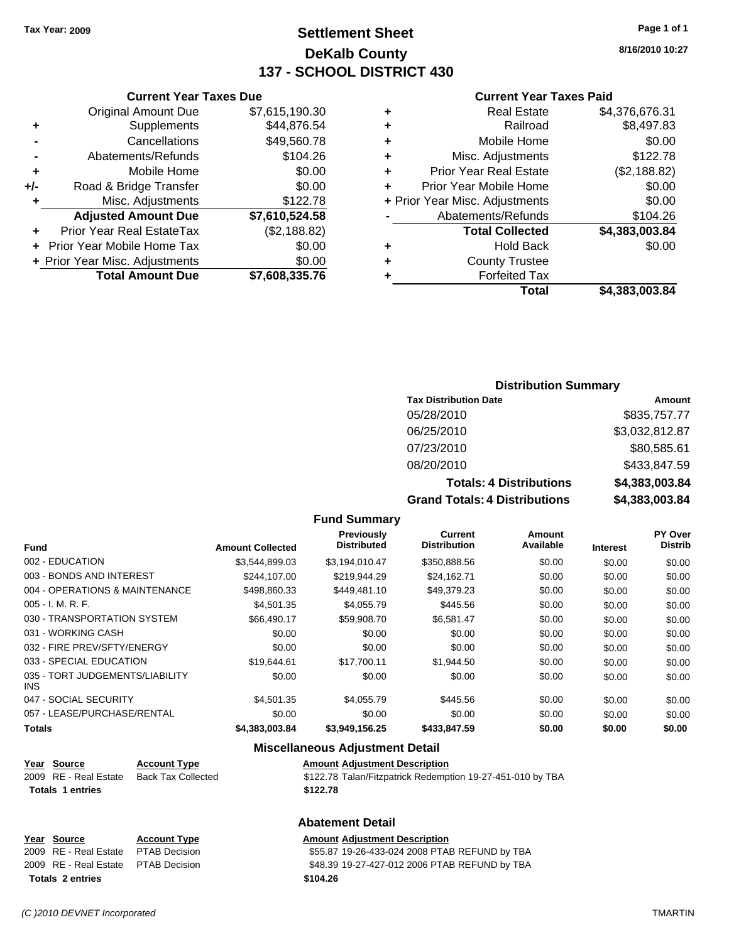## **Settlement Sheet Tax Year: 2009 Page 1 of 1 DeKalb County 137 - SCHOOL DISTRICT 430**

**Current Year Taxes Due**

|       | <b>Total Amount Due</b>          | \$7,608,335.76 |
|-------|----------------------------------|----------------|
|       | + Prior Year Misc. Adjustments   | \$0.00         |
|       | Prior Year Mobile Home Tax       | \$0.00         |
|       | <b>Prior Year Real EstateTax</b> | (\$2,188.82)   |
|       | <b>Adjusted Amount Due</b>       | \$7,610,524.58 |
| ٠     | Misc. Adjustments                | \$122.78       |
| $+/-$ | Road & Bridge Transfer           | \$0.00         |
| ٠     | Mobile Home                      | \$0.00         |
|       | Abatements/Refunds               | \$104.26       |
|       | Cancellations                    | \$49,560.78    |
| ٠     | Supplements                      | \$44,876.54    |
|       | <b>Original Amount Due</b>       | \$7,615,190.30 |
|       |                                  |                |

### **Current Year Taxes Paid**

| ٠ | <b>Real Estate</b>             | \$4,376,676.31 |
|---|--------------------------------|----------------|
| ٠ | Railroad                       | \$8,497.83     |
| ٠ | Mobile Home                    | \$0.00         |
| ٠ | Misc. Adjustments              | \$122.78       |
| ٠ | <b>Prior Year Real Estate</b>  | (\$2,188.82)   |
| ٠ | Prior Year Mobile Home         | \$0.00         |
|   | + Prior Year Misc. Adjustments | \$0.00         |
|   | Abatements/Refunds             | \$104.26       |
|   | <b>Total Collected</b>         | \$4,383,003.84 |
| ٠ | Hold Back                      | \$0.00         |
| ٠ | <b>County Trustee</b>          |                |
| ٠ | <b>Forfeited Tax</b>           |                |
|   | Total                          | \$4,383,003.84 |
|   |                                |                |

## **Distribution Summary**

| <b>Tax Distribution Date</b>   | Amount         |
|--------------------------------|----------------|
| 05/28/2010                     | \$835,757.77   |
| 06/25/2010                     | \$3,032,812.87 |
| 07/23/2010                     | \$80,585.61    |
| 08/20/2010                     | \$433,847.59   |
| <b>Totals: 4 Distributions</b> | \$4,383,003.84 |
| Cread Tetele: 4 Distributions  | CA 20200204    |

**Grand Totals: 4 Distributions \$4,383,003.84**

| <b>Fund Summary</b> |  |
|---------------------|--|
|---------------------|--|

| <b>Fund</b>                                   | <b>Amount Collected</b> | Previously<br><b>Distributed</b> | <b>Current</b><br><b>Distribution</b> | Amount<br>Available |                 | <b>PY Over</b><br><b>Distrib</b> |
|-----------------------------------------------|-------------------------|----------------------------------|---------------------------------------|---------------------|-----------------|----------------------------------|
|                                               |                         |                                  |                                       |                     | <b>Interest</b> |                                  |
| 002 - EDUCATION                               | \$3,544,899.03          | \$3,194,010.47                   | \$350,888.56                          | \$0.00              | \$0.00          | \$0.00                           |
| 003 - BONDS AND INTEREST                      | \$244,107,00            | \$219,944.29                     | \$24,162.71                           | \$0.00              | \$0.00          | \$0.00                           |
| 004 - OPERATIONS & MAINTENANCE                | \$498,860.33            | \$449.481.10                     | \$49.379.23                           | \$0.00              | \$0.00          | \$0.00                           |
| $005 - I. M. R. F.$                           | \$4,501.35              | \$4,055.79                       | \$445.56                              | \$0.00              | \$0.00          | \$0.00                           |
| 030 - TRANSPORTATION SYSTEM                   | \$66,490.17             | \$59.908.70                      | \$6.581.47                            | \$0.00              | \$0.00          | \$0.00                           |
| 031 - WORKING CASH                            | \$0.00                  | \$0.00                           | \$0.00                                | \$0.00              | \$0.00          | \$0.00                           |
| 032 - FIRE PREV/SFTY/ENERGY                   | \$0.00                  | \$0.00                           | \$0.00                                | \$0.00              | \$0.00          | \$0.00                           |
| 033 - SPECIAL EDUCATION                       | \$19.644.61             | \$17.700.11                      | \$1,944.50                            | \$0.00              | \$0.00          | \$0.00                           |
| 035 - TORT JUDGEMENTS/LIABILITY<br><b>INS</b> | \$0.00                  | \$0.00                           | \$0.00                                | \$0.00              | \$0.00          | \$0.00                           |
| 047 - SOCIAL SECURITY                         | \$4,501.35              | \$4,055.79                       | \$445.56                              | \$0.00              | \$0.00          | \$0.00                           |
| 057 - LEASE/PURCHASE/RENTAL                   | \$0.00                  | \$0.00                           | \$0.00                                | \$0.00              | \$0.00          | \$0.00                           |
| <b>Totals</b>                                 | \$4,383,003.84          | \$3,949,156.25                   | \$433,847.59                          | \$0.00              | \$0.00          | \$0.00                           |

## **Miscellaneous Adjustment Detail**

| Year Source             | <b>Account Type</b>       | <b>Amount Adjustment Description</b> |
|-------------------------|---------------------------|--------------------------------------|
| 2009 RE - Real Estate   | <b>Back Tax Collected</b> | \$122.78 Talan/Fitzpatrick Redempt   |
| <b>Totals 1 entries</b> |                           | \$122.78                             |

22.78 Talan/Fitzpatrick Redemption 19-27-451-010 by TBA

## **Abatement Detail**

# **Year Source Account Type Amount Adjustment Description Totals \$104.26 2 entries**

\$55.87 19-26-433-024 2008 PTAB REFUND by TBA

2009 RE - Real Estate \$48.39 19-27-427-012 2006 PTAB REFUND by TBA PTAB Decision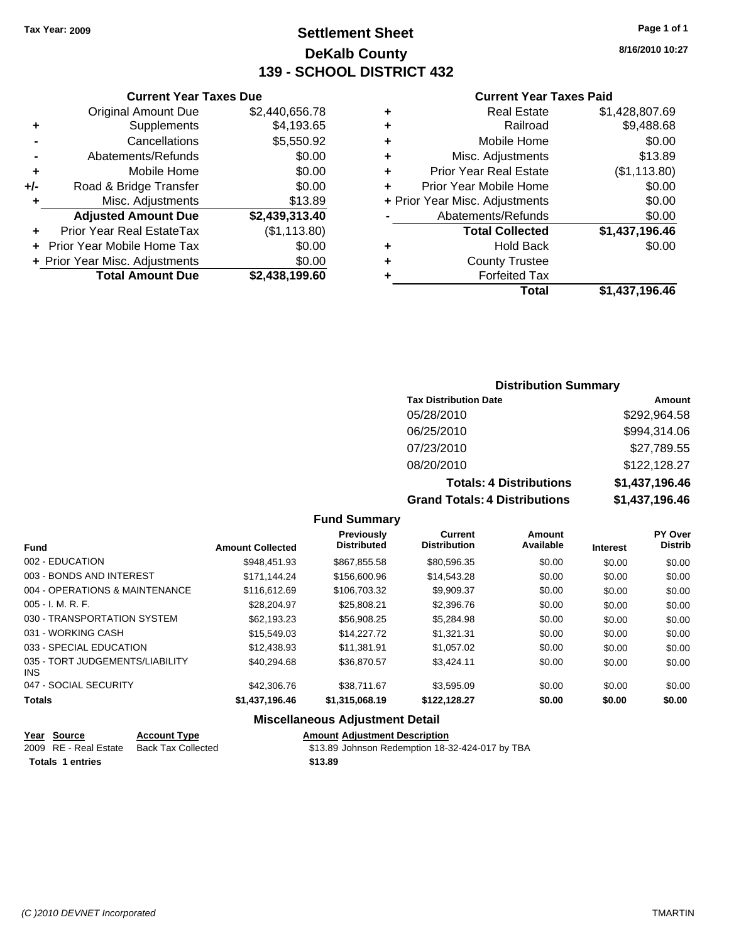## **Settlement Sheet Tax Year: 2009 Page 1 of 1 DeKalb County 139 - SCHOOL DISTRICT 432**

|   | <b>Current Year Taxes Paid</b> |                |  |
|---|--------------------------------|----------------|--|
| ٠ | <b>Real Estate</b>             | \$1,428,807.69 |  |
| ٠ | Railroad                       | \$9,488.68     |  |
| ٠ | Mobile Home                    | \$0.00         |  |
| ٠ | Misc. Adjustments              | \$13.89        |  |
| ٠ | <b>Prior Year Real Estate</b>  | (\$1,113.80)   |  |
| ÷ | Prior Year Mobile Home         | \$0.00         |  |
|   | + Prior Year Misc. Adjustments | \$0.00         |  |
|   | Abatements/Refunds             | \$0.00         |  |
|   | <b>Total Collected</b>         | \$1,437,196.46 |  |
| ٠ | Hold Back                      | \$0.00         |  |
| ٠ | <b>County Trustee</b>          |                |  |
|   | <b>Forfeited Tax</b>           |                |  |
|   | Total                          | \$1,437,196.46 |  |

## **Current Year Taxes Due** Original Amount Due \$2,440,656.78 **+** Supplements \$4,193.65 **-** Cancellations \$5,550.92 **-** Abatements/Refunds \$0.00 **+** Mobile Home \$0.00 **+/-** Road & Bridge Transfer \$0.00 **+** Misc. Adjustments \$13.89 **Adjusted Amount Due \$2,439,313.40 +** Prior Year Real EstateTax (\$1,113.80) **+** Prior Year Mobile Home Tax \$0.00 **+ Prior Year Misc. Adjustments \$0.00<br>Total Amount Due \$2,438,199.60 Total Amount Due**

## **Distribution Summary**

| <b>Tax Distribution Date</b>         | Amount         |
|--------------------------------------|----------------|
| 05/28/2010                           | \$292,964.58   |
| 06/25/2010                           | \$994,314.06   |
| 07/23/2010                           | \$27,789.55    |
| 08/20/2010                           | \$122,128.27   |
| <b>Totals: 4 Distributions</b>       | \$1,437,196.46 |
| <b>Grand Totals: 4 Distributions</b> | \$1,437,196.46 |

### **Fund Summary**

| <b>Fund</b>                             | <b>Amount Collected</b> | Previously<br><b>Distributed</b> | Current<br><b>Distribution</b> | Amount<br>Available | <b>Interest</b> | <b>PY Over</b><br><b>Distrib</b> |
|-----------------------------------------|-------------------------|----------------------------------|--------------------------------|---------------------|-----------------|----------------------------------|
| 002 - EDUCATION                         | \$948.451.93            | \$867,855.58                     | \$80,596.35                    | \$0.00              | \$0.00          | \$0.00                           |
| 003 - BONDS AND INTEREST                | \$171.144.24            | \$156,600.96                     | \$14,543.28                    | \$0.00              | \$0.00          | \$0.00                           |
| 004 - OPERATIONS & MAINTENANCE          | \$116,612,69            | \$106,703.32                     | \$9,909.37                     | \$0.00              | \$0.00          | \$0.00                           |
| $005 - I. M. R. F.$                     | \$28,204.97             | \$25,808.21                      | \$2,396.76                     | \$0.00              | \$0.00          | \$0.00                           |
| 030 - TRANSPORTATION SYSTEM             | \$62,193.23             | \$56,908.25                      | \$5,284.98                     | \$0.00              | \$0.00          | \$0.00                           |
| 031 - WORKING CASH                      | \$15,549.03             | \$14,227.72                      | \$1.321.31                     | \$0.00              | \$0.00          | \$0.00                           |
| 033 - SPECIAL EDUCATION                 | \$12,438.93             | \$11.381.91                      | \$1,057.02                     | \$0.00              | \$0.00          | \$0.00                           |
| 035 - TORT JUDGEMENTS/LIABILITY<br>INS. | \$40.294.68             | \$36,870.57                      | \$3.424.11                     | \$0.00              | \$0.00          | \$0.00                           |
| 047 - SOCIAL SECURITY                   | \$42,306.76             | \$38,711.67                      | \$3.595.09                     | \$0.00              | \$0.00          | \$0.00                           |
| <b>Totals</b>                           | \$1,437,196.46          | \$1,315,068.19                   | \$122,128.27                   | \$0.00              | \$0.00          | \$0.00                           |
|                                         |                         |                                  |                                |                     |                 |                                  |

| Year Source             | <b>Account Type</b> |         | <b>Amount Adiustment Description</b>            |
|-------------------------|---------------------|---------|-------------------------------------------------|
| 2009 RE - Real Estate   | Back Tax Collected  |         | \$13.89 Johnson Redemption 18-32-424-017 by TBA |
| <b>Totals 1 entries</b> |                     | \$13.89 |                                                 |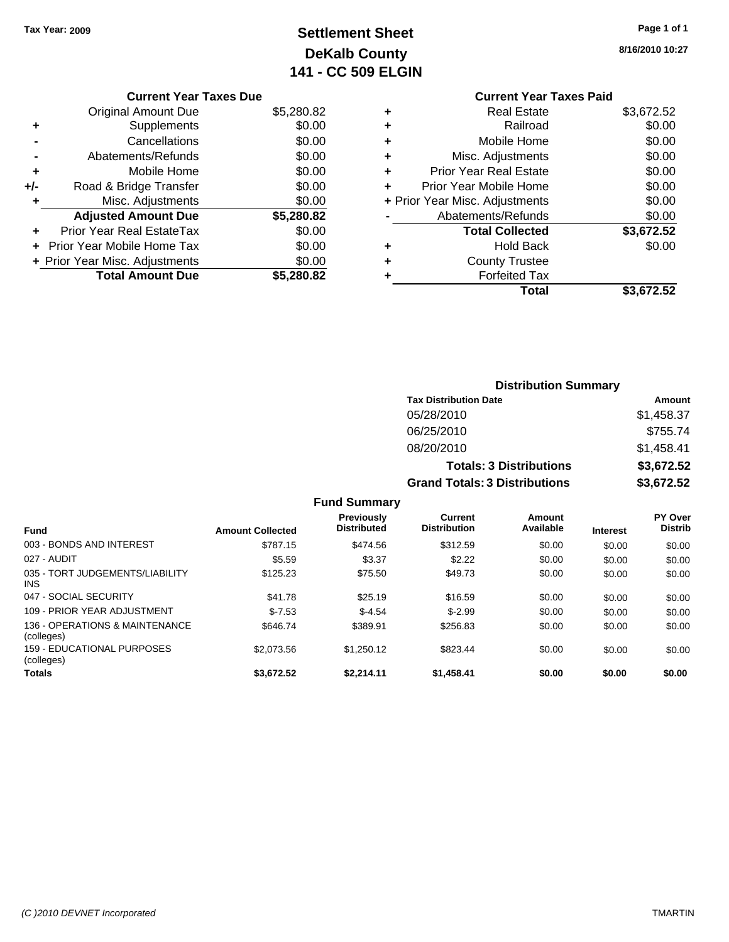# **Settlement Sheet Tax Year: 2009 Page 1 of 1 DeKalb County 141 - CC 509 ELGIN**

**8/16/2010 10:27**

## **Current Year Taxes Due**

|     | <b>Total Amount Due</b>        | \$5,280.82 |
|-----|--------------------------------|------------|
|     | + Prior Year Misc. Adjustments | \$0.00     |
|     | Prior Year Mobile Home Tax     | \$0.00     |
|     | Prior Year Real EstateTax      | \$0.00     |
|     | <b>Adjusted Amount Due</b>     | \$5,280.82 |
| ٠   | Misc. Adjustments              | \$0.00     |
| +/- | Road & Bridge Transfer         | \$0.00     |
| ٠   | Mobile Home                    | \$0.00     |
|     | Abatements/Refunds             | \$0.00     |
|     | Cancellations                  | \$0.00     |
| ٠   | Supplements                    | \$0.00     |
|     | <b>Original Amount Due</b>     | \$5,280.82 |
|     |                                |            |

## **Current Year Taxes Paid +** Real Estate \$3,672.52 **+** Railroad \$0.00 **+** Mobile Home \$0.00 **+** Misc. Adjustments \$0.00 **+** Prior Year Real Estate \$0.00 **+** Prior Year Mobile Home \$0.00 **+** Prior Year Misc. Adjustments  $$0.00$ **-** Abatements/Refunds \$0.00 **Total Collected \$3,672.52 +** Hold Back \$0.00 **+** County Trustee **+** Forfeited Tax **Total \$3,672.52**

|                                                 |                         |                                         |                                       | <b>Distribution Summary</b>    |                 |                                  |
|-------------------------------------------------|-------------------------|-----------------------------------------|---------------------------------------|--------------------------------|-----------------|----------------------------------|
|                                                 |                         |                                         | <b>Tax Distribution Date</b>          |                                |                 | Amount                           |
|                                                 |                         |                                         | 05/28/2010                            |                                |                 | \$1,458.37                       |
|                                                 |                         |                                         | 06/25/2010                            |                                |                 | \$755.74                         |
|                                                 |                         |                                         | 08/20/2010                            |                                |                 | \$1,458.41                       |
|                                                 |                         |                                         |                                       | <b>Totals: 3 Distributions</b> |                 | \$3,672.52                       |
|                                                 |                         |                                         | <b>Grand Totals: 3 Distributions</b>  |                                |                 | \$3,672.52                       |
|                                                 |                         | <b>Fund Summary</b>                     |                                       |                                |                 |                                  |
| <b>Fund</b>                                     | <b>Amount Collected</b> | <b>Previously</b><br><b>Distributed</b> | <b>Current</b><br><b>Distribution</b> | Amount<br>Available            | <b>Interest</b> | <b>PY Over</b><br><b>Distrib</b> |
| 003 - BONDS AND INTEREST                        | \$787.15                | \$474.56                                | \$312.59                              | \$0.00                         | \$0.00          | \$0.00                           |
| 027 - AUDIT                                     | \$5.59                  | \$3.37                                  | \$2.22                                | \$0.00                         | \$0.00          | \$0.00                           |
| 035 - TORT JUDGEMENTS/LIABILITY<br><b>INS</b>   | \$125.23                | \$75.50                                 | \$49.73                               | \$0.00                         | \$0.00          | \$0.00                           |
| 047 - SOCIAL SECURITY                           | \$41.78                 | \$25.19                                 | \$16.59                               | \$0.00                         | \$0.00          | \$0.00                           |
| 109 - PRIOR YEAR ADJUSTMENT                     | $$-7.53$                | $$-4.54$                                | $$-2.99$                              | \$0.00                         | \$0.00          | \$0.00                           |
| 136 - OPERATIONS & MAINTENANCE<br>(colleges)    | \$646.74                | \$389.91                                | \$256.83                              | \$0.00                         | \$0.00          | \$0.00                           |
| <b>159 - EDUCATIONAL PURPOSES</b><br>(colleges) | \$2,073.56              | \$1,250.12                              | \$823.44                              | \$0.00                         | \$0.00          | \$0.00                           |
| <b>Totals</b>                                   | \$3,672.52              | \$2,214.11                              | \$1,458.41                            | \$0.00                         | \$0.00          | \$0.00                           |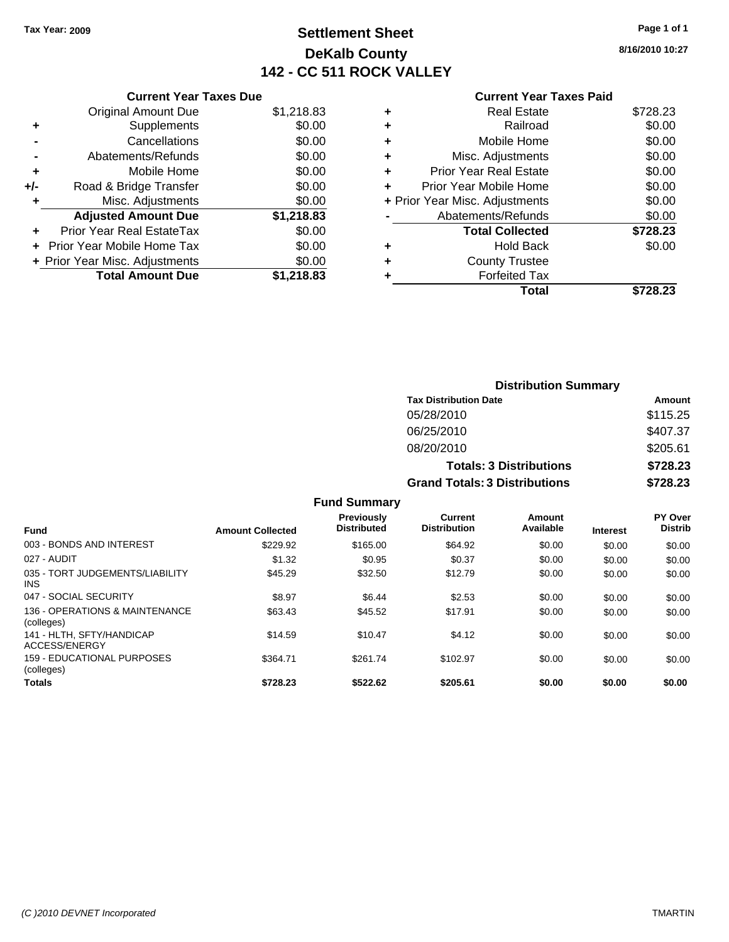## **Settlement Sheet Tax Year: 2009 Page 1 of 1 DeKalb County 142 - CC 511 ROCK VALLEY**

**8/16/2010 10:27**

| <b>Current Year Taxes Due</b> |  |  |
|-------------------------------|--|--|
|                               |  |  |

|     | <b>Original Amount Due</b>       | \$1,218.83 |
|-----|----------------------------------|------------|
| ٠   | Supplements                      | \$0.00     |
|     | Cancellations                    | \$0.00     |
|     | Abatements/Refunds               | \$0.00     |
| ٠   | Mobile Home                      | \$0.00     |
| +/- | Road & Bridge Transfer           | \$0.00     |
| ٠   | Misc. Adjustments                | \$0.00     |
|     | <b>Adjusted Amount Due</b>       | \$1,218.83 |
|     | <b>Prior Year Real EstateTax</b> | \$0.00     |
|     | Prior Year Mobile Home Tax       | \$0.00     |
|     | + Prior Year Misc. Adjustments   | \$0.00     |
|     | <b>Total Amount Due</b>          | \$1,218.83 |

### **Current Year Taxes Paid**

| <b>Real Estate</b>             | \$728.23 |
|--------------------------------|----------|
| Railroad                       | \$0.00   |
| Mobile Home                    | \$0.00   |
| Misc. Adjustments              | \$0.00   |
| <b>Prior Year Real Estate</b>  | \$0.00   |
| Prior Year Mobile Home         | \$0.00   |
| + Prior Year Misc. Adjustments | \$0.00   |
| Abatements/Refunds             | \$0.00   |
| <b>Total Collected</b>         | \$728.23 |
| <b>Hold Back</b>               | \$0.00   |
| <b>County Trustee</b>          |          |
| <b>Forfeited Tax</b>           |          |
| Total                          | \$728.23 |
|                                |          |

|                                                                                                     |                         |                                         |                                      | <b>Distribution Summary</b>    |                 |                           |
|-----------------------------------------------------------------------------------------------------|-------------------------|-----------------------------------------|--------------------------------------|--------------------------------|-----------------|---------------------------|
|                                                                                                     |                         |                                         | <b>Tax Distribution Date</b>         |                                |                 | Amount                    |
|                                                                                                     |                         |                                         | 05/28/2010                           |                                |                 | \$115.25                  |
|                                                                                                     |                         |                                         | 06/25/2010                           |                                |                 | \$407.37                  |
|                                                                                                     |                         |                                         | 08/20/2010                           |                                |                 | \$205.61                  |
|                                                                                                     |                         |                                         |                                      | <b>Totals: 3 Distributions</b> |                 | \$728.23                  |
|                                                                                                     |                         |                                         | <b>Grand Totals: 3 Distributions</b> |                                |                 | \$728.23                  |
|                                                                                                     |                         | <b>Fund Summary</b>                     |                                      |                                |                 |                           |
| <b>Fund</b>                                                                                         | <b>Amount Collected</b> | <b>Previously</b><br><b>Distributed</b> | Current<br><b>Distribution</b>       | Amount<br>Available            | <b>Interest</b> | PY Over<br><b>Distrib</b> |
| 003 - BONDS AND INTEREST                                                                            | \$229.92                | \$165.00                                | \$64.92                              | \$0.00                         | \$0.00          | \$0.00                    |
| 027 - AUDIT                                                                                         | \$1.32                  | \$0.95                                  | \$0.37                               | \$0.00                         | \$0.00          | \$0.00                    |
| 035 - TORT JUDGEMENTS/LIABILITY<br><b>INS</b>                                                       | \$45.29                 | \$32.50                                 | \$12.79                              | \$0.00                         | \$0.00          | \$0.00                    |
| 047 - SOCIAL SECURITY                                                                               | \$8.97                  | \$6.44                                  | \$2.53                               | \$0.00                         | \$0.00          | \$0.00                    |
| 136 - OPERATIONS & MAINTENANCE<br>(colleges)                                                        | \$63.43                 | \$45.52                                 | \$17.91                              | \$0.00                         | \$0.00          | \$0.00                    |
| 141 - HLTH, SFTY/HANDICAP<br>$\lambda$ $\alpha$ $\alpha$ $\alpha$ $\beta$ $\alpha$ $\beta$ $\alpha$ | \$14.59                 | \$10.47                                 | \$4.12                               | \$0.00                         | \$0.00          | \$0.00                    |

\$364.71 \$261.74 \$102.97 \$0.00 \$0.00 \$0.00

159 - EDUCATIONAL PURPOSES (colleges)

ACCESS/ENERGY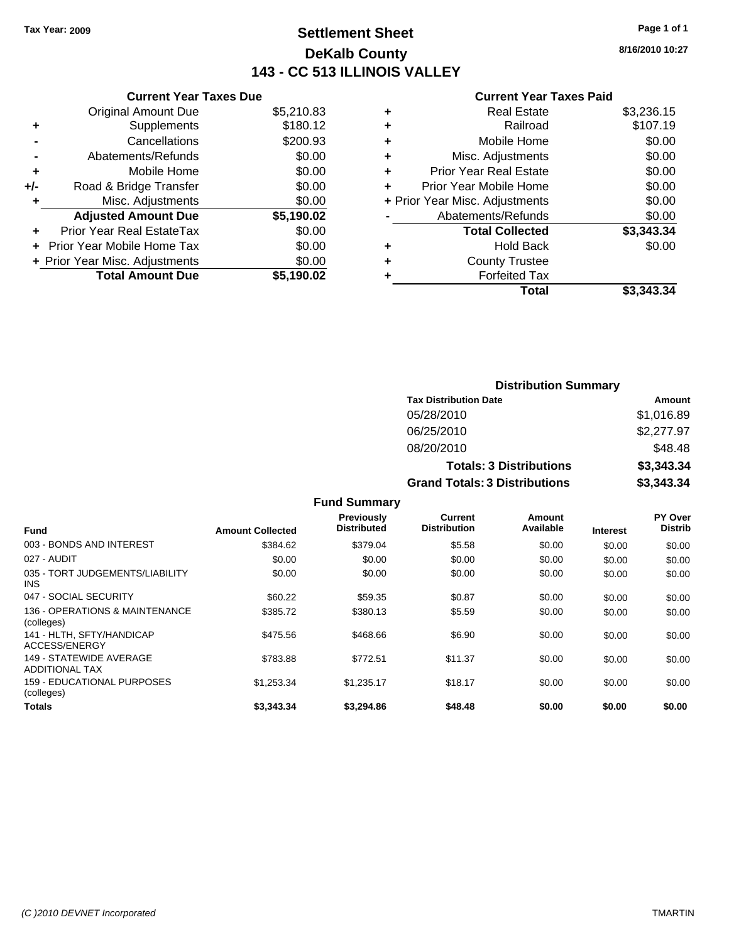## **Settlement Sheet Tax Year: 2009 Page 1 of 1 DeKalb County 143 - CC 513 ILLINOIS VALLEY**

### **Current Year Taxes Due**

|       | <b>Original Amount Due</b>        | \$5,210.83 |
|-------|-----------------------------------|------------|
| ٠     | Supplements                       | \$180.12   |
|       | Cancellations                     | \$200.93   |
|       | Abatements/Refunds                | \$0.00     |
| ٠     | Mobile Home                       | \$0.00     |
| $+/-$ | Road & Bridge Transfer            | \$0.00     |
| ٠     | Misc. Adjustments                 | \$0.00     |
|       | <b>Adjusted Amount Due</b>        | \$5,190.02 |
|       | <b>Prior Year Real EstateTax</b>  | \$0.00     |
|       | <b>Prior Year Mobile Home Tax</b> | \$0.00     |
|       | + Prior Year Misc. Adjustments    | \$0.00     |
|       | <b>Total Amount Due</b>           | \$5.190.02 |

### **Current Year Taxes Paid**

|   | <b>Real Estate</b>             | \$3,236.15 |
|---|--------------------------------|------------|
| ٠ | Railroad                       | \$107.19   |
| ٠ | Mobile Home                    | \$0.00     |
| ٠ | Misc. Adjustments              | \$0.00     |
| ٠ | <b>Prior Year Real Estate</b>  | \$0.00     |
|   | Prior Year Mobile Home         | \$0.00     |
|   | + Prior Year Misc. Adjustments | \$0.00     |
|   | Abatements/Refunds             | \$0.00     |
|   | <b>Total Collected</b>         | \$3,343.34 |
| ٠ | <b>Hold Back</b>               | \$0.00     |
| ٠ | <b>County Trustee</b>          |            |
| ٠ | <b>Forfeited Tax</b>           |            |
|   | Total                          | \$3,343,34 |
|   |                                |            |

| <b>Distribution Summary</b>          |            |
|--------------------------------------|------------|
| <b>Tax Distribution Date</b>         | Amount     |
| 05/28/2010                           | \$1,016.89 |
| 06/25/2010                           | \$2,277.97 |
| 08/20/2010                           | \$48.48    |
| <b>Totals: 3 Distributions</b>       | \$3,343.34 |
| <b>Grand Totals: 3 Distributions</b> | \$3,343.34 |

**Fund Summary Fund Interest Amount Collected Distributed PY Over Distrib Amount Available Current Distribution Previously** 003 - BONDS AND INTEREST 60.00 \$384.62 \$379.04 \$5.58 \$0.00 \$0.00 \$0.00 \$0.00 027 - AUDIT \$0.00 \$0.00 \$0.00 \$0.00 \$0.00 \$0.00 035 - TORT JUDGEMENTS/LIABILITY INS \$0.00 \$0.00 \$0.00 \$0.00 \$0.00 \$0.00 047 - SOCIAL SECURITY \$60.22 \$59.35 \$0.87 \$0.00 \$0.00 \$0.00 136 - OPERATIONS & MAINTENANCE (colleges) \$385.72 \$380.13 \$5.59 \$0.00 \$0.00 \$0.00 141 - HLTH, SFTY/HANDICAP ACCESS/ENERGY  $$468.66$   $$468.66$   $$6.90$   $$0.00$   $$0.00$   $$0.00$ 149 - STATEWIDE AVERAGE ADDITIONAL TAX \$783.88 \$772.51 \$11.37 \$0.00 \$0.00 \$0.00 159 - EDUCATIONAL PURPOSES (colleges) \$1,253.34 \$1,235.17 \$18.17 \$0.00 \$0.00 \$0.00 **Totals \$3,343.34 \$3,294.86 \$48.48 \$0.00 \$0.00 \$0.00**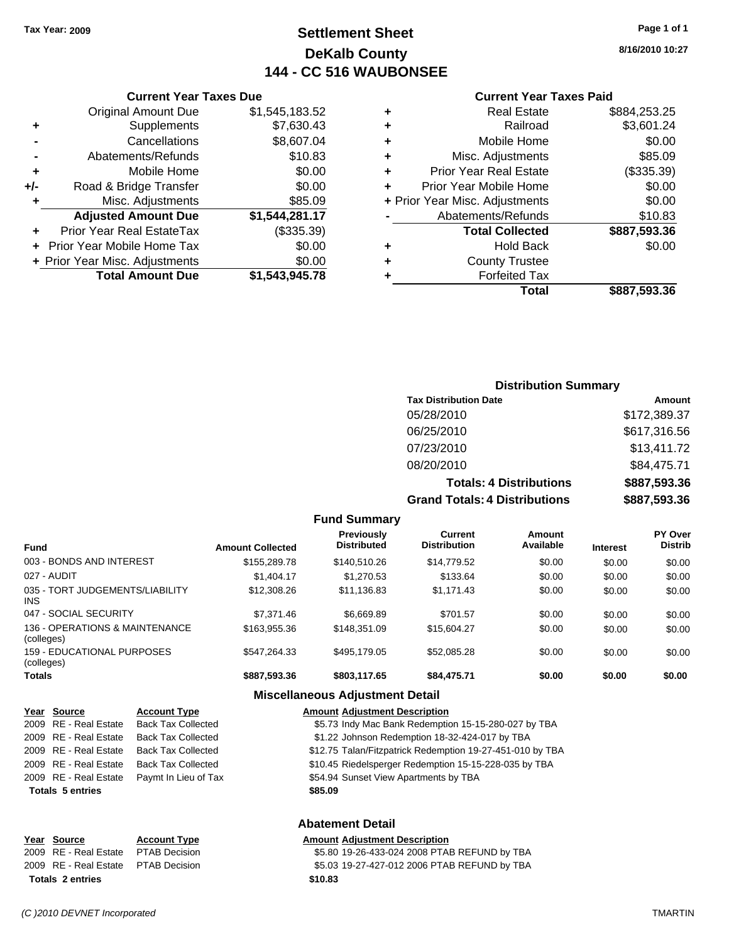## **Settlement Sheet Tax Year: 2009 Page 1 of 1 DeKalb County 144 - CC 516 WAUBONSEE**

**8/16/2010 10:27**

### **Current Year Taxes Paid**

|   |                                | \$887,593.36 |
|---|--------------------------------|--------------|
|   | <b>Total Collected</b>         |              |
|   | Abatements/Refunds             | \$10.83      |
|   | + Prior Year Misc. Adjustments | \$0.00       |
| ٠ | Prior Year Mobile Home         | \$0.00       |
| ÷ | <b>Prior Year Real Estate</b>  | (\$335.39)   |
| ÷ | Misc. Adjustments              | \$85.09      |
| ٠ | Mobile Home                    | \$0.00       |
| ٠ | Railroad                       | \$3,601.24   |
| ٠ | <b>Real Estate</b>             | \$884,253.25 |

|     | <b>Current Year Taxes Due</b>  |                |
|-----|--------------------------------|----------------|
|     | <b>Original Amount Due</b>     | \$1,545,183.52 |
| ٠   | Supplements                    | \$7,630.43     |
|     | Cancellations                  | \$8,607.04     |
|     | Abatements/Refunds             | \$10.83        |
| ٠   | Mobile Home                    | \$0.00         |
| +/- | Road & Bridge Transfer         | \$0.00         |
| ٠   | Misc. Adjustments              | \$85.09        |
|     | <b>Adjusted Amount Due</b>     | \$1,544,281.17 |
|     | Prior Year Real EstateTax      | (\$335.39)     |
|     | Prior Year Mobile Home Tax     | \$0.00         |
|     | + Prior Year Misc. Adjustments | \$0.00         |
|     | <b>Total Amount Due</b>        | \$1,543,945.78 |

## **Distribution Summary**

| <b>Tax Distribution Date</b>         | Amount       |
|--------------------------------------|--------------|
| 05/28/2010                           | \$172,389.37 |
| 06/25/2010                           | \$617,316.56 |
| 07/23/2010                           | \$13,411.72  |
| 08/20/2010                           | \$84,475.71  |
| <b>Totals: 4 Distributions</b>       | \$887,593.36 |
| <b>Grand Totals: 4 Distributions</b> | \$887,593.36 |

### **Fund Summary Fund Interest Amount Collected Distributed PY Over Distrib Amount Available Current Distribution Previously** 003 - BONDS AND INTEREST \$155,289.78 \$140,510.26 \$14,779.52 \$0.00 \$0.00 \$0.00 027 - AUDIT \$1,404.17 \$1,270.53 \$133.64 \$0.00 \$0.00 \$0.00 035 - TORT JUDGEMENTS/LIABILITY INS \$12,308.26 \$11,136.83 \$1,171.43 \$0.00 \$0.00 \$0.00 047 - SOCIAL SECURITY \$7,371.46 \$6,669.89 \$701.57 \$0.00 \$0.00 \$0.00 \$0.00 136 - OPERATIONS & MAINTENANCE (colleges) \$163,955.36 \$148,351.09 \$15,604.27 \$0.00 \$0.00 \$0.00 159 - EDUCATIONAL PURPOSES (colleges) \$547,264.33 \$495,179.05 \$52,085.28 \$0.00 \$0.00 \$0.00 **Totals \$887,593.36 \$803,117.65 \$84,475.71 \$0.00 \$0.00 \$0.00**

### **Miscellaneous Adjustment Detail**

|                         | Year Source                       | <b>Account Type</b>       | <b>Amount Adjustment Description</b>                      |  |
|-------------------------|-----------------------------------|---------------------------|-----------------------------------------------------------|--|
|                         | 2009 RE - Real Estate             | <b>Back Tax Collected</b> | \$5.73 Indy Mac Bank Redemption 15-15-280-027 by TBA      |  |
|                         | 2009 RE - Real Estate             | <b>Back Tax Collected</b> | \$1.22 Johnson Redemption 18-32-424-017 by TBA            |  |
|                         | 2009 RE - Real Estate             | <b>Back Tax Collected</b> | \$12.75 Talan/Fitzpatrick Redemption 19-27-451-010 by TBA |  |
|                         | 2009 RE - Real Estate             | <b>Back Tax Collected</b> | \$10.45 Riedelsperger Redemption 15-15-228-035 by TBA     |  |
|                         | 2009 RE - Real Estate             | Paymt In Lieu of Tax      | \$54.94 Sunset View Apartments by TBA                     |  |
| <b>Totals 5 entries</b> |                                   |                           | \$85.09                                                   |  |
|                         |                                   |                           | <b>Abatement Detail</b>                                   |  |
|                         | $V_{\text{max}}$ $R_{\text{max}}$ | $A - 1 - 1 = 1$           | Americal Additional Benediction                           |  |

| סטוועט ונסטו                        | <b>ACCOUNT IVPC</b> | Allivulit |
|-------------------------------------|---------------------|-----------|
| 2009 RE - Real Estate PTAB Decision |                     | \$5.80    |
| 2009 RE - Real Estate PTAB Decision |                     | \$5.03    |
| <b>Totals 2 entries</b>             |                     | \$10.83   |

### **Year Source Account Type Amount Adjustment Description**

\$5.80 19-26-433-024 2008 PTAB REFUND by TBA \$5.03 19-27-427-012 2006 PTAB REFUND by TBA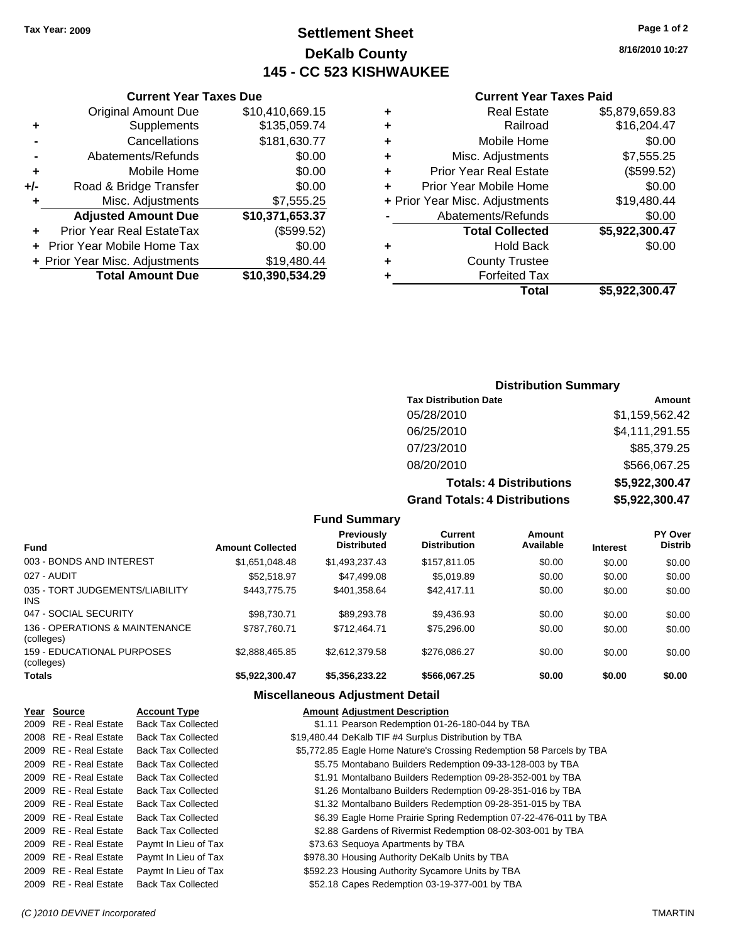## **Settlement Sheet Tax Year: 2009 Page 1 of 2 DeKalb County 145 - CC 523 KISHWAUKEE**

**8/16/2010 10:27**

|       | <b>Current Year Taxes Due</b>  |                 |
|-------|--------------------------------|-----------------|
|       | <b>Original Amount Due</b>     | \$10,410,669.15 |
| ٠     | Supplements                    | \$135,059.74    |
|       | Cancellations                  | \$181,630.77    |
|       | Abatements/Refunds             | \$0.00          |
| ٠     | Mobile Home                    | \$0.00          |
| $+/-$ | Road & Bridge Transfer         | \$0.00          |
| ٠     | Misc. Adjustments              | \$7,555.25      |
|       | <b>Adjusted Amount Due</b>     | \$10,371,653.37 |
|       | Prior Year Real EstateTax      | (\$599.52)      |
|       | Prior Year Mobile Home Tax     | \$0.00          |
|       | + Prior Year Misc. Adjustments | \$19,480.44     |
|       | <b>Total Amount Due</b>        | \$10,390,534.29 |
|       |                                |                 |

|   | <b>Current Year Taxes Paid</b> |                |
|---|--------------------------------|----------------|
| ٠ | <b>Real Estate</b>             | \$5,879,659.83 |
|   | Railroad                       | \$16,204.47    |
|   | Mobile Home                    | \$0.00         |
|   | Misc. Adjustments              | \$7,555.25     |
| ÷ | <b>Prior Year Real Estate</b>  | (\$599.52)     |
| ÷ | Prior Year Mobile Home         | \$0.00         |
|   | + Prior Year Misc. Adjustments | \$19,480.44    |
|   | Abatements/Refunds             | \$0.00         |
|   | <b>Total Collected</b>         | \$5,922,300.47 |
|   | <b>Hold Back</b>               | \$0.00         |
|   | <b>County Trustee</b>          |                |
|   | <b>Forfeited Tax</b>           |                |
|   | Total                          | \$5,922,300.47 |

## **Distribution Summary**

| <b>Tax Distribution Date</b>         | Amount         |
|--------------------------------------|----------------|
| 05/28/2010                           | \$1,159,562.42 |
| 06/25/2010                           | \$4,111,291.55 |
| 07/23/2010                           | \$85,379.25    |
| 08/20/2010                           | \$566,067.25   |
| <b>Totals: 4 Distributions</b>       | \$5,922,300.47 |
| <b>Grand Totals: 4 Distributions</b> | \$5,922,300.47 |

### **Fund Summary Fund Interest Amount Collected Distributed PY Over Distrib Amount Available Current Distribution Previously** 003 - BONDS AND INTEREST \$1,651,048.48 \$1,493,237.43 \$157,811.05 \$0.00 \$0.00 \$0.00 027 - AUDIT \$52,518.97 \$47,499.08 \$5,019.89 \$0.00 \$0.00 \$0.00 035 - TORT JUDGEMENTS/LIABILITY INS \$443,775.75 \$401,358.64 \$42,417.11 \$0.00 \$0.00 \$0.00 047 - SOCIAL SECURITY \$98,730.71 \$89,293.78 \$9,436.93 \$0.00 \$0.00 \$0.00 136 - OPERATIONS & MAINTENANCE (colleges) \$787,760.71 \$712,464.71 \$75,296.00 \$0.00 \$0.00 \$0.00 159 - EDUCATIONAL PURPOSES (colleges)  $$2,888,465.85$   $$2,612,379.58$   $$276,086.27$   $$0.00$   $$0.00$   $$0.00$ **Totals \$5,922,300.47 \$5,356,233.22 \$566,067.25 \$0.00 \$0.00 \$0.00**

| Year Source           | <b>Account Type</b>       | <b>Amount Adjustment Description</b>                                 |  |
|-----------------------|---------------------------|----------------------------------------------------------------------|--|
| 2009 RE - Real Estate | <b>Back Tax Collected</b> | \$1.11 Pearson Redemption 01-26-180-044 by TBA                       |  |
| 2008 RE - Real Estate | <b>Back Tax Collected</b> | \$19,480.44 DeKalb TIF #4 Surplus Distribution by TBA                |  |
| 2009 RE - Real Estate | <b>Back Tax Collected</b> | \$5,772.85 Eagle Home Nature's Crossing Redemption 58 Parcels by TBA |  |
| 2009 RE - Real Estate | <b>Back Tax Collected</b> | \$5.75 Montabano Builders Redemption 09-33-128-003 by TBA            |  |
| 2009 RE - Real Estate | <b>Back Tax Collected</b> | \$1.91 Montalbano Builders Redemption 09-28-352-001 by TBA           |  |
| 2009 RE - Real Estate | <b>Back Tax Collected</b> | \$1.26 Montalbano Builders Redemption 09-28-351-016 by TBA           |  |
| 2009 RE - Real Estate | <b>Back Tax Collected</b> | \$1.32 Montalbano Builders Redemption 09-28-351-015 by TBA           |  |
| 2009 RE - Real Estate | <b>Back Tax Collected</b> | \$6.39 Eagle Home Prairie Spring Redemption 07-22-476-011 by TBA     |  |
| 2009 RE - Real Estate | <b>Back Tax Collected</b> | \$2.88 Gardens of Rivermist Redemption 08-02-303-001 by TBA          |  |
| 2009 RE - Real Estate | Paymt In Lieu of Tax      | \$73.63 Sequoya Apartments by TBA                                    |  |
| 2009 RE - Real Estate | Paymt In Lieu of Tax      | \$978.30 Housing Authority DeKalb Units by TBA                       |  |
| 2009 RE - Real Estate | Paymt In Lieu of Tax      | \$592.23 Housing Authority Sycamore Units by TBA                     |  |
| 2009 RE - Real Estate | <b>Back Tax Collected</b> | \$52.18 Capes Redemption 03-19-377-001 by TBA                        |  |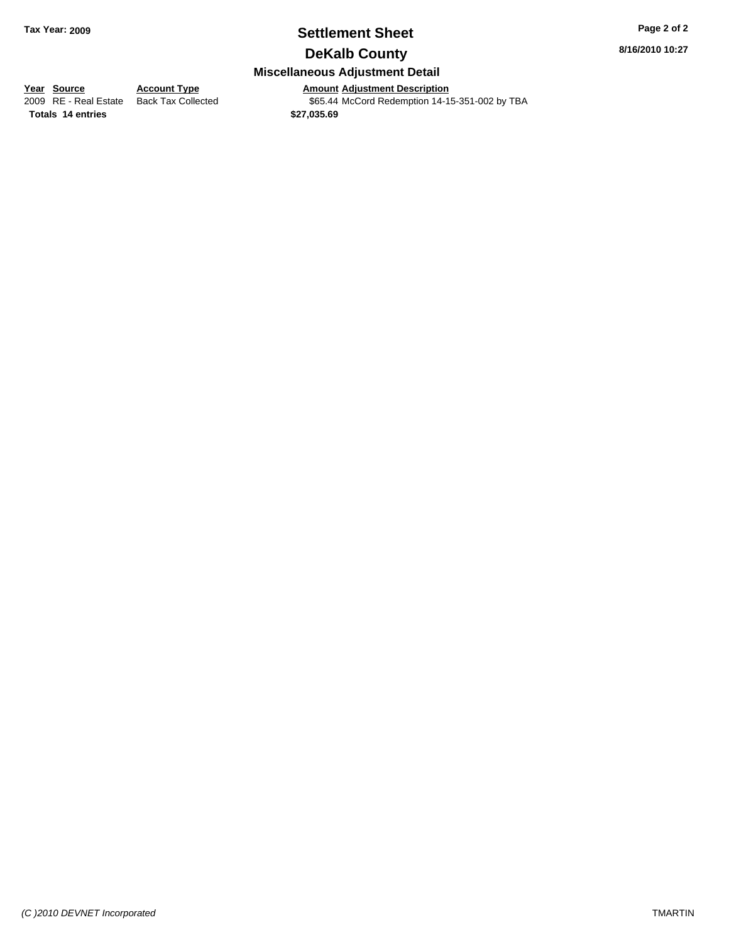## **Settlement Sheet Tax Year: 2009 Page 2 of 2 DeKalb County**

**8/16/2010 10:27**

## **Miscellaneous Adjustment Detail**

**Year Source Account Type Amount Adjustment Description**<br> **Amount Adjustment Description**<br> **Amount Adjustment Description**<br> **Amount Adjustment Description**<br> **Amount Adjustment Description** 

**Totals \$27,035.69 14 entries**

\$65.44 McCord Redemption 14-15-351-002 by TBA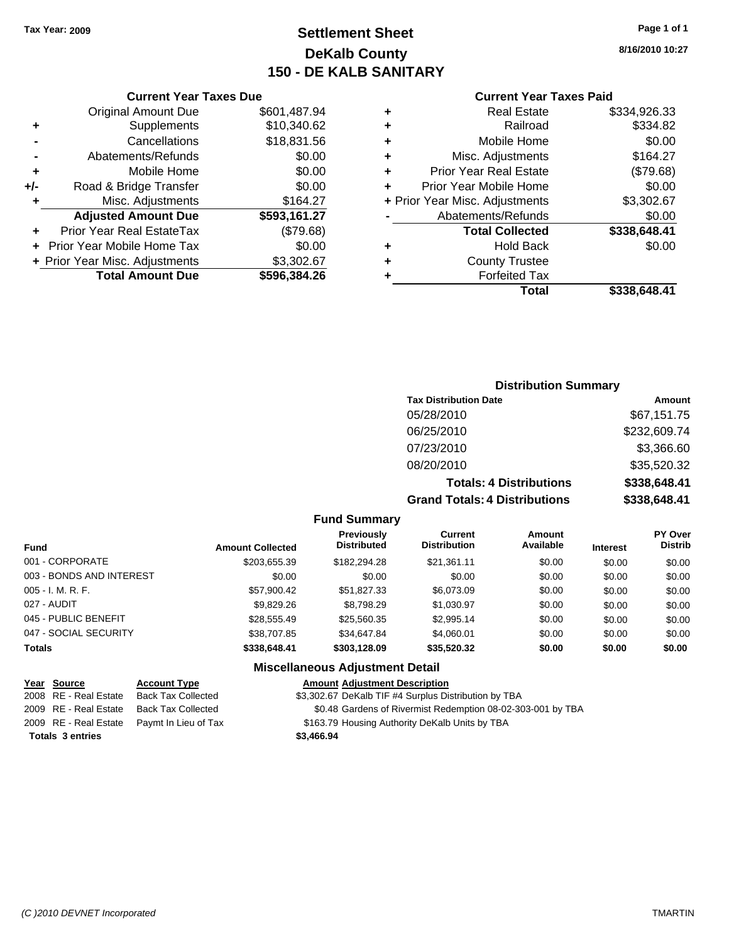## **Settlement Sheet Tax Year: 2009 Page 1 of 1 DeKalb County 150 - DE KALB SANITARY**

**8/16/2010 10:27**

| <b>Current Year Taxes Paid</b> |  |
|--------------------------------|--|
|--------------------------------|--|

|     | <b>Current Year Taxes Due</b>     |              |
|-----|-----------------------------------|--------------|
|     | <b>Original Amount Due</b>        | \$601,487.94 |
| ٠   | Supplements                       | \$10,340.62  |
|     | Cancellations                     | \$18,831.56  |
|     | Abatements/Refunds                | \$0.00       |
| ٠   | Mobile Home                       | \$0.00       |
| +/- | Road & Bridge Transfer            | \$0.00       |
| ٠   | Misc. Adjustments                 | \$164.27     |
|     | <b>Adjusted Amount Due</b>        | \$593,161.27 |
| ٠   | Prior Year Real EstateTax         | (\$79.68)    |
|     | <b>Prior Year Mobile Home Tax</b> | \$0.00       |
|     | + Prior Year Misc. Adjustments    | \$3,302.67   |
|     | <b>Total Amount Due</b>           | \$596,384.26 |
|     |                                   |              |

| <b>Tax Distribution Date</b>         | Amount       |
|--------------------------------------|--------------|
| 05/28/2010                           | \$67,151.75  |
| 06/25/2010                           | \$232,609.74 |
| 07/23/2010                           | \$3,366.60   |
| 08/20/2010                           | \$35,520.32  |
| <b>Totals: 4 Distributions</b>       | \$338,648.41 |
| <b>Grand Totals: 4 Distributions</b> | \$338,648.41 |

**Fund Summary**

| <b>Fund</b>              | <b>Amount Collected</b> | <b>Previously</b><br><b>Distributed</b> | Current<br><b>Distribution</b> | Amount<br>Available | <b>Interest</b> | PY Over<br><b>Distrib</b> |
|--------------------------|-------------------------|-----------------------------------------|--------------------------------|---------------------|-----------------|---------------------------|
| 001 - CORPORATE          | \$203.655.39            | \$182,294.28                            | \$21,361.11                    | \$0.00              | \$0.00          | \$0.00                    |
| 003 - BONDS AND INTEREST | \$0.00                  | \$0.00                                  | \$0.00                         | \$0.00              | \$0.00          | \$0.00                    |
| 005 - I. M. R. F.        | \$57,900.42             | \$51.827.33                             | \$6.073.09                     | \$0.00              | \$0.00          | \$0.00                    |
| 027 - AUDIT              | \$9,829,26              | \$8,798.29                              | \$1,030.97                     | \$0.00              | \$0.00          | \$0.00                    |
| 045 - PUBLIC BENEFIT     | \$28.555.49             | \$25,560.35                             | \$2,995.14                     | \$0.00              | \$0.00          | \$0.00                    |
| 047 - SOCIAL SECURITY    | \$38,707.85             | \$34,647.84                             | \$4.060.01                     | \$0.00              | \$0.00          | \$0.00                    |
| <b>Totals</b>            | \$338,648.41            | \$303.128.09                            | \$35,520.32                    | \$0.00              | \$0.00          | \$0.00                    |

| Year Source             | <b>Account Type</b>                        | <b>Amount Adjustment Description</b>                        |
|-------------------------|--------------------------------------------|-------------------------------------------------------------|
| 2008 RE - Real Estate   | Back Tax Collected                         | \$3,302.67 DeKalb TIF #4 Surplus Distribution by TBA        |
| 2009 RE - Real Estate   | Back Tax Collected                         | \$0.48 Gardens of Rivermist Redemption 08-02-303-001 by TBA |
|                         | 2009 RE - Real Estate Paymt In Lieu of Tax | \$163.79 Housing Authority DeKalb Units by TBA              |
| <b>Totals 3 entries</b> |                                            | \$3,466.94                                                  |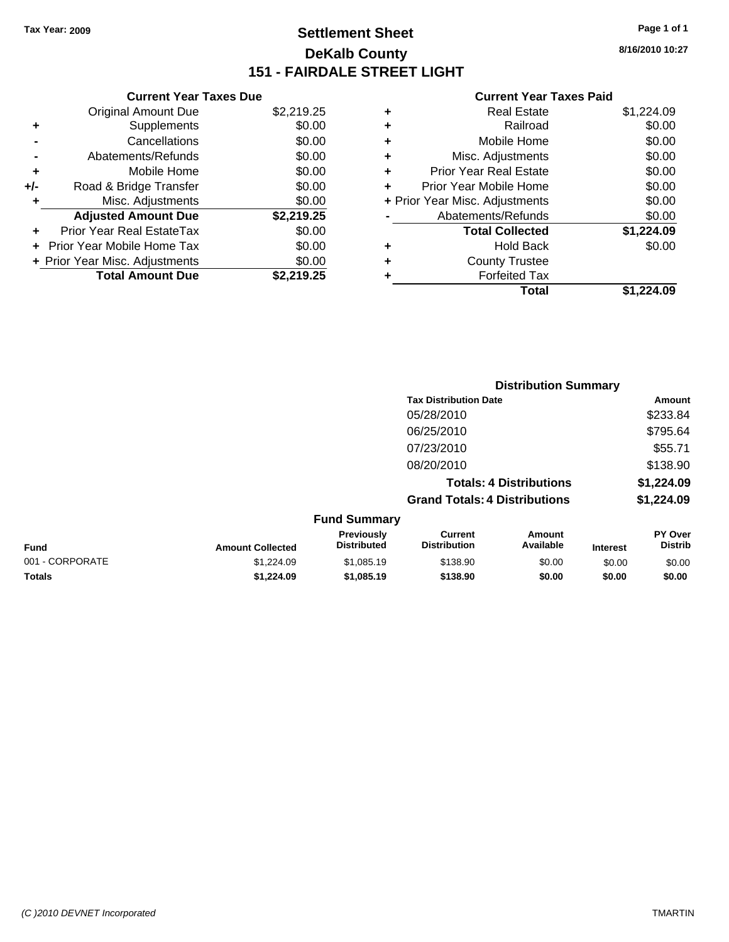## **Settlement Sheet Tax Year: 2009 Page 1 of 1 DeKalb County 151 - FAIRDALE STREET LIGHT**

## **8/16/2010 10:27**

|     | <b>Current Year Taxes Due</b>     |            |
|-----|-----------------------------------|------------|
|     | <b>Original Amount Due</b>        | \$2,219.25 |
| ٠   | Supplements                       | \$0.00     |
|     | Cancellations                     | \$0.00     |
|     | Abatements/Refunds                | \$0.00     |
| ٠   | Mobile Home                       | \$0.00     |
| +/- | Road & Bridge Transfer            | \$0.00     |
|     | Misc. Adjustments                 | \$0.00     |
|     | <b>Adjusted Amount Due</b>        | \$2,219.25 |
|     | Prior Year Real EstateTax         | \$0.00     |
|     | <b>Prior Year Mobile Home Tax</b> | \$0.00     |
|     | + Prior Year Misc. Adjustments    | \$0.00     |
|     | <b>Total Amount Due</b>           | \$2,219.25 |

| ٠ | <b>Real Estate</b>             | \$1,224.09 |
|---|--------------------------------|------------|
| ٠ | Railroad                       | \$0.00     |
| ٠ | Mobile Home                    | \$0.00     |
| ٠ | Misc. Adjustments              | \$0.00     |
| ÷ | <b>Prior Year Real Estate</b>  | \$0.00     |
| ÷ | Prior Year Mobile Home         | \$0.00     |
|   | + Prior Year Misc. Adjustments | \$0.00     |
|   | Abatements/Refunds             | \$0.00     |
|   | <b>Total Collected</b>         | \$1,224.09 |
| ٠ | Hold Back                      | \$0.00     |
| ٠ | <b>County Trustee</b>          |            |
| ٠ | <b>Forfeited Tax</b>           |            |
|   | Total                          | \$1.224.09 |
|   |                                |            |

|                 |                         |                                  |                                       | <b>Distribution Summary</b>    |                 |                                  |
|-----------------|-------------------------|----------------------------------|---------------------------------------|--------------------------------|-----------------|----------------------------------|
|                 |                         |                                  | <b>Tax Distribution Date</b>          |                                |                 | Amount                           |
|                 |                         |                                  | 05/28/2010                            |                                |                 | \$233.84                         |
|                 |                         |                                  | 06/25/2010                            |                                |                 | \$795.64                         |
|                 |                         |                                  | 07/23/2010                            |                                |                 | \$55.71                          |
|                 |                         |                                  | 08/20/2010                            |                                |                 | \$138.90                         |
|                 |                         |                                  |                                       | <b>Totals: 4 Distributions</b> |                 | \$1,224.09                       |
|                 |                         |                                  | <b>Grand Totals: 4 Distributions</b>  |                                |                 | \$1,224.09                       |
|                 |                         | <b>Fund Summary</b>              |                                       |                                |                 |                                  |
| <b>Fund</b>     | <b>Amount Collected</b> | Previously<br><b>Distributed</b> | <b>Current</b><br><b>Distribution</b> | Amount<br>Available            | <b>Interest</b> | <b>PY Over</b><br><b>Distrib</b> |
| 001 - CORPORATE | \$1,224.09              | \$1,085.19                       | \$138.90                              | \$0.00                         | \$0.00          | \$0.00                           |
| Totals          | \$1,224.09              | \$1,085.19                       | \$138.90                              | \$0.00                         | \$0.00          | \$0.00                           |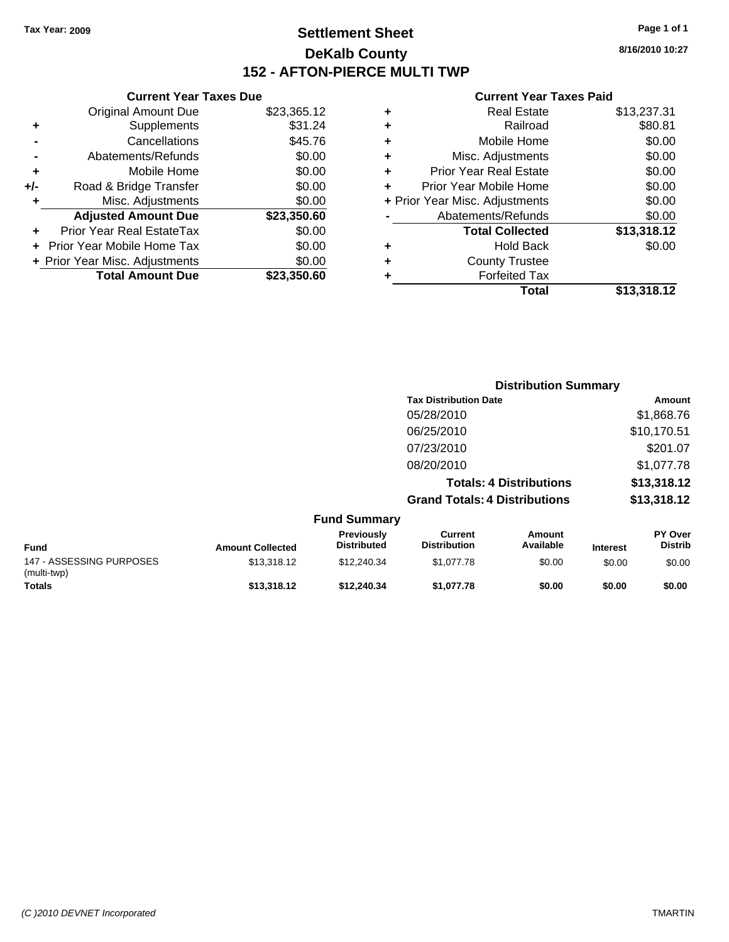## **Settlement Sheet Tax Year: 2009 Page 1 of 1 DeKalb County 152 - AFTON-PIERCE MULTI TWP**

**8/16/2010 10:27**

## **Current Year Taxes Paid**

|     | <b>Current Year Taxes Due</b>  |             |  |
|-----|--------------------------------|-------------|--|
|     | <b>Original Amount Due</b>     | \$23,365.12 |  |
| ٠   | Supplements                    | \$31.24     |  |
|     | Cancellations                  | \$45.76     |  |
|     | Abatements/Refunds             | \$0.00      |  |
| ٠   | Mobile Home                    | \$0.00      |  |
| +/- | Road & Bridge Transfer         | \$0.00      |  |
| ٠   | Misc. Adjustments              | \$0.00      |  |
|     | <b>Adjusted Amount Due</b>     | \$23,350.60 |  |
|     | Prior Year Real EstateTax      | \$0.00      |  |
|     | Prior Year Mobile Home Tax     | \$0.00      |  |
|     | + Prior Year Misc. Adjustments | \$0.00      |  |
|     | <b>Total Amount Due</b>        | \$23,350.60 |  |
|     |                                |             |  |

| ٠ | <b>Real Estate</b>             | \$13,237.31 |
|---|--------------------------------|-------------|
| ٠ | Railroad                       | \$80.81     |
| ٠ | Mobile Home                    | \$0.00      |
| ٠ | Misc. Adjustments              | \$0.00      |
| ÷ | <b>Prior Year Real Estate</b>  | \$0.00      |
| ÷ | Prior Year Mobile Home         | \$0.00      |
|   | + Prior Year Misc. Adjustments | \$0.00      |
|   | Abatements/Refunds             | \$0.00      |
|   | <b>Total Collected</b>         | \$13,318.12 |
| ٠ | Hold Back                      | \$0.00      |
| ٠ | <b>County Trustee</b>          |             |
| ٠ | <b>Forfeited Tax</b>           |             |
|   | Total                          | \$13,318.12 |
|   |                                |             |

|                                         |                         |                                  | <b>Distribution Summary</b>           |                                |                 |                                  |
|-----------------------------------------|-------------------------|----------------------------------|---------------------------------------|--------------------------------|-----------------|----------------------------------|
|                                         |                         |                                  | <b>Tax Distribution Date</b>          |                                |                 | Amount                           |
|                                         |                         |                                  | 05/28/2010                            |                                |                 | \$1,868.76                       |
|                                         |                         |                                  | 06/25/2010                            |                                |                 | \$10,170.51                      |
|                                         |                         |                                  | 07/23/2010                            |                                |                 | \$201.07                         |
|                                         |                         |                                  | 08/20/2010                            |                                |                 | \$1,077.78                       |
|                                         |                         |                                  |                                       | <b>Totals: 4 Distributions</b> |                 | \$13,318.12                      |
|                                         |                         |                                  | <b>Grand Totals: 4 Distributions</b>  |                                |                 | \$13,318.12                      |
|                                         |                         | <b>Fund Summary</b>              |                                       |                                |                 |                                  |
| <b>Fund</b>                             | <b>Amount Collected</b> | Previously<br><b>Distributed</b> | <b>Current</b><br><b>Distribution</b> | Amount<br>Available            | <b>Interest</b> | <b>PY Over</b><br><b>Distrib</b> |
| 147 - ASSESSING PURPOSES<br>(multi-twp) | \$13,318.12             | \$12,240.34                      | \$1,077.78                            | \$0.00                         | \$0.00          | \$0.00                           |
| <b>Totals</b>                           | \$13,318.12             | \$12,240.34                      | \$1,077.78                            | \$0.00                         | \$0.00          | \$0.00                           |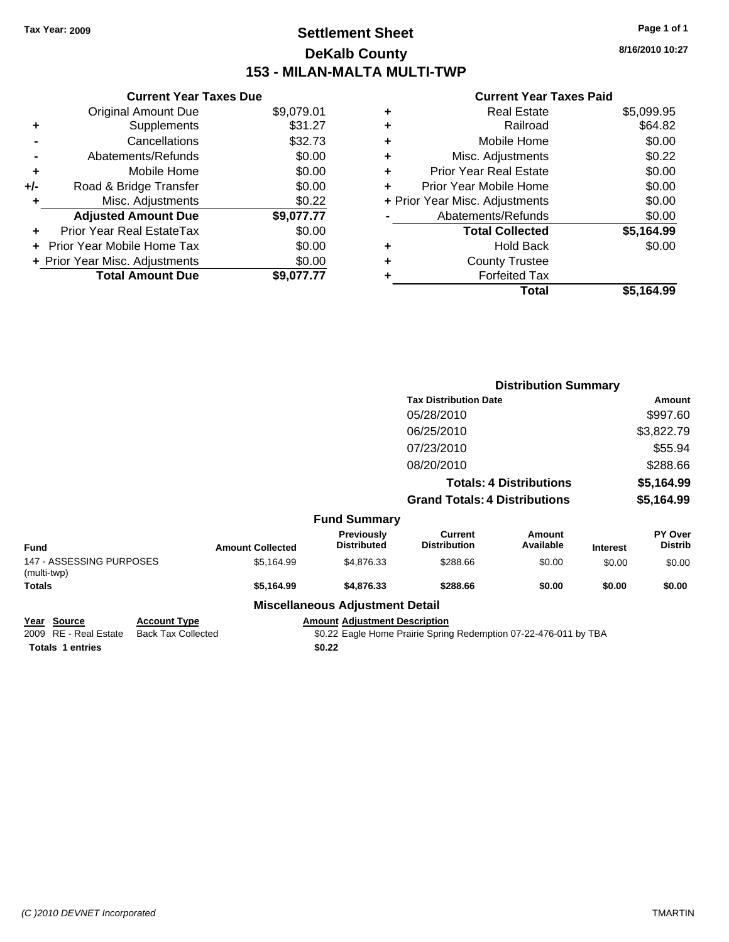## **Settlement Sheet Tax Year: 2009 Page 1 of 1 DeKalb County 153 - MILAN-MALTA MULTI-TWP**

**8/16/2010 10:27**

### **Current Year Taxes Paid**

|     | <b>Current Year Taxes Due</b>  |            |
|-----|--------------------------------|------------|
|     | <b>Original Amount Due</b>     | \$9,079.01 |
| ٠   | Supplements                    | \$31.27    |
|     | Cancellations                  | \$32.73    |
|     | Abatements/Refunds             | \$0.00     |
| ٠   | Mobile Home                    | \$0.00     |
| +/- | Road & Bridge Transfer         | \$0.00     |
| ٠   | Misc. Adjustments              | \$0.22     |
|     | <b>Adjusted Amount Due</b>     | \$9,077.77 |
| ٠   | Prior Year Real EstateTax      | \$0.00     |
|     | Prior Year Mobile Home Tax     | \$0.00     |
|     | + Prior Year Misc. Adjustments | \$0.00     |
|     | <b>Total Amount Due</b>        | \$9,077.77 |

| \$5,099.95<br><b>Real Estate</b>         |
|------------------------------------------|
| \$64.82<br>Railroad                      |
| \$0.00<br>Mobile Home                    |
| \$0.22<br>Misc. Adjustments              |
| \$0.00<br><b>Prior Year Real Estate</b>  |
| \$0.00<br>Prior Year Mobile Home         |
| \$0.00<br>+ Prior Year Misc. Adjustments |
| \$0.00<br>Abatements/Refunds             |
| \$5,164.99<br><b>Total Collected</b>     |
| \$0.00<br><b>Hold Back</b>               |
| <b>County Trustee</b>                    |
| <b>Forfeited Tax</b>                     |
| Total<br>\$5,164.99                      |
|                                          |

|                                         |                         |                                        | <b>Distribution Summary</b>          |                                |                 |                                  |
|-----------------------------------------|-------------------------|----------------------------------------|--------------------------------------|--------------------------------|-----------------|----------------------------------|
|                                         |                         |                                        | <b>Tax Distribution Date</b>         |                                |                 | Amount                           |
|                                         |                         |                                        | 05/28/2010                           |                                |                 | \$997.60                         |
|                                         |                         |                                        | 06/25/2010                           |                                |                 | \$3,822.79                       |
|                                         |                         |                                        | 07/23/2010                           |                                |                 | \$55.94                          |
|                                         |                         |                                        | 08/20/2010                           |                                |                 | \$288.66                         |
|                                         |                         |                                        |                                      | <b>Totals: 4 Distributions</b> |                 | \$5,164.99                       |
|                                         |                         |                                        | <b>Grand Totals: 4 Distributions</b> |                                |                 | \$5,164.99                       |
|                                         |                         | <b>Fund Summary</b>                    |                                      |                                |                 |                                  |
| Fund                                    | <b>Amount Collected</b> | Previously<br><b>Distributed</b>       | Current<br><b>Distribution</b>       | Amount<br>Available            | <b>Interest</b> | <b>PY Over</b><br><b>Distrib</b> |
| 147 - ASSESSING PURPOSES<br>(multi-twp) | \$5,164.99              | \$4,876.33                             | \$288.66                             | \$0.00                         | \$0.00          | \$0.00                           |
| Totals                                  | \$5,164.99              | \$4,876.33                             | \$288.66                             | \$0.00                         | \$0.00          | \$0.00                           |
|                                         |                         | <b>Miscellaneous Adjustment Detail</b> |                                      |                                |                 |                                  |

**Year Source Account Type Amount Adjustment Description**<br> **2009** RE - Real Estate Back Tax Collected **Account 10** \$0.22 Eagle Home Prairie Spring

Totals 1 entries \$0.22

\$0.22 Eagle Home Prairie Spring Redemption 07-22-476-011 by TBA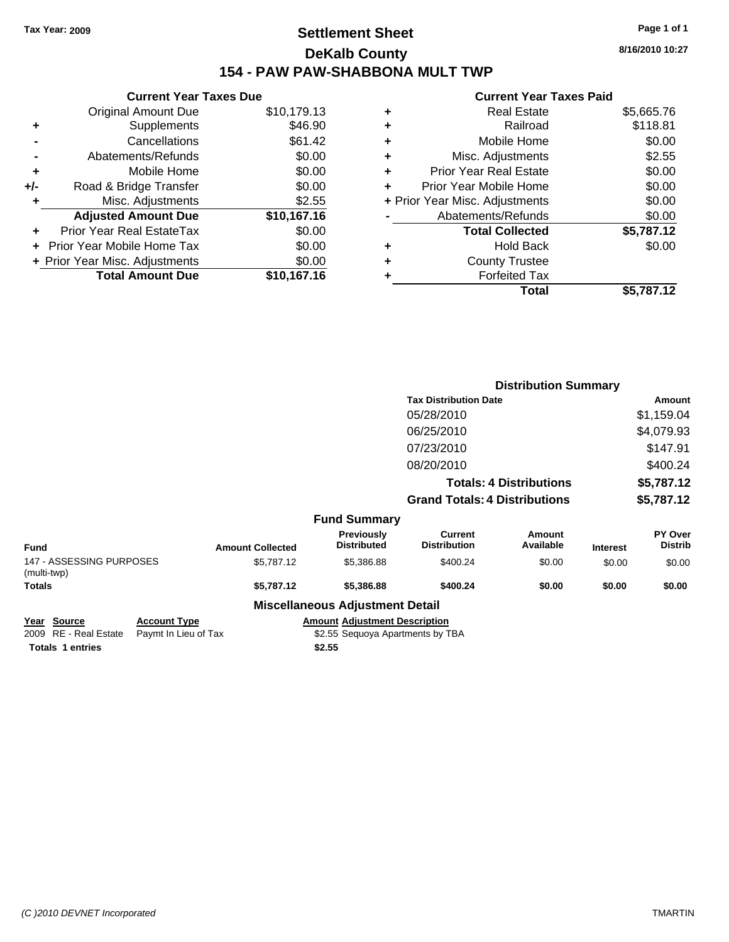## **Settlement Sheet Tax Year: 2009 Page 1 of 1 DeKalb County 154 - PAW PAW-SHABBONA MULT TWP**

**8/16/2010 10:27**

## **Current Year Taxes Paid**

| <b>Current Year Taxes Due</b>     |                                |  |  |  |  |  |  |
|-----------------------------------|--------------------------------|--|--|--|--|--|--|
| <b>Original Amount Due</b>        | \$10,179.13                    |  |  |  |  |  |  |
| Supplements                       | \$46.90                        |  |  |  |  |  |  |
| Cancellations                     | \$61.42                        |  |  |  |  |  |  |
| Abatements/Refunds                | \$0.00                         |  |  |  |  |  |  |
| Mobile Home                       | \$0.00                         |  |  |  |  |  |  |
| Road & Bridge Transfer            | \$0.00                         |  |  |  |  |  |  |
| Misc. Adjustments                 | \$2.55                         |  |  |  |  |  |  |
| <b>Adjusted Amount Due</b>        | \$10,167.16                    |  |  |  |  |  |  |
| Prior Year Real EstateTax         | \$0.00                         |  |  |  |  |  |  |
| <b>Prior Year Mobile Home Tax</b> | \$0.00                         |  |  |  |  |  |  |
|                                   | \$0.00                         |  |  |  |  |  |  |
| <b>Total Amount Due</b>           | \$10,167.16                    |  |  |  |  |  |  |
|                                   | + Prior Year Misc. Adjustments |  |  |  |  |  |  |

|   | <b>Real Estate</b>             | \$5,665.76 |
|---|--------------------------------|------------|
| ٠ | Railroad                       | \$118.81   |
| ٠ | Mobile Home                    | \$0.00     |
| ٠ | Misc. Adjustments              | \$2.55     |
| ÷ | <b>Prior Year Real Estate</b>  | \$0.00     |
|   | Prior Year Mobile Home         | \$0.00     |
|   | + Prior Year Misc. Adjustments | \$0.00     |
|   | Abatements/Refunds             | \$0.00     |
|   | <b>Total Collected</b>         | \$5,787.12 |
| ٠ | Hold Back                      | \$0.00     |
| ٠ | <b>County Trustee</b>          |            |
|   | <b>Forfeited Tax</b>           |            |
|   | Total                          | \$5,787.12 |
|   |                                |            |

|                                         |                     |                         |                                         | <b>Distribution Summary</b>           |                                |                 |                           |
|-----------------------------------------|---------------------|-------------------------|-----------------------------------------|---------------------------------------|--------------------------------|-----------------|---------------------------|
|                                         |                     |                         |                                         | <b>Tax Distribution Date</b>          |                                |                 | Amount                    |
|                                         |                     |                         |                                         | 05/28/2010                            |                                |                 | \$1,159.04                |
|                                         |                     |                         |                                         | 06/25/2010                            |                                |                 | \$4,079.93                |
|                                         |                     |                         |                                         | 07/23/2010                            |                                |                 | \$147.91                  |
|                                         |                     |                         |                                         | 08/20/2010                            |                                |                 | \$400.24                  |
|                                         |                     |                         |                                         |                                       | <b>Totals: 4 Distributions</b> |                 | \$5,787.12                |
|                                         |                     |                         |                                         | <b>Grand Totals: 4 Distributions</b>  |                                |                 | \$5,787.12                |
|                                         |                     |                         | <b>Fund Summary</b>                     |                                       |                                |                 |                           |
| Fund                                    |                     | <b>Amount Collected</b> | <b>Previously</b><br><b>Distributed</b> | <b>Current</b><br><b>Distribution</b> | Amount<br>Available            | <b>Interest</b> | PY Over<br><b>Distrib</b> |
| 147 - ASSESSING PURPOSES<br>(multi-twp) |                     | \$5,787.12              | \$5,386.88                              | \$400.24                              | \$0.00                         | \$0.00          | \$0.00                    |
| Totals                                  |                     | \$5,787.12              | \$5,386.88                              | \$400.24                              | \$0.00                         | \$0.00          | \$0.00                    |
|                                         |                     |                         | <b>Miscellaneous Adjustment Detail</b>  |                                       |                                |                 |                           |
| Year Source                             | <b>Account Type</b> |                         | <b>Amount Adjustment Description</b>    |                                       |                                |                 |                           |

2009 RE - Real Estate \$2.55 Sequoya Apartments by TBA Paymt In Lieu of Tax <u>Account Type</u><br>2009 RE - Real Estate Paymt In Lieu of Tax<br>**Totals 1 entries 1** entries **1** Paymt In Lieu of Tax<br>**\$2.55 \$2.55**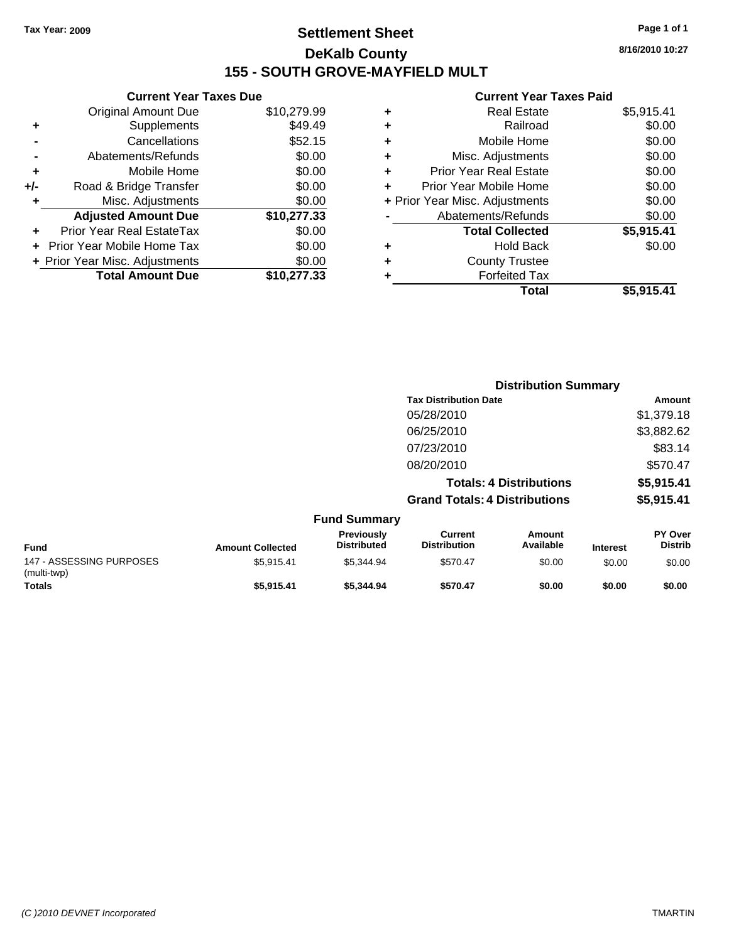## **Settlement Sheet Tax Year: 2009 Page 1 of 1 DeKalb County 155 - SOUTH GROVE-MAYFIELD MULT**

**8/16/2010 10:27**

### **Current Year Taxes Paid**

| <b>Current Year Taxes Due</b>  |             |
|--------------------------------|-------------|
| Original Amount Due            | \$10,279.99 |
| Supplements                    | \$49.49     |
| Cancellations                  | \$52.15     |
| Abatements/Refunds             | \$0.00      |
| Mobile Home                    | \$0.00      |
| Road & Bridge Transfer         | \$0.00      |
| Misc. Adjustments              | \$0.00      |
| <b>Adjusted Amount Due</b>     | \$10,277.33 |
| Prior Year Real EstateTax      | \$0.00      |
| Prior Year Mobile Home Tax     | \$0.00      |
| + Prior Year Misc. Adjustments | \$0.00      |
| <b>Total Amount Due</b>        | \$10,277.33 |
|                                |             |

|   | <b>Real Estate</b>             | \$5,915.41 |
|---|--------------------------------|------------|
| ٠ | Railroad                       | \$0.00     |
| ٠ | Mobile Home                    | \$0.00     |
| ٠ | Misc. Adjustments              | \$0.00     |
| ÷ | <b>Prior Year Real Estate</b>  | \$0.00     |
| ٠ | Prior Year Mobile Home         | \$0.00     |
|   | + Prior Year Misc. Adjustments | \$0.00     |
|   | Abatements/Refunds             | \$0.00     |
|   | <b>Total Collected</b>         | \$5,915.41 |
| ٠ | <b>Hold Back</b>               | \$0.00     |
| ٠ | <b>County Trustee</b>          |            |
| ٠ | <b>Forfeited Tax</b>           |            |
|   | Total                          | \$5,915.41 |
|   |                                |            |

|                                         |                         |                                  |                                       | <b>Distribution Summary</b>    |                 |                                  |
|-----------------------------------------|-------------------------|----------------------------------|---------------------------------------|--------------------------------|-----------------|----------------------------------|
|                                         |                         |                                  | <b>Tax Distribution Date</b>          |                                |                 | Amount                           |
|                                         |                         |                                  | 05/28/2010                            |                                |                 | \$1,379.18                       |
|                                         |                         |                                  | 06/25/2010                            |                                |                 | \$3,882.62                       |
|                                         |                         |                                  | 07/23/2010                            |                                |                 | \$83.14                          |
|                                         |                         |                                  | 08/20/2010                            |                                |                 | \$570.47                         |
|                                         |                         |                                  |                                       | <b>Totals: 4 Distributions</b> |                 | \$5,915.41                       |
|                                         |                         |                                  | <b>Grand Totals: 4 Distributions</b>  |                                |                 | \$5,915.41                       |
|                                         |                         | <b>Fund Summary</b>              |                                       |                                |                 |                                  |
| <b>Fund</b>                             | <b>Amount Collected</b> | Previously<br><b>Distributed</b> | <b>Current</b><br><b>Distribution</b> | <b>Amount</b><br>Available     | <b>Interest</b> | <b>PY Over</b><br><b>Distrib</b> |
| 147 - ASSESSING PURPOSES<br>(multi-twp) | \$5,915.41              | \$5,344.94                       | \$570.47                              | \$0.00                         | \$0.00          | \$0.00                           |
| Totals                                  | \$5.915.41              | \$5.344.94                       | \$570.47                              | \$0.00                         | \$0.00          | \$0.00                           |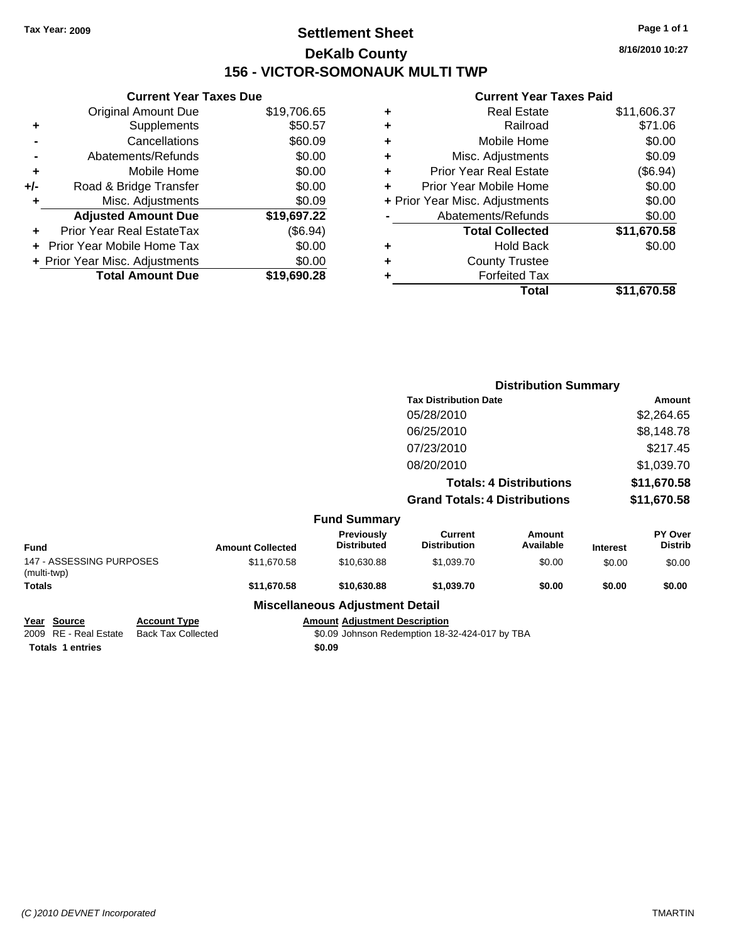## **Settlement Sheet Tax Year: 2009 Page 1 of 1 DeKalb County 156 - VICTOR-SOMONAUK MULTI TWP**

**8/16/2010 10:27**

## **Current Year Taxes Paid**

|     | <b>Current Year Taxes Due</b>  |             |
|-----|--------------------------------|-------------|
|     | <b>Original Amount Due</b>     | \$19,706.65 |
| ٠   | Supplements                    | \$50.57     |
|     | Cancellations                  | \$60.09     |
|     | Abatements/Refunds             | \$0.00      |
| ٠   | Mobile Home                    | \$0.00      |
| +/- | Road & Bridge Transfer         | \$0.00      |
| ٠   | Misc. Adjustments              | \$0.09      |
|     | <b>Adjusted Amount Due</b>     | \$19,697.22 |
|     | Prior Year Real EstateTax      | (\$6.94)    |
|     | Prior Year Mobile Home Tax     | \$0.00      |
|     | + Prior Year Misc. Adjustments | \$0.00      |
|     | <b>Total Amount Due</b>        | \$19,690.28 |
|     |                                |             |

| ٠ | <b>Real Estate</b>             | \$11,606.37 |
|---|--------------------------------|-------------|
| ÷ | Railroad                       | \$71.06     |
| ÷ | Mobile Home                    | \$0.00      |
| ٠ | Misc. Adjustments              | \$0.09      |
| ÷ | <b>Prior Year Real Estate</b>  | (\$6.94)    |
| ٠ | Prior Year Mobile Home         | \$0.00      |
|   | + Prior Year Misc. Adjustments | \$0.00      |
|   | Abatements/Refunds             | \$0.00      |
|   | <b>Total Collected</b>         | \$11,670.58 |
| ٠ | Hold Back                      | \$0.00      |
| ٠ | <b>County Trustee</b>          |             |
| ٠ | <b>Forfeited Tax</b>           |             |
|   | Total                          | \$11,670.58 |
|   |                                |             |

|                                         |                         |                                         | <b>Distribution Summary</b>           |                                |                 |                           |  |
|-----------------------------------------|-------------------------|-----------------------------------------|---------------------------------------|--------------------------------|-----------------|---------------------------|--|
|                                         |                         |                                         | <b>Tax Distribution Date</b>          |                                |                 | <b>Amount</b>             |  |
|                                         |                         |                                         | 05/28/2010                            |                                |                 | \$2,264.65                |  |
|                                         |                         |                                         | 06/25/2010                            |                                | \$8,148.78      |                           |  |
|                                         |                         |                                         | 07/23/2010                            |                                |                 | \$217.45                  |  |
|                                         |                         |                                         | 08/20/2010                            |                                |                 | \$1,039.70                |  |
|                                         |                         |                                         |                                       | <b>Totals: 4 Distributions</b> |                 | \$11,670.58               |  |
|                                         |                         |                                         | <b>Grand Totals: 4 Distributions</b>  |                                |                 | \$11,670.58               |  |
|                                         |                         | <b>Fund Summary</b>                     |                                       |                                |                 |                           |  |
| <b>Fund</b>                             | <b>Amount Collected</b> | <b>Previously</b><br><b>Distributed</b> | <b>Current</b><br><b>Distribution</b> | <b>Amount</b><br>Available     | <b>Interest</b> | PY Over<br><b>Distrib</b> |  |
| 147 - ASSESSING PURPOSES<br>(multi-twp) | \$11,670.58             | \$10,630.88                             | \$1,039.70                            | \$0.00                         | \$0.00          | \$0.00                    |  |
| <b>Totals</b>                           | \$11,670.58             | \$10,630.88                             | \$1,039.70                            | \$0.00                         | \$0.00          | \$0.00                    |  |
|                                         |                         | <b>Miscellaneous Adjustment Detail</b>  |                                       |                                |                 |                           |  |
|                                         |                         |                                         |                                       |                                |                 |                           |  |

**Totals 1 entries** \$0.09

**Year Source Account Type Amount Adjustment Description**<br>2009 RE - Real Estate Back Tax Collected \$0.09 Johnson Redemption 18-3  $\overline{$0.09}$  Johnson Redemption 18-32-424-017 by TBA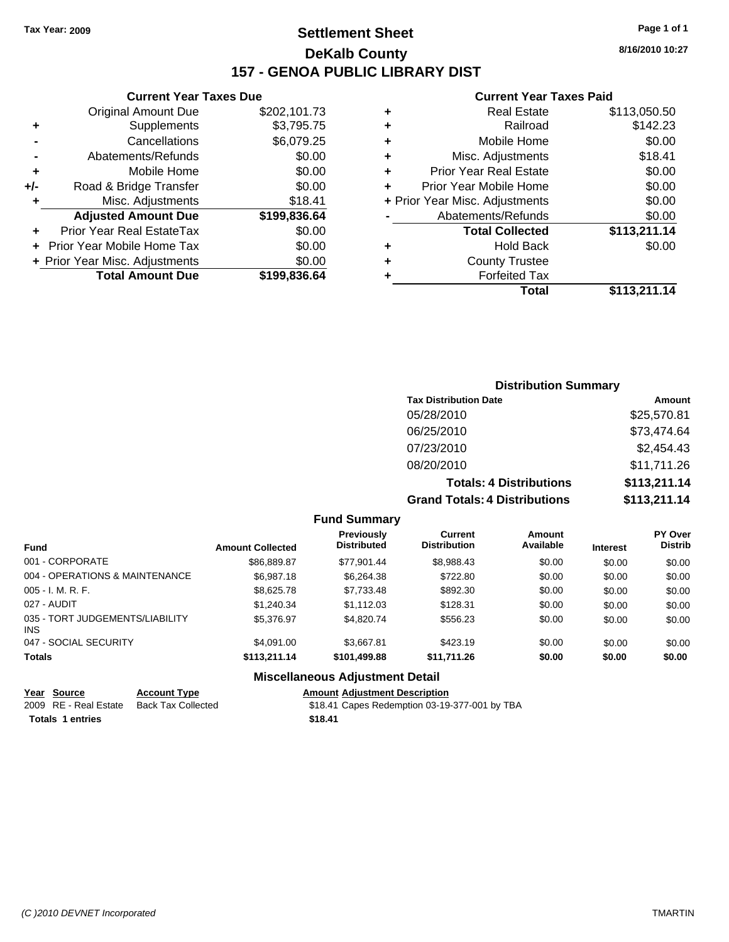## **Settlement Sheet Tax Year: 2009 Page 1 of 1 DeKalb County 157 - GENOA PUBLIC LIBRARY DIST**

## **Current Year Taxes Due**

|     | <b>Original Amount Due</b>     | \$202,101.73 |
|-----|--------------------------------|--------------|
| ٠   | Supplements                    | \$3,795.75   |
|     | Cancellations                  | \$6,079.25   |
|     | Abatements/Refunds             | \$0.00       |
| ٠   | Mobile Home                    | \$0.00       |
| +/- | Road & Bridge Transfer         | \$0.00       |
| ٠   | Misc. Adjustments              | \$18.41      |
|     | <b>Adjusted Amount Due</b>     | \$199,836.64 |
|     | Prior Year Real EstateTax      | \$0.00       |
|     | Prior Year Mobile Home Tax     | \$0.00       |
|     | + Prior Year Misc. Adjustments | \$0.00       |
|     | <b>Total Amount Due</b>        | \$199,836.64 |

### **Current Year Taxes Paid**

| ٠ | Real Estate                    | \$113,050.50 |
|---|--------------------------------|--------------|
| ٠ | Railroad                       | \$142.23     |
| ٠ | Mobile Home                    | \$0.00       |
| ٠ | Misc. Adjustments              | \$18.41      |
| ٠ | <b>Prior Year Real Estate</b>  | \$0.00       |
| ٠ | Prior Year Mobile Home         | \$0.00       |
|   | + Prior Year Misc. Adjustments | \$0.00       |
|   | Abatements/Refunds             | \$0.00       |
|   | <b>Total Collected</b>         | \$113,211.14 |
| ٠ | Hold Back                      | \$0.00       |
| ٠ | <b>County Trustee</b>          |              |
|   | <b>Forfeited Tax</b>           |              |
|   | Total                          | \$113,211.14 |
|   |                                |              |

## **Distribution Summary Tax Distribution Date Amount** 05/28/2010 \$25,570.81 06/25/2010 \$73,474.64 07/23/2010 \$2,454.43 08/20/2010 \$11,711.26 **Totals: 4 Distributions \$113,211.14 Grand Totals: 4 Distributions \$113,211.14**

### **Fund Summary**

| <b>Fund</b>                             | <b>Amount Collected</b> | <b>Previously</b><br><b>Distributed</b> | Current<br><b>Distribution</b> | Amount<br>Available | <b>Interest</b> | <b>PY Over</b><br><b>Distrib</b> |
|-----------------------------------------|-------------------------|-----------------------------------------|--------------------------------|---------------------|-----------------|----------------------------------|
| 001 - CORPORATE                         | \$86,889.87             | \$77.901.44                             | \$8,988.43                     | \$0.00              | \$0.00          | \$0.00                           |
| 004 - OPERATIONS & MAINTENANCE          | \$6,987.18              | \$6,264.38                              | \$722.80                       | \$0.00              | \$0.00          | \$0.00                           |
| 005 - I. M. R. F.                       | \$8,625,78              | \$7,733.48                              | \$892.30                       | \$0.00              | \$0.00          | \$0.00                           |
| 027 - AUDIT                             | \$1,240.34              | \$1,112.03                              | \$128.31                       | \$0.00              | \$0.00          | \$0.00                           |
| 035 - TORT JUDGEMENTS/LIABILITY<br>INS. | \$5,376.97              | \$4,820,74                              | \$556.23                       | \$0.00              | \$0.00          | \$0.00                           |
| 047 - SOCIAL SECURITY                   | \$4.091.00              | \$3,667.81                              | \$423.19                       | \$0.00              | \$0.00          | \$0.00                           |
| <b>Totals</b>                           | \$113.211.14            | \$101,499.88                            | \$11,711.26                    | \$0.00              | \$0.00          | \$0.00                           |

| Year Source             | <b>Account Type</b> | <b>Amount Adiustment Description</b>          |
|-------------------------|---------------------|-----------------------------------------------|
| 2009 RE - Real Estate   | Back Tax Collected  | \$18.41 Capes Redemption 03-19-377-001 by TBA |
| <b>Totals 1 entries</b> |                     | \$18.41                                       |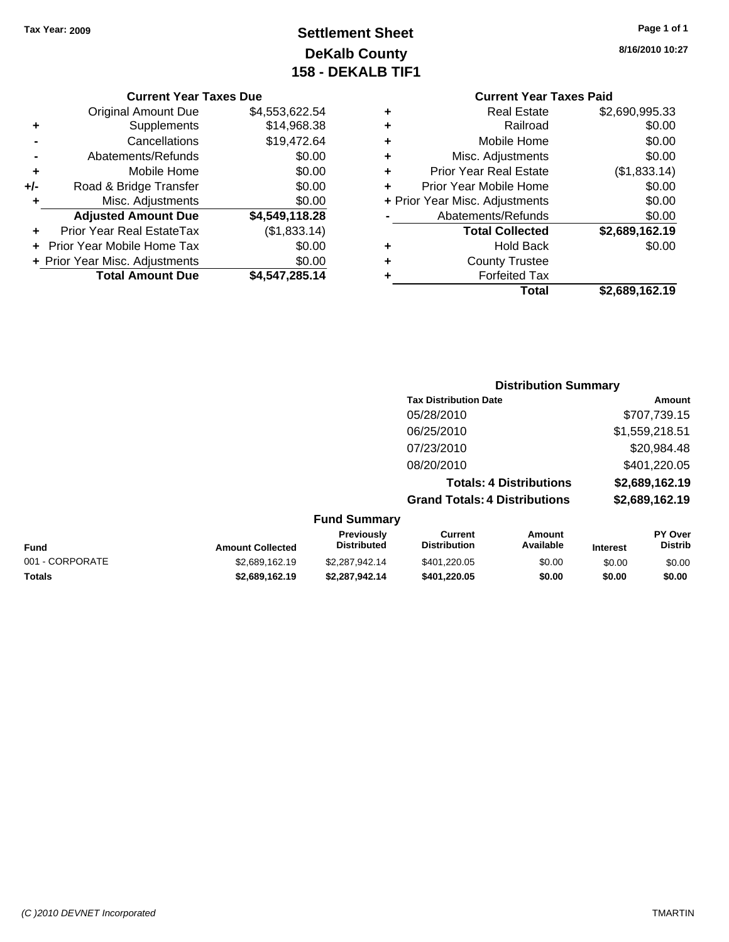# **Settlement Sheet Tax Year: 2009 Page 1 of 1 DeKalb County 158 - DEKALB TIF1**

### **8/16/2010 10:27**

### **Current Year Taxes Due**

|     | <b>Original Amount Due</b>        | \$4,553,622.54 |
|-----|-----------------------------------|----------------|
| ٠   | Supplements                       | \$14,968.38    |
|     | Cancellations                     | \$19,472.64    |
|     | Abatements/Refunds                | \$0.00         |
| ٠   | Mobile Home                       | \$0.00         |
| +/- | Road & Bridge Transfer            | \$0.00         |
| ٠   | Misc. Adjustments                 | \$0.00         |
|     | <b>Adjusted Amount Due</b>        | \$4,549,118.28 |
|     | <b>Prior Year Real EstateTax</b>  | (\$1,833.14)   |
|     | <b>Prior Year Mobile Home Tax</b> | \$0.00         |
|     | + Prior Year Misc. Adjustments    | \$0.00         |
|     | <b>Total Amount Due</b>           | \$4,547,285.14 |

## **Current Year Taxes Paid +** Real Estate \$2,690,995.33 **+** Railroad \$0.00 **+** Mobile Home \$0.00 **+** Misc. Adjustments \$0.00 **+** Prior Year Real Estate (\$1,833.14) **+** Prior Year Mobile Home \$0.00 **+** Prior Year Misc. Adjustments  $$0.00$ **-** Abatements/Refunds \$0.00 **Total Collected \$2,689,162.19**

| Total                | \$2,689,162.19 |
|----------------------|----------------|
| <b>Forfeited Tax</b> |                |

|          | ×<br>۰. | $-$ |  |  |  |
|----------|---------|-----|--|--|--|
| ___<br>w |         |     |  |  |  |

**Distribution Summary Tax Distribution Date Amount** 05/28/2010 \$707,739.15 06/25/2010 \$1,559,218.51 07/23/2010 \$20,984.48 08/20/2010 \$401,220.05

**+** County Trustee

**+** Hold Back \$0.00

|                 |                         |                                  |                                      | <b>Totals: 4 Distributions</b> |                 | \$2,689,162.19                   |
|-----------------|-------------------------|----------------------------------|--------------------------------------|--------------------------------|-----------------|----------------------------------|
|                 |                         |                                  | <b>Grand Totals: 4 Distributions</b> |                                |                 | \$2,689,162.19                   |
|                 |                         | <b>Fund Summary</b>              |                                      |                                |                 |                                  |
| <b>Fund</b>     | <b>Amount Collected</b> | Previously<br><b>Distributed</b> | Current<br><b>Distribution</b>       | <b>Amount</b><br>Available     | <b>Interest</b> | <b>PY Over</b><br><b>Distrib</b> |
| 001 - CORPORATE | \$2,689,162.19          | \$2,287,942,14                   | \$401,220.05                         | \$0.00                         | \$0.00          | \$0.00                           |
| <b>Totals</b>   | \$2.689.162.19          | \$2.287.942.14                   | \$401.220.05                         | \$0.00                         | \$0.00          | \$0.00                           |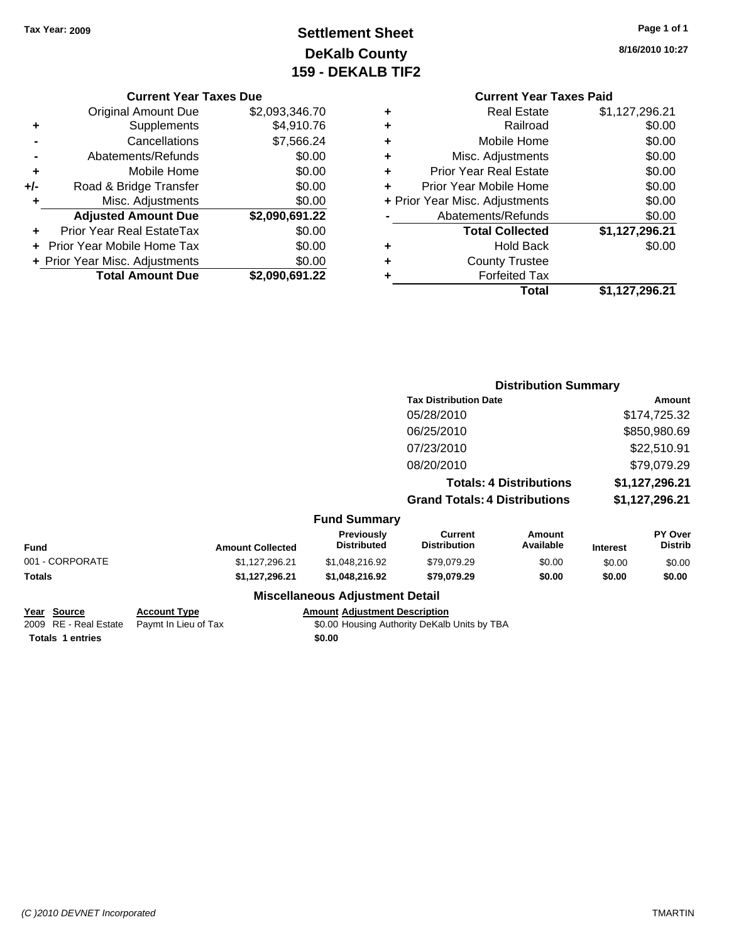# **Settlement Sheet Tax Year: 2009 Page 1 of 1 DeKalb County 159 - DEKALB TIF2**

**8/16/2010 10:27**

### **Current Year Taxes Due**

|     | <b>Original Amount Due</b>     | \$2,093,346.70 |
|-----|--------------------------------|----------------|
| ٠   | Supplements                    | \$4,910.76     |
|     | Cancellations                  | \$7,566.24     |
|     | Abatements/Refunds             | \$0.00         |
| ٠   | Mobile Home                    | \$0.00         |
| +/- | Road & Bridge Transfer         | \$0.00         |
| ÷   | Misc. Adjustments              | \$0.00         |
|     | <b>Adjusted Amount Due</b>     | \$2,090,691.22 |
|     | Prior Year Real EstateTax      | \$0.00         |
|     | Prior Year Mobile Home Tax     | \$0.00         |
|     | + Prior Year Misc. Adjustments | \$0.00         |
|     | <b>Total Amount Due</b>        | \$2,090,691.22 |

### **Current Year Taxes Paid +** Real Estate \$1,127,296.21

|   | Total                          | \$1,127,296.21 |
|---|--------------------------------|----------------|
|   | <b>Forfeited Tax</b>           |                |
| ٠ | <b>County Trustee</b>          |                |
| ٠ | <b>Hold Back</b>               | \$0.00         |
|   | <b>Total Collected</b>         | \$1,127,296.21 |
|   | Abatements/Refunds             | \$0.00         |
|   | + Prior Year Misc. Adjustments | \$0.00         |
| ٠ | Prior Year Mobile Home         | \$0.00         |
| ÷ | <b>Prior Year Real Estate</b>  | \$0.00         |
| ٠ | Misc. Adjustments              | \$0.00         |
| ٠ | Mobile Home                    | \$0.00         |
| ÷ | Railroad                       | \$0.00         |
| ٠ | Real Estate                    | \$1,127,296.21 |

|                 |                         |                                         |                                       | <b>Distribution Summary</b>    |                 |                           |
|-----------------|-------------------------|-----------------------------------------|---------------------------------------|--------------------------------|-----------------|---------------------------|
|                 |                         |                                         | <b>Tax Distribution Date</b>          |                                |                 | Amount                    |
|                 |                         |                                         | 05/28/2010                            |                                |                 | \$174,725.32              |
|                 |                         |                                         | 06/25/2010                            |                                |                 | \$850,980.69              |
|                 |                         |                                         | 07/23/2010                            |                                |                 | \$22,510.91               |
|                 |                         |                                         | 08/20/2010                            |                                |                 | \$79,079.29               |
|                 |                         |                                         |                                       | <b>Totals: 4 Distributions</b> |                 | \$1,127,296.21            |
|                 |                         |                                         | <b>Grand Totals: 4 Distributions</b>  |                                |                 | \$1,127,296.21            |
|                 |                         | <b>Fund Summary</b>                     |                                       |                                |                 |                           |
| <b>Fund</b>     | <b>Amount Collected</b> | <b>Previously</b><br><b>Distributed</b> | <b>Current</b><br><b>Distribution</b> | <b>Amount</b><br>Available     | <b>Interest</b> | PY Over<br><b>Distrib</b> |
| 001 - CORPORATE | \$1,127,296.21          | \$1,048,216.92                          | \$79,079.29                           | \$0.00                         | \$0.00          | \$0.00                    |
| Totals          | \$1,127,296.21          | \$1,048,216.92                          | \$79,079.29                           | \$0.00                         | \$0.00          | \$0.00                    |
|                 |                         | <b>Miscellaneous Adjustment Detail</b>  |                                       |                                |                 |                           |

| Year Source             | <b>Account Type</b>                        |        | <b>Amount Adiustment De</b> |
|-------------------------|--------------------------------------------|--------|-----------------------------|
|                         | 2009 RE - Real Estate Paymt In Lieu of Tax |        | \$0.00 Housing Author       |
| <b>Totals 1 entries</b> |                                            | \$0.00 |                             |

**<u>escription</u>** rity DeKalb Units by TBA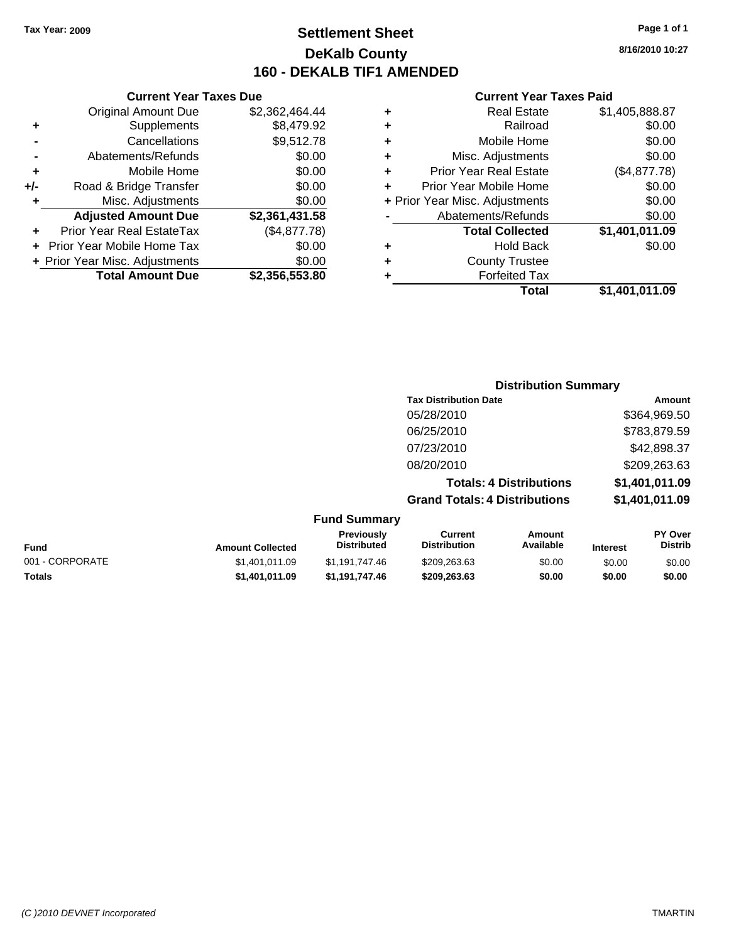## **Settlement Sheet Tax Year: 2009 Page 1 of 1 DeKalb County 160 - DEKALB TIF1 AMENDED**

|     | <b>Current Year Taxes Due</b>     |                |  |  |  |
|-----|-----------------------------------|----------------|--|--|--|
|     | <b>Original Amount Due</b>        | \$2,362,464.44 |  |  |  |
| ٠   | Supplements                       | \$8,479.92     |  |  |  |
|     | Cancellations                     | \$9,512.78     |  |  |  |
|     | Abatements/Refunds                | \$0.00         |  |  |  |
| ٠   | Mobile Home                       | \$0.00         |  |  |  |
| +/- | Road & Bridge Transfer            | \$0.00         |  |  |  |
|     | Misc. Adjustments                 | \$0.00         |  |  |  |
|     | <b>Adjusted Amount Due</b>        | \$2,361,431.58 |  |  |  |
| ÷   | Prior Year Real EstateTax         | (\$4,877.78)   |  |  |  |
|     | <b>Prior Year Mobile Home Tax</b> | \$0.00         |  |  |  |
|     | + Prior Year Misc. Adjustments    | \$0.00         |  |  |  |
|     | <b>Total Amount Due</b>           | \$2,356,553.80 |  |  |  |

## **Current Year Taxes Paid**

|   | <b>Real Estate</b>             | \$1,405,888.87 |
|---|--------------------------------|----------------|
| ٠ | Railroad                       | \$0.00         |
| ٠ | Mobile Home                    | \$0.00         |
| ٠ | Misc. Adjustments              | \$0.00         |
| ٠ | <b>Prior Year Real Estate</b>  | (\$4,877.78)   |
|   | Prior Year Mobile Home         | \$0.00         |
|   | + Prior Year Misc. Adjustments | \$0.00         |
|   | Abatements/Refunds             | \$0.00         |
|   | <b>Total Collected</b>         | \$1,401,011.09 |
| ٠ | <b>Hold Back</b>               | \$0.00         |
|   | <b>County Trustee</b>          |                |
|   | <b>Forfeited Tax</b>           |                |
|   | <b>Total</b>                   | \$1,401,011.09 |
|   |                                |                |

| <b>Distribution Summary</b>          |                |
|--------------------------------------|----------------|
| <b>Tax Distribution Date</b>         | Amount         |
| 05/28/2010                           | \$364,969.50   |
| 06/25/2010                           | \$783,879.59   |
| 07/23/2010                           | \$42,898.37    |
| 08/20/2010                           | \$209,263.63   |
| <b>Totals: 4 Distributions</b>       | \$1,401,011.09 |
| <b>Grand Totals: 4 Distributions</b> | \$1,401,011.09 |

| Fund            | <b>Amount Collected</b> | <b>Previously</b><br><b>Distributed</b> | Current<br><b>Distribution</b> | Amount<br>Available | <b>Interest</b> | <b>PY Over</b><br><b>Distrib</b> |
|-----------------|-------------------------|-----------------------------------------|--------------------------------|---------------------|-----------------|----------------------------------|
| 001 - CORPORATE | \$1.401.011.09          | \$1.191.747.46                          | \$209.263.63                   | \$0.00              | \$0.00          | \$0.00                           |
| Totals          | \$1,401,011.09          | \$1.191.747.46                          | \$209.263.63                   | \$0.00              | \$0.00          | \$0.00                           |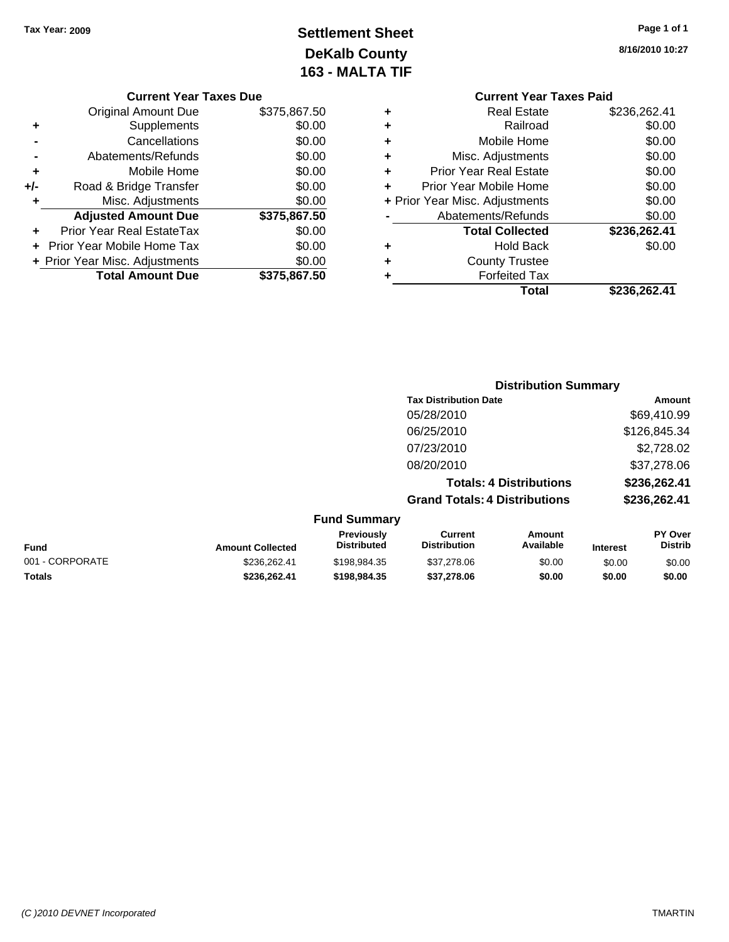# **Settlement Sheet Tax Year: 2009 Page 1 of 1 DeKalb County 163 - MALTA TIF**

**8/16/2010 10:27**

| <b>Current Year Taxes Due</b> |  |  |  |  |
|-------------------------------|--|--|--|--|
|-------------------------------|--|--|--|--|

|     | <b>Original Amount Due</b>     | \$375,867.50 |
|-----|--------------------------------|--------------|
| ٠   | Supplements                    | \$0.00       |
|     | Cancellations                  | \$0.00       |
|     | Abatements/Refunds             | \$0.00       |
| ٠   | Mobile Home                    | \$0.00       |
| +/- | Road & Bridge Transfer         | \$0.00       |
| ٠   | Misc. Adjustments              | \$0.00       |
|     | <b>Adjusted Amount Due</b>     | \$375,867.50 |
|     | Prior Year Real EstateTax      | \$0.00       |
|     |                                |              |
|     | Prior Year Mobile Home Tax     | \$0.00       |
|     | + Prior Year Misc. Adjustments | \$0.00       |
|     | <b>Total Amount Due</b>        | \$375,867.50 |

|   | <b>Current Year Taxes Paid</b> |              |  |  |  |  |  |
|---|--------------------------------|--------------|--|--|--|--|--|
| ٠ | <b>Real Estate</b>             | \$236,262.41 |  |  |  |  |  |
|   | Railroad                       | \$0.00       |  |  |  |  |  |
| ٠ | Mobile Home                    | \$0.00       |  |  |  |  |  |
| ٠ | Misc. Adjustments              | \$0.00       |  |  |  |  |  |
| ٠ | <b>Prior Year Real Estate</b>  | \$0.00       |  |  |  |  |  |
| ٠ | Prior Year Mobile Home         | \$0.00       |  |  |  |  |  |
|   | + Prior Year Misc. Adjustments | \$0.00       |  |  |  |  |  |
|   | Abatements/Refunds             | \$0.00       |  |  |  |  |  |
|   | <b>Total Collected</b>         | \$236,262.41 |  |  |  |  |  |
| ٠ | Hold Back                      | \$0.00       |  |  |  |  |  |
|   | <b>County Trustee</b>          |              |  |  |  |  |  |
|   | <b>Forfeited Tax</b>           |              |  |  |  |  |  |
|   | Total                          | \$236,262.41 |  |  |  |  |  |

|                     |                                      | <b>Distribution Summary</b>    |                |
|---------------------|--------------------------------------|--------------------------------|----------------|
|                     | <b>Tax Distribution Date</b>         |                                | Amount         |
|                     | 05/28/2010                           |                                | \$69,410.99    |
|                     | 06/25/2010                           |                                | \$126,845.34   |
|                     | 07/23/2010                           |                                | \$2,728.02     |
|                     | 08/20/2010                           |                                | \$37,278.06    |
|                     |                                      | <b>Totals: 4 Distributions</b> | \$236,262.41   |
|                     | <b>Grand Totals: 4 Distributions</b> |                                | \$236,262.41   |
| <b>Fund Summary</b> |                                      |                                |                |
| <b>Previously</b>   | <b>Current</b>                       | Amount                         | <b>PY Over</b> |

| <b>Fund</b>     | <b>Amount Collected</b> | <b>Previously</b><br><b>Distributed</b> | ∪urrent<br><b>Distribution</b> | Amount<br>Available | <b>Interest</b> | <b>PT OVER</b><br>Distrib |
|-----------------|-------------------------|-----------------------------------------|--------------------------------|---------------------|-----------------|---------------------------|
| 001 - CORPORATE | \$236,262.41            | \$198.984.35                            | \$37,278.06                    | \$0.00              | \$0.00          | \$0.00                    |
| <b>Totals</b>   | \$236.262.41            | \$198.984.35                            | \$37.278.06                    | \$0.00              | \$0.00          | \$0.00                    |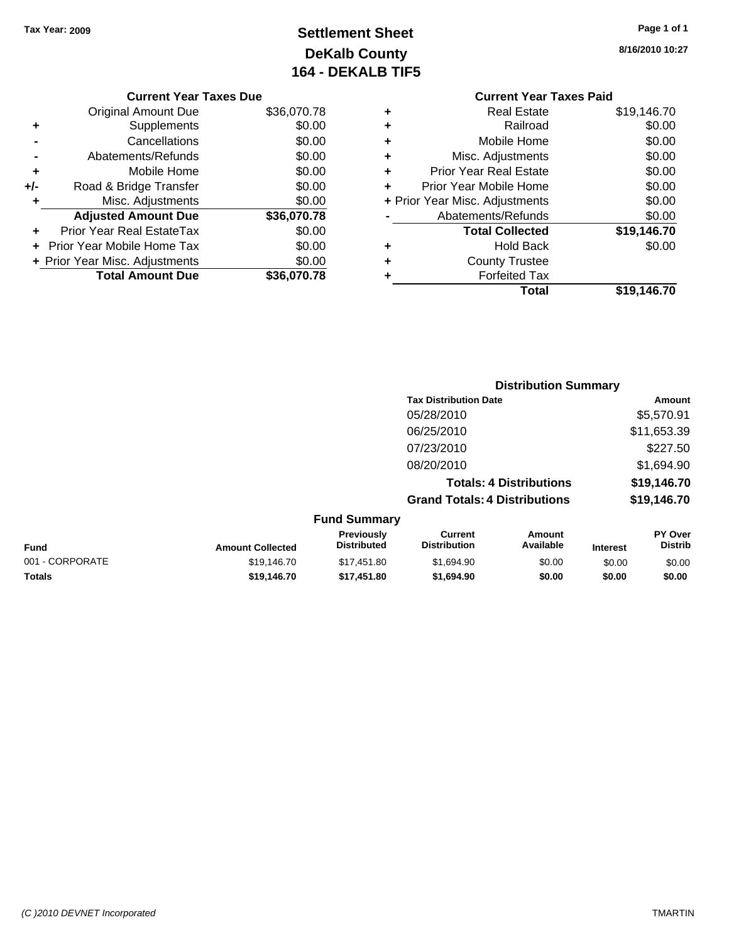# **Settlement Sheet Tax Year: 2009 Page 1 of 1 DeKalb County 164 - DEKALB TIF5**

**8/16/2010 10:27**

|                                | <b>Current Year Taxes Due</b>             |             |  |  |  |  |
|--------------------------------|-------------------------------------------|-------------|--|--|--|--|
|                                | \$36,070.78<br><b>Original Amount Due</b> |             |  |  |  |  |
| ٠                              | Supplements                               | \$0.00      |  |  |  |  |
| $\blacksquare$                 | Cancellations                             | \$0.00      |  |  |  |  |
| -                              | Abatements/Refunds                        | \$0.00      |  |  |  |  |
| ٠                              | Mobile Home                               | \$0.00      |  |  |  |  |
| +/-                            | Road & Bridge Transfer                    | \$0.00      |  |  |  |  |
| Misc. Adjustments<br>$\ddot{}$ |                                           |             |  |  |  |  |
|                                | <b>Adjusted Amount Due</b>                | \$36,070.78 |  |  |  |  |

|         | <b>Total Amount Due</b>          | \$36,070.78 |
|---------|----------------------------------|-------------|
|         | + Prior Year Misc. Adjustments   | \$0.00      |
|         | + Prior Year Mobile Home Tax     | \$0.00      |
| $+$ $-$ | <b>Prior Year Real EstateTax</b> | \$0.00      |

# **Current Year Taxes Paid**

| ٠ | <b>Real Estate</b>             | \$19,146.70 |
|---|--------------------------------|-------------|
|   | Railroad                       | \$0.00      |
| ٠ | Mobile Home                    | \$0.00      |
| ٠ | Misc. Adjustments              | \$0.00      |
| ٠ | <b>Prior Year Real Estate</b>  | \$0.00      |
| ÷ | Prior Year Mobile Home         | \$0.00      |
|   | + Prior Year Misc. Adjustments | \$0.00      |
|   | Abatements/Refunds             | \$0.00      |
|   | <b>Total Collected</b>         | \$19,146.70 |
| ٠ | <b>Hold Back</b>               | \$0.00      |
|   | <b>County Trustee</b>          |             |
|   | <b>Forfeited Tax</b>           |             |
|   | Total                          | \$19,146.70 |
|   |                                |             |

|                         |                                         |                                      | <b>Distribution Summary</b>    |          |                           |
|-------------------------|-----------------------------------------|--------------------------------------|--------------------------------|----------|---------------------------|
|                         |                                         | <b>Tax Distribution Date</b>         |                                |          | Amount                    |
|                         |                                         | 05/28/2010                           |                                |          | \$5,570.91                |
|                         |                                         | 06/25/2010                           |                                |          | \$11,653.39               |
|                         |                                         | 07/23/2010                           |                                |          | \$227.50                  |
|                         |                                         | 08/20/2010                           |                                |          | \$1,694.90                |
|                         |                                         |                                      | <b>Totals: 4 Distributions</b> |          | \$19,146.70               |
|                         |                                         | <b>Grand Totals: 4 Distributions</b> |                                |          | \$19,146.70               |
|                         | <b>Fund Summary</b>                     |                                      |                                |          |                           |
| <b>Amount Collected</b> | <b>Previously</b><br><b>Distributed</b> | Current<br><b>Distribution</b>       | Amount<br>Available            | Interest | PY Over<br><b>Distrib</b> |

| <b>Fund</b>     | <b>Amount Collected</b> | ι ι σνιυμειν<br><b>Distributed</b> | <b>VULLEIR</b><br><b>Distribution</b> | Allivulit<br>Available | <b>Interest</b> | וטע ו<br>Distrib |
|-----------------|-------------------------|------------------------------------|---------------------------------------|------------------------|-----------------|------------------|
| 001 - CORPORATE | \$19,146.70             | \$17.451.80                        | \$1,694.90                            | \$0.00                 | \$0.00          | \$0.00           |
| <b>Totals</b>   | \$19,146.70             | \$17.451.80                        | \$1,694.90                            | \$0.00                 | \$0.00          | \$0.00           |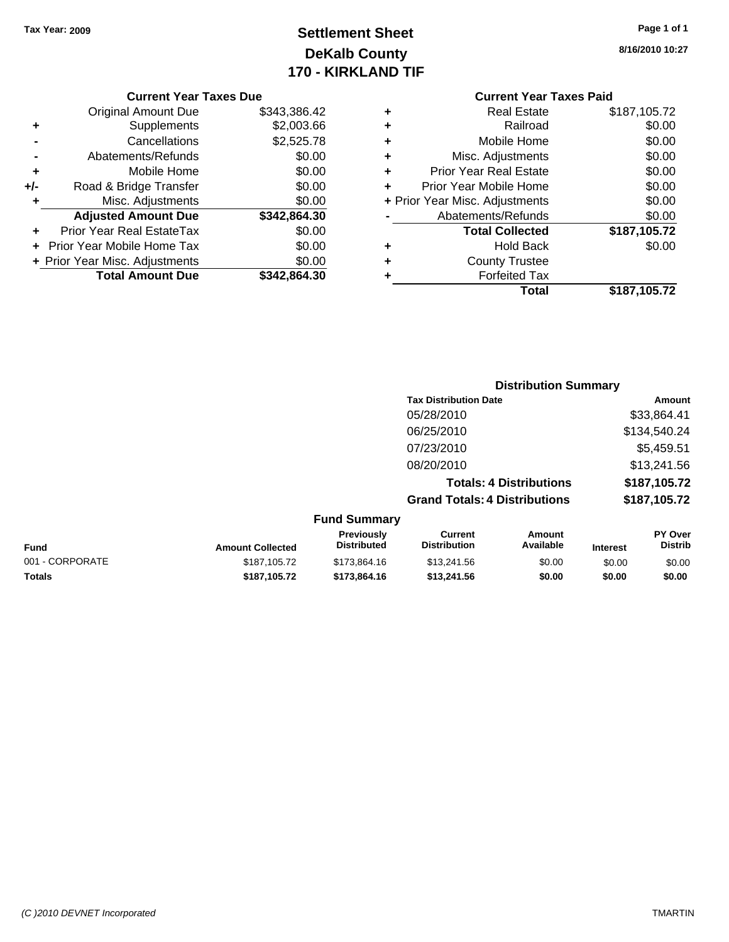# **Settlement Sheet Tax Year: 2009 Page 1 of 1 DeKalb County 170 - KIRKLAND TIF**

**8/16/2010 10:27**

### **Current Year Taxes Due**

|     | <b>Original Amount Due</b>     | \$343,386.42 |
|-----|--------------------------------|--------------|
| ٠   | Supplements                    | \$2,003.66   |
|     | Cancellations                  | \$2,525.78   |
|     | Abatements/Refunds             | \$0.00       |
| ٠   | Mobile Home                    | \$0.00       |
| +/- | Road & Bridge Transfer         | \$0.00       |
| ٠   | Misc. Adjustments              | \$0.00       |
|     | <b>Adjusted Amount Due</b>     | \$342,864.30 |
|     | Prior Year Real EstateTax      | \$0.00       |
|     | Prior Year Mobile Home Tax     | \$0.00       |
|     | + Prior Year Misc. Adjustments | \$0.00       |
|     | <b>Total Amount Due</b>        | \$342.864.30 |

## **Current Year Taxes Paid**

|   | <b>Real Estate</b>             | \$187,105.72 |
|---|--------------------------------|--------------|
|   | Railroad                       | \$0.00       |
| ٠ | Mobile Home                    | \$0.00       |
| ٠ | Misc. Adjustments              | \$0.00       |
| ٠ | <b>Prior Year Real Estate</b>  | \$0.00       |
|   | Prior Year Mobile Home         | \$0.00       |
|   | + Prior Year Misc. Adjustments | \$0.00       |
|   | Abatements/Refunds             | \$0.00       |
|   | <b>Total Collected</b>         | \$187,105.72 |
| ٠ | <b>Hold Back</b>               | \$0.00       |
| ٠ | <b>County Trustee</b>          |              |
|   | <b>Forfeited Tax</b>           |              |
|   | Total                          | \$187,105.72 |
|   |                                |              |

## **Distribution Summary Tax Distribution Date Amount** 05/28/2010 \$33,864.41 06/25/2010 \$134,540.24 07/23/2010 \$5,459.51 08/20/2010 \$13,241.56 **Totals: 4 Distributions \$187,105.72 Grand Totals: 4 Distributions \$187,105.72 Fund Summary**

|                 |                         | <b>Previously</b>  | Current             | Amount    |                 | PY Over        |
|-----------------|-------------------------|--------------------|---------------------|-----------|-----------------|----------------|
| <b>Fund</b>     | <b>Amount Collected</b> | <b>Distributed</b> | <b>Distribution</b> | Available | <b>Interest</b> | <b>Distrib</b> |
| 001 - CORPORATE | \$187,105.72            | \$173,864.16       | \$13,241.56         | \$0.00    | \$0.00          | \$0.00         |
| Totals          | \$187.105.72            | \$173,864.16       | \$13,241.56         | \$0.00    | \$0.00          | \$0.00         |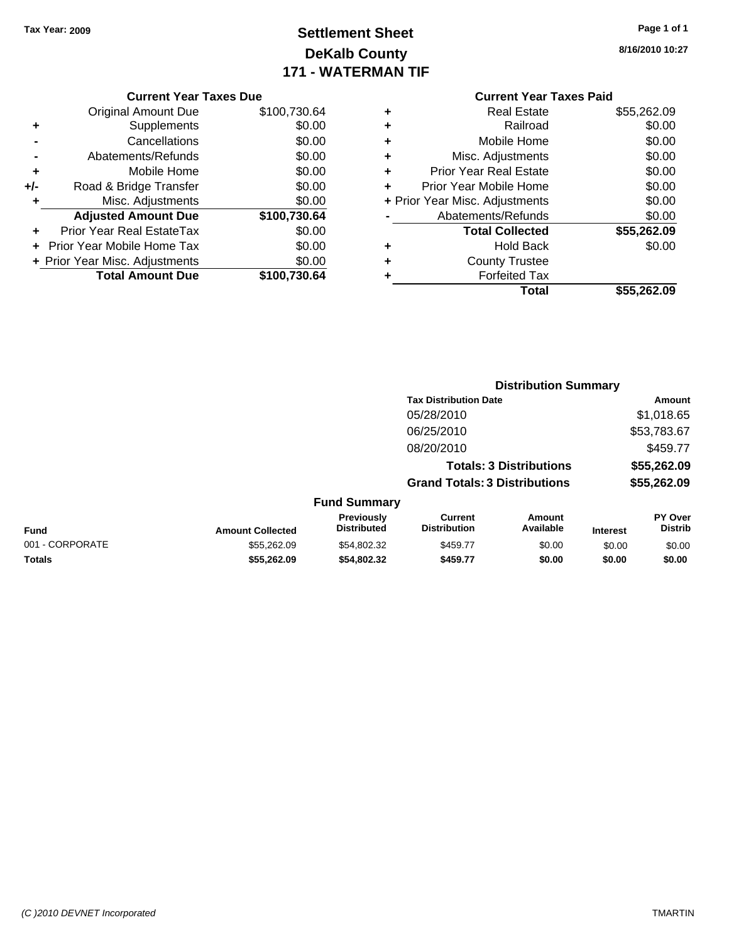# **Settlement Sheet Tax Year: 2009 Page 1 of 1 DeKalb County 171 - WATERMAN TIF**

**8/16/2010 10:27**

### **Current Year Taxes Due**

|       | <b>Original Amount Due</b>     | \$100,730.64 |
|-------|--------------------------------|--------------|
| ٠     | Supplements                    | \$0.00       |
|       | Cancellations                  | \$0.00       |
|       | Abatements/Refunds             | \$0.00       |
| ٠     | Mobile Home                    | \$0.00       |
| $+/-$ | Road & Bridge Transfer         | \$0.00       |
| ÷     | Misc. Adjustments              | \$0.00       |
|       | <b>Adjusted Amount Due</b>     | \$100,730.64 |
|       | Prior Year Real EstateTax      | \$0.00       |
|       | Prior Year Mobile Home Tax     | \$0.00       |
|       | + Prior Year Misc. Adjustments | \$0.00       |
|       | <b>Total Amount Due</b>        | \$100,730.64 |

## **Current Year Taxes Paid**

| ٠                              | <b>Real Estate</b>            | \$55,262.09 |
|--------------------------------|-------------------------------|-------------|
| ÷                              | Railroad                      | \$0.00      |
| ÷                              | Mobile Home                   | \$0.00      |
| ٠                              | Misc. Adjustments             | \$0.00      |
| ٠                              | <b>Prior Year Real Estate</b> | \$0.00      |
| ÷                              | Prior Year Mobile Home        | \$0.00      |
| + Prior Year Misc. Adjustments |                               | \$0.00      |
|                                | Abatements/Refunds            | \$0.00      |
|                                | <b>Total Collected</b>        | \$55,262.09 |
| ٠                              | <b>Hold Back</b>              | \$0.00      |
| ٠                              | <b>County Trustee</b>         |             |
| ٠                              | <b>Forfeited Tax</b>          |             |
|                                | Total                         | \$55,262.09 |
|                                |                               |             |

|                 |                         |                                  |                                       | <b>Distribution Summary</b>    |                 |                                  |
|-----------------|-------------------------|----------------------------------|---------------------------------------|--------------------------------|-----------------|----------------------------------|
|                 |                         |                                  | <b>Tax Distribution Date</b>          |                                |                 | Amount                           |
|                 |                         |                                  | 05/28/2010                            |                                |                 | \$1,018.65                       |
|                 |                         |                                  | 06/25/2010                            |                                |                 | \$53,783.67                      |
|                 |                         |                                  | 08/20/2010                            |                                |                 | \$459.77                         |
|                 |                         |                                  |                                       | <b>Totals: 3 Distributions</b> |                 | \$55,262.09                      |
|                 |                         |                                  | <b>Grand Totals: 3 Distributions</b>  |                                |                 | \$55,262.09                      |
|                 |                         | <b>Fund Summary</b>              |                                       |                                |                 |                                  |
| <b>Fund</b>     | <b>Amount Collected</b> | Previously<br><b>Distributed</b> | <b>Current</b><br><b>Distribution</b> | Amount<br>Available            | <b>Interest</b> | <b>PY Over</b><br><b>Distrib</b> |
| 001 - CORPORATE | \$55,262.09             | \$54,802.32                      | \$459.77                              | \$0.00                         | \$0.00          | \$0.00                           |
| Totals          | \$55,262.09             | \$54,802.32                      | \$459.77                              | \$0.00                         | \$0.00          | \$0.00                           |
|                 |                         |                                  |                                       |                                |                 |                                  |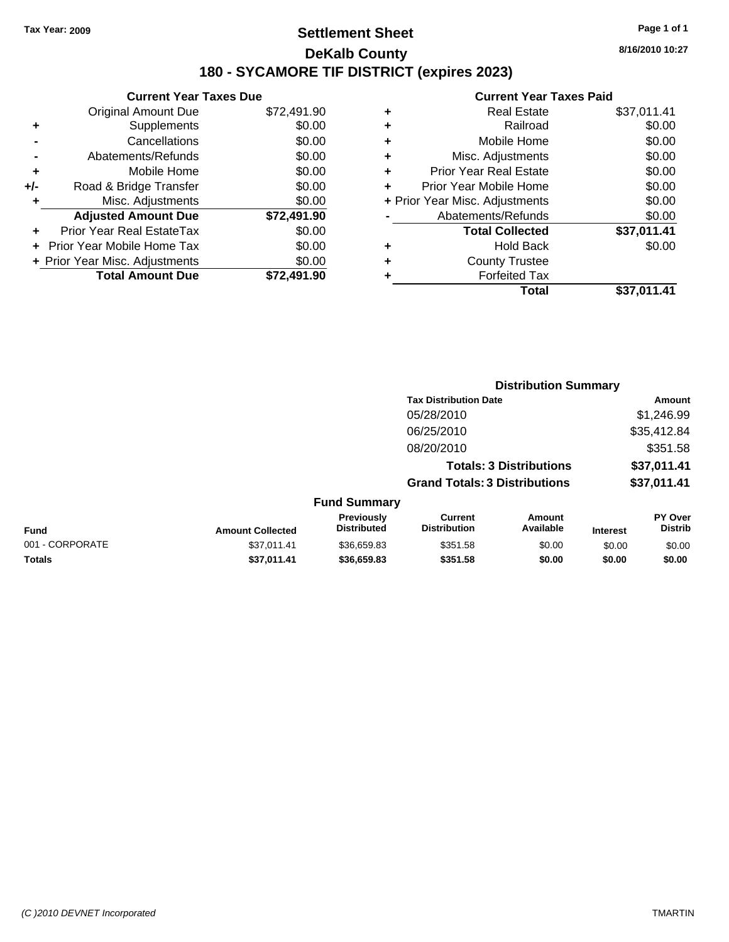## **Settlement Sheet Tax Year: 2009 Page 1 of 1 DeKalb County 180 - SYCAMORE TIF DISTRICT (expires 2023)**

**8/16/2010 10:27**

|     | <b>Current Year Taxes Due</b>  |             |  |  |  |  |
|-----|--------------------------------|-------------|--|--|--|--|
|     | <b>Original Amount Due</b>     | \$72,491.90 |  |  |  |  |
| ٠   | Supplements                    | \$0.00      |  |  |  |  |
|     | Cancellations                  | \$0.00      |  |  |  |  |
|     | Abatements/Refunds             | \$0.00      |  |  |  |  |
| ٠   | Mobile Home                    | \$0.00      |  |  |  |  |
| +/- | Road & Bridge Transfer         | \$0.00      |  |  |  |  |
| ٠   | Misc. Adjustments              | \$0.00      |  |  |  |  |
|     | <b>Adjusted Amount Due</b>     | \$72,491.90 |  |  |  |  |
| ٠   | Prior Year Real EstateTax      | \$0.00      |  |  |  |  |
|     | Prior Year Mobile Home Tax     | \$0.00      |  |  |  |  |
|     | + Prior Year Misc. Adjustments | \$0.00      |  |  |  |  |
|     | <b>Total Amount Due</b>        | \$72.491.90 |  |  |  |  |
|     |                                |             |  |  |  |  |

| <b>Current Year Taxes Paid</b> |  |  |  |  |  |
|--------------------------------|--|--|--|--|--|
| \$37,011.41                    |  |  |  |  |  |
| \$0.00                         |  |  |  |  |  |
| \$0.00                         |  |  |  |  |  |
| \$0.00                         |  |  |  |  |  |
| \$0.00                         |  |  |  |  |  |
| \$0.00                         |  |  |  |  |  |
| \$0.00                         |  |  |  |  |  |
| \$0.00                         |  |  |  |  |  |
| \$37,011.41                    |  |  |  |  |  |
| \$0.00                         |  |  |  |  |  |
|                                |  |  |  |  |  |
|                                |  |  |  |  |  |
| \$37,011.41                    |  |  |  |  |  |
|                                |  |  |  |  |  |

|                 |                         |                                  |                                       | <b>Distribution Summary</b>    |                 |                           |
|-----------------|-------------------------|----------------------------------|---------------------------------------|--------------------------------|-----------------|---------------------------|
|                 |                         |                                  | <b>Tax Distribution Date</b>          |                                |                 | Amount                    |
|                 |                         |                                  | 05/28/2010                            |                                |                 | \$1,246.99                |
|                 |                         |                                  | 06/25/2010                            |                                |                 | \$35,412.84               |
|                 |                         |                                  | 08/20/2010                            |                                |                 | \$351.58                  |
|                 |                         |                                  |                                       | <b>Totals: 3 Distributions</b> |                 | \$37,011.41               |
|                 |                         |                                  | <b>Grand Totals: 3 Distributions</b>  |                                |                 | \$37,011.41               |
|                 |                         | <b>Fund Summary</b>              |                                       |                                |                 |                           |
| Fund            | <b>Amount Collected</b> | Previously<br><b>Distributed</b> | <b>Current</b><br><b>Distribution</b> | Amount<br>Available            | <b>Interest</b> | PY Over<br><b>Distrib</b> |
| 001 - CORPORATE | \$37.011.41             | \$36,659.83                      | \$351.58                              | \$0.00                         | \$0.00          | \$0.00                    |
| Totals          | \$37,011.41             | \$36,659.83                      | \$351.58                              | \$0.00                         | \$0.00          | \$0.00                    |
|                 |                         |                                  |                                       |                                |                 |                           |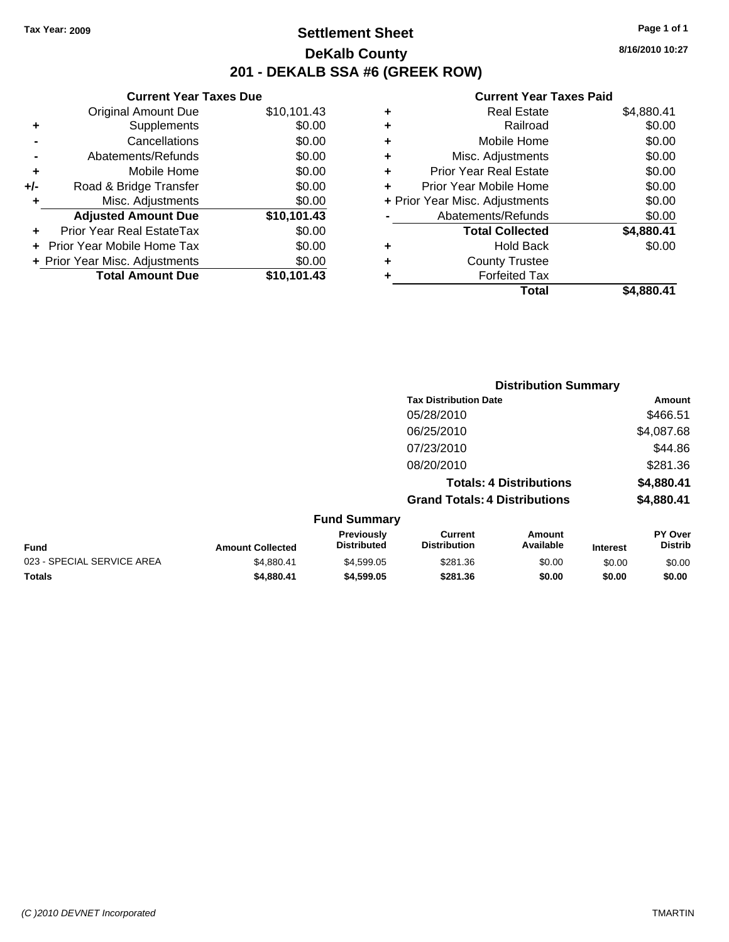## **Settlement Sheet Tax Year: 2009 Page 1 of 1 DeKalb County 201 - DEKALB SSA #6 (GREEK ROW)**

**8/16/2010 10:27**

## **Current Year Taxes Paid**

| ٠ | <b>Real Estate</b>             | \$4,880.41 |
|---|--------------------------------|------------|
| ٠ | Railroad                       | \$0.00     |
| ٠ | Mobile Home                    | \$0.00     |
| ٠ | Misc. Adjustments              | \$0.00     |
| ٠ | <b>Prior Year Real Estate</b>  | \$0.00     |
|   | Prior Year Mobile Home         | \$0.00     |
|   | + Prior Year Misc. Adjustments | \$0.00     |
|   | Abatements/Refunds             | \$0.00     |
|   | <b>Total Collected</b>         | \$4,880.41 |
| ٠ | <b>Hold Back</b>               | \$0.00     |
| ٠ | <b>County Trustee</b>          |            |
|   | <b>Forfeited Tax</b>           |            |
|   | Total                          | \$4.880.41 |

|     | <b>Total Amount Due</b>        | \$10,101.43 |
|-----|--------------------------------|-------------|
|     | + Prior Year Misc. Adjustments | \$0.00      |
|     | Prior Year Mobile Home Tax     | \$0.00      |
|     | Prior Year Real EstateTax      | \$0.00      |
|     | <b>Adjusted Amount Due</b>     | \$10,101.43 |
| ٠   | Misc. Adjustments              | \$0.00      |
| +/- | Road & Bridge Transfer         | \$0.00      |
| ÷   | Mobile Home                    | \$0.00      |
|     | Abatements/Refunds             | \$0.00      |
|     | Cancellations                  | \$0.00      |
| ٠   | Supplements                    | \$0.00      |
|     | <b>Original Amount Due</b>     | \$10,101.43 |
|     | <b>Current Year Taxes Due</b>  |             |

|                  |                                         |                                      | <b>Distribution Summary</b>    |          |                                  |
|------------------|-----------------------------------------|--------------------------------------|--------------------------------|----------|----------------------------------|
|                  |                                         | <b>Tax Distribution Date</b>         |                                |          | Amount                           |
|                  |                                         | 05/28/2010                           |                                |          | \$466.51                         |
|                  |                                         | 06/25/2010                           |                                |          | \$4,087.68                       |
|                  |                                         | 07/23/2010                           |                                |          | \$44.86                          |
|                  |                                         | 08/20/2010                           |                                |          | \$281.36                         |
|                  |                                         |                                      | <b>Totals: 4 Distributions</b> |          | \$4,880.41                       |
|                  |                                         | <b>Grand Totals: 4 Distributions</b> |                                |          | \$4,880.41                       |
|                  | <b>Fund Summary</b>                     |                                      |                                |          |                                  |
| Amount Collected | <b>Previously</b><br><b>Distributed</b> | Current<br><b>Distribution</b>       | Amount<br>Available            | Interest | <b>PY Over</b><br><b>Distrib</b> |

|                            |                         | Previously<br><b>Distributed</b> | Current<br>Distribution | Amount<br>Available |                 | <b>PY Over</b> |
|----------------------------|-------------------------|----------------------------------|-------------------------|---------------------|-----------------|----------------|
| <b>Fund</b>                | <b>Amount Collected</b> |                                  |                         |                     | <b>Interest</b> | Distrib        |
| 023 - SPECIAL SERVICE AREA | \$4.880.41              | \$4,599.05                       | \$281.36                | \$0.00              | \$0.00          | \$0.00         |
| <b>Totals</b>              | \$4,880.41              | \$4.599.05                       | \$281.36                | \$0.00              | \$0.00          | \$0.00         |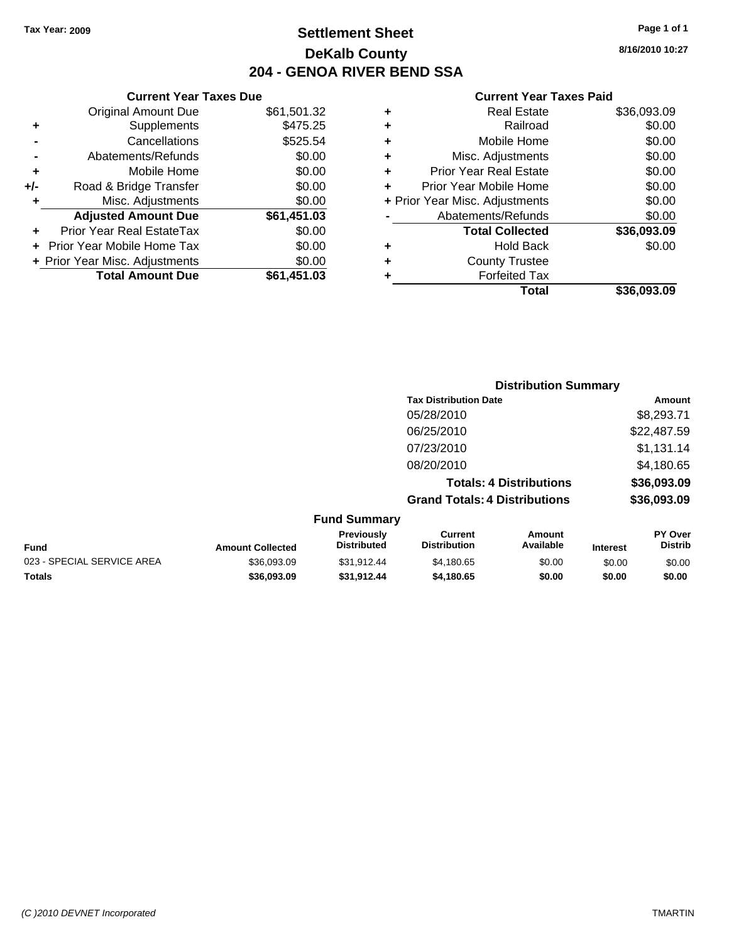## **Settlement Sheet Tax Year: 2009 Page 1 of 1 DeKalb County 204 - GENOA RIVER BEND SSA**

## **Current Year Taxes Due**

|     | <b>Original Amount Due</b>     | \$61,501.32 |
|-----|--------------------------------|-------------|
| ٠   | Supplements                    | \$475.25    |
|     | Cancellations                  | \$525.54    |
|     | Abatements/Refunds             | \$0.00      |
| ٠   | Mobile Home                    | \$0.00      |
| +/- | Road & Bridge Transfer         | \$0.00      |
| ٠   | Misc. Adjustments              | \$0.00      |
|     | <b>Adjusted Amount Due</b>     | \$61,451.03 |
|     | Prior Year Real EstateTax      | \$0.00      |
|     | Prior Year Mobile Home Tax     | \$0.00      |
|     | + Prior Year Misc. Adjustments | \$0.00      |
|     | <b>Total Amount Due</b>        | \$61,451.03 |

## **Current Year Taxes Paid**

|   | <b>Real Estate</b>             | \$36,093.09 |
|---|--------------------------------|-------------|
| ٠ | Railroad                       | \$0.00      |
| ٠ | Mobile Home                    | \$0.00      |
| ÷ | Misc. Adjustments              | \$0.00      |
| ٠ | <b>Prior Year Real Estate</b>  | \$0.00      |
| ÷ | Prior Year Mobile Home         | \$0.00      |
|   | + Prior Year Misc. Adjustments | \$0.00      |
|   | Abatements/Refunds             | \$0.00      |
|   | <b>Total Collected</b>         | \$36,093.09 |
| ٠ | Hold Back                      | \$0.00      |
| ٠ | <b>County Trustee</b>          |             |
|   | <b>Forfeited Tax</b>           |             |
|   | Total                          | \$36,093.09 |
|   |                                |             |

|                     | <b>Distribution Summary</b>          |             |  |
|---------------------|--------------------------------------|-------------|--|
|                     | <b>Tax Distribution Date</b>         | Amount      |  |
|                     | 05/28/2010                           | \$8,293.71  |  |
|                     | 06/25/2010                           | \$22,487.59 |  |
|                     | 07/23/2010                           | \$1,131.14  |  |
|                     | 08/20/2010                           | \$4,180.65  |  |
|                     | <b>Totals: 4 Distributions</b>       | \$36,093.09 |  |
|                     | <b>Grand Totals: 4 Distributions</b> | \$36,093.09 |  |
| <b>Fund Summary</b> |                                      |             |  |

| Fund                       | <b>Amount Collected</b> | <b>Previously</b><br><b>Distributed</b> | Current<br>Distribution | Amount<br>Available | <b>Interest</b> | PY Over<br><b>Distrib</b> |
|----------------------------|-------------------------|-----------------------------------------|-------------------------|---------------------|-----------------|---------------------------|
| 023 - SPECIAL SERVICE AREA | \$36,093,09             | \$31.912.44                             | \$4.180.65              | \$0.00              | \$0.00          | \$0.00                    |
| Totals                     | \$36,093,09             | \$31.912.44                             | \$4.180.65              | \$0.00              | \$0.00          | \$0.00                    |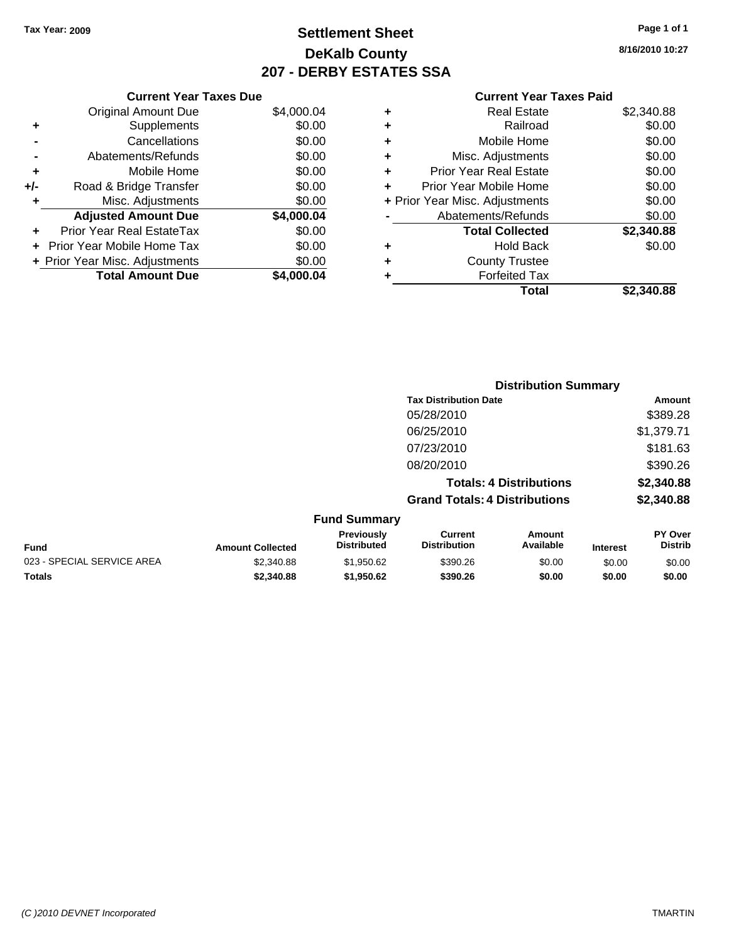**Current Year Taxes Due** Original Amount Due \$4,000.04

**Adjusted Amount Due \$4,000.04**

**Total Amount Due \$4,000.04**

**+** Supplements \$0.00<br> **c** Cancellations \$0.00

**-** Abatements/Refunds \$0.00 **+** Mobile Home \$0.00 **+/-** Road & Bridge Transfer \$0.00 **+** Misc. Adjustments \$0.00

**+** Prior Year Real EstateTax \$0.00 **+** Prior Year Mobile Home Tax \$0.00 **+ Prior Year Misc. Adjustments**  $$0.00$ 

**-** Cancellations

## **Settlement Sheet Tax Year: 2009 Page 1 of 1 DeKalb County 207 - DERBY ESTATES SSA**

**8/16/2010 10:27**

## **Current Year Taxes Paid**

| ٠ | <b>Real Estate</b>             | \$2,340.88 |
|---|--------------------------------|------------|
| ٠ | Railroad                       | \$0.00     |
| ٠ | Mobile Home                    | \$0.00     |
| ٠ | Misc. Adjustments              | \$0.00     |
| ٠ | <b>Prior Year Real Estate</b>  | \$0.00     |
|   | Prior Year Mobile Home         | \$0.00     |
|   | + Prior Year Misc. Adjustments | \$0.00     |
|   | Abatements/Refunds             | \$0.00     |
|   | <b>Total Collected</b>         | \$2,340.88 |
| ٠ | <b>Hold Back</b>               | \$0.00     |
| ٠ | <b>County Trustee</b>          |            |
| ٠ | <b>Forfeited Tax</b>           |            |
|   | Total                          | \$2.340.88 |

|                            |                         |                                  | <b>Distribution Summary</b>           |                                |                 |                           |
|----------------------------|-------------------------|----------------------------------|---------------------------------------|--------------------------------|-----------------|---------------------------|
|                            |                         |                                  | <b>Tax Distribution Date</b>          |                                |                 | Amount                    |
|                            |                         |                                  | 05/28/2010                            |                                |                 | \$389.28                  |
|                            |                         |                                  | 06/25/2010                            |                                |                 | \$1,379.71                |
|                            |                         |                                  | 07/23/2010                            |                                |                 | \$181.63                  |
|                            |                         |                                  | 08/20/2010                            |                                |                 | \$390.26                  |
|                            |                         |                                  |                                       | <b>Totals: 4 Distributions</b> |                 | \$2,340.88                |
|                            |                         |                                  | <b>Grand Totals: 4 Distributions</b>  |                                |                 | \$2,340.88                |
|                            |                         | <b>Fund Summary</b>              |                                       |                                |                 |                           |
| Fund                       | <b>Amount Collected</b> | Previously<br><b>Distributed</b> | <b>Current</b><br><b>Distribution</b> | <b>Amount</b><br>Available     | <b>Interest</b> | PY Over<br><b>Distrib</b> |
| 023 - SPECIAL SERVICE AREA | \$2,340.88              | \$1,950.62                       | \$390.26                              | \$0.00                         | \$0.00          | \$0.00                    |
| Totals                     | \$2,340.88              | \$1,950.62                       | \$390.26                              | \$0.00                         | \$0.00          | \$0.00                    |

### *(C )2010 DEVNET Incorporated* TMARTIN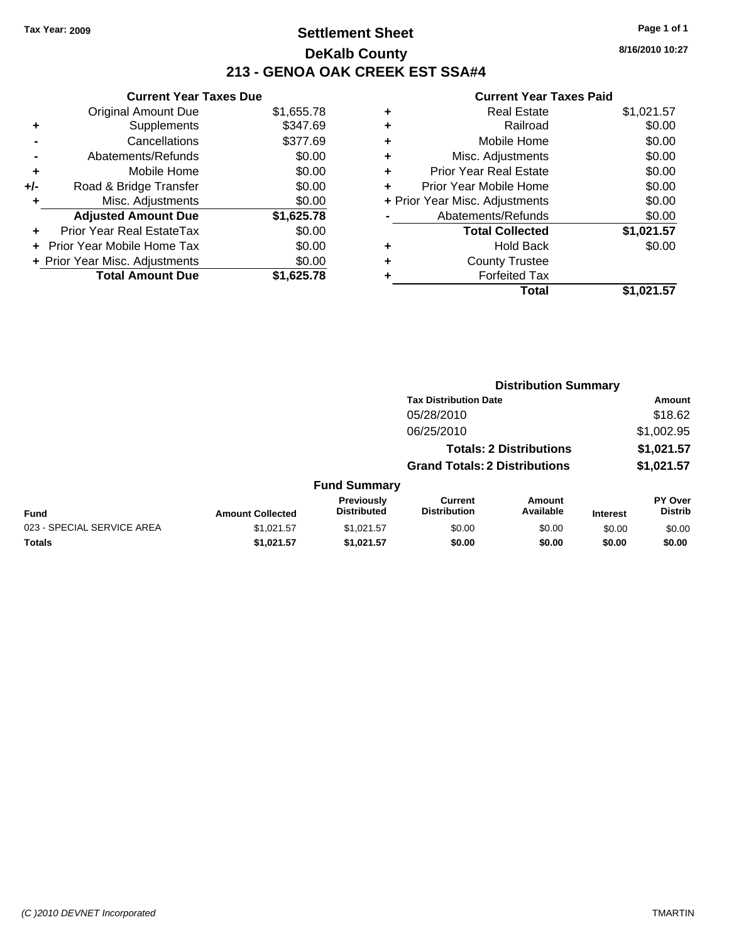## **Settlement Sheet Tax Year: 2009 Page 1 of 1 DeKalb County 213 - GENOA OAK CREEK EST SSA#4**

**8/16/2010 10:27**

|     | <b>Current Year Taxes Due</b>  |            |
|-----|--------------------------------|------------|
|     | <b>Original Amount Due</b>     | \$1,655.78 |
| ٠   | Supplements                    | \$347.69   |
|     | Cancellations                  | \$377.69   |
|     | Abatements/Refunds             | \$0.00     |
| ٠   | Mobile Home                    | \$0.00     |
| +/- | Road & Bridge Transfer         | \$0.00     |
| ٠   | Misc. Adjustments              | \$0.00     |
|     | <b>Adjusted Amount Due</b>     | \$1,625.78 |
|     | Prior Year Real EstateTax      | \$0.00     |
|     | Prior Year Mobile Home Tax     | \$0.00     |
|     | + Prior Year Misc. Adjustments | \$0.00     |
|     | <b>Total Amount Due</b>        | \$1.625.78 |

| ٠ | <b>Real Estate</b>             | \$1,021.57 |
|---|--------------------------------|------------|
| ٠ | Railroad                       | \$0.00     |
| ٠ | Mobile Home                    | \$0.00     |
| ٠ | Misc. Adjustments              | \$0.00     |
| ÷ | <b>Prior Year Real Estate</b>  | \$0.00     |
| ٠ | Prior Year Mobile Home         | \$0.00     |
|   | + Prior Year Misc. Adjustments | \$0.00     |
|   | Abatements/Refunds             | \$0.00     |
|   | <b>Total Collected</b>         | \$1,021.57 |
| ٠ | <b>Hold Back</b>               | \$0.00     |
| ٠ | <b>County Trustee</b>          |            |
|   | <b>Forfeited Tax</b>           |            |
|   | Total                          | \$1.021.57 |

|                            |                         |                                  | <b>Distribution Summary</b>           |                                |                 |                           |
|----------------------------|-------------------------|----------------------------------|---------------------------------------|--------------------------------|-----------------|---------------------------|
|                            |                         |                                  | <b>Tax Distribution Date</b>          |                                |                 | Amount                    |
|                            |                         |                                  | 05/28/2010                            |                                |                 | \$18.62                   |
|                            |                         |                                  | 06/25/2010                            |                                |                 | \$1,002.95                |
|                            |                         |                                  |                                       | <b>Totals: 2 Distributions</b> |                 | \$1,021.57                |
|                            |                         |                                  | <b>Grand Totals: 2 Distributions</b>  |                                |                 | \$1,021.57                |
|                            |                         | <b>Fund Summary</b>              |                                       |                                |                 |                           |
| <b>Fund</b>                | <b>Amount Collected</b> | Previously<br><b>Distributed</b> | <b>Current</b><br><b>Distribution</b> | <b>Amount</b><br>Available     | <b>Interest</b> | PY Over<br><b>Distrib</b> |
| 023 - SPECIAL SERVICE AREA | \$1,021.57              | \$1,021.57                       | \$0.00                                | \$0.00                         | \$0.00          | \$0.00                    |
| Totals                     | \$1,021.57              | \$1,021.57                       | \$0.00                                | \$0.00                         | \$0.00          | \$0.00                    |
|                            |                         |                                  |                                       |                                |                 |                           |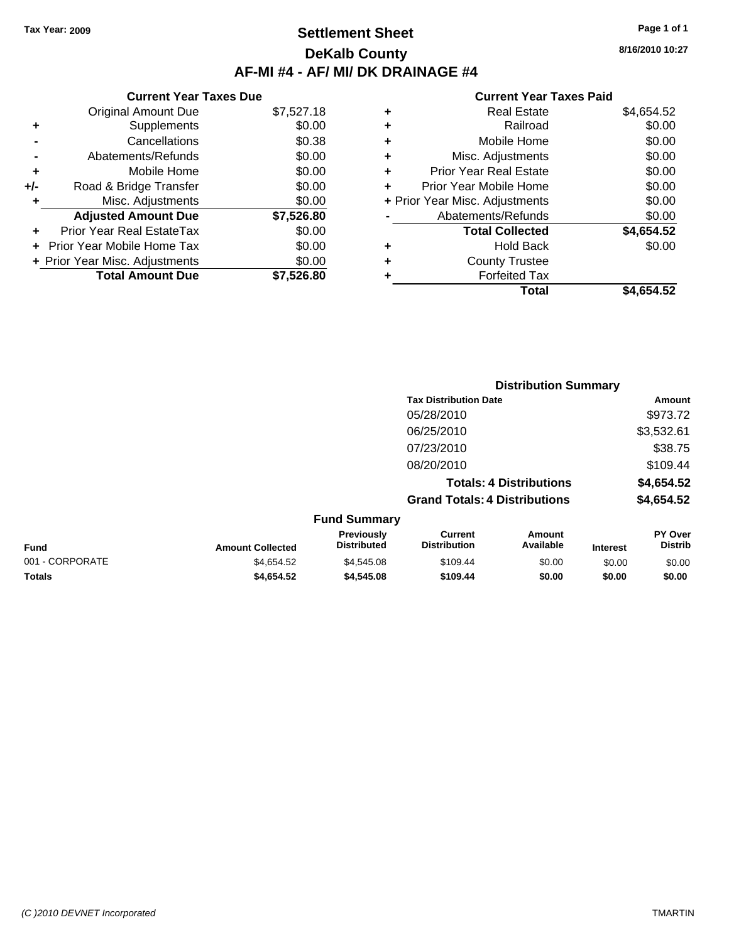# **Settlement Sheet Tax Year: 2009 Page 1 of 1 DeKalb County AF-MI #4 - AF/ MI/ DK DRAINAGE #4**

#### **Current Year Taxes Due** Original Amount Due \$7,527.18 **+** Supplements \$0.00 **-** Cancellations \$0.38 **-** Abatements/Refunds \$0.00 **+** Mobile Home \$0.00<br>**+/-** Road & Bridge Transfer \$0.00 **Proad & Bridge Transfer \$0.00 \$0.00 +** Misc. Adjustments \$0.00 **Adjusted Amount Due \$7,526.80 +** Prior Year Real EstateTax \$0.00 **+** Prior Year Mobile Home Tax \$0.00 **+ Prior Year Misc. Adjustments**  $$0.00$ **Total Amount Due \$7,526.80**

#### **Current Year Taxes Paid**

| ٠ | <b>Real Estate</b>             | \$4,654.52 |
|---|--------------------------------|------------|
| ٠ | Railroad                       | \$0.00     |
| ٠ | Mobile Home                    | \$0.00     |
| ٠ | Misc. Adjustments              | \$0.00     |
| ٠ | Prior Year Real Estate         | \$0.00     |
|   | Prior Year Mobile Home         | \$0.00     |
|   | + Prior Year Misc. Adjustments | \$0.00     |
|   | Abatements/Refunds             | \$0.00     |
|   | <b>Total Collected</b>         | \$4,654.52 |
| ٠ | <b>Hold Back</b>               | \$0.00     |
| ٠ | <b>County Trustee</b>          |            |
| ٠ | <b>Forfeited Tax</b>           |            |
|   | Total                          | \$4,654.52 |
|   |                                |            |

|                 |                         | <b>Distribution Summary</b>      |                                       |                                |                 |                           |
|-----------------|-------------------------|----------------------------------|---------------------------------------|--------------------------------|-----------------|---------------------------|
|                 |                         |                                  | <b>Tax Distribution Date</b>          |                                |                 | Amount                    |
|                 |                         |                                  | 05/28/2010                            |                                |                 | \$973.72                  |
|                 |                         |                                  | 06/25/2010                            |                                |                 | \$3,532.61                |
|                 |                         |                                  | 07/23/2010                            |                                |                 | \$38.75                   |
|                 |                         |                                  | 08/20/2010                            |                                |                 | \$109.44                  |
|                 |                         |                                  |                                       | <b>Totals: 4 Distributions</b> |                 | \$4,654.52                |
|                 |                         |                                  | <b>Grand Totals: 4 Distributions</b>  |                                |                 | \$4,654.52                |
|                 |                         | <b>Fund Summary</b>              |                                       |                                |                 |                           |
| <b>Fund</b>     | <b>Amount Collected</b> | Previously<br><b>Distributed</b> | <b>Current</b><br><b>Distribution</b> | Amount<br>Available            | <b>Interest</b> | PY Over<br><b>Distrib</b> |
| 001 - CORPORATE | \$4,654.52              | \$4,545.08                       | \$109.44                              | \$0.00                         | \$0.00          | \$0.00                    |

**Totals \$4,654.52 \$4,545.08 \$109.44 \$0.00 \$0.00 \$0.00**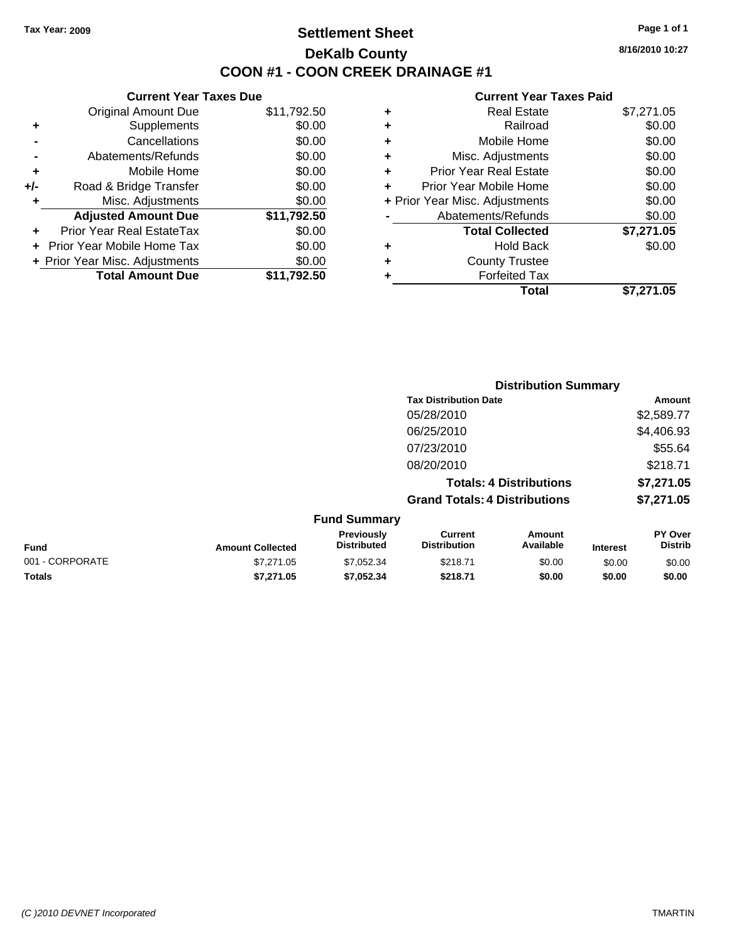# **Settlement Sheet Tax Year: 2009 Page 1 of 1 DeKalb County COON #1 - COON CREEK DRAINAGE #1**

**8/16/2010 10:27**

### **Current Year Taxes Paid**

|     | <b>Current Year Taxes Due</b>  |             |
|-----|--------------------------------|-------------|
|     | <b>Original Amount Due</b>     | \$11,792.50 |
| ٠   | Supplements                    | \$0.00      |
|     | Cancellations                  | \$0.00      |
|     | Abatements/Refunds             | \$0.00      |
| ٠   | Mobile Home                    | \$0.00      |
| +/- | Road & Bridge Transfer         | \$0.00      |
| ٠   | Misc. Adjustments              | \$0.00      |
|     | <b>Adjusted Amount Due</b>     | \$11,792.50 |
| ٠   | Prior Year Real EstateTax      | \$0.00      |
|     | Prior Year Mobile Home Tax     | \$0.00      |
|     | + Prior Year Misc. Adjustments | \$0.00      |
|     | <b>Total Amount Due</b>        | \$11,792.50 |
|     |                                |             |

|   | Total                          | \$7.271.05 |
|---|--------------------------------|------------|
| ٠ | <b>Forfeited Tax</b>           |            |
| ٠ | <b>County Trustee</b>          |            |
| ٠ | <b>Hold Back</b>               | \$0.00     |
|   | <b>Total Collected</b>         | \$7,271.05 |
|   | Abatements/Refunds             | \$0.00     |
|   | + Prior Year Misc. Adjustments | \$0.00     |
| ٠ | Prior Year Mobile Home         | \$0.00     |
| ٠ | <b>Prior Year Real Estate</b>  | \$0.00     |
| ٠ | Misc. Adjustments              | \$0.00     |
| ٠ | Mobile Home                    | \$0.00     |
| ٠ | Railroad                       | \$0.00     |
| ٠ | Real Estate                    | \$7,271.05 |
|   |                                |            |

|                 |                         |                                  | <b>Distribution Summary</b>           |                                |                 |                                  |
|-----------------|-------------------------|----------------------------------|---------------------------------------|--------------------------------|-----------------|----------------------------------|
|                 |                         |                                  | <b>Tax Distribution Date</b>          |                                |                 | Amount                           |
|                 |                         |                                  | 05/28/2010                            |                                |                 | \$2,589.77                       |
|                 |                         |                                  | 06/25/2010                            |                                |                 | \$4,406.93                       |
|                 |                         |                                  | 07/23/2010                            |                                |                 | \$55.64                          |
|                 |                         |                                  | 08/20/2010                            |                                |                 | \$218.71                         |
|                 |                         |                                  |                                       | <b>Totals: 4 Distributions</b> |                 | \$7,271.05                       |
|                 |                         |                                  | <b>Grand Totals: 4 Distributions</b>  |                                |                 | \$7,271.05                       |
|                 |                         | <b>Fund Summary</b>              |                                       |                                |                 |                                  |
| <b>Fund</b>     | <b>Amount Collected</b> | Previously<br><b>Distributed</b> | <b>Current</b><br><b>Distribution</b> | Amount<br>Available            | <b>Interest</b> | <b>PY Over</b><br><b>Distrib</b> |
| 001 - CORPORATE | \$7.271.05              | \$7.052.34                       | \$218.71                              | \$0.00                         | \$0.00          | \$0.00                           |

**Totals \$7,271.05 \$7,052.34 \$218.71 \$0.00 \$0.00 \$0.00**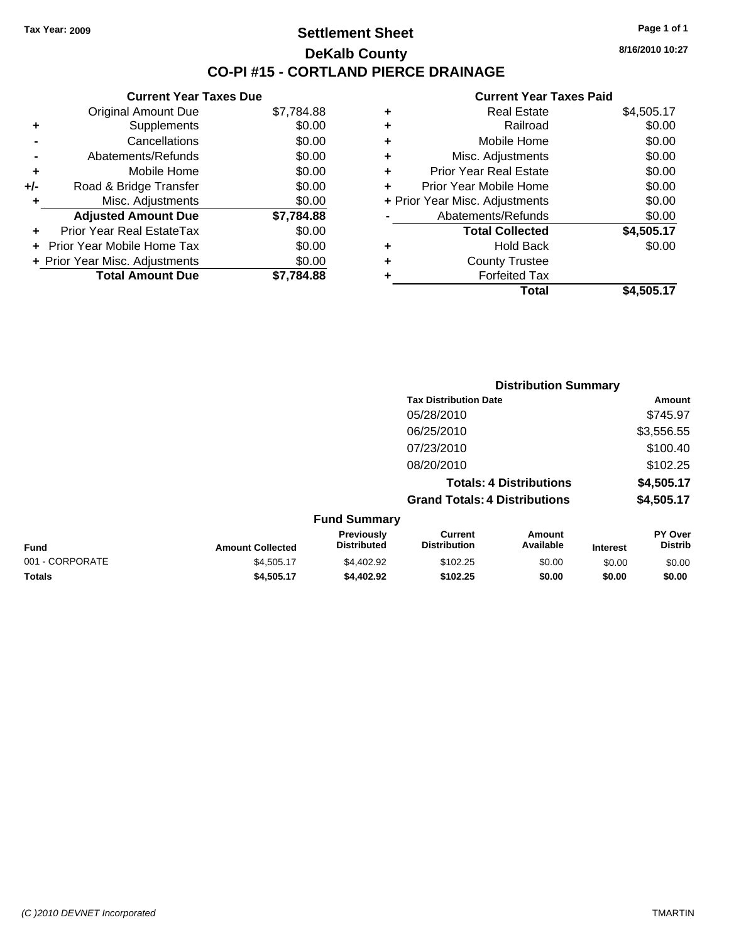**Current Year Taxes Due** Original Amount Due \$7,784.88

**Adjusted Amount Due \$7,784.88**

**Total Amount Due \$7,784.88**

**+** Supplements \$0.00 **-** Cancellations \$0.00 **-** Abatements/Refunds \$0.00 **+** Mobile Home \$0.00 **+/-** Road & Bridge Transfer \$0.00 **+** Misc. Adjustments \$0.00

**+** Prior Year Real EstateTax \$0.00 **+** Prior Year Mobile Home Tax \$0.00 **+ Prior Year Misc. Adjustments**  $$0.00$ 

## **Settlement Sheet Tax Year: 2009 Page 1 of 1 DeKalb County CO-PI #15 - CORTLAND PIERCE DRAINAGE**

**8/16/2010 10:27**

| Total                              | \$4,505.17 |
|------------------------------------|------------|
| <b>Forfeited Tax</b><br>٠          |            |
| <b>County Trustee</b><br>٠         |            |
| <b>Hold Back</b><br>٠              | \$0.00     |
| <b>Total Collected</b>             | \$4,505.17 |
| Abatements/Refunds                 | \$0.00     |
| + Prior Year Misc. Adjustments     | \$0.00     |
| Prior Year Mobile Home<br>÷        | \$0.00     |
| <b>Prior Year Real Estate</b><br>÷ | \$0.00     |
| Misc. Adjustments<br>÷             | \$0.00     |
| Mobile Home<br>٠                   | \$0.00     |
| Railroad<br>٠                      | \$0.00     |
| <b>Real Estate</b><br>٠            | \$4,505.17 |
|                                    |            |

|                 |                         |                                  | <b>Distribution Summary</b>           |                                |                 |                                  |
|-----------------|-------------------------|----------------------------------|---------------------------------------|--------------------------------|-----------------|----------------------------------|
|                 |                         |                                  | <b>Tax Distribution Date</b>          |                                |                 | <b>Amount</b>                    |
|                 |                         |                                  | 05/28/2010                            |                                |                 | \$745.97                         |
|                 |                         |                                  | 06/25/2010                            |                                |                 | \$3,556.55                       |
|                 |                         |                                  | 07/23/2010                            |                                |                 | \$100.40                         |
|                 |                         |                                  | 08/20/2010                            |                                |                 | \$102.25                         |
|                 |                         |                                  |                                       | <b>Totals: 4 Distributions</b> |                 | \$4,505.17                       |
|                 |                         |                                  | <b>Grand Totals: 4 Distributions</b>  |                                |                 | \$4,505.17                       |
|                 |                         | <b>Fund Summary</b>              |                                       |                                |                 |                                  |
| <b>Fund</b>     | <b>Amount Collected</b> | Previously<br><b>Distributed</b> | <b>Current</b><br><b>Distribution</b> | Amount<br>Available            | <b>Interest</b> | <b>PY Over</b><br><b>Distrib</b> |
| 001 - CORPORATE | \$4,505.17              | \$4,402.92                       | \$102.25                              | \$0.00                         | \$0.00          | \$0.00                           |
| Totals          | \$4,505.17              | \$4,402.92                       | \$102.25                              | \$0.00                         | \$0.00          | \$0.00                           |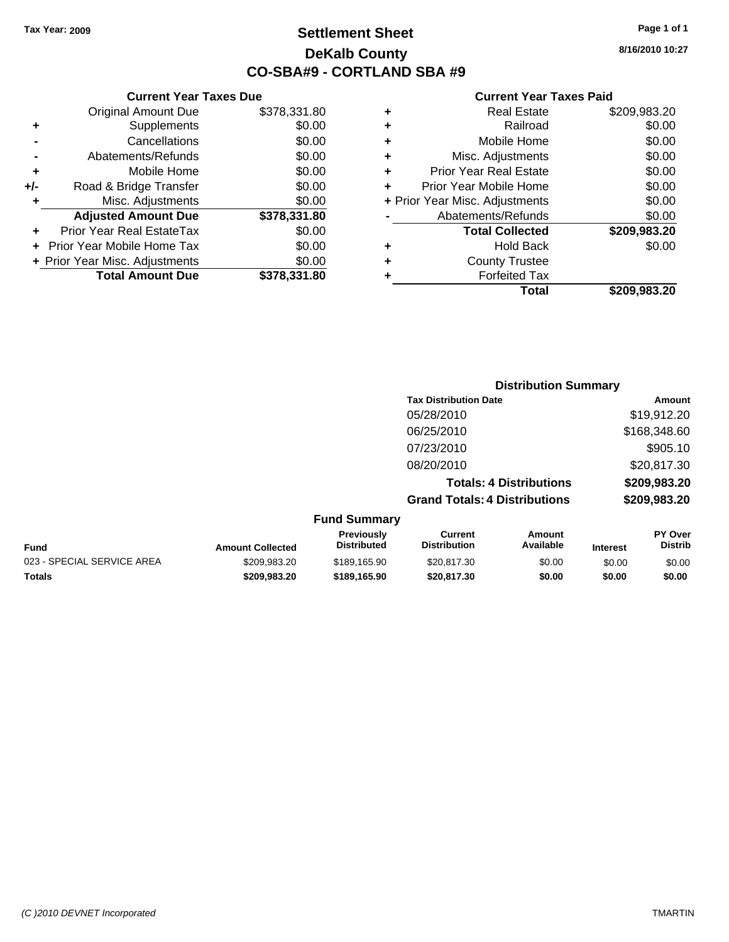# **Settlement Sheet Tax Year: 2009 Page 1 of 1 DeKalb County CO-SBA#9 - CORTLAND SBA #9**

**8/16/2010 10:27**

|   | Real Estate                    | \$209,983.20 |
|---|--------------------------------|--------------|
| ٠ | Railroad                       | \$0.00       |
| ٠ | Mobile Home                    | \$0.00       |
| ٠ | Misc. Adjustments              | \$0.00       |
| ٠ | <b>Prior Year Real Estate</b>  | \$0.00       |
| ٠ | Prior Year Mobile Home         | \$0.00       |
|   | + Prior Year Misc. Adjustments | \$0.00       |
|   | Abatements/Refunds             | \$0.00       |
|   | <b>Total Collected</b>         | \$209,983.20 |
| ٠ | <b>Hold Back</b>               | \$0.00       |
|   | <b>County Trustee</b>          |              |
|   | <b>Forfeited Tax</b>           |              |
|   | Total                          | \$209.983.20 |

|     | <b>Current Year Taxes Due</b>  |              |
|-----|--------------------------------|--------------|
|     | <b>Original Amount Due</b>     | \$378,331.80 |
| ٠   | Supplements                    | \$0.00       |
|     | Cancellations                  | \$0.00       |
|     | Abatements/Refunds             | \$0.00       |
| ٠   | Mobile Home                    | \$0.00       |
| +/- | Road & Bridge Transfer         | \$0.00       |
| ٠   | Misc. Adjustments              | \$0.00       |
|     | <b>Adjusted Amount Due</b>     | \$378,331.80 |
|     | Prior Year Real EstateTax      | \$0.00       |
|     | Prior Year Mobile Home Tax     | \$0.00       |
|     | + Prior Year Misc. Adjustments | \$0.00       |
|     | <b>Total Amount Due</b>        | \$378,331.80 |
|     |                                |              |

|                     | <b>Distribution Summary</b>          |              |
|---------------------|--------------------------------------|--------------|
|                     | <b>Tax Distribution Date</b>         | Amount       |
|                     | 05/28/2010                           | \$19,912.20  |
|                     | 06/25/2010                           | \$168,348.60 |
|                     | 07/23/2010                           | \$905.10     |
|                     | 08/20/2010                           | \$20,817.30  |
|                     | <b>Totals: 4 Distributions</b>       | \$209,983.20 |
|                     | <b>Grand Totals: 4 Distributions</b> | \$209,983.20 |
| <b>Fund Summary</b> |                                      |              |

|                            |                         | <b>Previously</b>  | Current             | Amount    |                 | <b>PY Over</b> |
|----------------------------|-------------------------|--------------------|---------------------|-----------|-----------------|----------------|
| Fund                       | <b>Amount Collected</b> | <b>Distributed</b> | <b>Distribution</b> | Available | <b>Interest</b> | <b>Distrib</b> |
| 023 - SPECIAL SERVICE AREA | \$209.983.20            | \$189.165.90       | \$20,817,30         | \$0.00    | \$0.00          | \$0.00         |
| Totals                     | \$209.983.20            | \$189.165.90       | \$20.817.30         | \$0.00    | \$0.00          | \$0.00         |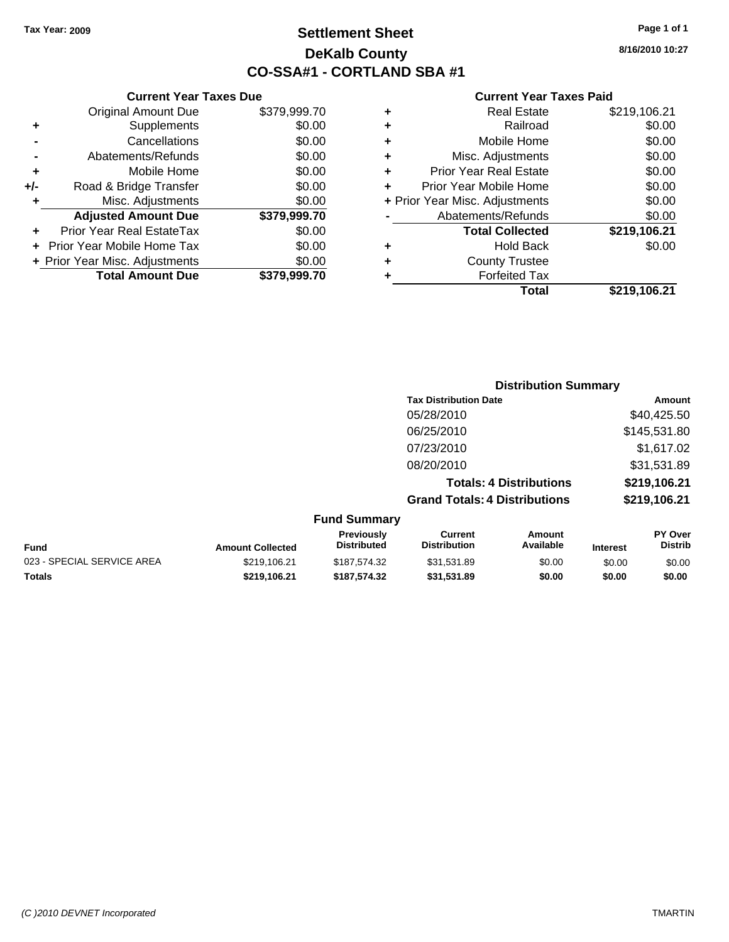# **Settlement Sheet Tax Year: 2009 Page 1 of 1 DeKalb County CO-SSA#1 - CORTLAND SBA #1**

**8/16/2010 10:27**

|     | <b>Current Year Taxes Due</b>    |              |
|-----|----------------------------------|--------------|
|     | <b>Original Amount Due</b>       | \$379,999.70 |
| ٠   | Supplements                      | \$0.00       |
|     | Cancellations                    | \$0.00       |
|     | Abatements/Refunds               | \$0.00       |
| ٠   | Mobile Home                      | \$0.00       |
| +/- | Road & Bridge Transfer           | \$0.00       |
| ٠   | Misc. Adjustments                | \$0.00       |
|     | <b>Adjusted Amount Due</b>       | \$379,999.70 |
|     | <b>Prior Year Real EstateTax</b> | \$0.00       |
|     | Prior Year Mobile Home Tax       | \$0.00       |
|     | + Prior Year Misc. Adjustments   | \$0.00       |
|     | <b>Total Amount Due</b>          | \$379.999.70 |

|                              | <b>Distribution Summary</b>          |              |
|------------------------------|--------------------------------------|--------------|
| <b>Tax Distribution Date</b> |                                      | Amount       |
| 05/28/2010                   |                                      | \$40,425.50  |
| 06/25/2010                   |                                      | \$145,531.80 |
| 07/23/2010                   |                                      | \$1,617.02   |
| 08/20/2010                   |                                      | \$31,531.89  |
|                              | <b>Totals: 4 Distributions</b>       | \$219,106.21 |
|                              | <b>Grand Totals: 4 Distributions</b> | \$219,106.21 |
| <b>Fund Summary</b>          |                                      |              |

| <b>Fund</b>                | <b>Amount Collected</b> | <b>Previously</b><br><b>Distributed</b> | Current<br><b>Distribution</b> | Amount<br>Available | <b>Interest</b> | <b>PY Over</b><br><b>Distrib</b> |
|----------------------------|-------------------------|-----------------------------------------|--------------------------------|---------------------|-----------------|----------------------------------|
| 023 - SPECIAL SERVICE AREA | \$219.106.21            | \$187.574.32                            | \$31.531.89                    | \$0.00              | \$0.00          | \$0.00                           |
| <b>Totals</b>              | \$219.106.21            | \$187.574.32                            | \$31.531.89                    | \$0.00              | \$0.00          | \$0.00                           |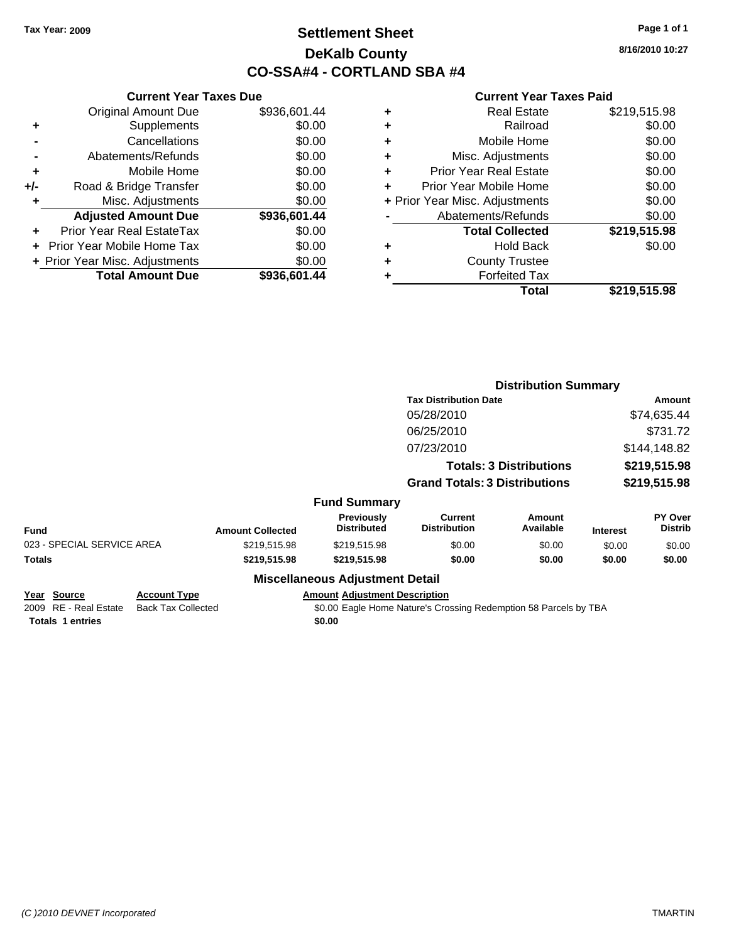# **Settlement Sheet Tax Year: 2009 Page 1 of 1 DeKalb County CO-SSA#4 - CORTLAND SBA #4**

**8/16/2010 10:27**

#### **Current Year Taxes Paid**

|     | <b>Current Year Taxes Due</b>  |              |  |  |  |  |
|-----|--------------------------------|--------------|--|--|--|--|
|     | <b>Original Amount Due</b>     | \$936,601.44 |  |  |  |  |
| ٠   | Supplements                    | \$0.00       |  |  |  |  |
|     | Cancellations                  | \$0.00       |  |  |  |  |
|     | Abatements/Refunds             | \$0.00       |  |  |  |  |
| ٠   | Mobile Home                    | \$0.00       |  |  |  |  |
| +/- | Road & Bridge Transfer         | \$0.00       |  |  |  |  |
| ٠   | Misc. Adjustments              | \$0.00       |  |  |  |  |
|     | <b>Adjusted Amount Due</b>     | \$936,601.44 |  |  |  |  |
|     | Prior Year Real EstateTax      | \$0.00       |  |  |  |  |
|     | Prior Year Mobile Home Tax     | \$0.00       |  |  |  |  |
|     | + Prior Year Misc. Adjustments | \$0.00       |  |  |  |  |
|     | <b>Total Amount Due</b>        | \$936,601.44 |  |  |  |  |
|     |                                |              |  |  |  |  |

| ٠ | <b>Real Estate</b>             | \$219,515.98 |
|---|--------------------------------|--------------|
| ٠ | Railroad                       | \$0.00       |
| ٠ | Mobile Home                    | \$0.00       |
| ٠ | Misc. Adjustments              | \$0.00       |
| ٠ | <b>Prior Year Real Estate</b>  | \$0.00       |
| ٠ | Prior Year Mobile Home         | \$0.00       |
|   | + Prior Year Misc. Adjustments | \$0.00       |
|   | Abatements/Refunds             | \$0.00       |
|   | <b>Total Collected</b>         | \$219,515.98 |
| ٠ | <b>Hold Back</b>               | \$0.00       |
| ٠ | <b>County Trustee</b>          |              |
| ٠ | <b>Forfeited Tax</b>           |              |
|   | Total                          | \$219,515.98 |
|   |                                |              |

|               |                                   |                                                  |                         |                                         | <b>Distribution Summary</b>                                      |                                |                 |                           |
|---------------|-----------------------------------|--------------------------------------------------|-------------------------|-----------------------------------------|------------------------------------------------------------------|--------------------------------|-----------------|---------------------------|
|               |                                   |                                                  |                         |                                         | <b>Tax Distribution Date</b>                                     |                                |                 | Amount                    |
|               |                                   |                                                  |                         |                                         | 05/28/2010                                                       |                                |                 | \$74,635.44               |
|               |                                   |                                                  |                         |                                         | 06/25/2010                                                       |                                |                 | \$731.72                  |
|               |                                   |                                                  |                         |                                         | 07/23/2010                                                       |                                |                 | \$144,148.82              |
|               |                                   |                                                  |                         |                                         |                                                                  | <b>Totals: 3 Distributions</b> |                 | \$219,515.98              |
|               |                                   |                                                  |                         |                                         | <b>Grand Totals: 3 Distributions</b>                             |                                | \$219,515.98    |                           |
|               |                                   |                                                  |                         | <b>Fund Summary</b>                     |                                                                  |                                |                 |                           |
| <b>Fund</b>   |                                   |                                                  | <b>Amount Collected</b> | <b>Previously</b><br><b>Distributed</b> | Current<br><b>Distribution</b>                                   | Amount<br>Available            | <b>Interest</b> | PY Over<br><b>Distrib</b> |
|               | 023 - SPECIAL SERVICE AREA        |                                                  | \$219,515.98            | \$219,515.98                            | \$0.00                                                           | \$0.00                         | \$0.00          | \$0.00                    |
| <b>Totals</b> |                                   |                                                  | \$219,515.98            | \$219,515.98                            | \$0.00                                                           | \$0.00                         | \$0.00          | \$0.00                    |
|               |                                   |                                                  |                         | <b>Miscellaneous Adjustment Detail</b>  |                                                                  |                                |                 |                           |
| Year<br>2009  | <b>Source</b><br>RE - Real Estate | <b>Account Type</b><br><b>Back Tax Collected</b> |                         | <b>Amount Adjustment Description</b>    | \$0.00 Eagle Home Nature's Crossing Redemption 58 Parcels by TBA |                                |                 |                           |

**Totals 1 entries** \$0.00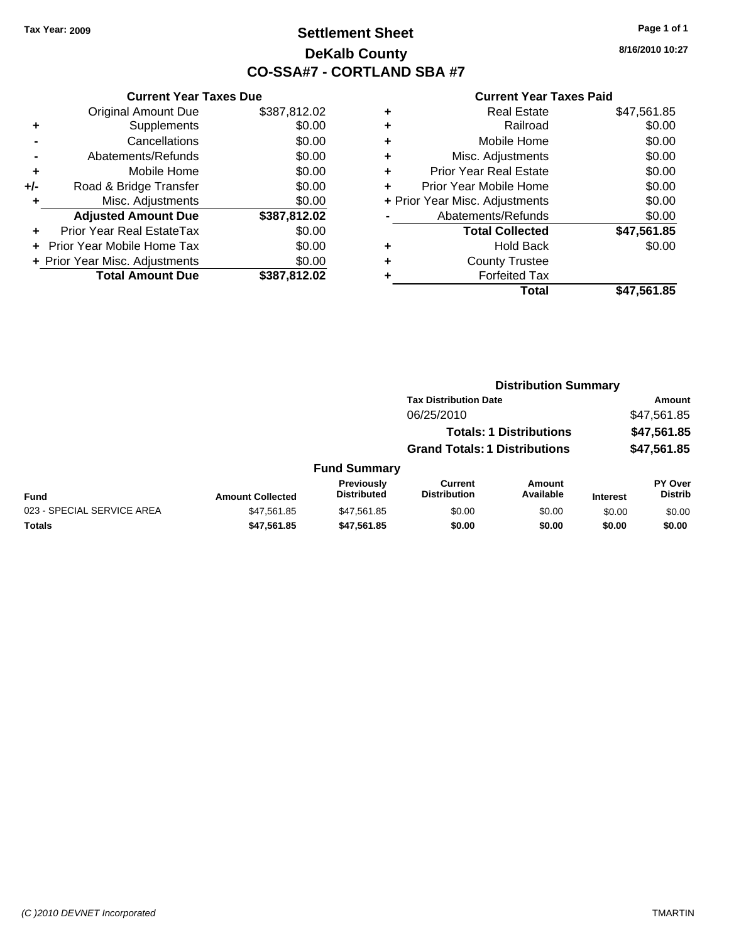# **Settlement Sheet Tax Year: 2009 Page 1 of 1 DeKalb County CO-SSA#7 - CORTLAND SBA #7**

**8/16/2010 10:27**

| <b>Current Year Taxes Due</b> |  |  |  |  |
|-------------------------------|--|--|--|--|
| \$387,812.02                  |  |  |  |  |
| \$0.00                        |  |  |  |  |
| \$0.00                        |  |  |  |  |
| \$0.00                        |  |  |  |  |
| \$0.00                        |  |  |  |  |
| \$0.00                        |  |  |  |  |
| \$0.00                        |  |  |  |  |
| \$387,812.02                  |  |  |  |  |
| \$0.00                        |  |  |  |  |
| \$0.00                        |  |  |  |  |
| \$0.00                        |  |  |  |  |
| \$387,812.02                  |  |  |  |  |
|                               |  |  |  |  |

| ٠ | Real Estate                    | \$47,561.85 |
|---|--------------------------------|-------------|
| ٠ | Railroad                       | \$0.00      |
| ٠ | Mobile Home                    | \$0.00      |
| ٠ | Misc. Adjustments              | \$0.00      |
| ÷ | <b>Prior Year Real Estate</b>  | \$0.00      |
| ٠ | Prior Year Mobile Home         | \$0.00      |
|   | + Prior Year Misc. Adjustments | \$0.00      |
|   | Abatements/Refunds             | \$0.00      |
|   | <b>Total Collected</b>         | \$47,561.85 |
| ٠ | Hold Back                      | \$0.00      |
| ٠ | <b>County Trustee</b>          |             |
|   | <b>Forfeited Tax</b>           |             |
|   | Total                          | \$47,561.85 |
|   |                                |             |

|                            | <b>Distribution Summary</b> |                                  |                                       |                                |                 |                                  |  |
|----------------------------|-----------------------------|----------------------------------|---------------------------------------|--------------------------------|-----------------|----------------------------------|--|
|                            |                             |                                  | <b>Tax Distribution Date</b>          |                                |                 | Amount                           |  |
|                            |                             |                                  | 06/25/2010                            |                                |                 | \$47,561.85                      |  |
|                            |                             |                                  |                                       | <b>Totals: 1 Distributions</b> |                 | \$47,561.85                      |  |
|                            |                             |                                  | <b>Grand Totals: 1 Distributions</b>  |                                |                 | \$47,561.85                      |  |
|                            |                             | <b>Fund Summary</b>              |                                       |                                |                 |                                  |  |
| Fund                       | <b>Amount Collected</b>     | Previously<br><b>Distributed</b> | <b>Current</b><br><b>Distribution</b> | <b>Amount</b><br>Available     | <b>Interest</b> | <b>PY Over</b><br><b>Distrib</b> |  |
| 023 - SPECIAL SERVICE AREA | \$47,561.85                 | \$47,561.85                      | \$0.00                                | \$0.00                         | \$0.00          | \$0.00                           |  |
| Totals                     | \$47,561.85                 | \$47,561.85                      | \$0.00                                | \$0.00                         | \$0.00          | \$0.00                           |  |
|                            |                             |                                  |                                       |                                |                 |                                  |  |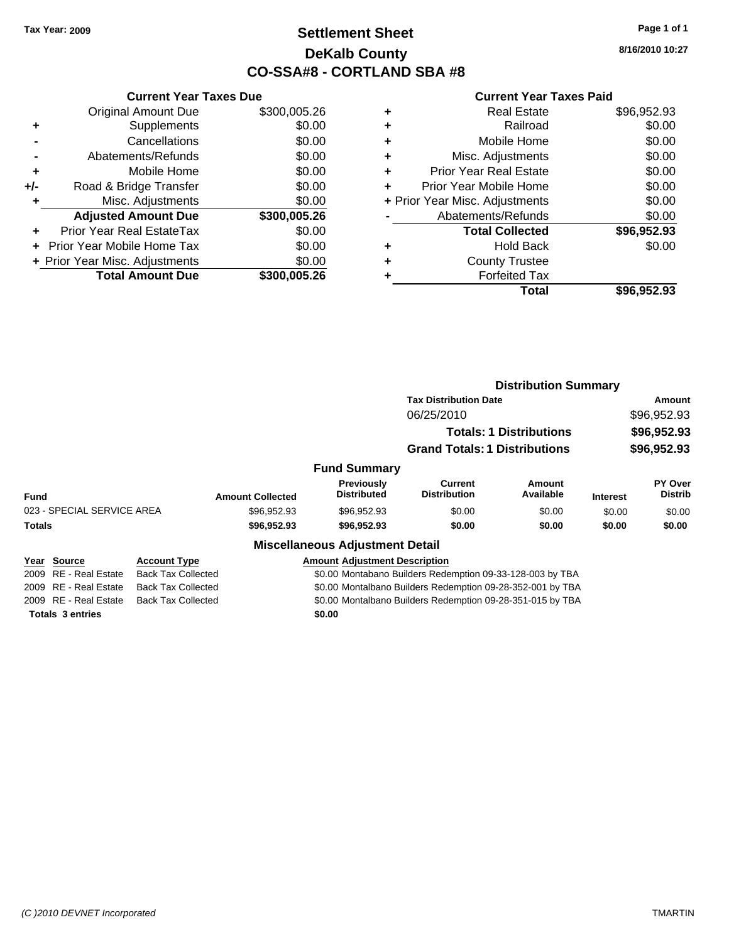# **Settlement Sheet Tax Year: 2009 Page 1 of 1 DeKalb County CO-SSA#8 - CORTLAND SBA #8**

**8/16/2010 10:27**

#### **Current Year Taxes Paid**

|     | <b>Current Year Taxes Due</b>  |              |
|-----|--------------------------------|--------------|
|     | <b>Original Amount Due</b>     | \$300,005.26 |
| ÷   | Supplements                    | \$0.00       |
|     | Cancellations                  | \$0.00       |
|     | Abatements/Refunds             | \$0.00       |
| ٠   | Mobile Home                    | \$0.00       |
| +/- | Road & Bridge Transfer         | \$0.00       |
| ٠   | Misc. Adjustments              | \$0.00       |
|     | <b>Adjusted Amount Due</b>     | \$300,005.26 |
| ٠   | Prior Year Real EstateTax      | \$0.00       |
|     | Prior Year Mobile Home Tax     | \$0.00       |
|     | + Prior Year Misc. Adjustments | \$0.00       |
|     | <b>Total Amount Due</b>        | \$300,005.26 |
|     |                                |              |

|   | Total                          | \$96,952.93 |
|---|--------------------------------|-------------|
|   | <b>Forfeited Tax</b>           |             |
| ٠ | <b>County Trustee</b>          |             |
| ٠ | <b>Hold Back</b>               | \$0.00      |
|   | <b>Total Collected</b>         | \$96,952.93 |
|   | Abatements/Refunds             | \$0.00      |
|   | + Prior Year Misc. Adjustments | \$0.00      |
|   | Prior Year Mobile Home         | \$0.00      |
| ٠ | <b>Prior Year Real Estate</b>  | \$0.00      |
| ٠ | Misc. Adjustments              | \$0.00      |
| ٠ | Mobile Home                    | \$0.00      |
| ٠ | Railroad                       | \$0.00      |
|   | <b>Real Estate</b>             | \$96,952.93 |

|                            |                           |                                                            |                                                           | <b>Distribution Summary</b>          |                                |                 |                           |
|----------------------------|---------------------------|------------------------------------------------------------|-----------------------------------------------------------|--------------------------------------|--------------------------------|-----------------|---------------------------|
|                            |                           |                                                            |                                                           | <b>Tax Distribution Date</b>         | Amount                         |                 |                           |
|                            |                           |                                                            |                                                           | 06/25/2010                           |                                |                 | \$96,952.93               |
|                            |                           |                                                            |                                                           |                                      | <b>Totals: 1 Distributions</b> |                 | \$96,952.93               |
|                            |                           |                                                            |                                                           | <b>Grand Totals: 1 Distributions</b> |                                | \$96,952.93     |                           |
|                            |                           |                                                            | <b>Fund Summary</b>                                       |                                      |                                |                 |                           |
| Fund                       |                           | <b>Amount Collected</b>                                    | Previously<br><b>Distributed</b>                          | Current<br><b>Distribution</b>       | Amount<br>Available            | <b>Interest</b> | PY Over<br><b>Distrib</b> |
| 023 - SPECIAL SERVICE AREA |                           | \$96.952.93                                                | \$96,952.93                                               | \$0.00                               | \$0.00                         | \$0.00          | \$0.00                    |
| <b>Totals</b>              |                           | \$96,952.93                                                | \$96,952.93                                               | \$0.00                               | \$0.00                         | \$0.00          | \$0.00                    |
|                            |                           |                                                            | <b>Miscellaneous Adjustment Detail</b>                    |                                      |                                |                 |                           |
| Year Source                | <b>Account Type</b>       |                                                            | <b>Amount Adjustment Description</b>                      |                                      |                                |                 |                           |
| 2009 RE - Real Estate      | <b>Back Tax Collected</b> |                                                            | \$0.00 Montabano Builders Redemption 09-33-128-003 by TBA |                                      |                                |                 |                           |
| 2009 RE - Real Estate      | <b>Back Tax Collected</b> | \$0.00 Montalbano Builders Redemption 09-28-352-001 by TBA |                                                           |                                      |                                |                 |                           |

2009 RE - Real Estate Back Tax Collected \$0.00 Montalbano Builders Redemption 09-28-351-015 by TBA

**Totals \$0.00 3 entries**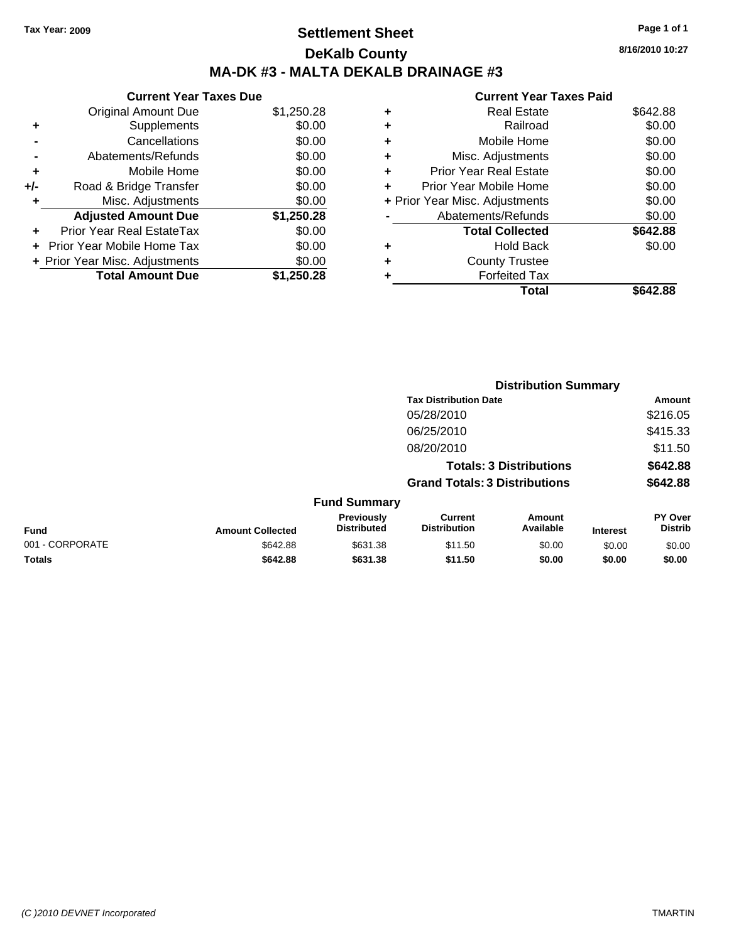# **Settlement Sheet Tax Year: 2009 Page 1 of 1 DeKalb County MA-DK #3 - MALTA DEKALB DRAINAGE #3**

**8/16/2010 10:27**

| <b>Current Year Taxes Due</b> |                                |            |  |  |
|-------------------------------|--------------------------------|------------|--|--|
|                               | <b>Original Amount Due</b>     | \$1,250.28 |  |  |
| ۰                             | Supplements                    | \$0.00     |  |  |
|                               | Cancellations                  | \$0.00     |  |  |
|                               | Abatements/Refunds             | \$0.00     |  |  |
| ٠                             | Mobile Home                    | \$0.00     |  |  |
| +/-                           | Road & Bridge Transfer         | \$0.00     |  |  |
| ٠                             | Misc. Adjustments              | \$0.00     |  |  |
|                               | <b>Adjusted Amount Due</b>     | \$1,250.28 |  |  |
| ٠                             | Prior Year Real EstateTax      | \$0.00     |  |  |
|                               | Prior Year Mobile Home Tax     | \$0.00     |  |  |
|                               | + Prior Year Misc. Adjustments | \$0.00     |  |  |
|                               | <b>Total Amount Due</b>        | \$1,250,28 |  |  |

| ٠ | Railroad                       | \$0.00   |
|---|--------------------------------|----------|
|   |                                |          |
| ٠ | Mobile Home                    | \$0.00   |
| ٠ | Misc. Adjustments              | \$0.00   |
| ٠ | <b>Prior Year Real Estate</b>  | \$0.00   |
| ٠ | Prior Year Mobile Home         | \$0.00   |
|   | + Prior Year Misc. Adjustments | \$0.00   |
|   | Abatements/Refunds             | \$0.00   |
|   | <b>Total Collected</b>         | \$642.88 |
| ٠ | <b>Hold Back</b>               | \$0.00   |
| ٠ | <b>County Trustee</b>          |          |
| ٠ | <b>Forfeited Tax</b>           |          |
|   | Total                          | \$642.88 |
|   |                                |          |

| <b>Tax Distribution Date</b>                                                                                                                                  | Amount                    |
|---------------------------------------------------------------------------------------------------------------------------------------------------------------|---------------------------|
| 05/28/2010                                                                                                                                                    | \$216.05                  |
| 06/25/2010                                                                                                                                                    | \$415.33                  |
| 08/20/2010                                                                                                                                                    | \$11.50                   |
| <b>Totals: 3 Distributions</b>                                                                                                                                | \$642.88                  |
| <b>Grand Totals: 3 Distributions</b>                                                                                                                          | \$642.88                  |
| <b>Fund Summary</b>                                                                                                                                           |                           |
| Previously<br><b>Current</b><br>Amount<br><b>Distributed</b><br>Available<br><b>Distribution</b><br><b>Fund</b><br><b>Amount Collected</b><br><b>Interest</b> | PY Over<br><b>Distrib</b> |
| 001 - CORPORATE<br>\$631.38<br>\$0.00<br>\$642.88<br>\$11.50<br>\$0.00                                                                                        | \$0.00                    |
| Totals<br>\$642.88<br>\$631.38<br>\$11.50<br>\$0.00<br>\$0.00                                                                                                 | \$0.00                    |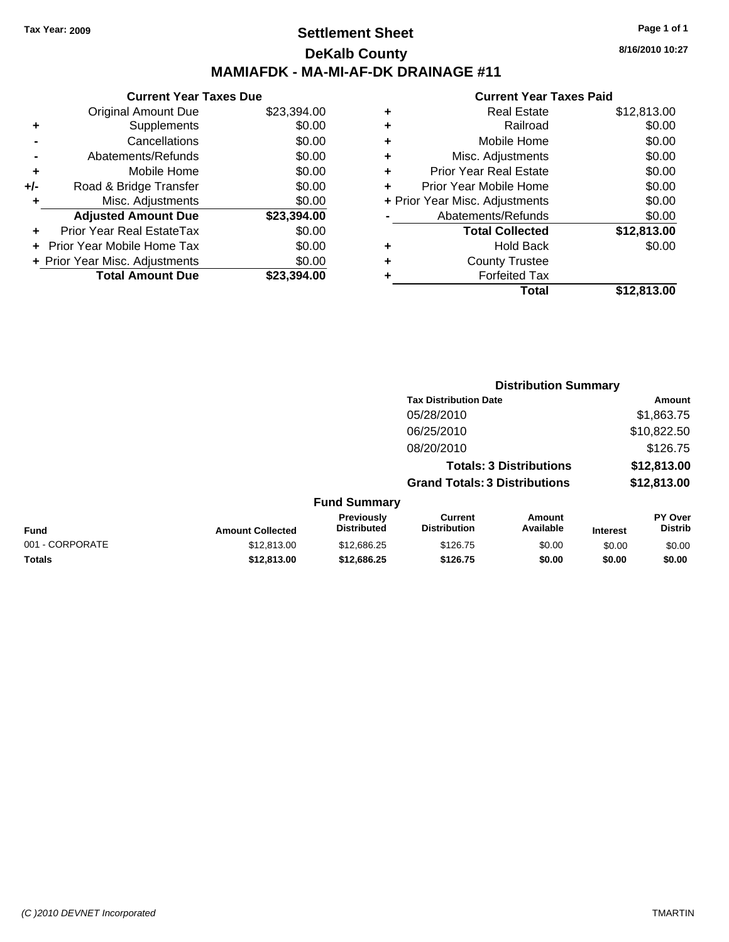## **Settlement Sheet Tax Year: 2009 Page 1 of 1 DeKalb County MAMIAFDK - MA-MI-AF-DK DRAINAGE #11**

**8/16/2010 10:27**

|     | <b>Current Year Taxes Due</b>  |             |
|-----|--------------------------------|-------------|
|     | <b>Original Amount Due</b>     | \$23,394.00 |
| ٠   | Supplements                    | \$0.00      |
|     | Cancellations                  | \$0.00      |
|     | Abatements/Refunds             | \$0.00      |
| ٠   | Mobile Home                    | \$0.00      |
| +/- | Road & Bridge Transfer         | \$0.00      |
|     | Misc. Adjustments              | \$0.00      |
|     | <b>Adjusted Amount Due</b>     | \$23,394.00 |
|     | Prior Year Real EstateTax      | \$0.00      |
|     | Prior Year Mobile Home Tax     | \$0.00      |
|     | + Prior Year Misc. Adjustments | \$0.00      |
|     | <b>Total Amount Due</b>        | \$23,394.00 |
|     |                                |             |

|   | <b>Real Estate</b>             | \$12,813.00 |
|---|--------------------------------|-------------|
| ٠ | Railroad                       | \$0.00      |
| ٠ | Mobile Home                    | \$0.00      |
| ٠ | Misc. Adjustments              | \$0.00      |
| ٠ | Prior Year Real Estate         | \$0.00      |
|   | Prior Year Mobile Home         | \$0.00      |
|   | + Prior Year Misc. Adjustments | \$0.00      |
|   | Abatements/Refunds             | \$0.00      |
|   | <b>Total Collected</b>         | \$12,813.00 |
| ٠ | <b>Hold Back</b>               | \$0.00      |
| ٠ | <b>County Trustee</b>          |             |
| ٠ | <b>Forfeited Tax</b>           |             |
|   | Total                          | \$12,813.00 |
|   |                                |             |

|                 |                         |                                  |                                       | <b>Distribution Summary</b>    |                 |                                  |
|-----------------|-------------------------|----------------------------------|---------------------------------------|--------------------------------|-----------------|----------------------------------|
|                 |                         |                                  | <b>Tax Distribution Date</b>          |                                |                 | Amount                           |
|                 |                         |                                  | 05/28/2010                            |                                |                 | \$1,863.75                       |
|                 |                         |                                  | 06/25/2010                            |                                |                 | \$10,822.50                      |
|                 |                         |                                  | 08/20/2010                            |                                |                 | \$126.75                         |
|                 |                         |                                  |                                       | <b>Totals: 3 Distributions</b> |                 | \$12,813.00                      |
|                 |                         |                                  | <b>Grand Totals: 3 Distributions</b>  |                                |                 | \$12,813.00                      |
|                 |                         | <b>Fund Summary</b>              |                                       |                                |                 |                                  |
| Fund            | <b>Amount Collected</b> | Previously<br><b>Distributed</b> | <b>Current</b><br><b>Distribution</b> | Amount<br>Available            | <b>Interest</b> | <b>PY Over</b><br><b>Distrib</b> |
| 001 - CORPORATE | \$12,813.00             | \$12,686.25                      | \$126.75                              | \$0.00                         | \$0.00          | \$0.00                           |
| Totals          | \$12,813.00             | \$12,686.25                      | \$126.75                              | \$0.00                         | \$0.00          | \$0.00                           |
|                 |                         |                                  |                                       |                                |                 |                                  |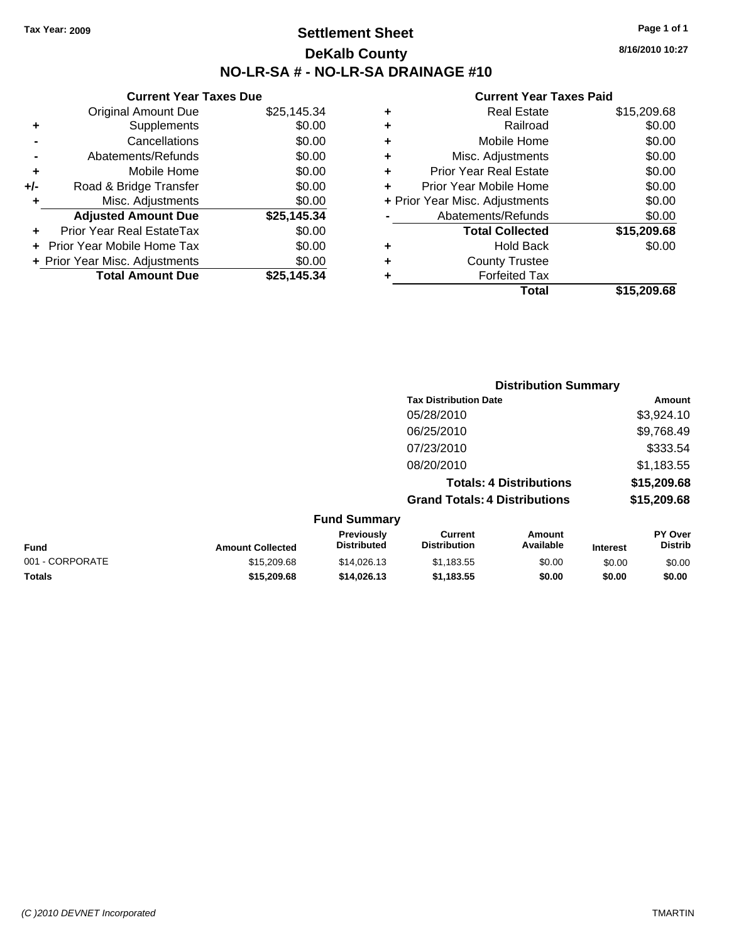# **Settlement Sheet Tax Year: 2009 Page 1 of 1 DeKalb County NO-LR-SA # - NO-LR-SA DRAINAGE #10**

**8/16/2010 10:27**

| \$15,209.68 | Total                          |   |
|-------------|--------------------------------|---|
|             | <b>Forfeited Tax</b>           |   |
|             | <b>County Trustee</b>          | ٠ |
| \$0.00      | <b>Hold Back</b>               | ٠ |
| \$15,209.68 | <b>Total Collected</b>         |   |
| \$0.00      | Abatements/Refunds             |   |
| \$0.00      | + Prior Year Misc. Adjustments |   |
| \$0.00      | Prior Year Mobile Home         | ٠ |
| \$0.00      | <b>Prior Year Real Estate</b>  | ٠ |
| \$0.00      | Misc. Adjustments              | ٠ |
| \$0.00      | Mobile Home                    | ٠ |
| \$0.00      | Railroad                       | ٠ |
| \$15,209.68 | <b>Real Estate</b>             | ٠ |
|             |                                |   |

|     | <b>Current Year Taxes Due</b>    |             |
|-----|----------------------------------|-------------|
|     | <b>Original Amount Due</b>       | \$25,145.34 |
| ٠   | Supplements                      | \$0.00      |
|     | Cancellations                    | \$0.00      |
|     | Abatements/Refunds               | \$0.00      |
| ٠   | Mobile Home                      | \$0.00      |
| +/- | Road & Bridge Transfer           | \$0.00      |
| ٠   | Misc. Adjustments                | \$0.00      |
|     | <b>Adjusted Amount Due</b>       | \$25,145.34 |
| ٠   | <b>Prior Year Real EstateTax</b> | \$0.00      |
|     | Prior Year Mobile Home Tax       | \$0.00      |
|     | + Prior Year Misc. Adjustments   | \$0.00      |
|     | <b>Total Amount Due</b>          | \$25.145.34 |
|     |                                  |             |

|                     | <b>Distribution Summary</b>          |                                |                |
|---------------------|--------------------------------------|--------------------------------|----------------|
|                     | <b>Tax Distribution Date</b>         |                                | Amount         |
|                     | 05/28/2010                           |                                | \$3,924.10     |
|                     | 06/25/2010                           |                                | \$9,768.49     |
|                     | 07/23/2010                           |                                | \$333.54       |
|                     | 08/20/2010                           |                                | \$1,183.55     |
|                     |                                      | <b>Totals: 4 Distributions</b> | \$15,209.68    |
|                     | <b>Grand Totals: 4 Distributions</b> |                                | \$15,209.68    |
| <b>Fund Summary</b> |                                      |                                |                |
| <b>Previously</b>   | Current                              | Amount                         | <b>PY Over</b> |

| <b>Fund</b>     | <b>Amount Collected</b> | <b>PIEVIOUSIV</b><br><b>Distributed</b> | uurent<br><b>Distribution</b> | Alliount<br>Available | <b>Interest</b> | г г оvег<br>Distrib |
|-----------------|-------------------------|-----------------------------------------|-------------------------------|-----------------------|-----------------|---------------------|
| 001 - CORPORATE | \$15,209.68             | \$14,026.13                             | \$1.183.55                    | \$0.00                | \$0.00          | \$0.00              |
| <b>Totals</b>   | \$15,209.68             | \$14.026.13                             | \$1.183.55                    | \$0.00                | \$0.00          | \$0.00              |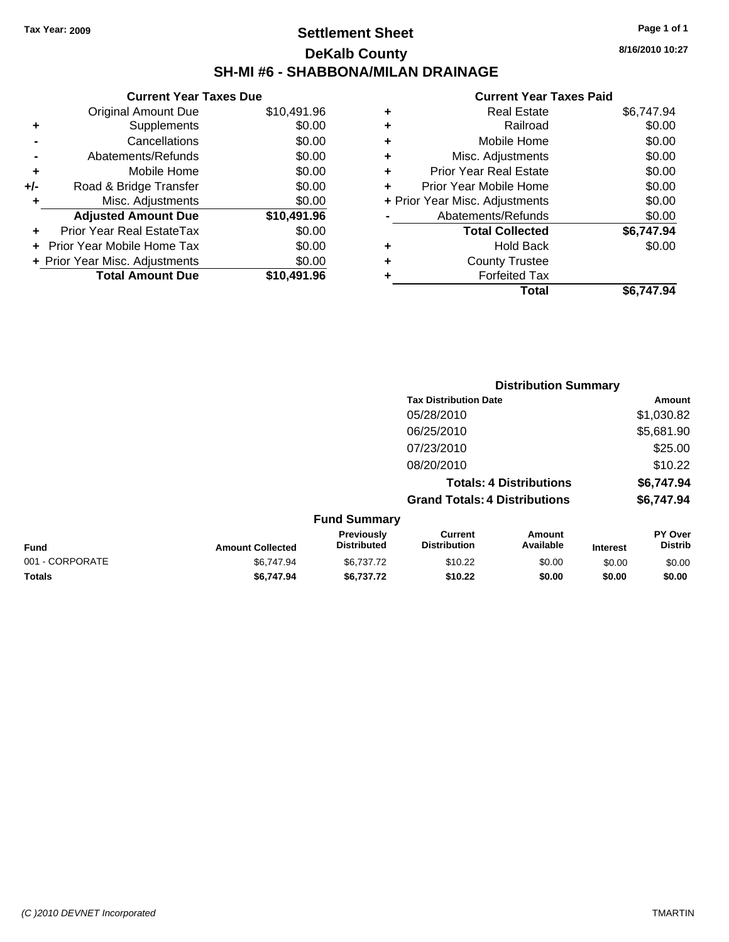# **Settlement Sheet Tax Year: 2009 Page 1 of 1 DeKalb County SH-MI #6 - SHABBONA/MILAN DRAINAGE**

**8/16/2010 10:27**

|     | <b>Current Year Taxes Due</b>     |             |
|-----|-----------------------------------|-------------|
|     | <b>Original Amount Due</b>        | \$10,491.96 |
| ÷   | Supplements                       | \$0.00      |
|     | Cancellations                     | \$0.00      |
|     | Abatements/Refunds                | \$0.00      |
| ÷   | Mobile Home                       | \$0.00      |
| +/- | Road & Bridge Transfer            | \$0.00      |
|     | Misc. Adjustments                 | \$0.00      |
|     | <b>Adjusted Amount Due</b>        | \$10,491.96 |
| ÷   | Prior Year Real EstateTax         | \$0.00      |
|     | <b>Prior Year Mobile Home Tax</b> | \$0.00      |
|     | + Prior Year Misc. Adjustments    | \$0.00      |
|     | <b>Total Amount Due</b>           | \$10,491.96 |
|     |                                   |             |

| <b>Real Estate</b>             | \$6,747.94 |
|--------------------------------|------------|
| Railroad                       | \$0.00     |
| Mobile Home                    | \$0.00     |
| Misc. Adjustments              | \$0.00     |
| Prior Year Real Estate         | \$0.00     |
| Prior Year Mobile Home         | \$0.00     |
| + Prior Year Misc. Adjustments | \$0.00     |
| Abatements/Refunds             | \$0.00     |
| <b>Total Collected</b>         | \$6,747.94 |
| <b>Hold Back</b>               | \$0.00     |
| <b>County Trustee</b>          |            |
| <b>Forfeited Tax</b>           |            |
| Total                          | \$6,747.94 |
|                                |            |

|                 |                         |                                  |                                      | <b>Distribution Summary</b>    |                 |                                  |
|-----------------|-------------------------|----------------------------------|--------------------------------------|--------------------------------|-----------------|----------------------------------|
|                 |                         |                                  | <b>Tax Distribution Date</b>         |                                |                 | Amount                           |
|                 |                         |                                  | 05/28/2010                           |                                |                 | \$1,030.82                       |
|                 |                         |                                  | 06/25/2010                           |                                |                 | \$5,681.90                       |
|                 |                         |                                  | 07/23/2010                           |                                |                 | \$25.00                          |
|                 |                         |                                  | 08/20/2010                           |                                |                 | \$10.22                          |
|                 |                         |                                  |                                      | <b>Totals: 4 Distributions</b> |                 | \$6,747.94                       |
|                 |                         |                                  | <b>Grand Totals: 4 Distributions</b> |                                |                 | \$6,747.94                       |
|                 |                         | <b>Fund Summary</b>              |                                      |                                |                 |                                  |
| <b>Fund</b>     | <b>Amount Collected</b> | Previously<br><b>Distributed</b> | Current<br><b>Distribution</b>       | Amount<br>Available            | <b>Interest</b> | <b>PY Over</b><br><b>Distrib</b> |
| 001 - CORPORATE | \$6,747.94              | \$6,737.72                       | \$10.22                              | \$0.00                         | \$0.00          | \$0.00                           |
| Totals          | \$6,747.94              | \$6,737.72                       | \$10.22                              | \$0.00                         | \$0.00          | \$0.00                           |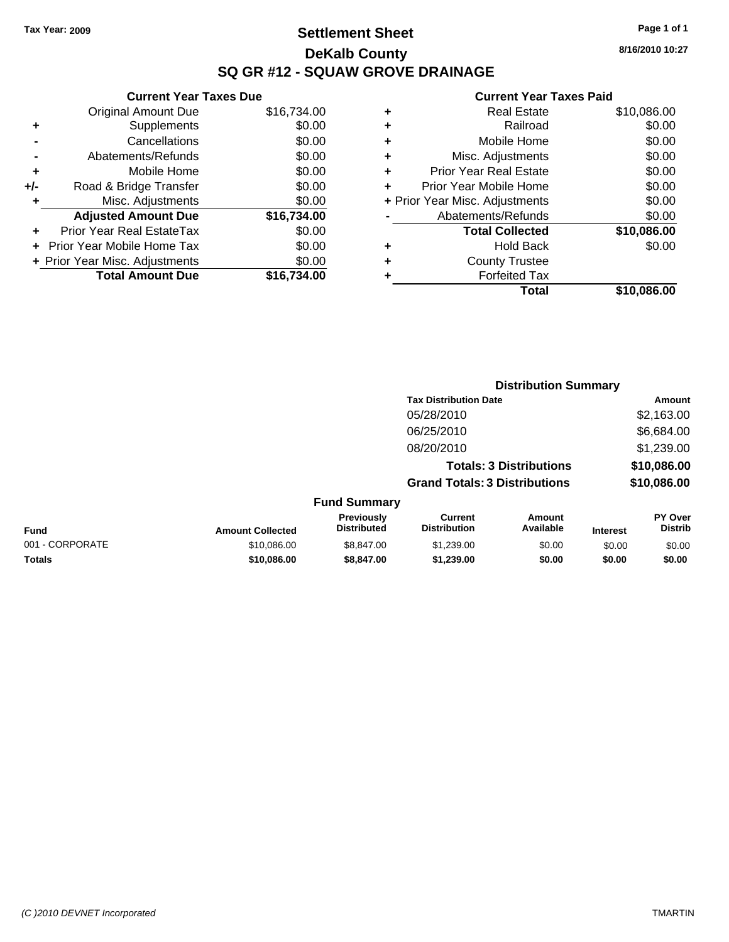# **Settlement Sheet Tax Year: 2009 Page 1 of 1 DeKalb County SQ GR #12 - SQUAW GROVE DRAINAGE**

**8/16/2010 10:27**

#### **Current Year Taxes Paid**

| ٠ | <b>Real Estate</b>             | \$10,086.00 |
|---|--------------------------------|-------------|
| ٠ | Railroad                       | \$0.00      |
| ٠ | Mobile Home                    | \$0.00      |
| ٠ | Misc. Adjustments              | \$0.00      |
| ٠ | <b>Prior Year Real Estate</b>  | \$0.00      |
| ÷ | Prior Year Mobile Home         | \$0.00      |
|   | + Prior Year Misc. Adjustments | \$0.00      |
|   | Abatements/Refunds             | \$0.00      |
|   | <b>Total Collected</b>         | \$10,086.00 |
| ٠ | <b>Hold Back</b>               | \$0.00      |
| ٠ | <b>County Trustee</b>          |             |
|   | <b>Forfeited Tax</b>           |             |
|   | Total                          | \$10.086.00 |

**Distribution Summary**

|                | <b>Total Amount Due</b>          | \$16,734.00 |
|----------------|----------------------------------|-------------|
|                | + Prior Year Misc. Adjustments   | \$0.00      |
|                | Prior Year Mobile Home Tax       | \$0.00      |
|                | <b>Prior Year Real EstateTax</b> | \$0.00      |
|                | <b>Adjusted Amount Due</b>       | \$16,734.00 |
| ÷              | Misc. Adjustments                | \$0.00      |
| +/-            | Road & Bridge Transfer           | \$0.00      |
| ٠              | Mobile Home                      | \$0.00      |
| $\blacksquare$ | Abatements/Refunds               | \$0.00      |
| $\blacksquare$ | Cancellations                    | \$0.00      |
| ۰              | Supplements                      | \$0.00      |
|                | <b>Original Amount Due</b>       | \$16,734.00 |

**Current Year Taxes Due**

|                 |                         |                                  |                                       | <b>PISUIMUUTI VUIIIIIIII</b>   |                 |                                  |  |
|-----------------|-------------------------|----------------------------------|---------------------------------------|--------------------------------|-----------------|----------------------------------|--|
|                 |                         |                                  | <b>Tax Distribution Date</b>          |                                |                 | Amount                           |  |
|                 |                         |                                  | 05/28/2010                            |                                |                 | \$2,163.00                       |  |
|                 |                         |                                  | 06/25/2010                            |                                |                 | \$6,684.00                       |  |
|                 |                         |                                  | 08/20/2010                            |                                |                 | \$1,239.00                       |  |
|                 |                         |                                  |                                       | <b>Totals: 3 Distributions</b> |                 | \$10,086.00                      |  |
|                 |                         |                                  | <b>Grand Totals: 3 Distributions</b>  |                                |                 | \$10,086.00                      |  |
|                 |                         | <b>Fund Summary</b>              |                                       |                                |                 |                                  |  |
| Fund            | <b>Amount Collected</b> | Previously<br><b>Distributed</b> | <b>Current</b><br><b>Distribution</b> | Amount<br>Available            | <b>Interest</b> | <b>PY Over</b><br><b>Distrib</b> |  |
| 001 - CORPORATE | \$10,086.00             | \$8,847.00                       | \$1,239.00                            | \$0.00                         | \$0.00          | \$0.00                           |  |
| Totals          | \$10,086,00             | \$8,847,00                       | \$1.239.00                            | \$0.00                         | \$0.00          | \$0.00                           |  |
|                 |                         |                                  |                                       |                                |                 |                                  |  |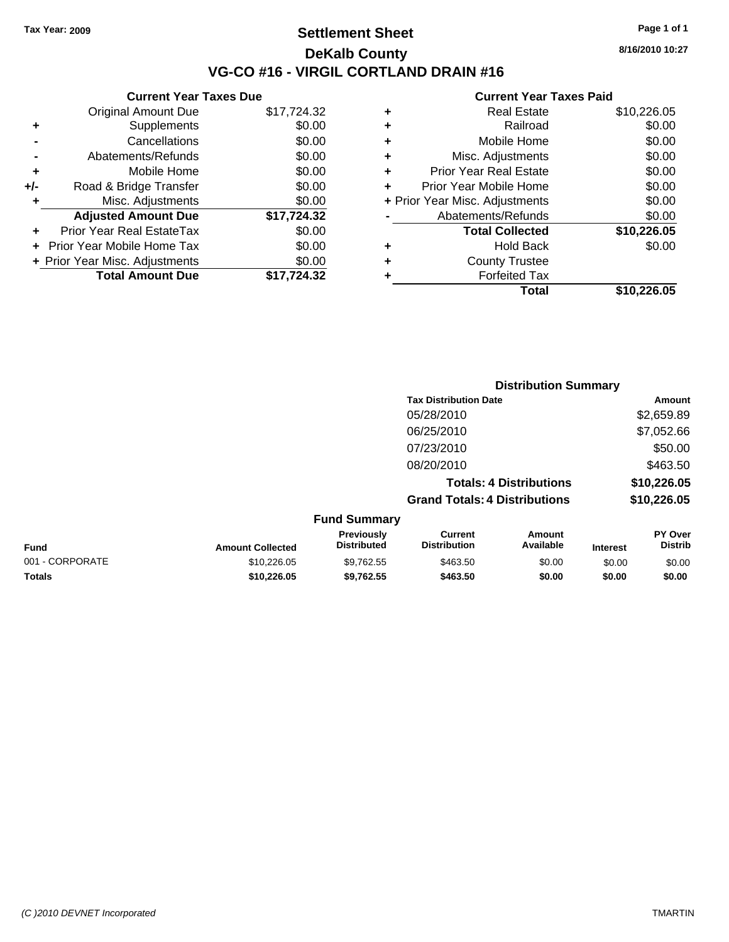## **Settlement Sheet Tax Year: 2009 Page 1 of 1 DeKalb County VG-CO #16 - VIRGIL CORTLAND DRAIN #16**

**8/16/2010 10:27**

### **Current Year Taxes Paid**

|     | <b>Current Year Taxes Due</b>     |             |
|-----|-----------------------------------|-------------|
|     | <b>Original Amount Due</b>        | \$17,724.32 |
| ٠   | Supplements                       | \$0.00      |
|     | Cancellations                     | \$0.00      |
|     | Abatements/Refunds                | \$0.00      |
| ٠   | Mobile Home                       | \$0.00      |
| +/- | Road & Bridge Transfer            | \$0.00      |
|     | Misc. Adjustments                 | \$0.00      |
|     | <b>Adjusted Amount Due</b>        | \$17,724.32 |
|     | Prior Year Real EstateTax         | \$0.00      |
|     | <b>Prior Year Mobile Home Tax</b> | \$0.00      |
|     | + Prior Year Misc. Adjustments    | \$0.00      |
|     | <b>Total Amount Due</b>           | \$17.724.32 |
|     |                                   |             |

| \$10,226.05 |
|-------------|
| \$0.00      |
| \$0.00      |
| \$0.00      |
| \$0.00      |
| \$0.00      |
| \$0.00      |
| \$0.00      |
| \$10,226.05 |
| \$0.00      |
|             |
|             |
| \$10,226.05 |
|             |

|                 |                         |                                  | <b>Distribution Summary</b>           |                                |                 |                                  |
|-----------------|-------------------------|----------------------------------|---------------------------------------|--------------------------------|-----------------|----------------------------------|
|                 |                         |                                  | <b>Tax Distribution Date</b>          |                                |                 | Amount                           |
|                 |                         |                                  | 05/28/2010                            |                                |                 | \$2,659.89                       |
|                 |                         |                                  | 06/25/2010                            |                                |                 | \$7,052.66                       |
|                 |                         |                                  | 07/23/2010                            |                                |                 | \$50.00                          |
|                 |                         |                                  | 08/20/2010                            |                                |                 | \$463.50                         |
|                 |                         |                                  |                                       | <b>Totals: 4 Distributions</b> |                 | \$10,226.05                      |
|                 |                         |                                  | <b>Grand Totals: 4 Distributions</b>  |                                |                 | \$10,226.05                      |
|                 |                         | <b>Fund Summary</b>              |                                       |                                |                 |                                  |
| <b>Fund</b>     | <b>Amount Collected</b> | Previously<br><b>Distributed</b> | <b>Current</b><br><b>Distribution</b> | <b>Amount</b><br>Available     | <b>Interest</b> | <b>PY Over</b><br><b>Distrib</b> |
| 001 - CORPORATE | \$10,226.05             | \$9,762.55                       | \$463.50                              | \$0.00                         | \$0.00          | \$0.00                           |

**Totals \$10,226.05 \$9,762.55 \$463.50 \$0.00 \$0.00 \$0.00**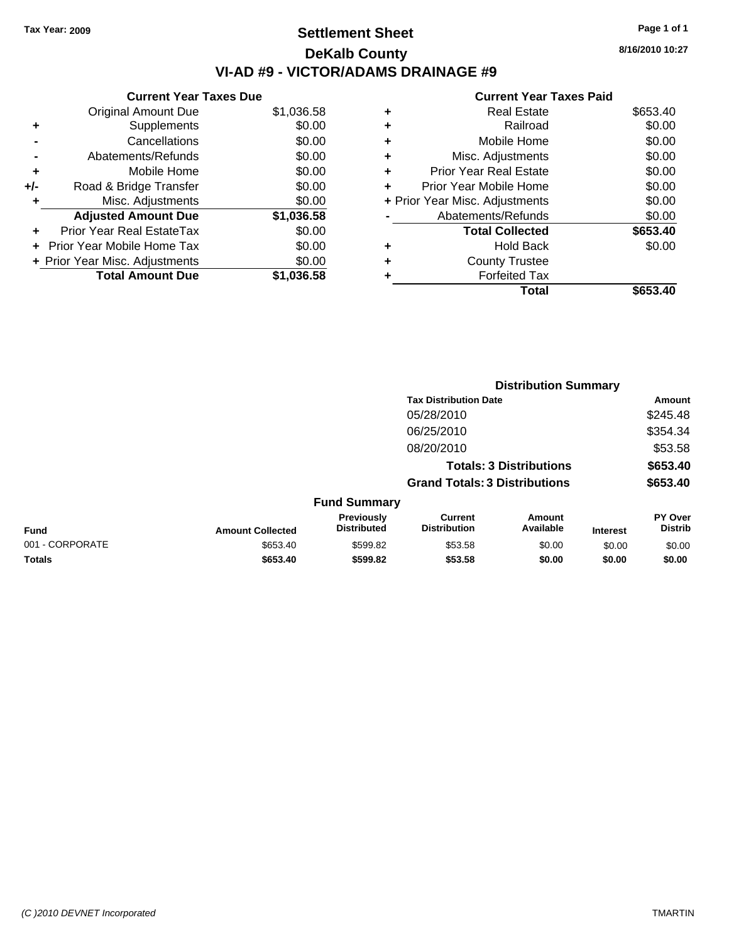# **Settlement Sheet Tax Year: 2009 Page 1 of 1 DeKalb County VI-AD #9 - VICTOR/ADAMS DRAINAGE #9**

#### **Current Year Taxes Due**

|     | <b>Original Amount Due</b>     | \$1,036.58 |
|-----|--------------------------------|------------|
| ٠   | Supplements                    | \$0.00     |
|     | Cancellations                  | \$0.00     |
|     | Abatements/Refunds             | \$0.00     |
| ٠   | Mobile Home                    | \$0.00     |
| +/- | Road & Bridge Transfer         | \$0.00     |
| ٠   | Misc. Adjustments              | \$0.00     |
|     | <b>Adjusted Amount Due</b>     | \$1,036.58 |
|     | Prior Year Real EstateTax      | \$0.00     |
|     | Prior Year Mobile Home Tax     | \$0.00     |
|     | + Prior Year Misc. Adjustments | \$0.00     |
|     | <b>Total Amount Due</b>        | \$1.036.58 |

#### **Current Year Taxes Paid**

| ٠ | <b>Real Estate</b>             | \$653.40 |
|---|--------------------------------|----------|
| ٠ | Railroad                       | \$0.00   |
| ٠ | Mobile Home                    | \$0.00   |
| ٠ | Misc. Adjustments              | \$0.00   |
| ٠ | Prior Year Real Estate         | \$0.00   |
|   | Prior Year Mobile Home         | \$0.00   |
|   | + Prior Year Misc. Adjustments | \$0.00   |
|   | Abatements/Refunds             | \$0.00   |
|   | <b>Total Collected</b>         | \$653.40 |
| ٠ | <b>Hold Back</b>               | \$0.00   |
| ٠ | <b>County Trustee</b>          |          |
|   | <b>Forfeited Tax</b>           |          |
|   | Total                          | \$653.40 |
|   |                                |          |

|                 |                         | <b>Distribution Summary</b>      |                                       |                                |                 |                           |
|-----------------|-------------------------|----------------------------------|---------------------------------------|--------------------------------|-----------------|---------------------------|
|                 |                         |                                  | <b>Tax Distribution Date</b>          |                                |                 | Amount                    |
|                 |                         |                                  | 05/28/2010                            |                                |                 | \$245.48                  |
|                 |                         |                                  | 06/25/2010                            |                                |                 | \$354.34                  |
|                 |                         |                                  | 08/20/2010                            |                                |                 | \$53.58                   |
|                 |                         |                                  |                                       | <b>Totals: 3 Distributions</b> |                 | \$653.40                  |
|                 |                         |                                  | <b>Grand Totals: 3 Distributions</b>  |                                |                 | \$653.40                  |
|                 |                         | <b>Fund Summary</b>              |                                       |                                |                 |                           |
| Fund            | <b>Amount Collected</b> | Previously<br><b>Distributed</b> | <b>Current</b><br><b>Distribution</b> | Amount<br>Available            | <b>Interest</b> | PY Over<br><b>Distrib</b> |
| 001 - CORPORATE | \$653.40                | \$599.82                         | \$53.58                               | \$0.00                         | \$0.00          | \$0.00                    |
| Totals          | \$653.40                | \$599.82                         | \$53.58                               | \$0.00                         | \$0.00          | \$0.00                    |

**8/16/2010 10:27**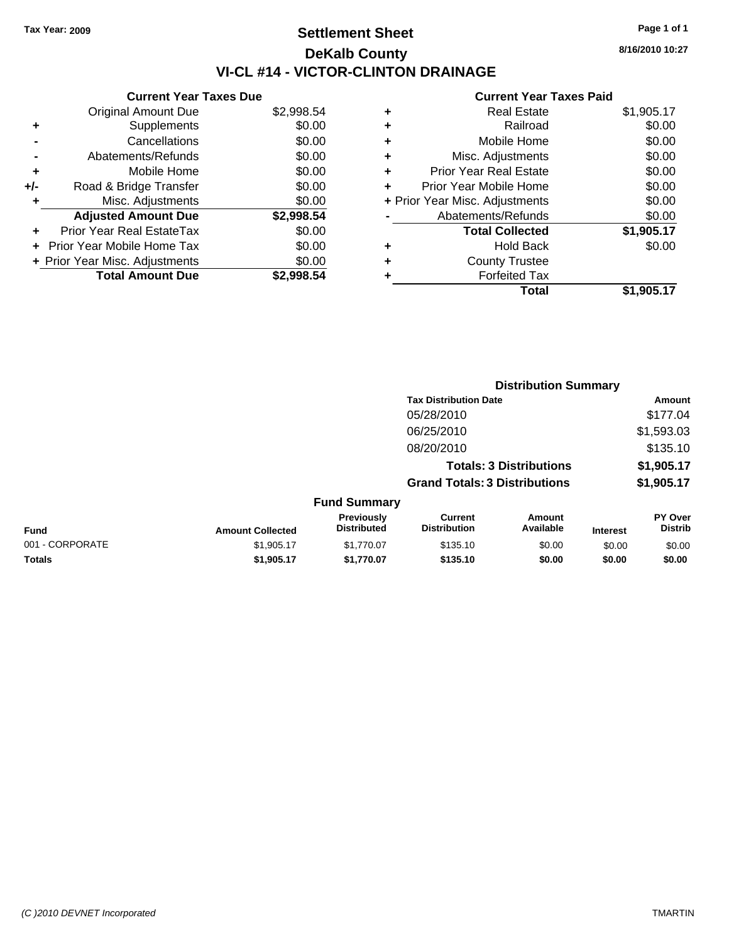# **Settlement Sheet Tax Year: 2009 Page 1 of 1 DeKalb County VI-CL #14 - VICTOR-CLINTON DRAINAGE**

**8/16/2010 10:27**

|     | <b>Current Year Taxes Due</b>  |            |
|-----|--------------------------------|------------|
|     | <b>Original Amount Due</b>     | \$2,998.54 |
| ٠   | Supplements                    | \$0.00     |
|     | Cancellations                  | \$0.00     |
|     | Abatements/Refunds             | \$0.00     |
| ٠   | Mobile Home                    | \$0.00     |
| +/- | Road & Bridge Transfer         | \$0.00     |
| ٠   | Misc. Adjustments              | \$0.00     |
|     | <b>Adjusted Amount Due</b>     | \$2,998.54 |
|     | Prior Year Real EstateTax      | \$0.00     |
|     | Prior Year Mobile Home Tax     | \$0.00     |
|     | + Prior Year Misc. Adjustments | \$0.00     |
|     | <b>Total Amount Due</b>        | \$2,998.54 |
|     |                                |            |

| ٠                              | <b>Real Estate</b>            | \$1,905.17 |
|--------------------------------|-------------------------------|------------|
| ٠                              | Railroad                      | \$0.00     |
| ٠                              | Mobile Home                   | \$0.00     |
| ٠                              | Misc. Adjustments             | \$0.00     |
| ÷                              | <b>Prior Year Real Estate</b> | \$0.00     |
| ٠                              | Prior Year Mobile Home        | \$0.00     |
| + Prior Year Misc. Adjustments |                               | \$0.00     |
|                                | Abatements/Refunds            | \$0.00     |
|                                | <b>Total Collected</b>        | \$1,905.17 |
| ٠                              | Hold Back                     | \$0.00     |
| ٠                              | <b>County Trustee</b>         |            |
| ٠                              | <b>Forfeited Tax</b>          |            |
|                                | Total                         | \$1,905.17 |
|                                |                               |            |

|                 |                         |                                  | <b>Distribution Summary</b>           |                                |                 |                                  |
|-----------------|-------------------------|----------------------------------|---------------------------------------|--------------------------------|-----------------|----------------------------------|
|                 |                         |                                  | <b>Tax Distribution Date</b>          |                                |                 | Amount                           |
|                 |                         |                                  | 05/28/2010                            |                                |                 | \$177.04                         |
|                 |                         |                                  | 06/25/2010                            |                                |                 | \$1,593.03                       |
|                 |                         |                                  | 08/20/2010                            |                                |                 | \$135.10                         |
|                 |                         |                                  |                                       | <b>Totals: 3 Distributions</b> |                 | \$1,905.17                       |
|                 |                         |                                  | <b>Grand Totals: 3 Distributions</b>  |                                |                 | \$1,905.17                       |
|                 |                         | <b>Fund Summary</b>              |                                       |                                |                 |                                  |
| Fund            | <b>Amount Collected</b> | Previously<br><b>Distributed</b> | <b>Current</b><br><b>Distribution</b> | Amount<br>Available            | <b>Interest</b> | <b>PY Over</b><br><b>Distrib</b> |
| 001 - CORPORATE | \$1,905.17              | \$1,770.07                       | \$135.10                              | \$0.00                         | \$0.00          | \$0.00                           |
| Totals          | \$1,905.17              | \$1,770.07                       | \$135.10                              | \$0.00                         | \$0.00          | \$0.00                           |
|                 |                         |                                  |                                       |                                |                 |                                  |